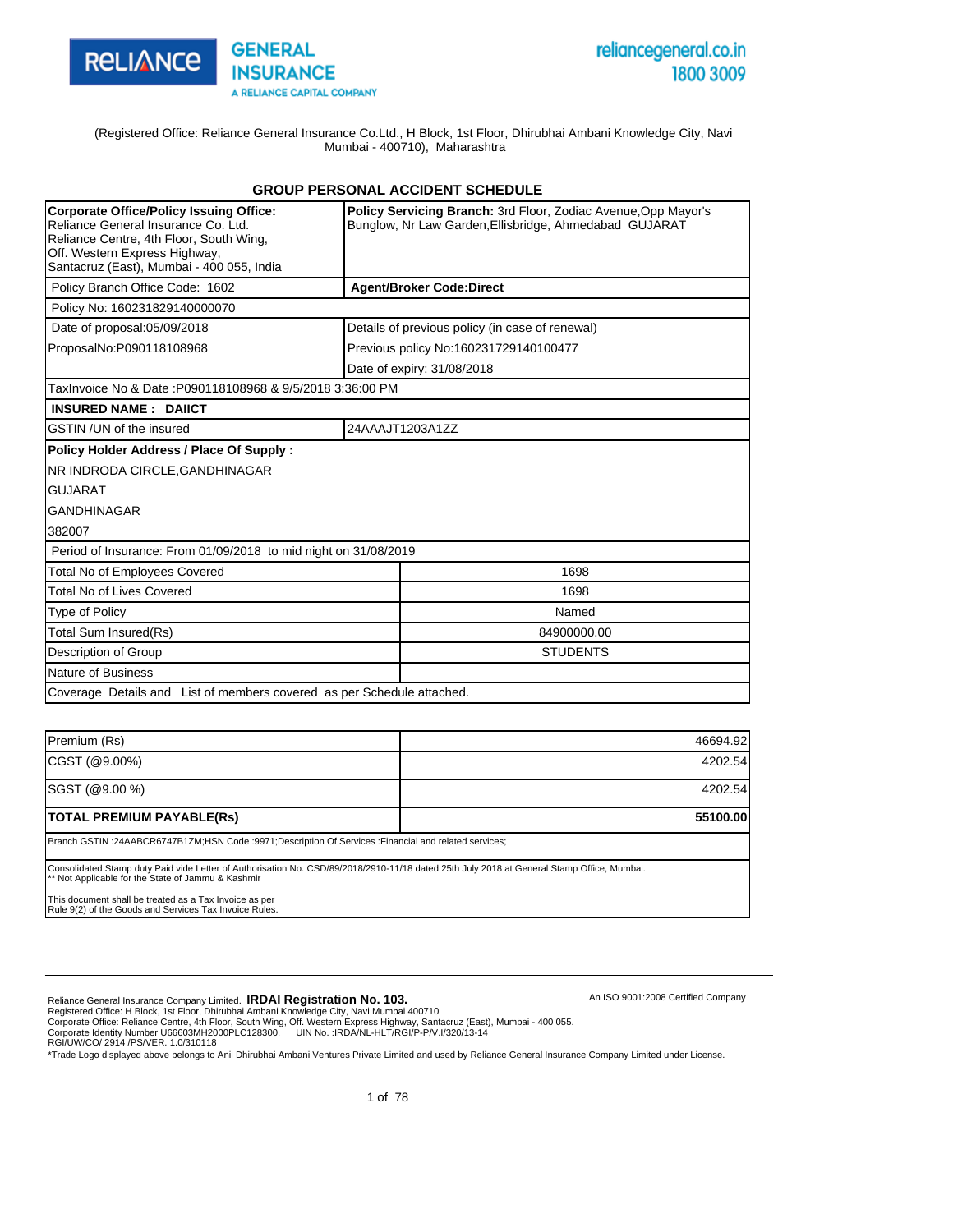

An ISO 9001:2008 Certified Company

(Registered Office: Reliance General Insurance Co.Ltd., H Block, 1st Floor, Dhirubhai Ambani Knowledge City, Navi Mumbai - 400710), Maharashtra

#### **GROUP PERSONAL ACCIDENT SCHEDULE**

| <b>Corporate Office/Policy Issuing Office:</b><br>Reliance General Insurance Co. Ltd.<br>Reliance Centre, 4th Floor, South Wing,<br>Off. Western Express Highway,<br>Santacruz (East), Mumbai - 400 055, India | <b>Policy Servicing Branch: 3rd Floor, Zodiac Avenue, Opp Mayor's</b><br>Bunglow, Nr Law Garden, Ellisbridge, Ahmedabad GUJARAT |  |  |  |  |  |  |
|----------------------------------------------------------------------------------------------------------------------------------------------------------------------------------------------------------------|---------------------------------------------------------------------------------------------------------------------------------|--|--|--|--|--|--|
| Policy Branch Office Code: 1602                                                                                                                                                                                | <b>Agent/Broker Code:Direct</b>                                                                                                 |  |  |  |  |  |  |
| Policy No: 160231829140000070                                                                                                                                                                                  |                                                                                                                                 |  |  |  |  |  |  |
| Date of proposal:05/09/2018                                                                                                                                                                                    | Details of previous policy (in case of renewal)                                                                                 |  |  |  |  |  |  |
| ProposalNo:P090118108968                                                                                                                                                                                       | Previous policy No:160231729140100477                                                                                           |  |  |  |  |  |  |
|                                                                                                                                                                                                                | Date of expiry: 31/08/2018                                                                                                      |  |  |  |  |  |  |
| TaxInvoice No & Date: P090118108968 & 9/5/2018 3:36:00 PM                                                                                                                                                      |                                                                                                                                 |  |  |  |  |  |  |
| <b>INSURED NAME: DAIICT</b>                                                                                                                                                                                    |                                                                                                                                 |  |  |  |  |  |  |
| GSTIN / UN of the insured                                                                                                                                                                                      | 24AAAJT1203A1ZZ                                                                                                                 |  |  |  |  |  |  |
| Policy Holder Address / Place Of Supply:                                                                                                                                                                       |                                                                                                                                 |  |  |  |  |  |  |
| NR INDRODA CIRCLE.GANDHINAGAR                                                                                                                                                                                  |                                                                                                                                 |  |  |  |  |  |  |
| <b>GUJARAT</b>                                                                                                                                                                                                 |                                                                                                                                 |  |  |  |  |  |  |
| <b>GANDHINAGAR</b>                                                                                                                                                                                             |                                                                                                                                 |  |  |  |  |  |  |
| 382007                                                                                                                                                                                                         |                                                                                                                                 |  |  |  |  |  |  |
| Period of Insurance: From 01/09/2018 to mid night on 31/08/2019                                                                                                                                                |                                                                                                                                 |  |  |  |  |  |  |
| <b>Total No of Employees Covered</b>                                                                                                                                                                           | 1698                                                                                                                            |  |  |  |  |  |  |
| <b>Total No of Lives Covered</b>                                                                                                                                                                               | 1698                                                                                                                            |  |  |  |  |  |  |
| <b>Type of Policy</b>                                                                                                                                                                                          | Named                                                                                                                           |  |  |  |  |  |  |
| <b>Total Sum Insured(Rs)</b>                                                                                                                                                                                   | 84900000.00                                                                                                                     |  |  |  |  |  |  |
| Description of Group                                                                                                                                                                                           | <b>STUDENTS</b>                                                                                                                 |  |  |  |  |  |  |
| Nature of Business                                                                                                                                                                                             |                                                                                                                                 |  |  |  |  |  |  |
| Coverage Details and List of members covered as per Schedule attached.                                                                                                                                         |                                                                                                                                 |  |  |  |  |  |  |

| Premium (Rs)                                                                                                                                                                                     | 46694.92 |
|--------------------------------------------------------------------------------------------------------------------------------------------------------------------------------------------------|----------|
| CGST (@9.00%)                                                                                                                                                                                    | 4202.54  |
| SGST (@9.00 %)                                                                                                                                                                                   | 4202.54  |
| <b>TOTAL PREMIUM PAYABLE(Rs)</b>                                                                                                                                                                 | 55100.00 |
| Branch GSTIN:24AABCR6747B1ZM;HSN Code:9971;Description Of Services: Financial and related services;                                                                                              |          |
| Consolidated Stamp duty Paid vide Letter of Authorisation No. CSD/89/2018/2910-11/18 dated 25th July 2018 at General Stamp Office, Mumbai.<br>** Not Applicable for the State of Jammu & Kashmir |          |
| This document shall be treated as a Tax Invoice as per<br>Rule 9(2) of the Goods and Services Tax Invoice Rules.                                                                                 |          |

Reliance General Insurance Company Limited. **IRDAI Registration No. 103.**<br>Registered Office: H Block, 1st Floor, Dhirubhai Ambani Knowledge City, Navi Mumbai 400710<br>Corporate Office: Reliance Centre, 4th Floor, South Wing,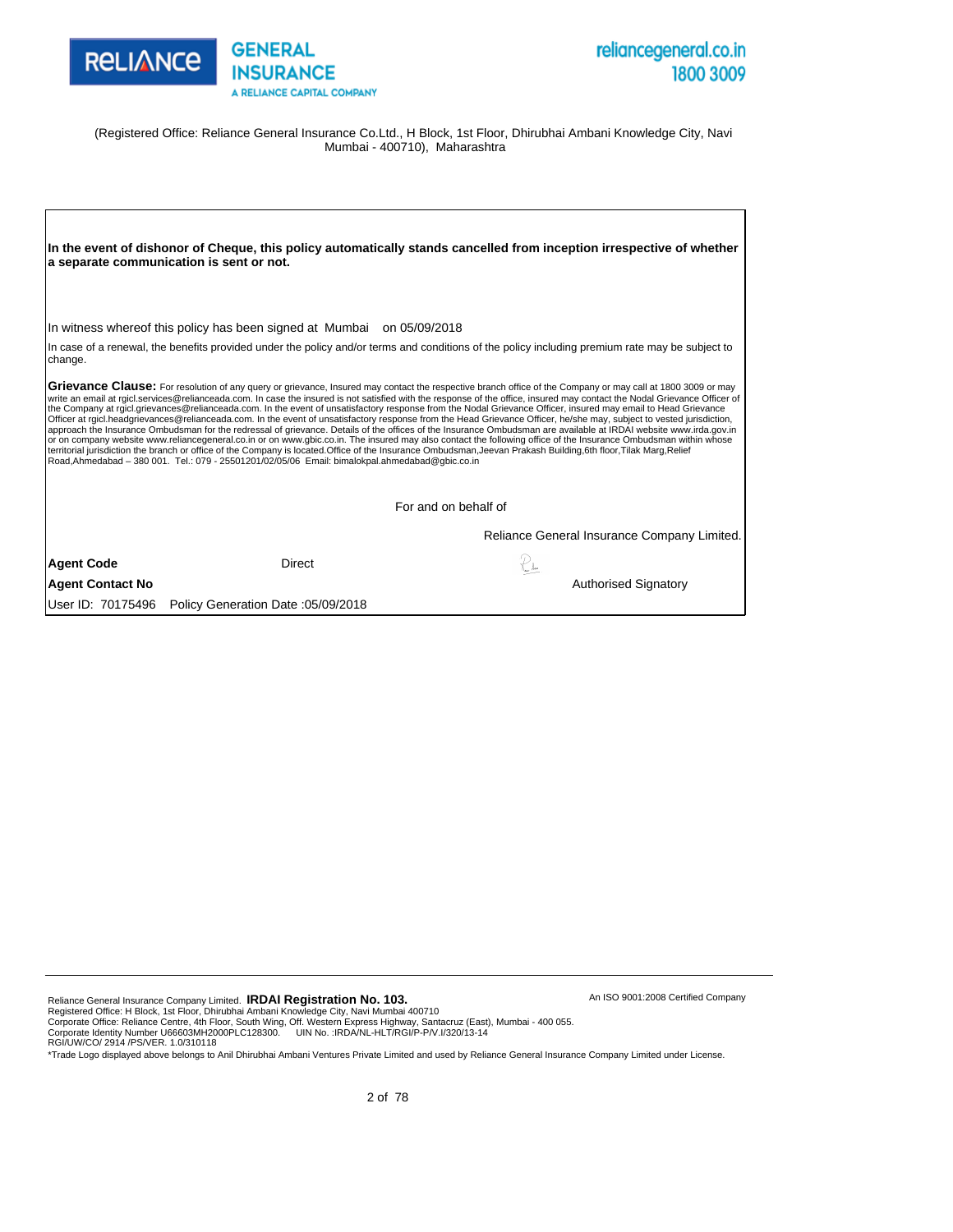



An ISO 9001:2008 Certified Company

(Registered Office: Reliance General Insurance Co.Ltd., H Block, 1st Floor, Dhirubhai Ambani Knowledge City, Navi Mumbai - 400710), Maharashtra

|                         | a separate communication is sent or not.                                                        | In the event of dishonor of Cheque, this policy automatically stands cancelled from inception irrespective of whether                                                                                                                                                                                                                                                                                                                                                                                                                                                                                                                                                                                                                                                                                                                                                                                                                                                                                                                                                                                                                                                                              |  |
|-------------------------|-------------------------------------------------------------------------------------------------|----------------------------------------------------------------------------------------------------------------------------------------------------------------------------------------------------------------------------------------------------------------------------------------------------------------------------------------------------------------------------------------------------------------------------------------------------------------------------------------------------------------------------------------------------------------------------------------------------------------------------------------------------------------------------------------------------------------------------------------------------------------------------------------------------------------------------------------------------------------------------------------------------------------------------------------------------------------------------------------------------------------------------------------------------------------------------------------------------------------------------------------------------------------------------------------------------|--|
|                         | In witness whereof this policy has been signed at Mumbai on 05/09/2018                          |                                                                                                                                                                                                                                                                                                                                                                                                                                                                                                                                                                                                                                                                                                                                                                                                                                                                                                                                                                                                                                                                                                                                                                                                    |  |
| change.                 |                                                                                                 | In case of a renewal, the benefits provided under the policy and/or terms and conditions of the policy including premium rate may be subject to                                                                                                                                                                                                                                                                                                                                                                                                                                                                                                                                                                                                                                                                                                                                                                                                                                                                                                                                                                                                                                                    |  |
|                         | Road, Ahmedabad - 380 001. Tel.: 079 - 25501201/02/05/06 Email: bimalokpal.ahmedabad@qbic.co.in | Grievance Clause: For resolution of any query or grievance, Insured may contact the respective branch office of the Company or may call at 1800 3009 or may<br>write an email at rgicl.services@relianceada.com. In case the insured is not satisfied with the response of the office, insured may contact the Nodal Grievance Officer of<br>the Company at rgicl.grievances@relianceada.com. In the event of unsatisfactory response from the Nodal Grievance Officer, insured may email to Head Grievance<br>Officer at rgicl.headgrievances@relianceada.com. In the event of unsatisfactory response from the Head Grievance Officer, he/she may, subject to vested jurisdiction,<br>approach the Insurance Ombudsman for the redressal of grievance. Details of the offices of the Insurance Ombudsman are available at IRDAI website www.irda.gov.in<br>or on company website www.reliancegeneral.co.in or on www.gbic.co.in. The insured may also contact the following office of the Insurance Ombudsman within whose<br>territorial jurisdiction the branch or office of the Company is located. Office of the Insurance Ombudsman, Jeevan Prakash Building, 6th floor, Tilak Marg, Relief |  |
|                         |                                                                                                 | For and on behalf of                                                                                                                                                                                                                                                                                                                                                                                                                                                                                                                                                                                                                                                                                                                                                                                                                                                                                                                                                                                                                                                                                                                                                                               |  |
|                         |                                                                                                 | Reliance General Insurance Company Limited.                                                                                                                                                                                                                                                                                                                                                                                                                                                                                                                                                                                                                                                                                                                                                                                                                                                                                                                                                                                                                                                                                                                                                        |  |
| <b>Agent Code</b>       | Direct                                                                                          |                                                                                                                                                                                                                                                                                                                                                                                                                                                                                                                                                                                                                                                                                                                                                                                                                                                                                                                                                                                                                                                                                                                                                                                                    |  |
| <b>Agent Contact No</b> |                                                                                                 | <b>Authorised Signatory</b>                                                                                                                                                                                                                                                                                                                                                                                                                                                                                                                                                                                                                                                                                                                                                                                                                                                                                                                                                                                                                                                                                                                                                                        |  |
| User ID: 70175496       | Policy Generation Date: 05/09/2018                                                              |                                                                                                                                                                                                                                                                                                                                                                                                                                                                                                                                                                                                                                                                                                                                                                                                                                                                                                                                                                                                                                                                                                                                                                                                    |  |

Reliance General Insurance Company Limited. **IRDAI Registration No. 103.**<br>Registered Office: H Block, 1st Floor, Dhirubhai Ambani Knowledge City, Navi Mumbai 400710<br>Corporate Office: Reliance Centre, 4th Floor, South Wing,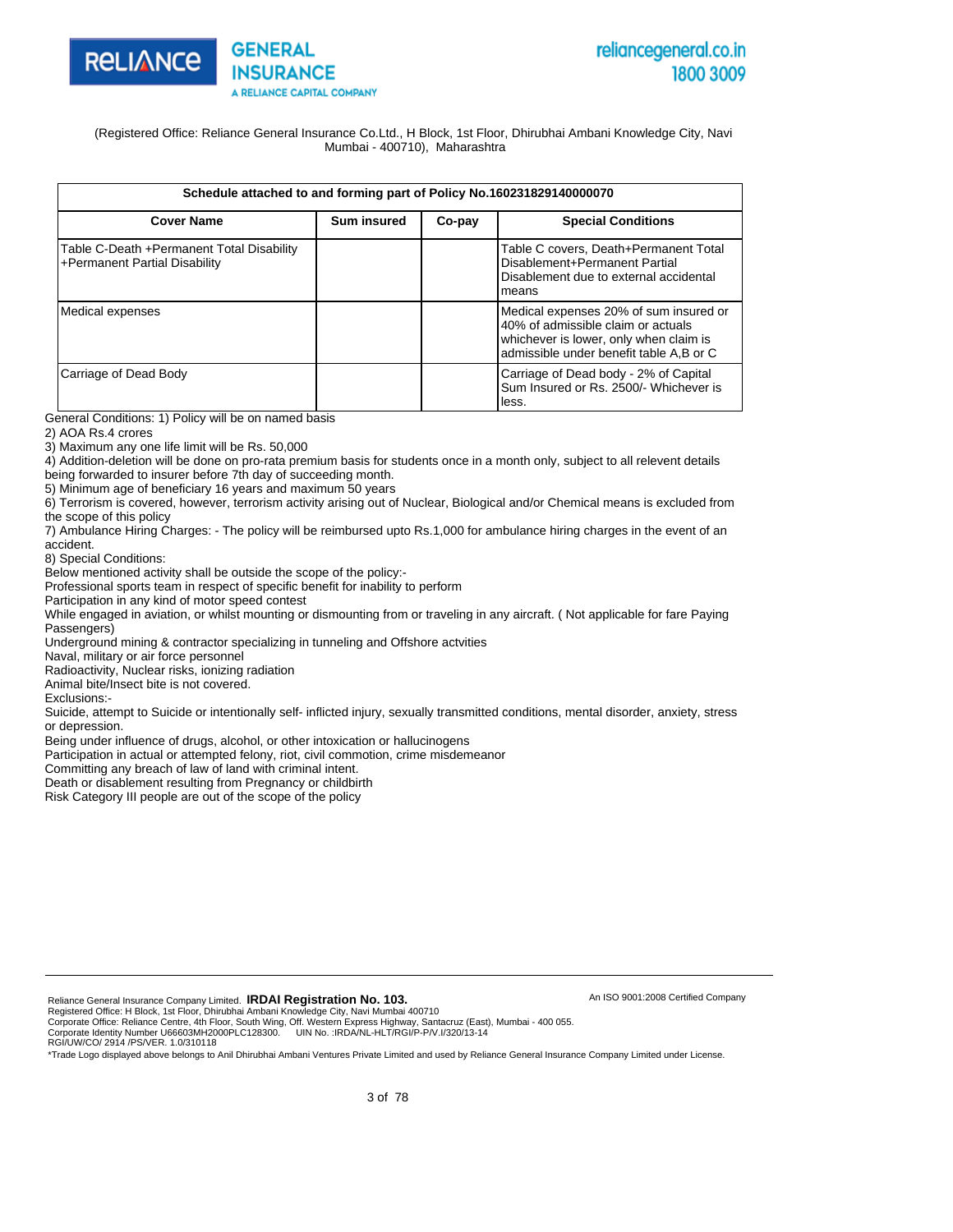



(Registered Office: Reliance General Insurance Co.Ltd., H Block, 1st Floor, Dhirubhai Ambani Knowledge City, Navi Mumbai - 400710), Maharashtra

|  | Schedule attached to and forming part of Policy No.160231829140000070 |
|--|-----------------------------------------------------------------------|
|  |                                                                       |

| <b>Cover Name</b>                                                          | <b>Sum insured</b> | Co-pay | <b>Special Conditions</b>                                                                                                                                         |
|----------------------------------------------------------------------------|--------------------|--------|-------------------------------------------------------------------------------------------------------------------------------------------------------------------|
| Table C-Death +Permanent Total Disability<br>+Permanent Partial Disability |                    |        | Table C covers, Death+Permanent Total<br>Disablement+Permanent Partial<br>Disablement due to external accidental<br>lmeans                                        |
| Medical expenses                                                           |                    |        | Medical expenses 20% of sum insured or<br>40% of admissible claim or actuals<br>whichever is lower, only when claim is<br>admissible under benefit table A,B or C |
| Carriage of Dead Body                                                      |                    |        | Carriage of Dead body - 2% of Capital<br>Sum Insured or Rs. 2500/- Whichever is<br>lless.                                                                         |

General Conditions: 1) Policy will be on named basis

2) AOA Rs.4 crores

3) Maximum any one life limit will be Rs. 50,000

4) Addition-deletion will be done on pro-rata premium basis for students once in a month only, subject to all relevent details being forwarded to insurer before 7th day of succeeding month.

5) Minimum age of beneficiary 16 years and maximum 50 years

6) Terrorism is covered, however, terrorism activity arising out of Nuclear, Biological and/or Chemical means is excluded from the scope of this policy

7) Ambulance Hiring Charges: - The policy will be reimbursed upto Rs.1,000 for ambulance hiring charges in the event of an accident.

8) Special Conditions:

Below mentioned activity shall be outside the scope of the policy:-

Professional sports team in respect of specific benefit for inability to perform

Participation in any kind of motor speed contest

While engaged in aviation, or whilst mounting or dismounting from or traveling in any aircraft. ( Not applicable for fare Paying Passengers)

Underground mining & contractor specializing in tunneling and Offshore actvities

Naval, military or air force personnel

Radioactivity, Nuclear risks, ionizing radiation

Animal bite/Insect bite is not covered.

Exclusions:-

Suicide, attempt to Suicide or intentionally self- inflicted injury, sexually transmitted conditions, mental disorder, anxiety, stress or depression.

Being under influence of drugs, alcohol, or other intoxication or hallucinogens

Participation in actual or attempted felony, riot, civil commotion, crime misdemeanor

Committing any breach of law of land with criminal intent.

Death or disablement resulting from Pregnancy or childbirth

Risk Category III people are out of the scope of the policy

Reliance General Insurance Company Limited. **IRDAI Registration No. 103.** 

Registered Office: H Block, 1st Floor, Dhirubhai Ambani Knowledge City, Navi Mumbai 400710<br>Corporate Office: Reliance Centre, 4th Floor, South Wing, Off. Western Express Highway, Santacruz (East), Mumbai - 400 055.<br>Corpora

RGI/UW/CO/ 2914 /PS/VER. 1.0/310118

\*Trade Logo displayed above belongs to Anil Dhirubhai Ambani Ventures Private Limited and used by Reliance General Insurance Company Limited under License.

An ISO 9001:2008 Certified Company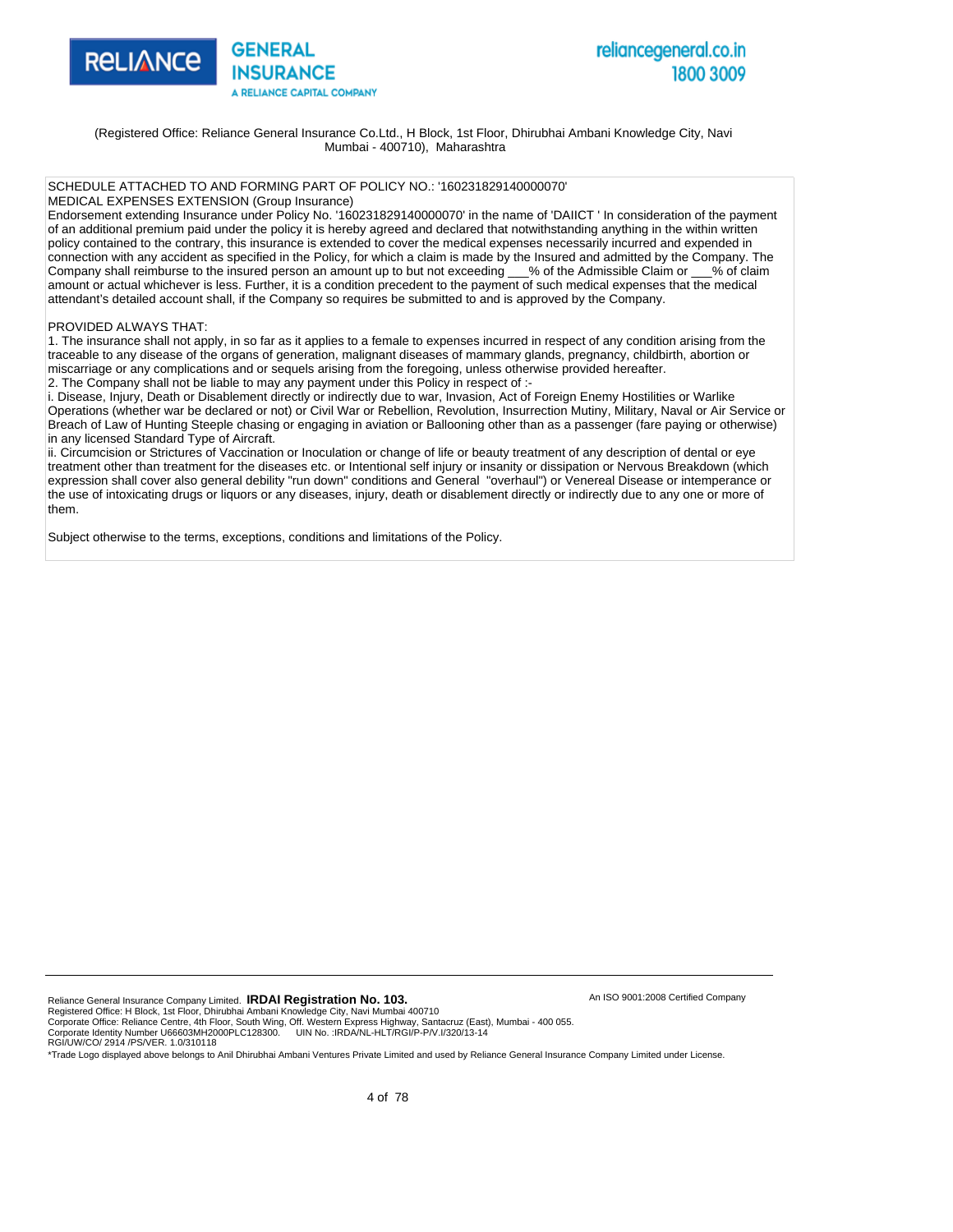

(Registered Office: Reliance General Insurance Co.Ltd., H Block, 1st Floor, Dhirubhai Ambani Knowledge City, Navi Mumbai - 400710), Maharashtra

#### SCHEDULE ATTACHED TO AND FORMING PART OF POLICY NO.: '160231829140000070'

MEDICAL EXPENSES EXTENSION (Group Insurance)

Endorsement extending Insurance under Policy No. '160231829140000070' in the name of 'DAIICT ' In consideration of the payment of an additional premium paid under the policy it is hereby agreed and declared that notwithstanding anything in the within written policy contained to the contrary, this insurance is extended to cover the medical expenses necessarily incurred and expended in connection with any accident as specified in the Policy, for which a claim is made by the Insured and admitted by the Company. The Company shall reimburse to the insured person an amount up to but not exceeding 60% of the Admissible Claim or 60% of claim amount or actual whichever is less. Further, it is a condition precedent to the payment of such medical expenses that the medical attendant's detailed account shall, if the Company so requires be submitted to and is approved by the Company.

#### PROVIDED ALWAYS THAT:

1. The insurance shall not apply, in so far as it applies to a female to expenses incurred in respect of any condition arising from the traceable to any disease of the organs of generation, malignant diseases of mammary glands, pregnancy, childbirth, abortion or miscarriage or any complications and or sequels arising from the foregoing, unless otherwise provided hereafter. 2. The Company shall not be liable to may any payment under this Policy in respect of :-

i. Disease, Injury, Death or Disablement directly or indirectly due to war, Invasion, Act of Foreign Enemy Hostilities or Warlike Operations (whether war be declared or not) or Civil War or Rebellion, Revolution, Insurrection Mutiny, Military, Naval or Air Service or Breach of Law of Hunting Steeple chasing or engaging in aviation or Ballooning other than as a passenger (fare paying or otherwise) in any licensed Standard Type of Aircraft.

ii. Circumcision or Strictures of Vaccination or Inoculation or change of life or beauty treatment of any description of dental or eye treatment other than treatment for the diseases etc. or Intentional self injury or insanity or dissipation or Nervous Breakdown (which expression shall cover also general debility "run down" conditions and General "overhaul") or Venereal Disease or intemperance or the use of intoxicating drugs or liquors or any diseases, injury, death or disablement directly or indirectly due to any one or more of them.

Subject otherwise to the terms, exceptions, conditions and limitations of the Policy.

Reliance General Insurance Company Limited. **IRDAI Registration No. 103.** 

Registered Office: H Block, 1st Floor, Dhirubhai Ambani Knowledge City, Navi Mumbai 400710<br>Corporate Office: Reliance Centre, 4th Floor, South Wing, Off. Western Express Highway, Santacruz (East), Mumbai - 400 055.<br>Corpora

RGI/UW/CO/ 2914 /PS/VER. 1.0/310118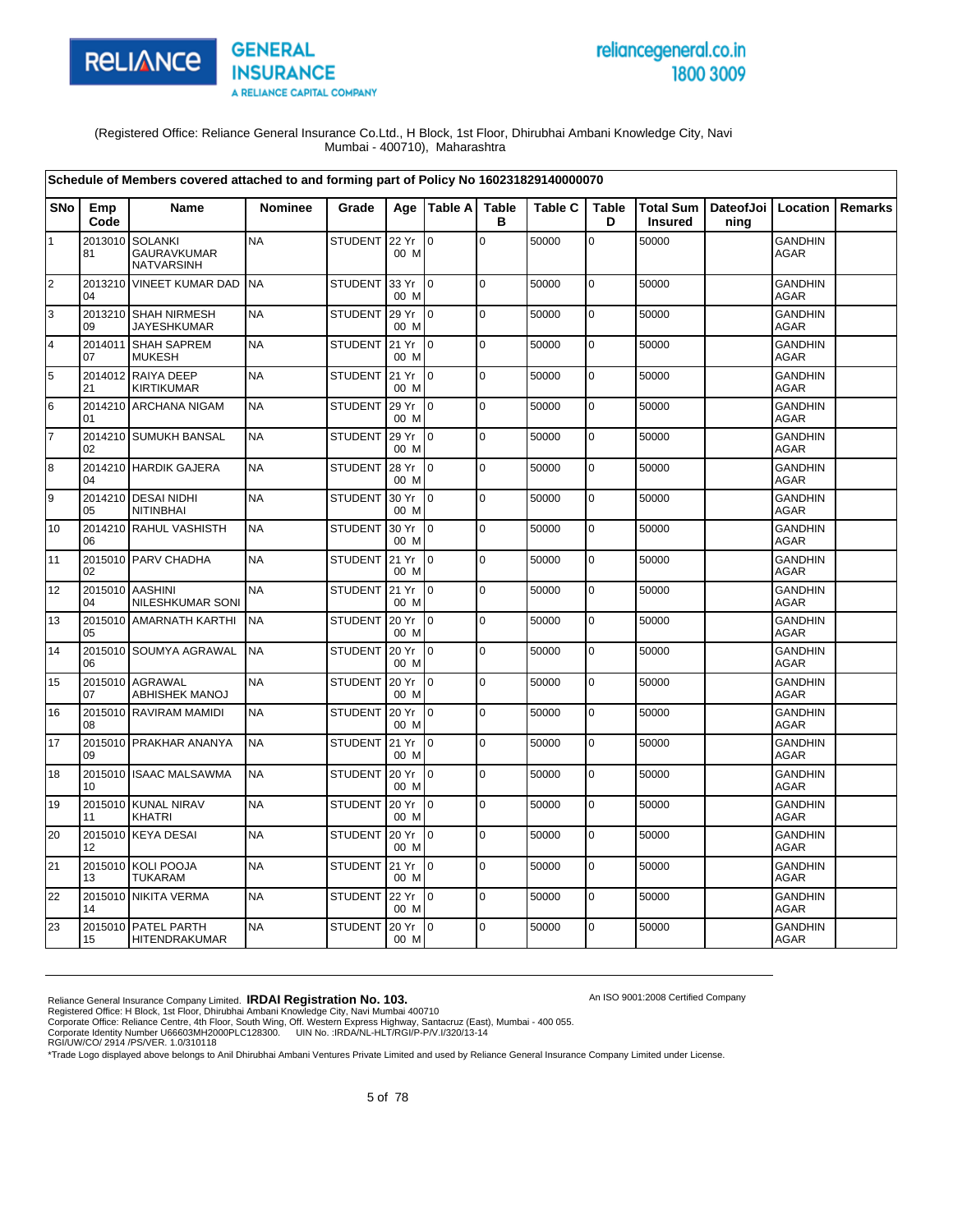



An ISO 9001:2008 Certified Company

#### (Registered Office: Reliance General Insurance Co.Ltd., H Block, 1st Floor, Dhirubhai Ambani Knowledge City, Navi Mumbai - 400710), Maharashtra

|                         | Schedule of Members covered attached to and forming part of Policy No 160231829140000070 |                                                           |                |                |               |                 |                   |         |                   |                                    |                   |                               |         |
|-------------------------|------------------------------------------------------------------------------------------|-----------------------------------------------------------|----------------|----------------|---------------|-----------------|-------------------|---------|-------------------|------------------------------------|-------------------|-------------------------------|---------|
| <b>SNo</b>              | Emp<br>Code                                                                              | <b>Name</b>                                               | <b>Nominee</b> | Grade          |               | Age Table A     | <b>Table</b><br>в | Table C | <b>Table</b><br>D | <b>Total Sum</b><br><b>Insured</b> | DateofJoi<br>ning | Location                      | Remarks |
| $\mathbf{1}$            | 2013010<br>81                                                                            | <b>SOLANKI</b><br><b>GAURAVKUMAR</b><br><b>NATVARSINH</b> | <b>NA</b>      | STUDENT        | 22 Yr<br>00 M | l 0             | $\overline{0}$    | 50000   | $\overline{0}$    | 50000                              |                   | <b>GANDHIN</b><br><b>AGAR</b> |         |
| $\overline{2}$          | 2013210<br>04                                                                            | <b>VINEET KUMAR DAD</b>                                   | <b>NA</b>      | <b>STUDENT</b> | 33 Yr<br>00 M | ۱o              | l o               | 50000   | $\mathbf 0$       | 50000                              |                   | <b>GANDHIN</b><br><b>AGAR</b> |         |
| 3                       | 2013210<br>09                                                                            | <b>SHAH NIRMESH</b><br><b>JAYESHKUMAR</b>                 | <b>NA</b>      | <b>STUDENT</b> | 29 Yr<br>00 M | $\overline{10}$ | $\overline{0}$    | 50000   | $\overline{0}$    | 50000                              |                   | <b>GANDHIN</b><br><b>AGAR</b> |         |
| $\overline{\mathbf{4}}$ | 2014011<br>07                                                                            | <b>SHAH SAPREM</b><br><b>MUKESH</b>                       | <b>NA</b>      | <b>STUDENT</b> | 21 Yr<br>00 M | $\overline{10}$ | $\overline{0}$    | 50000   | $\mathbf 0$       | 50000                              |                   | <b>GANDHIN</b><br><b>AGAR</b> |         |
| 5                       | 21                                                                                       | 2014012 RAIYA DEEP<br><b>KIRTIKUMAR</b>                   | <b>NA</b>      | <b>STUDENT</b> | 21 Yr<br>00 M | $\overline{10}$ | l o               | 50000   | 0                 | 50000                              |                   | <b>GANDHIN</b><br><b>AGAR</b> |         |
| 6                       | 01                                                                                       | 2014210 ARCHANA NIGAM                                     | <b>NA</b>      | <b>STUDENT</b> | 29 Yr<br>00 M | $\mathsf{I}$    | $\overline{0}$    | 50000   | 0                 | 50000                              |                   | <b>GANDHIN</b><br><b>AGAR</b> |         |
| $\overline{7}$          | 02                                                                                       | 2014210 SUMUKH BANSAL                                     | <b>NA</b>      | <b>STUDENT</b> | 29 Yr<br>00 M | $\overline{10}$ | l o               | 50000   | 0                 | 50000                              |                   | <b>GANDHIN</b><br><b>AGAR</b> |         |
| 8                       | 04                                                                                       | 2014210 HARDIK GAJERA                                     | <b>NA</b>      | <b>STUDENT</b> | 28 Yr<br>00 M | I <sub>0</sub>  | $\overline{0}$    | 50000   | 0                 | 50000                              |                   | <b>GANDHIN</b><br><b>AGAR</b> |         |
| 9                       | 05                                                                                       | 2014210 DESAI NIDHI<br><b>NITINBHAI</b>                   | <b>NA</b>      | <b>STUDENT</b> | 30 Yr<br>00 M | $\overline{10}$ | l o               | 50000   | 0                 | 50000                              |                   | <b>GANDHIN</b><br><b>AGAR</b> |         |
| 10                      | 06                                                                                       | 2014210 RAHUL VASHISTH                                    | <b>NA</b>      | <b>STUDENT</b> | 30 Yr<br>00 M | I <sub>0</sub>  | $\overline{0}$    | 50000   | $\mathbf 0$       | 50000                              |                   | <b>GANDHIN</b><br><b>AGAR</b> |         |
| 11                      | 02                                                                                       | 2015010 PARV CHADHA                                       | <b>NA</b>      | <b>STUDENT</b> | 21 Yr<br>00 M | $\overline{10}$ | $\overline{0}$    | 50000   | $\overline{0}$    | 50000                              |                   | <b>GANDHIN</b><br><b>AGAR</b> |         |
| 12                      | 04                                                                                       | 2015010 AASHINI<br><b>NILESHKUMAR SONI</b>                | <b>NA</b>      | STUDENT 21 Yr  | 00 M          | I <sub>0</sub>  | l o               | 50000   | $\mathbf 0$       | 50000                              |                   | <b>GANDHIN</b><br><b>AGAR</b> |         |
| 13                      | 05                                                                                       | 2015010 AMARNATH KARTHI                                   | <b>NA</b>      | <b>STUDENT</b> | 20 Yr<br>00 M | I <sub>0</sub>  | l o               | 50000   | $\overline{0}$    | 50000                              |                   | <b>GANDHIN</b><br><b>AGAR</b> |         |
| 14                      | 06                                                                                       | 2015010 SOUMYA AGRAWAL                                    | <b>NA</b>      | <b>STUDENT</b> | 20 Yr<br>00 M | $\overline{10}$ | l O               | 50000   | $\overline{0}$    | 50000                              |                   | <b>GANDHIN</b><br><b>AGAR</b> |         |
| 15                      | 07                                                                                       | 2015010 AGRAWAL<br><b>ABHISHEK MANOJ</b>                  | <b>NA</b>      | <b>STUDENT</b> | 20 Yr<br>00 M | I <sub>0</sub>  | l o               | 50000   | 0                 | 50000                              |                   | <b>GANDHIN</b><br><b>AGAR</b> |         |
| 16                      | 08                                                                                       | 2015010 RAVIRAM MAMIDI                                    | <b>NA</b>      | <b>STUDENT</b> | 20 Yr<br>00 M | $\overline{0}$  | l O               | 50000   | 0                 | 50000                              |                   | <b>GANDHIN</b><br><b>AGAR</b> |         |
| 17                      | 09                                                                                       | 2015010 PRAKHAR ANANYA                                    | <b>NA</b>      | <b>STUDENT</b> | 21 Yr<br>00 M | Io.             | l o               | 50000   | 0                 | 50000                              |                   | <b>GANDHIN</b><br>AGAR        |         |
| 18                      | 10                                                                                       | 2015010 ISAAC MALSAWMA                                    | <b>NA</b>      | <b>STUDENT</b> | 20 Yr<br>00 M | $\mathsf{I}$    | l O               | 50000   | $\overline{0}$    | 50000                              |                   | <b>GANDHIN</b><br><b>AGAR</b> |         |
| 19                      | 2015010<br>11                                                                            | <b>KUNAL NIRAV</b><br><b>KHATRI</b>                       | <b>NA</b>      | <b>STUDENT</b> | 20 Yr<br>00 M | I <sub>0</sub>  | $\overline{0}$    | 50000   | $\mathbf 0$       | 50000                              |                   | <b>GANDHIN</b><br><b>AGAR</b> |         |
| 20                      | 12                                                                                       | 2015010 KEYA DESAI                                        | <b>NA</b>      | <b>STUDENT</b> | 20 Yr<br>00 M | $\overline{10}$ | l O               | 50000   | $\mathbf 0$       | 50000                              |                   | <b>GANDHIN</b><br><b>AGAR</b> |         |
| 21                      | 2015010<br>13                                                                            | KOLI POOJA<br><b>TUKARAM</b>                              | <b>NA</b>      | <b>STUDENT</b> | 21 Yr<br>00 M | $\overline{0}$  | $\overline{0}$    | 50000   | 0                 | 50000                              |                   | <b>GANDHIN</b><br><b>AGAR</b> |         |
| 22                      | 14                                                                                       | 2015010 NIKITA VERMA                                      | <b>NA</b>      | <b>STUDENT</b> | 22 Yr<br>00 M | $\overline{10}$ | l O               | 50000   | $\overline{0}$    | 50000                              |                   | <b>GANDHIN</b><br><b>AGAR</b> |         |
| 23                      | 2015010<br>15                                                                            | PATEL PARTH<br>HITENDRAKUMAR                              | <b>NA</b>      | <b>STUDENT</b> | 20 Yr<br>00 M | $\overline{10}$ | 0                 | 50000   | 0                 | 50000                              |                   | <b>GANDHIN</b><br><b>AGAR</b> |         |

Reliance General Insurance Company Limited. **IRDAI Registration No. 103.**<br>Registered Office: H Block, 1st Floor, Dhirubhai Ambani Knowledge City, Navi Mumbai 400710<br>Corporate Office: Reliance Centre, 4th Floor, South Wing,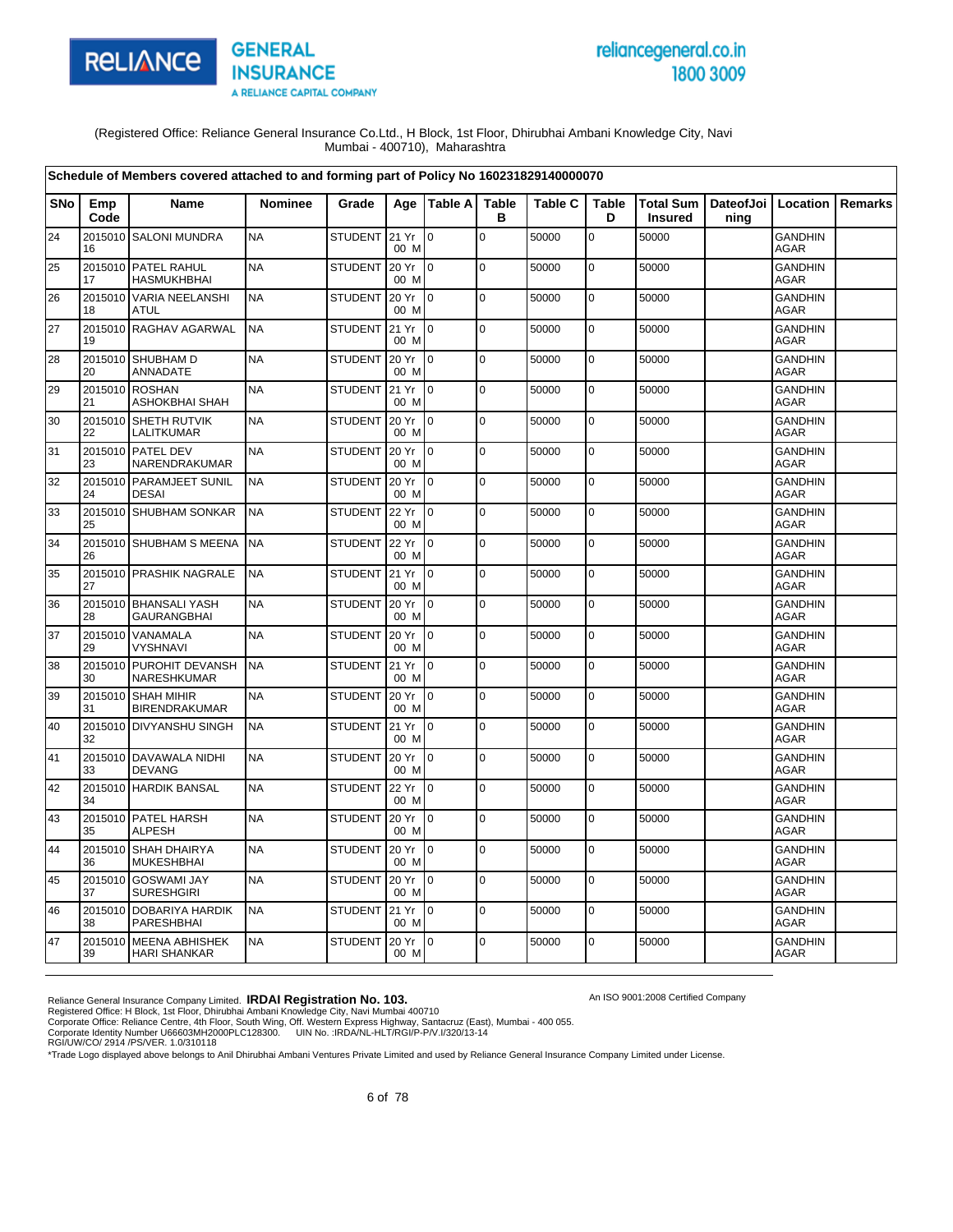

# reliancegeneral.co.in 1800 3009

An ISO 9001:2008 Certified Company

(Registered Office: Reliance General Insurance Co.Ltd., H Block, 1st Floor, Dhirubhai Ambani Knowledge City, Navi Mumbai - 400710), Maharashtra

|            |               | Schedule of Members covered attached to and forming part of Policy No 160231829140000070 |                |                |                   |                 |                   |                |                   |                                                      |      |                               |         |
|------------|---------------|------------------------------------------------------------------------------------------|----------------|----------------|-------------------|-----------------|-------------------|----------------|-------------------|------------------------------------------------------|------|-------------------------------|---------|
| <b>SNo</b> | Emp<br>Code   | Name                                                                                     | <b>Nominee</b> | Grade          |                   | Age   Table A   | <b>Table</b><br>в | <b>Table C</b> | <b>Table</b><br>D | Total Sum   DateofJoi   Location  <br><b>Insured</b> | ning |                               | Remarks |
| 24         | 16            | 2015010 SALONI MUNDRA                                                                    | <b>NA</b>      | STUDENT 21 Yr  | 00 M              | $\overline{0}$  | $\mathbf 0$       | 50000          | $\mathbf 0$       | 50000                                                |      | <b>GANDHIN</b><br><b>AGAR</b> |         |
| 25         | 17            | 2015010 PATEL RAHUL<br><b>HASMUKHBHAI</b>                                                | <b>NA</b>      | <b>STUDENT</b> | 20 Yr<br>00 M     | I <sub>0</sub>  | $\mathbf 0$       | 50000          | $\mathbf 0$       | 50000                                                |      | <b>GANDHIN</b><br><b>AGAR</b> |         |
| 26         | 18            | 2015010 VARIA NEELANSHI<br>ATUL                                                          | <b>NA</b>      | <b>STUDENT</b> | 20 Yr<br>00 M     | $\overline{10}$ | $\mathbf 0$       | 50000          | $\mathbf 0$       | 50000                                                |      | <b>GANDHIN</b><br>AGAR        |         |
| 27         | 19            | 2015010 RAGHAV AGARWAL                                                                   | <b>NA</b>      | STUDENT        | 21 Yr<br>00 M     | $\overline{10}$ | $\Omega$          | 50000          | $\mathbf 0$       | 50000                                                |      | <b>GANDHIN</b><br><b>AGAR</b> |         |
| 28         | 20            | 2015010 SHUBHAM D<br>ANNADATE                                                            | <b>NA</b>      | <b>STUDENT</b> | 20 Yr<br>00 M     | $\overline{0}$  | $\mathbf 0$       | 50000          | 0                 | 50000                                                |      | <b>GANDHIN</b><br><b>AGAR</b> |         |
| 29         | 21            | 2015010 ROSHAN<br>ASHOKBHAI SHAH                                                         | <b>NA</b>      | <b>STUDENT</b> | 21 Yr<br>00 M     | $\overline{10}$ | $\mathbf 0$       | 50000          | $\mathbf 0$       | 50000                                                |      | <b>GANDHIN</b><br>AGAR        |         |
| 30         | 22            | 2015010 SHETH RUTVIK<br>LALITKUMAR                                                       | <b>NA</b>      | <b>STUDENT</b> | 20 Yr<br>00 M     | $\overline{10}$ | $\mathbf 0$       | 50000          | $\mathbf 0$       | 50000                                                |      | <b>GANDHIN</b><br>AGAR        |         |
| 31         | 23            | 2015010 PATEL DEV<br>NARENDRAKUMAR                                                       | <b>NA</b>      | <b>STUDENT</b> | 20 Yr<br>00 M     | Io.             | $\mathbf 0$       | 50000          | 0                 | 50000                                                |      | <b>GANDHIN</b><br>AGAR        |         |
| 32         | 24            | 2015010 PARAMJEET SUNIL<br><b>DESAI</b>                                                  | <b>NA</b>      | <b>STUDENT</b> | 20 Yr<br>00 M     | I <sub>0</sub>  | $\mathbf 0$       | 50000          | $\mathbf 0$       | 50000                                                |      | <b>GANDHIN</b><br><b>AGAR</b> |         |
| 33         | 25            | 2015010 SHUBHAM SONKAR                                                                   | <b>NA</b>      | <b>STUDENT</b> | 22 Yr<br>00 M     | lo.             | $\mathbf 0$       | 50000          | 0                 | 50000                                                |      | <b>GANDHIN</b><br><b>AGAR</b> |         |
| 34         | 26            | 2015010 SHUBHAM S MEENA                                                                  | <b>NA</b>      | <b>STUDENT</b> | 22 Yr<br>00 M     | $\overline{10}$ | $\mathbf 0$       | 50000          | $\mathbf 0$       | 50000                                                |      | <b>GANDHIN</b><br><b>AGAR</b> |         |
| 35         | 27            | 2015010 PRASHIK NAGRALE                                                                  | <b>NA</b>      | STUDENT        | 21 Yr<br>00 M     | $\overline{10}$ | $\Omega$          | 50000          | $\mathbf 0$       | 50000                                                |      | <b>GANDHIN</b><br><b>AGAR</b> |         |
| 36         | 28            | 2015010 BHANSALI YASH<br><b>GAURANGBHAI</b>                                              | <b>NA</b>      | <b>STUDENT</b> | 20 Yr<br>00 M     | $\overline{10}$ | $\overline{0}$    | 50000          | 0                 | 50000                                                |      | <b>GANDHIN</b><br>AGAR        |         |
| 37         | 29            | 2015010 VANAMALA<br><b>VYSHNAVI</b>                                                      | <b>NA</b>      | <b>STUDENT</b> | 20 Yr<br>00 M     | lo.             | $\overline{0}$    | 50000          | $\mathbf 0$       | 50000                                                |      | <b>GANDHIN</b><br>AGAR        |         |
| 38         | 2015010<br>30 | PUROHIT DEVANSH<br>NARESHKUMAR                                                           | <b>NA</b>      | <b>STUDENT</b> | 21 Yr<br>00 M     | $\overline{10}$ | $\mathbf 0$       | 50000          | $\mathbf 0$       | 50000                                                |      | <b>GANDHIN</b><br>AGAR        |         |
| 39         | 31            | 2015010 SHAH MIHIR<br><b>BIRENDRAKUMAR</b>                                               | <b>NA</b>      | <b>STUDENT</b> | 20 Yr<br>00 M     | $\overline{10}$ | $\Omega$          | 50000          | $\mathbf 0$       | 50000                                                |      | <b>GANDHIN</b><br>AGAR        |         |
| 40         | 32            | 2015010 DIVYANSHU SINGH                                                                  | <b>NA</b>      | <b>STUDENT</b> | 21 Yr<br>00 M     | $\overline{10}$ | $\mathbf 0$       | 50000          | $\mathbf 0$       | 50000                                                |      | <b>GANDHIN</b><br>AGAR        |         |
| 41         | 33            | 2015010 DAVAWALA NIDHI<br><b>DEVANG</b>                                                  | <b>NA</b>      | <b>STUDENT</b> | 20 Yr<br>00 M     | lo.             | $\mathbf 0$       | 50000          | $\mathbf 0$       | 50000                                                |      | <b>GANDHIN</b><br>AGAR        |         |
| 42         | 34            | 2015010 HARDIK BANSAL                                                                    | <b>NA</b>      | <b>STUDENT</b> | 22 Yr<br>00 M     | $\overline{10}$ | $\overline{0}$    | 50000          | $\mathbf 0$       | 50000                                                |      | <b>GANDHIN</b><br><b>AGAR</b> |         |
| 43         | 35            | 2015010 PATEL HARSH<br><b>ALPESH</b>                                                     | <b>NA</b>      | <b>STUDENT</b> | 20 Yr<br>00 M     | I <sub>0</sub>  | $\mathbf 0$       | 50000          | 0                 | 50000                                                |      | <b>GANDHIN</b><br><b>AGAR</b> |         |
| 44         | 36            | 2015010 SHAH DHAIRYA<br><b>MUKESHBHAI</b>                                                | <b>NA</b>      | <b>STUDENT</b> | 20 Yr<br>00 M     | $\overline{10}$ | $\overline{0}$    | 50000          | $\mathbf 0$       | 50000                                                |      | <b>GANDHIN</b><br>AGAR        |         |
| 45         | 37            | 2015010 GOSWAMI JAY<br><b>SURESHGIRI</b>                                                 | <b>NA</b>      | <b>STUDENT</b> | 20 Yr<br>00 M     | I0.             | $\mathbf 0$       | 50000          | 0                 | 50000                                                |      | <b>GANDHIN</b><br>AGAR        |         |
| 46         | 38            | 2015010 DOBARIYA HARDIK<br><b>PARESHBHAI</b>                                             | <b>NA</b>      | <b>STUDENT</b> | 21 Yr<br>00 M     | $\overline{10}$ | $\Omega$          | 50000          | $\overline{0}$    | 50000                                                |      | <b>GANDHIN</b><br>AGAR        |         |
| 47         | 39            | 2015010 MEENA ABHISHEK<br><b>HARI SHANKAR</b>                                            | <b>NA</b>      | <b>STUDENT</b> | $20 Yr$ 0<br>00 M |                 | $\mathbf 0$       | 50000          | $\mathbf 0$       | 50000                                                |      | GANDHIN<br>AGAR               |         |

Reliance General Insurance Company Limited. **IRDAI Registration No. 103.**<br>Registered Office: H Block, 1st Floor, Dhirubhai Ambani Knowledge City, Navi Mumbai 400710<br>Corporate Office: Reliance Centre, 4th Floor, South Wing,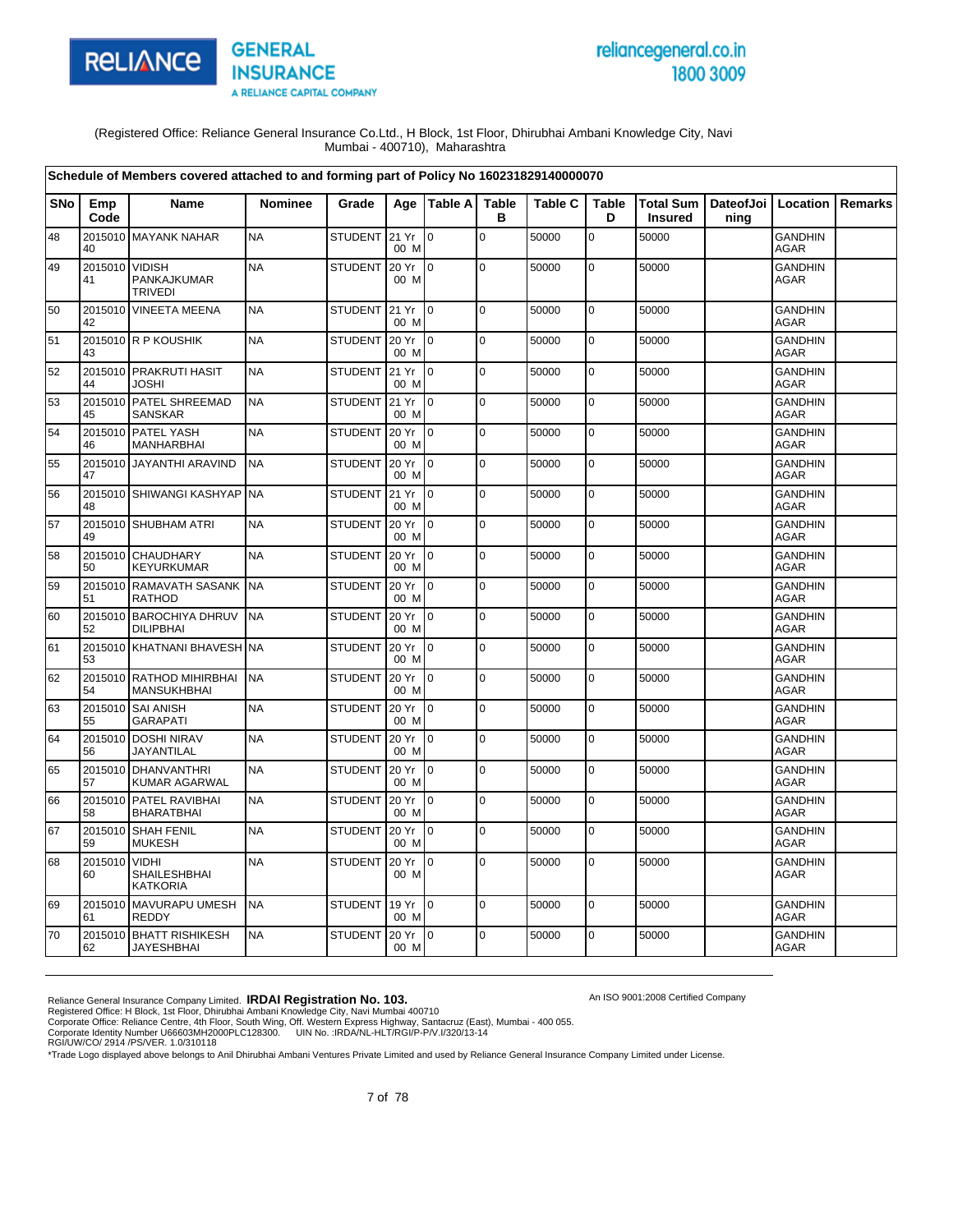

# reliancegeneral.co.in 1800 3009

(Registered Office: Reliance General Insurance Co.Ltd., H Block, 1st Floor, Dhirubhai Ambani Knowledge City, Navi Mumbai - 400710), Maharashtra

|            |               | Schedule of Members covered attached to and forming part of Policy No 160231829140000070 |                |                |               |                 |                   |                |                   |                |                                          |                               |                |
|------------|---------------|------------------------------------------------------------------------------------------|----------------|----------------|---------------|-----------------|-------------------|----------------|-------------------|----------------|------------------------------------------|-------------------------------|----------------|
| <b>SNo</b> | Emp<br>Code   | <b>Name</b>                                                                              | <b>Nominee</b> | Grade          | Aae           | <b>Table A</b>  | <b>Table</b><br>в | <b>Table C</b> | <b>Table</b><br>D | <b>Insured</b> | Total Sum   DateofJoi   Location<br>ning |                               | <b>Remarks</b> |
| 48         | 40            | 2015010 MAYANK NAHAR                                                                     | <b>NA</b>      | STUDENT 21 Yr  | 00 M          | $\overline{0}$  | $\Omega$          | 50000          | $\overline{0}$    | 50000          |                                          | <b>GANDHIN</b><br><b>AGAR</b> |                |
| 49         | 2015010<br>41 | <b>VIDISH</b><br>PANKAJKUMAR<br><b>TRIVEDI</b>                                           | <b>NA</b>      | <b>STUDENT</b> | 20 Yr<br>00 M | $\overline{0}$  | $\mathbf 0$       | 50000          | $\mathbf 0$       | 50000          |                                          | <b>GANDHIN</b><br><b>AGAR</b> |                |
| 50         | 42            | 2015010 VINEETA MEENA                                                                    | <b>NA</b>      | STUDENT 21 Yr  | 00 M          | Io.             | l o               | 50000          | $\mathbf 0$       | 50000          |                                          | <b>GANDHIN</b><br>AGAR        |                |
| 51         | 43            | 2015010 R P KOUSHIK                                                                      | <b>NA</b>      | <b>STUDENT</b> | 20 Yr<br>00 M | I٥              | $\mathbf 0$       | 50000          | $\overline{0}$    | 50000          |                                          | GANDHIN<br><b>AGAR</b>        |                |
| 52         | 44            | 2015010 PRAKRUTI HASIT<br><b>JOSHI</b>                                                   | <b>NA</b>      | <b>STUDENT</b> | 21 Yr<br>00 M | Io.             | $\mathbf 0$       | 50000          | $\pmb{0}$         | 50000          |                                          | <b>GANDHIN</b><br><b>AGAR</b> |                |
| 53         | 45            | 2015010 PATEL SHREEMAD<br><b>SANSKAR</b>                                                 | <b>NA</b>      | <b>STUDENT</b> | 21 Yr<br>00 M | I O             | $\mathbf 0$       | 50000          | $\mathbf 0$       | 50000          |                                          | <b>GANDHIN</b><br>AGAR        |                |
| 54         | 46            | 2015010 PATEL YASH<br><b>MANHARBHAI</b>                                                  | <b>NA</b>      | <b>STUDENT</b> | 20 Yr<br>00 M | $\overline{10}$ | $\Omega$          | 50000          | $\mathbf 0$       | 50000          |                                          | <b>GANDHIN</b><br><b>AGAR</b> |                |
| 55         | 47            | 2015010 JAYANTHI ARAVIND                                                                 | <b>NA</b>      | <b>STUDENT</b> | 20 Yr<br>00 M | $\Omega$        | $\pmb{0}$         | 50000          | $\pmb{0}$         | 50000          |                                          | <b>GANDHIN</b><br><b>AGAR</b> |                |
| 56         | 48            | 2015010 SHIWANGI KASHYAP                                                                 | <b>NA</b>      | <b>STUDENT</b> | 21 Yr<br>00 M | l 0             | $\mathbf 0$       | 50000          | $\mathbf 0$       | 50000          |                                          | <b>GANDHIN</b><br><b>AGAR</b> |                |
| 57         | 49            | 2015010 SHUBHAM ATRI                                                                     | <b>NA</b>      | <b>STUDENT</b> | 20 Yr<br>00 M | Io.             | $\mathbf 0$       | 50000          | $\pmb{0}$         | 50000          |                                          | <b>GANDHIN</b><br>AGAR        |                |
| 58         | 50            | 2015010 CHAUDHARY<br><b>KEYURKUMAR</b>                                                   | <b>NA</b>      | <b>STUDENT</b> | 20 Yr<br>00 M | l 0             | $\Omega$          | 50000          | $\mathbf 0$       | 50000          |                                          | <b>GANDHIN</b><br><b>AGAR</b> |                |
| 59         | 2015010<br>51 | <b>RAMAVATH SASANK</b><br><b>RATHOD</b>                                                  | <b>NA</b>      | <b>STUDENT</b> | 20 Yr<br>00 M | Io.             | l o               | 50000          | $\pmb{0}$         | 50000          |                                          | <b>GANDHIN</b><br><b>AGAR</b> |                |
| 60         | 2015010<br>52 | <b>BAROCHIYA DHRUV</b><br><b>DILIPBHAI</b>                                               | <b>NA</b>      | <b>STUDENT</b> | 20 Yr<br>00 M | $\overline{0}$  | $\pmb{0}$         | 50000          | $\pmb{0}$         | 50000          |                                          | <b>GANDHIN</b><br><b>AGAR</b> |                |
| 61         | 53            | 2015010 KHATNANI BHAVESH NA                                                              |                | STUDENT        | 20 Yr<br>00 M | Io.             | $\mathbf 0$       | 50000          | $\mathbf 0$       | 50000          |                                          | <b>GANDHIN</b><br>AGAR        |                |
| 62         | 54            | 2015010 RATHOD MIHIRBHAI<br><b>MANSUKHBHAI</b>                                           | <b>NA</b>      | <b>STUDENT</b> | 20 Yr<br>00 M | I0.             | $\pmb{0}$         | 50000          | $\mathsf 0$       | 50000          |                                          | <b>GANDHIN</b><br><b>AGAR</b> |                |
| 63         | 55            | 2015010 SAI ANISH<br><b>GARAPATI</b>                                                     | <b>NA</b>      | <b>STUDENT</b> | 20 Yr<br>00 M | $\overline{10}$ | $\mathbf 0$       | 50000          | $\mathbf 0$       | 50000          |                                          | <b>GANDHIN</b><br><b>AGAR</b> |                |
| 64         | 56            | 2015010 DOSHI NIRAV<br>JAYANTILAL                                                        | <b>NA</b>      | <b>STUDENT</b> | 20 Yr<br>00 M | 0               | $\mathbf 0$       | 50000          | $\mathbf 0$       | 50000          |                                          | <b>GANDHIN</b><br><b>AGAR</b> |                |
| 65         | 57            | 2015010 DHANVANTHRI<br>KUMAR AGARWAL                                                     | <b>NA</b>      | <b>STUDENT</b> | 20 Yr<br>00 M | Io.             | $\mathbf 0$       | 50000          | $\overline{0}$    | 50000          |                                          | <b>GANDHIN</b><br><b>AGAR</b> |                |
| 66         | 58            | 2015010 PATEL RAVIBHAI<br><b>BHARATBHAI</b>                                              | <b>NA</b>      | <b>STUDENT</b> | 20 Yr<br>00 M | $\overline{0}$  | $\mathbf 0$       | 50000          | $\pmb{0}$         | 50000          |                                          | <b>GANDHIN</b><br>AGAR        |                |
| 67         | 2015010<br>59 | <b>SHAH FENIL</b><br><b>MUKESH</b>                                                       | <b>NA</b>      | <b>STUDENT</b> | 20 Yr<br>00 M | $\overline{0}$  | $\mathbf 0$       | 50000          | $\pmb{0}$         | 50000          |                                          | <b>GANDHIN</b><br>AGAR        |                |
| 68         | 2015010<br>60 | <b>VIDHI</b><br>SHAILESHBHAI<br><b>KATKORIA</b>                                          | <b>NA</b>      | STUDENT        | 20 Yr<br>00 M | Io.             | $\Omega$          | 50000          | $\mathbf 0$       | 50000          |                                          | <b>GANDHIN</b><br>AGAR        |                |
| 69         | 61            | 2015010 MAVURAPU UMESH<br>REDDY                                                          | <b>NA</b>      | <b>STUDENT</b> | 19 Yr<br>00 M | $\overline{0}$  | $\Omega$          | 50000          | $\mathbf 0$       | 50000          |                                          | <b>GANDHIN</b><br>AGAR        |                |
| 70         | 62            | 2015010 BHATT RISHIKESH<br><b>JAYESHBHAI</b>                                             | <b>NA</b>      | <b>STUDENT</b> | 20 Yr<br>00 M | $\overline{0}$  | $\mathbf 0$       | 50000          | $\mathbf 0$       | 50000          |                                          | <b>GANDHIN</b><br><b>AGAR</b> |                |

An ISO 9001:2008 Certified Company

Reliance General Insurance Company Limited. **IRDAI Registration No. 103.**<br>Registered Office: H Block, 1st Floor, Dhirubhai Ambani Knowledge City, Navi Mumbai 400710<br>Corporate Office: Reliance Centre, 4th Floor, South Wing,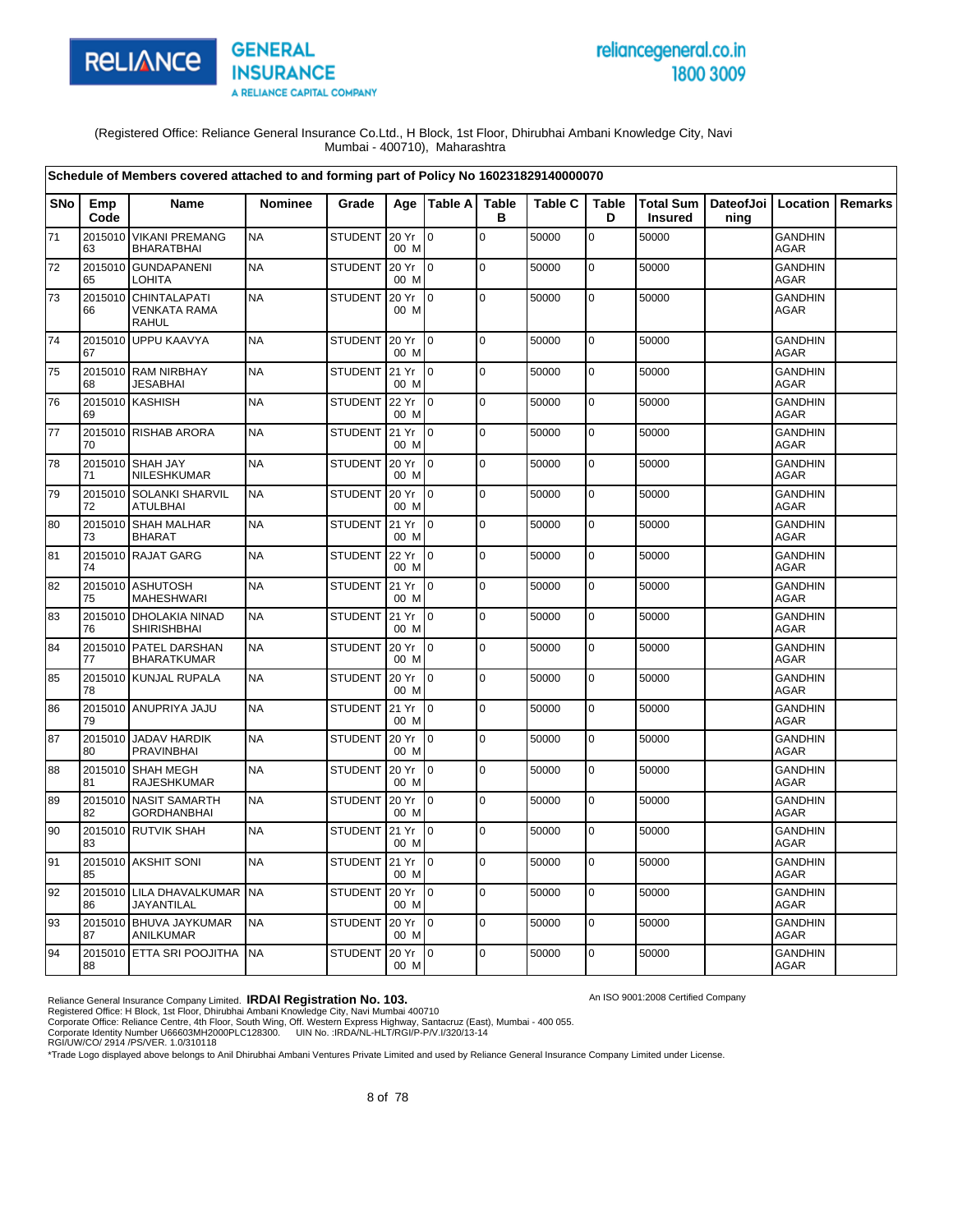

# reliancegeneral.co.in 1800 3009

An ISO 9001:2008 Certified Company

(Registered Office: Reliance General Insurance Co.Ltd., H Block, 1st Floor, Dhirubhai Ambani Knowledge City, Navi Mumbai - 400710), Maharashtra

|            | Schedule of Members covered attached to and forming part of Policy No 160231829140000070<br><b>Table</b><br><b>Table</b><br>Total Sum   DateofJoi   Location  <br><b>Name</b><br><b>Nominee</b><br>Grade<br>Age   Table A<br><b>Table C</b><br>Remarks<br>Emp |                                                             |           |                |                  |                 |             |       |             |                |      |                               |  |
|------------|---------------------------------------------------------------------------------------------------------------------------------------------------------------------------------------------------------------------------------------------------------------|-------------------------------------------------------------|-----------|----------------|------------------|-----------------|-------------|-------|-------------|----------------|------|-------------------------------|--|
| <b>SNo</b> | Code                                                                                                                                                                                                                                                          |                                                             |           |                |                  |                 | в           |       | D           | <b>Insured</b> | ning |                               |  |
| $\bf 71$   | 63                                                                                                                                                                                                                                                            | 2015010 VIKANI PREMANG<br><b>BHARATBHAI</b>                 | <b>NA</b> | <b>STUDENT</b> | 20 Yr<br>00 M    | $\overline{10}$ | $\pmb{0}$   | 50000 | 0           | 50000          |      | <b>GANDHIN</b><br><b>AGAR</b> |  |
| 72         | 65                                                                                                                                                                                                                                                            | 2015010 GUNDAPANENI<br><b>LOHITA</b>                        | <b>NA</b> | <b>STUDENT</b> | 20 Yr<br>00 M    | $\overline{10}$ | $\mathbf 0$ | 50000 | $\mathbf 0$ | 50000          |      | <b>GANDHIN</b><br><b>AGAR</b> |  |
| 73         | 66                                                                                                                                                                                                                                                            | 2015010 CHINTALAPATI<br><b>VENKATA RAMA</b><br><b>RAHUL</b> | <b>NA</b> | <b>STUDENT</b> | 20 Yr<br>00 M    | $\overline{10}$ | $\Omega$    | 50000 | $\mathbf 0$ | 50000          |      | <b>GANDHIN</b><br>AGAR        |  |
| 74         | 67                                                                                                                                                                                                                                                            | 2015010 UPPU KAAVYA                                         | <b>NA</b> | <b>STUDENT</b> | 20 Yr<br>00 M    | $\overline{10}$ | $\mathbf 0$ | 50000 | $\mathbf 0$ | 50000          |      | <b>GANDHIN</b><br><b>AGAR</b> |  |
| 75         | 68                                                                                                                                                                                                                                                            | 2015010 RAM NIRBHAY<br><b>JESABHAI</b>                      | <b>NA</b> | <b>STUDENT</b> | 21 Yr<br>00 M    | l 0             | $\mathbf 0$ | 50000 | $\mathbf 0$ | 50000          |      | <b>GANDHIN</b><br><b>AGAR</b> |  |
| 76         | 69                                                                                                                                                                                                                                                            | 2015010 KASHISH                                             | <b>NA</b> | <b>STUDENT</b> | 22 Yr<br>00 M    | $\overline{0}$  | $\mathbf 0$ | 50000 | $\pmb{0}$   | 50000          |      | <b>GANDHIN</b><br>AGAR        |  |
| 77         | 70                                                                                                                                                                                                                                                            | 2015010 RISHAB ARORA                                        | <b>NA</b> | STUDENT        | 21 Yr<br>00 M    | l 0             | $\mathbf 0$ | 50000 | $\mathbf 0$ | 50000          |      | <b>GANDHIN</b><br>AGAR        |  |
| 78         | 71                                                                                                                                                                                                                                                            | 2015010 SHAH JAY<br>NILESHKUMAR                             | <b>NA</b> | <b>STUDENT</b> | 20 Yr<br>00 M    | $\mathsf{I}_0$  | $\pmb{0}$   | 50000 | 0           | 50000          |      | <b>GANDHIN</b><br><b>AGAR</b> |  |
| 79         | 72                                                                                                                                                                                                                                                            | 2015010 SOLANKI SHARVIL<br><b>ATULBHAI</b>                  | <b>NA</b> | <b>STUDENT</b> | 20 Yr<br>00 M    | $\overline{0}$  | $\mathbf 0$ | 50000 | 0           | 50000          |      | <b>GANDHIN</b><br><b>AGAR</b> |  |
| 80         | 73                                                                                                                                                                                                                                                            | 2015010 SHAH MALHAR<br><b>BHARAT</b>                        | <b>NA</b> | <b>STUDENT</b> | 21 Yr<br>00 M    | $\overline{10}$ | $\mathbf 0$ | 50000 | $\mathbf 0$ | 50000          |      | <b>GANDHIN</b><br><b>AGAR</b> |  |
| 81         | 74                                                                                                                                                                                                                                                            | 2015010 RAJAT GARG                                          | <b>NA</b> | <b>STUDENT</b> | 22 Yr<br>00 M    | $\overline{0}$  | $\mathbf 0$ | 50000 | $\mathbf 0$ | 50000          |      | <b>GANDHIN</b><br><b>AGAR</b> |  |
| 82         | 75                                                                                                                                                                                                                                                            | 2015010 ASHUTOSH<br><b>MAHESHWARI</b>                       | <b>NA</b> | <b>STUDENT</b> | 21 Yr<br>00 M    | I0              | $\mathbf 0$ | 50000 | $\mathbf 0$ | 50000          |      | <b>GANDHIN</b><br>AGAR        |  |
| 83         | 76                                                                                                                                                                                                                                                            | 2015010 DHOLAKIA NINAD<br><b>SHIRISHBHAI</b>                | <b>NA</b> | <b>STUDENT</b> | 21 Yr<br>00 M    | $\overline{10}$ | $\pmb{0}$   | 50000 | $\mathbf 0$ | 50000          |      | <b>GANDHIN</b><br>AGAR        |  |
| 84         | 77                                                                                                                                                                                                                                                            | 2015010 PATEL DARSHAN<br><b>BHARATKUMAR</b>                 | <b>NA</b> | <b>STUDENT</b> | 20 Yr<br>00 M    | $\overline{10}$ | $\mathbf 0$ | 50000 | $\mathbf 0$ | 50000          |      | <b>GANDHIN</b><br><b>AGAR</b> |  |
| 85         | 78                                                                                                                                                                                                                                                            | 2015010 KUNJAL RUPALA                                       | <b>NA</b> | <b>STUDENT</b> | 20 Yr<br>00 M    | I <sub>0</sub>  | $\pmb{0}$   | 50000 | $\mathbf 0$ | 50000          |      | <b>GANDHIN</b><br><b>AGAR</b> |  |
| 86         | 79                                                                                                                                                                                                                                                            | 2015010 ANUPRIYA JAJU                                       | <b>NA</b> | <b>STUDENT</b> | 21 Yr<br>00 M    | $\overline{10}$ | $\pmb{0}$   | 50000 | $\mathbf 0$ | 50000          |      | <b>GANDHIN</b><br><b>AGAR</b> |  |
| 87         | 80                                                                                                                                                                                                                                                            | 2015010 JADAV HARDIK<br><b>PRAVINBHAI</b>                   | <b>NA</b> | <b>STUDENT</b> | 20 Yr<br>00 M    | I <sub>0</sub>  | $\Omega$    | 50000 | $\mathbf 0$ | 50000          |      | <b>GANDHIN</b><br><b>AGAR</b> |  |
| 88         | 81                                                                                                                                                                                                                                                            | 2015010 SHAH MEGH<br><b>RAJESHKUMAR</b>                     | <b>NA</b> | <b>STUDENT</b> | 20 Yr<br>00 M    | l 0             | $\mathsf 0$ | 50000 | $\mathbf 0$ | 50000          |      | <b>GANDHIN</b><br><b>AGAR</b> |  |
| 89         | 2015010<br>82                                                                                                                                                                                                                                                 | <b>NASIT SAMARTH</b><br><b>GORDHANBHAI</b>                  | <b>NA</b> | <b>STUDENT</b> | 20 Yr<br>00 M    | $\overline{0}$  | $\mathbf 0$ | 50000 | $\mathbf 0$ | 50000          |      | <b>GANDHIN</b><br>AGAR        |  |
| 90         | 83                                                                                                                                                                                                                                                            | 2015010 RUTVIK SHAH                                         | <b>NA</b> | <b>STUDENT</b> | 21 Yr<br>00 M    | $\overline{10}$ | $\Omega$    | 50000 | $\mathbf 0$ | 50000          |      | <b>GANDHIN</b><br>AGAR        |  |
| 91         | 85                                                                                                                                                                                                                                                            | 2015010 AKSHIT SONI                                         | <b>NA</b> | <b>STUDENT</b> | 21 Yr<br>00 M    | $\overline{10}$ | $\mathbf 0$ | 50000 | $\mathbf 0$ | 50000          |      | <b>GANDHIN</b><br>AGAR        |  |
| 92         | 86                                                                                                                                                                                                                                                            | 2015010 LILA DHAVALKUMAR<br>JAYANTILAL                      | <b>NA</b> | <b>STUDENT</b> | 20 Yr<br>00 M    | $\overline{10}$ | $\mathbf 0$ | 50000 | $\mathbf 0$ | 50000          |      | <b>GANDHIN</b><br><b>AGAR</b> |  |
| 93         | 87                                                                                                                                                                                                                                                            | 2015010 BHUVA JAYKUMAR<br>ANILKUMAR                         | <b>NA</b> | <b>STUDENT</b> | 20 Yr<br>00 M    | $\overline{10}$ | $\mathbf 0$ | 50000 | 0           | 50000          |      | <b>GANDHIN</b><br><b>AGAR</b> |  |
| 94         | 88                                                                                                                                                                                                                                                            | 2015010 ETTA SRI POOJITHA                                   | <b>NA</b> | <b>STUDENT</b> | 20 Yr 10<br>00 M |                 | $\mathbf 0$ | 50000 | 0           | 50000          |      | <b>GANDHIN</b><br>AGAR        |  |

Reliance General Insurance Company Limited. **IRDAI Registration No. 103.**<br>Registered Office: H Block, 1st Floor, Dhirubhai Ambani Knowledge City, Navi Mumbai 400710<br>Corporate Office: Reliance Centre, 4th Floor, South Wing,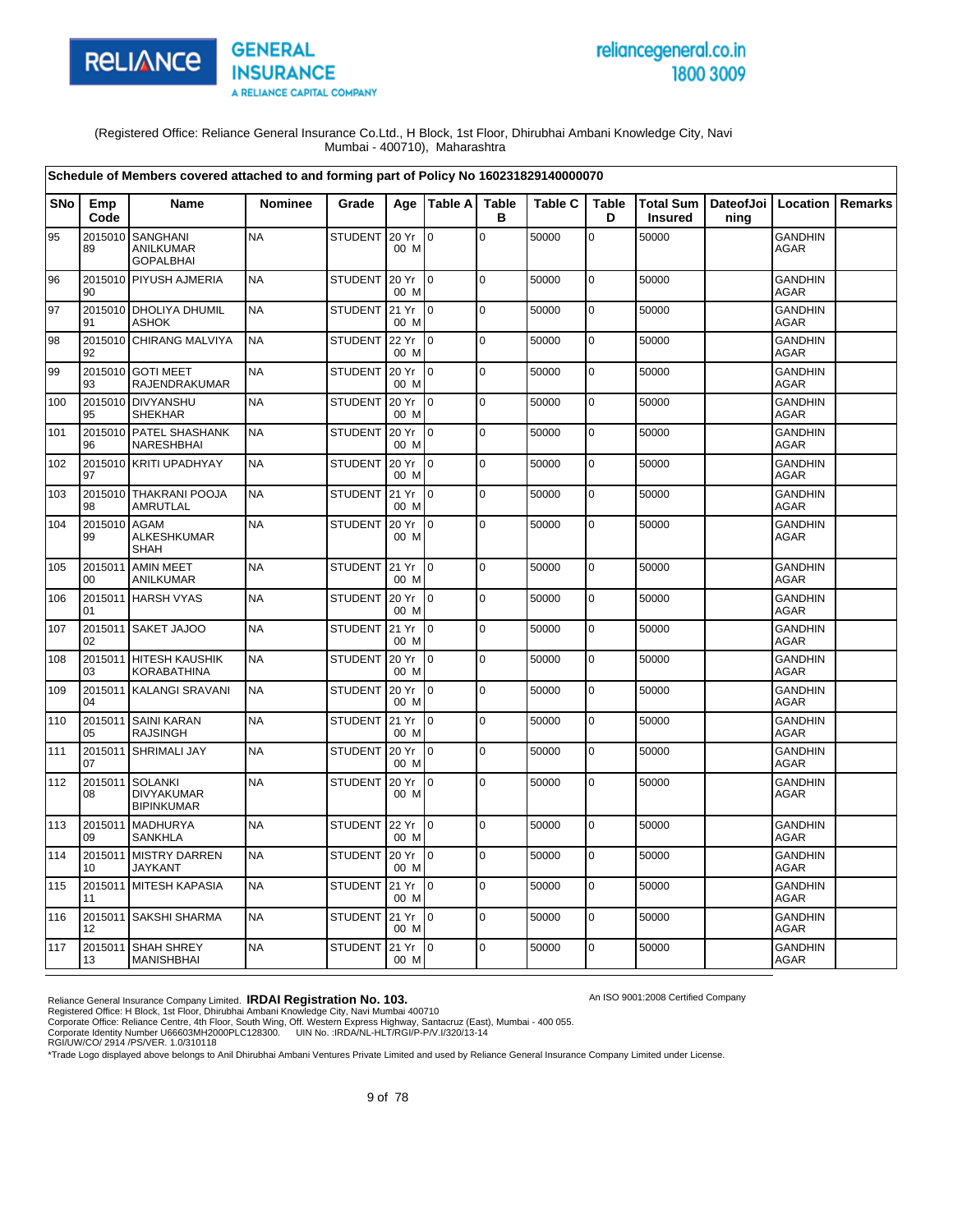

# reliancegeneral.co.in 1800 3009

An ISO 9001:2008 Certified Company

(Registered Office: Reliance General Insurance Co.Ltd., H Block, 1st Floor, Dhirubhai Ambani Knowledge City, Navi Mumbai - 400710), Maharashtra

|            |               | Schedule of Members covered attached to and forming part of Policy No 160231829140000070 |                |                |               |                 |                   |                |                   |                                    |                   |                               |         |
|------------|---------------|------------------------------------------------------------------------------------------|----------------|----------------|---------------|-----------------|-------------------|----------------|-------------------|------------------------------------|-------------------|-------------------------------|---------|
| <b>SNo</b> | Emp<br>Code   | Name                                                                                     | <b>Nominee</b> | Grade          |               | Age Table A     | <b>Table</b><br>в | <b>Table C</b> | <b>Table</b><br>D | <b>Total Sum</b><br><b>Insured</b> | DateofJoi<br>ning | Location                      | Remarks |
| 95         | 2015010<br>89 | <b>SANGHANI</b><br><b>ANILKUMAR</b><br><b>GOPALBHAI</b>                                  | <b>NA</b>      | <b>STUDENT</b> | 20 Yr<br>00 M | $\overline{0}$  | $\mathbf 0$       | 50000          | $\overline{0}$    | 50000                              |                   | <b>GANDHIN</b><br>AGAR        |         |
| 96         | 2015010<br>90 | <b>PIYUSH AJMERIA</b>                                                                    | <b>NA</b>      | <b>STUDENT</b> | 20 Yr<br>00 M | $\overline{0}$  | l o               | 50000          | $\mathbf 0$       | 50000                              |                   | <b>GANDHIN</b><br>AGAR        |         |
| 97         | 2015010<br>91 | <b>DHOLIYA DHUMIL</b><br><b>ASHOK</b>                                                    | <b>NA</b>      | <b>STUDENT</b> | 21 Yr<br>00 M | l o             | $\mathbf 0$       | 50000          | $\mathbf 0$       | 50000                              |                   | <b>GANDHIN</b><br><b>AGAR</b> |         |
| 98         | 2015010<br>92 | CHIRANG MALVIYA                                                                          | <b>NA</b>      | <b>STUDENT</b> | 22 Yr<br>00 M | l 0             | $\mathbf 0$       | 50000          | 0                 | 50000                              |                   | GANDHIN<br>AGAR               |         |
| 99         | 93            | 2015010 GOTI MEET<br>RAJENDRAKUMAR                                                       | <b>NA</b>      | <b>STUDENT</b> | 20 Yr<br>00 M | I0              | $\mathbf 0$       | 50000          | $\pmb{0}$         | 50000                              |                   | GANDHIN<br><b>AGAR</b>        |         |
| 100        | 95            | 2015010 DIVYANSHU<br><b>SHEKHAR</b>                                                      | <b>NA</b>      | <b>STUDENT</b> | 20 Yr<br>00 M | Io.             | $\mathbf 0$       | 50000          | $\mathbf 0$       | 50000                              |                   | GANDHIN<br><b>AGAR</b>        |         |
| 101        | 2015010<br>96 | PATEL SHASHANK<br>NARESHBHAI                                                             | <b>NA</b>      | <b>STUDENT</b> | 20 Yr<br>00 M | l0              | $\mathbf 0$       | 50000          | $\mathbf 0$       | 50000                              |                   | <b>GANDHIN</b><br>AGAR        |         |
| 102        | 97            | 2015010 KRITI UPADHYAY                                                                   | <b>NA</b>      | <b>STUDENT</b> | 20 Yr<br>00 M | l o             | $\mathbf 0$       | 50000          | $\mathsf 0$       | 50000                              |                   | <b>GANDHIN</b><br><b>AGAR</b> |         |
| 103        | 2015010<br>98 | <b>THAKRANI POOJA</b><br>AMRUTLAL                                                        | <b>NA</b>      | <b>STUDENT</b> | 21 Yr<br>00 M | lo.             | $\overline{0}$    | 50000          | $\mathbf 0$       | 50000                              |                   | <b>GANDHIN</b><br><b>AGAR</b> |         |
| 104        | 2015010<br>99 | <b>AGAM</b><br><b>ALKESHKUMAR</b><br><b>SHAH</b>                                         | <b>NA</b>      | <b>STUDENT</b> | 20 Yr<br>00 M | lo.             | $\mathbf 0$       | 50000          | $\mathbf 0$       | 50000                              |                   | <b>GANDHIN</b><br><b>AGAR</b> |         |
| 105        | 2015011<br>00 | <b>AMIN MEET</b><br><b>ANILKUMAR</b>                                                     | <b>NA</b>      | <b>STUDENT</b> | 21 Yr<br>00 M | I0              | $\mathbf 0$       | 50000          | $\pmb{0}$         | 50000                              |                   | GANDHIN<br><b>AGAR</b>        |         |
| 106        | 01            | 2015011 HARSH VYAS                                                                       | <b>NA</b>      | <b>STUDENT</b> | 20 Yr<br>00 M | I0              | $\mathbf 0$       | 50000          | $\mathbf 0$       | 50000                              |                   | <b>GANDHIN</b><br>AGAR        |         |
| 107        | 02            | 2015011 SAKET JAJOO                                                                      | <b>NA</b>      | STUDENT 21 Yr  | 00 M          | I٥              | $\Omega$          | 50000          | $\mathbf 0$       | 50000                              |                   | <b>GANDHIN</b><br><b>AGAR</b> |         |
| 108        | 03            | 2015011 HITESH KAUSHIK<br><b>KORABATHINA</b>                                             | <b>NA</b>      | <b>STUDENT</b> | 20 Yr<br>00 M | I0              | $\mathbf 0$       | 50000          | $\mathsf 0$       | 50000                              |                   | <b>GANDHIN</b><br><b>AGAR</b> |         |
| 109        | 2015011<br>04 | <b>KALANGI SRAVANI</b>                                                                   | <b>NA</b>      | <b>STUDENT</b> | 20 Yr<br>00 M | lo.             | $\mathbf 0$       | 50000          | $\mathbf 0$       | 50000                              |                   | <b>GANDHIN</b><br><b>AGAR</b> |         |
| 110        | 2015011<br>05 | <b>SAINI KARAN</b><br><b>RAJSINGH</b>                                                    | <b>NA</b>      | <b>STUDENT</b> | 21 Yr<br>00 M | I٥              | $\mathbf 0$       | 50000          | $\mathbf 0$       | 50000                              |                   | <b>GANDHIN</b><br>AGAR        |         |
| 111        | 2015011<br>07 | <b>SHRIMALI JAY</b>                                                                      | <b>NA</b>      | <b>STUDENT</b> | 20 Yr<br>00 M | $\overline{0}$  | l o               | 50000          | $\mathbf 0$       | 50000                              |                   | <b>GANDHIN</b><br><b>AGAR</b> |         |
| 112        | 2015011<br>08 | <b>SOLANKI</b><br><b>DIVYAKUMAR</b><br><b>BIPINKUMAR</b>                                 | <b>NA</b>      | <b>STUDENT</b> | 20 Yr<br>00 M | l o             | $\mathbf 0$       | 50000          | $\mathbf 0$       | 50000                              |                   | <b>GANDHIN</b><br>AGAR        |         |
| 113        | 2015011<br>09 | <b>MADHURYA</b><br><b>SANKHLA</b>                                                        | <b>NA</b>      | <b>STUDENT</b> | 22 Yr<br>00 M | I٥              | $\pmb{0}$         | 50000          | $\mathbf 0$       | 50000                              |                   | <b>GANDHIN</b><br><b>AGAR</b> |         |
| 114        | 2015011<br>10 | <b>MISTRY DARREN</b><br><b>JAYKANT</b>                                                   | <b>NA</b>      | <b>STUDENT</b> | 20 Yr<br>00 M | I0              | $\pmb{0}$         | 50000          | $\mathbf 0$       | 50000                              |                   | <b>GANDHIN</b><br>AGAR        |         |
| 115        | 2015011<br>11 | <b>MITESH KAPASIA</b>                                                                    | <b>NA</b>      | <b>STUDENT</b> | 21 Yr<br>00 M | I0              | $\Omega$          | 50000          | $\mathbf 0$       | 50000                              |                   | GANDHIN<br><b>AGAR</b>        |         |
| 116        | 12            | 2015011 SAKSHI SHARMA                                                                    | <b>NA</b>      | STUDENT 21 Yr  | 00 M          | $\overline{0}$  | $\mathbf 0$       | 50000          | $\mathbf 0$       | 50000                              |                   | <b>GANDHIN</b><br>AGAR        |         |
| 117        | 13            | 2015011 SHAH SHREY<br><b>MANISHBHAI</b>                                                  | <b>NA</b>      | <b>STUDENT</b> | 21 Yr<br>00 M | $\overline{10}$ | $\mathbf 0$       | 50000          | $\mathbf 0$       | 50000                              |                   | GANDHIN<br>AGAR               |         |

Reliance General Insurance Company Limited. **IRDAI Registration No. 103.**<br>Registered Office: H Block, 1st Floor, Dhirubhai Ambani Knowledge City, Navi Mumbai 400710<br>Corporate Office: Reliance Centre, 4th Floor, South Wing,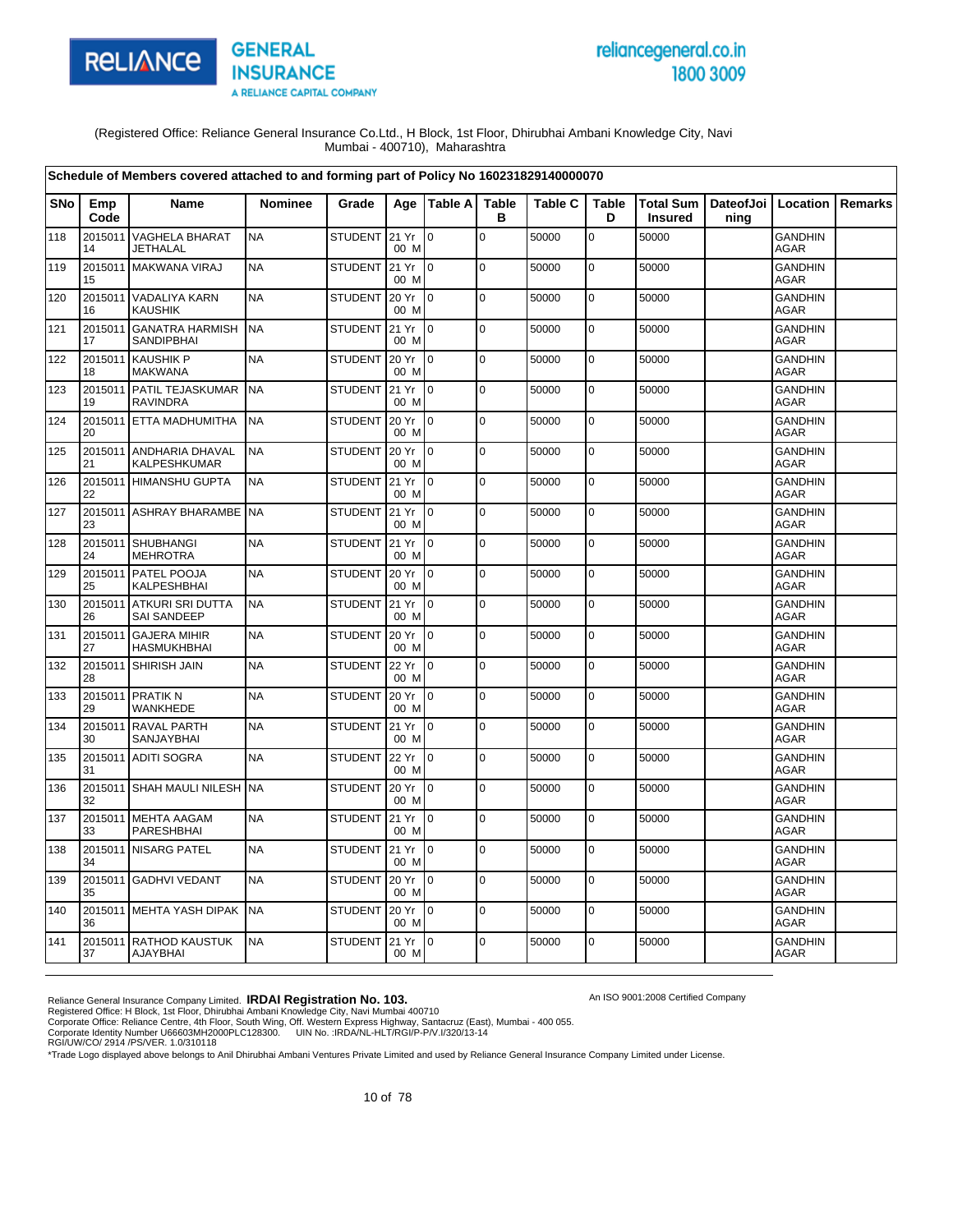

# reliancegeneral.co.in 1800 3009

An ISO 9001:2008 Certified Company

(Registered Office: Reliance General Insurance Co.Ltd., H Block, 1st Floor, Dhirubhai Ambani Knowledge City, Navi Mumbai - 400710), Maharashtra

| Schedule of Members covered attached to and forming part of Policy No 160231829140000070<br><b>Table</b><br>Total Sum   DateofJoi   Location<br><b>SNo</b><br>Age   Table A<br><b>Table C</b><br><b>Table</b><br>Emp<br>Name<br>Nominee<br>Grade |               |                                                |           |                |               |                |                |       |             |                |      |                               |                |
|--------------------------------------------------------------------------------------------------------------------------------------------------------------------------------------------------------------------------------------------------|---------------|------------------------------------------------|-----------|----------------|---------------|----------------|----------------|-------|-------------|----------------|------|-------------------------------|----------------|
|                                                                                                                                                                                                                                                  | Code          |                                                |           |                |               |                | в              |       | D           | <b>Insured</b> | ning |                               | <b>Remarks</b> |
| 118                                                                                                                                                                                                                                              | 2015011<br>14 | <b>VAGHELA BHARAT</b><br>JETHALAL              | <b>NA</b> | STUDENT 21 Yr  | 00 M          | lo.            | $\overline{0}$ | 50000 | $\mathsf 0$ | 50000          |      | <b>GANDHIN</b><br>AGAR        |                |
| 119                                                                                                                                                                                                                                              | 15            | 2015011 MAKWANA VIRAJ                          | <b>NA</b> | <b>STUDENT</b> | 21 Yr<br>00 M | lo.            | lo.            | 50000 | $\mathbf 0$ | 50000          |      | <b>GANDHIN</b><br><b>AGAR</b> |                |
| 120                                                                                                                                                                                                                                              | 16            | 2015011 VADALIYA KARN<br><b>KAUSHIK</b>        | <b>NA</b> | STUDENT        | 20 Yr<br>00 M | $\overline{0}$ | lo.            | 50000 | $\pmb{0}$   | 50000          |      | <b>GANDHIN</b><br>AGAR        |                |
| 121                                                                                                                                                                                                                                              | 17            | 2015011 GANATRA HARMISH<br><b>SANDIPBHAI</b>   | <b>NA</b> | STUDENT 21 Yr  | 00 M          | lo.            | $\overline{0}$ | 50000 | $\mathbf 0$ | 50000          |      | <b>GANDHIN</b><br><b>AGAR</b> |                |
| 122                                                                                                                                                                                                                                              | 18            | 2015011 KAUSHIK P<br><b>MAKWANA</b>            | <b>NA</b> | <b>STUDENT</b> | 20 Yr<br>00 M | 0              | lo.            | 50000 | $\mathbf 0$ | 50000          |      | <b>GANDHIN</b><br><b>AGAR</b> |                |
| 123                                                                                                                                                                                                                                              | 19            | 2015011 PATIL TEJASKUMAR<br><b>RAVINDRA</b>    | <b>NA</b> | STUDENT        | 21 Yr<br>00 M | $\overline{0}$ | lo.            | 50000 | $\mathbf 0$ | 50000          |      | <b>GANDHIN</b><br><b>AGAR</b> |                |
| 124                                                                                                                                                                                                                                              | 20            | 2015011 ETTA MADHUMITHA                        | <b>NA</b> | <b>STUDENT</b> | 20 Yr<br>00 M | lo.            | lo.            | 50000 | $\mathbf 0$ | 50000          |      | <b>GANDHIN</b><br>AGAR        |                |
| 125                                                                                                                                                                                                                                              | 2015011<br>21 | ANDHARIA DHAVAL<br>KALPESHKUMAR                | <b>NA</b> | <b>STUDENT</b> | 20 Yr<br>00 M | lo.            | lo.            | 50000 | $\mathbf 0$ | 50000          |      | <b>GANDHIN</b><br>AGAR        |                |
| 126                                                                                                                                                                                                                                              | 22            | 2015011 HIMANSHU GUPTA                         | <b>NA</b> | STUDENT 21 Yr  | 00 M          | I0             | lo.            | 50000 | $\mathbf 0$ | 50000          |      | <b>GANDHIN</b><br><b>AGAR</b> |                |
| 127                                                                                                                                                                                                                                              | 23            | 2015011 ASHRAY BHARAMBE                        | <b>NA</b> | STUDENT        | 21 Yr<br>00 M | $\overline{0}$ | lo.            | 50000 | $\pmb{0}$   | 50000          |      | <b>GANDHIN</b><br>AGAR        |                |
| 128                                                                                                                                                                                                                                              | 24            | 2015011 SHUBHANGI<br><b>MEHROTRA</b>           | <b>NA</b> | STUDENT 21 Yr  | 00 M          | I0             | $\pmb{0}$      | 50000 | $\mathbf 0$ | 50000          |      | <b>GANDHIN</b><br><b>AGAR</b> |                |
| 129                                                                                                                                                                                                                                              | 25            | 2015011 PATEL POOJA<br>KALPESHBHAI             | <b>NA</b> | <b>STUDENT</b> | 20 Yr<br>00 M | $\overline{0}$ | $\overline{0}$ | 50000 | $\mathbf 0$ | 50000          |      | <b>GANDHIN</b><br>AGAR        |                |
| 130                                                                                                                                                                                                                                              | 26            | 2015011 ATKURI SRI DUTTA<br><b>SAI SANDEEP</b> | <b>NA</b> | STUDENT        | 21 Yr<br>00 M | 0              | $\mathbf 0$    | 50000 | $\pmb{0}$   | 50000          |      | <b>GANDHIN</b><br><b>AGAR</b> |                |
| 131                                                                                                                                                                                                                                              | 27            | 2015011 GAJERA MIHIR<br><b>HASMUKHBHAI</b>     | <b>NA</b> | <b>STUDENT</b> | 20 Yr<br>00 M | l o            | $\Omega$       | 50000 | $\mathbf 0$ | 50000          |      | <b>GANDHIN</b><br><b>AGAR</b> |                |
| 132                                                                                                                                                                                                                                              | 28            | 2015011 SHIRISH JAIN                           | <b>NA</b> | <b>STUDENT</b> | 22 Yr<br>00 M | $\overline{0}$ | lo.            | 50000 | $\mathbf 0$ | 50000          |      | <b>GANDHIN</b><br>AGAR        |                |
| 133                                                                                                                                                                                                                                              | 29            | 2015011 PRATIK N<br>WANKHEDE                   | <b>NA</b> | STUDENT        | 20 Yr<br>00 M | $\overline{0}$ | $\Omega$       | 50000 | $\mathbf 0$ | 50000          |      | <b>GANDHIN</b><br><b>AGAR</b> |                |
| 134                                                                                                                                                                                                                                              | 30            | 2015011 RAVAL PARTH<br>SANJAYBHAI              | <b>NA</b> | <b>STUDENT</b> | 21 Yr<br>00 M | $\overline{0}$ | $\overline{0}$ | 50000 | $\mathbf 0$ | 50000          |      | <b>GANDHIN</b><br><b>AGAR</b> |                |
| 135                                                                                                                                                                                                                                              | 31            | 2015011 ADITI SOGRA                            | <b>NA</b> | <b>STUDENT</b> | 22 Yr<br>00 M | l 0            | lo.            | 50000 | $\mathbf 0$ | 50000          |      | <b>GANDHIN</b><br><b>AGAR</b> |                |
| 136                                                                                                                                                                                                                                              | 32            | 2015011 SHAH MAULI NILESH NA                   |           | <b>STUDENT</b> | 20 Yr<br>00 M | $\overline{0}$ | l O            | 50000 | $\mathbf 0$ | 50000          |      | <b>GANDHIN</b><br><b>AGAR</b> |                |
| 137                                                                                                                                                                                                                                              | 33            | 2015011 MEHTA AAGAM<br>PARESHBHAI              | <b>NA</b> | STUDENT        | 21 Yr<br>00 M | lo.            | lo.            | 50000 | $\mathbf 0$ | 50000          |      | <b>GANDHIN</b><br><b>AGAR</b> |                |
| 138                                                                                                                                                                                                                                              | 34            | 2015011 NISARG PATEL                           | <b>NA</b> | STUDENT 21 Yr  | 00 M          | $\overline{0}$ | lo.            | 50000 | $\mathbf 0$ | 50000          |      | <b>GANDHIN</b><br><b>AGAR</b> |                |
| 139                                                                                                                                                                                                                                              | 35            | 2015011 GADHVI VEDANT                          | <b>NA</b> | <b>STUDENT</b> | 20 Yr<br>00 M | 0              | lo.            | 50000 | 0           | 50000          |      | <b>GANDHIN</b><br>AGAR        |                |
| 140                                                                                                                                                                                                                                              | 36            | 2015011 MEHTA YASH DIPAK                       | <b>NA</b> | <b>STUDENT</b> | 20 Yr<br>00 M | $\overline{0}$ | $\overline{0}$ | 50000 | $\mathbf 0$ | 50000          |      | <b>GANDHIN</b><br><b>AGAR</b> |                |
| 141                                                                                                                                                                                                                                              | 37            | 2015011 RATHOD KAUSTUK<br><b>AJAYBHAI</b>      | <b>NA</b> | STUDENT        | 21 Yr<br>00 M | I0             | lo.            | 50000 | $\mathbf 0$ | 50000          |      | <b>GANDHIN</b><br>AGAR        |                |

Reliance General Insurance Company Limited. **IRDAI Registration No. 103.**<br>Registered Office: H Block, 1st Floor, Dhirubhai Ambani Knowledge City, Navi Mumbai 400710<br>Corporate Office: Reliance Centre, 4th Floor, South Wing,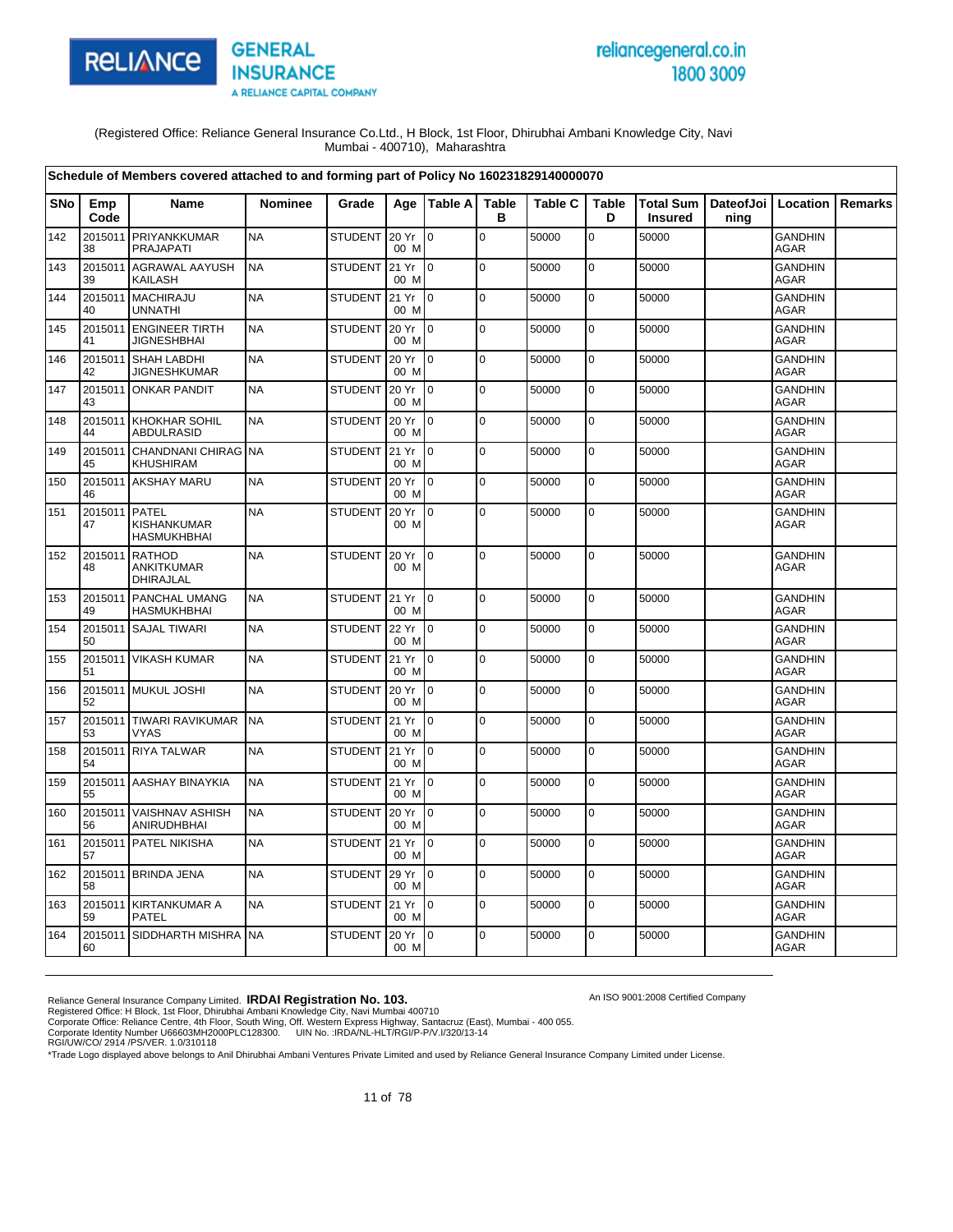

# reliancegeneral.co.in 1800 3009

An ISO 9001:2008 Certified Company

(Registered Office: Reliance General Insurance Co.Ltd., H Block, 1st Floor, Dhirubhai Ambani Knowledge City, Navi Mumbai - 400710), Maharashtra

|            |                     | Schedule of Members covered attached to and forming part of Policy No 160231829140000070 |                |                |               |                           |                   |                |                   |                |                                          |                               |                |
|------------|---------------------|------------------------------------------------------------------------------------------|----------------|----------------|---------------|---------------------------|-------------------|----------------|-------------------|----------------|------------------------------------------|-------------------------------|----------------|
| <b>SNo</b> | Emp<br>Code         | <b>Name</b>                                                                              | <b>Nominee</b> | Grade          |               | Age   Table A             | <b>Table</b><br>в | <b>Table C</b> | <b>Table</b><br>D | <b>Insured</b> | Total Sum   DateofJoi   Location<br>ning |                               | <b>Remarks</b> |
| 142        | 2015011<br>38       | PRIYANKKUMAR<br>PRAJAPATI                                                                | <b>NA</b>      | STUDENT        | 20 Yr<br>00 M | $\mathbf 0$               | $\mathbf 0$       | 50000          | $\mathbf 0$       | 50000          |                                          | <b>GANDHIN</b><br>AGAR        |                |
| 143        | 2015011<br>39       | <b>AGRAWAL AAYUSH</b><br><b>KAILASH</b>                                                  | <b>NA</b>      | <b>STUDENT</b> | 21 Yr<br>00 M | I <sub>0</sub>            | $\mathbf 0$       | 50000          | $\mathbf 0$       | 50000          |                                          | <b>GANDHIN</b><br><b>AGAR</b> |                |
| 144        | 2015011<br>40       | <b>MACHIRAJU</b><br><b>UNNATHI</b>                                                       | <b>NA</b>      | <b>STUDENT</b> | 21 Yr<br>00 M | lo.                       | $\pmb{0}$         | 50000          | $\mathbf 0$       | 50000          |                                          | <b>GANDHIN</b><br><b>AGAR</b> |                |
| 145        | 41                  | 2015011 ENGINEER TIRTH<br><b>JIGNESHBHAI</b>                                             | <b>NA</b>      | <b>STUDENT</b> | 20 Yr<br>00 M | I <sub>0</sub>            | $\mathbf 0$       | 50000          | 0                 | 50000          |                                          | <b>GANDHIN</b><br><b>AGAR</b> |                |
| 146        | 42                  | 2015011 SHAH LABDHI<br><b>JIGNESHKUMAR</b>                                               | <b>NA</b>      | <b>STUDENT</b> | 20 Yr<br>00 M | I <sub>0</sub>            | $\Omega$          | 50000          | $\mathbf 0$       | 50000          |                                          | <b>GANDHIN</b><br><b>AGAR</b> |                |
| 147        | 43                  | 2015011 ONKAR PANDIT                                                                     | <b>NA</b>      | <b>STUDENT</b> | 20 Yr<br>00 M | $\overline{10}$           | $\mathbf 0$       | 50000          | $\mathbf 0$       | 50000          |                                          | <b>GANDHIN</b><br><b>AGAR</b> |                |
| 148        | 44                  | 2015011 KHOKHAR SOHIL<br><b>ABDULRASID</b>                                               | <b>NA</b>      | <b>STUDENT</b> | 20 Yr<br>00 M | $\overline{10}$           | $\mathbf 0$       | 50000          | 0                 | 50000          |                                          | <b>GANDHIN</b><br><b>AGAR</b> |                |
| 149        | 45                  | 2015011 CHANDNANI CHIRAG<br><b>KHUSHIRAM</b>                                             | <b>NA</b>      | <b>STUDENT</b> | 21 Yr<br>00 M | l0                        | $\mathbf 0$       | 50000          | $\mathbf 0$       | 50000          |                                          | <b>GANDHIN</b><br>AGAR        |                |
| 150        | 46                  | 2015011 AKSHAY MARU                                                                      | <b>NA</b>      | <b>STUDENT</b> | 20 Yr<br>00 M | $\overline{10}$           | $\mathbf 0$       | 50000          | $\mathbf 0$       | 50000          |                                          | <b>GANDHIN</b><br>AGAR        |                |
| 151        | 2015011 PATEL<br>47 | KISHANKUMAR<br><b>HASMUKHBHAI</b>                                                        | <b>NA</b>      | <b>STUDENT</b> | 20 Yr<br>00 M | I0.                       | $\mathbf 0$       | 50000          | $\mathbf 0$       | 50000          |                                          | <b>GANDHIN</b><br>AGAR        |                |
| 152        | 2015011<br>48       | <b>RATHOD</b><br><b>ANKITKUMAR</b><br>DHIRAJLAL                                          | <b>NA</b>      | <b>STUDENT</b> | 20 Yr<br>00 M | $\overline{10}$           | $\Omega$          | 50000          | $\mathbf 0$       | 50000          |                                          | <b>GANDHIN</b><br><b>AGAR</b> |                |
| 153        | 49                  | 2015011 PANCHAL UMANG<br>HASMUKHBHAI                                                     | <b>NA</b>      | STUDENT 21 Yr  | 00 M          | I0                        | $\mathbf 0$       | 50000          | $\mathbf 0$       | 50000          |                                          | <b>GANDHIN</b><br><b>AGAR</b> |                |
| 154        | 50                  | 2015011 SAJAL TIWARI                                                                     | <b>NA</b>      | STUDENT 22 Yr  | 00 M          | $\mathsf{I}^{\mathsf{0}}$ | $\overline{0}$    | 50000          | $\mathbf 0$       | 50000          |                                          | <b>GANDHIN</b><br>AGAR        |                |
| 155        | 51                  | 2015011 VIKASH KUMAR                                                                     | <b>NA</b>      | <b>STUDENT</b> | 21 Yr<br>00 M | Io.                       | $\pmb{0}$         | 50000          | $\mathbf 0$       | 50000          |                                          | GANDHIN<br><b>AGAR</b>        |                |
| 156        | 52                  | 2015011 MUKUL JOSHI                                                                      | <b>NA</b>      | <b>STUDENT</b> | 20 Yr<br>00 M | Io.                       | $\mathbf 0$       | 50000          | 0                 | 50000          |                                          | <b>GANDHIN</b><br><b>AGAR</b> |                |
| 157        | 53                  | 2015011 TIWARI RAVIKUMAR<br><b>VYAS</b>                                                  | <b>NA</b>      | <b>STUDENT</b> | 21 Yr<br>00 M | I <sub>0</sub>            | $\mathbf 0$       | 50000          | $\mathbf 0$       | 50000          |                                          | <b>GANDHIN</b><br><b>AGAR</b> |                |
| 158        | 54                  | 2015011 RIYA TALWAR                                                                      | <b>NA</b>      | STUDENT 21 Yr  | 00 M          | $\overline{10}$           | $\Omega$          | 50000          | $\mathbf 0$       | 50000          |                                          | <b>GANDHIN</b><br><b>AGAR</b> |                |
| 159        | 55                  | 2015011 AASHAY BINAYKIA                                                                  | <b>NA</b>      | STUDENT 21 Yr  | 00 M          | Io.                       | $\mathbf 0$       | 50000          | 0                 | 50000          |                                          | <b>GANDHIN</b><br><b>AGAR</b> |                |
| 160        | 56                  | 2015011 VAISHNAV ASHISH<br>ANIRUDHBHAI                                                   | <b>NA</b>      | <b>STUDENT</b> | 20 Yr<br>00 M | I0                        | $\mathbf 0$       | 50000          | $\mathbf 0$       | 50000          |                                          | GANDHIN<br><b>AGAR</b>        |                |
| 161        | 57                  | 2015011 PATEL NIKISHA                                                                    | <b>NA</b>      | STUDENT        | 21 Yr<br>00 M | $\overline{10}$           | $\mathbf 0$       | 50000          | $\mathbf 0$       | 50000          |                                          | <b>GANDHIN</b><br>AGAR        |                |
| 162        | 58                  | 2015011 BRINDA JENA                                                                      | <b>NA</b>      | <b>STUDENT</b> | 29 Yr<br>00 M | $\overline{0}$            | $\mathbf 0$       | 50000          | $\mathbf 0$       | 50000          |                                          | <b>GANDHIN</b><br>AGAR        |                |
| 163        | 59                  | 2015011 KIRTANKUMAR A<br><b>PATEL</b>                                                    | <b>NA</b>      | STUDENT 21 Yr  | 00 M          | $\overline{10}$           | $\overline{0}$    | 50000          | $\pmb{0}$         | 50000          |                                          | <b>GANDHIN</b><br><b>AGAR</b> |                |
| 164        | 60                  | 2015011 SIDDHARTH MISHRA                                                                 | <b>NA</b>      | <b>STUDENT</b> | 20 Yr<br>00 M | I <sub>0</sub>            | $\mathbf 0$       | 50000          | $\mathbf 0$       | 50000          |                                          | <b>GANDHIN</b><br>AGAR        |                |

Reliance General Insurance Company Limited. **IRDAI Registration No. 103.**<br>Registered Office: H Block, 1st Floor, Dhirubhai Ambani Knowledge City, Navi Mumbai 400710<br>Corporate Office: Reliance Centre, 4th Floor, South Wing,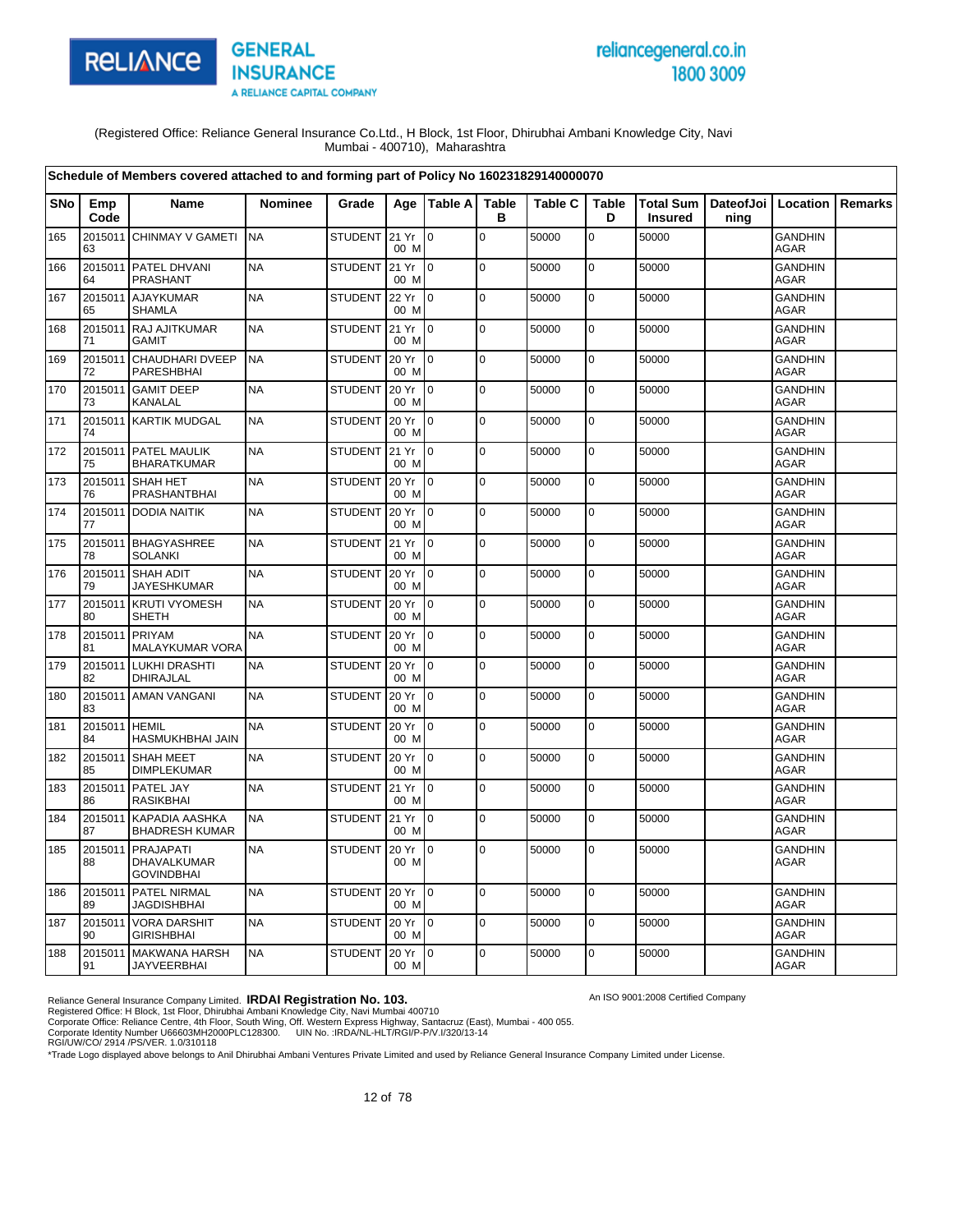

# reliancegeneral.co.in 1800 3009

An ISO 9001:2008 Certified Company

(Registered Office: Reliance General Insurance Co.Ltd., H Block, 1st Floor, Dhirubhai Ambani Knowledge City, Navi Mumbai - 400710), Maharashtra

|            |                     | Schedule of Members covered attached to and forming part of Policy No 160231829140000070 |                |                |               |                |                   |                |                   |                                    |                              |                               |                |
|------------|---------------------|------------------------------------------------------------------------------------------|----------------|----------------|---------------|----------------|-------------------|----------------|-------------------|------------------------------------|------------------------------|-------------------------------|----------------|
| <b>SNo</b> | Emp<br>Code         | <b>Name</b>                                                                              | <b>Nominee</b> | Grade          |               | Age   Table A  | <b>Table</b><br>в | <b>Table C</b> | <b>Table</b><br>D | <b>Total Sum</b><br><b>Insured</b> | DateofJoi   Location<br>ning |                               | <b>Remarks</b> |
| 165        | 63                  | 2015011 CHINMAY V GAMETI                                                                 | <b>NA</b>      | STUDENT 21 Yr  | 00 M          | l 0            | $\overline{0}$    | 50000          | $\mathbf 0$       | 50000                              |                              | <b>GANDHIN</b><br>AGAR        |                |
| 166        | 64                  | 2015011 PATEL DHVANI<br><b>PRASHANT</b>                                                  | <b>NA</b>      | <b>STUDENT</b> | 21 Yr<br>00 M | l 0            | 0                 | 50000          | $\pmb{0}$         | 50000                              |                              | <b>GANDHIN</b><br>AGAR        |                |
| 167        | 65                  | 2015011 AJAYKUMAR<br><b>SHAMLA</b>                                                       | <b>NA</b>      | STUDENT        | 22 Yr<br>00 M | $\overline{0}$ | $\overline{0}$    | 50000          | $\mathbf 0$       | 50000                              |                              | <b>GANDHIN</b><br><b>AGAR</b> |                |
| 168        | 71                  | 2015011 RAJ AJITKUMAR<br><b>GAMIT</b>                                                    | <b>NA</b>      | <b>STUDENT</b> | 21 Yr<br>00 M | 0              | $\overline{0}$    | 50000          | $\mathbf 0$       | 50000                              |                              | <b>GANDHIN</b><br><b>AGAR</b> |                |
| 169        | 2015011<br>72       | CHAUDHARI DVEEP<br>PARESHBHAI                                                            | <b>NA</b>      | STUDENT        | 20 Yr<br>00 M | 0              | lo.               | 50000          | $\mathbf 0$       | 50000                              |                              | <b>GANDHIN</b><br>AGAR        |                |
| 170        | 73                  | 2015011 GAMIT DEEP<br>KANALAL                                                            | <b>NA</b>      | <b>STUDENT</b> | 20 Yr<br>00 M | l o            | $\overline{0}$    | 50000          | $\mathbf 0$       | 50000                              |                              | <b>GANDHIN</b><br><b>AGAR</b> |                |
| 171        | 74                  | 2015011 KARTIK MUDGAL                                                                    | <b>NA</b>      | <b>STUDENT</b> | 20 Yr<br>00 M | l 0            | $\overline{0}$    | 50000          | $\mathbf 0$       | 50000                              |                              | <b>GANDHIN</b><br><b>AGAR</b> |                |
| 172        | 75                  | 2015011 PATEL MAULIK<br><b>BHARATKUMAR</b>                                               | <b>NA</b>      | STUDENT        | 21 Yr<br>00 M | lo.            | lo.               | 50000          | $\mathbf 0$       | 50000                              |                              | <b>GANDHIN</b><br><b>AGAR</b> |                |
| 173        | 76                  | 2015011 SHAH HET<br>PRASHANTBHAI                                                         | <b>NA</b>      | <b>STUDENT</b> | 20 Yr<br>00 M | l 0            | $\mathbf 0$       | 50000          | $\pmb{0}$         | 50000                              |                              | <b>GANDHIN</b><br><b>AGAR</b> |                |
| 174        | 77                  | 2015011 DODIA NAITIK                                                                     | <b>NA</b>      | <b>STUDENT</b> | 20 Yr<br>00 M | 0              | $\overline{0}$    | 50000          | $\mathbf 0$       | 50000                              |                              | <b>GANDHIN</b><br><b>AGAR</b> |                |
| 175        | 78                  | 2015011 BHAGYASHREE<br><b>SOLANKI</b>                                                    | <b>NA</b>      | <b>STUDENT</b> | 21 Yr<br>00 M | l 0            | l O               | 50000          | $\pmb{0}$         | 50000                              |                              | <b>GANDHIN</b><br><b>AGAR</b> |                |
| 176        | 79                  | 2015011 SHAH ADIT<br>JAYESHKUMAR                                                         | <b>NA</b>      | <b>STUDENT</b> | 20 Yr<br>00 M | $\overline{0}$ | lo.               | 50000          | $\mathbf 0$       | 50000                              |                              | <b>GANDHIN</b><br>AGAR        |                |
| 177        | 2015011<br>80       | <b>KRUTI VYOMESH</b><br><b>SHETH</b>                                                     | <b>NA</b>      | <b>STUDENT</b> | 20 Yr<br>00 M | lo.            | $\overline{0}$    | 50000          | $\mathbf 0$       | 50000                              |                              | <b>GANDHIN</b><br>AGAR        |                |
| 178        | 81                  | 2015011 PRIYAM<br><b>MALAYKUMAR VORA</b>                                                 | <b>NA</b>      | <b>STUDENT</b> | 20 Yr<br>00 M | lo.            | lo.               | 50000          | $\mathbf 0$       | 50000                              |                              | <b>GANDHIN</b><br><b>AGAR</b> |                |
| 179        | 82                  | 2015011 LUKHI DRASHTI<br>DHIRAJLAL                                                       | <b>NA</b>      | <b>STUDENT</b> | 20 Yr<br>00 M | $\overline{0}$ | lo.               | 50000          | $\pmb{0}$         | 50000                              |                              | <b>GANDHIN</b><br>AGAR        |                |
| 180        | 83                  | 2015011 AMAN VANGANI                                                                     | <b>NA</b>      | <b>STUDENT</b> | 20 Yr<br>00 M | 0              | l O               | 50000          | $\mathbf 0$       | 50000                              |                              | <b>GANDHIN</b><br><b>AGAR</b> |                |
| 181        | 2015011 HEMIL<br>84 | HASMUKHBHAI JAIN                                                                         | <b>NA</b>      | <b>STUDENT</b> | 20 Yr<br>00 M | 0              | lo.               | 50000          | $\pmb{0}$         | 50000                              |                              | <b>GANDHIN</b><br><b>AGAR</b> |                |
| 182        | 2015011<br>85       | <b>SHAH MEET</b><br><b>DIMPLEKUMAR</b>                                                   | <b>NA</b>      | <b>STUDENT</b> | 20 Yr<br>00 M | l O            | lo.               | 50000          | $\mathbf 0$       | 50000                              |                              | <b>GANDHIN</b><br>AGAR        |                |
| 183        | 86                  | 2015011 PATEL JAY<br><b>RASIKBHAI</b>                                                    | <b>NA</b>      | STUDENT        | 21 Yr<br>00 M | l o            | l O               | 50000          | $\mathbf 0$       | 50000                              |                              | <b>GANDHIN</b><br><b>AGAR</b> |                |
| 184        | 2015011<br>87       | KAPADIA AASHKA<br><b>BHADRESH KUMAR</b>                                                  | <b>NA</b>      | <b>STUDENT</b> | 21 Yr<br>00 M | l o            | lo.               | 50000          | $\mathbf 0$       | 50000                              |                              | <b>GANDHIN</b><br>AGAR        |                |
| 185        | 2015011<br>88       | <b>PRAJAPATI</b><br>DHAVALKUMAR<br><b>GOVINDBHAI</b>                                     | <b>NA</b>      | <b>STUDENT</b> | 20 Yr<br>00 M | 0              | $\mathbf 0$       | 50000          | $\mathbf 0$       | 50000                              |                              | <b>GANDHIN</b><br>AGAR        |                |
| 186        | 2015011<br>89       | PATEL NIRMAL<br><b>JAGDISHBHAI</b>                                                       | <b>NA</b>      | STUDENT        | 20 Yr<br>00 M | I0             | lo.               | 50000          | $\pmb{0}$         | 50000                              |                              | <b>GANDHIN</b><br>AGAR        |                |
| 187        | 90                  | 2015011 VORA DARSHIT<br><b>GIRISHBHAI</b>                                                | <b>NA</b>      | STUDENT        | 20 Yr<br>00 M | l o            | l O               | 50000          | $\mathbf 0$       | 50000                              |                              | <b>GANDHIN</b><br><b>AGAR</b> |                |
| 188        | 91                  | 2015011 MAKWANA HARSH<br><b>JAYVEERBHAI</b>                                              | <b>NA</b>      | <b>STUDENT</b> | 20 Yr<br>00 M | $\mathsf{I}$   | $\overline{0}$    | 50000          | $\mathbf 0$       | 50000                              |                              | GANDHIN<br>AGAR               |                |

Reliance General Insurance Company Limited. **IRDAI Registration No. 103.**<br>Registered Office: H Block, 1st Floor, Dhirubhai Ambani Knowledge City, Navi Mumbai 400710<br>Corporate Office: Reliance Centre, 4th Floor, South Wing,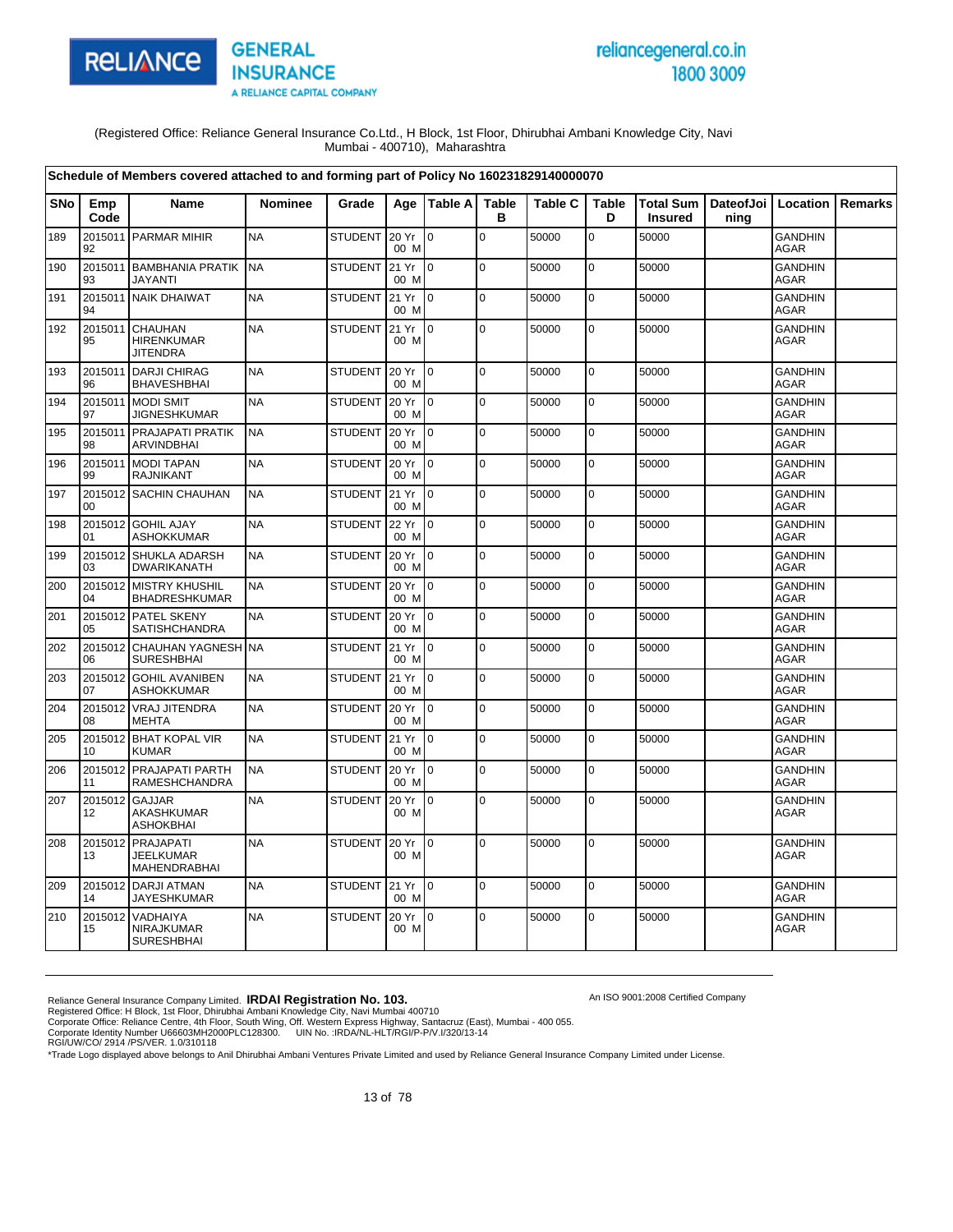

# reliancegeneral.co.in 1800 3009

An ISO 9001:2008 Certified Company

(Registered Office: Reliance General Insurance Co.Ltd., H Block, 1st Floor, Dhirubhai Ambani Knowledge City, Navi Mumbai - 400710), Maharashtra

|            |               | Schedule of Members covered attached to and forming part of Policy No 160231829140000070 |                |                |               |                 |                   |                |                   |                |                                          |                               |                |
|------------|---------------|------------------------------------------------------------------------------------------|----------------|----------------|---------------|-----------------|-------------------|----------------|-------------------|----------------|------------------------------------------|-------------------------------|----------------|
| <b>SNo</b> | Emp<br>Code   | Name                                                                                     | <b>Nominee</b> | Grade          | Age           | <b>Table Al</b> | <b>Table</b><br>в | <b>Table C</b> | <b>Table</b><br>D | <b>Insured</b> | Total Sum   DateofJoi   Location<br>ning |                               | <b>Remarks</b> |
| 189        | 92            | 2015011 PARMAR MIHIR                                                                     | <b>NA</b>      | <b>STUDENT</b> | 20 Yr<br>00 M | $\Omega$        | $\Omega$          | 50000          | $\mathbf 0$       | 50000          |                                          | <b>GANDHIN</b><br><b>AGAR</b> |                |
| 190        | 2015011<br>93 | <b>BAMBHANIA PRATIK</b><br><b>JAYANTI</b>                                                | <b>NA</b>      | <b>STUDENT</b> | 21 Yr<br>00 M | I0.             | $\mathbf 0$       | 50000          | 0                 | 50000          |                                          | <b>GANDHIN</b><br><b>AGAR</b> |                |
| 191        | 2015011<br>94 | <b>NAIK DHAIWAT</b>                                                                      | <b>NA</b>      | <b>STUDENT</b> | 21 Yr<br>00 M | l 0             | $\pmb{0}$         | 50000          | $\mathbf 0$       | 50000          |                                          | <b>GANDHIN</b><br><b>AGAR</b> |                |
| 192        | 2015011<br>95 | <b>CHAUHAN</b><br><b>HIRENKUMAR</b><br><b>JITENDRA</b>                                   | <b>NA</b>      | <b>STUDENT</b> | 21 Yr<br>00 M | $\overline{10}$ | $\overline{0}$    | 50000          | $\mathbf 0$       | 50000          |                                          | <b>GANDHIN</b><br><b>AGAR</b> |                |
| 193        | 2015011<br>96 | <b>DARJI CHIRAG</b><br><b>BHAVESHBHAI</b>                                                | <b>NA</b>      | <b>STUDENT</b> | 20 Yr<br>00 M | $\overline{10}$ | $\mathbf 0$       | 50000          | $\mathbf 0$       | 50000          |                                          | <b>GANDHIN</b><br><b>AGAR</b> |                |
| 194        | 2015011<br>97 | <b>MODI SMIT</b><br><b>JIGNESHKUMAR</b>                                                  | <b>NA</b>      | <b>STUDENT</b> | 20 Yr<br>00 M | I0.             | $\mathbf 0$       | 50000          | $\mathbf 0$       | 50000          |                                          | <b>GANDHIN</b><br><b>AGAR</b> |                |
| 195        | 2015011<br>98 | PRAJAPATI PRATIK<br><b>ARVINDBHAI</b>                                                    | <b>NA</b>      | <b>STUDENT</b> | 20 Yr<br>00 M | Io.             | $\mathbf 0$       | 50000          | 0                 | 50000          |                                          | <b>GANDHIN</b><br><b>AGAR</b> |                |
| 196        | 2015011<br>99 | <b>MODI TAPAN</b><br><b>RAJNIKANT</b>                                                    | <b>NA</b>      | <b>STUDENT</b> | 20 Yr<br>00 M | $\overline{10}$ | $\mathbf 0$       | 50000          | $\mathbf 0$       | 50000          |                                          | <b>GANDHIN</b><br><b>AGAR</b> |                |
| 197        | 2015012<br>00 | <b>SACHIN CHAUHAN</b>                                                                    | <b>NA</b>      | <b>STUDENT</b> | 21 Yr<br>00 M | I <sub>0</sub>  | 0                 | 50000          | 0                 | 50000          |                                          | <b>GANDHIN</b><br><b>AGAR</b> |                |
| 198        | 01            | 2015012 GOHIL AJAY<br><b>ASHOKKUMAR</b>                                                  | <b>NA</b>      | <b>STUDENT</b> | 22 Yr<br>00 M | $\overline{10}$ | $\Omega$          | 50000          | $\Omega$          | 50000          |                                          | <b>GANDHIN</b><br><b>AGAR</b> |                |
| 199        | 03            | 2015012 SHUKLA ADARSH<br>DWARIKANATH                                                     | <b>NA</b>      | <b>STUDENT</b> | 20 Yr<br>00 M | $\overline{10}$ | $\mathbf 0$       | 50000          | $\mathbf 0$       | 50000          |                                          | <b>GANDHIN</b><br><b>AGAR</b> |                |
| 200        | 04            | 2015012 MISTRY KHUSHIL<br><b>BHADRESHKUMAR</b>                                           | <b>NA</b>      | <b>STUDENT</b> | 20 Yr<br>00 M | I0              | $\mathbf 0$       | 50000          | 0                 | 50000          |                                          | <b>GANDHIN</b><br><b>AGAR</b> |                |
| 201        | 05            | 2015012 PATEL SKENY<br><b>SATISHCHANDRA</b>                                              | <b>NA</b>      | <b>STUDENT</b> | 20 Yr<br>00 M | I o             | $\overline{0}$    | 50000          | 0                 | 50000          |                                          | <b>GANDHIN</b><br>AGAR        |                |
| 202        | 2015012<br>06 | <b>CHAUHAN YAGNESH NA</b><br><b>SURESHBHAI</b>                                           |                | <b>STUDENT</b> | 21 Yr<br>00 M | l 0             | $\Omega$          | 50000          | $\mathbf 0$       | 50000          |                                          | <b>GANDHIN</b><br>AGAR        |                |
| 203        | 07            | 2015012 GOHIL AVANIBEN<br><b>ASHOKKUMAR</b>                                              | <b>NA</b>      | <b>STUDENT</b> | 21 Yr<br>00 M | l o             | $\mathbf 0$       | 50000          | $\mathbf 0$       | 50000          |                                          | <b>GANDHIN</b><br>AGAR        |                |
| 204        | 2015012<br>08 | <b>VRAJ JITENDRA</b><br><b>MEHTA</b>                                                     | <b>NA</b>      | <b>STUDENT</b> | 20 Yr<br>00 M | $\overline{0}$  | $\mathbf 0$       | 50000          | 0                 | 50000          |                                          | <b>GANDHIN</b><br><b>AGAR</b> |                |
| 205        | 2015012<br>10 | <b>BHAT KOPAL VIR</b><br><b>KUMAR</b>                                                    | <b>NA</b>      | <b>STUDENT</b> | 21 Yr<br>00 M | I0.             | $\Omega$          | 50000          | $\mathbf 0$       | 50000          |                                          | <b>GANDHIN</b><br>AGAR        |                |
| 206        | 2015012<br>11 | PRAJAPATI PARTH<br><b>RAMESHCHANDRA</b>                                                  | <b>NA</b>      | STUDENT        | 20 Yr<br>00 M | $\overline{10}$ | $\mathbf 0$       | 50000          | $\mathbf 0$       | 50000          |                                          | <b>GANDHIN</b><br><b>AGAR</b> |                |
| 207        | 2015012<br>12 | <b>GAJJAR</b><br>AKASHKUMAR<br><b>ASHOKBHAI</b>                                          | <b>NA</b>      | <b>STUDENT</b> | 20 Yr<br>00 M | l 0             | 0                 | 50000          | 0                 | 50000          |                                          | <b>GANDHIN</b><br><b>AGAR</b> |                |
| 208        | 2015012<br>13 | PRAJAPATI<br><b>JEELKUMAR</b><br>MAHENDRABHAI                                            | <b>NA</b>      | <b>STUDENT</b> | 20 Yr<br>00 M | $\overline{10}$ | $\Omega$          | 50000          | $\pmb{0}$         | 50000          |                                          | <b>GANDHIN</b><br>AGAR        |                |
| 209        | 2015012<br>14 | <b>DARJI ATMAN</b><br><b>JAYESHKUMAR</b>                                                 | <b>NA</b>      | <b>STUDENT</b> | 21 Yr<br>00 M | I0              | $\Omega$          | 50000          | $\mathbf 0$       | 50000          |                                          | <b>GANDHIN</b><br><b>AGAR</b> |                |
| 210        | 2015012<br>15 | VADHAIYA<br>NIRAJKUMAR<br><b>SURESHBHAI</b>                                              | <b>NA</b>      | <b>STUDENT</b> | 20 Yr<br>00 M | I0              | $\mathbf 0$       | 50000          | 0                 | 50000          |                                          | <b>GANDHIN</b><br>AGAR        |                |

Reliance General Insurance Company Limited. **IRDAI Registration No. 103.**<br>Registered Office: H Block, 1st Floor, Dhirubhai Ambani Knowledge City, Navi Mumbai 400710<br>Corporate Office: Reliance Centre, 4th Floor, South Wing,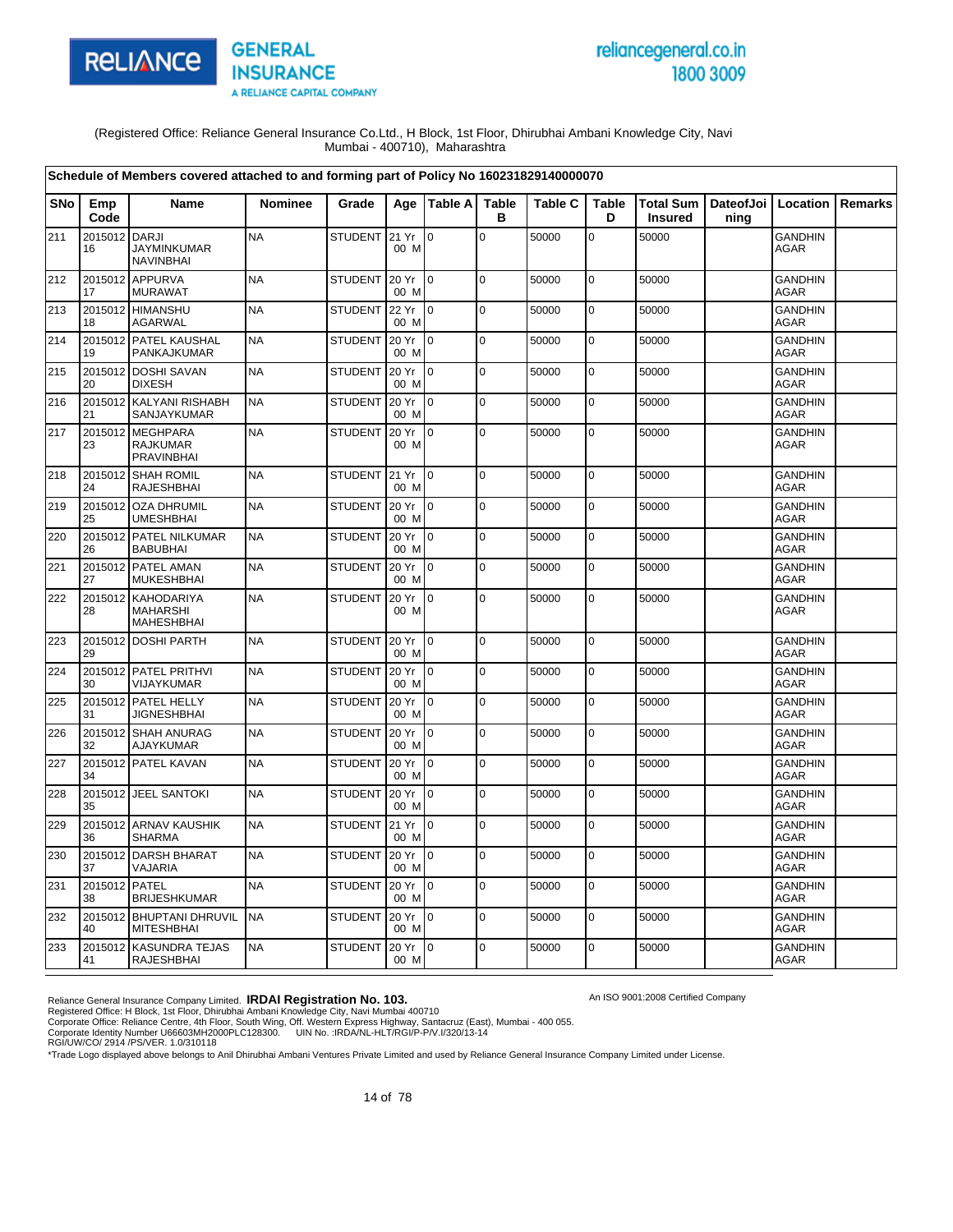

# reliancegeneral.co.in 1800 3009

An ISO 9001:2008 Certified Company

(Registered Office: Reliance General Insurance Co.Ltd., H Block, 1st Floor, Dhirubhai Ambani Knowledge City, Navi Mumbai - 400710), Maharashtra

|            |                     | Schedule of Members covered attached to and forming part of Policy No 160231829140000070 |                |                |               |                 |                   |                |                   |                |                                          |                               |         |
|------------|---------------------|------------------------------------------------------------------------------------------|----------------|----------------|---------------|-----------------|-------------------|----------------|-------------------|----------------|------------------------------------------|-------------------------------|---------|
| <b>SNo</b> | Emp<br>Code         | Name                                                                                     | <b>Nominee</b> | Grade          |               | Age   Table A   | <b>Table</b><br>в | <b>Table C</b> | <b>Table</b><br>D | <b>Insured</b> | Total Sum   DateofJoi   Location<br>ning |                               | Remarks |
| 211        | 2015012 DARJI<br>16 | <b>JAYMINKUMAR</b><br><b>NAVINBHAI</b>                                                   | <b>NA</b>      | <b>STUDENT</b> | 21 Yr<br>00 M | l 0             | $\mathbf 0$       | 50000          | 0                 | 50000          |                                          | <b>GANDHIN</b><br>AGAR        |         |
| 212        | 2015012<br>17       | APPURVA<br><b>MURAWAT</b>                                                                | <b>NA</b>      | <b>STUDENT</b> | 20 Yr<br>00 M | $\overline{0}$  | $\mathbf 0$       | 50000          | $\mathbf 0$       | 50000          |                                          | <b>GANDHIN</b><br><b>AGAR</b> |         |
| 213        | 2015012<br>18       | <b>HIMANSHU</b><br><b>AGARWAL</b>                                                        | <b>NA</b>      | <b>STUDENT</b> | 22 Yr<br>00 M | $\overline{0}$  | $\mathbf 0$       | 50000          | $\mathbf 0$       | 50000          |                                          | <b>GANDHIN</b><br><b>AGAR</b> |         |
| 214        | 19                  | 2015012 PATEL KAUSHAL<br>PANKAJKUMAR                                                     | <b>NA</b>      | <b>STUDENT</b> | 20 Yr<br>00 M | $\Omega$        | $\mathbf 0$       | 50000          | $\pmb{0}$         | 50000          |                                          | <b>GANDHIN</b><br>AGAR        |         |
| 215        | 20                  | 2015012 DOSHI SAVAN<br><b>DIXESH</b>                                                     | <b>NA</b>      | <b>STUDENT</b> | 20 Yr<br>00 M | $\overline{0}$  | $\mathbf 0$       | 50000          | $\mathsf 0$       | 50000          |                                          | <b>GANDHIN</b><br><b>AGAR</b> |         |
| 216        | 21                  | 2015012 KALYANI RISHABH<br>SANJAYKUMAR                                                   | <b>NA</b>      | <b>STUDENT</b> | 20 Yr<br>00 M | $\Omega$        | $\mathbf 0$       | 50000          | $\mathbf 0$       | 50000          |                                          | <b>GANDHIN</b><br><b>AGAR</b> |         |
| 217        | 2015012<br>23       | <b>MEGHPARA</b><br><b>RAJKUMAR</b><br>PRAVINBHAI                                         | <b>NA</b>      | <b>STUDENT</b> | 20 Yr<br>00 M | 0               | $\mathbf 0$       | 50000          | 0                 | 50000          |                                          | <b>GANDHIN</b><br>AGAR        |         |
| 218        | 2015012<br>24       | <b>SHAH ROMIL</b><br>RAJESHBHAI                                                          | <b>NA</b>      | <b>STUDENT</b> | 21 Yr<br>00 M | $\overline{0}$  | $\mathbf 0$       | 50000          | $\mathbf 0$       | 50000          |                                          | <b>GANDHIN</b><br>AGAR        |         |
| 219        | 2015012<br>25       | <b>OZA DHRUMIL</b><br><b>UMESHBHAI</b>                                                   | <b>NA</b>      | <b>STUDENT</b> | 20 Yr<br>00 M | $\Omega$        | $\mathbf 0$       | 50000          | $\mathbf 0$       | 50000          |                                          | <b>GANDHIN</b><br><b>AGAR</b> |         |
| 220        | 2015012<br>26       | PATEL NILKUMAR<br>BABUBHAI                                                               | <b>NA</b>      | <b>STUDENT</b> | 20 Yr<br>00 M | lo.             | $\overline{0}$    | 50000          | $\pmb{0}$         | 50000          |                                          | <b>GANDHIN</b><br>AGAR        |         |
| 221        | 27                  | 2015012 PATEL AMAN<br><b>MUKESHBHAI</b>                                                  | <b>NA</b>      | <b>STUDENT</b> | 20 Yr<br>00 M | I0              | $\pmb{0}$         | 50000          | 0                 | 50000          |                                          | <b>GANDHIN</b><br><b>AGAR</b> |         |
| 222        | 2015012<br>28       | <b>KAHODARIYA</b><br><b>MAHARSHI</b><br><b>MAHESHBHAI</b>                                | <b>NA</b>      | <b>STUDENT</b> | 20 Yr<br>00 M | l 0             | $\mathbf 0$       | 50000          | $\pmb{0}$         | 50000          |                                          | <b>GANDHIN</b><br><b>AGAR</b> |         |
| 223        | 29                  | 2015012 DOSHI PARTH                                                                      | <b>NA</b>      | <b>STUDENT</b> | 20 Yr<br>00 M | $\overline{10}$ | $\pmb{0}$         | 50000          | $\pmb{0}$         | 50000          |                                          | <b>GANDHIN</b><br><b>AGAR</b> |         |
| 224        | 30                  | 2015012 PATEL PRITHVI<br>VIJAYKUMAR                                                      | <b>NA</b>      | <b>STUDENT</b> | 20 Yr<br>00 M | Io.             | $\Omega$          | 50000          | $\mathbf 0$       | 50000          |                                          | <b>GANDHIN</b><br><b>AGAR</b> |         |
| 225        | 31                  | 2015012 PATEL HELLY<br><b>JIGNESHBHAI</b>                                                | <b>NA</b>      | STUDENT        | 20 Yr<br>00 M | 0               | $\mathbf 0$       | 50000          | $\mathbf 0$       | 50000          |                                          | <b>GANDHIN</b><br><b>AGAR</b> |         |
| 226        | 2015012<br>32       | <b>SHAH ANURAG</b><br>AJAYKUMAR                                                          | <b>NA</b>      | <b>STUDENT</b> | 20 Yr<br>00 M | $\overline{0}$  | $\mathbf 0$       | 50000          | $\pmb{0}$         | 50000          |                                          | <b>GANDHIN</b><br><b>AGAR</b> |         |
| 227        | 34                  | 2015012 PATEL KAVAN                                                                      | <b>NA</b>      | <b>STUDENT</b> | 20 Yr<br>00 M | $\overline{0}$  | $\pmb{0}$         | 50000          | $\pmb{0}$         | 50000          |                                          | <b>GANDHIN</b><br><b>AGAR</b> |         |
| 228        | 35                  | 2015012 JEEL SANTOKI                                                                     | <b>NA</b>      | STUDENT        | 20 Yr<br>00 M | lo.             | $\mathbf 0$       | 50000          | $\mathbf 0$       | 50000          |                                          | <b>GANDHIN</b><br><b>AGAR</b> |         |
| 229        | 36                  | 2015012 ARNAV KAUSHIK<br><b>SHARMA</b>                                                   | <b>NA</b>      | <b>STUDENT</b> | 21 Yr<br>00 M | $\overline{0}$  | $\pmb{0}$         | 50000          | 0                 | 50000          |                                          | <b>GANDHIN</b><br><b>AGAR</b> |         |
| 230        | 2015012<br>37       | <b>DARSH BHARAT</b><br>VAJARIA                                                           | <b>NA</b>      | <b>STUDENT</b> | 20 Yr<br>00 M | 0               | $\mathsf 0$       | 50000          | $\mathsf 0$       | 50000          |                                          | <b>GANDHIN</b><br><b>AGAR</b> |         |
| 231        | 2015012<br>38       | PATEL<br><b>BRIJESHKUMAR</b>                                                             | <b>NA</b>      | <b>STUDENT</b> | 20 Yr<br>00 M | $\overline{10}$ | $\Omega$          | 50000          | $\mathbf 0$       | 50000          |                                          | <b>GANDHIN</b><br><b>AGAR</b> |         |
| 232        | 40                  | 2015012 BHUPTANI DHRUVIL<br><b>MITESHBHAI</b>                                            | <b>NA</b>      | <b>STUDENT</b> | 20 Yr<br>00 M | $\overline{0}$  | $\mathbf 0$       | 50000          | $\mathbf 0$       | 50000          |                                          | <b>GANDHIN</b><br><b>AGAR</b> |         |
| 233        | 41                  | 2015012 KASUNDRA TEJAS<br><b>RAJESHBHAI</b>                                              | <b>NA</b>      | <b>STUDENT</b> | 20 Yr<br>00 M | $\overline{10}$ | $\mathbf 0$       | 50000          | 0                 | 50000          |                                          | <b>GANDHIN</b><br>AGAR        |         |

Reliance General Insurance Company Limited. **IRDAI Registration No. 103.**<br>Registered Office: H Block, 1st Floor, Dhirubhai Ambani Knowledge City, Navi Mumbai 400710<br>Corporate Office: Reliance Centre, 4th Floor, South Wing,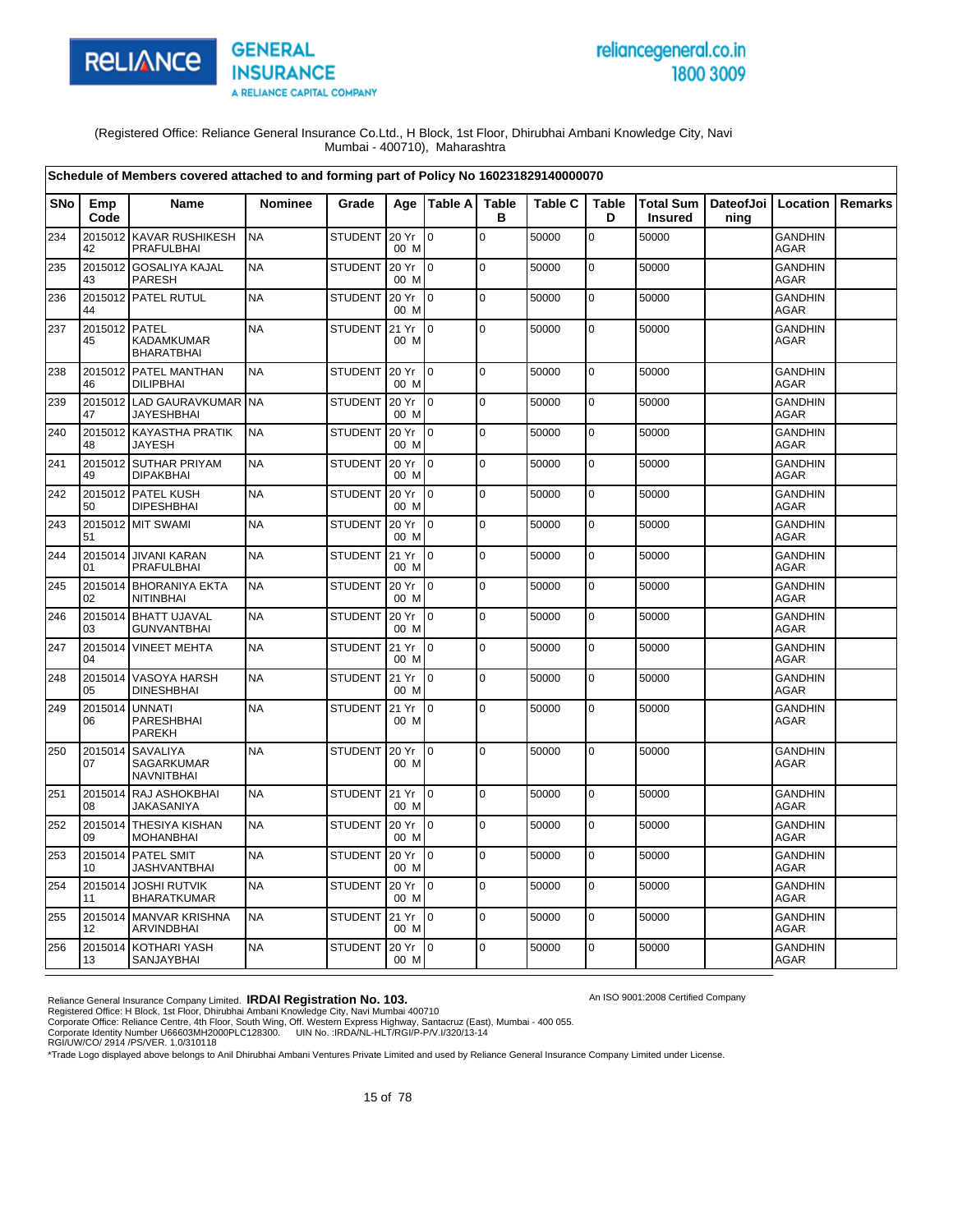

# reliancegeneral.co.in 1800 3009

An ISO 9001:2008 Certified Company

(Registered Office: Reliance General Insurance Co.Ltd., H Block, 1st Floor, Dhirubhai Ambani Knowledge City, Navi Mumbai - 400710), Maharashtra

|            |                     | Schedule of Members covered attached to and forming part of Policy No 160231829140000070 |                |                |               |                 |                   |                |                   |                             |                   |                               |         |
|------------|---------------------|------------------------------------------------------------------------------------------|----------------|----------------|---------------|-----------------|-------------------|----------------|-------------------|-----------------------------|-------------------|-------------------------------|---------|
| <b>SNo</b> | Emp<br>Code         | Name                                                                                     | <b>Nominee</b> | Grade          |               | Age   Table A   | <b>Table</b><br>в | <b>Table C</b> | <b>Table</b><br>D | Total Sum<br><b>Insured</b> | DateofJoi<br>ning | Location                      | Remarks |
| 234        | 2015012<br>42       | <b>KAVAR RUSHIKESH</b><br><b>PRAFULBHAI</b>                                              | <b>NA</b>      | <b>STUDENT</b> | 20 Yr<br>00 M | $\mathbf 0$     | $\mathbf 0$       | 50000          | 0                 | 50000                       |                   | <b>GANDHIN</b><br>AGAR        |         |
| 235        | 2015012<br>43       | <b>GOSALIYA KAJAL</b><br><b>PARESH</b>                                                   | <b>NA</b>      | <b>STUDENT</b> | 20 Yr<br>00 M | I0              | $\mathbf 0$       | 50000          | $\mathbf 0$       | 50000                       |                   | <b>GANDHIN</b><br>AGAR        |         |
| 236        | 44                  | 2015012 PATEL RUTUL                                                                      | <b>NA</b>      | <b>STUDENT</b> | 20 Yr<br>00 M | I0.             | $\pmb{0}$         | 50000          | 0                 | 50000                       |                   | <b>GANDHIN</b><br><b>AGAR</b> |         |
| 237        | 2015012 PATEL<br>45 | <b>KADAMKUMAR</b><br><b>BHARATBHAI</b>                                                   | <b>NA</b>      | <b>STUDENT</b> | 21 Yr<br>00 M | l 0             | $\mathbf 0$       | 50000          | $\mathbf 0$       | 50000                       |                   | <b>GANDHIN</b><br>AGAR        |         |
| 238        | 46                  | 2015012 PATEL MANTHAN<br><b>DILIPBHAI</b>                                                | <b>NA</b>      | <b>STUDENT</b> | 20 Yr<br>00 M | I0.             | $\mathbf 0$       | 50000          | 0                 | 50000                       |                   | GANDHIN<br><b>AGAR</b>        |         |
| 239        | 47                  | 2015012 LAD GAURAVKUMAR<br><b>JAYESHBHAI</b>                                             | <b>NA</b>      | <b>STUDENT</b> | 20 Yr<br>00 M | $\overline{0}$  | $\mathbf 0$       | 50000          | $\mathbf 0$       | 50000                       |                   | <b>GANDHIN</b><br><b>AGAR</b> |         |
| 240        | 2015012<br>48       | <b>KAYASTHA PRATIK</b><br>JAYESH                                                         | <b>NA</b>      | <b>STUDENT</b> | 20 Yr<br>00 M | $\Omega$        | $\mathbf 0$       | 50000          | 0                 | 50000                       |                   | <b>GANDHIN</b><br>AGAR        |         |
| 241        | 2015012<br>49       | <b>SUTHAR PRIYAM</b><br><b>DIPAKBHAI</b>                                                 | <b>NA</b>      | <b>STUDENT</b> | 20 Yr<br>00 M | $\overline{0}$  | $\mathbf 0$       | 50000          | $\mathbf 0$       | 50000                       |                   | <b>GANDHIN</b><br>AGAR        |         |
| 242        | 50                  | 2015012 PATEL KUSH<br><b>DIPESHBHAI</b>                                                  | <b>NA</b>      | STUDENT        | 20 Yr<br>00 M | $\overline{0}$  | $\overline{0}$    | 50000          | $\mathbf 0$       | 50000                       |                   | <b>GANDHIN</b><br><b>AGAR</b> |         |
| 243        | 51                  | 2015012 MIT SWAMI                                                                        | <b>NA</b>      | <b>STUDENT</b> | 20 Yr<br>00 M | Io.             | $\mathbf 0$       | 50000          | $\mathbf 0$       | 50000                       |                   | <b>GANDHIN</b><br><b>AGAR</b> |         |
| 244        | 2015014<br>01       | <b>JIVANI KARAN</b><br><b>PRAFULBHAI</b>                                                 | <b>NA</b>      | <b>STUDENT</b> | 21 Yr<br>00 M | $\overline{0}$  | $\mathbf 0$       | 50000          | 0                 | 50000                       |                   | <b>GANDHIN</b><br>AGAR        |         |
| 245        | 02                  | 2015014 BHORANIYA EKTA<br><b>NITINBHAI</b>                                               | <b>NA</b>      | <b>STUDENT</b> | 20 Yr<br>00 M | Io.             | $\Omega$          | 50000          | $\pmb{0}$         | 50000                       |                   | <b>GANDHIN</b><br><b>AGAR</b> |         |
| 246        | 03                  | 2015014 BHATT UJAVAL<br><b>GUNVANTBHAI</b>                                               | <b>NA</b>      | <b>STUDENT</b> | 20 Yr<br>00 M | $\overline{0}$  | $\mathbf 0$       | 50000          | $\mathbf 0$       | 50000                       |                   | <b>GANDHIN</b><br><b>AGAR</b> |         |
| 247        | 2015014<br>04       | <b>VINEET MEHTA</b>                                                                      | <b>NA</b>      | <b>STUDENT</b> | 21 Yr<br>00 M | $\overline{0}$  | $\mathbf 0$       | 50000          | $\mathbf 0$       | 50000                       |                   | GANDHIN<br>AGAR               |         |
| 248        | 2015014<br>05       | <b>VASOYA HARSH</b><br><b>DINESHBHAI</b>                                                 | <b>NA</b>      | <b>STUDENT</b> | 21 Yr<br>00 M | $\overline{0}$  | $\mathbf 0$       | 50000          | 0                 | 50000                       |                   | <b>GANDHIN</b><br><b>AGAR</b> |         |
| 249        | 2015014<br>06       | <b>UNNATI</b><br>PARESHBHAI<br><b>PAREKH</b>                                             | <b>NA</b>      | <b>STUDENT</b> | 21 Yr<br>00 M | l 0             | $\Omega$          | 50000          | 0                 | 50000                       |                   | <b>GANDHIN</b><br><b>AGAR</b> |         |
| 250        | 2015014<br>07       | <b>SAVALIYA</b><br>SAGARKUMAR<br><b>NAVNITBHAI</b>                                       | <b>NA</b>      | <b>STUDENT</b> | 20 Yr<br>00 M | $\overline{0}$  | $\mathbf 0$       | 50000          | $\mathbf 0$       | 50000                       |                   | <b>GANDHIN</b><br>AGAR        |         |
| 251        | 2015014<br>08       | RAJ ASHOKBHAI<br><b>JAKASANIYA</b>                                                       | <b>NA</b>      | STUDENT        | 21 Yr<br>00 M | lo.             | l o               | 50000          | $\mathbf 0$       | 50000                       |                   | <b>GANDHIN</b><br>AGAR        |         |
| 252        | 2015014<br>09       | THESIYA KISHAN<br><b>MOHANBHAI</b>                                                       | <b>NA</b>      | <b>STUDENT</b> | 20 Yr<br>00 M | $\overline{0}$  | $\mathbf 0$       | 50000          | $\mathbf 0$       | 50000                       |                   | <b>GANDHIN</b><br><b>AGAR</b> |         |
| 253        | 2015014<br>10       | PATEL SMIT<br><b>JASHVANTBHAI</b>                                                        | <b>NA</b>      | <b>STUDENT</b> | 20 Yr<br>00 M | 0               | $\mathsf 0$       | 50000          | 0                 | 50000                       |                   | <b>GANDHIN</b><br>AGAR        |         |
| 254        | 2015014<br>11       | <b>JOSHI RUTVIK</b><br><b>BHARATKUMAR</b>                                                | <b>NA</b>      | <b>STUDENT</b> | 20 Yr<br>00 M | $\overline{10}$ | $\Omega$          | 50000          | $\mathbf 0$       | 50000                       |                   | <b>GANDHIN</b><br><b>AGAR</b> |         |
| 255        | 12                  | 2015014 MANVAR KRISHNA<br><b>ARVINDBHAI</b>                                              | <b>NA</b>      | <b>STUDENT</b> | 21 Yr<br>00 M | $\overline{0}$  | $\mathbf 0$       | 50000          | $\mathbf 0$       | 50000                       |                   | <b>GANDHIN</b><br>AGAR        |         |
| 256        | 13                  | 2015014 KOTHARI YASH<br><b>SANJAYBHAI</b>                                                | <b>NA</b>      | <b>STUDENT</b> | 20 Yr<br>00 M | $\overline{10}$ | $\mathbf 0$       | 50000          | $\mathbf 0$       | 50000                       |                   | GANDHIN<br>AGAR               |         |

Reliance General Insurance Company Limited. **IRDAI Registration No. 103.**<br>Registered Office: H Block, 1st Floor, Dhirubhai Ambani Knowledge City, Navi Mumbai 400710<br>Corporate Office: Reliance Centre, 4th Floor, South Wing,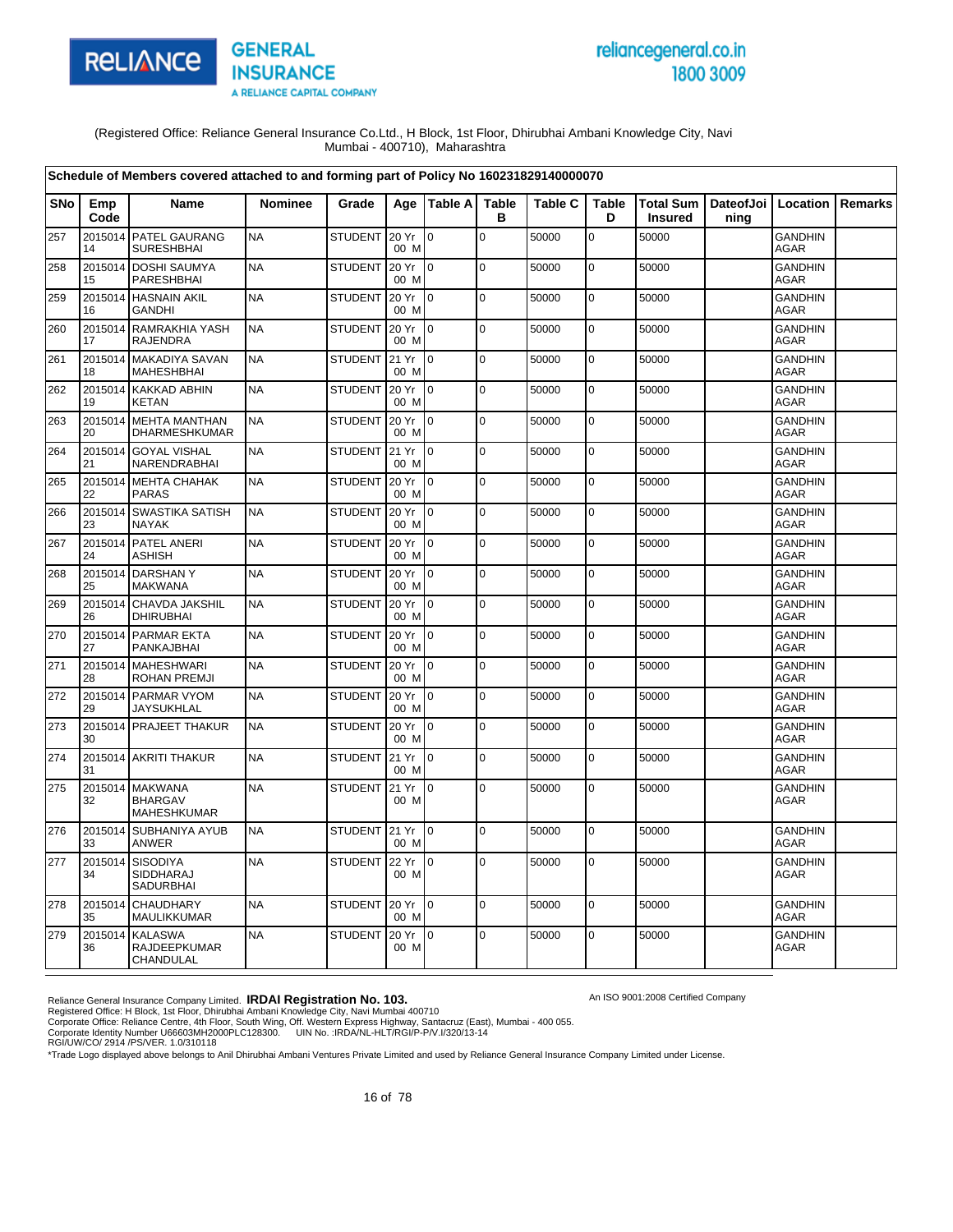

# reliancegeneral.co.in 1800 3009

(Registered Office: Reliance General Insurance Co.Ltd., H Block, 1st Floor, Dhirubhai Ambani Knowledge City, Navi Mumbai - 400710), Maharashtra

|            |               | Schedule of Members covered attached to and forming part of Policy No 160231829140000070 |                |                |               |                 |                   |                |                   |                                                      |      |                               |         |
|------------|---------------|------------------------------------------------------------------------------------------|----------------|----------------|---------------|-----------------|-------------------|----------------|-------------------|------------------------------------------------------|------|-------------------------------|---------|
| <b>SNo</b> | Emp<br>Code   | Name                                                                                     | <b>Nominee</b> | Grade          |               | Age   Table A   | <b>Table</b><br>в | <b>Table C</b> | <b>Table</b><br>D | Total Sum   DateofJoi   Location  <br><b>Insured</b> | ning |                               | Remarks |
| 257        | 2015014<br>14 | PATEL GAURANG<br><b>SURESHBHAI</b>                                                       | <b>NA</b>      | <b>STUDENT</b> | 20 Yr<br>00 M | $\overline{0}$  | $\mathbf 0$       | 50000          | $\mathbf 0$       | 50000                                                |      | <b>GANDHIN</b><br><b>AGAR</b> |         |
| 258        | 2015014<br>15 | <b>DOSHI SAUMYA</b><br>PARESHBHAI                                                        | <b>NA</b>      | <b>STUDENT</b> | 20 Yr<br>00 M | Io.             | 0                 | 50000          | 0                 | 50000                                                |      | <b>GANDHIN</b><br><b>AGAR</b> |         |
| 259        | 16            | 2015014 HASNAIN AKIL<br><b>GANDHI</b>                                                    | <b>NA</b>      | <b>STUDENT</b> | 20 Yr<br>00 M | $10^{-1}$       | $\mathbf 0$       | 50000          | 0                 | 50000                                                |      | <b>GANDHIN</b><br>AGAR        |         |
| 260        | 17            | 2015014 RAMRAKHIA YASH<br><b>RAJENDRA</b>                                                | <b>NA</b>      | <b>STUDENT</b> | 20 Yr<br>00 M | $\overline{10}$ | $\Omega$          | 50000          | $\mathbf 0$       | 50000                                                |      | <b>GANDHIN</b><br><b>AGAR</b> |         |
| 261        | 18            | 2015014 MAKADIYA SAVAN<br><b>MAHESHBHAI</b>                                              | <b>NA</b>      | <b>STUDENT</b> | 21 Yr<br>00 M | l 0             | $\overline{0}$    | 50000          | $\mathbf 0$       | 50000                                                |      | <b>GANDHIN</b><br><b>AGAR</b> |         |
| 262        | 19            | 2015014 KAKKAD ABHIN<br><b>KETAN</b>                                                     | <b>NA</b>      | <b>STUDENT</b> | 20 Yr<br>00 M | I0              | $\mathbf 0$       | 50000          | $\mathbf 0$       | 50000                                                |      | <b>GANDHIN</b><br>AGAR        |         |
| 263        | 20            | 2015014 MEHTA MANTHAN<br><b>DHARMESHKUMAR</b>                                            | <b>NA</b>      | <b>STUDENT</b> | 20 Yr<br>00 M | $\overline{10}$ | $\mathbf 0$       | 50000          | 0                 | 50000                                                |      | <b>GANDHIN</b><br>AGAR        |         |
| 264        | 21            | 2015014 GOYAL VISHAL<br><b>NARENDRABHAI</b>                                              | <b>NA</b>      | <b>STUDENT</b> | 21 Yr<br>00 M | I٥              | $\pmb{0}$         | 50000          | $\mathbf 0$       | 50000                                                |      | <b>GANDHIN</b><br><b>AGAR</b> |         |
| 265        | 2015014<br>22 | <b>MEHTA CHAHAK</b><br><b>PARAS</b>                                                      | <b>NA</b>      | <b>STUDENT</b> | 20 Yr<br>00 M | I0              | $\overline{0}$    | 50000          | $\mathbf 0$       | 50000                                                |      | <b>GANDHIN</b><br><b>AGAR</b> |         |
| 266        | 2015014<br>23 | <b>SWASTIKA SATISH</b><br><b>NAYAK</b>                                                   | <b>NA</b>      | <b>STUDENT</b> | 20 Yr<br>00 M | I0              | 0                 | 50000          | $\mathbf 0$       | 50000                                                |      | <b>GANDHIN</b><br><b>AGAR</b> |         |
| 267        | 24            | 2015014 PATEL ANERI<br><b>ASHISH</b>                                                     | <b>NA</b>      | <b>STUDENT</b> | 20 Yr<br>00 M | $\overline{10}$ | $\mathbf 0$       | 50000          | 0                 | 50000                                                |      | <b>GANDHIN</b><br><b>AGAR</b> |         |
| 268        | 2015014<br>25 | <b>DARSHANY</b><br><b>MAKWANA</b>                                                        | <b>NA</b>      | <b>STUDENT</b> | 20 Yr<br>00 M | I0              | 0                 | 50000          | 0                 | 50000                                                |      | <b>GANDHIN</b><br><b>AGAR</b> |         |
| 269        | 2015014<br>26 | CHAVDA JAKSHIL<br><b>DHIRUBHAI</b>                                                       | <b>NA</b>      | <b>STUDENT</b> | 20 Yr<br>00 M | I٥              | $\mathbf 0$       | 50000          | $\mathbf 0$       | 50000                                                |      | <b>GANDHIN</b><br>AGAR        |         |
| 270        | 27            | 2015014 PARMAR EKTA<br>PANKAJBHAI                                                        | <b>NA</b>      | <b>STUDENT</b> | 20 Yr<br>00 M | $\overline{10}$ | $\Omega$          | 50000          | $\mathbf 0$       | 50000                                                |      | <b>GANDHIN</b><br>AGAR        |         |
| 271        | 28            | 2015014 MAHESHWARI<br><b>ROHAN PREMJI</b>                                                | <b>NA</b>      | <b>STUDENT</b> | 20 Yr<br>00 M | I0.             | $\mathbf 0$       | 50000          | $\mathbf 0$       | 50000                                                |      | GANDHIN<br><b>AGAR</b>        |         |
| 272        | 29            | 2015014 PARMAR VYOM<br><b>JAYSUKHLAL</b>                                                 | <b>NA</b>      | <b>STUDENT</b> | 20 Yr<br>00 M | I0              | $\mathbf 0$       | 50000          | $\mathbf 0$       | 50000                                                |      | <b>GANDHIN</b><br><b>AGAR</b> |         |
| 273        | 30            | 2015014 PRAJEET THAKUR                                                                   | <b>NA</b>      | <b>STUDENT</b> | 20 Yr<br>00 M | I O             | $\mathbf 0$       | 50000          | $\mathbf 0$       | 50000                                                |      | <b>GANDHIN</b><br><b>AGAR</b> |         |
| 274        | 31            | 2015014 AKRITI THAKUR                                                                    | <b>NA</b>      | <b>STUDENT</b> | 21 Yr<br>00 M | $\overline{10}$ | $\mathbf 0$       | 50000          | $\mathbf 0$       | 50000                                                |      | <b>GANDHIN</b><br><b>AGAR</b> |         |
| 275        | 2015014<br>32 | <b>MAKWANA</b><br><b>BHARGAV</b><br><b>MAHESHKUMAR</b>                                   | <b>NA</b>      | <b>STUDENT</b> | 21 Yr<br>00 M | $\overline{0}$  | $\mathbf 0$       | 50000          | $\mathbf 0$       | 50000                                                |      | <b>GANDHIN</b><br><b>AGAR</b> |         |
| 276        | 33            | 2015014 SUBHANIYA AYUB<br>ANWER                                                          | <b>NA</b>      | <b>STUDENT</b> | 21 Yr<br>00 M | lo.             | $\mathbf 0$       | 50000          | 0                 | 50000                                                |      | <b>GANDHIN</b><br>AGAR        |         |
| 277        | 2015014<br>34 | <b>SISODIYA</b><br>SIDDHARAJ<br><b>SADURBHAI</b>                                         | <b>NA</b>      | <b>STUDENT</b> | 22 Yr<br>00 M | $\overline{0}$  | $\mathbf 0$       | 50000          | $\mathbf 0$       | 50000                                                |      | <b>GANDHIN</b><br>AGAR        |         |
| 278        | 2015014<br>35 | <b>CHAUDHARY</b><br>MAULIKKUMAR                                                          | <b>NA</b>      | <b>STUDENT</b> | 20 Yr<br>00 M | $\overline{0}$  | $\mathbf 0$       | 50000          | 0                 | 50000                                                |      | <b>GANDHIN</b><br>AGAR        |         |
| 279        | 2015014<br>36 | <b>KALASWA</b><br><b>RAJDEEPKUMAR</b><br>CHANDULAL                                       | <b>NA</b>      | <b>STUDENT</b> | 20 Yr<br>00 M | I0              | $\mathbf 0$       | 50000          | 0                 | 50000                                                |      | <b>GANDHIN</b><br>AGAR        |         |

An ISO 9001:2008 Certified Company

Reliance General Insurance Company Limited. **IRDAI Registration No. 103.**<br>Registered Office: H Block, 1st Floor, Dhirubhai Ambani Knowledge City, Navi Mumbai 400710<br>Corporate Office: Reliance Centre, 4th Floor, South Wing,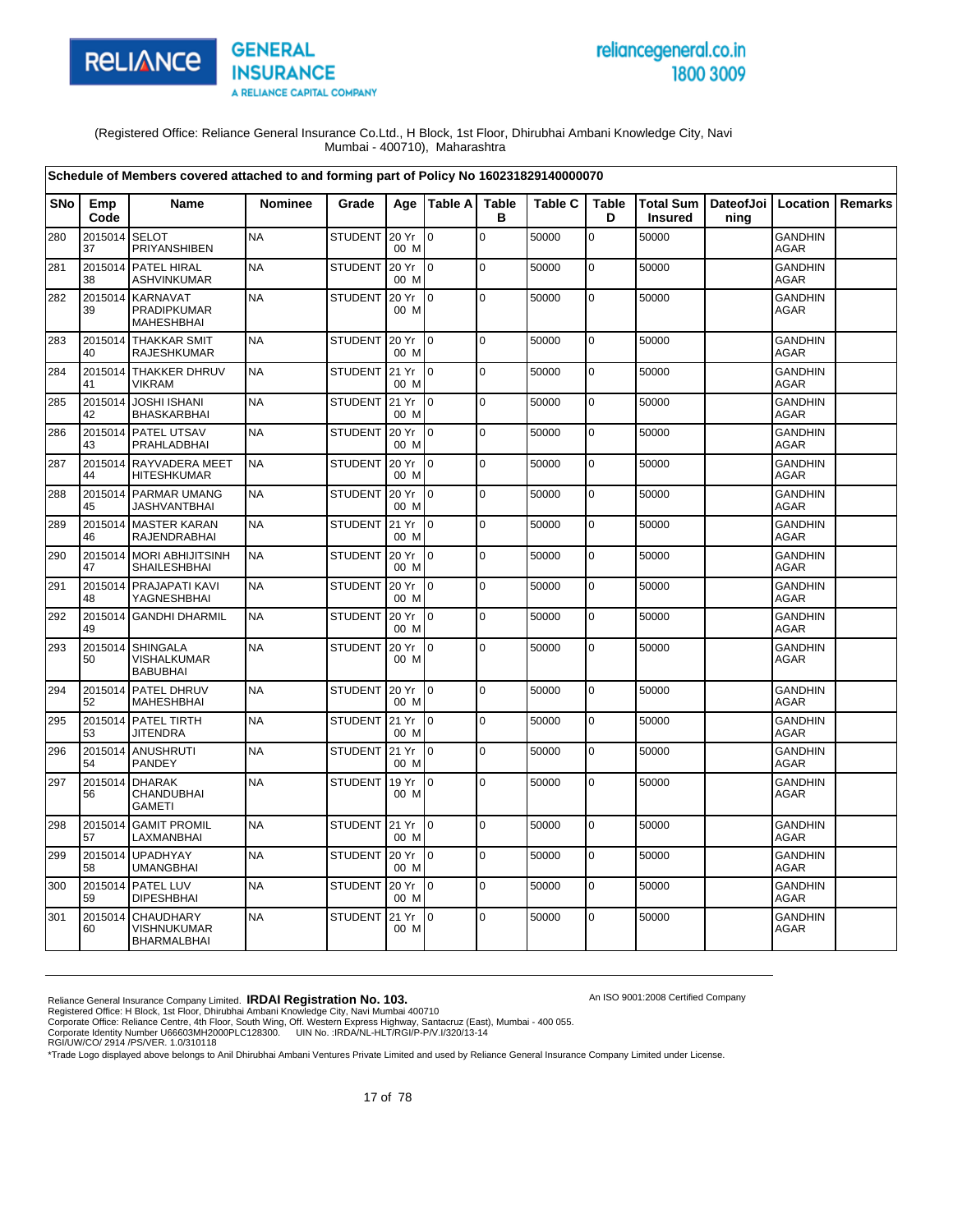

# reliancegeneral.co.in 1800 3009

An ISO 9001:2008 Certified Company

(Registered Office: Reliance General Insurance Co.Ltd., H Block, 1st Floor, Dhirubhai Ambani Knowledge City, Navi Mumbai - 400710), Maharashtra

|            |               | Schedule of Members covered attached to and forming part of Policy No 160231829140000070 |           |                |               |                 |                   |                |                   |                |                                          |                               |         |
|------------|---------------|------------------------------------------------------------------------------------------|-----------|----------------|---------------|-----------------|-------------------|----------------|-------------------|----------------|------------------------------------------|-------------------------------|---------|
| <b>SNo</b> | Emp<br>Code   | Name                                                                                     | Nominee   | Grade          |               | Age   Table A   | <b>Table</b><br>в | <b>Table C</b> | <b>Table</b><br>D | <b>Insured</b> | Total Sum   DateofJoi   Location<br>ning |                               | Remarks |
| 280        | 2015014<br>37 | <b>SELOT</b><br>PRIYANSHIBEN                                                             | <b>NA</b> | <b>STUDENT</b> | 20 Yr<br>00 M | $\Omega$        | $\Omega$          | 50000          | $\overline{0}$    | 50000          |                                          | <b>GANDHIN</b><br>AGAR        |         |
| 281        | 38            | 2015014 PATEL HIRAL<br><b>ASHVINKUMAR</b>                                                | <b>NA</b> | <b>STUDENT</b> | 20 Yr<br>00 M | I0.             | $\mathbf 0$       | 50000          | $\mathbf 0$       | 50000          |                                          | <b>GANDHIN</b><br>AGAR        |         |
| 282        | 39            | 2015014 KARNAVAT<br><b>PRADIPKUMAR</b><br><b>MAHESHBHAI</b>                              | <b>NA</b> | <b>STUDENT</b> | 20 Yr<br>00 M | Io.             | $\mathbf 0$       | 50000          | 0                 | 50000          |                                          | <b>GANDHIN</b><br>AGAR        |         |
| 283        | 40            | 2015014 THAKKAR SMIT<br><b>RAJESHKUMAR</b>                                               | <b>NA</b> | <b>STUDENT</b> | 20 Yr<br>00 M | $\overline{0}$  | $\mathbf 0$       | 50000          | $\mathbf 0$       | 50000          |                                          | <b>GANDHIN</b><br><b>AGAR</b> |         |
| 284        | 41            | 2015014 THAKKER DHRUV<br><b>VIKRAM</b>                                                   | <b>NA</b> | STUDENT 21 Yr  | 00 M          | Io.             | $\mathbf 0$       | 50000          | $\pmb{0}$         | 50000          |                                          | <b>GANDHIN</b><br>AGAR        |         |
| 285        | 2015014<br>42 | <b>JOSHI ISHANI</b><br><b>BHASKARBHAI</b>                                                | <b>NA</b> | <b>STUDENT</b> | 21 Yr<br>00 M | $\overline{10}$ | $\mathbf 0$       | 50000          | $\mathbf 0$       | 50000          |                                          | <b>GANDHIN</b><br><b>AGAR</b> |         |
| 286        | 43            | 2015014 PATEL UTSAV<br><b>PRAHLADBHAI</b>                                                | <b>NA</b> | <b>STUDENT</b> | 20 Yr<br>00 M | I <sub>0</sub>  | $\mathbf 0$       | 50000          | 0                 | 50000          |                                          | <b>GANDHIN</b><br><b>AGAR</b> |         |
| 287        | 44            | 2015014 RAYVADERA MEET<br><b>HITESHKUMAR</b>                                             | <b>NA</b> | <b>STUDENT</b> | 20 Yr<br>00 M | $\overline{10}$ | $\mathbf 0$       | 50000          | 0                 | 50000          |                                          | <b>GANDHIN</b><br><b>AGAR</b> |         |
| 288        | 45            | 2015014 PARMAR UMANG<br><b>JASHVANTBHAI</b>                                              | <b>NA</b> | <b>STUDENT</b> | 20 Yr<br>00 M | $\mathbf{I}$    | $\mathbf 0$       | 50000          | $\mathbf 0$       | 50000          |                                          | <b>GANDHIN</b><br><b>AGAR</b> |         |
| 289        | 46            | 2015014 MASTER KARAN<br>RAJENDRABHAI                                                     | <b>NA</b> | STUDENT        | 21 Yr<br>00 M | I <sub>0</sub>  | $\Omega$          | 50000          | 0                 | 50000          |                                          | <b>GANDHIN</b><br><b>AGAR</b> |         |
| 290        | 47            | 2015014 MORI ABHIJITSINH<br>SHAILESHBHAI                                                 | <b>NA</b> | <b>STUDENT</b> | 20 Yr<br>00 M | $\overline{10}$ | $\mathbf 0$       | 50000          | 0                 | 50000          |                                          | <b>GANDHIN</b><br><b>AGAR</b> |         |
| 291        | 48            | 2015014 PRAJAPATI KAVI<br>YAGNESHBHAI                                                    | <b>NA</b> | <b>STUDENT</b> | 20 Yr<br>00 M | l 0             | $\Omega$          | 50000          | 0                 | 50000          |                                          | <b>GANDHIN</b><br><b>AGAR</b> |         |
| 292        | 49            | 2015014 GANDHI DHARMIL                                                                   | <b>NA</b> | <b>STUDENT</b> | 20 Yr<br>00 M | $\overline{10}$ | $\mathbf 0$       | 50000          | $\mathbf 0$       | 50000          |                                          | GANDHIN<br><b>AGAR</b>        |         |
| 293        | 2015014<br>50 | <b>SHINGALA</b><br>VISHALKUMAR<br><b>BABUBHAI</b>                                        | <b>NA</b> | <b>STUDENT</b> | 20 Yr<br>00 M | $\overline{0}$  | 0                 | 50000          | 0                 | 50000          |                                          | <b>GANDHIN</b><br><b>AGAR</b> |         |
| 294        | 52            | 2015014 PATEL DHRUV<br><b>MAHESHBHAI</b>                                                 | <b>NA</b> | <b>STUDENT</b> | 20 Yr<br>00 M | l 0             | $\mathbf 0$       | 50000          | 0                 | 50000          |                                          | <b>GANDHIN</b><br><b>AGAR</b> |         |
| 295        | 53            | 2015014 PATEL TIRTH<br><b>JITENDRA</b>                                                   | <b>NA</b> | STUDENT        | 21 Yr<br>00 M | I٥              | $\mathbf 0$       | 50000          | 0                 | 50000          |                                          | <b>GANDHIN</b><br><b>AGAR</b> |         |
| 296        | 54            | 2015014 ANUSHRUTI<br>PANDEY                                                              | <b>NA</b> | STUDENT 21 Yr  | 00 M          | l 0             | $\mathbf 0$       | 50000          | $\mathbf 0$       | 50000          |                                          | <b>GANDHIN</b><br>AGAR        |         |
| 297        | 56            | 2015014 DHARAK<br>CHANDUBHAI<br><b>GAMETI</b>                                            | <b>NA</b> | <b>STUDENT</b> | 19 Yr<br>00 M | $\mathsf{I}$    | $\mathbf 0$       | 50000          | 0                 | 50000          |                                          | <b>GANDHIN</b><br>AGAR        |         |
| 298        | 2015014<br>57 | <b>GAMIT PROMIL</b><br>LAXMANBHAI                                                        | <b>NA</b> | STUDENT 21 Yr  | 00 M          | $\overline{0}$  | $\mathbf 0$       | 50000          | $\mathbf 0$       | 50000          |                                          | <b>GANDHIN</b><br><b>AGAR</b> |         |
| 299        | 58            | 2015014 UPADHYAY<br><b>UMANGBHAI</b>                                                     | <b>NA</b> | <b>STUDENT</b> | 20 Yr<br>00 M | $\overline{10}$ | $\Omega$          | 50000          | $\pmb{0}$         | 50000          |                                          | <b>GANDHIN</b><br>AGAR        |         |
| 300        | 59            | 2015014 PATEL LUV<br><b>DIPESHBHAI</b>                                                   | <b>NA</b> | <b>STUDENT</b> | 20 Yr<br>00 M | $\overline{10}$ | $\mathbf 0$       | 50000          | $\mathbf 0$       | 50000          |                                          | <b>GANDHIN</b><br>AGAR        |         |
| 301        | 2015014<br>60 | <b>CHAUDHARY</b><br><b>VISHNUKUMAR</b><br>BHARMALBHAI                                    | <b>NA</b> | <b>STUDENT</b> | 21 Yr<br>00 M | $\mathsf{I}$    | $\mathbf 0$       | 50000          | 0                 | 50000          |                                          | <b>GANDHIN</b><br>AGAR        |         |

Reliance General Insurance Company Limited. **IRDAI Registration No. 103.**<br>Registered Office: H Block, 1st Floor, Dhirubhai Ambani Knowledge City, Navi Mumbai 400710<br>Corporate Office: Reliance Centre, 4th Floor, South Wing,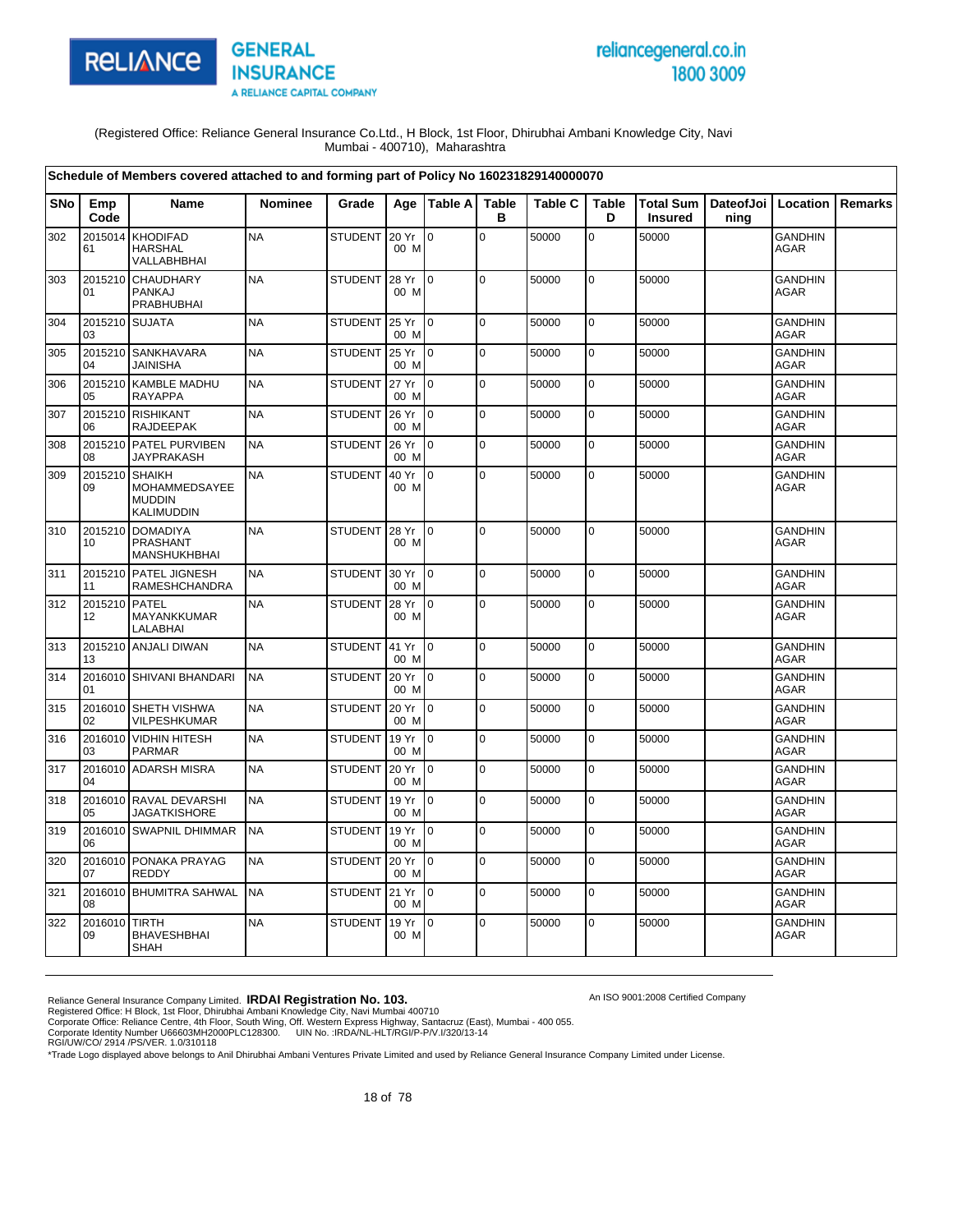

# reliancegeneral.co.in 1800 3009

An ISO 9001:2008 Certified Company

(Registered Office: Reliance General Insurance Co.Ltd., H Block, 1st Floor, Dhirubhai Ambani Knowledge City, Navi Mumbai - 400710), Maharashtra

|            |               | Schedule of Members covered attached to and forming part of Policy No 160231829140000070 |                |                |               |                |                   |                |                   |                               |      |                               |         |
|------------|---------------|------------------------------------------------------------------------------------------|----------------|----------------|---------------|----------------|-------------------|----------------|-------------------|-------------------------------|------|-------------------------------|---------|
| <b>SNo</b> | Emp<br>Code   | <b>Name</b>                                                                              | <b>Nominee</b> | Grade          | Age           | Table A        | <b>Table</b><br>в | <b>Table C</b> | <b>Table</b><br>D | Total Sum  <br><b>Insured</b> | ning | DateofJoi   Location          | Remarks |
| 302        | 2015014<br>61 | <b>KHODIFAD</b><br><b>HARSHAL</b><br>VALLABHBHAI                                         | <b>NA</b>      | <b>STUDENT</b> | 20 Yr<br>00 M | $\overline{0}$ | $\mathsf 0$       | 50000          | $\mathbf 0$       | 50000                         |      | <b>GANDHIN</b><br><b>AGAR</b> |         |
| 303        | 2015210<br>01 | <b>CHAUDHARY</b><br>PANKAJ<br>PRABHUBHAI                                                 | <b>NA</b>      | <b>STUDENT</b> | 28 Yr<br>00 M | $\mathbf 0$    | l o               | 50000          | $\mathbf 0$       | 50000                         |      | <b>GANDHIN</b><br>AGAR        |         |
| 304        | 2015210<br>03 | <b>SUJATA</b>                                                                            | <b>NA</b>      | <b>STUDENT</b> | 25 Yr<br>00 M | $\Omega$       | $\mathbf 0$       | 50000          | $\mathbf 0$       | 50000                         |      | <b>GANDHIN</b><br><b>AGAR</b> |         |
| 305        | 2015210<br>04 | <b>SANKHAVARA</b><br><b>JAINISHA</b>                                                     | <b>NA</b>      | <b>STUDENT</b> | 25 Yr<br>00 M | I0             | l O               | 50000          | $\pmb{0}$         | 50000                         |      | <b>GANDHIN</b><br><b>AGAR</b> |         |
| 306        | 2015210<br>05 | <b>KAMBLE MADHU</b><br><b>RAYAPPA</b>                                                    | <b>NA</b>      | <b>STUDENT</b> | 27 Yr<br>00 M | $\Omega$       | $\pmb{0}$         | 50000          | $\pmb{0}$         | 50000                         |      | <b>GANDHIN</b><br><b>AGAR</b> |         |
| 307        | 2015210<br>06 | <b>RISHIKANT</b><br><b>RAJDEEPAK</b>                                                     | <b>NA</b>      | <b>STUDENT</b> | 26 Yr<br>00 M | I0             | $\mathbf 0$       | 50000          | $\mathbf 0$       | 50000                         |      | <b>GANDHIN</b><br>AGAR        |         |
| 308        | 08            | 2015210 PATEL PURVIBEN<br><b>JAYPRAKASH</b>                                              | <b>NA</b>      | <b>STUDENT</b> | 26 Yr<br>00 M | I0             | $\mathbf 0$       | 50000          | 0                 | 50000                         |      | <b>GANDHIN</b><br><b>AGAR</b> |         |
| 309        | 2015210<br>09 | <b>SHAIKH</b><br>MOHAMMEDSAYEE<br><b>MUDDIN</b><br>KALIMUDDIN                            | <b>NA</b>      | <b>STUDENT</b> | 40 Yr<br>00 M | lo.            | $\Omega$          | 50000          | $\mathbf 0$       | 50000                         |      | <b>GANDHIN</b><br><b>AGAR</b> |         |
| 310        | 2015210<br>10 | <b>DOMADIYA</b><br>PRASHANT<br>MANSHUKHBHAI                                              | <b>NA</b>      | <b>STUDENT</b> | 28 Yr<br>00 M | $10^{-1}$      | $\pmb{0}$         | 50000          | $\pmb{0}$         | 50000                         |      | <b>GANDHIN</b><br><b>AGAR</b> |         |
| 311        | 2015210<br>11 | <b>PATEL JIGNESH</b><br>RAMESHCHANDRA                                                    | <b>NA</b>      | <b>STUDENT</b> | 30 Yr<br>00 M | I <sub>0</sub> | $\mathbf 0$       | 50000          | $\mathbf 0$       | 50000                         |      | <b>GANDHIN</b><br><b>AGAR</b> |         |
| 312        | 2015210<br>12 | <b>PATEL</b><br>MAYANKKUMAR<br>LALABHAI                                                  | <b>NA</b>      | <b>STUDENT</b> | 28 Yr<br>00 M | $\mathsf{I}$   | $\mathbf 0$       | 50000          | $\mathbf 0$       | 50000                         |      | <b>GANDHIN</b><br>AGAR        |         |
| 313        | 2015210<br>13 | <b>ANJALI DIWAN</b>                                                                      | <b>NA</b>      | <b>STUDENT</b> | 41 Yr<br>00 M | I <sub>0</sub> | $\pmb{0}$         | 50000          | $\pmb{0}$         | 50000                         |      | <b>GANDHIN</b><br><b>AGAR</b> |         |
| 314        | 2016010<br>01 | SHIVANI BHANDARI                                                                         | <b>NA</b>      | <b>STUDENT</b> | 20 Yr<br>00 M | I0             | $\mathbf 0$       | 50000          | 0                 | 50000                         |      | <b>GANDHIN</b><br><b>AGAR</b> |         |
| 315        | 02            | 2016010 SHETH VISHWA<br>VILPESHKUMAR                                                     | <b>NA</b>      | <b>STUDENT</b> | 20 Yr<br>00 M | l o            | $\Omega$          | 50000          | $\mathbf 0$       | 50000                         |      | <b>GANDHIN</b><br>AGAR        |         |
| 316        | 03            | 2016010 VIDHIN HITESH<br><b>PARMAR</b>                                                   | <b>NA</b>      | <b>STUDENT</b> | 19 Yr<br>00 M | Io.            | $\mathbf 0$       | 50000          | $\mathbf 0$       | 50000                         |      | <b>GANDHIN</b><br>AGAR        |         |
| 317        | 04            | 2016010 ADARSH MISRA                                                                     | <b>NA</b>      | <b>STUDENT</b> | 20 Yr<br>00 M | l o            | $\mathbf 0$       | 50000          | $\mathbf 0$       | 50000                         |      | <b>GANDHIN</b><br><b>AGAR</b> |         |
| 318        | 2016010<br>05 | <b>RAVAL DEVARSHI</b><br><b>JAGATKISHORE</b>                                             | <b>NA</b>      | <b>STUDENT</b> | 19 Yr<br>00 M | l 0            | $\Omega$          | 50000          | 0                 | 50000                         |      | <b>GANDHIN</b><br><b>AGAR</b> |         |
| 319        | 2016010<br>06 | <b>SWAPNIL DHIMMAR</b>                                                                   | <b>NA</b>      | <b>STUDENT</b> | 19 Yr<br>00 M | $\overline{0}$ | $\pmb{0}$         | 50000          | $\pmb{0}$         | 50000                         |      | <b>GANDHIN</b><br><b>AGAR</b> |         |
| 320        | 2016010<br>07 | PONAKA PRAYAG<br>REDDY                                                                   | <b>NA</b>      | <b>STUDENT</b> | 20 Yr<br>00 M | lo.            | $\mathbf 0$       | 50000          | $\mathbf 0$       | 50000                         |      | <b>GANDHIN</b><br><b>AGAR</b> |         |
| 321        | 2016010<br>08 | <b>BHUMITRA SAHWAL</b>                                                                   | <b>NA</b>      | <b>STUDENT</b> | 21 Yr<br>00 M | lo.            | $\overline{0}$    | 50000          | $\pmb{0}$         | 50000                         |      | <b>GANDHIN</b><br>AGAR        |         |
| 322        | 2016010<br>09 | <b>TIRTH</b><br><b>BHAVESHBHAI</b><br>SHAH                                               | <b>NA</b>      | <b>STUDENT</b> | 19 Yr<br>00 M | lo.            | $\mathbf 0$       | 50000          | 0                 | 50000                         |      | <b>GANDHIN</b><br>AGAR        |         |

Reliance General Insurance Company Limited. **IRDAI Registration No. 103.**<br>Registered Office: H Block, 1st Floor, Dhirubhai Ambani Knowledge City, Navi Mumbai 400710<br>Corporate Office: Reliance Centre, 4th Floor, South Wing,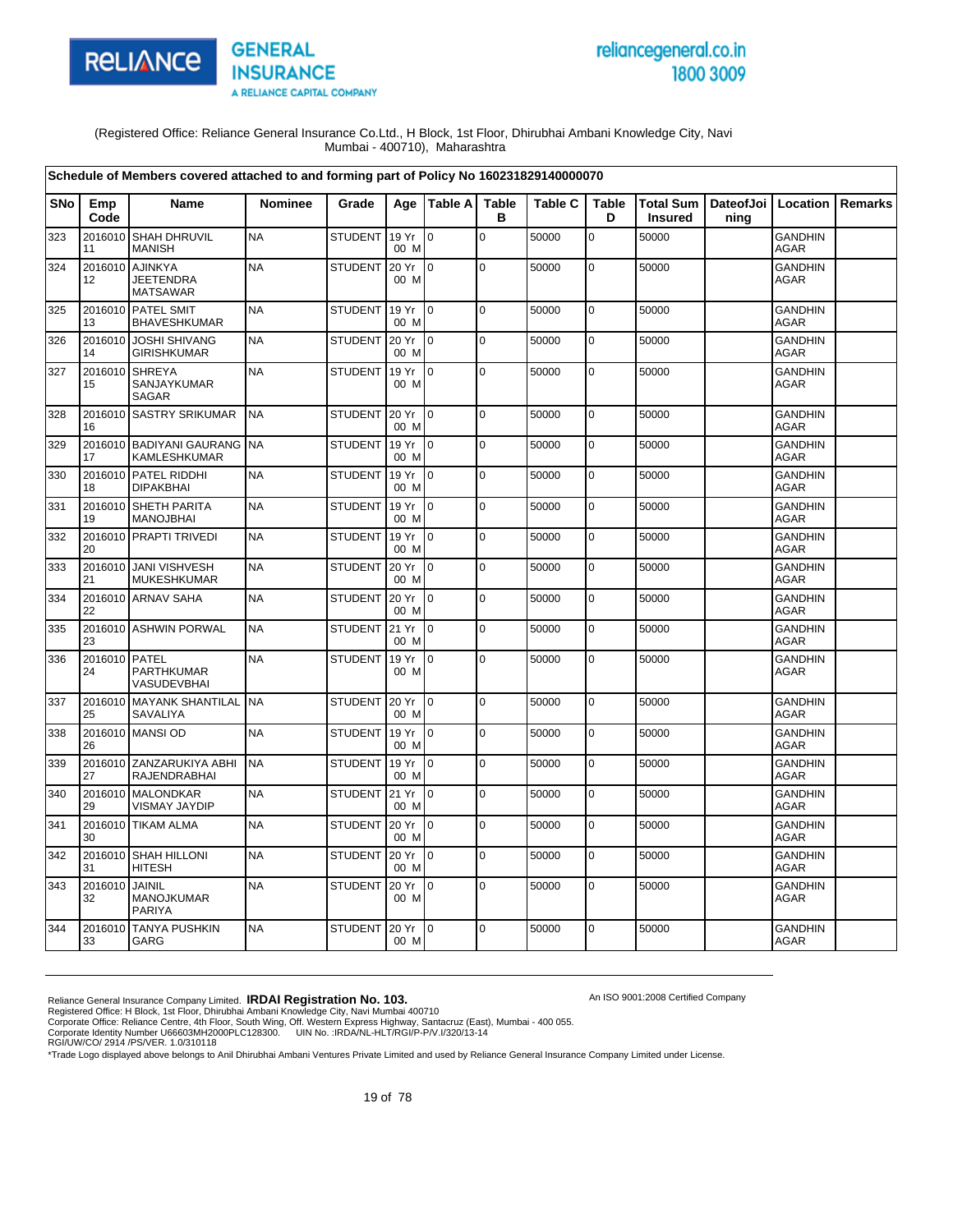



An ISO 9001:2008 Certified Company

(Registered Office: Reliance General Insurance Co.Ltd., H Block, 1st Floor, Dhirubhai Ambani Knowledge City, Navi Mumbai - 400710), Maharashtra

|            |                     | Schedule of Members covered attached to and forming part of Policy No 160231829140000070 |                |                |               |                 |                   |                |                   |                                    |                              |                               |         |
|------------|---------------------|------------------------------------------------------------------------------------------|----------------|----------------|---------------|-----------------|-------------------|----------------|-------------------|------------------------------------|------------------------------|-------------------------------|---------|
| <b>SNo</b> | Emp<br>Code         | Name                                                                                     | <b>Nominee</b> | Grade          |               | Age   Table A   | <b>Table</b><br>в | <b>Table C</b> | <b>Table</b><br>D | <b>Total Sum</b><br><b>Insured</b> | DateofJoi   Location<br>ning |                               | Remarks |
| 323        | 2016010<br>11       | <b>SHAH DHRUVIL</b><br><b>MANISH</b>                                                     | <b>NA</b>      | <b>STUDENT</b> | 19 Yr<br>00 M | $\overline{0}$  | $\mathbf 0$       | 50000          | $\mathbf 0$       | 50000                              |                              | <b>GANDHIN</b><br>AGAR        |         |
| 324        | 2016010<br>12       | <b>AJINKYA</b><br><b>JEETENDRA</b><br><b>MATSAWAR</b>                                    | <b>NA</b>      | STUDENT        | 20 Yr<br>00 M | $\mathsf{I}$    | $\mathbf 0$       | 50000          | $\pmb{0}$         | 50000                              |                              | <b>GANDHIN</b><br><b>AGAR</b> |         |
| 325        | 13                  | 2016010 PATEL SMIT<br><b>BHAVESHKUMAR</b>                                                | <b>NA</b>      | <b>STUDENT</b> | 19 Yr<br>00 M | $\overline{10}$ | $\mathbf 0$       | 50000          | 0                 | 50000                              |                              | <b>GANDHIN</b><br>AGAR        |         |
| 326        | 2016010<br>14       | <b>JOSHI SHIVANG</b><br><b>GIRISHKUMAR</b>                                               | <b>NA</b>      | STUDENT        | 20 Yr<br>00 M | $\overline{10}$ | $\mathbf 0$       | 50000          | $\mathbf 0$       | 50000                              |                              | <b>GANDHIN</b><br><b>AGAR</b> |         |
| 327        | 2016010<br>15       | <b>SHREYA</b><br>SANJAYKUMAR<br>SAGAR                                                    | <b>NA</b>      | <b>STUDENT</b> | 19 Yr<br>00 M | I <sub>0</sub>  | $\mathbf 0$       | 50000          | $\mathbf 0$       | 50000                              |                              | <b>GANDHIN</b><br>AGAR        |         |
| 328        | 16                  | 2016010 SASTRY SRIKUMAR                                                                  | <b>NA</b>      | STUDENT        | 20 Yr<br>00 M | I <sub>0</sub>  | l O               | 50000          | $\pmb{0}$         | 50000                              |                              | <b>GANDHIN</b><br><b>AGAR</b> |         |
| 329        | 2016010<br>17       | <b>BADIYANI GAURANG</b><br>KAMLESHKUMAR                                                  | <b>NA</b>      | <b>STUDENT</b> | 19 Yr<br>00 M | $\overline{10}$ | $\pmb{0}$         | 50000          | $\mathbf 0$       | 50000                              |                              | <b>GANDHIN</b><br><b>AGAR</b> |         |
| 330        | 18                  | 2016010 PATEL RIDDHI<br><b>DIPAKBHAI</b>                                                 | <b>NA</b>      | <b>STUDENT</b> | 19 Yr<br>00 M | I <sub>0</sub>  | $\mathbf 0$       | 50000          | $\mathbf 0$       | 50000                              |                              | <b>GANDHIN</b><br><b>AGAR</b> |         |
| 331        | 19                  | 2016010 SHETH PARITA<br><b>MANOJBHAI</b>                                                 | <b>NA</b>      | <b>STUDENT</b> | 19 Yr<br>00 M | I <sub>0</sub>  | $\mathbf 0$       | 50000          | $\mathbf 0$       | 50000                              |                              | <b>GANDHIN</b><br>AGAR        |         |
| 332        | 20                  | 2016010 PRAPTI TRIVEDI                                                                   | <b>NA</b>      | <b>STUDENT</b> | 19 Yr<br>00 M | I <sub>0</sub>  | 0                 | 50000          | $\mathbf 0$       | 50000                              |                              | <b>GANDHIN</b><br>AGAR        |         |
| 333        | 21                  | 2016010 JANI VISHVESH<br><b>MUKESHKUMAR</b>                                              | <b>NA</b>      | STUDENT        | 20 Yr<br>00 M | $\overline{10}$ | $\mathbf 0$       | 50000          | $\mathbf 0$       | 50000                              |                              | <b>GANDHIN</b><br><b>AGAR</b> |         |
| 334        | 22                  | 2016010 ARNAV SAHA                                                                       | <b>NA</b>      | <b>STUDENT</b> | 20 Yr<br>00 M | I <sub>0</sub>  | $\mathbf 0$       | 50000          | 0                 | 50000                              |                              | <b>GANDHIN</b><br><b>AGAR</b> |         |
| 335        | 23                  | 2016010 ASHWIN PORWAL                                                                    | <b>NA</b>      | <b>STUDENT</b> | 21 Yr<br>00 M | $\overline{0}$  | $\pmb{0}$         | 50000          | 0                 | 50000                              |                              | <b>GANDHIN</b><br><b>AGAR</b> |         |
| 336        | 2016010 PATEL<br>24 | PARTHKUMAR<br>VASUDEVBHAI                                                                | <b>NA</b>      | <b>STUDENT</b> | 19 Yr<br>00 M | $\overline{10}$ | $\overline{0}$    | 50000          | $\mathbf 0$       | 50000                              |                              | <b>GANDHIN</b><br><b>AGAR</b> |         |
| 337        | 25                  | 2016010 MAYANK SHANTILAL<br>SAVALIYA                                                     | <b>NA</b>      | <b>STUDENT</b> | 20 Yr<br>00 M | $\overline{10}$ | $\pmb{0}$         | 50000          | 0                 | 50000                              |                              | <b>GANDHIN</b><br><b>AGAR</b> |         |
| 338        | 26                  | 2016010 MANSI OD                                                                         | <b>NA</b>      | <b>STUDENT</b> | 19 Yr<br>00 M | I <sub>0</sub>  | $\Omega$          | 50000          | $\mathbf 0$       | 50000                              |                              | <b>GANDHIN</b><br><b>AGAR</b> |         |
| 339        | 2016010<br>27       | ZANZARUKIYA ABHI<br>RAJENDRABHAI                                                         | <b>NA</b>      | <b>STUDENT</b> | 19 Yr<br>00 M | $\overline{10}$ | $\mathbf 0$       | 50000          | $\mathbf 0$       | 50000                              |                              | <b>GANDHIN</b><br>AGAR        |         |
| 340        | 29                  | 2016010 MALONDKAR<br>VISMAY JAYDIP                                                       | <b>NA</b>      | <b>STUDENT</b> | 21 Yr<br>00 M | $\overline{10}$ | $\mathbf 0$       | 50000          | $\mathbf 0$       | 50000                              |                              | <b>GANDHIN</b><br>AGAR        |         |
| 341        | 2016010<br>30       | <b>TIKAM ALMA</b>                                                                        | <b>NA</b>      | <b>STUDENT</b> | 20 Yr<br>00 M | $\overline{10}$ | $\mathbf 0$       | 50000          | $\mathbf 0$       | 50000                              |                              | <b>GANDHIN</b><br><b>AGAR</b> |         |
| 342        | 31                  | 2016010 SHAH HILLONI<br>HITESH                                                           | <b>NA</b>      | STUDENT 20 Yr  | 00 M          | I <sub>0</sub>  | $\mathbf 0$       | 50000          | $\pmb{0}$         | 50000                              |                              | <b>GANDHIN</b><br><b>AGAR</b> |         |
| 343        | 2016010<br>32       | JAINIL<br>MANOJKUMAR<br><b>PARIYA</b>                                                    | <b>NA</b>      | <b>STUDENT</b> | 20 Yr<br>00 M | $\overline{10}$ | $\pmb{0}$         | 50000          | 0                 | 50000                              |                              | <b>GANDHIN</b><br><b>AGAR</b> |         |
| 344        | 2016010<br>33       | <b>TANYA PUSHKIN</b><br>GARG                                                             | <b>NA</b>      | <b>STUDENT</b> | 20 Yr<br>00 M | $\overline{10}$ | $\mathbf 0$       | 50000          | 0                 | 50000                              |                              | <b>GANDHIN</b><br>AGAR        |         |

Reliance General Insurance Company Limited. **IRDAI Registration No. 103.**<br>Registered Office: H Block, 1st Floor, Dhirubhai Ambani Knowledge City, Navi Mumbai 400710<br>Corporate Office: Reliance Centre, 4th Floor, South Wing,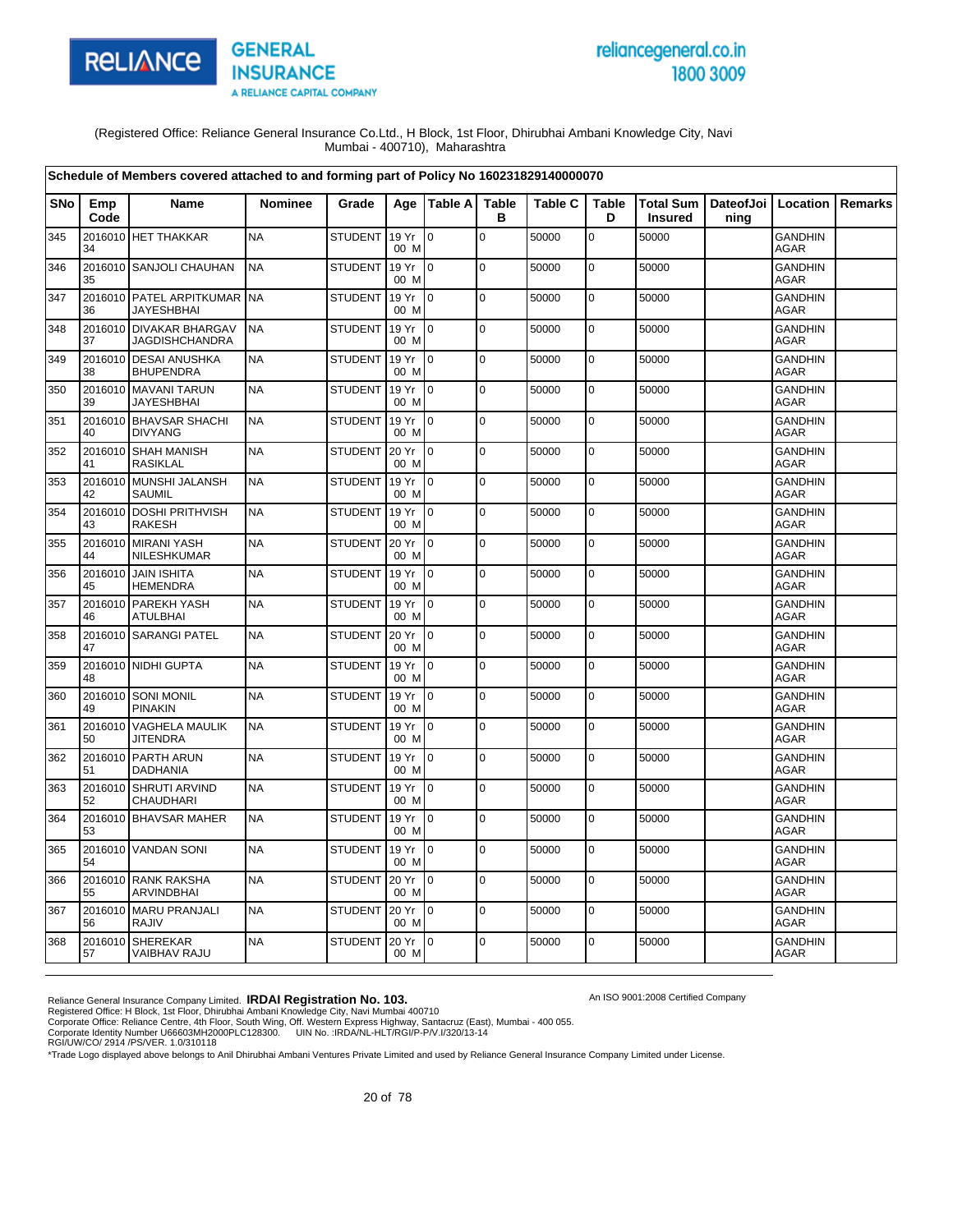

# reliancegeneral.co.in 1800 3009

An ISO 9001:2008 Certified Company

(Registered Office: Reliance General Insurance Co.Ltd., H Block, 1st Floor, Dhirubhai Ambani Knowledge City, Navi Mumbai - 400710), Maharashtra

|     |               | Schedule of Members covered attached to and forming part of Policy No 160231829140000070 |                |                |               |                 |                   |                |                   |                                                      |      |                               |                |
|-----|---------------|------------------------------------------------------------------------------------------|----------------|----------------|---------------|-----------------|-------------------|----------------|-------------------|------------------------------------------------------|------|-------------------------------|----------------|
| SNo | Emp<br>Code   | Name                                                                                     | <b>Nominee</b> | Grade          |               | Age   Table A   | <b>Table</b><br>в | <b>Table C</b> | <b>Table</b><br>D | Total Sum   DateofJoi   Location  <br><b>Insured</b> | ning |                               | <b>Remarks</b> |
| 345 | 34            | 2016010 HET THAKKAR                                                                      | <b>NA</b>      | <b>STUDENT</b> | 19 Yr<br>00 M | l 0             | $\mathbf 0$       | 50000          | $\mathbf 0$       | 50000                                                |      | <b>GANDHIN</b><br><b>AGAR</b> |                |
| 346 | 35            | 2016010 SANJOLI CHAUHAN                                                                  | <b>NA</b>      | <b>STUDENT</b> | 19 Yr<br>00 M | I <sub>0</sub>  | 0                 | 50000          | 0                 | 50000                                                |      | <b>GANDHIN</b><br><b>AGAR</b> |                |
| 347 | 36            | 2016010 PATEL ARPITKUMAR NA<br><b>JAYESHBHAI</b>                                         |                | <b>STUDENT</b> | 19 Yr<br>00 M | $\overline{10}$ | $\mathbf 0$       | 50000          | $\mathbf 0$       | 50000                                                |      | <b>GANDHIN</b><br><b>AGAR</b> |                |
| 348 | 37            | 2016010 DIVAKAR BHARGAV<br><b>JAGDISHCHANDRA</b>                                         | <b>NA</b>      | <b>STUDENT</b> | 19 Yr<br>00 M | I <sub>0</sub>  | $\Omega$          | 50000          | 0                 | 50000                                                |      | <b>GANDHIN</b><br><b>AGAR</b> |                |
| 349 | 38            | 2016010 DESAI ANUSHKA<br><b>BHUPENDRA</b>                                                | <b>NA</b>      | <b>STUDENT</b> | 19 Yr<br>00 M | $\overline{10}$ | $\mathbf 0$       | 50000          | $\mathbf 0$       | 50000                                                |      | <b>GANDHIN</b><br><b>AGAR</b> |                |
| 350 | 39            | 2016010 MAVANI TARUN<br><b>JAYESHBHAI</b>                                                | <b>NA</b>      | <b>STUDENT</b> | 19 Yr<br>00 M | I0              | $\mathbf 0$       | 50000          | $\mathbf 0$       | 50000                                                |      | <b>GANDHIN</b><br><b>AGAR</b> |                |
| 351 | 40            | 2016010 BHAVSAR SHACHI<br><b>DIVYANG</b>                                                 | <b>NA</b>      | <b>STUDENT</b> | 19 Yr<br>00 M | $\overline{10}$ | $\mathbf 0$       | 50000          | $\mathbf 0$       | 50000                                                |      | <b>GANDHIN</b><br>AGAR        |                |
| 352 | 41            | 2016010 SHAH MANISH<br><b>RASIKLAL</b>                                                   | <b>NA</b>      | <b>STUDENT</b> | 20 Yr<br>00 M | I0              | $\mathbf 0$       | 50000          | $\mathbf 0$       | 50000                                                |      | <b>GANDHIN</b><br>AGAR        |                |
| 353 | 42            | 2016010 MUNSHI JALANSH<br><b>SAUMIL</b>                                                  | <b>NA</b>      | <b>STUDENT</b> | 19 Yr<br>00 M | $\overline{10}$ | $\mathbf 0$       | 50000          | 0                 | 50000                                                |      | <b>GANDHIN</b><br><b>AGAR</b> |                |
| 354 | 43            | 2016010 DOSHI PRITHVISH<br><b>RAKESH</b>                                                 | <b>NA</b>      | <b>STUDENT</b> | 19 Yr<br>00 M | I0              | $\mathbf 0$       | 50000          | 0                 | 50000                                                |      | <b>GANDHIN</b><br><b>AGAR</b> |                |
| 355 | 44            | 2016010 MIRANI YASH<br>NILESHKUMAR                                                       | <b>NA</b>      | <b>STUDENT</b> | 20 Yr<br>00 M | I <sub>0</sub>  | $\mathbf 0$       | 50000          | 0                 | 50000                                                |      | <b>GANDHIN</b><br><b>AGAR</b> |                |
| 356 | 45            | 2016010 JAIN ISHITA<br><b>HEMENDRA</b>                                                   | <b>NA</b>      | <b>STUDENT</b> | 19 Yr<br>00 M | I <sub>0</sub>  | $\Omega$          | 50000          | $\mathbf 0$       | 50000                                                |      | <b>GANDHIN</b><br><b>AGAR</b> |                |
| 357 | 46            | 2016010 PAREKH YASH<br><b>ATULBHAI</b>                                                   | <b>NA</b>      | <b>STUDENT</b> | 19 Yr<br>00 M | $\overline{10}$ | $\mathbf 0$       | 50000          | 0                 | 50000                                                |      | <b>GANDHIN</b><br><b>AGAR</b> |                |
| 358 | 47            | 2016010 SARANGI PATEL                                                                    | <b>NA</b>      | <b>STUDENT</b> | 20 Yr<br>00 M | $\overline{10}$ | $\overline{0}$    | 50000          | $\mathbf 0$       | 50000                                                |      | GANDHIN<br>AGAR               |                |
| 359 | 48            | 2016010 NIDHI GUPTA                                                                      | <b>NA</b>      | <b>STUDENT</b> | 19 Yr<br>00 M | l0              | $\mathbf 0$       | 50000          | $\mathbf 0$       | 50000                                                |      | <b>GANDHIN</b><br>AGAR        |                |
| 360 | 2016010<br>49 | <b>SONI MONIL</b><br><b>PINAKIN</b>                                                      | <b>NA</b>      | <b>STUDENT</b> | 19 Yr<br>00 M | $\overline{10}$ | $\Omega$          | 50000          | $\mathbf 0$       | 50000                                                |      | <b>GANDHIN</b><br>AGAR        |                |
| 361 | 50            | 2016010 VAGHELA MAULIK<br><b>JITENDRA</b>                                                | <b>NA</b>      | <b>STUDENT</b> | 19 Yr<br>00 M | Io.             | $\mathbf 0$       | 50000          | 0                 | 50000                                                |      | <b>GANDHIN</b><br><b>AGAR</b> |                |
| 362 | 51            | 2016010 PARTH ARUN<br><b>DADHANIA</b>                                                    | <b>NA</b>      | <b>STUDENT</b> | 19 Yr<br>00 M | I <sub>0</sub>  | $\mathbf 0$       | 50000          | $\mathbf 0$       | 50000                                                |      | <b>GANDHIN</b><br><b>AGAR</b> |                |
| 363 | 52            | 2016010 SHRUTI ARVIND<br>CHAUDHARI                                                       | <b>NA</b>      | <b>STUDENT</b> | 19 Yr<br>00 M | $\overline{10}$ | $\mathbf 0$       | 50000          | 0                 | 50000                                                |      | <b>GANDHIN</b><br>AGAR        |                |
| 364 | 53            | 2016010 BHAVSAR MAHER                                                                    | <b>NA</b>      | <b>STUDENT</b> | 19 Yr<br>00 M | $\overline{10}$ | $\Omega$          | 50000          | $\mathbf 0$       | 50000                                                |      | <b>GANDHIN</b><br><b>AGAR</b> |                |
| 365 | 54            | 2016010 VANDAN SONI                                                                      | <b>NA</b>      | <b>STUDENT</b> | 19 Yr<br>00 M | $\overline{0}$  | $\mathbf 0$       | 50000          | 0                 | 50000                                                |      | <b>GANDHIN</b><br><b>AGAR</b> |                |
| 366 | 55            | 2016010 RANK RAKSHA<br>ARVINDBHAI                                                        | <b>NA</b>      | <b>STUDENT</b> | 20 Yr<br>00 M | $\overline{10}$ | $\mathbf 0$       | 50000          | $\mathbf 0$       | 50000                                                |      | <b>GANDHIN</b><br><b>AGAR</b> |                |
| 367 | 56            | 2016010 MARU PRANJALI<br><b>RAJIV</b>                                                    | <b>NA</b>      | <b>STUDENT</b> | 20 Yr<br>00 M | $\overline{10}$ | $\mathbf 0$       | 50000          | $\pmb{0}$         | 50000                                                |      | <b>GANDHIN</b><br>AGAR        |                |
| 368 | 57            | 2016010 SHEREKAR<br>VAIBHAV RAJU                                                         | <b>NA</b>      | <b>STUDENT</b> | 20 Yr<br>00 M | I <sub>0</sub>  | $\Omega$          | 50000          | $\mathbf 0$       | 50000                                                |      | <b>GANDHIN</b><br>AGAR        |                |

Reliance General Insurance Company Limited. **IRDAI Registration No. 103.**<br>Registered Office: H Block, 1st Floor, Dhirubhai Ambani Knowledge City, Navi Mumbai 400710<br>Corporate Office: Reliance Centre, 4th Floor, South Wing,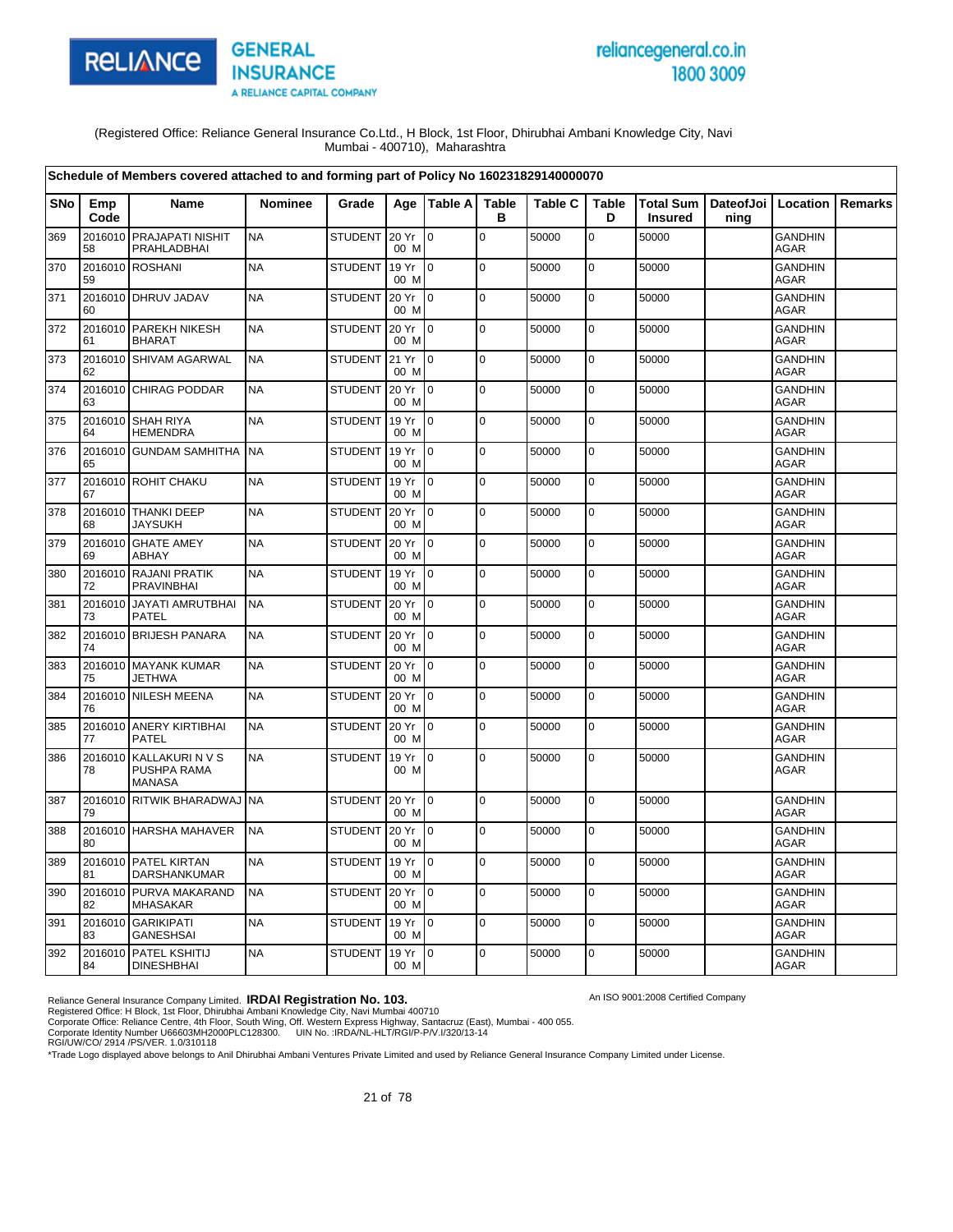

# reliancegeneral.co.in 1800 3009

An ISO 9001:2008 Certified Company

(Registered Office: Reliance General Insurance Co.Ltd., H Block, 1st Floor, Dhirubhai Ambani Knowledge City, Navi Mumbai - 400710), Maharashtra

|     |               | Schedule of Members covered attached to and forming part of Policy No 160231829140000070 |                |                |                 |                 |                   |                |                   |                                                      |      |                               |         |
|-----|---------------|------------------------------------------------------------------------------------------|----------------|----------------|-----------------|-----------------|-------------------|----------------|-------------------|------------------------------------------------------|------|-------------------------------|---------|
| SNo | Emp<br>Code   | <b>Name</b>                                                                              | <b>Nominee</b> | Grade          |                 | Age   Table A   | <b>Table</b><br>B | <b>Table C</b> | <b>Table</b><br>D | Total Sum   DateofJoi   Location  <br><b>Insured</b> | ning |                               | Remarks |
| 369 | 2016010<br>58 | PRAJAPATI NISHIT<br>PRAHLADBHAI                                                          | <b>NA</b>      | <b>STUDENT</b> | 20 Yr<br>00 M   | lo.             | $\mathsf 0$       | 50000          | $\mathbf 0$       | 50000                                                |      | <b>GANDHIN</b><br><b>AGAR</b> |         |
| 370 | 59            | 2016010 ROSHANI                                                                          | <b>NA</b>      | <b>STUDENT</b> | 19 Yr<br>00 M   | lo.             | $\mathbf 0$       | 50000          | $\mathbf 0$       | 50000                                                |      | <b>GANDHIN</b><br><b>AGAR</b> |         |
| 371 | 60            | 2016010 DHRUV JADAV                                                                      | <b>NA</b>      | <b>STUDENT</b> | 20 Yr<br>00 M   | I <sub>0</sub>  | $\mathbf 0$       | 50000          | $\mathbf 0$       | 50000                                                |      | <b>GANDHIN</b><br><b>AGAR</b> |         |
| 372 | 61            | 2016010 PAREKH NIKESH<br><b>BHARAT</b>                                                   | <b>NA</b>      | <b>STUDENT</b> | 20 Yr<br>00 M   | $\overline{10}$ | $\mathbf 0$       | 50000          | $\mathbf 0$       | 50000                                                |      | <b>GANDHIN</b><br><b>AGAR</b> |         |
| 373 | 62            | 2016010 SHIVAM AGARWAL                                                                   | <b>NA</b>      | <b>STUDENT</b> | 21 Yr<br>00 M   | $\overline{0}$  | $\mathbf 0$       | 50000          | 0                 | 50000                                                |      | <b>GANDHIN</b><br>AGAR        |         |
| 374 | 63            | 2016010 CHIRAG PODDAR                                                                    | <b>NA</b>      | <b>STUDENT</b> | 20 Yr<br>00 M   | lo.             | $\mathbf 0$       | 50000          | $\mathbf 0$       | 50000                                                |      | <b>GANDHIN</b><br>AGAR        |         |
| 375 | 64            | 2016010 SHAH RIYA<br><b>HEMENDRA</b>                                                     | <b>NA</b>      | <b>STUDENT</b> | 19 Yr<br>00 M   | $\overline{10}$ | $\mathbf 0$       | 50000          | $\pmb{0}$         | 50000                                                |      | <b>GANDHIN</b><br><b>AGAR</b> |         |
| 376 | 65            | 2016010 GUNDAM SAMHITHA                                                                  | <b>NA</b>      | <b>STUDENT</b> | 19 Yr<br>00 M   | lo.             | $\mathbf 0$       | 50000          | $\mathbf 0$       | 50000                                                |      | <b>GANDHIN</b><br><b>AGAR</b> |         |
| 377 | 67            | 2016010 ROHIT CHAKU                                                                      | <b>NA</b>      | <b>STUDENT</b> | 19 Yr<br>00 M   | $\overline{10}$ | $\mathbf 0$       | 50000          | 0                 | 50000                                                |      | <b>GANDHIN</b><br><b>AGAR</b> |         |
| 378 | 68            | 2016010 THANKI DEEP<br><b>JAYSUKH</b>                                                    | <b>NA</b>      | <b>STUDENT</b> | 20 Yr<br>00 M   | I0              | $\mathbf 0$       | 50000          | 0                 | 50000                                                |      | <b>GANDHIN</b><br><b>AGAR</b> |         |
| 379 | 69            | 2016010 GHATE AMEY<br>ABHAY                                                              | <b>NA</b>      | <b>STUDENT</b> | 20 Yr<br>00 M   | $\overline{10}$ | $\overline{0}$    | 50000          | $\mathbf 0$       | 50000                                                |      | <b>GANDHIN</b><br><b>AGAR</b> |         |
| 380 | 72            | 2016010 RAJANI PRATIK<br><b>PRAVINBHAI</b>                                               | <b>NA</b>      | <b>STUDENT</b> | 19 Yr<br>00 M   | $\overline{10}$ | $\mathbf 0$       | 50000          | $\pmb{0}$         | 50000                                                |      | <b>GANDHIN</b><br>AGAR        |         |
| 381 | 2016010<br>73 | JAYATI AMRUTBHAI<br><b>PATEL</b>                                                         | <b>NA</b>      | <b>STUDENT</b> | 20 Yr<br>00 M   | l 0             | $\mathbf 0$       | 50000          | 0                 | 50000                                                |      | <b>GANDHIN</b><br>AGAR        |         |
| 382 | 74            | 2016010 BRIJESH PANARA                                                                   | <b>NA</b>      | <b>STUDENT</b> | 20 Yr<br>00 M   | I <sub>0</sub>  | $\mathbf 0$       | 50000          | $\mathbf 0$       | 50000                                                |      | <b>GANDHIN</b><br><b>AGAR</b> |         |
| 383 | 75            | 2016010 MAYANK KUMAR<br><b>JETHWA</b>                                                    | <b>NA</b>      | <b>STUDENT</b> | 20 Yr<br>00 M   | $\overline{10}$ | $\mathbf 0$       | 50000          | 0                 | 50000                                                |      | <b>GANDHIN</b><br><b>AGAR</b> |         |
| 384 | 76            | 2016010 NILESH MEENA                                                                     | <b>NA</b>      | <b>STUDENT</b> | 20 Yr<br>00 M   | I <sub>0</sub>  | $\Omega$          | 50000          | $\mathbf 0$       | 50000                                                |      | <b>GANDHIN</b><br><b>AGAR</b> |         |
| 385 | 77            | 2016010 ANERY KIRTIBHAI<br><b>PATEL</b>                                                  | <b>NA</b>      | <b>STUDENT</b> | 20 Yr<br>00 M   | $\overline{10}$ | $\mathbf 0$       | 50000          | 0                 | 50000                                                |      | <b>GANDHIN</b><br><b>AGAR</b> |         |
| 386 | 2016010<br>78 | KALLAKURIN V S<br>PUSHPA RAMA<br><b>MANASA</b>                                           | <b>NA</b>      | <b>STUDENT</b> | 19 Yr<br>00 M   | $\overline{0}$  | $\mathbf 0$       | 50000          | 0                 | 50000                                                |      | <b>GANDHIN</b><br>AGAR        |         |
| 387 | 79            | 2016010 RITWIK BHARADWAJ                                                                 | <b>NA</b>      | <b>STUDENT</b> | 20 Yr<br>00 M   | l0              | $\mathbf 0$       | 50000          | $\pmb{0}$         | 50000                                                |      | <b>GANDHIN</b><br>AGAR        |         |
| 388 | 80            | 2016010 HARSHA MAHAVER                                                                   | <b>NA</b>      | <b>STUDENT</b> | 20 Yr<br>00 M   | $\overline{10}$ | $\mathbf 0$       | 50000          | 0                 | 50000                                                |      | <b>GANDHIN</b><br>AGAR        |         |
| 389 | 81            | 2016010 PATEL KIRTAN<br>DARSHANKUMAR                                                     | <b>NA</b>      | <b>STUDENT</b> | 19 Yr<br>00 M   | $\overline{10}$ | $\mathsf 0$       | 50000          | 0                 | 50000                                                |      | <b>GANDHIN</b><br>AGAR        |         |
| 390 | 82            | 2016010 PURVA MAKARAND<br><b>MHASAKAR</b>                                                | <b>NA</b>      | <b>STUDENT</b> | 20 Yr<br>00 M   | Io.             | $\mathbf 0$       | 50000          | 0                 | 50000                                                |      | <b>GANDHIN</b><br><b>AGAR</b> |         |
| 391 | 83            | 2016010 GARIKIPATI<br><b>GANESHSAI</b>                                                   | <b>NA</b>      | <b>STUDENT</b> | 19 Yr<br>00 M   | $\overline{10}$ | $\mathbf 0$       | 50000          | 0                 | 50000                                                |      | <b>GANDHIN</b><br><b>AGAR</b> |         |
| 392 | 84            | 2016010 PATEL KSHITIJ<br><b>DINESHBHAI</b>                                               | <b>NA</b>      | <b>STUDENT</b> | 19 Yr 0<br>00 M |                 | $\mathbf 0$       | 50000          | 0                 | 50000                                                |      | <b>GANDHIN</b><br>AGAR        |         |

Reliance General Insurance Company Limited. **IRDAI Registration No. 103.**<br>Registered Office: H Block, 1st Floor, Dhirubhai Ambani Knowledge City, Navi Mumbai 400710<br>Corporate Office: Reliance Centre, 4th Floor, South Wing,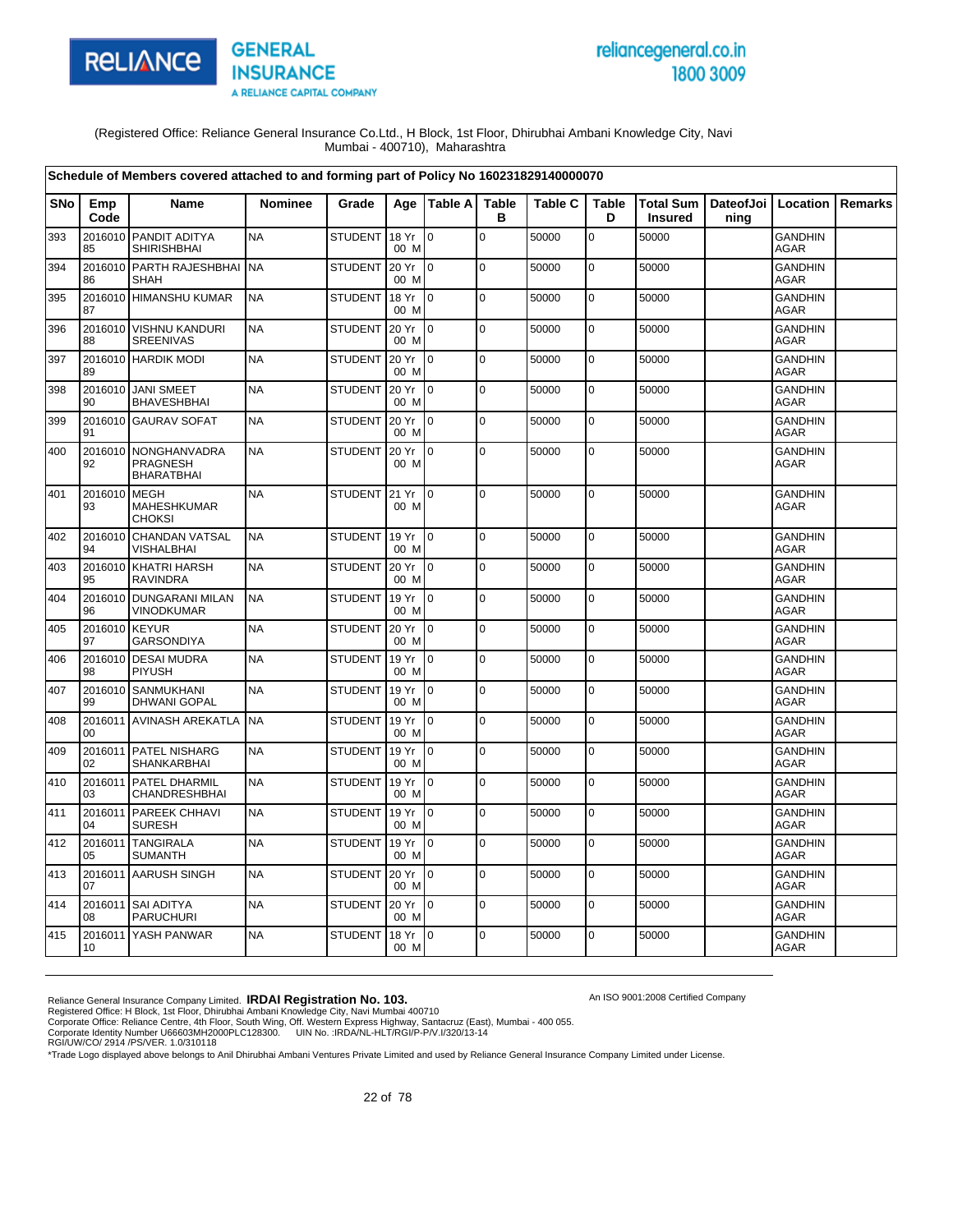

# reliancegeneral.co.in 1800 3009

An ISO 9001:2008 Certified Company

(Registered Office: Reliance General Insurance Co.Ltd., H Block, 1st Floor, Dhirubhai Ambani Knowledge City, Navi Mumbai - 400710), Maharashtra

|     |               | Schedule of Members covered attached to and forming part of Policy No 160231829140000070 |                |                |               |                 |                   |                |                   |                                    |      |                               |                |
|-----|---------------|------------------------------------------------------------------------------------------|----------------|----------------|---------------|-----------------|-------------------|----------------|-------------------|------------------------------------|------|-------------------------------|----------------|
| SNo | Emp<br>Code   | <b>Name</b>                                                                              | <b>Nominee</b> | Grade          | Age           | <b>Table Al</b> | <b>Table</b><br>в | <b>Table C</b> | <b>Table</b><br>D | <b>Total Sum</b><br><b>Insured</b> | ning | DateofJoi   Location          | <b>Remarks</b> |
| 393 | 2016010<br>85 | PANDIT ADITYA<br><b>SHIRISHBHAI</b>                                                      | <b>NA</b>      | STUDENT        | 18 Yr<br>00 M | lo.             | $\mathbf 0$       | 50000          | $\mathbf 0$       | 50000                              |      | <b>GANDHIN</b><br>AGAR        |                |
| 394 | 2016010<br>86 | PARTH RAJESHBHAI<br><b>SHAH</b>                                                          | <b>NA</b>      | <b>STUDENT</b> | 20 Yr<br>00 M | lo.             | $\mathbf 0$       | 50000          | $\pmb{0}$         | 50000                              |      | <b>GANDHIN</b><br><b>AGAR</b> |                |
| 395 | 2016010<br>87 | <b>HIMANSHU KUMAR</b>                                                                    | <b>NA</b>      | <b>STUDENT</b> | 18 Yr<br>00 M | $\overline{0}$  | $\pmb{0}$         | 50000          | $\mathbf 0$       | 50000                              |      | GANDHIN<br><b>AGAR</b>        |                |
| 396 | 88            | 2016010 VISHNU KANDURI<br><b>SREENIVAS</b>                                               | <b>NA</b>      | <b>STUDENT</b> | 20 Yr<br>00 M | l0              | $\pmb{0}$         | 50000          | 0                 | 50000                              |      | <b>GANDHIN</b><br><b>AGAR</b> |                |
| 397 | 89            | 2016010 HARDIK MODI                                                                      | <b>NA</b>      | STUDENT 20 Yr  | 00 M          | lo.             | $\Omega$          | 50000          | $\mathbf 0$       | 50000                              |      | <b>GANDHIN</b><br><b>AGAR</b> |                |
| 398 | 90            | 2016010 JANI SMEET<br><b>BHAVESHBHAI</b>                                                 | <b>NA</b>      | <b>STUDENT</b> | 20 Yr<br>00 M | Io.             | $\mathbf 0$       | 50000          | $\mathbf 0$       | 50000                              |      | <b>GANDHIN</b><br>AGAR        |                |
| 399 | 91            | 2016010 GAURAV SOFAT                                                                     | <b>NA</b>      | <b>STUDENT</b> | 20 Yr<br>00 M | l0              | $\mathbf 0$       | 50000          | $\pmb{0}$         | 50000                              |      | GANDHIN<br><b>AGAR</b>        |                |
| 400 | 2016010<br>92 | NONGHANVADRA<br><b>PRAGNESH</b><br><b>BHARATBHAI</b>                                     | <b>NA</b>      | <b>STUDENT</b> | 20 Yr<br>00 M | I0              | $\mathbf 0$       | 50000          | $\mathbf 0$       | 50000                              |      | <b>GANDHIN</b><br>AGAR        |                |
| 401 | 2016010<br>93 | <b>MEGH</b><br><b>MAHESHKUMAR</b><br><b>CHOKSI</b>                                       | <b>NA</b>      | <b>STUDENT</b> | 21 Yr<br>00 M | I0              | $\mathbf 0$       | 50000          | 0                 | 50000                              |      | <b>GANDHIN</b><br><b>AGAR</b> |                |
| 402 | 2016010<br>94 | CHANDAN VATSAL<br>VISHALBHAI                                                             | <b>NA</b>      | <b>STUDENT</b> | 19 Yr<br>00 M | lo.             | $\Omega$          | 50000          | $\mathbf 0$       | 50000                              |      | <b>GANDHIN</b><br><b>AGAR</b> |                |
| 403 | 2016010<br>95 | <b>KHATRI HARSH</b><br><b>RAVINDRA</b>                                                   | <b>NA</b>      | <b>STUDENT</b> | 20 Yr<br>00 M | I٥              | $\mathbf 0$       | 50000          | $\mathbf 0$       | 50000                              |      | <b>GANDHIN</b><br><b>AGAR</b> |                |
| 404 | 2016010<br>96 | <b>DUNGARANI MILAN</b><br>VINODKUMAR                                                     | <b>NA</b>      | <b>STUDENT</b> | 19 Yr<br>00 M | lo.             | $\mathbf 0$       | 50000          | $\mathbf 0$       | 50000                              |      | <b>GANDHIN</b><br>AGAR        |                |
| 405 | 2016010<br>97 | <b>KEYUR</b><br><b>GARSONDIYA</b>                                                        | <b>NA</b>      | STUDENT 20 Yr  | 00 M          | $\mathsf{I}$    | l O               | 50000          | $\mathbf 0$       | 50000                              |      | <b>GANDHIN</b><br>AGAR        |                |
| 406 | 2016010<br>98 | <b>DESAI MUDRA</b><br>PIYUSH                                                             | <b>NA</b>      | <b>STUDENT</b> | 19 Yr<br>00 M | $\overline{0}$  | $\mathbf 0$       | 50000          | $\mathbf 0$       | 50000                              |      | <b>GANDHIN</b><br><b>AGAR</b> |                |
| 407 | 2016010<br>99 | <b>SANMUKHANI</b><br><b>DHWANI GOPAL</b>                                                 | <b>NA</b>      | <b>STUDENT</b> | 19 Yr<br>00 M | I٥              | $\mathbf 0$       | 50000          | 0                 | 50000                              |      | <b>GANDHIN</b><br><b>AGAR</b> |                |
| 408 | 00            | 2016011 AVINASH AREKATLA                                                                 | <b>NA</b>      | <b>STUDENT</b> | 19 Yr<br>00 M | I0              | $\mathbf 0$       | 50000          | $\mathbf 0$       | 50000                              |      | GANDHIN<br>AGAR               |                |
| 409 | 02            | 2016011 PATEL NISHARG<br>SHANKARBHAI                                                     | <b>NA</b>      | <b>STUDENT</b> | 19 Yr<br>00 M | I0              | $\Omega$          | 50000          | $\mathbf 0$       | 50000                              |      | <b>GANDHIN</b><br><b>AGAR</b> |                |
| 410 | 2016011<br>03 | PATEL DHARMIL<br>CHANDRESHBHAI                                                           | <b>NA</b>      | <b>STUDENT</b> | 19 Yr<br>00 M | $\overline{0}$  | $\mathbf 0$       | 50000          | $\mathbf 0$       | 50000                              |      | <b>GANDHIN</b><br><b>AGAR</b> |                |
| 411 | 2016011<br>04 | PAREEK CHHAVI<br><b>SURESH</b>                                                           | <b>NA</b>      | <b>STUDENT</b> | 19 Yr<br>00 M | I0              | $\mathbf 0$       | 50000          | $\mathbf 0$       | 50000                              |      | GANDHIN<br><b>AGAR</b>        |                |
| 412 | 2016011<br>05 | <b>TANGIRALA</b><br><b>SUMANTH</b>                                                       | <b>NA</b>      | <b>STUDENT</b> | 19 Yr<br>00 M | I0              | $\mathbf 0$       | 50000          | $\overline{0}$    | 50000                              |      | <b>GANDHIN</b><br>AGAR        |                |
| 413 | 2016011<br>07 | AARUSH SINGH                                                                             | <b>NA</b>      | <b>STUDENT</b> | 20 Yr<br>00 M | l0              | $\mathbf 0$       | 50000          | $\pmb{0}$         | 50000                              |      | <b>GANDHIN</b><br><b>AGAR</b> |                |
| 414 | 2016011<br>08 | <b>SAI ADITYA</b><br><b>PARUCHURI</b>                                                    | <b>NA</b>      | STUDENT        | 20 Yr<br>00 M | I <sub>0</sub>  | l o               | 50000          | $\mathbf 0$       | 50000                              |      | <b>GANDHIN</b><br>AGAR        |                |
| 415 | 2016011<br>10 | YASH PANWAR                                                                              | <b>NA</b>      | <b>STUDENT</b> | 18 Yr<br>00 M | lo.             | $\mathbf 0$       | 50000          | $\mathbf 0$       | 50000                              |      | <b>GANDHIN</b><br>AGAR        |                |

Reliance General Insurance Company Limited. **IRDAI Registration No. 103.**<br>Registered Office: H Block, 1st Floor, Dhirubhai Ambani Knowledge City, Navi Mumbai 400710<br>Corporate Office: Reliance Centre, 4th Floor, South Wing,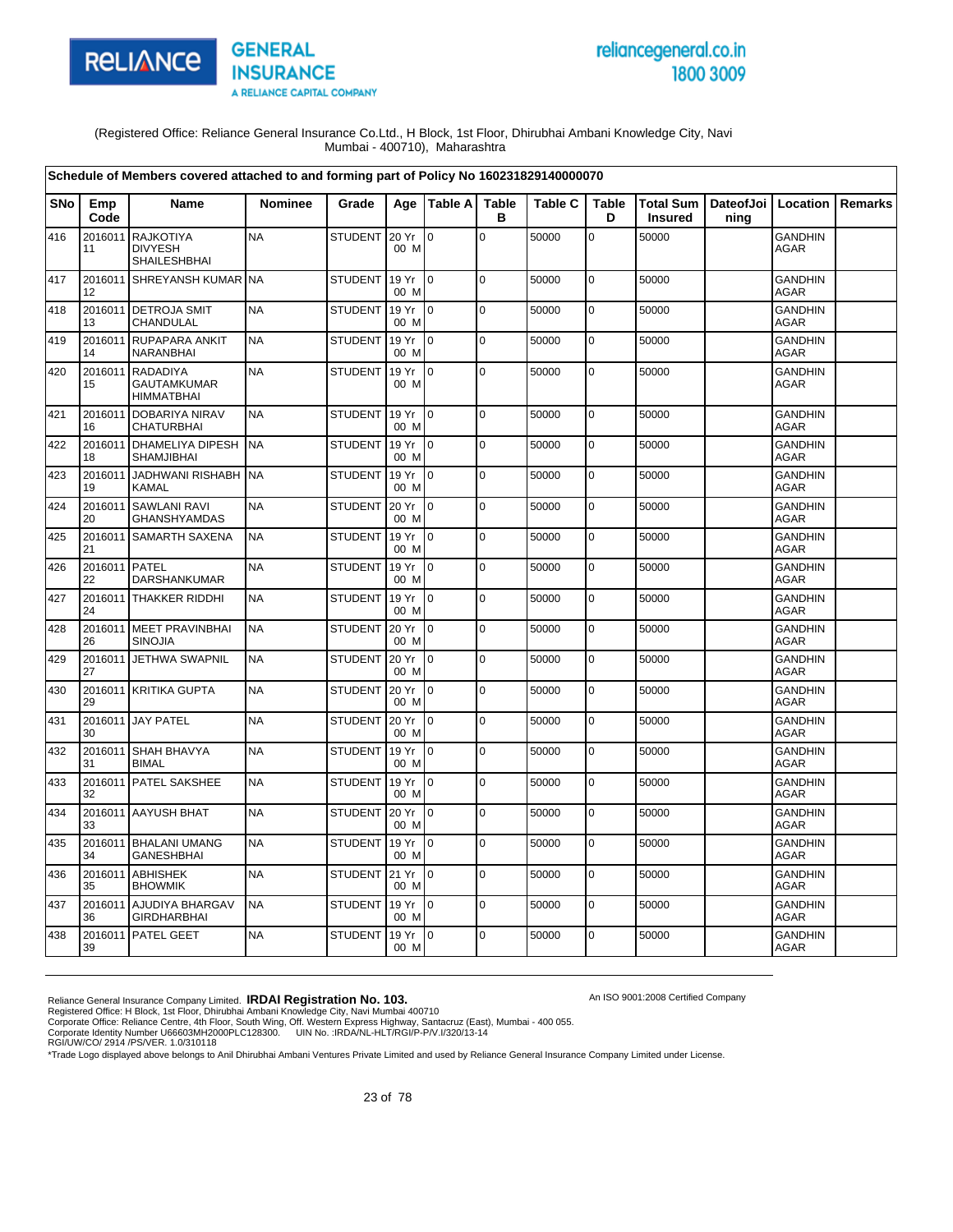

# reliancegeneral.co.in 1800 3009

An ISO 9001:2008 Certified Company

(Registered Office: Reliance General Insurance Co.Ltd., H Block, 1st Floor, Dhirubhai Ambani Knowledge City, Navi Mumbai - 400710), Maharashtra

|            |               | Schedule of Members covered attached to and forming part of Policy No 160231829140000070 |                |                |               |                 |                   |                |                   |                                                    |      |                               |                |
|------------|---------------|------------------------------------------------------------------------------------------|----------------|----------------|---------------|-----------------|-------------------|----------------|-------------------|----------------------------------------------------|------|-------------------------------|----------------|
| <b>SNo</b> | Emp<br>Code   | <b>Name</b>                                                                              | <b>Nominee</b> | Grade          | Age           | Table A         | <b>Table</b><br>в | <b>Table C</b> | <b>Table</b><br>D | Total Sum   DateofJoi   Location<br><b>Insured</b> | ning |                               | <b>Remarks</b> |
| 416        | 2016011<br>11 | <b>RAJKOTIYA</b><br><b>DIVYESH</b><br>SHAILESHBHAI                                       | <b>NA</b>      | STUDENT        | 20 Yr<br>00 M | l 0             | $\mathbf 0$       | 50000          | $\mathbf 0$       | 50000                                              |      | <b>GANDHIN</b><br>AGAR        |                |
| 417        | 12            | 2016011 SHREYANSH KUMAR NA                                                               |                | <b>STUDENT</b> | 19 Yr<br>00 M | lo.             | $\mathbf 0$       | 50000          | $\mathbf 0$       | 50000                                              |      | <b>GANDHIN</b><br><b>AGAR</b> |                |
| 418        | 2016011<br>13 | <b>DETROJA SMIT</b><br>CHANDULAL                                                         | <b>NA</b>      | <b>STUDENT</b> | 19 Yr<br>00 M | Io.             | $\mathbf 0$       | 50000          | $\mathbf 0$       | 50000                                              |      | <b>GANDHIN</b><br>AGAR        |                |
| 419        | 2016011<br>14 | RUPAPARA ANKIT<br>NARANBHAI                                                              | <b>NA</b>      | <b>STUDENT</b> | 19 Yr<br>00 M | I0.             | $\mathbf 0$       | 50000          | $\mathbf 0$       | 50000                                              |      | <b>GANDHIN</b><br><b>AGAR</b> |                |
| 420        | 2016011<br>15 | <b>RADADIYA</b><br><b>GAUTAMKUMAR</b><br><b>HIMMATBHAI</b>                               | <b>NA</b>      | <b>STUDENT</b> | 19 Yr<br>00 M | I0.             | $\overline{0}$    | 50000          | $\mathbf 0$       | 50000                                              |      | <b>GANDHIN</b><br><b>AGAR</b> |                |
| 421        | 2016011<br>16 | <b>DOBARIYA NIRAV</b><br><b>CHATURBHAI</b>                                               | <b>NA</b>      | <b>STUDENT</b> | 19 Yr<br>00 M | $10^{-1}$       | $\mathbf 0$       | 50000          | $\mathbf 0$       | 50000                                              |      | <b>GANDHIN</b><br><b>AGAR</b> |                |
| 422        | 18            | 2016011 DHAMELIYA DIPESH<br><b>SHAMJIBHAI</b>                                            | <b>NA</b>      | <b>STUDENT</b> | 19 Yr<br>00 M | $\overline{10}$ | $\pmb{0}$         | 50000          | $\mathbf 0$       | 50000                                              |      | <b>GANDHIN</b><br><b>AGAR</b> |                |
| 423        | 2016011<br>19 | JADHWANI RISHABH NA<br><b>KAMAL</b>                                                      |                | <b>STUDENT</b> | 19 Yr<br>00 M | I <sub>0</sub>  | $\mathbf 0$       | 50000          | 0                 | 50000                                              |      | <b>GANDHIN</b><br><b>AGAR</b> |                |
| 424        | 20            | 2016011 SAWLANI RAVI<br><b>GHANSHYAMDAS</b>                                              | <b>NA</b>      | <b>STUDENT</b> | 20 Yr<br>00 M | Io.             | $\mathbf 0$       | 50000          | 0                 | 50000                                              |      | <b>GANDHIN</b><br><b>AGAR</b> |                |
| 425        | 2016011<br>21 | <b>SAMARTH SAXENA</b>                                                                    | <b>NA</b>      | <b>STUDENT</b> | 19 Yr<br>00 M | $\overline{10}$ | $\mathbf 0$       | 50000          | $\mathbf 0$       | 50000                                              |      | <b>GANDHIN</b><br><b>AGAR</b> |                |
| 426        | 2016011<br>22 | PATEL<br>DARSHANKUMAR                                                                    | <b>NA</b>      | <b>STUDENT</b> | 19 Yr<br>00 M | $\Omega$        | $\Omega$          | 50000          | $\mathbf 0$       | 50000                                              |      | <b>GANDHIN</b><br>AGAR        |                |
| 427        | 24            | 2016011 THAKKER RIDDHI                                                                   | <b>NA</b>      | <b>STUDENT</b> | 19 Yr<br>00 M | I O             | $\mathbf 0$       | 50000          | 0                 | 50000                                              |      | <b>GANDHIN</b><br>AGAR        |                |
| 428        | 26            | 2016011 MEET PRAVINBHAI<br><b>SINOJIA</b>                                                | <b>NA</b>      | <b>STUDENT</b> | 20 Yr<br>00 M | $\overline{10}$ | $\mathbf 0$       | 50000          | $\mathbf 0$       | 50000                                              |      | <b>GANDHIN</b><br>AGAR        |                |
| 429        | 27            | 2016011 JETHWA SWAPNIL                                                                   | <b>NA</b>      | <b>STUDENT</b> | 20 Yr<br>00 M | $\overline{10}$ | $\mathbf 0$       | 50000          | $\mathbf 0$       | 50000                                              |      | <b>GANDHIN</b><br><b>AGAR</b> |                |
| 430        | 29            | 2016011 KRITIKA GUPTA                                                                    | <b>NA</b>      | <b>STUDENT</b> | 20 Yr<br>00 M | I <sub>0</sub>  | $\pmb{0}$         | 50000          | $\mathbf 0$       | 50000                                              |      | <b>GANDHIN</b><br><b>AGAR</b> |                |
| 431        | 2016011<br>30 | <b>JAY PATEL</b>                                                                         | <b>NA</b>      | <b>STUDENT</b> | 20 Yr<br>00 M | Io.             | $\mathbf 0$       | 50000          | 0                 | 50000                                              |      | <b>GANDHIN</b><br><b>AGAR</b> |                |
| 432        | 31            | 2016011 SHAH BHAVYA<br><b>BIMAL</b>                                                      | <b>NA</b>      | <b>STUDENT</b> | 19 Yr<br>00 M | I <sub>0</sub>  | 0                 | 50000          | 0                 | 50000                                              |      | <b>GANDHIN</b><br><b>AGAR</b> |                |
| 433        | 32            | 2016011 PATEL SAKSHEE                                                                    | <b>NA</b>      | <b>STUDENT</b> | 19 Yr<br>00 M | l 0             | $\Omega$          | 50000          | $\mathbf 0$       | 50000                                              |      | <b>GANDHIN</b><br><b>AGAR</b> |                |
| 434        | 33            | 2016011 AAYUSH BHAT                                                                      | <b>NA</b>      | <b>STUDENT</b> | 20 Yr<br>00 M | $\overline{10}$ | $\mathbf 0$       | 50000          | $\mathbf 0$       | 50000                                              |      | <b>GANDHIN</b><br><b>AGAR</b> |                |
| 435        | 34            | 2016011 BHALANI UMANG<br><b>GANESHBHAI</b>                                               | <b>NA</b>      | <b>STUDENT</b> | 19 Yr<br>00 M | $\overline{10}$ | $\mathbf 0$       | 50000          | $\mathbf 0$       | 50000                                              |      | <b>GANDHIN</b><br>AGAR        |                |
| 436        | 35            | 2016011 ABHISHEK<br><b>BHOWMIK</b>                                                       | <b>NA</b>      | <b>STUDENT</b> | 21 Yr<br>00 M | I0              | $\mathbf 0$       | 50000          | $\mathbf 0$       | 50000                                              |      | <b>GANDHIN</b><br>AGAR        |                |
| 437        | 2016011<br>36 | AJUDIYA BHARGAV<br><b>GIRDHARBHAI</b>                                                    | <b>NA</b>      | <b>STUDENT</b> | 19 Yr<br>00 M | l 0             | $\mathbf 0$       | 50000          | $\mathbf 0$       | 50000                                              |      | <b>GANDHIN</b><br>AGAR        |                |
| 438        | 39            | 2016011 PATEL GEET                                                                       | <b>NA</b>      | <b>STUDENT</b> | 19 Yr<br>00 M | $\overline{10}$ | $\Omega$          | 50000          | $\overline{0}$    | 50000                                              |      | <b>GANDHIN</b><br>AGAR        |                |

Reliance General Insurance Company Limited. **IRDAI Registration No. 103.**<br>Registered Office: H Block, 1st Floor, Dhirubhai Ambani Knowledge City, Navi Mumbai 400710<br>Corporate Office: Reliance Centre, 4th Floor, South Wing,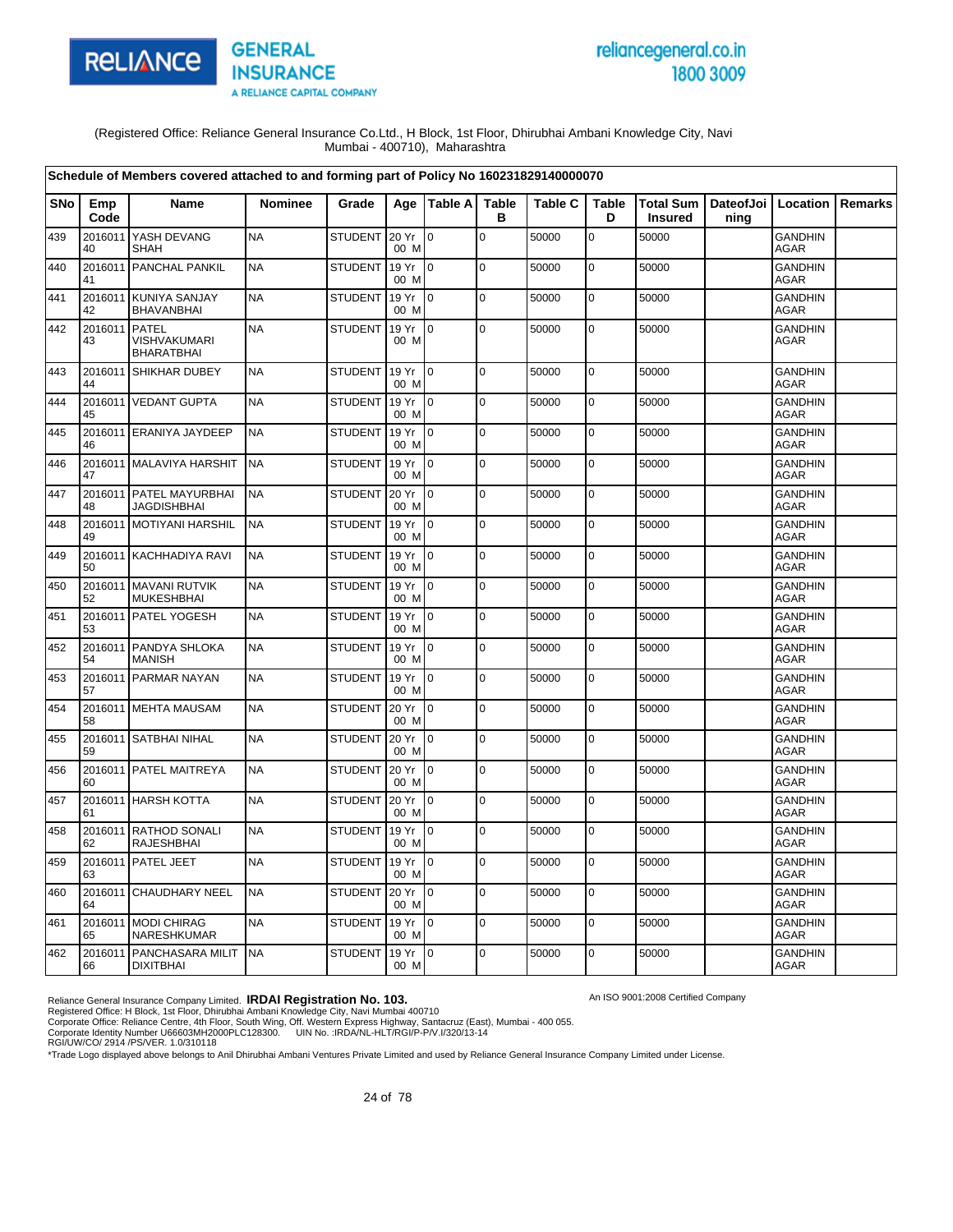

# reliancegeneral.co.in 1800 3009

An ISO 9001:2008 Certified Company

(Registered Office: Reliance General Insurance Co.Ltd., H Block, 1st Floor, Dhirubhai Ambani Knowledge City, Navi Mumbai - 400710), Maharashtra

|     |                     | Schedule of Members covered attached to and forming part of Policy No 160231829140000070 |                |                |               |                |                   |                |                   |                             |                              |                               |                |
|-----|---------------------|------------------------------------------------------------------------------------------|----------------|----------------|---------------|----------------|-------------------|----------------|-------------------|-----------------------------|------------------------------|-------------------------------|----------------|
| SNo | Emp<br>Code         | <b>Name</b>                                                                              | <b>Nominee</b> | Grade          |               | Age   Table A  | <b>Table</b><br>в | <b>Table C</b> | <b>Table</b><br>D | Total Sum<br><b>Insured</b> | DateofJoi   Location<br>ning |                               | <b>Remarks</b> |
| 439 | 2016011<br>40       | YASH DEVANG<br><b>SHAH</b>                                                               | <b>NA</b>      | <b>STUDENT</b> | 20 Yr<br>00 M | l 0            | $\overline{0}$    | 50000          | $\mathbf 0$       | 50000                       |                              | <b>GANDHIN</b><br><b>AGAR</b> |                |
| 440 | 2016011<br>41       | PANCHAL PANKIL                                                                           | <b>NA</b>      | <b>STUDENT</b> | 19 Yr<br>00 M | l 0            | 0                 | 50000          | $\pmb{0}$         | 50000                       |                              | <b>GANDHIN</b><br>AGAR        |                |
| 441 | 42                  | 2016011 KUNIYA SANJAY<br><b>BHAVANBHAI</b>                                               | <b>NA</b>      | <b>STUDENT</b> | 19 Yr<br>00 M | l 0            | l O               | 50000          | $\pmb{0}$         | 50000                       |                              | <b>GANDHIN</b><br><b>AGAR</b> |                |
| 442 | 2016011 PATEL<br>43 | <b>VISHVAKUMARI</b><br><b>BHARATBHAI</b>                                                 | <b>NA</b>      | <b>STUDENT</b> | 19 Yr<br>00 M | lo.            | $\overline{0}$    | 50000          | $\mathbf 0$       | 50000                       |                              | <b>GANDHIN</b><br><b>AGAR</b> |                |
| 443 | 44                  | 2016011 SHIKHAR DUBEY                                                                    | <b>NA</b>      | <b>STUDENT</b> | 19 Yr<br>00 M | $\overline{0}$ | lo.               | 50000          | $\mathbf 0$       | 50000                       |                              | <b>GANDHIN</b><br><b>AGAR</b> |                |
| 444 | 45                  | 2016011 VEDANT GUPTA                                                                     | <b>NA</b>      | <b>STUDENT</b> | 19 Yr<br>00 M | 0              | lo.               | 50000          | $\mathbf 0$       | 50000                       |                              | <b>GANDHIN</b><br><b>AGAR</b> |                |
| 445 | 46                  | 2016011 ERANIYA JAYDEEP                                                                  | <b>NA</b>      | <b>STUDENT</b> | 19 Yr<br>00 M | l o            | l O               | 50000          | $\mathbf 0$       | 50000                       |                              | <b>GANDHIN</b><br><b>AGAR</b> |                |
| 446 | 47                  | 2016011 MALAVIYA HARSHIT                                                                 | <b>NA</b>      | <b>STUDENT</b> | 19 Yr<br>00 M | lo.            | $\overline{0}$    | 50000          | $\mathbf 0$       | 50000                       |                              | <b>GANDHIN</b><br><b>AGAR</b> |                |
| 447 | 48                  | 2016011 PATEL MAYURBHAI<br><b>JAGDISHBHAI</b>                                            | <b>NA</b>      | <b>STUDENT</b> | 20 Yr<br>00 M | l o            | lo.               | 50000          | $\mathbf 0$       | 50000                       |                              | <b>GANDHIN</b><br><b>AGAR</b> |                |
| 448 | 49                  | 2016011 MOTIYANI HARSHIL                                                                 | <b>NA</b>      | <b>STUDENT</b> | 19 Yr<br>00 M | $\overline{0}$ | l O               | 50000          | $\mathbf 0$       | 50000                       |                              | <b>GANDHIN</b><br><b>AGAR</b> |                |
| 449 | 50                  | 2016011 KACHHADIYA RAVI                                                                  | <b>NA</b>      | <b>STUDENT</b> | 19 Yr<br>00 M | lo.            | lo.               | 50000          | $\mathbf 0$       | 50000                       |                              | <b>GANDHIN</b><br><b>AGAR</b> |                |
| 450 | 52                  | 2016011 MAVANI RUTVIK<br><b>MUKESHBHAI</b>                                               | <b>NA</b>      | <b>STUDENT</b> | 19 Yr<br>00 M | $\overline{0}$ | $\mathbf 0$       | 50000          | $\mathbf 0$       | 50000                       |                              | <b>GANDHIN</b><br><b>AGAR</b> |                |
| 451 | 53                  | 2016011 PATEL YOGESH                                                                     | <b>NA</b>      | <b>STUDENT</b> | 19 Yr<br>00 M | $\overline{0}$ | lo.               | 50000          | $\mathbf 0$       | 50000                       |                              | <b>GANDHIN</b><br>AGAR        |                |
| 452 | 2016011<br>54       | PANDYA SHLOKA<br><b>MANISH</b>                                                           | <b>NA</b>      | <b>STUDENT</b> | 19 Yr<br>00 M | $\overline{0}$ | $\Omega$          | 50000          | $\mathbf 0$       | 50000                       |                              | <b>GANDHIN</b><br>AGAR        |                |
| 453 | 57                  | 2016011 PARMAR NAYAN                                                                     | <b>NA</b>      | <b>STUDENT</b> | 19 Yr<br>00 M | lo.            | lo.               | 50000          | $\mathbf 0$       | 50000                       |                              | <b>GANDHIN</b><br><b>AGAR</b> |                |
| 454 | 58                  | 2016011 MEHTA MAUSAM                                                                     | <b>NA</b>      | <b>STUDENT</b> | 20 Yr<br>00 M | $\overline{0}$ | lo.               | 50000          | $\pmb{0}$         | 50000                       |                              | <b>GANDHIN</b><br><b>AGAR</b> |                |
| 455 | 59                  | 2016011 SATBHAI NIHAL                                                                    | <b>NA</b>      | <b>STUDENT</b> | 20 Yr<br>00 M | $\overline{0}$ | $\Omega$          | 50000          | $\mathbf 0$       | 50000                       |                              | <b>GANDHIN</b><br><b>AGAR</b> |                |
| 456 | 60                  | 2016011 PATEL MAITREYA                                                                   | <b>NA</b>      | <b>STUDENT</b> | 20 Yr<br>00 M | lo.            | lo.               | 50000          | $\mathbf 0$       | 50000                       |                              | <b>GANDHIN</b><br><b>AGAR</b> |                |
| 457 | 61                  | 2016011 HARSH KOTTA                                                                      | <b>NA</b>      | <b>STUDENT</b> | 20 Yr<br>00 M | l O            | lo.               | 50000          | $\mathbf 0$       | 50000                       |                              | <b>GANDHIN</b><br>AGAR        |                |
| 458 | 62                  | 2016011 RATHOD SONALI<br><b>RAJESHBHAI</b>                                               | <b>NA</b>      | <b>STUDENT</b> | 19 Yr<br>00 M | l O            | l O               | 50000          | $\mathbf 0$       | 50000                       |                              | <b>GANDHIN</b><br>AGAR        |                |
| 459 | 63                  | 2016011 PATEL JEET                                                                       | <b>NA</b>      | <b>STUDENT</b> | 19 Yr<br>00 M | 0              | $\overline{0}$    | 50000          | $\mathbf 0$       | 50000                       |                              | <b>GANDHIN</b><br>AGAR        |                |
| 460 | 2016011<br>64       | <b>CHAUDHARY NEEL</b>                                                                    | <b>NA</b>      | <b>STUDENT</b> | 20 Yr<br>00 M | $\overline{0}$ | lo.               | 50000          | $\mathbf 0$       | 50000                       |                              | <b>GANDHIN</b><br><b>AGAR</b> |                |
| 461 | 65                  | 2016011 MODI CHIRAG<br>NARESHKUMAR                                                       | <b>NA</b>      | <b>STUDENT</b> | 19 Yr<br>00 M | l O            | l O               | 50000          | $\pmb{0}$         | 50000                       |                              | <b>GANDHIN</b><br><b>AGAR</b> |                |
| 462 | 66                  | 2016011 PANCHASARA MILIT<br><b>DIXITBHAI</b>                                             | <b>NA</b>      | STUDENT        | 19 Yr<br>00 M | $\mathsf{I}$   | lo.               | 50000          | $\mathbf 0$       | 50000                       |                              | <b>GANDHIN</b><br>AGAR        |                |

Reliance General Insurance Company Limited. **IRDAI Registration No. 103.**<br>Registered Office: H Block, 1st Floor, Dhirubhai Ambani Knowledge City, Navi Mumbai 400710<br>Corporate Office: Reliance Centre, 4th Floor, South Wing,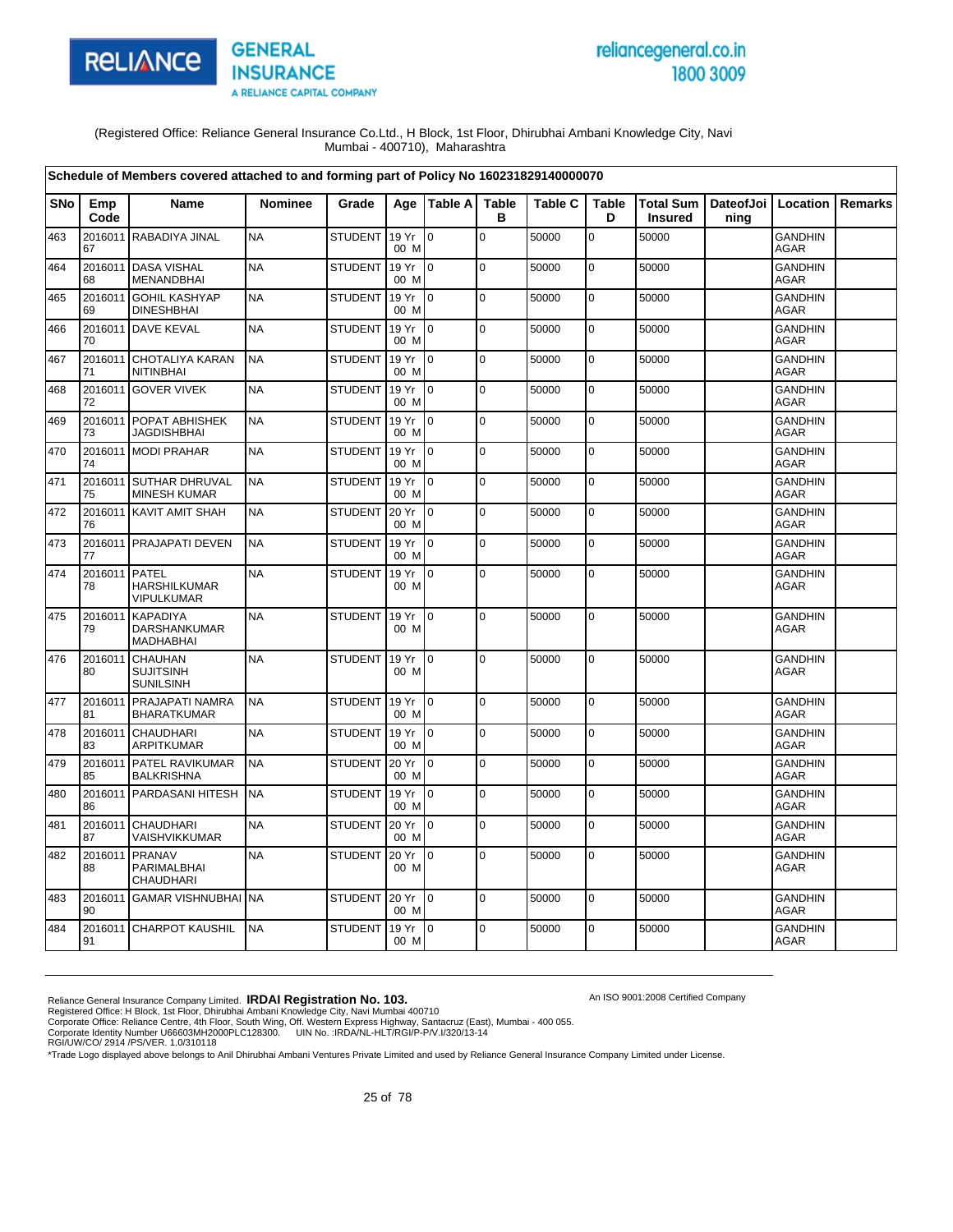

# reliancegeneral.co.in 1800 3009

An ISO 9001:2008 Certified Company

(Registered Office: Reliance General Insurance Co.Ltd., H Block, 1st Floor, Dhirubhai Ambani Knowledge City, Navi Mumbai - 400710), Maharashtra

|            |                     | Schedule of Members covered attached to and forming part of Policy No 160231829140000070 |                |                |               |                           |                   |                |                   |                |                                          |                               |         |
|------------|---------------------|------------------------------------------------------------------------------------------|----------------|----------------|---------------|---------------------------|-------------------|----------------|-------------------|----------------|------------------------------------------|-------------------------------|---------|
| <b>SNo</b> | Emp<br>Code         | <b>Name</b>                                                                              | <b>Nominee</b> | Grade          | Age           | Table A                   | <b>Table</b><br>в | <b>Table C</b> | <b>Table</b><br>D | <b>Insured</b> | Total Sum   DateofJoi   Location<br>ning |                               | Remarks |
| 463        | 67                  | 2016011 RABADIYA JINAL                                                                   | <b>NA</b>      | <b>STUDENT</b> | 19 Yr<br>00 M | $\Omega$                  | $\mathbf 0$       | 50000          | $\overline{0}$    | 50000          |                                          | <b>GANDHIN</b><br>AGAR        |         |
| 464        | 68                  | 2016011 DASA VISHAL<br><b>MENANDBHAI</b>                                                 | <b>NA</b>      | <b>STUDENT</b> | 19 Yr<br>00 M | $\overline{10}$           | $\mathbf 0$       | 50000          | $\mathbf 0$       | 50000          |                                          | <b>GANDHIN</b><br><b>AGAR</b> |         |
| 465        | 69                  | 2016011 GOHIL KASHYAP<br><b>DINESHBHAI</b>                                               | <b>NA</b>      | <b>STUDENT</b> | 19 Yr<br>00 M | Io.                       | $\mathbf 0$       | 50000          | $\mathbf 0$       | 50000          |                                          | <b>GANDHIN</b><br><b>AGAR</b> |         |
| 466        | 70                  | 2016011 DAVE KEVAL                                                                       | <b>NA</b>      | <b>STUDENT</b> | 19 Yr<br>00 M | I <sub>0</sub>            | $\pmb{0}$         | 50000          | 0                 | 50000          |                                          | <b>GANDHIN</b><br><b>AGAR</b> |         |
| 467        | 2016011<br>71       | <b>CHOTALIYA KARAN</b><br><b>NITINBHAI</b>                                               | <b>NA</b>      | <b>STUDENT</b> | 19 Yr<br>00 M | $\overline{0}$            | $\mathbf 0$       | 50000          | 0                 | 50000          |                                          | <b>GANDHIN</b><br><b>AGAR</b> |         |
| 468        | 2016011<br>72       | <b>GOVER VIVEK</b>                                                                       | <b>NA</b>      | <b>STUDENT</b> | 19 Yr<br>00 M | I <sub>0</sub>            | $\mathbf 0$       | 50000          | $\mathbf 0$       | 50000          |                                          | <b>GANDHIN</b><br><b>AGAR</b> |         |
| 469        | 73                  | 2016011 POPAT ABHISHEK<br><b>JAGDISHBHAI</b>                                             | <b>NA</b>      | <b>STUDENT</b> | 19 Yr<br>00 M | I <sub>0</sub>            | $\Omega$          | 50000          | $\mathbf 0$       | 50000          |                                          | <b>GANDHIN</b><br><b>AGAR</b> |         |
| 470        | 74                  | 2016011 MODI PRAHAR                                                                      | <b>NA</b>      | <b>STUDENT</b> | 19 Yr<br>00 M | $\mathsf{I}^{\mathsf{0}}$ | $\mathbf 0$       | 50000          | $\mathbf 0$       | 50000          |                                          | <b>GANDHIN</b><br><b>AGAR</b> |         |
| 471        | 75                  | 2016011 SUTHAR DHRUVAL<br><b>MINESH KUMAR</b>                                            | <b>NA</b>      | <b>STUDENT</b> | 19 Yr<br>00 M | $\overline{10}$           | $\mathbf 0$       | 50000          | 0                 | 50000          |                                          | <b>GANDHIN</b><br><b>AGAR</b> |         |
| 472        | 76                  | 2016011 KAVIT AMIT SHAH                                                                  | <b>NA</b>      | <b>STUDENT</b> | 20 Yr<br>00 M | I0                        | $\mathbf 0$       | 50000          | 0                 | 50000          |                                          | <b>GANDHIN</b><br><b>AGAR</b> |         |
| 473        | 77                  | 2016011 PRAJAPATI DEVEN                                                                  | <b>NA</b>      | <b>STUDENT</b> | 19 Yr<br>00 M | I0                        | $\mathbf 0$       | 50000          | 0                 | 50000          |                                          | <b>GANDHIN</b><br><b>AGAR</b> |         |
| 474        | 2016011 PATEL<br>78 | <b>HARSHILKUMAR</b><br><b>VIPULKUMAR</b>                                                 | <b>NA</b>      | <b>STUDENT</b> | 19 Yr<br>00 M | I0                        | $\mathbf 0$       | 50000          | $\pmb{0}$         | 50000          |                                          | <b>GANDHIN</b><br>AGAR        |         |
| 475        | 79                  | 2016011 KAPADIYA<br><b>DARSHANKUMAR</b><br>MADHABHAI                                     | <b>NA</b>      | <b>STUDENT</b> | 19 Yr<br>00 M | $\mathbf 0$               | $\mathbf 0$       | 50000          | 0                 | 50000          |                                          | <b>GANDHIN</b><br><b>AGAR</b> |         |
| 476        | 2016011<br>80       | <b>CHAUHAN</b><br><b>SUJITSINH</b><br><b>SUNILSINH</b>                                   | <b>NA</b>      | <b>STUDENT</b> | 19 Yr<br>00 M | $\mathsf{I}$              | $\mathbf 0$       | 50000          | $\mathbf 0$       | 50000          |                                          | <b>GANDHIN</b><br><b>AGAR</b> |         |
| 477        | 81                  | 2016011 PRAJAPATI NAMRA<br><b>BHARATKUMAR</b>                                            | <b>NA</b>      | <b>STUDENT</b> | 19 Yr<br>00 M | $\overline{10}$           | $\mathbf 0$       | 50000          | 0                 | 50000          |                                          | <b>GANDHIN</b><br><b>AGAR</b> |         |
| 478        | 83                  | 2016011 CHAUDHARI<br>ARPITKUMAR                                                          | <b>NA</b>      | <b>STUDENT</b> | 19 Yr<br>00 M | I <sub>0</sub>            | $\Omega$          | 50000          | $\mathbf 0$       | 50000          |                                          | <b>GANDHIN</b><br><b>AGAR</b> |         |
| 479        | 85                  | 2016011 PATEL RAVIKUMAR<br><b>BALKRISHNA</b>                                             | <b>NA</b>      | <b>STUDENT</b> | 20 Yr<br>00 M | lo.                       | $\mathbf 0$       | 50000          | $\mathbf 0$       | 50000          |                                          | <b>GANDHIN</b><br>AGAR        |         |
| 480        | 86                  | 2016011 PARDASANI HITESH                                                                 | <b>NA</b>      | <b>STUDENT</b> | 19 Yr<br>00 M | $\overline{10}$           | $\mathbf 0$       | 50000          | $\pmb{0}$         | 50000          |                                          | <b>GANDHIN</b><br>AGAR        |         |
| 481        | 87                  | 2016011 CHAUDHARI<br>VAISHVIKKUMAR                                                       | <b>NA</b>      | <b>STUDENT</b> | 20 Yr<br>00 M | $\overline{10}$           | $\mathbf 0$       | 50000          | $\mathbf 0$       | 50000          |                                          | <b>GANDHIN</b><br><b>AGAR</b> |         |
| 482        | 2016011<br>88       | PRANAV<br>PARIMALBHAI<br><b>CHAUDHARI</b>                                                | <b>NA</b>      | <b>STUDENT</b> | 20 Yr<br>00 M | $\overline{10}$           | $\mathbf 0$       | 50000          | $\pmb{0}$         | 50000          |                                          | <b>GANDHIN</b><br>AGAR        |         |
| 483        | 90                  | 2016011 GAMAR VISHNUBHAI NA                                                              |                | <b>STUDENT</b> | 20 Yr<br>00 M | $\overline{10}$           | $\mathbf 0$       | 50000          | $\mathbf 0$       | 50000          |                                          | <b>GANDHIN</b><br><b>AGAR</b> |         |
| 484        | 91                  | 2016011 CHARPOT KAUSHIL                                                                  | <b>NA</b>      | <b>STUDENT</b> | 19 Yr<br>00 M | $\mathsf{I}^{\mathsf{0}}$ | $\mathbf 0$       | 50000          | 0                 | 50000          |                                          | <b>GANDHIN</b><br>AGAR        |         |

Reliance General Insurance Company Limited. **IRDAI Registration No. 103.**<br>Registered Office: H Block, 1st Floor, Dhirubhai Ambani Knowledge City, Navi Mumbai 400710<br>Corporate Office: Reliance Centre, 4th Floor, South Wing,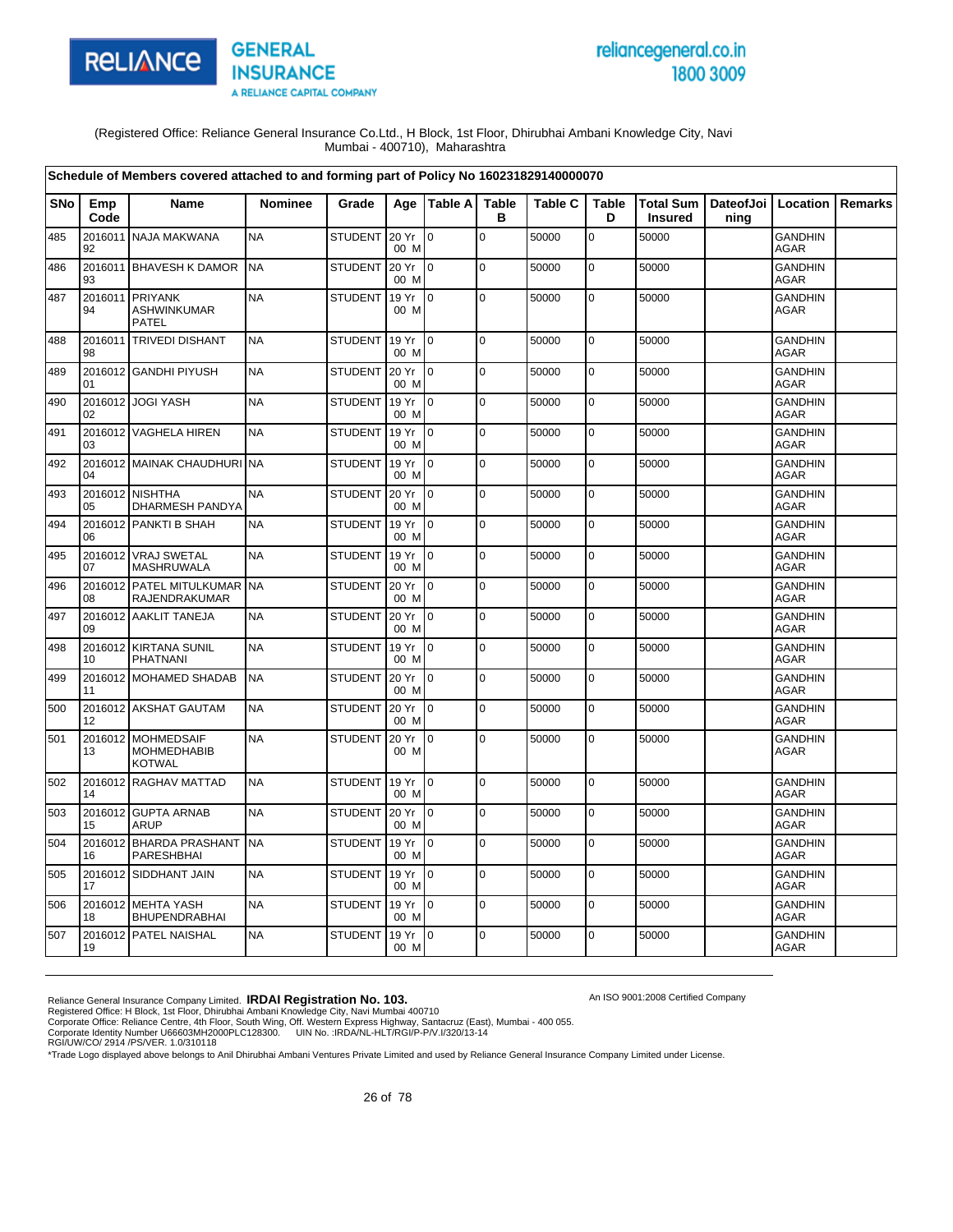

# reliancegeneral.co.in 1800 3009

An ISO 9001:2008 Certified Company

(Registered Office: Reliance General Insurance Co.Ltd., H Block, 1st Floor, Dhirubhai Ambani Knowledge City, Navi Mumbai - 400710), Maharashtra

|            |               | Schedule of Members covered attached to and forming part of Policy No 160231829140000070 |                |                |               |                 |                   |                |                   |                                                    |      |                               |                |
|------------|---------------|------------------------------------------------------------------------------------------|----------------|----------------|---------------|-----------------|-------------------|----------------|-------------------|----------------------------------------------------|------|-------------------------------|----------------|
| <b>SNo</b> | Emp<br>Code   | <b>Name</b>                                                                              | <b>Nominee</b> | Grade          | Age           | <b>Table Al</b> | <b>Table</b><br>в | <b>Table C</b> | <b>Table</b><br>D | Total Sum   DateofJoi   Location<br><b>Insured</b> | ning |                               | <b>Remarks</b> |
| 485        | 2016011<br>92 | <b>NAJA MAKWANA</b>                                                                      | <b>NA</b>      | STUDENT        | 20 Yr<br>00 M | lo.             | $\mathbf 0$       | 50000          | 0                 | 50000                                              |      | <b>GANDHIN</b><br>AGAR        |                |
| 486        | 2016011<br>93 | <b>BHAVESH K DAMOR</b>                                                                   | <b>NA</b>      | <b>STUDENT</b> | 20 Yr<br>00 M | l 0             | $\mathbf 0$       | 50000          | $\pmb{0}$         | 50000                                              |      | <b>GANDHIN</b><br><b>AGAR</b> |                |
| 487        | 2016011<br>94 | PRIYANK<br><b>ASHWINKUMAR</b><br><b>PATEL</b>                                            | <b>NA</b>      | <b>STUDENT</b> | 19 Yr<br>00 M | $\overline{0}$  | $\mathbf 0$       | 50000          | 0                 | 50000                                              |      | <b>GANDHIN</b><br><b>AGAR</b> |                |
| 488        | 2016011<br>98 | <b>TRIVEDI DISHANT</b>                                                                   | <b>NA</b>      | <b>STUDENT</b> | 19 Yr<br>00 M | $\overline{10}$ | $\mathbf 0$       | 50000          | $\mathbf 0$       | 50000                                              |      | <b>GANDHIN</b><br><b>AGAR</b> |                |
| 489        | 2016012<br>01 | <b>GANDHI PIYUSH</b>                                                                     | <b>NA</b>      | <b>STUDENT</b> | 20 Yr<br>00 M | Io.             | $\mathbf 0$       | 50000          | $\mathbf 0$       | 50000                                              |      | <b>GANDHIN</b><br><b>AGAR</b> |                |
| 490        | 02            | 2016012 JOGI YASH                                                                        | <b>NA</b>      | <b>STUDENT</b> | 19 Yr<br>00 M | I O             | $\mathbf 0$       | 50000          | $\mathbf 0$       | 50000                                              |      | <b>GANDHIN</b><br><b>AGAR</b> |                |
| 491        | 03            | 2016012 VAGHELA HIREN                                                                    | <b>NA</b>      | <b>STUDENT</b> | 19 Yr<br>00 M | $\overline{0}$  | $\mathbf 0$       | 50000          | $\mathbf 0$       | 50000                                              |      | <b>GANDHIN</b><br><b>AGAR</b> |                |
| 492        | 04            | 2016012 MAINAK CHAUDHURI                                                                 | <b>NA</b>      | <b>STUDENT</b> | 19 Yr<br>00 M | $\overline{0}$  | $\mathbf 0$       | 50000          | $\mathbf 0$       | 50000                                              |      | <b>GANDHIN</b><br>AGAR        |                |
| 493        | 05            | 2016012 NISHTHA<br>DHARMESH PANDYA                                                       | <b>NA</b>      | <b>STUDENT</b> | 20 Yr<br>00 M | $\overline{0}$  | $\Omega$          | 50000          | $\overline{0}$    | 50000                                              |      | <b>GANDHIN</b><br><b>AGAR</b> |                |
| 494        | 06            | 2016012 PANKTI B SHAH                                                                    | <b>NA</b>      | <b>STUDENT</b> | 19 Yr<br>00 M | $\Omega$        | $\pmb{0}$         | 50000          | $\pmb{0}$         | 50000                                              |      | <b>GANDHIN</b><br><b>AGAR</b> |                |
| 495        | 2016012<br>07 | <b>VRAJ SWETAL</b><br>MASHRUWALA                                                         | <b>NA</b>      | <b>STUDENT</b> | 19 Yr<br>00 M | $\overline{0}$  | $\mathbf 0$       | 50000          | $\mathbf 0$       | 50000                                              |      | <b>GANDHIN</b><br>AGAR        |                |
| 496        | 2016012<br>08 | <b>PATEL MITULKUMAR</b><br>RAJENDRAKUMAR                                                 | <b>NA</b>      | STUDENT        | 20 Yr<br>00 M | $\overline{10}$ | l o               | 50000          | $\mathbf 0$       | 50000                                              |      | <b>GANDHIN</b><br><b>AGAR</b> |                |
| 497        | 09            | 2016012 AAKLIT TANEJA                                                                    | <b>NA</b>      | <b>STUDENT</b> | 20 Yr<br>00 M | l0              | $\mathbf 0$       | 50000          | $\overline{0}$    | 50000                                              |      | <b>GANDHIN</b><br><b>AGAR</b> |                |
| 498        | 2016012<br>10 | <b>KIRTANA SUNIL</b><br><b>PHATNANI</b>                                                  | <b>NA</b>      | <b>STUDENT</b> | 19 Yr<br>00 M | $\overline{0}$  | $\mathbf 0$       | 50000          | $\pmb{0}$         | 50000                                              |      | <b>GANDHIN</b><br><b>AGAR</b> |                |
| 499        | 11            | 2016012 MOHAMED SHADAB                                                                   | <b>NA</b>      | <b>STUDENT</b> | 20 Yr<br>00 M | I O             | $\mathbf 0$       | 50000          | $\pmb{0}$         | 50000                                              |      | <b>GANDHIN</b><br><b>AGAR</b> |                |
| 500        | 12            | 2016012 AKSHAT GAUTAM                                                                    | <b>NA</b>      | <b>STUDENT</b> | 20 Yr<br>00 M | $\overline{10}$ | $\Omega$          | 50000          | $\mathbf 0$       | 50000                                              |      | <b>GANDHIN</b><br><b>AGAR</b> |                |
| 501        | 13            | 2016012 MOHMEDSAIF<br><b>MOHMEDHABIB</b><br><b>KOTWAL</b>                                | <b>NA</b>      | <b>STUDENT</b> | 20 Yr<br>00 M | ۱o              | $\mathbf 0$       | 50000          | $\mathbf 0$       | 50000                                              |      | <b>GANDHIN</b><br><b>AGAR</b> |                |
| 502        | 14            | 2016012 RAGHAV MATTAD                                                                    | <b>NA</b>      | <b>STUDENT</b> | 19 Yr<br>00 M | $\overline{0}$  | $\mathbf 0$       | 50000          | $\mathbf 0$       | 50000                                              |      | <b>GANDHIN</b><br>AGAR        |                |
| 503        | 15            | 2016012 GUPTA ARNAB<br><b>ARUP</b>                                                       | <b>NA</b>      | <b>STUDENT</b> | 20 Yr<br>00 M | l 0             | $\mathbf 0$       | 50000          | $\overline{0}$    | 50000                                              |      | <b>GANDHIN</b><br><b>AGAR</b> |                |
| 504        | 16            | 2016012 BHARDA PRASHANT<br>PARESHBHAI                                                    | <b>NA</b>      | <b>STUDENT</b> | 19 Yr<br>00 M | $\overline{0}$  | $\mathbf 0$       | 50000          | $\pmb{0}$         | 50000                                              |      | <b>GANDHIN</b><br>AGAR        |                |
| 505        | 17            | 2016012 SIDDHANT JAIN                                                                    | <b>NA</b>      | <b>STUDENT</b> | 19 Yr<br>00 M | $\overline{0}$  | $\pmb{0}$         | 50000          | $\pmb{0}$         | 50000                                              |      | <b>GANDHIN</b><br><b>AGAR</b> |                |
| 506        | 18            | 2016012 MEHTA YASH<br><b>BHUPENDRABHAI</b>                                               | <b>NA</b>      | <b>STUDENT</b> | 19 Yr<br>00 M | l 0             | $\Omega$          | 50000          | $\mathbf 0$       | 50000                                              |      | <b>GANDHIN</b><br>AGAR        |                |
| 507        | 19            | 2016012 PATEL NAISHAL                                                                    | <b>NA</b>      | <b>STUDENT</b> | 19 Yr<br>00 M | $\overline{0}$  | $\mathbf 0$       | 50000          | 0                 | 50000                                              |      | <b>GANDHIN</b><br>AGAR        |                |

Reliance General Insurance Company Limited. **IRDAI Registration No. 103.**<br>Registered Office: H Block, 1st Floor, Dhirubhai Ambani Knowledge City, Navi Mumbai 400710<br>Corporate Office: Reliance Centre, 4th Floor, South Wing,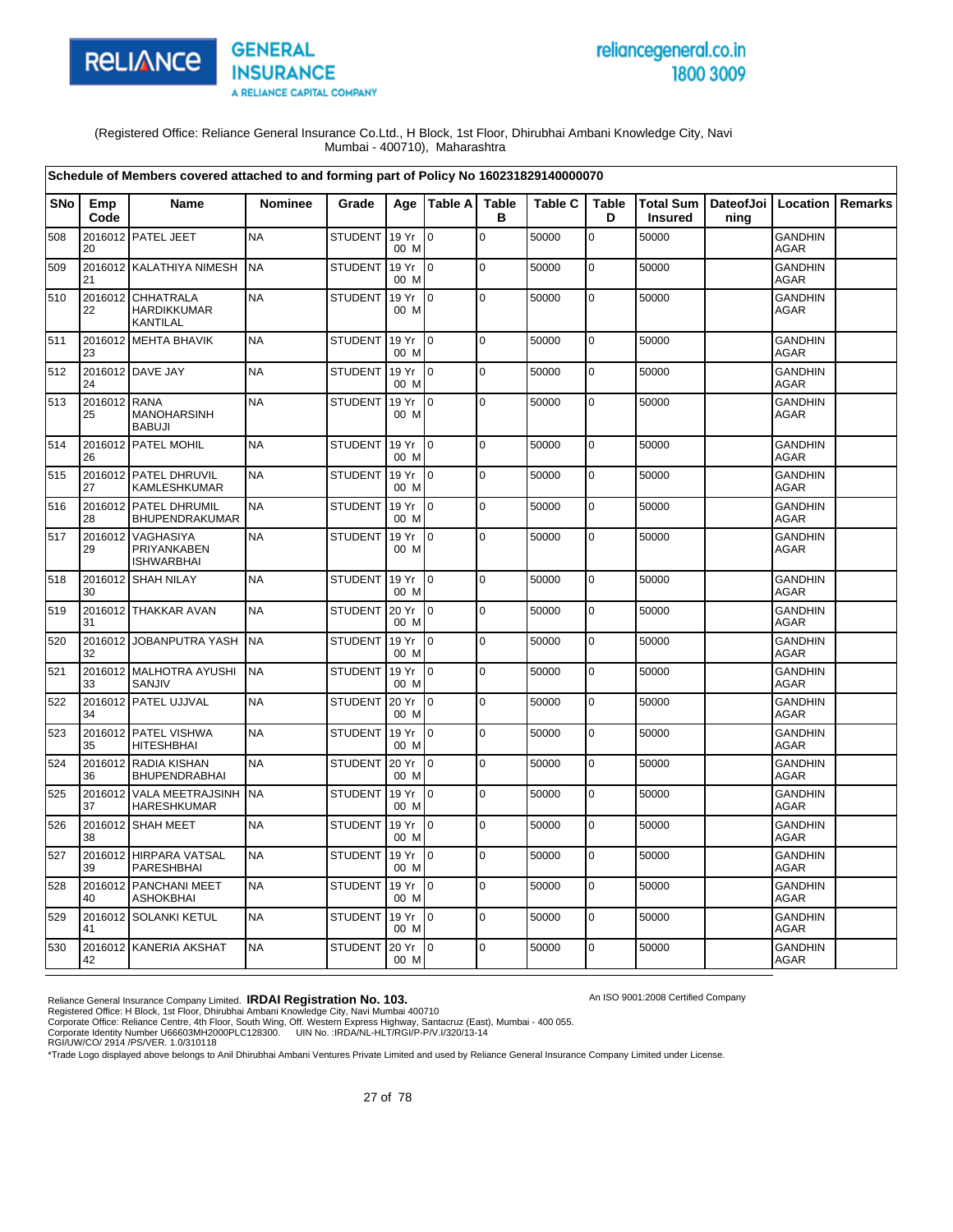

# reliancegeneral.co.in 1800 3009

An ISO 9001:2008 Certified Company

(Registered Office: Reliance General Insurance Co.Ltd., H Block, 1st Floor, Dhirubhai Ambani Knowledge City, Navi Mumbai - 400710), Maharashtra

|            |                    | Schedule of Members covered attached to and forming part of Policy No 160231829140000070 |                |                |               |                |                   |                |                   |                             |                   |                               |         |
|------------|--------------------|------------------------------------------------------------------------------------------|----------------|----------------|---------------|----------------|-------------------|----------------|-------------------|-----------------------------|-------------------|-------------------------------|---------|
| <b>SNo</b> | Emp<br>Code        | Name                                                                                     | <b>Nominee</b> | Grade          |               | Age Table A    | <b>Table</b><br>в | <b>Table C</b> | <b>Table</b><br>D | Total Sum<br><b>Insured</b> | DateofJoi<br>ning | Location                      | Remarks |
| 508        | 20                 | 2016012 PATEL JEET                                                                       | <b>NA</b>      | <b>STUDENT</b> | 19 Yr<br>00 M | lo.            | $\mathbf 0$       | 50000          | 0                 | 50000                       |                   | <b>GANDHIN</b><br>AGAR        |         |
| 509        | 21                 | 2016012 KALATHIYA NIMESH                                                                 | <b>NA</b>      | <b>STUDENT</b> | 19 Yr<br>00 M | lo.            | $\pmb{0}$         | 50000          | $\mathbf 0$       | 50000                       |                   | <b>GANDHIN</b><br><b>AGAR</b> |         |
| 510        | 2016012<br>22      | <b>CHHATRALA</b><br><b>HARDIKKUMAR</b><br>KANTILAL                                       | <b>NA</b>      | <b>STUDENT</b> | 19 Yr<br>00 M | I٥             | $\mathbf 0$       | 50000          | 0                 | 50000                       |                   | <b>GANDHIN</b><br><b>AGAR</b> |         |
| 511        | 23                 | 2016012 MEHTA BHAVIK                                                                     | <b>NA</b>      | <b>STUDENT</b> | 19 Yr<br>00 M | I0             | $\pmb{0}$         | 50000          | $\mathbf 0$       | 50000                       |                   | GANDHIN<br><b>AGAR</b>        |         |
| 512        | 24                 | 2016012 DAVE JAY                                                                         | <b>NA</b>      | <b>STUDENT</b> | 19 Yr<br>00 M | lo.            | $\Omega$          | 50000          | $\mathbf 0$       | 50000                       |                   | <b>GANDHIN</b><br><b>AGAR</b> |         |
| 513        | 2016012 RANA<br>25 | MANOHARSINH<br><b>BABUJI</b>                                                             | <b>NA</b>      | <b>STUDENT</b> | 19 Yr<br>00 M | 0              | $\mathbf 0$       | 50000          | 0                 | 50000                       |                   | GANDHIN<br><b>AGAR</b>        |         |
| 514        | 26                 | 2016012 PATEL MOHIL                                                                      | <b>NA</b>      | <b>STUDENT</b> | 19 Yr<br>00 M | lo.            | $\mathbf 0$       | 50000          | 0                 | 50000                       |                   | <b>GANDHIN</b><br>AGAR        |         |
| 515        | 2016012<br>27      | PATEL DHRUVIL<br>KAMLESHKUMAR                                                            | <b>NA</b>      | <b>STUDENT</b> | 19 Yr<br>00 M | I0             | $\mathbf 0$       | 50000          | $\mathbf 0$       | 50000                       |                   | GANDHIN<br>AGAR               |         |
| 516        | 2016012<br>28      | PATEL DHRUMIL<br>BHUPENDRAKUMAR                                                          | <b>NA</b>      | <b>STUDENT</b> | 19 Yr<br>00 M | I٥             | $\mathbf 0$       | 50000          | $\mathbf 0$       | 50000                       |                   | <b>GANDHIN</b><br><b>AGAR</b> |         |
| 517        | 2016012<br>29      | <b>VAGHASIYA</b><br>PRIYANKABEN<br><b>ISHWARBHAI</b>                                     | <b>NA</b>      | <b>STUDENT</b> | 19 Yr<br>00 M | $\overline{0}$ | $\mathbf 0$       | 50000          | 0                 | 50000                       |                   | <b>GANDHIN</b><br>AGAR        |         |
| 518        | 30                 | 2016012 SHAH NILAY                                                                       | <b>NA</b>      | <b>STUDENT</b> | 19 Yr<br>00 M | $\Omega$       | $\Omega$          | 50000          | $\mathbf 0$       | 50000                       |                   | <b>GANDHIN</b><br><b>AGAR</b> |         |
| 519        | 2016012<br>31      | <b>THAKKAR AVAN</b>                                                                      | <b>NA</b>      | <b>STUDENT</b> | 20 Yr<br>00 M | I٥             | $\pmb{0}$         | 50000          | $\pmb{0}$         | 50000                       |                   | <b>GANDHIN</b><br><b>AGAR</b> |         |
| 520        | 2016012<br>32      | JOBANPUTRA YASH                                                                          | <b>NA</b>      | <b>STUDENT</b> | 19 Yr<br>00 M | $\overline{0}$ | $\pmb{0}$         | 50000          | $\mathbf 0$       | 50000                       |                   | <b>GANDHIN</b><br>AGAR        |         |
| 521        | 33                 | 2016012 MALHOTRA AYUSHI<br>SANJIV                                                        | <b>NA</b>      | <b>STUDENT</b> | 19 Yr<br>00 M | lo.            | $\mathbf 0$       | 50000          | $\mathbf 0$       | 50000                       |                   | GANDHIN<br><b>AGAR</b>        |         |
| 522        | 34                 | 2016012 PATEL UJJVAL                                                                     | <b>NA</b>      | <b>STUDENT</b> | 20 Yr<br>00 M | $\overline{0}$ | $\mathbf 0$       | 50000          | $\mathbf 0$       | 50000                       |                   | <b>GANDHIN</b><br>AGAR        |         |
| 523        | 35                 | 2016012 PATEL VISHWA<br><b>HITESHBHAI</b>                                                | <b>NA</b>      | <b>STUDENT</b> | 19 Yr<br>00 M | lo.            | $\mathbf 0$       | 50000          | $\pmb{0}$         | 50000                       |                   | GANDHIN<br><b>AGAR</b>        |         |
| 524        | 36                 | 2016012 RADIA KISHAN<br><b>BHUPENDRABHAI</b>                                             | <b>NA</b>      | <b>STUDENT</b> | 20 Yr<br>00 M | l0             | $\mathbf 0$       | 50000          | $\mathbf 0$       | 50000                       |                   | <b>GANDHIN</b><br>AGAR        |         |
| 525        | 2016012<br>37      | VALA MEETRAJSINH<br><b>HARESHKUMAR</b>                                                   | <b>NA</b>      | <b>STUDENT</b> | 19 Yr<br>00 M | $\overline{0}$ | $\mathbf 0$       | 50000          | $\mathsf 0$       | 50000                       |                   | <b>GANDHIN</b><br>AGAR        |         |
| 526        | 38                 | 2016012 SHAH MEET                                                                        | <b>NA</b>      | <b>STUDENT</b> | 19 Yr<br>00 M | $\overline{0}$ | $\overline{0}$    | 50000          | $\pmb{0}$         | 50000                       |                   | <b>GANDHIN</b><br><b>AGAR</b> |         |
| 527        | 2016012<br>39      | <b>HIRPARA VATSAL</b><br>PARESHBHAI                                                      | <b>NA</b>      | <b>STUDENT</b> | 19 Yr<br>00 M | $\overline{0}$ | $\mathbf 0$       | 50000          | $\mathbf 0$       | 50000                       |                   | <b>GANDHIN</b><br><b>AGAR</b> |         |
| 528        | 2016012<br>40      | PANCHANI MEET<br><b>ASHOKBHAI</b>                                                        | <b>NA</b>      | <b>STUDENT</b> | 19 Yr<br>00 M | I٥             | $\pmb{0}$         | 50000          | $\mathbf 0$       | 50000                       |                   | <b>GANDHIN</b><br><b>AGAR</b> |         |
| 529        | 41                 | 2016012 SOLANKI KETUL                                                                    | <b>NA</b>      | <b>STUDENT</b> | 19 Yr<br>00 M | I0             | $\Omega$          | 50000          | $\mathbf 0$       | 50000                       |                   | GANDHIN<br><b>AGAR</b>        |         |
| 530        | 42                 | 2016012 KANERIA AKSHAT                                                                   | <b>NA</b>      | <b>STUDENT</b> | 20 Yr<br>00 M | 10             | $\mathbf 0$       | 50000          | $\mathbf 0$       | 50000                       |                   | <b>GANDHIN</b><br>AGAR        |         |

Reliance General Insurance Company Limited. **IRDAI Registration No. 103.**<br>Registered Office: H Block, 1st Floor, Dhirubhai Ambani Knowledge City, Navi Mumbai 400710<br>Corporate Office: Reliance Centre, 4th Floor, South Wing,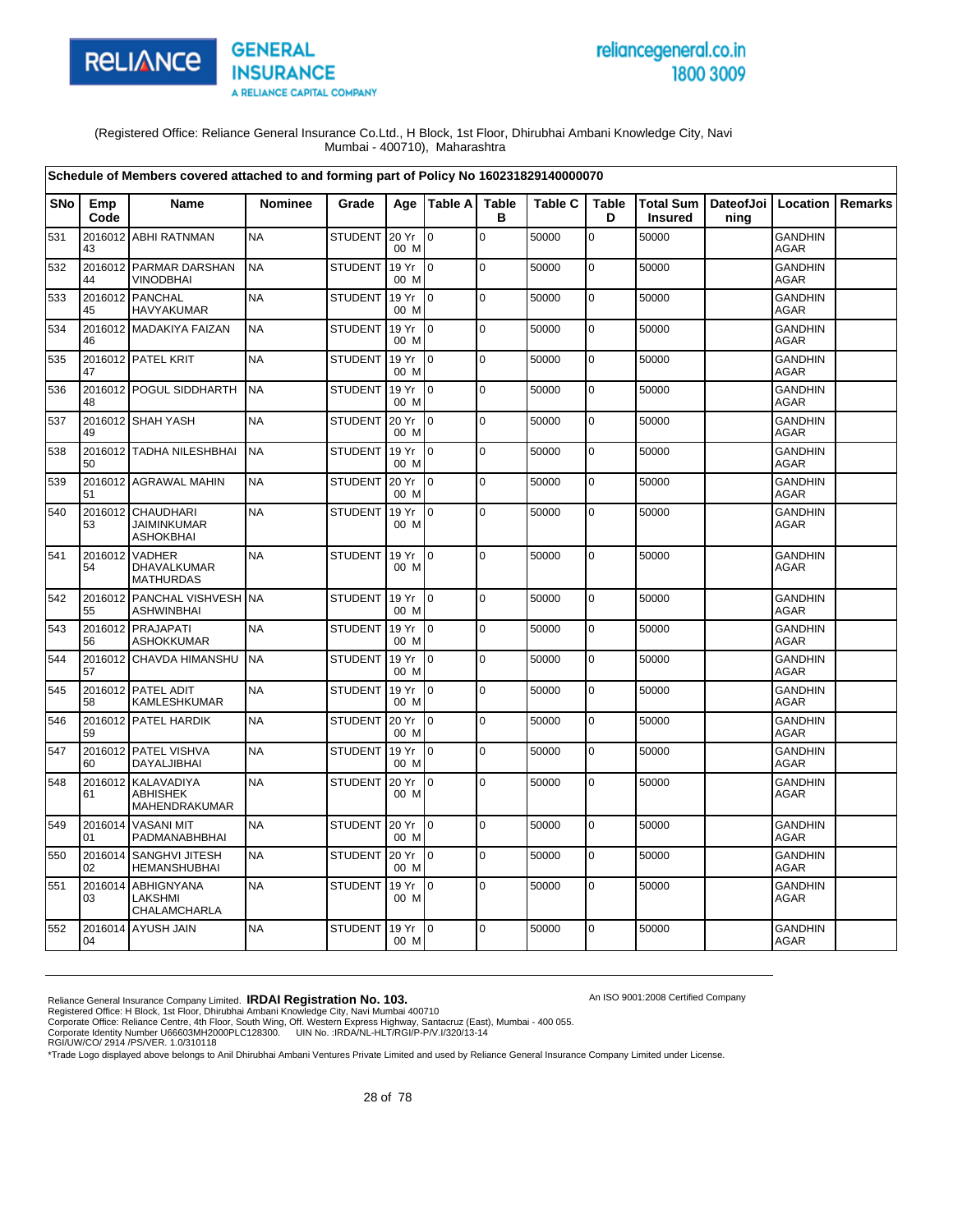

# reliancegeneral.co.in 1800 3009

An ISO 9001:2008 Certified Company

(Registered Office: Reliance General Insurance Co.Ltd., H Block, 1st Floor, Dhirubhai Ambani Knowledge City, Navi Mumbai - 400710), Maharashtra

|            |               | Schedule of Members covered attached to and forming part of Policy No 160231829140000070 |                |                |               |                 |                   |                |                   |                                    |                              |                               |         |
|------------|---------------|------------------------------------------------------------------------------------------|----------------|----------------|---------------|-----------------|-------------------|----------------|-------------------|------------------------------------|------------------------------|-------------------------------|---------|
| <b>SNo</b> | Emp<br>Code   | <b>Name</b>                                                                              | <b>Nominee</b> | Grade          | Age           | Table A         | <b>Table</b><br>в | <b>Table C</b> | <b>Table</b><br>D | <b>Total Sum</b><br><b>Insured</b> | DateofJoi   Location<br>ning |                               | Remarks |
| 531        | 43            | 2016012 ABHI RATNMAN                                                                     | <b>NA</b>      | <b>STUDENT</b> | 20 Yr<br>00 M | $\Omega$        | $\mathbf 0$       | 50000          | $\mathbf 0$       | 50000                              |                              | <b>GANDHIN</b><br>AGAR        |         |
| 532        | 44            | 2016012 PARMAR DARSHAN<br><b>VINODBHAI</b>                                               | <b>NA</b>      | <b>STUDENT</b> | 19 Yr<br>00 M | $\overline{10}$ | $\Omega$          | 50000          | $\mathbf 0$       | 50000                              |                              | <b>GANDHIN</b><br><b>AGAR</b> |         |
| 533        | 45            | 2016012 PANCHAL<br><b>HAVYAKUMAR</b>                                                     | <b>NA</b>      | <b>STUDENT</b> | 19 Yr<br>00 M | $\overline{10}$ | $\overline{0}$    | 50000          | $\mathbf 0$       | 50000                              |                              | <b>GANDHIN</b><br>AGAR        |         |
| 534        | 46            | 2016012 MADAKIYA FAIZAN                                                                  | <b>NA</b>      | <b>STUDENT</b> | 19 Yr<br>00 M | $\overline{10}$ | $\mathbf 0$       | 50000          | $\mathbf 0$       | 50000                              |                              | <b>GANDHIN</b><br><b>AGAR</b> |         |
| 535        | 47            | 2016012 PATEL KRIT                                                                       | <b>NA</b>      | <b>STUDENT</b> | 19 Yr<br>00 M | I0              | $\mathbf 0$       | 50000          | 0                 | 50000                              |                              | <b>GANDHIN</b><br><b>AGAR</b> |         |
| 536        | 48            | 2016012 POGUL SIDDHARTH                                                                  | <b>NA</b>      | <b>STUDENT</b> | 19 Yr<br>00 M | $\overline{10}$ | $\pmb{0}$         | 50000          | $\pmb{0}$         | 50000                              |                              | <b>GANDHIN</b><br><b>AGAR</b> |         |
| 537        | 49            | 2016012 SHAH YASH                                                                        | <b>NA</b>      | <b>STUDENT</b> | 20 Yr<br>00 M | $\overline{10}$ | $\Omega$          | 50000          | $\mathbf 0$       | 50000                              |                              | <b>GANDHIN</b><br><b>AGAR</b> |         |
| 538        | 50            | 2016012 TADHA NILESHBHAI                                                                 | <b>NA</b>      | <b>STUDENT</b> | 19 Yr<br>00 M | I <sub>0</sub>  | $\Omega$          | 50000          | $\mathbf 0$       | 50000                              |                              | <b>GANDHIN</b><br><b>AGAR</b> |         |
| 539        | 51            | 2016012 AGRAWAL MAHIN                                                                    | <b>NA</b>      | <b>STUDENT</b> | 20 Yr<br>00 M | $\overline{10}$ | $\mathbf 0$       | 50000          | $\mathbf 0$       | 50000                              |                              | <b>GANDHIN</b><br><b>AGAR</b> |         |
| 540        | 53            | 2016012 CHAUDHARI<br><b>JAIMINKUMAR</b><br><b>ASHOKBHAI</b>                              | <b>NA</b>      | <b>STUDENT</b> | 19 Yr<br>00 M | $\overline{0}$  | $\pmb{0}$         | 50000          | 0                 | 50000                              |                              | <b>GANDHIN</b><br><b>AGAR</b> |         |
| 541        | 54            | 2016012 VADHER<br>DHAVALKUMAR<br><b>MATHURDAS</b>                                        | <b>NA</b>      | <b>STUDENT</b> | 19 Yr<br>00 M | $\overline{10}$ | $\mathbf 0$       | 50000          | 0                 | 50000                              |                              | <b>GANDHIN</b><br><b>AGAR</b> |         |
| 542        | 55            | 2016012 PANCHAL VISHVESH NA<br><b>ASHWINBHAI</b>                                         |                | <b>STUDENT</b> | 19 Yr<br>00 M | $\overline{10}$ | $\mathbf 0$       | 50000          | $\mathbf 0$       | 50000                              |                              | <b>GANDHIN</b><br><b>AGAR</b> |         |
| 543        | 56            | 2016012 PRAJAPATI<br><b>ASHOKKUMAR</b>                                                   | <b>NA</b>      | <b>STUDENT</b> | 19 Yr<br>00 M | $\overline{0}$  | $\mathbf 0$       | 50000          | $\pmb{0}$         | 50000                              |                              | <b>GANDHIN</b><br><b>AGAR</b> |         |
| 544        | 57            | 2016012 CHAVDA HIMANSHU                                                                  | <b>NA</b>      | <b>STUDENT</b> | 19 Yr<br>00 M | I0              | $\mathbf 0$       | 50000          | $\mathbf 0$       | 50000                              |                              | <b>GANDHIN</b><br><b>AGAR</b> |         |
| 545        | 58            | 2016012 PATEL ADIT<br>KAMLESHKUMAR                                                       | <b>NA</b>      | <b>STUDENT</b> | 19 Yr<br>00 M | $\overline{10}$ | $\mathbf 0$       | 50000          | $\mathbf 0$       | 50000                              |                              | <b>GANDHIN</b><br><b>AGAR</b> |         |
| 546        | 59            | 2016012 PATEL HARDIK                                                                     | <b>NA</b>      | <b>STUDENT</b> | 20 Yr<br>00 M | I0              | $\mathbf 0$       | 50000          | $\mathbf 0$       | 50000                              |                              | GANDHIN<br><b>AGAR</b>        |         |
| 547        | 60            | 2016012 PATEL VISHVA<br>DAYALJIBHAI                                                      | <b>NA</b>      | <b>STUDENT</b> | 19 Yr<br>00 M | Io.             | $\mathbf 0$       | 50000          | $\pmb{0}$         | 50000                              |                              | <b>GANDHIN</b><br>AGAR        |         |
| 548        | 61            | 2016012 KALAVADIYA<br><b>ABHISHEK</b><br>MAHENDRAKUMAR                                   | <b>NA</b>      | STUDENT        | 20 Yr<br>00 M | I0              | $\Omega$          | 50000          | 0                 | 50000                              |                              | GANDHIN<br>AGAR               |         |
| 549        | 2016014<br>01 | <b>VASANI MIT</b><br>PADMANABHBHAI                                                       | <b>NA</b>      | STUDENT 20 Yr  | 00 M          | I0              | $\Omega$          | 50000          | $\pmb{0}$         | 50000                              |                              | <b>GANDHIN</b><br>AGAR        |         |
| 550        | 2016014<br>02 | SANGHVI JITESH<br><b>HEMANSHUBHAI</b>                                                    | <b>NA</b>      | <b>STUDENT</b> | 20 Yr<br>00 M | l 0             | $\mathbf 0$       | 50000          | $\mathbf 0$       | 50000                              |                              | <b>GANDHIN</b><br>AGAR        |         |
| 551        | 2016014<br>03 | <b>ABHIGNYANA</b><br>LAKSHMI<br>CHALAMCHARLA                                             | <b>NA</b>      | <b>STUDENT</b> | 19 Yr<br>00 M | $\mathsf{I}$    | $\Omega$          | 50000          | 0                 | 50000                              |                              | <b>GANDHIN</b><br>AGAR        |         |
| 552        | 04            | 2016014 AYUSH JAIN                                                                       | <b>NA</b>      | <b>STUDENT</b> | 19 Yr<br>00 M | $10^{-1}$       | $\mathbf 0$       | 50000          | 0                 | 50000                              |                              | <b>GANDHIN</b><br>AGAR        |         |

Reliance General Insurance Company Limited. **IRDAI Registration No. 103.**<br>Registered Office: H Block, 1st Floor, Dhirubhai Ambani Knowledge City, Navi Mumbai 400710<br>Corporate Office: Reliance Centre, 4th Floor, South Wing,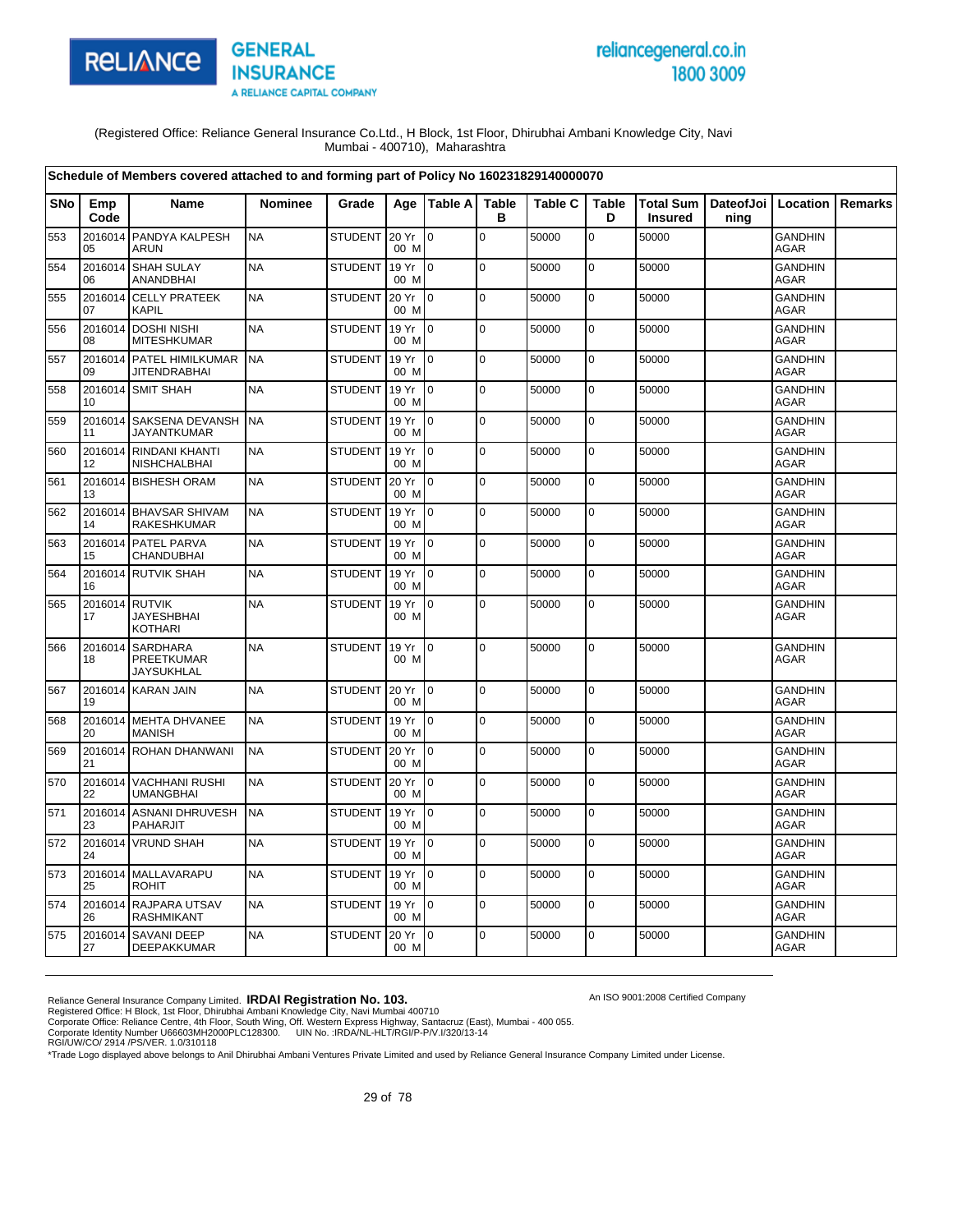

# reliancegeneral.co.in 1800 3009

An ISO 9001:2008 Certified Company

(Registered Office: Reliance General Insurance Co.Ltd., H Block, 1st Floor, Dhirubhai Ambani Knowledge City, Navi Mumbai - 400710), Maharashtra

|     |               | Schedule of Members covered attached to and forming part of Policy No 160231829140000070 |                |                |               |                 |                   |                |                   |                |                                          |                               |                |
|-----|---------------|------------------------------------------------------------------------------------------|----------------|----------------|---------------|-----------------|-------------------|----------------|-------------------|----------------|------------------------------------------|-------------------------------|----------------|
| SNo | Emp<br>Code   | <b>Name</b>                                                                              | <b>Nominee</b> | Grade          |               | Age   Table A   | <b>Table</b><br>в | <b>Table C</b> | <b>Table</b><br>D | <b>Insured</b> | Total Sum   DateofJoi   Location<br>ning |                               | <b>Remarks</b> |
| 553 | 2016014<br>05 | <b>PANDYA KALPESH</b><br><b>ARUN</b>                                                     | <b>NA</b>      | <b>STUDENT</b> | 20 Yr<br>00 M | $\Omega$        | $\mathbf 0$       | 50000          | $\mathbf 0$       | 50000          |                                          | <b>GANDHIN</b><br>AGAR        |                |
| 554 | 06            | 2016014 SHAH SULAY<br><b>ANANDBHAI</b>                                                   | <b>NA</b>      | <b>STUDENT</b> | 19 Yr<br>00 M | $\overline{10}$ | $\mathbf 0$       | 50000          | $\mathbf 0$       | 50000          |                                          | <b>GANDHIN</b><br><b>AGAR</b> |                |
| 555 | 2016014<br>07 | <b>CELLY PRATEEK</b><br><b>KAPIL</b>                                                     | <b>NA</b>      | <b>STUDENT</b> | 20 Yr<br>00 M | $\overline{0}$  | $\mathbf 0$       | 50000          | 0                 | 50000          |                                          | <b>GANDHIN</b><br><b>AGAR</b> |                |
| 556 | 08            | 2016014 DOSHI NISHI<br><b>MITESHKUMAR</b>                                                | <b>NA</b>      | <b>STUDENT</b> | 19 Yr<br>00 M | $\overline{10}$ | $\mathbf 0$       | 50000          | 0                 | 50000          |                                          | <b>GANDHIN</b><br><b>AGAR</b> |                |
| 557 | 09            | 2016014 PATEL HIMILKUMAR<br><b>JITENDRABHAI</b>                                          | <b>NA</b>      | <b>STUDENT</b> | 19 Yr<br>00 M | $\overline{10}$ | $\Omega$          | 50000          | 0                 | 50000          |                                          | <b>GANDHIN</b><br><b>AGAR</b> |                |
| 558 | 10            | 2016014 SMIT SHAH                                                                        | <b>NA</b>      | <b>STUDENT</b> | 19 Yr<br>00 M | $\overline{10}$ | $\pmb{0}$         | 50000          | $\mathbf 0$       | 50000          |                                          | <b>GANDHIN</b><br><b>AGAR</b> |                |
| 559 | 11            | 2016014 SAKSENA DEVANSH<br><b>JAYANTKUMAR</b>                                            | <b>NA</b>      | <b>STUDENT</b> | 19 Yr<br>00 M | $\overline{10}$ | $\mathbf 0$       | 50000          | 0                 | 50000          |                                          | <b>GANDHIN</b><br><b>AGAR</b> |                |
| 560 | 12            | 2016014 RINDANI KHANTI<br>NISHCHALBHAI                                                   | <b>NA</b>      | <b>STUDENT</b> | 19 Yr<br>00 M | $\overline{10}$ | $\mathbf 0$       | 50000          | $\mathbf 0$       | 50000          |                                          | <b>GANDHIN</b><br>AGAR        |                |
| 561 | 13            | 2016014 BISHESH ORAM                                                                     | <b>NA</b>      | <b>STUDENT</b> | 20 Yr<br>00 M | $\overline{10}$ | $\mathbf 0$       | 50000          | $\pmb{0}$         | 50000          |                                          | GANDHIN<br>AGAR               |                |
| 562 | 2016014<br>14 | <b>BHAVSAR SHIVAM</b><br>RAKESHKUMAR                                                     | <b>NA</b>      | <b>STUDENT</b> | 19 Yr<br>00 M | $\overline{0}$  | $\mathbf 0$       | 50000          | 0                 | 50000          |                                          | <b>GANDHIN</b><br><b>AGAR</b> |                |
| 563 | 15            | 2016014 PATEL PARVA<br><b>CHANDUBHAI</b>                                                 | <b>NA</b>      | <b>STUDENT</b> | 19 Yr<br>00 M | $\overline{10}$ | $\mathbf 0$       | 50000          | $\mathbf 0$       | 50000          |                                          | <b>GANDHIN</b><br><b>AGAR</b> |                |
| 564 | 16            | 2016014 RUTVIK SHAH                                                                      | <b>NA</b>      | <b>STUDENT</b> | 19 Yr<br>00 M | lo.             | $\pmb{0}$         | 50000          | 0                 | 50000          |                                          | <b>GANDHIN</b><br><b>AGAR</b> |                |
| 565 | 17            | 2016014 RUTVIK<br><b>JAYESHBHAI</b><br><b>KOTHARI</b>                                    | <b>NA</b>      | <b>STUDENT</b> | 19 Yr<br>00 M | $\overline{10}$ | $\mathbf 0$       | 50000          | 0                 | 50000          |                                          | <b>GANDHIN</b><br><b>AGAR</b> |                |
| 566 | 2016014<br>18 | <b>SARDHARA</b><br><b>PREETKUMAR</b><br><b>JAYSUKHLAL</b>                                | <b>NA</b>      | <b>STUDENT</b> | 19 Yr<br>00 M | I <sub>0</sub>  | $\mathbf 0$       | 50000          | 0                 | 50000          |                                          | <b>GANDHIN</b><br><b>AGAR</b> |                |
| 567 | 19            | 2016014 KARAN JAIN                                                                       | <b>NA</b>      | STUDENT 20 Yr  | 00 M          | $\overline{0}$  | $\pmb{0}$         | 50000          | $\mathbf 0$       | 50000          |                                          | <b>GANDHIN</b><br><b>AGAR</b> |                |
| 568 | 20            | 2016014 MEHTA DHVANEE<br><b>MANISH</b>                                                   | <b>NA</b>      | <b>STUDENT</b> | 19 Yr<br>00 M | $\overline{10}$ | $\mathbf 0$       | 50000          | 0                 | 50000          |                                          | <b>GANDHIN</b><br><b>AGAR</b> |                |
| 569 | 21            | 2016014 ROHAN DHANWANI                                                                   | <b>NA</b>      | <b>STUDENT</b> | 20 Yr<br>00 M | $\overline{10}$ | $\mathbf 0$       | 50000          | 0                 | 50000          |                                          | <b>GANDHIN</b><br><b>AGAR</b> |                |
| 570 | 22            | 2016014 VACHHANI RUSHI<br><b>UMANGBHAI</b>                                               | <b>NA</b>      | <b>STUDENT</b> | 20 Yr<br>00 M | I O             | $\pmb{0}$         | 50000          | $\mathbf 0$       | 50000          |                                          | <b>GANDHIN</b><br>AGAR        |                |
| 571 | 2016014<br>23 | <b>ASNANI DHRUVESH</b><br><b>PAHARJIT</b>                                                | <b>NA</b>      | <b>STUDENT</b> | 19 Yr<br>00 M | $\overline{0}$  | $\mathbf 0$       | 50000          | 0                 | 50000          |                                          | <b>GANDHIN</b><br>AGAR        |                |
| 572 | 24            | 2016014 VRUND SHAH                                                                       | <b>NA</b>      | <b>STUDENT</b> | 19 Yr<br>00 M | $\overline{10}$ | $\mathbf 0$       | 50000          | $\mathbf 0$       | 50000          |                                          | <b>GANDHIN</b><br>AGAR        |                |
| 573 | 25            | 2016014 MALLAVARAPU<br><b>ROHIT</b>                                                      | <b>NA</b>      | <b>STUDENT</b> | 19 Yr<br>00 M | I0.             | $\Omega$          | 50000          | $\mathbf 0$       | 50000          |                                          | <b>GANDHIN</b><br><b>AGAR</b> |                |
| 574 | 26            | 2016014 RAJPARA UTSAV<br><b>RASHMIKANT</b>                                               | <b>NA</b>      | <b>STUDENT</b> | 19 Yr<br>00 M | Io.             | $\mathbf 0$       | 50000          | $\pmb{0}$         | 50000          |                                          | <b>GANDHIN</b><br><b>AGAR</b> |                |
| 575 | 27            | 2016014 SAVANI DEEP<br>DEEPAKKUMAR                                                       | <b>NA</b>      | <b>STUDENT</b> | 20 Yr<br>00 M | I0              | 0                 | 50000          | 0                 | 50000          |                                          | <b>GANDHIN</b><br><b>AGAR</b> |                |

Reliance General Insurance Company Limited. **IRDAI Registration No. 103.**<br>Registered Office: H Block, 1st Floor, Dhirubhai Ambani Knowledge City, Navi Mumbai 400710<br>Corporate Office: Reliance Centre, 4th Floor, South Wing,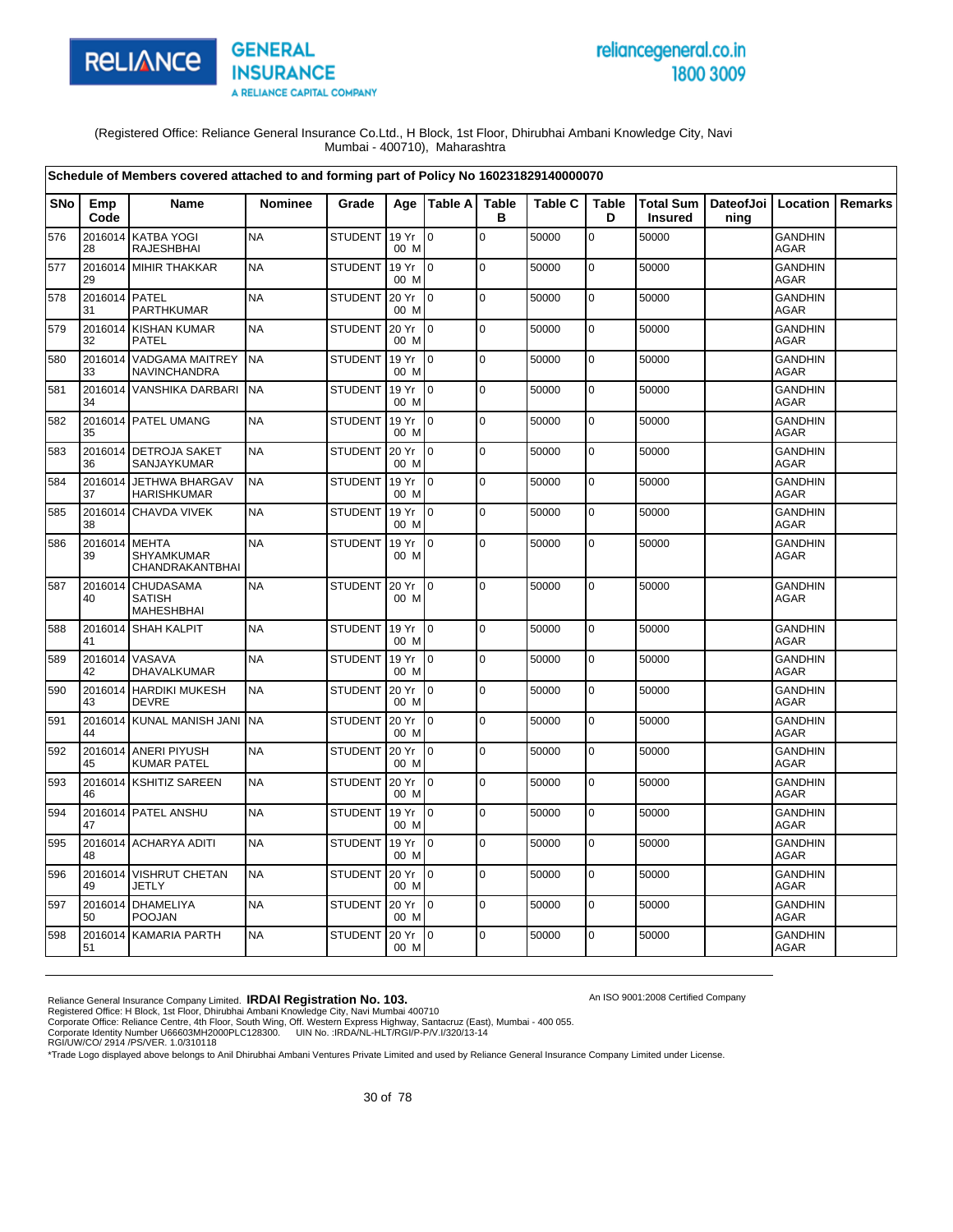

# reliancegeneral.co.in 1800 3009

An ISO 9001:2008 Certified Company

(Registered Office: Reliance General Insurance Co.Ltd., H Block, 1st Floor, Dhirubhai Ambani Knowledge City, Navi Mumbai - 400710), Maharashtra

|            |                     | Schedule of Members covered attached to and forming part of Policy No 160231829140000070 |                |                |               |                 |                   |                |                   |                                    |      |                               |                |
|------------|---------------------|------------------------------------------------------------------------------------------|----------------|----------------|---------------|-----------------|-------------------|----------------|-------------------|------------------------------------|------|-------------------------------|----------------|
| <b>SNo</b> | Emp<br>Code         | <b>Name</b>                                                                              | <b>Nominee</b> | Grade          | Aae           | <b>Table Al</b> | <b>Table</b><br>в | <b>Table C</b> | <b>Table</b><br>D | <b>Total Sum</b><br><b>Insured</b> | ning | DateofJoi   Location          | <b>Remarks</b> |
| 576        | 2016014<br>28       | <b>KATBA YOGI</b><br><b>RAJESHBHAI</b>                                                   | <b>NA</b>      | STUDENT        | 19 Yr<br>00 M | l o             | $\Omega$          | 50000          | $\mathbf 0$       | 50000                              |      | <b>GANDHIN</b><br>AGAR        |                |
| 577        | 29                  | 2016014 MIHIR THAKKAR                                                                    | <b>NA</b>      | <b>STUDENT</b> | 19 Yr<br>00 M | I٥              | $\mathbf 0$       | 50000          | $\mathbf 0$       | 50000                              |      | <b>GANDHIN</b><br><b>AGAR</b> |                |
| 578        | 2016014 PATEL<br>31 | PARTHKUMAR                                                                               | <b>NA</b>      | <b>STUDENT</b> | 20 Yr<br>00 M | I٥              | $\pmb{0}$         | 50000          | $\mathsf 0$       | 50000                              |      | GANDHIN<br><b>AGAR</b>        |                |
| 579        | 32                  | 2016014 KISHAN KUMAR<br><b>PATEL</b>                                                     | <b>NA</b>      | <b>STUDENT</b> | 20 Yr<br>00 M | I0              | $\pmb{0}$         | 50000          | $\mathbf 0$       | 50000                              |      | <b>GANDHIN</b><br><b>AGAR</b> |                |
| 580        | 33                  | 2016014 VADGAMA MAITREY<br><b>NAVINCHANDRA</b>                                           | <b>NA</b>      | <b>STUDENT</b> | 19 Yr<br>00 M | I0              | $\mathbf 0$       | 50000          | $\mathbf 0$       | 50000                              |      | <b>GANDHIN</b><br><b>AGAR</b> |                |
| 581        | 34                  | 2016014 VANSHIKA DARBARI                                                                 | <b>NA</b>      | <b>STUDENT</b> | 19 Yr<br>00 M | lo.             | $\mathbf 0$       | 50000          | $\mathbf 0$       | 50000                              |      | <b>GANDHIN</b><br>AGAR        |                |
| 582        | 35                  | 2016014 PATEL UMANG                                                                      | <b>NA</b>      | <b>STUDENT</b> | 19 Yr<br>00 M | I0              | $\pmb{0}$         | 50000          | $\pmb{0}$         | 50000                              |      | GANDHIN<br><b>AGAR</b>        |                |
| 583        | 36                  | 2016014 DETROJA SAKET<br>SANJAYKUMAR                                                     | <b>NA</b>      | <b>STUDENT</b> | 20 Yr<br>00 M | l0              | $\mathbf 0$       | 50000          | $\pmb{0}$         | 50000                              |      | <b>GANDHIN</b><br>AGAR        |                |
| 584        | 37                  | 2016014 JETHWA BHARGAV<br><b>HARISHKUMAR</b>                                             | <b>NA</b>      | <b>STUDENT</b> | 19 Yr<br>00 M | I٥              | $\mathbf 0$       | 50000          | $\mathbf 0$       | 50000                              |      | <b>GANDHIN</b><br>AGAR        |                |
| 585        | 38                  | 2016014 CHAVDA VIVEK                                                                     | <b>NA</b>      | <b>STUDENT</b> | 19 Yr<br>00 M | lo.             | $\Omega$          | 50000          | $\pmb{0}$         | 50000                              |      | <b>GANDHIN</b><br><b>AGAR</b> |                |
| 586        | 2016014<br>39       | <b>MEHTA</b><br>SHYAMKUMAR<br>CHANDRAKANTBHAI                                            | <b>NA</b>      | <b>STUDENT</b> | 19 Yr<br>00 M | l o             | $\mathbf 0$       | 50000          | $\pmb{0}$         | 50000                              |      | <b>GANDHIN</b><br>AGAR        |                |
| 587        | 2016014<br>40       | <b>CHUDASAMA</b><br><b>SATISH</b><br><b>MAHESHBHAI</b>                                   | <b>NA</b>      | <b>STUDENT</b> | 20 Yr<br>00 M | I0              | 0                 | 50000          | $\pmb{0}$         | 50000                              |      | <b>GANDHIN</b><br><b>AGAR</b> |                |
| 588        | 41                  | 2016014 SHAH KALPIT                                                                      | <b>NA</b>      | <b>STUDENT</b> | 19 Yr<br>00 M | I0              | $\overline{0}$    | 50000          | $\pmb{0}$         | 50000                              |      | <b>GANDHIN</b><br><b>AGAR</b> |                |
| 589        | 2016014<br>42       | VASAVA<br>DHAVALKUMAR                                                                    | <b>NA</b>      | <b>STUDENT</b> | 19 Yr<br>00 M | I٥              | 0                 | 50000          | $\mathsf 0$       | 50000                              |      | <b>GANDHIN</b><br><b>AGAR</b> |                |
| 590        | 43                  | 2016014 HARDIKI MUKESH<br><b>DEVRE</b>                                                   | <b>NA</b>      | <b>STUDENT</b> | 20 Yr<br>00 M | I0              | $\mathbf 0$       | 50000          | $\mathbf 0$       | 50000                              |      | <b>GANDHIN</b><br><b>AGAR</b> |                |
| 591        | 44                  | 2016014 KUNAL MANISH JANI                                                                | <b>NA</b>      | <b>STUDENT</b> | 20 Yr<br>00 M | I0              | $\mathbf 0$       | 50000          | $\mathbf 0$       | 50000                              |      | <b>GANDHIN</b><br><b>AGAR</b> |                |
| 592        | 45                  | 2016014 ANERI PIYUSH<br><b>KUMAR PATEL</b>                                               | <b>NA</b>      | STUDENT        | 20 Yr<br>00 M | 10              | $\mathbf 0$       | 50000          | $\mathbf 0$       | 50000                              |      | GANDHIN<br><b>AGAR</b>        |                |
| 593        | 46                  | 2016014 KSHITIZ SAREEN                                                                   | <b>NA</b>      | <b>STUDENT</b> | 20 Yr<br>00 M | l0              | l o               | 50000          | $\mathbf 0$       | 50000                              |      | <b>GANDHIN</b><br><b>AGAR</b> |                |
| 594        | 47                  | 2016014 PATEL ANSHU                                                                      | <b>NA</b>      | <b>STUDENT</b> | 19 Yr<br>00 M | Io.             | $\mathbf 0$       | 50000          | $\pmb{0}$         | 50000                              |      | GANDHIN<br><b>AGAR</b>        |                |
| 595        | 48                  | 2016014 ACHARYA ADITI                                                                    | <b>NA</b>      | <b>STUDENT</b> | 19 Yr<br>00 M | I0              | $\Omega$          | 50000          | $\mathbf 0$       | 50000                              |      | <b>GANDHIN</b><br>AGAR        |                |
| 596        | 49                  | 2016014 VISHRUT CHETAN<br><b>JETLY</b>                                                   | <b>NA</b>      | <b>STUDENT</b> | 20 Yr<br>00 M | l0              | $\pmb{0}$         | 50000          | $\pmb{0}$         | 50000                              |      | <b>GANDHIN</b><br><b>AGAR</b> |                |
| 597        | 50                  | 2016014 DHAMELIYA<br><b>POOJAN</b>                                                       | <b>NA</b>      | <b>STUDENT</b> | 20 Yr<br>00 M | I0              | $\Omega$          | 50000          | $\mathbf 0$       | 50000                              |      | <b>GANDHIN</b><br>AGAR        |                |
| 598        | 51                  | 2016014 KAMARIA PARTH                                                                    | <b>NA</b>      | <b>STUDENT</b> | 20 Yr<br>00 M | lo.             | $\mathbf 0$       | 50000          | $\mathbf 0$       | 50000                              |      | <b>GANDHIN</b><br>AGAR        |                |

Reliance General Insurance Company Limited. **IRDAI Registration No. 103.**<br>Registered Office: H Block, 1st Floor, Dhirubhai Ambani Knowledge City, Navi Mumbai 400710<br>Corporate Office: Reliance Centre, 4th Floor, South Wing,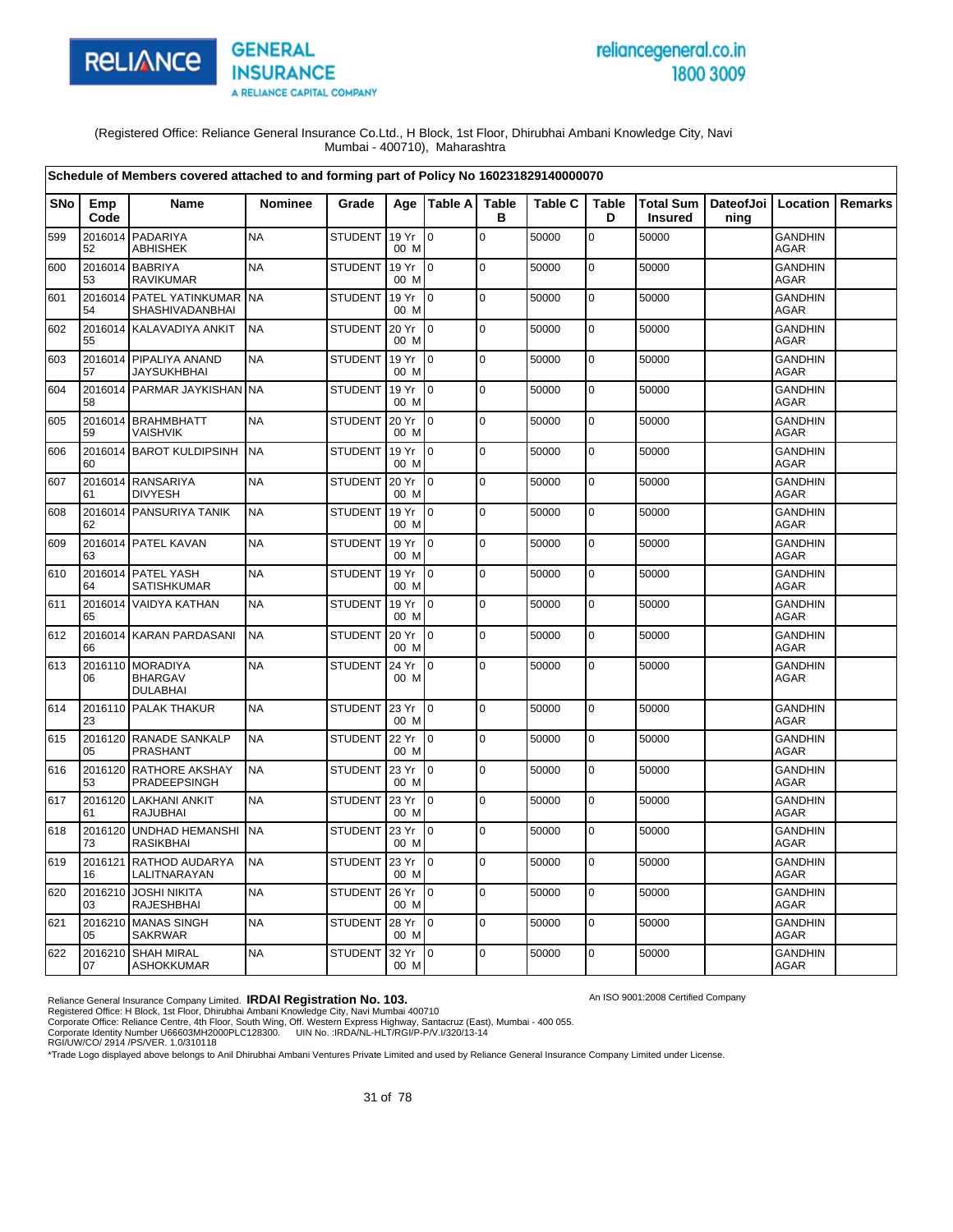

# reliancegeneral.co.in 1800 3009

An ISO 9001:2008 Certified Company

(Registered Office: Reliance General Insurance Co.Ltd., H Block, 1st Floor, Dhirubhai Ambani Knowledge City, Navi Mumbai - 400710), Maharashtra

|     |               | Schedule of Members covered attached to and forming part of Policy No 160231829140000070 |                |                |                 |                |                   |                |                   |                |                                          |                               |         |
|-----|---------------|------------------------------------------------------------------------------------------|----------------|----------------|-----------------|----------------|-------------------|----------------|-------------------|----------------|------------------------------------------|-------------------------------|---------|
| SNo | Emp<br>Code   | <b>Name</b>                                                                              | <b>Nominee</b> | Grade          |                 | Age   Table A  | <b>Table</b><br>B | <b>Table C</b> | <b>Table</b><br>D | <b>Insured</b> | Total Sum   DateofJoi   Location<br>ning |                               | Remarks |
| 599 | 2016014<br>52 | PADARIYA<br>ABHISHEK                                                                     | <b>NA</b>      | STUDENT        | 19 Yr<br>00 M   | lo.            | $\mathbf 0$       | 50000          | 0                 | 50000          |                                          | <b>GANDHIN</b><br><b>AGAR</b> |         |
| 600 | 2016014<br>53 | <b>BABRIYA</b><br><b>RAVIKUMAR</b>                                                       | <b>NA</b>      | <b>STUDENT</b> | 19 Yr<br>00 M   | $\overline{0}$ | $\mathbf 0$       | 50000          | $\pmb{0}$         | 50000          |                                          | <b>GANDHIN</b><br><b>AGAR</b> |         |
| 601 | 54            | 2016014 PATEL YATINKUMAR<br>SHASHIVADANBHAI                                              | <b>NA</b>      | <b>STUDENT</b> | 19 Yr<br>00 M   | $\Omega$       | $\mathbf 0$       | 50000          | $\pmb{0}$         | 50000          |                                          | <b>GANDHIN</b><br><b>AGAR</b> |         |
| 602 | 55            | 2016014 KALAVADIYA ANKIT                                                                 | <b>NA</b>      | <b>STUDENT</b> | 20 Yr<br>00 M   | $\overline{0}$ | $\mathbf 0$       | 50000          | $\pmb{0}$         | 50000          |                                          | <b>GANDHIN</b><br><b>AGAR</b> |         |
| 603 | 57            | 2016014 PIPALIYA ANAND<br><b>JAYSUKHBHAI</b>                                             | <b>NA</b>      | <b>STUDENT</b> | 19 Yr<br>00 M   | $\overline{0}$ | $\mathbf 0$       | 50000          | $\mathbf 0$       | 50000          |                                          | <b>GANDHIN</b><br><b>AGAR</b> |         |
| 604 | 58            | 2016014 PARMAR JAYKISHAN                                                                 | <b>INA</b>     | <b>STUDENT</b> | 19 Yr<br>00 M   | $\overline{0}$ | $\mathbf 0$       | 50000          | $\pmb{0}$         | 50000          |                                          | <b>GANDHIN</b><br>AGAR        |         |
| 605 | 59            | 2016014 BRAHMBHATT<br>VAISHVIK                                                           | <b>NA</b>      | <b>STUDENT</b> | 20 Yr<br>00 M   | $\overline{0}$ | l o               | 50000          | $\mathbf 0$       | 50000          |                                          | <b>GANDHIN</b><br>AGAR        |         |
| 606 | 60            | 2016014 BAROT KULDIPSINH                                                                 | <b>NA</b>      | <b>STUDENT</b> | 19 Yr<br>00 M   | $\overline{0}$ | $\mathbf 0$       | 50000          | 0                 | 50000          |                                          | <b>GANDHIN</b><br><b>AGAR</b> |         |
| 607 | 61            | 2016014 RANSARIYA<br><b>DIVYESH</b>                                                      | <b>NA</b>      | <b>STUDENT</b> | 20 Yr<br>00 M   | Io.            | $\mathbf 0$       | 50000          | $\pmb{0}$         | 50000          |                                          | <b>GANDHIN</b><br><b>AGAR</b> |         |
| 608 | 62            | 2016014 PANSURIYA TANIK                                                                  | <b>NA</b>      | <b>STUDENT</b> | 19 Yr<br>00 M   | $\overline{0}$ | $\mathbf 0$       | 50000          | $\mathbf 0$       | 50000          |                                          | <b>GANDHIN</b><br><b>AGAR</b> |         |
| 609 | 63            | 2016014 PATEL KAVAN                                                                      | <b>NA</b>      | <b>STUDENT</b> | 19 Yr<br>00 M   | $\overline{0}$ | $\mathbf 0$       | 50000          | $\pmb{0}$         | 50000          |                                          | <b>GANDHIN</b><br><b>AGAR</b> |         |
| 610 | 64            | 2016014 PATEL YASH<br>SATISHKUMAR                                                        | <b>NA</b>      | <b>STUDENT</b> | 19 Yr<br>00 M   | $\overline{0}$ | $\mathbf 0$       | 50000          | $\pmb{0}$         | 50000          |                                          | <b>GANDHIN</b><br>AGAR        |         |
| 611 | 2016014<br>65 | <b>VAIDYA KATHAN</b>                                                                     | <b>NA</b>      | <b>STUDENT</b> | 19 Yr<br>00 M   | $\overline{0}$ | $\mathbf 0$       | 50000          | $\mathbf 0$       | 50000          |                                          | <b>GANDHIN</b><br><b>AGAR</b> |         |
| 612 | 66            | 2016014 KARAN PARDASANI                                                                  | <b>NA</b>      | <b>STUDENT</b> | 20 Yr<br>00 M   | $\overline{0}$ | $\mathbf 0$       | 50000          | $\pmb{0}$         | 50000          |                                          | <b>GANDHIN</b><br><b>AGAR</b> |         |
| 613 | 06            | 2016110 MORADIYA<br><b>BHARGAV</b><br><b>DULABHAI</b>                                    | <b>NA</b>      | <b>STUDENT</b> | 24 Yr<br>00 M   | 0              | $\mathbf 0$       | 50000          | 0                 | 50000          |                                          | <b>GANDHIN</b><br><b>AGAR</b> |         |
| 614 | 23            | 2016110 PALAK THAKUR                                                                     | <b>NA</b>      | <b>STUDENT</b> | 23 Yr<br>00 M   | I0.            | $\mathbf 0$       | 50000          | $\pmb{0}$         | 50000          |                                          | <b>GANDHIN</b><br><b>AGAR</b> |         |
| 615 | 05            | 2016120 RANADE SANKALP<br><b>PRASHANT</b>                                                | <b>NA</b>      | <b>STUDENT</b> | 22 Yr<br>00 M   | I0.            | $\mathbf 0$       | 50000          | $\mathbf 0$       | 50000          |                                          | <b>GANDHIN</b><br><b>AGAR</b> |         |
| 616 | 53            | 2016120 RATHORE AKSHAY<br>PRADEEPSINGH                                                   | <b>NA</b>      | <b>STUDENT</b> | 23 Yr<br>00 M   | $\overline{0}$ | $\mathbf 0$       | 50000          | $\mathbf 0$       | 50000          |                                          | <b>GANDHIN</b><br><b>AGAR</b> |         |
| 617 | 2016120<br>61 | <b>LAKHANI ANKIT</b><br>RAJUBHAI                                                         | <b>NA</b>      | <b>STUDENT</b> | 23 Yr<br>00 M   | 0              | $\mathbf 0$       | 50000          | $\pmb{0}$         | 50000          |                                          | <b>GANDHIN</b><br>AGAR        |         |
| 618 | 2016120<br>73 | <b>UNDHAD HEMANSHI</b><br>RASIKBHAI                                                      | <b>NA</b>      | <b>STUDENT</b> | 23 Yr<br>00 M   | $\overline{0}$ | $\mathbf 0$       | 50000          | $\mathbf 0$       | 50000          |                                          | <b>GANDHIN</b><br>AGAR        |         |
| 619 | 2016121<br>16 | RATHOD AUDARYA<br>LALITNARAYAN                                                           | <b>NA</b>      | <b>STUDENT</b> | 23 Yr<br>00 M   | $\overline{0}$ | l O               | 50000          | $\pmb{0}$         | 50000          |                                          | <b>GANDHIN</b><br>AGAR        |         |
| 620 | 2016210<br>03 | <b>JOSHI NIKITA</b><br><b>RAJESHBHAI</b>                                                 | <b>NA</b>      | <b>STUDENT</b> | 26 Yr<br>00 M   | l 0            | $\mathbf 0$       | 50000          | $\mathbf 0$       | 50000          |                                          | <b>GANDHIN</b><br><b>AGAR</b> |         |
| 621 | 05            | 2016210 MANAS SINGH<br><b>SAKRWAR</b>                                                    | <b>NA</b>      | <b>STUDENT</b> | 28 Yr<br>00 M   | I O            | $\mathbf 0$       | 50000          | $\pmb{0}$         | 50000          |                                          | <b>GANDHIN</b><br><b>AGAR</b> |         |
| 622 | 07            | 2016210 SHAH MIRAL<br><b>ASHOKKUMAR</b>                                                  | <b>NA</b>      | <b>STUDENT</b> | 32 Yr 0<br>00 M |                | $\mathbf 0$       | 50000          | $\mathbf 0$       | 50000          |                                          | <b>GANDHIN</b><br>AGAR        |         |

Reliance General Insurance Company Limited. **IRDAI Registration No. 103.**<br>Registered Office: H Block, 1st Floor, Dhirubhai Ambani Knowledge City, Navi Mumbai 400710<br>Corporate Office: Reliance Centre, 4th Floor, South Wing,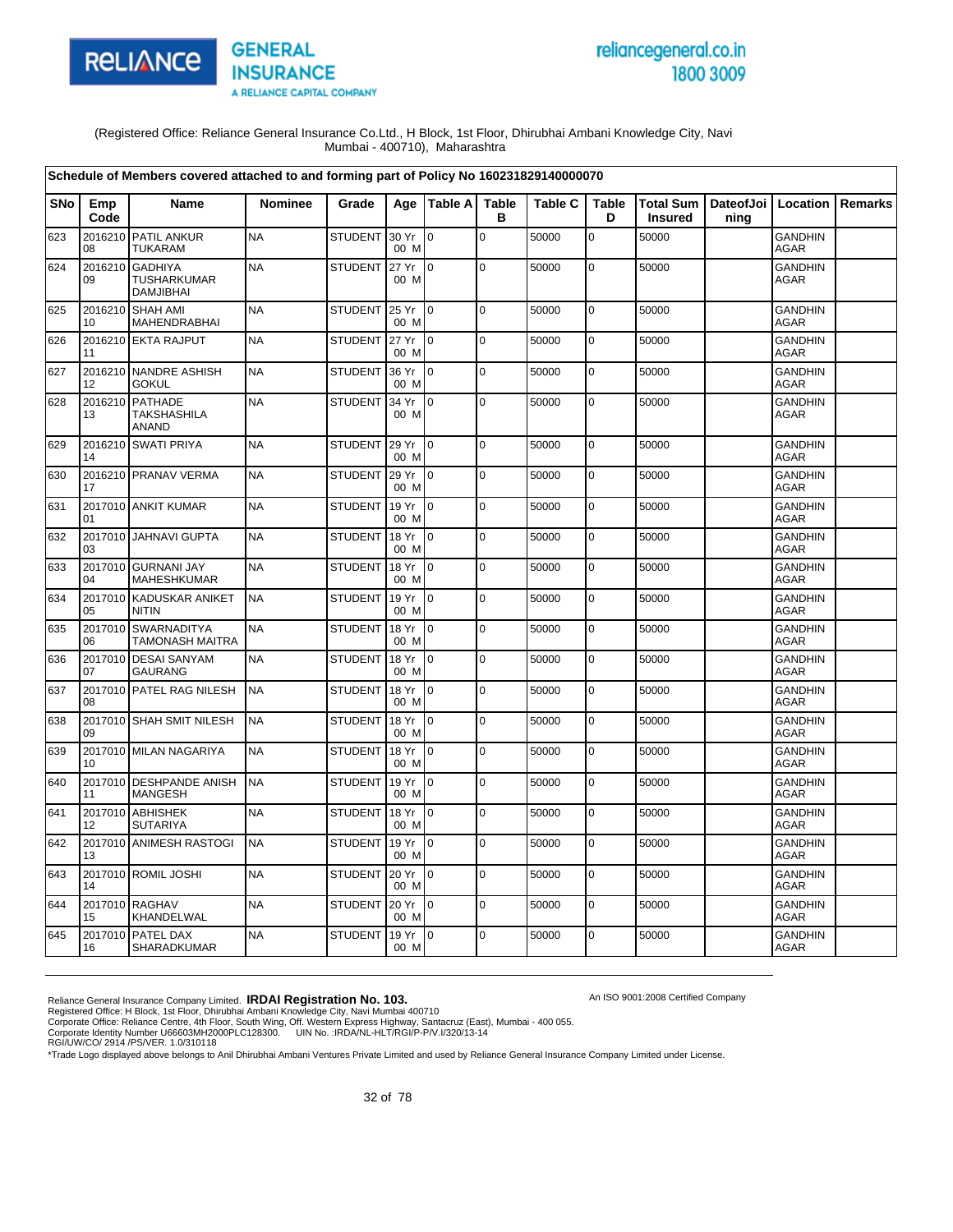

# reliancegeneral.co.in 1800 3009

An ISO 9001:2008 Certified Company

(Registered Office: Reliance General Insurance Co.Ltd., H Block, 1st Floor, Dhirubhai Ambani Knowledge City, Navi Mumbai - 400710), Maharashtra

|            |               | Schedule of Members covered attached to and forming part of Policy No 160231829140000070 |                |                |               |                 |                   |                |                   |                                    |                              |                               |                |
|------------|---------------|------------------------------------------------------------------------------------------|----------------|----------------|---------------|-----------------|-------------------|----------------|-------------------|------------------------------------|------------------------------|-------------------------------|----------------|
| <b>SNo</b> | Emp<br>Code   | <b>Name</b>                                                                              | <b>Nominee</b> | Grade          | Age           | <b>Table A</b>  | <b>Table</b><br>в | <b>Table C</b> | <b>Table</b><br>D | <b>Total Sum</b><br><b>Insured</b> | DateofJoi   Location<br>ning |                               | <b>Remarks</b> |
| 623        | 2016210<br>08 | <b>PATIL ANKUR</b><br><b>TUKARAM</b>                                                     | <b>NA</b>      | STUDENT 30 Yr  | 00 M          | $\overline{0}$  | $\Omega$          | 50000          | $\overline{0}$    | 50000                              |                              | <b>GANDHIN</b><br><b>AGAR</b> |                |
| 624        | 2016210<br>09 | <b>GADHIYA</b><br>TUSHARKUMAR<br><b>DAMJIBHAI</b>                                        | <b>NA</b>      | <b>STUDENT</b> | 27 Yr<br>00 M | I0              | $\mathbf 0$       | 50000          | $\mathbf 0$       | 50000                              |                              | <b>GANDHIN</b><br><b>AGAR</b> |                |
| 625        | 10            | 2016210 SHAH AMI<br>MAHENDRABHAI                                                         | <b>NA</b>      | <b>STUDENT</b> | 25 Yr<br>00 M | I0.             | l o               | 50000          | $\mathbf 0$       | 50000                              |                              | <b>GANDHIN</b><br>AGAR        |                |
| 626        | 11            | 2016210 EKTA RAJPUT                                                                      | <b>NA</b>      | <b>STUDENT</b> | 27 Yr<br>00 M | I0.             | $\mathbf 0$       | 50000          | $\overline{0}$    | 50000                              |                              | GANDHIN<br><b>AGAR</b>        |                |
| 627        | 12            | 2016210 NANDRE ASHISH<br><b>GOKUL</b>                                                    | <b>NA</b>      | <b>STUDENT</b> | 36 Yr<br>00 M | $\overline{0}$  | $\mathbf 0$       | 50000          | $\pmb{0}$         | 50000                              |                              | <b>GANDHIN</b><br><b>AGAR</b> |                |
| 628        | 2016210<br>13 | PATHADE<br><b>TAKSHASHILA</b><br>ANAND                                                   | <b>NA</b>      | <b>STUDENT</b> | 34 Yr<br>00 M | $\overline{0}$  | $\mathbf 0$       | 50000          | $\pmb{0}$         | 50000                              |                              | <b>GANDHIN</b><br><b>AGAR</b> |                |
| 629        | 14            | 2016210 SWATI PRIYA                                                                      | <b>NA</b>      | STUDENT        | 29 Yr<br>00 M | $\overline{10}$ | $\mathbf 0$       | 50000          | $\pmb{0}$         | 50000                              |                              | <b>GANDHIN</b><br><b>AGAR</b> |                |
| 630        | 17            | 2016210 PRANAV VERMA                                                                     | <b>NA</b>      | <b>STUDENT</b> | 29 Yr<br>00 M | Io.             | $\mathbf 0$       | 50000          | $\mathbf 0$       | 50000                              |                              | <b>GANDHIN</b><br><b>AGAR</b> |                |
| 631        | 01            | 2017010 ANKIT KUMAR                                                                      | <b>NA</b>      | STUDENT        | 19 Yr<br>00 M | Io.             | $\mathbf 0$       | 50000          | $\mathbf 0$       | 50000                              |                              | <b>GANDHIN</b><br>AGAR        |                |
| 632        | 03            | 2017010 JAHNAVI GUPTA                                                                    | <b>NA</b>      | <b>STUDENT</b> | 18 Yr<br>00 M | $\overline{0}$  | $\pmb{0}$         | 50000          | $\pmb{0}$         | 50000                              |                              | <b>GANDHIN</b><br><b>AGAR</b> |                |
| 633        | 04            | 2017010 GURNANI JAY<br>MAHESHKUMAR                                                       | <b>NA</b>      | <b>STUDENT</b> | 18 Yr<br>00 M | $\overline{0}$  | $\mathbf 0$       | 50000          | $\pmb{0}$         | 50000                              |                              | <b>GANDHIN</b><br>AGAR        |                |
| 634        | 2017010<br>05 | <b>KADUSKAR ANIKET</b><br>NITIN                                                          | <b>NA</b>      | <b>STUDENT</b> | 19 Yr<br>00 M | $\overline{0}$  | $\mathbf 0$       | 50000          | $\pmb{0}$         | 50000                              |                              | <b>GANDHIN</b><br>AGAR        |                |
| 635        | 2017010<br>06 | <b>SWARNADITYA</b><br>TAMONASH MAITRA                                                    | <b>NA</b>      | <b>STUDENT</b> | 18 Yr<br>00 M | Io.             | $\overline{0}$    | 50000          | $\pmb{0}$         | 50000                              |                              | <b>GANDHIN</b><br><b>AGAR</b> |                |
| 636        | 2017010<br>07 | <b>DESAI SANYAM</b><br><b>GAURANG</b>                                                    | <b>NA</b>      | <b>STUDENT</b> | 18 Yr<br>00 M | l 0             | $\pmb{0}$         | 50000          | $\pmb{0}$         | 50000                              |                              | <b>GANDHIN</b><br><b>AGAR</b> |                |
| 637        | 08            | 2017010 PATEL RAG NILESH                                                                 | <b>NA</b>      | <b>STUDENT</b> | 18 Yr<br>00 M | Io.             | $\mathbf 0$       | 50000          | $\mathbf 0$       | 50000                              |                              | <b>GANDHIN</b><br><b>AGAR</b> |                |
| 638        | 09            | 2017010 SHAH SMIT NILESH                                                                 | <b>NA</b>      | <b>STUDENT</b> | 18 Yr<br>00 M | l 0             | $\mathbf 0$       | 50000          | $\overline{0}$    | 50000                              |                              | <b>GANDHIN</b><br><b>AGAR</b> |                |
| 639        | 10            | 2017010 MILAN NAGARIYA                                                                   | <b>NA</b>      | <b>STUDENT</b> | 18 Yr<br>00 M | $\overline{10}$ | $\mathbf 0$       | 50000          | $\pmb{0}$         | 50000                              |                              | <b>GANDHIN</b><br><b>AGAR</b> |                |
| 640        | 11            | 2017010 DESHPANDE ANISH<br><b>MANGESH</b>                                                | <b>NA</b>      | <b>STUDENT</b> | 19 Yr<br>00 M | $\overline{0}$  | $\mathbf 0$       | 50000          | $\mathbf 0$       | 50000                              |                              | <b>GANDHIN</b><br><b>AGAR</b> |                |
| 641        | 12            | 2017010 ABHISHEK<br><b>SUTARIYA</b>                                                      | <b>NA</b>      | <b>STUDENT</b> | 18 Yr<br>00 M | Io.             | $\mathbf 0$       | 50000          | $\pmb{0}$         | 50000                              |                              | GANDHIN<br><b>AGAR</b>        |                |
| 642        | 13            | 2017010 ANIMESH RASTOGI                                                                  | <b>NA</b>      | <b>STUDENT</b> | 19 Yr<br>00 M | I O             | $\Omega$          | 50000          | $\pmb{0}$         | 50000                              |                              | <b>GANDHIN</b><br>AGAR        |                |
| 643        | 14            | 2017010 ROMIL JOSHI                                                                      | <b>NA</b>      | <b>STUDENT</b> | 20 Yr<br>00 M | $\overline{0}$  | $\pmb{0}$         | 50000          | $\pmb{0}$         | 50000                              |                              | <b>GANDHIN</b><br><b>AGAR</b> |                |
| 644        | 15            | 2017010 RAGHAV<br>KHANDELWAL                                                             | <b>NA</b>      | <b>STUDENT</b> | 20 Yr<br>00 M | l 0             | $\Omega$          | 50000          | $\mathbf 0$       | 50000                              |                              | <b>GANDHIN</b><br>AGAR        |                |
| 645        | 16            | 2017010 PATEL DAX<br>SHARADKUMAR                                                         | <b>NA</b>      | <b>STUDENT</b> | 19 Yr<br>00 M | $\overline{0}$  | $\mathbf 0$       | 50000          | $\mathbf 0$       | 50000                              |                              | <b>GANDHIN</b><br><b>AGAR</b> |                |

Reliance General Insurance Company Limited. **IRDAI Registration No. 103.**<br>Registered Office: H Block, 1st Floor, Dhirubhai Ambani Knowledge City, Navi Mumbai 400710<br>Corporate Office: Reliance Centre, 4th Floor, South Wing,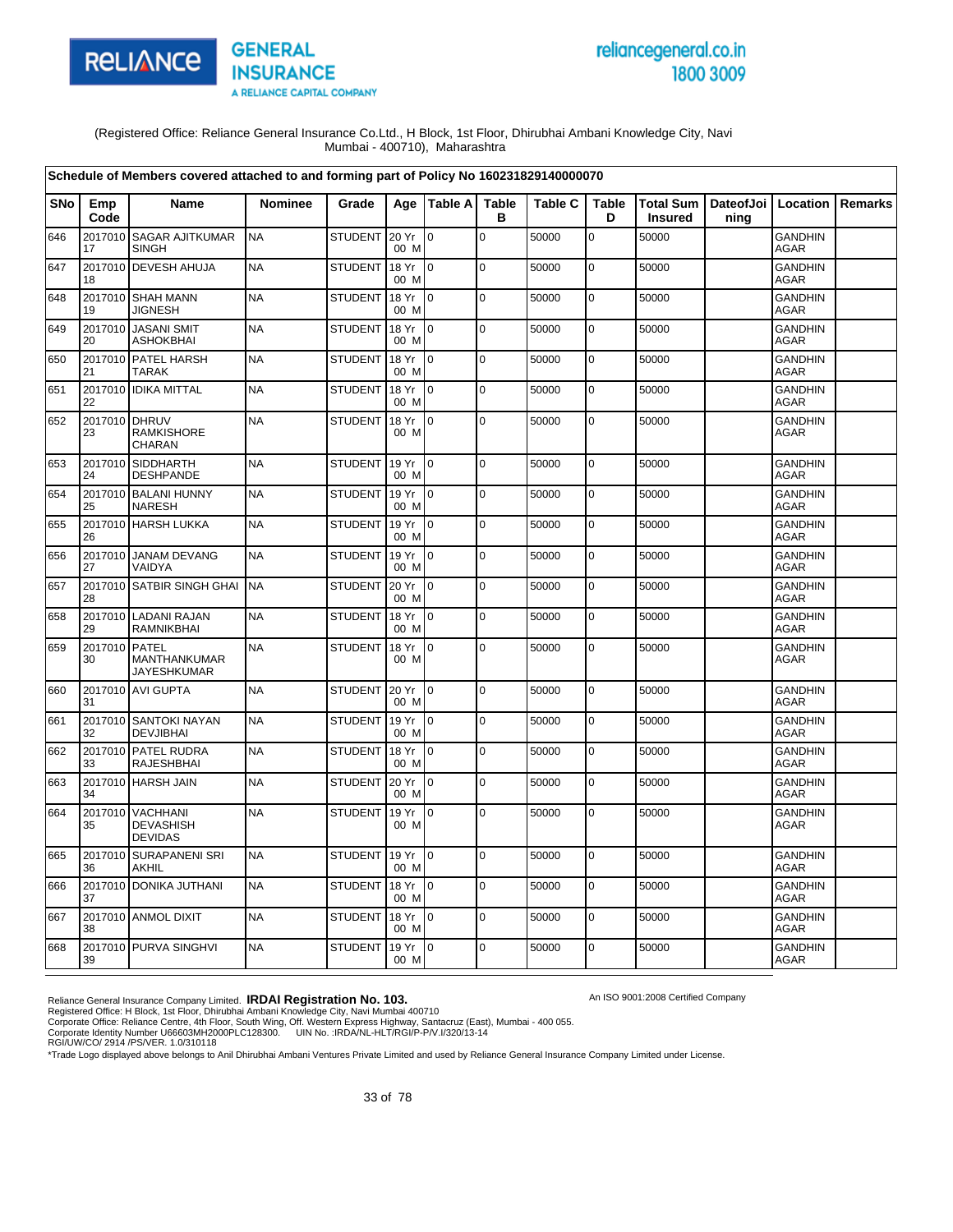

# reliancegeneral.co.in 1800 3009

An ISO 9001:2008 Certified Company

(Registered Office: Reliance General Insurance Co.Ltd., H Block, 1st Floor, Dhirubhai Ambani Knowledge City, Navi Mumbai - 400710), Maharashtra

|            |                     | Schedule of Members covered attached to and forming part of Policy No 160231829140000070 |                |                |               |                 |                   |                |                   |                                                    |      |                               |         |
|------------|---------------------|------------------------------------------------------------------------------------------|----------------|----------------|---------------|-----------------|-------------------|----------------|-------------------|----------------------------------------------------|------|-------------------------------|---------|
| <b>SNo</b> | Emp<br>Code         | Name                                                                                     | <b>Nominee</b> | Grade          |               | Age   Table A   | <b>Table</b><br>в | <b>Table C</b> | <b>Table</b><br>D | Total Sum   DateofJoi   Location<br><b>Insured</b> | ning |                               | Remarks |
| 646        | 2017010<br>17       | <b>SAGAR AJITKUMAR</b><br><b>SINGH</b>                                                   | <b>NA</b>      | STUDENT        | 20 Yr<br>00 M | lo.             | lo.               | 50000          | $\mathbf 0$       | 50000                                              |      | <b>GANDHIN</b><br>AGAR        |         |
| 647        | 18                  | 2017010 DEVESH AHUJA                                                                     | <b>NA</b>      | <b>STUDENT</b> | 18 Yr<br>00 M | lo.             | $\overline{0}$    | 50000          | $\mathbf 0$       | 50000                                              |      | <b>GANDHIN</b><br><b>AGAR</b> |         |
| 648        | 19                  | 2017010 SHAH MANN<br><b>JIGNESH</b>                                                      | <b>NA</b>      | <b>STUDENT</b> | 18 Yr<br>00 M | $\overline{0}$  | lo.               | 50000          | $\mathbf 0$       | 50000                                              |      | <b>GANDHIN</b><br><b>AGAR</b> |         |
| 649        | 20                  | 2017010 JASANI SMIT<br><b>ASHOKBHAI</b>                                                  | <b>NA</b>      | <b>STUDENT</b> | 18 Yr<br>00 M | 0               | lo.               | 50000          | $\pmb{0}$         | 50000                                              |      | <b>GANDHIN</b><br><b>AGAR</b> |         |
| 650        | 21                  | 2017010 PATEL HARSH<br><b>TARAK</b>                                                      | <b>NA</b>      | <b>STUDENT</b> | 18 Yr<br>00 M | $\overline{0}$  | $\overline{0}$    | 50000          | $\mathbf 0$       | 50000                                              |      | GANDHIN<br><b>AGAR</b>        |         |
| 651        | 22                  | 2017010 IDIKA MITTAL                                                                     | <b>NA</b>      | <b>STUDENT</b> | 18 Yr<br>00 M | l O             | $\mathbf 0$       | 50000          | 0                 | 50000                                              |      | <b>GANDHIN</b><br>AGAR        |         |
| 652        | 2017010 DHRUV<br>23 | <b>RAMKISHORE</b><br>CHARAN                                                              | <b>NA</b>      | <b>STUDENT</b> | 18 Yr<br>00 M | $\overline{0}$  | $\mathbf 0$       | 50000          | $\pmb{0}$         | 50000                                              |      | <b>GANDHIN</b><br>AGAR        |         |
| 653        | 24                  | 2017010 SIDDHARTH<br><b>DESHPANDE</b>                                                    | <b>NA</b>      | <b>STUDENT</b> | 19 Yr<br>00 M | $\overline{0}$  | l O               | 50000          | $\mathbf 0$       | 50000                                              |      | <b>GANDHIN</b><br>AGAR        |         |
| 654        | 2017010<br>25       | <b>BALANI HUNNY</b><br><b>NARESH</b>                                                     | <b>NA</b>      | <b>STUDENT</b> | 19 Yr<br>00 M | lo.             | lo.               | 50000          | $\mathbf 0$       | 50000                                              |      | <b>GANDHIN</b><br>AGAR        |         |
| 655        | 26                  | 2017010 HARSH LUKKA                                                                      | <b>NA</b>      | <b>STUDENT</b> | 19 Yr<br>00 M | lo.             | lo.               | 50000          | $\mathbf 0$       | 50000                                              |      | <b>GANDHIN</b><br><b>AGAR</b> |         |
| 656        | 27                  | 2017010 JANAM DEVANG<br>VAIDYA                                                           | <b>NA</b>      | <b>STUDENT</b> | 19 Yr<br>00 M | 0               | lo.               | 50000          | 0                 | 50000                                              |      | <b>GANDHIN</b><br>AGAR        |         |
| 657        | 28                  | 2017010 SATBIR SINGH GHAI                                                                | <b>NA</b>      | <b>STUDENT</b> | 20 Yr<br>00 M | l O             | l O               | 50000          | $\mathbf 0$       | 50000                                              |      | <b>GANDHIN</b><br><b>AGAR</b> |         |
| 658        | 29                  | 2017010 LADANI RAJAN<br><b>RAMNIKBHAI</b>                                                | <b>NA</b>      | <b>STUDENT</b> | 18 Yr<br>00 M | $\Omega$        | lo.               | 50000          | $\mathbf 0$       | 50000                                              |      | <b>GANDHIN</b><br><b>AGAR</b> |         |
| 659        | 2017010 PATEL<br>30 | MANTHANKUMAR<br><b>JAYESHKUMAR</b>                                                       | <b>NA</b>      | <b>STUDENT</b> | 18 Yr<br>00 M | l O             | $\mathbf 0$       | 50000          | $\mathbf 0$       | 50000                                              |      | <b>GANDHIN</b><br><b>AGAR</b> |         |
| 660        | 31                  | 2017010 AVI GUPTA                                                                        | <b>NA</b>      | <b>STUDENT</b> | 20 Yr<br>00 M | lo.             | $\mathbf 0$       | 50000          | $\mathbf 0$       | 50000                                              |      | <b>GANDHIN</b><br><b>AGAR</b> |         |
| 661        | 32                  | 2017010 SANTOKI NAYAN<br><b>DEVJIBHAI</b>                                                | <b>NA</b>      | <b>STUDENT</b> | 19 Yr<br>00 M | $\overline{0}$  | lo.               | 50000          | $\mathbf 0$       | 50000                                              |      | <b>GANDHIN</b><br>AGAR        |         |
| 662        | 2017010<br>33       | <b>PATEL RUDRA</b><br><b>RAJESHBHAI</b>                                                  | <b>NA</b>      | <b>STUDENT</b> | 18 Yr<br>00 M | l o             | $\overline{0}$    | 50000          | $\mathbf 0$       | 50000                                              |      | <b>GANDHIN</b><br><b>AGAR</b> |         |
| 663        | 34                  | 2017010 HARSH JAIN                                                                       | <b>NA</b>      | <b>STUDENT</b> | 20 Yr<br>00 M | lo.             | lo.               | 50000          | $\mathbf 0$       | 50000                                              |      | <b>GANDHIN</b><br>AGAR        |         |
| 664        | 35                  | 2017010 VACHHANI<br><b>DEVASHISH</b><br><b>DEVIDAS</b>                                   | <b>NA</b>      | <b>STUDENT</b> | 19 Yr<br>00 M | I٥              | l O               | 50000          | 0                 | 50000                                              |      | <b>GANDHIN</b><br><b>AGAR</b> |         |
| 665        | 36                  | 2017010 SURAPANENI SRI<br>AKHIL                                                          | <b>NA</b>      | <b>STUDENT</b> | 19 Yr<br>00 M | I0              | lo.               | 50000          | $\mathbf 0$       | 50000                                              |      | <b>GANDHIN</b><br><b>AGAR</b> |         |
| 666        | 37                  | 2017010 DONIKA JUTHANI                                                                   | <b>NA</b>      | <b>STUDENT</b> | 18 Yr<br>00 M | l 0             | $\overline{0}$    | 50000          | $\pmb{0}$         | 50000                                              |      | <b>GANDHIN</b><br><b>AGAR</b> |         |
| 667        | 38                  | 2017010 ANMOL DIXIT                                                                      | <b>NA</b>      | <b>STUDENT</b> | 18 Yr<br>00 M | $\overline{0}$  | $\overline{0}$    | 50000          | $\mathbf 0$       | 50000                                              |      | <b>GANDHIN</b><br><b>AGAR</b> |         |
| 668        | 39                  | 2017010 PURVA SINGHVI                                                                    | <b>NA</b>      | <b>STUDENT</b> | 19 Yr<br>00 M | $\overline{10}$ | lo.               | 50000          | $\mathbf 0$       | 50000                                              |      | <b>GANDHIN</b><br>AGAR        |         |

Reliance General Insurance Company Limited. **IRDAI Registration No. 103.**<br>Registered Office: H Block, 1st Floor, Dhirubhai Ambani Knowledge City, Navi Mumbai 400710<br>Corporate Office: Reliance Centre, 4th Floor, South Wing,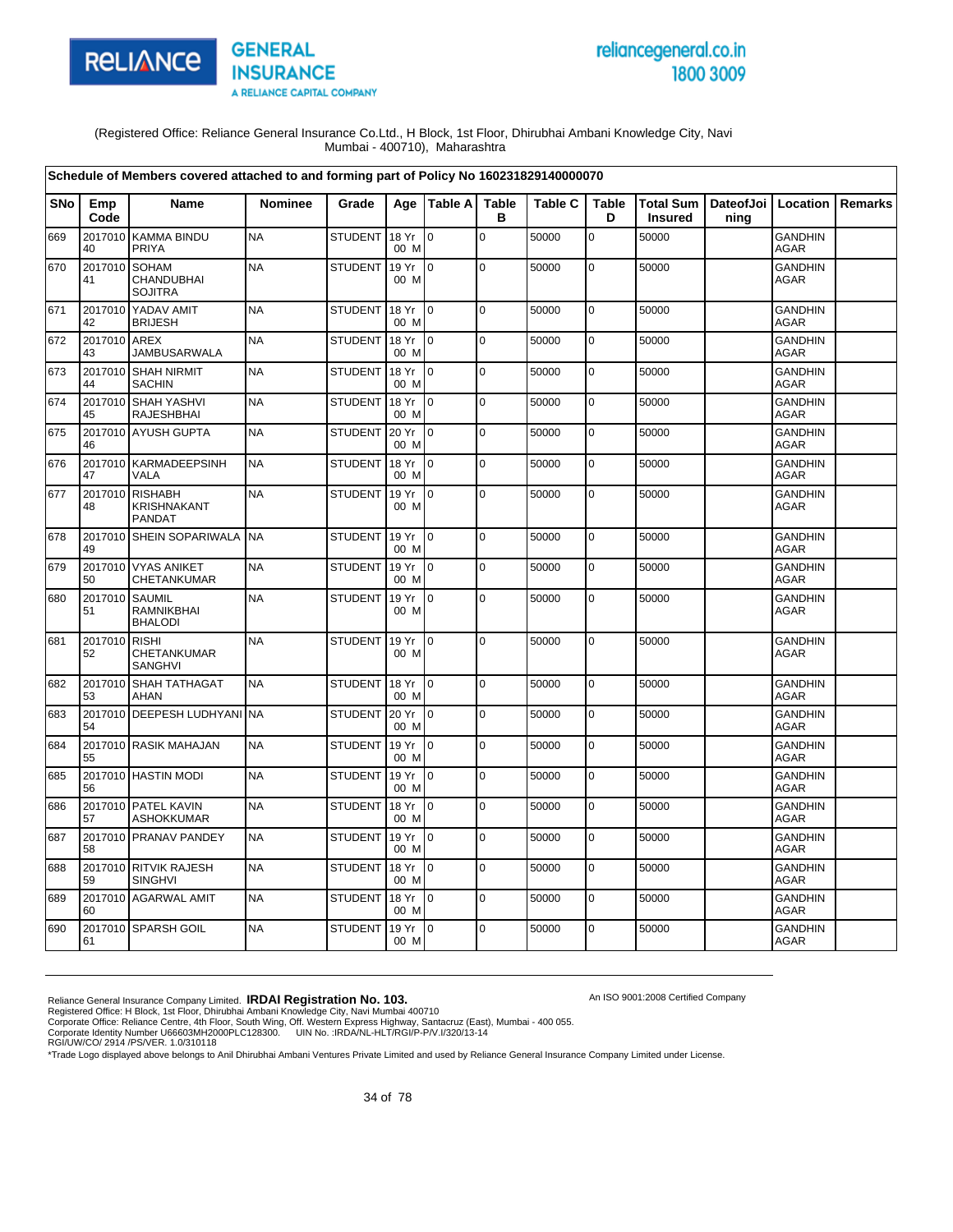

# reliancegeneral.co.in 1800 3009

An ISO 9001:2008 Certified Company

(Registered Office: Reliance General Insurance Co.Ltd., H Block, 1st Floor, Dhirubhai Ambani Knowledge City, Navi Mumbai - 400710), Maharashtra

|            |                    | Schedule of Members covered attached to and forming part of Policy No 160231829140000070 |                |                |               |                 |                   |                |                   |                                                    |      |                               |         |
|------------|--------------------|------------------------------------------------------------------------------------------|----------------|----------------|---------------|-----------------|-------------------|----------------|-------------------|----------------------------------------------------|------|-------------------------------|---------|
| <b>SNo</b> | Emp<br>Code        | <b>Name</b>                                                                              | <b>Nominee</b> | Grade          |               | Age   Table A   | <b>Table</b><br>в | <b>Table C</b> | <b>Table</b><br>D | Total Sum   DateofJoi   Location<br><b>Insured</b> | ning |                               | Remarks |
| 669        | 2017010<br>40      | <b>KAMMA BINDU</b><br>PRIYA                                                              | <b>NA</b>      | <b>STUDENT</b> | 18 Yr<br>00 M | $\overline{0}$  | $\Omega$          | 50000          | $\overline{0}$    | 50000                                              |      | <b>GANDHIN</b><br><b>AGAR</b> |         |
| 670        | 2017010<br>41      | <b>SOHAM</b><br>CHANDUBHAI<br><b>SOJITRA</b>                                             | <b>NA</b>      | <b>STUDENT</b> | 19 Yr<br>00 M | lo.             | $\mathbf 0$       | 50000          | $\mathbf 0$       | 50000                                              |      | <b>GANDHIN</b><br>AGAR        |         |
| 671        | 2017010<br>42      | YADAV AMIT<br><b>BRIJESH</b>                                                             | <b>NA</b>      | <b>STUDENT</b> | 18 Yr<br>00 M | $\overline{0}$  | l O               | 50000          | $\overline{0}$    | 50000                                              |      | <b>GANDHIN</b><br><b>AGAR</b> |         |
| 672        | 2017010 AREX<br>43 | <b>JAMBUSARWALA</b>                                                                      | <b>NA</b>      | <b>STUDENT</b> | 18 Yr<br>00 M | $\overline{0}$  | $\overline{0}$    | 50000          | $\pmb{0}$         | 50000                                              |      | <b>GANDHIN</b><br>AGAR        |         |
| 673        | 44                 | 2017010 SHAH NIRMIT<br><b>SACHIN</b>                                                     | <b>NA</b>      | <b>STUDENT</b> | 18 Yr<br>00 M | $\overline{10}$ | $\pmb{0}$         | 50000          | $\pmb{0}$         | 50000                                              |      | <b>GANDHIN</b><br><b>AGAR</b> |         |
| 674        | 2017010<br>45      | <b>SHAH YASHVI</b><br><b>RAJESHBHAI</b>                                                  | <b>NA</b>      | <b>STUDENT</b> | 18 Yr<br>00 M | I O             | $\mathbf 0$       | 50000          | $\mathbf 0$       | 50000                                              |      | <b>GANDHIN</b><br><b>AGAR</b> |         |
| 675        | 46                 | 2017010 AYUSH GUPTA                                                                      | <b>NA</b>      | <b>STUDENT</b> | 20 Yr<br>00 M | $\overline{0}$  | $\mathsf 0$       | 50000          | $\pmb{0}$         | 50000                                              |      | <b>GANDHIN</b><br><b>AGAR</b> |         |
| 676        | 47                 | 2017010 KARMADEEPSINH<br><b>VALA</b>                                                     | <b>NA</b>      | <b>STUDENT</b> | 18 Yr<br>00 M | l 0             | $\Omega$          | 50000          | $\mathbf 0$       | 50000                                              |      | <b>GANDHIN</b><br><b>AGAR</b> |         |
| 677        | 48                 | 2017010 RISHABH<br>KRISHNAKANT<br><b>PANDAT</b>                                          | <b>NA</b>      | <b>STUDENT</b> | 19 Yr<br>00 M | $\overline{0}$  | $\mathbf 0$       | 50000          | $\mathbf 0$       | 50000                                              |      | <b>GANDHIN</b><br>AGAR        |         |
| 678        | 49                 | 2017010 SHEIN SOPARIWALA NA                                                              |                | STUDENT        | 19 Yr<br>00 M | $\overline{10}$ | $\mathbf 0$       | 50000          | $\pmb{0}$         | 50000                                              |      | <b>GANDHIN</b><br><b>AGAR</b> |         |
| 679        | 50                 | 2017010 VYAS ANIKET<br>CHETANKUMAR                                                       | <b>NA</b>      | <b>STUDENT</b> | 19 Yr<br>00 M | $\overline{0}$  | l O               | 50000          | $\pmb{0}$         | 50000                                              |      | <b>GANDHIN</b><br>AGAR        |         |
| 680        | 2017010<br>51      | <b>SAUMIL</b><br><b>RAMNIKBHAI</b><br><b>BHALODI</b>                                     | <b>NA</b>      | <b>STUDENT</b> | 19 Yr<br>00 M | $\overline{0}$  | $\mathbf 0$       | 50000          | 0                 | 50000                                              |      | <b>GANDHIN</b><br><b>AGAR</b> |         |
| 681        | 2017010<br>52      | <b>RISHI</b><br>CHETANKUMAR<br><b>SANGHVI</b>                                            | <b>NA</b>      | <b>STUDENT</b> | 19 Yr<br>00 M | $\overline{0}$  | $\mathbf 0$       | 50000          | $\pmb{0}$         | 50000                                              |      | <b>GANDHIN</b><br>AGAR        |         |
| 682        | 53                 | 2017010 SHAH TATHAGAT<br><b>AHAN</b>                                                     | <b>NA</b>      | STUDENT        | 18 Yr<br>00 M | Io.             | l O               | 50000          | $\mathbf 0$       | 50000                                              |      | <b>GANDHIN</b><br>AGAR        |         |
| 683        | 54                 | 2017010 DEEPESH LUDHYANI NA                                                              |                | <b>STUDENT</b> | 20 Yr<br>00 M | $\overline{0}$  | $\mathbf 0$       | 50000          | $\mathbf 0$       | 50000                                              |      | <b>GANDHIN</b><br><b>AGAR</b> |         |
| 684        | 55                 | 2017010 RASIK MAHAJAN                                                                    | <b>NA</b>      | <b>STUDENT</b> | 19 Yr<br>00 M | Io.             | $\mathbf 0$       | 50000          | $\mathbf 0$       | 50000                                              |      | <b>GANDHIN</b><br>AGAR        |         |
| 685        | 56                 | 2017010 HASTIN MODI                                                                      | <b>NA</b>      | <b>STUDENT</b> | 19 Yr<br>00 M | Io.             | $\mathbf 0$       | 50000          | $\mathbf 0$       | 50000                                              |      | <b>GANDHIN</b><br>AGAR        |         |
| 686        | 57                 | 2017010 PATEL KAVIN<br><b>ASHOKKUMAR</b>                                                 | <b>NA</b>      | <b>STUDENT</b> | 18 Yr<br>00 M | l 0             | $\mathbf 0$       | 50000          | $\pmb{0}$         | 50000                                              |      | <b>GANDHIN</b><br>AGAR        |         |
| 687        | 58                 | 2017010 PRANAV PANDEY                                                                    | <b>NA</b>      | <b>STUDENT</b> | 19 Yr<br>00 M | Io.             | $\Omega$          | 50000          | $\mathbf 0$       | 50000                                              |      | <b>GANDHIN</b><br>AGAR        |         |
| 688        | 59                 | 2017010 RITVIK RAJESH<br>SINGHVI                                                         | <b>NA</b>      | <b>STUDENT</b> | 18 Yr<br>00 M | l 0             | l O               | 50000          | $\mathbf 0$       | 50000                                              |      | <b>GANDHIN</b><br>AGAR        |         |
| 689        | 60                 | 2017010 AGARWAL AMIT                                                                     | <b>NA</b>      | <b>STUDENT</b> | 18 Yr<br>00 M | Io.             | $\mathbf 0$       | 50000          | $\pmb{0}$         | 50000                                              |      | <b>GANDHIN</b><br><b>AGAR</b> |         |
| 690        | 61                 | 2017010 SPARSH GOIL                                                                      | <b>NA</b>      | <b>STUDENT</b> | 19 Yr<br>00 M | $\overline{0}$  | $\mathbf 0$       | 50000          | $\pmb{0}$         | 50000                                              |      | <b>GANDHIN</b><br>AGAR        |         |

Reliance General Insurance Company Limited. **IRDAI Registration No. 103.**<br>Registered Office: H Block, 1st Floor, Dhirubhai Ambani Knowledge City, Navi Mumbai 400710<br>Corporate Office: Reliance Centre, 4th Floor, South Wing,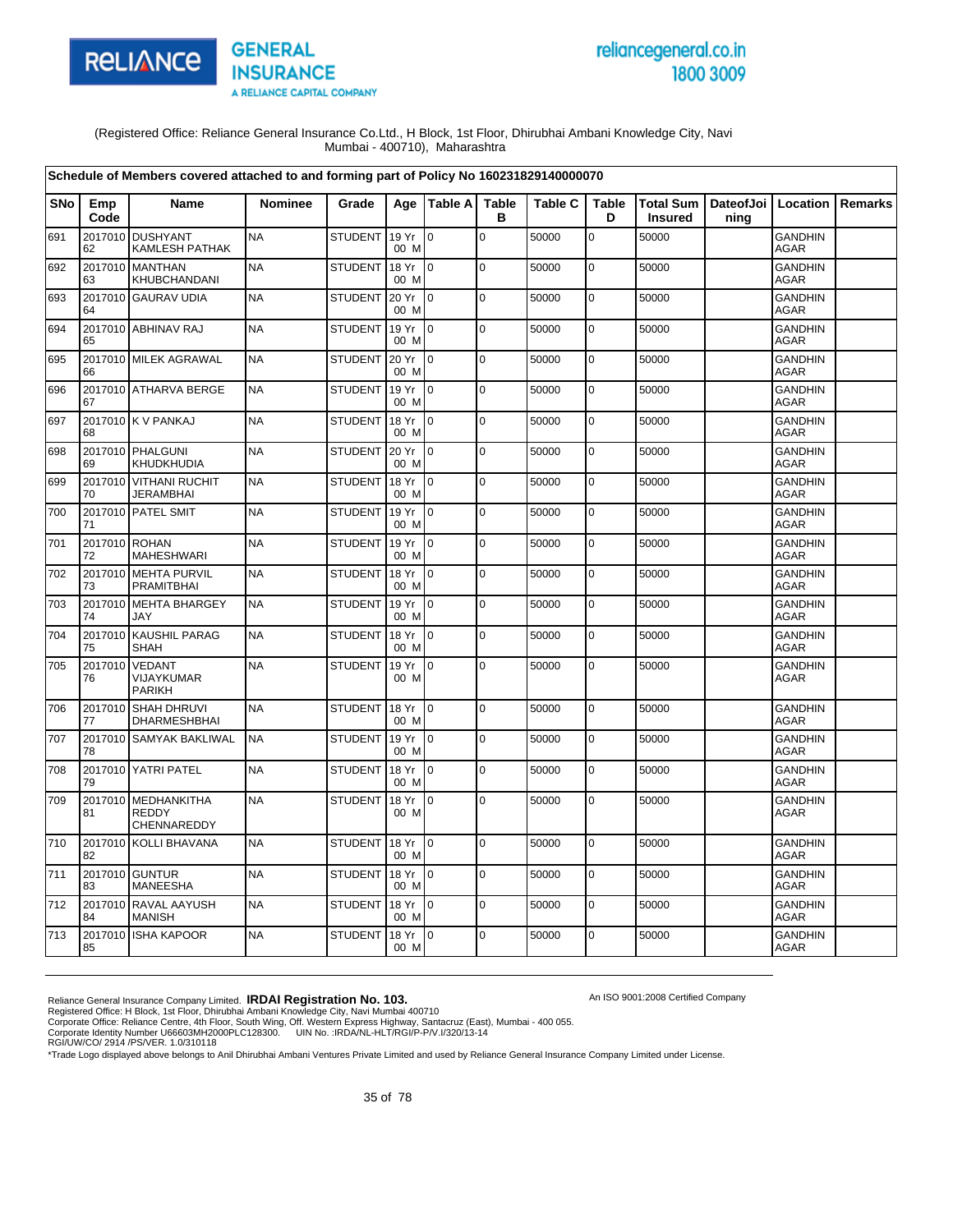

# reliancegeneral.co.in 1800 3009

An ISO 9001:2008 Certified Company

(Registered Office: Reliance General Insurance Co.Ltd., H Block, 1st Floor, Dhirubhai Ambani Knowledge City, Navi Mumbai - 400710), Maharashtra

|            |                     | Schedule of Members covered attached to and forming part of Policy No 160231829140000070 |                |                |               |                 |                   |                |                   |                                    |                              |                               |                |
|------------|---------------------|------------------------------------------------------------------------------------------|----------------|----------------|---------------|-----------------|-------------------|----------------|-------------------|------------------------------------|------------------------------|-------------------------------|----------------|
| <b>SNo</b> | Emp<br>Code         | <b>Name</b>                                                                              | <b>Nominee</b> | Grade          |               | Age   Table A   | <b>Table</b><br>в | <b>Table C</b> | <b>Table</b><br>D | <b>Total Sum</b><br><b>Insured</b> | DateofJoi   Location<br>ning |                               | <b>Remarks</b> |
| 691        | 62                  | 2017010 DUSHYANT<br>KAMLESH PATHAK                                                       | <b>NA</b>      | <b>STUDENT</b> | 19 Yr<br>00 M | 0               | $\mathbf 0$       | 50000          | $\mathbf 0$       | 50000                              |                              | <b>GANDHIN</b><br>AGAR        |                |
| 692        | 63                  | 2017010 MANTHAN<br>KHUBCHANDANI                                                          | <b>NA</b>      | <b>STUDENT</b> | 18 Yr<br>00 M | I <sub>0</sub>  | $\mathbf 0$       | 50000          | 0                 | 50000                              |                              | <b>GANDHIN</b><br><b>AGAR</b> |                |
| 693        | 64                  | 2017010 GAURAV UDIA                                                                      | <b>NA</b>      | <b>STUDENT</b> | 20 Yr<br>00 M | Io.             | $\mathbf 0$       | 50000          | 0                 | 50000                              |                              | <b>GANDHIN</b><br><b>AGAR</b> |                |
| 694        | 65                  | 2017010 ABHINAV RAJ                                                                      | <b>NA</b>      | <b>STUDENT</b> | 19 Yr<br>00 M | I <sub>0</sub>  | 0                 | 50000          | 0                 | 50000                              |                              | <b>GANDHIN</b><br><b>AGAR</b> |                |
| 695        | 66                  | 2017010 MILEK AGRAWAL                                                                    | <b>NA</b>      | <b>STUDENT</b> | 20 Yr<br>00 M | $\overline{10}$ | $\Omega$          | 50000          | $\mathbf 0$       | 50000                              |                              | <b>GANDHIN</b><br><b>AGAR</b> |                |
| 696        | 67                  | 2017010 ATHARVA BERGE                                                                    | <b>NA</b>      | <b>STUDENT</b> | 19 Yr<br>00 M | $\overline{10}$ | $\pmb{0}$         | 50000          | $\mathbf 0$       | 50000                              |                              | <b>GANDHIN</b><br><b>AGAR</b> |                |
| 697        | 68                  | 2017010 K V PANKAJ                                                                       | <b>NA</b>      | <b>STUDENT</b> | 18 Yr<br>00 M | $\overline{10}$ | $\mathbf 0$       | 50000          | 0                 | 50000                              |                              | <b>GANDHIN</b><br><b>AGAR</b> |                |
| 698        | 69                  | 2017010 PHALGUNI<br>KHUDKHUDIA                                                           | <b>NA</b>      | <b>STUDENT</b> | 20 Yr<br>00 M | $\overline{10}$ | $\mathbf 0$       | 50000          | $\mathbf 0$       | 50000                              |                              | <b>GANDHIN</b><br>AGAR        |                |
| 699        | 70                  | 2017010 VITHANI RUCHIT<br>JERAMBHAI                                                      | <b>NA</b>      | <b>STUDENT</b> | 18 Yr<br>00 M | $\overline{10}$ | $\mathbf 0$       | 50000          | $\pmb{0}$         | 50000                              |                              | <b>GANDHIN</b><br><b>AGAR</b> |                |
| 700        | 71                  | 2017010 PATEL SMIT                                                                       | <b>NA</b>      | <b>STUDENT</b> | 19 Yr<br>00 M | $\overline{10}$ | $\mathbf 0$       | 50000          | 0                 | 50000                              |                              | <b>GANDHIN</b><br>AGAR        |                |
| 701        | 2017010 ROHAN<br>72 | MAHESHWARI                                                                               | <b>NA</b>      | <b>STUDENT</b> | 19 Yr<br>00 M | I <sub>0</sub>  | $\mathbf 0$       | 50000          | $\mathbf 0$       | 50000                              |                              | <b>GANDHIN</b><br><b>AGAR</b> |                |
| 702        | 2017010<br>73       | <b>MEHTA PURVIL</b><br><b>PRAMITBHAI</b>                                                 | <b>NA</b>      | <b>STUDENT</b> | 18 Yr<br>00 M | l 0             | $\pmb{0}$         | 50000          | 0                 | 50000                              |                              | <b>GANDHIN</b><br><b>AGAR</b> |                |
| 703        | 74                  | 2017010 MEHTA BHARGEY<br>JAY                                                             | <b>NA</b>      | <b>STUDENT</b> | 19 Yr<br>00 M | $\overline{10}$ | $\mathbf 0$       | 50000          | 0                 | 50000                              |                              | <b>GANDHIN</b><br>AGAR        |                |
| 704        | 75                  | 2017010 KAUSHIL PARAG<br><b>SHAH</b>                                                     | <b>NA</b>      | <b>STUDENT</b> | 18 Yr<br>00 M | $\overline{10}$ | $\Omega$          | 50000          | $\mathbf 0$       | 50000                              |                              | <b>GANDHIN</b><br><b>AGAR</b> |                |
| 705        | 2017010<br>76       | VEDANT<br>VIJAYKUMAR<br>PARIKH                                                           | <b>NA</b>      | STUDENT        | 19 Yr<br>00 M | l0              | $\pmb{0}$         | 50000          | $\mathbf 0$       | 50000                              |                              | <b>GANDHIN</b><br><b>AGAR</b> |                |
| 706        | 77                  | 2017010 SHAH DHRUVI<br>DHARMESHBHAI                                                      | <b>NA</b>      | <b>STUDENT</b> | 18 Yr<br>00 M | I <sub>0</sub>  | $\mathbf 0$       | 50000          | 0                 | 50000                              |                              | <b>GANDHIN</b><br>AGAR        |                |
| 707        | 78                  | 2017010 SAMYAK BAKLIWAL                                                                  | <b>NA</b>      | <b>STUDENT</b> | 19 Yr<br>00 M | $\overline{10}$ | $\mathbf 0$       | 50000          | $\mathbf 0$       | 50000                              |                              | <b>GANDHIN</b><br><b>AGAR</b> |                |
| 708        | 79                  | 2017010 YATRI PATEL                                                                      | <b>NA</b>      | <b>STUDENT</b> | 18 Yr<br>00 M | $\overline{0}$  | $\mathbf 0$       | 50000          | 0                 | 50000                              |                              | <b>GANDHIN</b><br>AGAR        |                |
| 709        | 2017010<br>81       | <b>MEDHANKITHA</b><br><b>REDDY</b><br>CHENNAREDDY                                        | <b>NA</b>      | <b>STUDENT</b> | 18 Yr<br>00 M | $\overline{10}$ | $\Omega$          | 50000          | $\mathbf 0$       | 50000                              |                              | <b>GANDHIN</b><br>AGAR        |                |
| 710        | 82                  | 2017010 KOLLI BHAVANA                                                                    | <b>NA</b>      | <b>STUDENT</b> | 18 Yr<br>00 M | $\overline{10}$ | $\mathbf 0$       | 50000          | $\pmb{0}$         | 50000                              |                              | <b>GANDHIN</b><br>AGAR        |                |
| 711        | 83                  | 2017010 GUNTUR<br><b>MANEESHA</b>                                                        | <b>NA</b>      | <b>STUDENT</b> | 18 Yr<br>00 M | $\overline{10}$ | $\Omega$          | 50000          | $\mathbf 0$       | 50000                              |                              | <b>GANDHIN</b><br><b>AGAR</b> |                |
| 712        | 84                  | 2017010 RAVAL AAYUSH<br><b>MANISH</b>                                                    | <b>NA</b>      | <b>STUDENT</b> | 18 Yr<br>00 M | $\overline{10}$ | $\mathbf 0$       | 50000          | $\pmb{0}$         | 50000                              |                              | <b>GANDHIN</b><br><b>AGAR</b> |                |
| 713        | 85                  | 2017010 ISHA KAPOOR                                                                      | <b>NA</b>      | <b>STUDENT</b> | 18 Yr<br>00 M | I <sub>0</sub>  | $\mathbf 0$       | 50000          | 0                 | 50000                              |                              | <b>GANDHIN</b><br><b>AGAR</b> |                |

Reliance General Insurance Company Limited. **IRDAI Registration No. 103.**<br>Registered Office: H Block, 1st Floor, Dhirubhai Ambani Knowledge City, Navi Mumbai 400710<br>Corporate Office: Reliance Centre, 4th Floor, South Wing,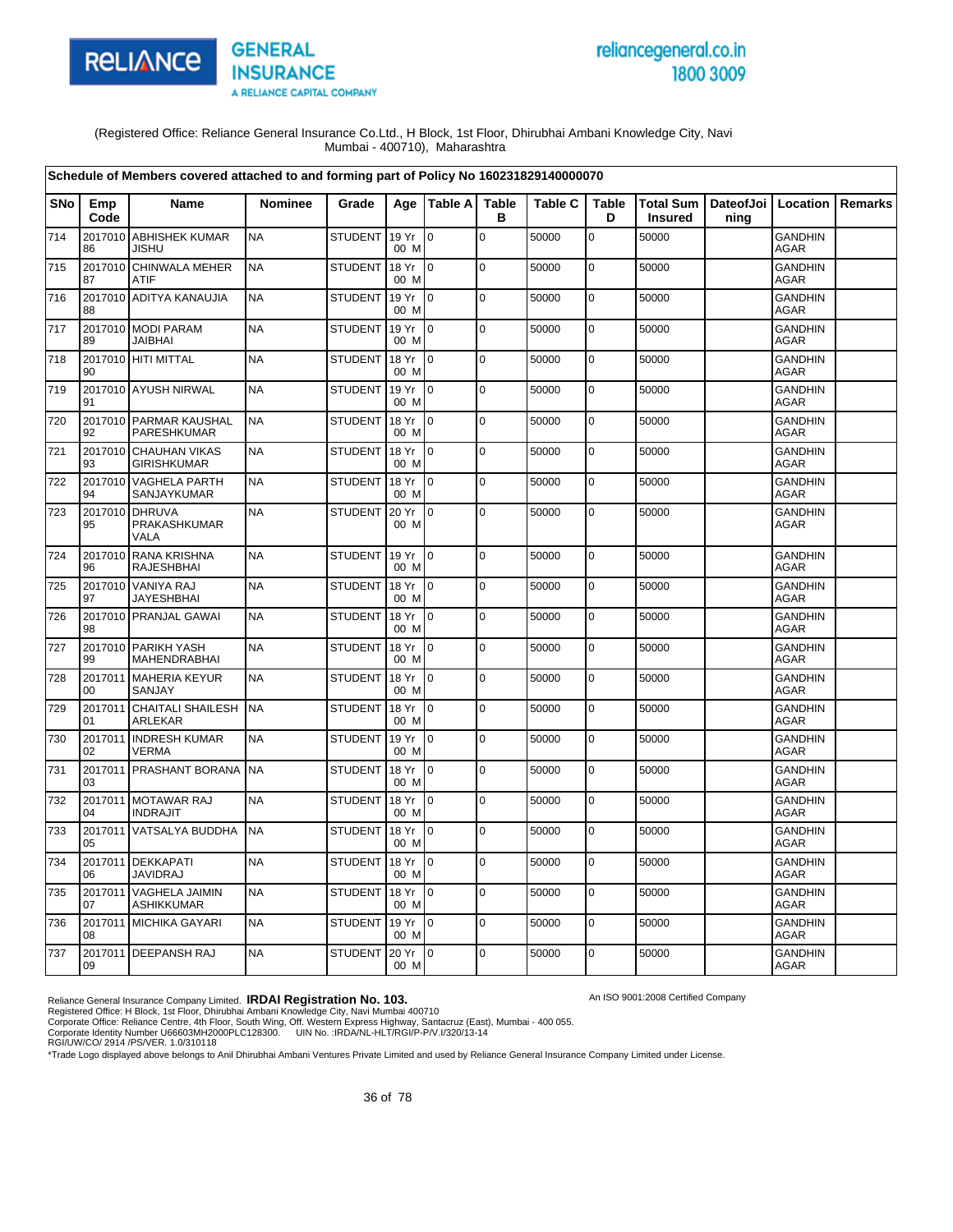

# reliancegeneral.co.in 1800 3009

An ISO 9001:2008 Certified Company

(Registered Office: Reliance General Insurance Co.Ltd., H Block, 1st Floor, Dhirubhai Ambani Knowledge City, Navi Mumbai - 400710), Maharashtra

| Schedule of Members covered attached to and forming part of Policy No 160231829140000070 |               |                                               |                |                |               |                 |                   |                |                   |                                    |                              |                               |                |
|------------------------------------------------------------------------------------------|---------------|-----------------------------------------------|----------------|----------------|---------------|-----------------|-------------------|----------------|-------------------|------------------------------------|------------------------------|-------------------------------|----------------|
| SNo                                                                                      | Emp<br>Code   | <b>Name</b>                                   | <b>Nominee</b> | Grade          |               | Age   Table A   | <b>Table</b><br>в | <b>Table C</b> | <b>Table</b><br>D | <b>Total Sum</b><br><b>Insured</b> | DateofJoi   Location<br>ning |                               | <b>Remarks</b> |
| 714                                                                                      | 86            | 2017010 ABHISHEK KUMAR<br>JISHU               | <b>NA</b>      | <b>STUDENT</b> | 19 Yr<br>00 M | l 0             | $\overline{0}$    | 50000          | $\mathbf 0$       | 50000                              |                              | <b>GANDHIN</b><br><b>AGAR</b> |                |
| 715                                                                                      | 2017010<br>87 | CHINWALA MEHER<br><b>ATIF</b>                 | <b>NA</b>      | <b>STUDENT</b> | 18 Yr<br>00 M | l 0             | $\overline{0}$    | 50000          | $\pmb{0}$         | 50000                              |                              | <b>GANDHIN</b><br>AGAR        |                |
| 716                                                                                      | 88            | 2017010 ADITYA KANAUJIA                       | <b>NA</b>      | <b>STUDENT</b> | 19 Yr<br>00 M | l 0             | l O               | 50000          | $\mathbf 0$       | 50000                              |                              | <b>GANDHIN</b><br><b>AGAR</b> |                |
| 717                                                                                      | 89            | 2017010 MODI PARAM<br><b>JAIBHAI</b>          | <b>NA</b>      | <b>STUDENT</b> | 19 Yr<br>00 M | 0               | $\overline{0}$    | 50000          | $\mathbf 0$       | 50000                              |                              | <b>GANDHIN</b><br><b>AGAR</b> |                |
| 718                                                                                      | 90            | 2017010 HITI MITTAL                           | <b>NA</b>      | STUDENT        | 18 Yr<br>00 M | l o             | $\mathbf 0$       | 50000          | $\pmb{0}$         | 50000                              |                              | <b>GANDHIN</b><br>AGAR        |                |
| 719                                                                                      | 91            | 2017010 AYUSH NIRWAL                          | <b>NA</b>      | <b>STUDENT</b> | 19 Yr<br>00 M | l o             | $\overline{0}$    | 50000          | $\mathbf 0$       | 50000                              |                              | <b>GANDHIN</b><br>AGAR        |                |
| 720                                                                                      | 92            | 2017010 PARMAR KAUSHAL<br>PARESHKUMAR         | <b>NA</b>      | <b>STUDENT</b> | 18 Yr<br>00 M | lo.             | $\overline{0}$    | 50000          | $\mathbf 0$       | 50000                              |                              | <b>GANDHIN</b><br>AGAR        |                |
| 721                                                                                      | 93            | 2017010 CHAUHAN VIKAS<br><b>GIRISHKUMAR</b>   | <b>NA</b>      | <b>STUDENT</b> | 18 Yr<br>00 M | $\overline{0}$  | O                 | 50000          | $\mathbf 0$       | 50000                              |                              | <b>GANDHIN</b><br><b>AGAR</b> |                |
| 722                                                                                      | 94            | 2017010 VAGHELA PARTH<br><b>SANJAYKUMAR</b>   | <b>NA</b>      | <b>STUDENT</b> | 18 Yr<br>00 M | lo.             | $\pmb{0}$         | 50000          | $\mathbf 0$       | 50000                              |                              | <b>GANDHIN</b><br><b>AGAR</b> |                |
| 723                                                                                      | 95            | 2017010 DHRUVA<br>PRAKASHKUMAR<br><b>VALA</b> | <b>NA</b>      | <b>STUDENT</b> | 20 Yr<br>00 M | $\mathbf 0$     | O                 | 50000          | $\pmb{0}$         | 50000                              |                              | <b>GANDHIN</b><br><b>AGAR</b> |                |
| 724                                                                                      | 96            | 2017010 RANA KRISHNA<br><b>RAJESHBHAI</b>     | <b>NA</b>      | <b>STUDENT</b> | 19 Yr<br>00 M | $\overline{0}$  | lo.               | 50000          | $\mathbf 0$       | 50000                              |                              | <b>GANDHIN</b><br><b>AGAR</b> |                |
| 725                                                                                      | 97            | 2017010 VANIYA RAJ<br><b>JAYESHBHAI</b>       | <b>NA</b>      | <b>STUDENT</b> | 18 Yr<br>00 M | $\overline{0}$  | $\mathbf 0$       | 50000          | $\mathbf 0$       | 50000                              |                              | <b>GANDHIN</b><br><b>AGAR</b> |                |
| 726                                                                                      | 98            | 2017010 PRANJAL GAWAI                         | <b>NA</b>      | <b>STUDENT</b> | 18 Yr<br>00 M | $\overline{0}$  | lo.               | 50000          | $\mathbf 0$       | 50000                              |                              | <b>GANDHIN</b><br>AGAR        |                |
| 727                                                                                      | 99            | 2017010 PARIKH YASH<br>MAHENDRABHAI           | <b>NA</b>      | <b>STUDENT</b> | 18 Yr<br>00 M | $\overline{0}$  | $\Omega$          | 50000          | $\mathbf 0$       | 50000                              |                              | <b>GANDHIN</b><br>AGAR        |                |
| 728                                                                                      | 00            | 2017011 MAHERIA KEYUR<br>SANJAY               | <b>NA</b>      | <b>STUDENT</b> | 18 Yr<br>00 M | lo.             | lo.               | 50000          | $\mathbf 0$       | 50000                              |                              | <b>GANDHIN</b><br><b>AGAR</b> |                |
| 729                                                                                      | 01            | 2017011 CHAITALI SHAILESH<br>ARLEKAR          | <b>NA</b>      | <b>STUDENT</b> | 18 Yr<br>00 M | $\overline{0}$  | lo.               | 50000          | $\mathbf 0$       | 50000                              |                              | <b>GANDHIN</b><br><b>AGAR</b> |                |
| 730                                                                                      | 02            | 2017011 INDRESH KUMAR<br><b>VERMA</b>         | <b>NA</b>      | <b>STUDENT</b> | 19 Yr<br>00 M | $\overline{0}$  | $\Omega$          | 50000          | $\mathbf 0$       | 50000                              |                              | <b>GANDHIN</b><br><b>AGAR</b> |                |
| 731                                                                                      | 03            | 2017011 PRASHANT BORANA                       | <b>NA</b>      | <b>STUDENT</b> | 18 Yr<br>00 M | $\overline{0}$  | lo.               | 50000          | $\mathbf 0$       | 50000                              |                              | <b>GANDHIN</b><br><b>AGAR</b> |                |
| 732                                                                                      | 04            | 2017011 MOTAWAR RAJ<br><b>INDRAJIT</b>        | <b>NA</b>      | <b>STUDENT</b> | 18 Yr<br>00 M | l O             | lo.               | 50000          | $\mathbf 0$       | 50000                              |                              | <b>GANDHIN</b><br>AGAR        |                |
| 733                                                                                      | 05            | 2017011 VATSALYA BUDDHA                       | <b>NA</b>      | <b>STUDENT</b> | 18 Yr<br>00 M | $\overline{0}$  | l O               | 50000          | $\mathbf 0$       | 50000                              |                              | <b>GANDHIN</b><br>AGAR        |                |
| 734                                                                                      | 06            | 2017011 DEKKAPATI<br><b>JAVIDRAJ</b>          | <b>NA</b>      | <b>STUDENT</b> | 18 Yr<br>00 M | 0               | $\overline{0}$    | 50000          | $\mathbf 0$       | 50000                              |                              | <b>GANDHIN</b><br>AGAR        |                |
| 735                                                                                      | 07            | 2017011 VAGHELA JAIMIN<br><b>ASHIKKUMAR</b>   | <b>NA</b>      | <b>STUDENT</b> | 18 Yr<br>00 M | $\overline{0}$  | lo.               | 50000          | $\mathbf 0$       | 50000                              |                              | <b>GANDHIN</b><br><b>AGAR</b> |                |
| 736                                                                                      | 08            | 2017011 MICHIKA GAYARI                        | <b>NA</b>      | <b>STUDENT</b> | 19 Yr<br>00 M | l O             | l O               | 50000          | $\pmb{0}$         | 50000                              |                              | <b>GANDHIN</b><br><b>AGAR</b> |                |
| 737                                                                                      | 09            | 2017011 DEEPANSH RAJ                          | <b>NA</b>      | STUDENT        | 20 Yr<br>00 M | $\overline{10}$ | lo.               | 50000          | $\mathbf 0$       | 50000                              |                              | <b>GANDHIN</b><br><b>AGAR</b> |                |

Reliance General Insurance Company Limited. **IRDAI Registration No. 103.**<br>Registered Office: H Block, 1st Floor, Dhirubhai Ambani Knowledge City, Navi Mumbai 400710<br>Corporate Office: Reliance Centre, 4th Floor, South Wing,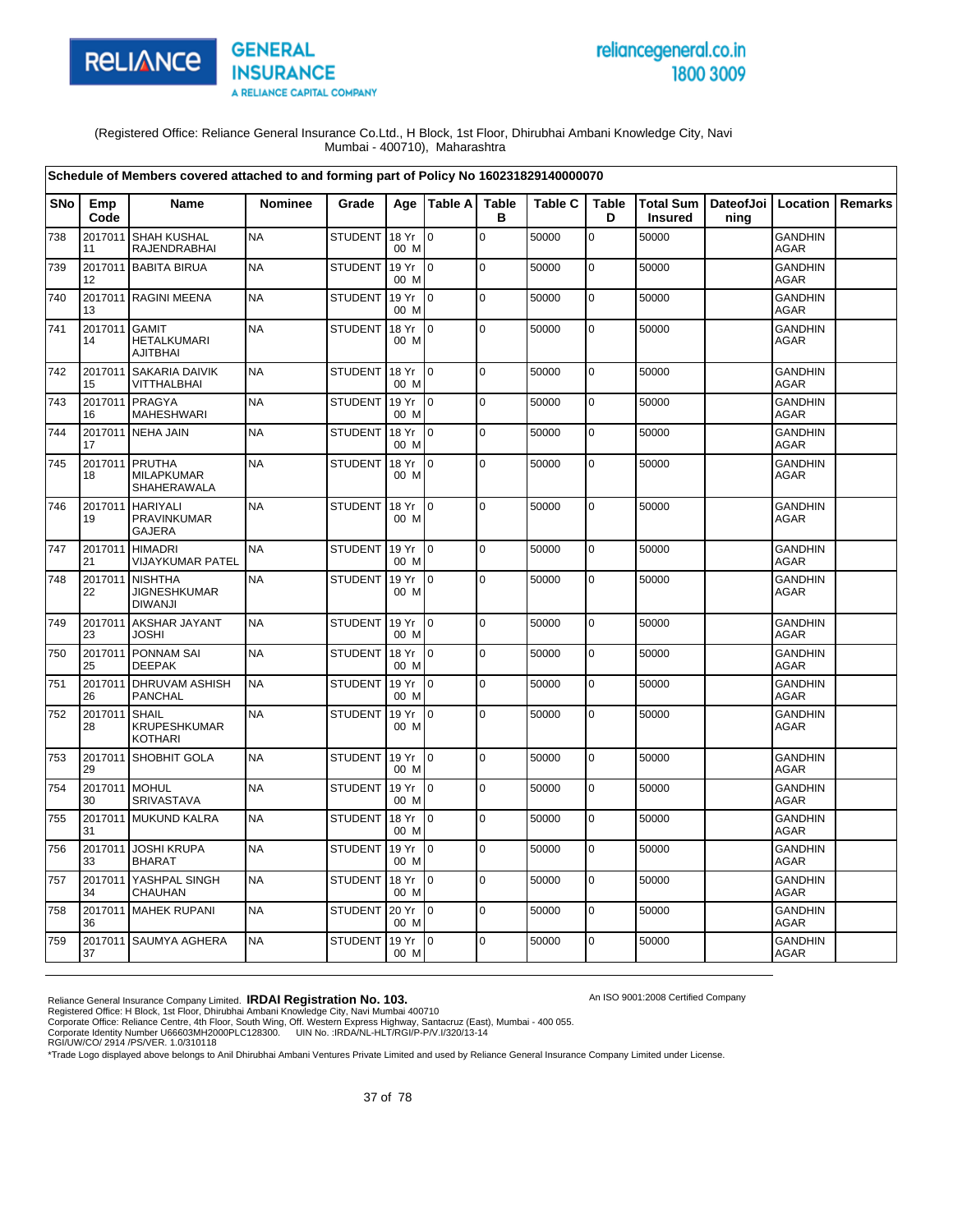

# reliancegeneral.co.in 1800 3009

An ISO 9001:2008 Certified Company

(Registered Office: Reliance General Insurance Co.Ltd., H Block, 1st Floor, Dhirubhai Ambani Knowledge City, Navi Mumbai - 400710), Maharashtra

|     |                     | Schedule of Members covered attached to and forming part of Policy No 160231829140000070 |           |                |               |                           |                   |                |                   |                                                      |      |                               |                |
|-----|---------------------|------------------------------------------------------------------------------------------|-----------|----------------|---------------|---------------------------|-------------------|----------------|-------------------|------------------------------------------------------|------|-------------------------------|----------------|
| SNo | Emp<br>Code         | Name                                                                                     | Nominee   | Grade          |               | Age   Table A             | <b>Table</b><br>в | <b>Table C</b> | <b>Table</b><br>D | Total Sum   DateofJoi   Location  <br><b>Insured</b> | ning |                               | <b>Remarks</b> |
| 738 | 2017011<br>11       | <b>SHAH KUSHAL</b><br><b>RAJENDRABHAI</b>                                                | <b>NA</b> | <b>STUDENT</b> | 18 Yr<br>00 M | $\overline{0}$            | $\mathbf 0$       | 50000          | $\mathbf 0$       | 50000                                                |      | <b>GANDHIN</b><br>AGAR        |                |
| 739 | 12                  | 2017011 BABITA BIRUA                                                                     | <b>NA</b> | <b>STUDENT</b> | 19 Yr<br>00 M | $\mathsf{I}^{\mathsf{0}}$ | $\mathbf 0$       | 50000          | $\mathbf 0$       | 50000                                                |      | <b>GANDHIN</b><br><b>AGAR</b> |                |
| 740 | 13                  | 2017011 RAGINI MEENA                                                                     | <b>NA</b> | <b>STUDENT</b> | 19 Yr<br>00 M | $\overline{10}$           | $\pmb{0}$         | 50000          | $\mathbf 0$       | 50000                                                |      | <b>GANDHIN</b><br><b>AGAR</b> |                |
| 741 | 2017011 GAMIT<br>14 | <b>HETALKUMARI</b><br><b>AJITBHAI</b>                                                    | <b>NA</b> | <b>STUDENT</b> | 18 Yr<br>00 M | I <sub>0</sub>            | $\mathbf 0$       | 50000          | 0                 | 50000                                                |      | <b>GANDHIN</b><br>AGAR        |                |
| 742 | 15                  | 2017011 SAKARIA DAIVIK<br>VITTHALBHAI                                                    | <b>NA</b> | <b>STUDENT</b> | 18 Yr<br>00 M | $\overline{10}$           | $\mathbf 0$       | 50000          | $\mathbf 0$       | 50000                                                |      | <b>GANDHIN</b><br><b>AGAR</b> |                |
| 743 | 16                  | 2017011 PRAGYA<br><b>MAHESHWARI</b>                                                      | <b>NA</b> | <b>STUDENT</b> | 19 Yr<br>00 M | $\overline{0}$            | $\mathbf 0$       | 50000          | 0                 | 50000                                                |      | <b>GANDHIN</b><br><b>AGAR</b> |                |
| 744 | 17                  | 2017011 NEHA JAIN                                                                        | <b>NA</b> | <b>STUDENT</b> | 18 Yr<br>00 M | $\overline{10}$           | $\mathbf 0$       | 50000          | $\mathbf 0$       | 50000                                                |      | <b>GANDHIN</b><br><b>AGAR</b> |                |
| 745 | 2017011<br>18       | PRUTHA<br><b>MILAPKUMAR</b><br>SHAHERAWALA                                               | <b>NA</b> | <b>STUDENT</b> | 18 Yr<br>00 M | l0                        | $\mathbf 0$       | 50000          | $\pmb{0}$         | 50000                                                |      | <b>GANDHIN</b><br>AGAR        |                |
| 746 | 19                  | 2017011 HARIYALI<br>PRAVINKUMAR<br><b>GAJERA</b>                                         | <b>NA</b> | <b>STUDENT</b> | 18 Yr<br>00 M | Io.                       | $\mathbf 0$       | 50000          | 0                 | 50000                                                |      | <b>GANDHIN</b><br>AGAR        |                |
| 747 | 21                  | 2017011 HIMADRI<br>VIJAYKUMAR PATEL                                                      | <b>NA</b> | <b>STUDENT</b> | 19 Yr<br>00 M | $\overline{10}$           | $\mathbf 0$       | 50000          | 0                 | 50000                                                |      | <b>GANDHIN</b><br>AGAR        |                |
| 748 | 22                  | 2017011 NISHTHA<br><b>JIGNESHKUMAR</b><br><b>DIWANJI</b>                                 | <b>NA</b> | STUDENT        | 19 Yr<br>00 M | $\overline{0}$            | $\pmb{0}$         | 50000          | $\mathbf 0$       | 50000                                                |      | <b>GANDHIN</b><br>AGAR        |                |
| 749 | 23                  | 2017011 AKSHAR JAYANT<br><b>JOSHI</b>                                                    | <b>NA</b> | <b>STUDENT</b> | 19 Yr<br>00 M | $\overline{10}$           | $\pmb{0}$         | 50000          | $\pmb{0}$         | 50000                                                |      | <b>GANDHIN</b><br>AGAR        |                |
| 750 | 25                  | 2017011 PONNAM SAI<br><b>DEEPAK</b>                                                      | <b>NA</b> | <b>STUDENT</b> | 18 Yr<br>00 M | $\overline{10}$           | $\Omega$          | 50000          | $\mathbf 0$       | 50000                                                |      | <b>GANDHIN</b><br>AGAR        |                |
| 751 | 26                  | 2017011 DHRUVAM ASHISH<br><b>PANCHAL</b>                                                 | <b>NA</b> | <b>STUDENT</b> | 19 Yr<br>00 M | $\overline{10}$           | $\mathsf 0$       | 50000          | $\mathbf 0$       | 50000                                                |      | <b>GANDHIN</b><br><b>AGAR</b> |                |
| 752 | 2017011 SHAIL<br>28 | <b>KRUPESHKUMAR</b><br><b>KOTHARI</b>                                                    | <b>NA</b> | <b>STUDENT</b> | 19 Yr<br>00 M | I <sub>0</sub>            | $\mathbf 0$       | 50000          | $\mathbf 0$       | 50000                                                |      | <b>GANDHIN</b><br><b>AGAR</b> |                |
| 753 | 29                  | 2017011 SHOBHIT GOLA                                                                     | <b>NA</b> | <b>STUDENT</b> | 19 Yr<br>00 M | $\overline{10}$           | $\mathbf 0$       | 50000          | $\mathbf 0$       | 50000                                                |      | <b>GANDHIN</b><br><b>AGAR</b> |                |
| 754 | 2017011 MOHUL<br>30 | SRIVASTAVA                                                                               | <b>NA</b> | <b>STUDENT</b> | 19 Yr<br>00 M | $\overline{10}$           | $\mathbf 0$       | 50000          | $\mathbf 0$       | 50000                                                |      | <b>GANDHIN</b><br><b>AGAR</b> |                |
| 755 | 31                  | 2017011 MUKUND KALRA                                                                     | <b>NA</b> | <b>STUDENT</b> | 18 Yr<br>00 M | $\overline{10}$           | $\Omega$          | 50000          | $\mathbf 0$       | 50000                                                |      | <b>GANDHIN</b><br><b>AGAR</b> |                |
| 756 | 33                  | 2017011 JOSHI KRUPA<br><b>BHARAT</b>                                                     | <b>NA</b> | <b>STUDENT</b> | 19 Yr<br>00 M | $\overline{0}$            | $\mathbf 0$       | 50000          | 0                 | 50000                                                |      | <b>GANDHIN</b><br><b>AGAR</b> |                |
| 757 | 2017011<br>34       | YASHPAL SINGH<br>CHAUHAN                                                                 | <b>NA</b> | <b>STUDENT</b> | 18 Yr<br>00 M | $\overline{10}$           | $\mathbf 0$       | 50000          | $\mathbf 0$       | 50000                                                |      | <b>GANDHIN</b><br>AGAR        |                |
| 758 | 36                  | 2017011 MAHEK RUPANI                                                                     | <b>NA</b> | <b>STUDENT</b> | 20 Yr<br>00 M | $\overline{10}$           | $\mathbf 0$       | 50000          | $\pmb{0}$         | 50000                                                |      | <b>GANDHIN</b><br>AGAR        |                |
| 759 | 37                  | 2017011 SAUMYA AGHERA                                                                    | <b>NA</b> | <b>STUDENT</b> | 19 Yr<br>00 M | I <sub>0</sub>            | $\Omega$          | 50000          | $\mathbf 0$       | 50000                                                |      | <b>GANDHIN</b><br>AGAR        |                |

Reliance General Insurance Company Limited. **IRDAI Registration No. 103.**<br>Registered Office: H Block, 1st Floor, Dhirubhai Ambani Knowledge City, Navi Mumbai 400710<br>Corporate Office: Reliance Centre, 4th Floor, South Wing,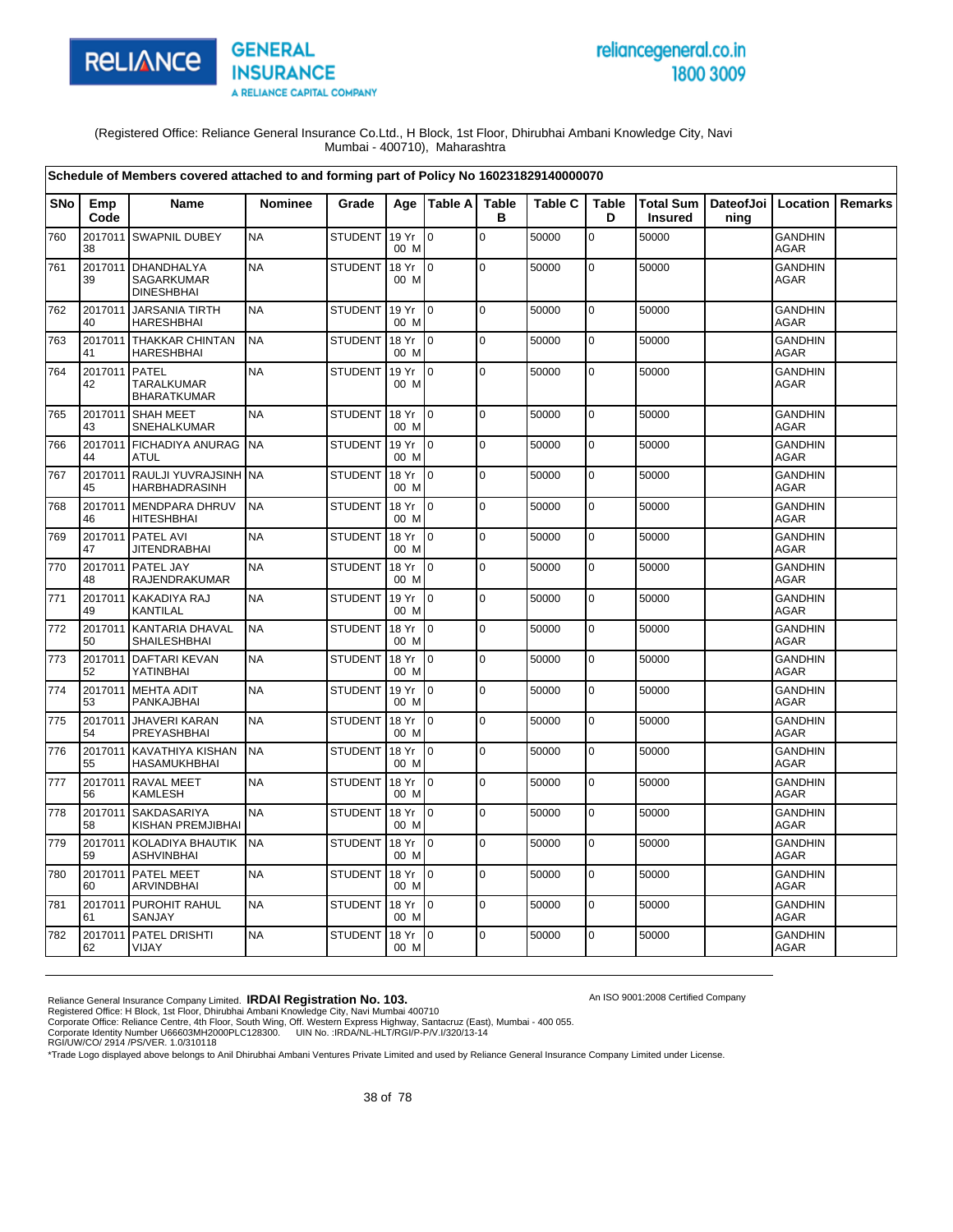

# reliancegeneral.co.in 1800 3009

An ISO 9001:2008 Certified Company

(Registered Office: Reliance General Insurance Co.Ltd., H Block, 1st Floor, Dhirubhai Ambani Knowledge City, Navi Mumbai - 400710), Maharashtra

|            |               | Schedule of Members covered attached to and forming part of Policy No 160231829140000070 |                |                |               |                 |                   |                |                   |                                    |      |                               |                |
|------------|---------------|------------------------------------------------------------------------------------------|----------------|----------------|---------------|-----------------|-------------------|----------------|-------------------|------------------------------------|------|-------------------------------|----------------|
| <b>SNo</b> | Emp<br>Code   | <b>Name</b>                                                                              | <b>Nominee</b> | Grade          | Aae           | <b>Table Al</b> | <b>Table</b><br>в | <b>Table C</b> | <b>Table</b><br>D | <b>Total Sum</b><br><b>Insured</b> | ning | DateofJoi   Location          | <b>Remarks</b> |
| 760        | 38            | 2017011 SWAPNIL DUBEY                                                                    | <b>NA</b>      | <b>STUDENT</b> | 19 Yr<br>00 M | l o             | $\Omega$          | 50000          | $\overline{0}$    | 50000                              |      | <b>GANDHIN</b><br><b>AGAR</b> |                |
| 761        | 2017011<br>39 | <b>DHANDHALYA</b><br>SAGARKUMAR<br><b>DINESHBHAI</b>                                     | <b>NA</b>      | <b>STUDENT</b> | 18 Yr<br>00 M | $\Omega$        | $\mathbf 0$       | 50000          | $\mathbf 0$       | 50000                              |      | <b>GANDHIN</b><br>AGAR        |                |
| 762        | 2017011<br>40 | <b>JARSANIA TIRTH</b><br><b>HARESHBHAI</b>                                               | <b>NA</b>      | <b>STUDENT</b> | 19 Yr<br>00 M | I٥              | l o               | 50000          | $\mathbf 0$       | 50000                              |      | <b>GANDHIN</b><br>AGAR        |                |
| 763        | 2017011<br>41 | <b>THAKKAR CHINTAN</b><br><b>HARESHBHAI</b>                                              | <b>NA</b>      | <b>STUDENT</b> | 18 Yr<br>00 M | lo.             | $\mathbf 0$       | 50000          | $\mathbf 0$       | 50000                              |      | <b>GANDHIN</b><br><b>AGAR</b> |                |
| 764        | 2017011<br>42 | <b>PATEL</b><br><b>TARALKUMAR</b><br><b>BHARATKUMAR</b>                                  | <b>NA</b>      | <b>STUDENT</b> | 19 Yr<br>00 M | I0              | $\mathbf 0$       | 50000          | 0                 | 50000                              |      | <b>GANDHIN</b><br><b>AGAR</b> |                |
| 765        | 2017011<br>43 | <b>SHAH MEET</b><br>SNEHALKUMAR                                                          | <b>NA</b>      | <b>STUDENT</b> | 18 Yr<br>00 M | I <sub>0</sub>  | $\pmb{0}$         | 50000          | $\mathbf 0$       | 50000                              |      | <b>GANDHIN</b><br><b>AGAR</b> |                |
| 766        | 2017011<br>44 | <b>FICHADIYA ANURAG</b><br><b>ATUL</b>                                                   | <b>NA</b>      | <b>STUDENT</b> | 19 Yr<br>00 M | I٥              | $\mathbf 0$       | 50000          | $\mathbf 0$       | 50000                              |      | <b>GANDHIN</b><br><b>AGAR</b> |                |
| 767        | 45            | 2017011 RAULJI YUVRAJSINH NA<br><b>HARBHADRASINH</b>                                     |                | <b>STUDENT</b> | 18 Yr<br>00 M | I0              | $\Omega$          | 50000          | $\mathbf 0$       | 50000                              |      | <b>GANDHIN</b><br>AGAR        |                |
| 768        | 46            | 2017011 MENDPARA DHRUV<br><b>HITESHBHAI</b>                                              | <b>NA</b>      | <b>STUDENT</b> | 18 Yr<br>00 M | I0.             | $\Omega$          | 50000          | $\mathbf 0$       | 50000                              |      | <b>GANDHIN</b><br>AGAR        |                |
| 769        | 47            | 2017011 PATEL AVI<br><b>JITENDRABHAI</b>                                                 | <b>NA</b>      | <b>STUDENT</b> | 18 Yr<br>00 M | I0              | $\mathbf 0$       | 50000          | $\pmb{0}$         | 50000                              |      | GANDHIN<br><b>AGAR</b>        |                |
| 770        | 2017011<br>48 | PATEL JAY<br>RAJENDRAKUMAR                                                               | <b>NA</b>      | <b>STUDENT</b> | 18 Yr<br>00 M | I0              | $\mathbf 0$       | 50000          | 0                 | 50000                              |      | <b>GANDHIN</b><br>AGAR        |                |
| 771        | 2017011<br>49 | <b>KAKADIYA RAJ</b><br>KANTILAL                                                          | <b>NA</b>      | <b>STUDENT</b> | 19 Yr<br>00 M | l o             | $\mathbf 0$       | 50000          | $\mathbf 0$       | 50000                              |      | <b>GANDHIN</b><br>AGAR        |                |
| 772        | 2017011<br>50 | <b>KANTARIA DHAVAL</b><br>SHAILESHBHAI                                                   | <b>NA</b>      | <b>STUDENT</b> | 18 Yr<br>00 M | lo.             | $\Omega$          | 50000          | $\pmb{0}$         | 50000                              |      | <b>GANDHIN</b><br><b>AGAR</b> |                |
| 773        | 2017011<br>52 | <b>DAFTARI KEVAN</b><br>YATINBHAI                                                        | <b>NA</b>      | <b>STUDENT</b> | 18 Yr<br>00 M | ۱o              | $\pmb{0}$         | 50000          | $\pmb{0}$         | 50000                              |      | <b>GANDHIN</b><br><b>AGAR</b> |                |
| 774        | 2017011<br>53 | <b>MEHTA ADIT</b><br>PANKAJBHAI                                                          | <b>NA</b>      | <b>STUDENT</b> | 19 Yr<br>00 M | I0              | $\mathbf 0$       | 50000          | $\mathbf 0$       | 50000                              |      | <b>GANDHIN</b><br><b>AGAR</b> |                |
| 775        | 2017011<br>54 | <b>JHAVERI KARAN</b><br>PREYASHBHAI                                                      | <b>NA</b>      | <b>STUDENT</b> | 18 Yr<br>00 M | I0              | $\mathbf 0$       | 50000          | $\mathbf 0$       | 50000                              |      | <b>GANDHIN</b><br>AGAR        |                |
| 776        | 55            | 2017011 KAVATHIYA KISHAN<br><b>HASAMUKHBHAI</b>                                          | <b>NA</b>      | <b>STUDENT</b> | 18 Yr<br>00 M | I0              | $\mathbf 0$       | 50000          | $\mathbf 0$       | 50000                              |      | GANDHIN<br><b>AGAR</b>        |                |
| 777        | 56            | 2017011 RAVAL MEET<br><b>KAMLESH</b>                                                     | <b>NA</b>      | <b>STUDENT</b> | 18 Yr<br>00 M | I0              | $\mathbf 0$       | 50000          | $\mathbf 0$       | 50000                              |      | <b>GANDHIN</b><br><b>AGAR</b> |                |
| 778        | 2017011<br>58 | <b>SAKDASARIYA</b><br>KISHAN PREMJIBHAI                                                  | <b>NA</b>      | <b>STUDENT</b> | 18 Yr<br>00 M | I٥              | $\mathbf 0$       | 50000          | $\mathbf 0$       | 50000                              |      | GANDHIN<br><b>AGAR</b>        |                |
| 779        | 2017011<br>59 | KOLADIYA BHAUTIK<br><b>ASHVINBHAI</b>                                                    | <b>NA</b>      | <b>STUDENT</b> | 18 Yr<br>00 M | l o             | $\Omega$          | 50000          | $\mathbf 0$       | 50000                              |      | <b>GANDHIN</b><br>AGAR        |                |
| 780        | 2017011<br>60 | <b>PATEL MEET</b><br>ARVINDBHAI                                                          | <b>NA</b>      | <b>STUDENT</b> | 18 Yr<br>00 M | I0              | $\pmb{0}$         | 50000          | $\pmb{0}$         | 50000                              |      | <b>GANDHIN</b><br><b>AGAR</b> |                |
| 781        | 2017011<br>61 | PUROHIT RAHUL<br>SANJAY                                                                  | <b>NA</b>      | <b>STUDENT</b> | 18 Yr<br>00 M | I٥              | $\Omega$          | 50000          | $\mathbf 0$       | 50000                              |      | <b>GANDHIN</b><br>AGAR        |                |
| 782        | 2017011<br>62 | PATEL DRISHTI<br>VIJAY                                                                   | <b>NA</b>      | <b>STUDENT</b> | 18 Yr<br>00 M | lo.             | $\mathbf 0$       | 50000          | 0                 | 50000                              |      | <b>GANDHIN</b><br>AGAR        |                |

Reliance General Insurance Company Limited. **IRDAI Registration No. 103.**<br>Registered Office: H Block, 1st Floor, Dhirubhai Ambani Knowledge City, Navi Mumbai 400710<br>Corporate Office: Reliance Centre, 4th Floor, South Wing,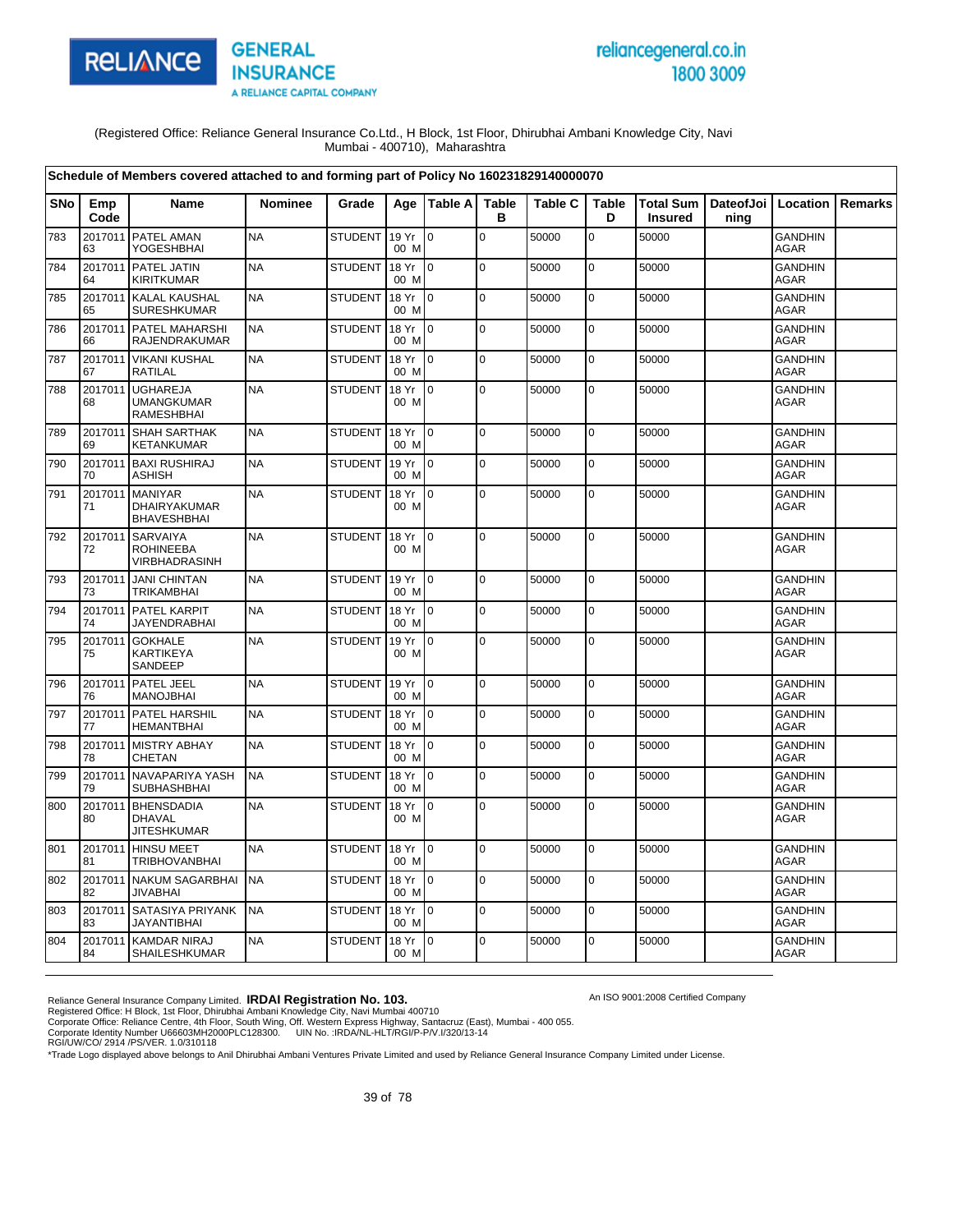

# reliancegeneral.co.in 1800 3009

An ISO 9001:2008 Certified Company

(Registered Office: Reliance General Insurance Co.Ltd., H Block, 1st Floor, Dhirubhai Ambani Knowledge City, Navi Mumbai - 400710), Maharashtra

|            |               | Schedule of Members covered attached to and forming part of Policy No 160231829140000070 |                |                |               |                 |                   |                |                   |                             |      |                               |         |
|------------|---------------|------------------------------------------------------------------------------------------|----------------|----------------|---------------|-----------------|-------------------|----------------|-------------------|-----------------------------|------|-------------------------------|---------|
| <b>SNo</b> | Emp<br>Code   | Name                                                                                     | <b>Nominee</b> | Grade          |               | Age   Table A   | <b>Table</b><br>в | <b>Table C</b> | <b>Table</b><br>D | Total Sum<br><b>Insured</b> | ning | DateofJoi   Location          | Remarks |
| 783        | 2017011<br>63 | PATEL AMAN<br>YOGESHBHAI                                                                 | <b>NA</b>      | <b>STUDENT</b> | 19 Yr<br>00 M | lo.             | $\mathbf 0$       | 50000          | $\mathbf 0$       | 50000                       |      | <b>GANDHIN</b><br>AGAR        |         |
| 784        | 2017011<br>64 | <b>PATEL JATIN</b><br><b>KIRITKUMAR</b>                                                  | <b>NA</b>      | <b>STUDENT</b> | 18 Yr<br>00 M | I0.             | $\mathbf 0$       | 50000          | $\mathbf 0$       | 50000                       |      | <b>GANDHIN</b><br><b>AGAR</b> |         |
| 785        | 2017011<br>65 | <b>KALAL KAUSHAL</b><br>SURESHKUMAR                                                      | <b>NA</b>      | <b>STUDENT</b> | 18 Yr<br>00 M | $\overline{0}$  | $\mathbf 0$       | 50000          | 0                 | 50000                       |      | <b>GANDHIN</b><br>AGAR        |         |
| 786        | 2017011<br>66 | PATEL MAHARSHI<br>RAJENDRAKUMAR                                                          | <b>NA</b>      | <b>STUDENT</b> | 18 Yr<br>00 M | $\overline{10}$ | $\Omega$          | 50000          | $\mathbf 0$       | 50000                       |      | <b>GANDHIN</b><br><b>AGAR</b> |         |
| 787        | 67            | 2017011 VIKANI KUSHAL<br><b>RATILAL</b>                                                  | <b>NA</b>      | <b>STUDENT</b> | 18 Yr<br>00 M | $\overline{0}$  | $\mathbf 0$       | 50000          | $\mathbf 0$       | 50000                       |      | <b>GANDHIN</b><br>AGAR        |         |
| 788        | 2017011<br>68 | <b>UGHAREJA</b><br><b>UMANGKUMAR</b><br><b>RAMESHBHAI</b>                                | <b>NA</b>      | <b>STUDENT</b> | 18 Yr<br>00 M | $\overline{0}$  | $\pmb{0}$         | 50000          | $\mathbf 0$       | 50000                       |      | GANDHIN<br><b>AGAR</b>        |         |
| 789        | 69            | 2017011 SHAH SARTHAK<br><b>KETANKUMAR</b>                                                | <b>NA</b>      | <b>STUDENT</b> | 18 Yr<br>00 M | $\overline{0}$  | $\pmb{0}$         | 50000          | 0                 | 50000                       |      | <b>GANDHIN</b><br><b>AGAR</b> |         |
| 790        | 70            | 2017011 BAXI RUSHIRAJ<br><b>ASHISH</b>                                                   | <b>NA</b>      | <b>STUDENT</b> | 19 Yr<br>00 M | $\overline{0}$  | $\mathbf 0$       | 50000          | $\mathbf 0$       | 50000                       |      | <b>GANDHIN</b><br>AGAR        |         |
| 791        | 71            | 2017011 MANIYAR<br>DHAIRYAKUMAR<br><b>BHAVESHBHAI</b>                                    | <b>NA</b>      | <b>STUDENT</b> | 18 Yr<br>00 M | $\overline{0}$  | $\mathbf 0$       | 50000          | $\pmb{0}$         | 50000                       |      | <b>GANDHIN</b><br>AGAR        |         |
| 792        | 72            | 2017011 SARVAIYA<br><b>ROHINEEBA</b><br>VIRBHADRASINH                                    | <b>NA</b>      | <b>STUDENT</b> | 18 Yr<br>00 M | I0              | $\mathbf 0$       | 50000          | $\pmb{0}$         | 50000                       |      | <b>GANDHIN</b><br>AGAR        |         |
| 793        | 2017011<br>73 | <b>JANI CHINTAN</b><br><b>TRIKAMBHAI</b>                                                 | <b>NA</b>      | STUDENT        | 19 Yr<br>00 M | l 0             | $\mathbf 0$       | 50000          | $\mathbf 0$       | 50000                       |      | <b>GANDHIN</b><br>AGAR        |         |
| 794        | 74            | 2017011 PATEL KARPIT<br><b>JAYENDRABHAI</b>                                              | <b>NA</b>      | <b>STUDENT</b> | 18 Yr<br>00 M | I0.             | $\mathbf 0$       | 50000          | $\mathbf 0$       | 50000                       |      | <b>GANDHIN</b><br><b>AGAR</b> |         |
| 795        | 2017011<br>75 | <b>GOKHALE</b><br><b>KARTIKEYA</b><br>SANDEEP                                            | <b>NA</b>      | <b>STUDENT</b> | 19 Yr<br>00 M | I0              | $\mathbf 0$       | 50000          | $\mathbf 0$       | 50000                       |      | <b>GANDHIN</b><br>AGAR        |         |
| 796        | 2017011<br>76 | PATEL JEEL<br><b>MANOJBHAI</b>                                                           | <b>NA</b>      | <b>STUDENT</b> | 19 Yr<br>00 M | Io.             | l O               | 50000          | $\mathbf 0$       | 50000                       |      | <b>GANDHIN</b><br><b>AGAR</b> |         |
| 797        | 77            | 2017011 PATEL HARSHIL<br><b>HEMANTBHAI</b>                                               | <b>NA</b>      | <b>STUDENT</b> | 18 Yr<br>00 M | $\overline{10}$ | $\mathbf 0$       | 50000          | $\mathbf 0$       | 50000                       |      | <b>GANDHIN</b><br><b>AGAR</b> |         |
| 798        | 2017011<br>78 | <b>MISTRY ABHAY</b><br><b>CHETAN</b>                                                     | <b>NA</b>      | <b>STUDENT</b> | 18 Yr<br>00 M | l 0             | $\mathbf 0$       | 50000          | $\mathbf 0$       | 50000                       |      | <b>GANDHIN</b><br>AGAR        |         |
| 799        | 79            | 2017011 NAVAPARIYA YASH<br><b>SUBHASHBHAI</b>                                            | <b>NA</b>      | <b>STUDENT</b> | 18 Yr<br>00 M | I <sub>0</sub>  | $\Omega$          | 50000          | $\mathbf 0$       | 50000                       |      | <b>GANDHIN</b><br><b>AGAR</b> |         |
| 800        | 80            | 2017011 BHENSDADIA<br><b>DHAVAL</b><br><b>JITESHKUMAR</b>                                | <b>NA</b>      | <b>STUDENT</b> | 18 Yr<br>00 M | 0               | $\pmb{0}$         | 50000          | $\pmb{0}$         | 50000                       |      | <b>GANDHIN</b><br><b>AGAR</b> |         |
| 801        | 81            | 2017011 HINSU MEET<br><b>TRIBHOVANBHAI</b>                                               | <b>NA</b>      | <b>STUDENT</b> | 18 Yr<br>00 M | I0.             | l o               | 50000          | $\pmb{0}$         | 50000                       |      | <b>GANDHIN</b><br>AGAR        |         |
| 802        | 2017011<br>82 | <b>NAKUM SAGARBHAI</b><br><b>JIVABHAI</b>                                                | <b>NA</b>      | <b>STUDENT</b> | 18 Yr<br>00 M | Io.             | $\mathbf 0$       | 50000          | $\mathbf 0$       | 50000                       |      | <b>GANDHIN</b><br><b>AGAR</b> |         |
| 803        | 83            | 2017011 SATASIYA PRIYANK<br><b>JAYANTIBHAI</b>                                           | <b>NA</b>      | <b>STUDENT</b> | 18 Yr<br>00 M | $\overline{0}$  | $\mathbf 0$       | 50000          | $\mathbf 0$       | 50000                       |      | <b>GANDHIN</b><br>AGAR        |         |
| 804        | 2017011<br>84 | <b>KAMDAR NIRAJ</b><br>SHAILESHKUMAR                                                     | <b>NA</b>      | <b>STUDENT</b> | 18 Yr<br>00 M | $\overline{10}$ | $\Omega$          | 50000          | $\mathbf 0$       | 50000                       |      | <b>GANDHIN</b><br><b>AGAR</b> |         |

Reliance General Insurance Company Limited. **IRDAI Registration No. 103.**<br>Registered Office: H Block, 1st Floor, Dhirubhai Ambani Knowledge City, Navi Mumbai 400710<br>Corporate Office: Reliance Centre, 4th Floor, South Wing,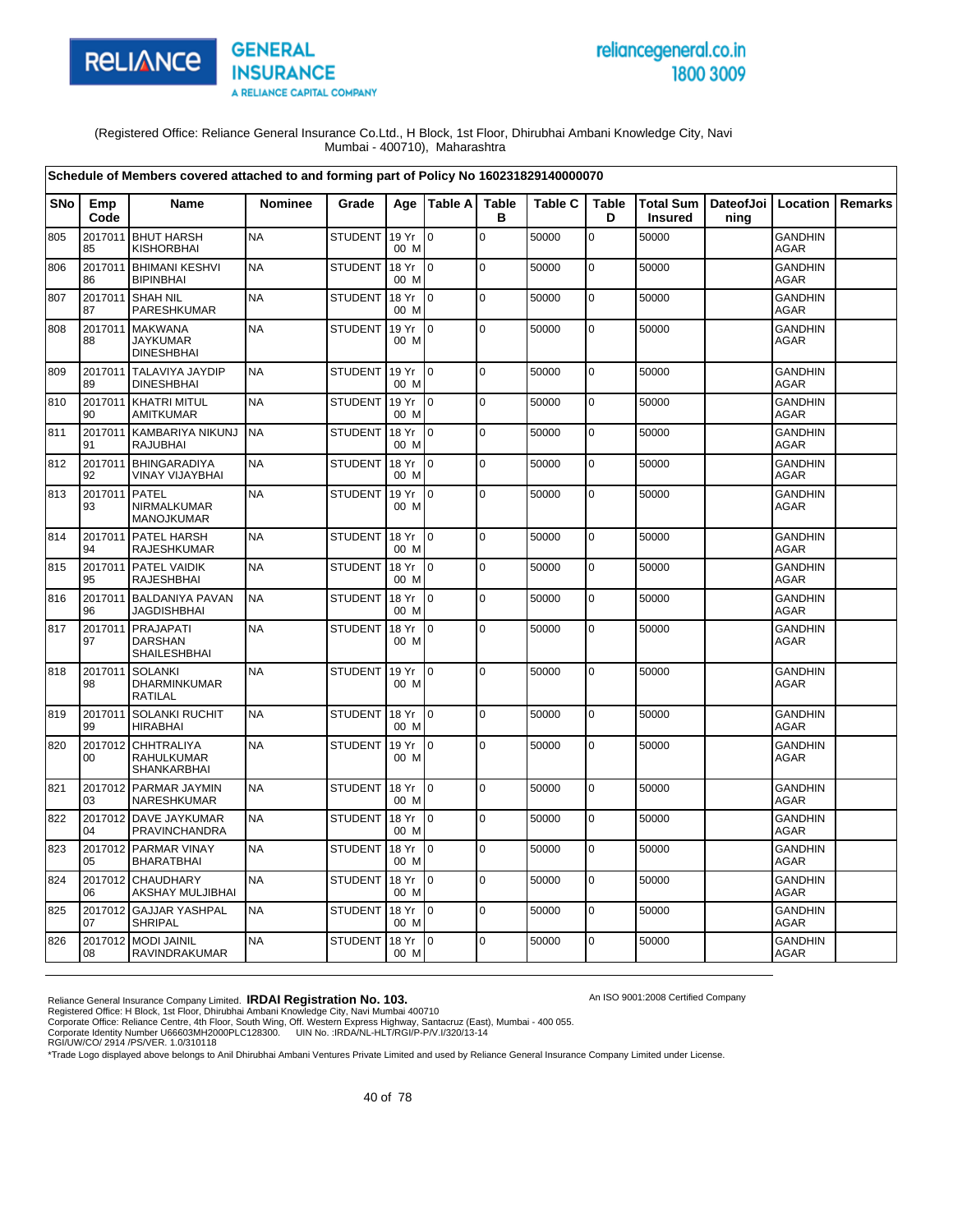

# reliancegeneral.co.in 1800 3009

An ISO 9001:2008 Certified Company

(Registered Office: Reliance General Insurance Co.Ltd., H Block, 1st Floor, Dhirubhai Ambani Knowledge City, Navi Mumbai - 400710), Maharashtra

|     |               | Schedule of Members covered attached to and forming part of Policy No 160231829140000070 |           |                |               |                 |                   |                |                   |                |                                          |                               |                |
|-----|---------------|------------------------------------------------------------------------------------------|-----------|----------------|---------------|-----------------|-------------------|----------------|-------------------|----------------|------------------------------------------|-------------------------------|----------------|
| SNo | Emp<br>Code   | Name                                                                                     | Nominee   | Grade          |               | Age   Table A   | <b>Table</b><br>в | <b>Table C</b> | <b>Table</b><br>D | <b>Insured</b> | Total Sum   DateofJoi   Location<br>ning |                               | <b>Remarks</b> |
| 805 | 2017011<br>85 | <b>BHUT HARSH</b><br><b>KISHORBHAI</b>                                                   | <b>NA</b> | <b>STUDENT</b> | 19 Yr<br>00 M | $\Omega$        | $\Omega$          | 50000          | $\mathbf 0$       | 50000          |                                          | <b>GANDHIN</b><br><b>AGAR</b> |                |
| 806 | 2017011<br>86 | <b>BHIMANI KESHVI</b><br><b>BIPINBHAI</b>                                                | <b>NA</b> | <b>STUDENT</b> | 18 Yr<br>00 M | $\mathsf{I}$    | 0                 | 50000          | 0                 | 50000          |                                          | <b>GANDHIN</b><br><b>AGAR</b> |                |
| 807 | 87            | 2017011 SHAH NIL<br>PARESHKUMAR                                                          | <b>NA</b> | <b>STUDENT</b> | 18 Yr<br>00 M | lo.             | $\pmb{0}$         | 50000          | $\mathbf 0$       | 50000          |                                          | <b>GANDHIN</b><br><b>AGAR</b> |                |
| 808 | 2017011<br>88 | <b>MAKWANA</b><br><b>JAYKUMAR</b><br><b>DINESHBHAI</b>                                   | <b>NA</b> | <b>STUDENT</b> | 19 Yr<br>00 M | $\overline{10}$ | $\mathbf 0$       | 50000          | $\mathbf 0$       | 50000          |                                          | <b>GANDHIN</b><br><b>AGAR</b> |                |
| 809 | 89            | 2017011 TALAVIYA JAYDIP<br><b>DINESHBHAI</b>                                             | <b>NA</b> | <b>STUDENT</b> | 19 Yr<br>00 M | I0              | $\mathbf 0$       | 50000          | 0                 | 50000          |                                          | <b>GANDHIN</b><br><b>AGAR</b> |                |
| 810 | 90            | 2017011 KHATRI MITUL<br><b>AMITKUMAR</b>                                                 | <b>NA</b> | <b>STUDENT</b> | 19 Yr<br>00 M | l 0             | $\Omega$          | 50000          | $\mathbf 0$       | 50000          |                                          | <b>GANDHIN</b><br><b>AGAR</b> |                |
| 811 | 91            | 2017011 KAMBARIYA NIKUNJ<br><b>RAJUBHAI</b>                                              | <b>NA</b> | <b>STUDENT</b> | 18 Yr<br>00 M | Io.             | $\mathbf 0$       | 50000          | $\mathbf 0$       | 50000          |                                          | <b>GANDHIN</b><br><b>AGAR</b> |                |
| 812 | 92            | 2017011 BHINGARADIYA<br><b>VINAY VIJAYBHAI</b>                                           | <b>NA</b> | <b>STUDENT</b> | 18 Yr<br>00 M | lo.             | $\mathbf 0$       | 50000          | 0                 | 50000          |                                          | <b>GANDHIN</b><br>AGAR        |                |
| 813 | 2017011<br>93 | <b>PATEL</b><br>NIRMALKUMAR<br><b>MANOJKUMAR</b>                                         | <b>NA</b> | <b>STUDENT</b> | 19 Yr<br>00 M | l o             | $\mathbf 0$       | 50000          | 0                 | 50000          |                                          | <b>GANDHIN</b><br>AGAR        |                |
| 814 | 94            | 2017011 PATEL HARSH<br><b>RAJESHKUMAR</b>                                                | <b>NA</b> | <b>STUDENT</b> | 18 Yr<br>00 M | $\overline{0}$  | $\mathbf 0$       | 50000          | $\mathbf 0$       | 50000          |                                          | <b>GANDHIN</b><br>AGAR        |                |
| 815 | 2017011<br>95 | PATEL VAIDIK<br><b>RAJESHBHAI</b>                                                        | <b>NA</b> | <b>STUDENT</b> | 18 Yr<br>00 M | $\overline{10}$ | $\Omega$          | 50000          | $\pmb{0}$         | 50000          |                                          | <b>GANDHIN</b><br><b>AGAR</b> |                |
| 816 | 2017011<br>96 | <b>BALDANIYA PAVAN</b><br><b>JAGDISHBHAI</b>                                             | <b>NA</b> | <b>STUDENT</b> | 18 Yr<br>00 M | I0              | $\pmb{0}$         | 50000          | 0                 | 50000          |                                          | <b>GANDHIN</b><br>AGAR        |                |
| 817 | 2017011<br>97 | PRAJAPATI<br><b>DARSHAN</b><br>SHAILESHBHAI                                              | <b>NA</b> | <b>STUDENT</b> | 18 Yr<br>00 M | $\overline{10}$ | $\overline{0}$    | 50000          | 0                 | 50000          |                                          | <b>GANDHIN</b><br><b>AGAR</b> |                |
| 818 | 2017011<br>98 | <b>SOLANKI</b><br>DHARMINKUMAR<br><b>RATILAL</b>                                         | <b>NA</b> | <b>STUDENT</b> | 19 Yr<br>00 M | I <sub>0</sub>  | $\Omega$          | 50000          | $\mathbf 0$       | 50000          |                                          | <b>GANDHIN</b><br><b>AGAR</b> |                |
| 819 | 2017011<br>99 | <b>SOLANKI RUCHIT</b><br><b>HIRABHAI</b>                                                 | <b>NA</b> | <b>STUDENT</b> | 18 Yr<br>00 M | $\mathsf{I}$    | $\pmb{0}$         | 50000          | $\mathbf 0$       | 50000          |                                          | <b>GANDHIN</b><br><b>AGAR</b> |                |
| 820 | 2017012<br>00 | <b>CHHTRALIYA</b><br><b>RAHULKUMAR</b><br><b>SHANKARBHAI</b>                             | <b>NA</b> | <b>STUDENT</b> | 19 Yr<br>00 M | $\overline{10}$ | $\mathbf 0$       | 50000          | 0                 | 50000          |                                          | <b>GANDHIN</b><br><b>AGAR</b> |                |
| 821 | 03            | 2017012 PARMAR JAYMIN<br>NARESHKUMAR                                                     | <b>NA</b> | <b>STUDENT</b> | 18 Yr<br>00 M | $\overline{10}$ | $\mathbf 0$       | 50000          | 0                 | 50000          |                                          | <b>GANDHIN</b><br><b>AGAR</b> |                |
| 822 | 04            | 2017012 DAVE JAYKUMAR<br>PRAVINCHANDRA                                                   | <b>NA</b> | <b>STUDENT</b> | 18 Yr<br>00 M | $\overline{0}$  | $\mathbf 0$       | 50000          | $\mathbf 0$       | 50000          |                                          | <b>GANDHIN</b><br><b>AGAR</b> |                |
| 823 | 05            | 2017012 PARMAR VINAY<br><b>BHARATBHAI</b>                                                | <b>NA</b> | <b>STUDENT</b> | 18 Yr<br>00 M | Io.             | $\mathbf 0$       | 50000          | 0                 | 50000          |                                          | <b>GANDHIN</b><br><b>AGAR</b> |                |
| 824 | 06            | 2017012 CHAUDHARY<br>AKSHAY MULJIBHAI                                                    | <b>NA</b> | <b>STUDENT</b> | 18 Yr<br>00 M | l 0             | $\mathbf 0$       | 50000          | $\mathbf 0$       | 50000          |                                          | <b>GANDHIN</b><br><b>AGAR</b> |                |
| 825 | 07            | 2017012 GAJJAR YASHPAL<br>SHRIPAL                                                        | <b>NA</b> | <b>STUDENT</b> | 18 Yr<br>00 M | $\overline{0}$  | $\mathbf 0$       | 50000          | 0                 | 50000          |                                          | <b>GANDHIN</b><br>AGAR        |                |
| 826 | 08            | 2017012 MODI JAINIL<br>RAVINDRAKUMAR                                                     | <b>NA</b> | <b>STUDENT</b> | 18 Yr<br>00 M | I0              | $\Omega$          | 50000          | $\overline{0}$    | 50000          |                                          | <b>GANDHIN</b><br>AGAR        |                |

Reliance General Insurance Company Limited. **IRDAI Registration No. 103.**<br>Registered Office: H Block, 1st Floor, Dhirubhai Ambani Knowledge City, Navi Mumbai 400710<br>Corporate Office: Reliance Centre, 4th Floor, South Wing,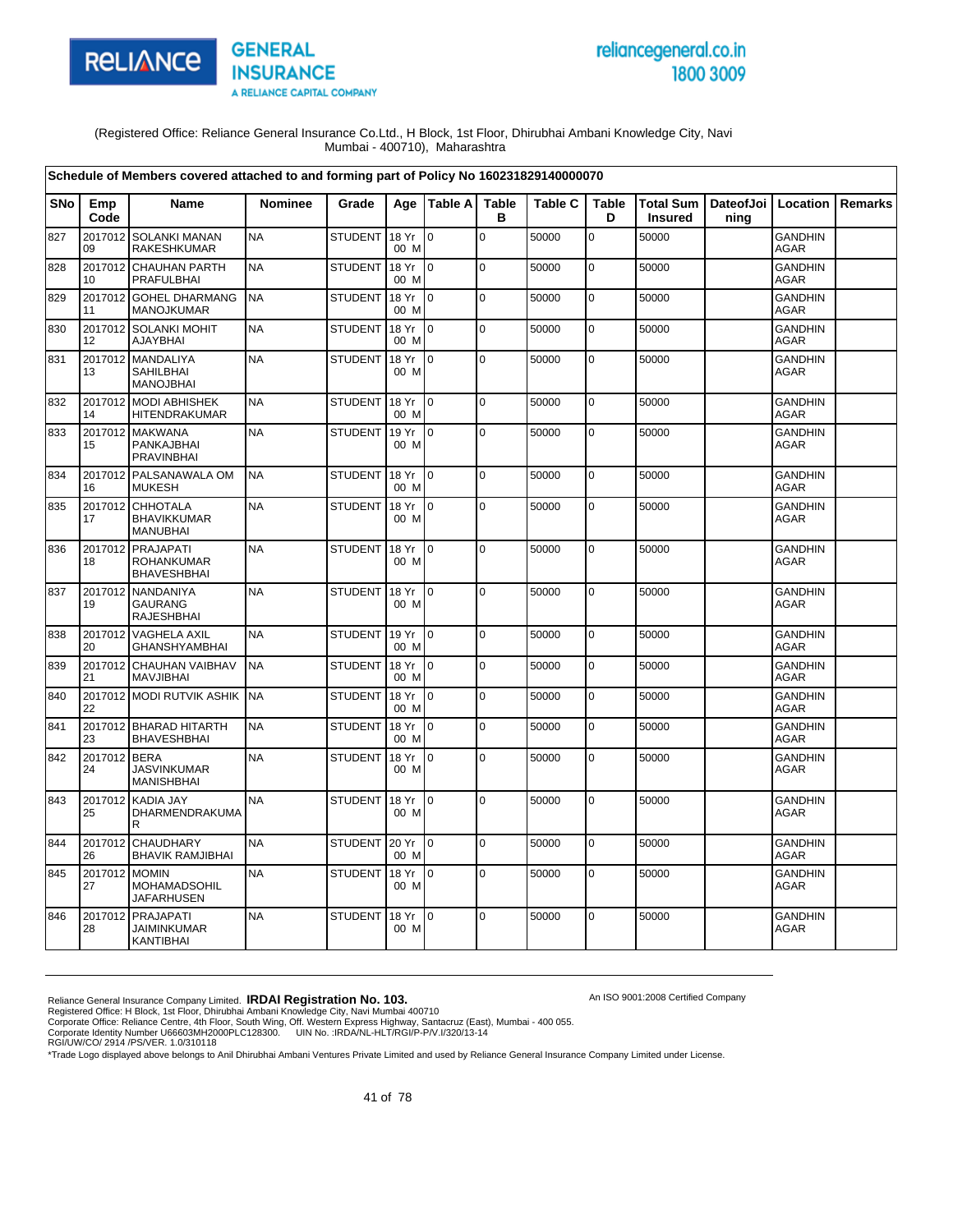

# reliancegeneral.co.in 1800 3009

An ISO 9001:2008 Certified Company

(Registered Office: Reliance General Insurance Co.Ltd., H Block, 1st Floor, Dhirubhai Ambani Knowledge City, Navi Mumbai - 400710), Maharashtra

|            |                    | Schedule of Members covered attached to and forming part of Policy No 160231829140000070 |                |                |               |                |                   |                |                   |                                    |      |                               |         |
|------------|--------------------|------------------------------------------------------------------------------------------|----------------|----------------|---------------|----------------|-------------------|----------------|-------------------|------------------------------------|------|-------------------------------|---------|
| <b>SNo</b> | Emp<br>Code        | Name                                                                                     | <b>Nominee</b> | Grade          |               | Age Table A    | <b>Table</b><br>в | <b>Table C</b> | <b>Table</b><br>D | <b>Total Sum</b><br><b>Insured</b> | ning | DateofJoi   Location          | Remarks |
| 827        | 2017012<br>09      | <b>SOLANKI MANAN</b><br>RAKESHKUMAR                                                      | <b>NA</b>      | <b>STUDENT</b> | 18 Yr<br>00 M | l o            | $\Omega$          | 50000          | $\overline{0}$    | 50000                              |      | <b>GANDHIN</b><br><b>AGAR</b> |         |
| 828        | 2017012<br>10      | <b>CHAUHAN PARTH</b><br><b>PRAFULBHAI</b>                                                | <b>NA</b>      | <b>STUDENT</b> | 18 Yr<br>00 M | lo.            | $\mathbf 0$       | 50000          | $\mathbf 0$       | 50000                              |      | <b>GANDHIN</b><br><b>AGAR</b> |         |
| 829        | 2017012<br>11      | <b>GOHEL DHARMANG</b><br><b>MANOJKUMAR</b>                                               | <b>NA</b>      | <b>STUDENT</b> | 18 Yr<br>00 M | $\overline{0}$ | $\pmb{0}$         | 50000          | $\mathbf 0$       | 50000                              |      | <b>GANDHIN</b><br>AGAR        |         |
| 830        | 12                 | 2017012 SOLANKI MOHIT<br><b>AJAYBHAI</b>                                                 | <b>NA</b>      | <b>STUDENT</b> | 18 Yr<br>00 M | lo.            | $\mathbf 0$       | 50000          | $\mathbf 0$       | 50000                              |      | GANDHIN<br><b>AGAR</b>        |         |
| 831        | 2017012<br>13      | <b>MANDALIYA</b><br>SAHILBHAI<br><b>MANOJBHAI</b>                                        | <b>NA</b>      | <b>STUDENT</b> | 18 Yr<br>00 M | I0             | $\mathbf 0$       | 50000          | $\mathbf 0$       | 50000                              |      | <b>GANDHIN</b><br><b>AGAR</b> |         |
| 832        | 14                 | 2017012 MODI ABHISHEK<br><b>HITENDRAKUMAR</b>                                            | <b>NA</b>      | <b>STUDENT</b> | 18 Yr<br>00 M | lo.            | $\mathbf 0$       | 50000          | $\mathbf 0$       | 50000                              |      | <b>GANDHIN</b><br><b>AGAR</b> |         |
| 833        | 2017012<br>15      | <b>MAKWANA</b><br>PANKAJBHAI<br><b>PRAVINBHAI</b>                                        | <b>NA</b>      | <b>STUDENT</b> | 19 Yr<br>00 M | I0             | $\mathbf 0$       | 50000          | $\mathbf 0$       | 50000                              |      | <b>GANDHIN</b><br><b>AGAR</b> |         |
| 834        | 2017012<br>16      | PALSANAWALA OM<br><b>MUKESH</b>                                                          | <b>NA</b>      | <b>STUDENT</b> | 18 Yr<br>00 M | I0             | $\pmb{0}$         | 50000          | $\pmb{0}$         | 50000                              |      | <b>GANDHIN</b><br><b>AGAR</b> |         |
| 835        | 2017012<br>17      | CHHOTALA<br><b>BHAVIKKUMAR</b><br><b>MANUBHAI</b>                                        | <b>NA</b>      | <b>STUDENT</b> | 18 Yr<br>00 M | I0             | $\mathbf 0$       | 50000          | $\overline{0}$    | 50000                              |      | <b>GANDHIN</b><br><b>AGAR</b> |         |
| 836        | 2017012<br>18      | PRAJAPATI<br><b>ROHANKUMAR</b><br><b>BHAVESHBHAI</b>                                     | <b>NA</b>      | <b>STUDENT</b> | 18 Yr<br>00 M | $\Omega$       | $\mathbf 0$       | 50000          | $\mathsf 0$       | 50000                              |      | <b>GANDHIN</b><br>AGAR        |         |
| 837        | 2017012<br>19      | <b>NANDANIYA</b><br><b>GAURANG</b><br><b>RAJESHBHAI</b>                                  | <b>NA</b>      | <b>STUDENT</b> | 18 Yr<br>00 M | $\Omega$       | $\Omega$          | 50000          | $\mathbf 0$       | 50000                              |      | <b>GANDHIN</b><br>AGAR        |         |
| 838        | 2017012<br>20      | <b>VAGHELA AXIL</b><br>GHANSHYAMBHAI                                                     | <b>NA</b>      | <b>STUDENT</b> | 19 Yr<br>00 M | $\Omega$       | $\mathbf 0$       | 50000          | $\mathbf 0$       | 50000                              |      | <b>GANDHIN</b><br><b>AGAR</b> |         |
| 839        | 2017012<br>21      | <b>CHAUHAN VAIBHAV</b><br><b>MAVJIBHAI</b>                                               | <b>NA</b>      | <b>STUDENT</b> | 18 Yr<br>00 M | I0             | $\mathbf 0$       | 50000          | $\pmb{0}$         | 50000                              |      | <b>GANDHIN</b><br><b>AGAR</b> |         |
| 840        | 22                 | 2017012 MODI RUTVIK ASHIK                                                                | <b>NA</b>      | <b>STUDENT</b> | 18 Yr<br>00 M | lo.            | $\overline{0}$    | 50000          | $\overline{0}$    | 50000                              |      | <b>GANDHIN</b><br>AGAR        |         |
| 841        | 23                 | 2017012 BHARAD HITARTH<br><b>BHAVESHBHAI</b>                                             | <b>NA</b>      | <b>STUDENT</b> | 18 Yr<br>00 M | l o            | $\mathbf 0$       | 50000          | $\mathbf 0$       | 50000                              |      | <b>GANDHIN</b><br><b>AGAR</b> |         |
| 842        | 2017012 BERA<br>24 | <b>JASVINKUMAR</b><br><b>MANISHBHAI</b>                                                  | <b>NA</b>      | <b>STUDENT</b> | 18 Yr<br>00 M | I٥             | 0                 | 50000          | $\mathbf 0$       | 50000                              |      | <b>GANDHIN</b><br><b>AGAR</b> |         |
| 843        | 2017012<br>25      | <b>KADIA JAY</b><br>DHARMENDRAKUMA<br>R                                                  | <b>NA</b>      | <b>STUDENT</b> | 18 Yr<br>00 M | I٥             | $\pmb{0}$         | 50000          | $\mathbf 0$       | 50000                              |      | <b>GANDHIN</b><br>AGAR        |         |
| 844        | 2017012<br>26      | <b>CHAUDHARY</b><br><b>BHAVIK RAMJIBHAI</b>                                              | <b>NA</b>      | <b>STUDENT</b> | 20 Yr<br>00 M | $\Omega$       | $\Omega$          | 50000          | $\mathsf 0$       | 50000                              |      | <b>GANDHIN</b><br>AGAR        |         |
| 845        | 2017012<br>27      | <b>MOMIN</b><br><b>MOHAMADSOHIL</b><br><b>JAFARHUSEN</b>                                 | <b>NA</b>      | <b>STUDENT</b> | 18 Yr<br>00 M | l o            | $\mathbf 0$       | 50000          | $\mathbf 0$       | 50000                              |      | <b>GANDHIN</b><br>AGAR        |         |
| 846        | 2017012<br>28      | <b>PRAJAPATI</b><br><b>JAIMINKUMAR</b><br>KANTIBHAI                                      | <b>NA</b>      | <b>STUDENT</b> | 18 Yr<br>00 M | l o            | $\Omega$          | 50000          | $\mathbf 0$       | 50000                              |      | <b>GANDHIN</b><br>AGAR        |         |

Reliance General Insurance Company Limited. **IRDAI Registration No. 103.**<br>Registered Office: H Block, 1st Floor, Dhirubhai Ambani Knowledge City, Navi Mumbai 400710<br>Corporate Office: Reliance Centre, 4th Floor, South Wing,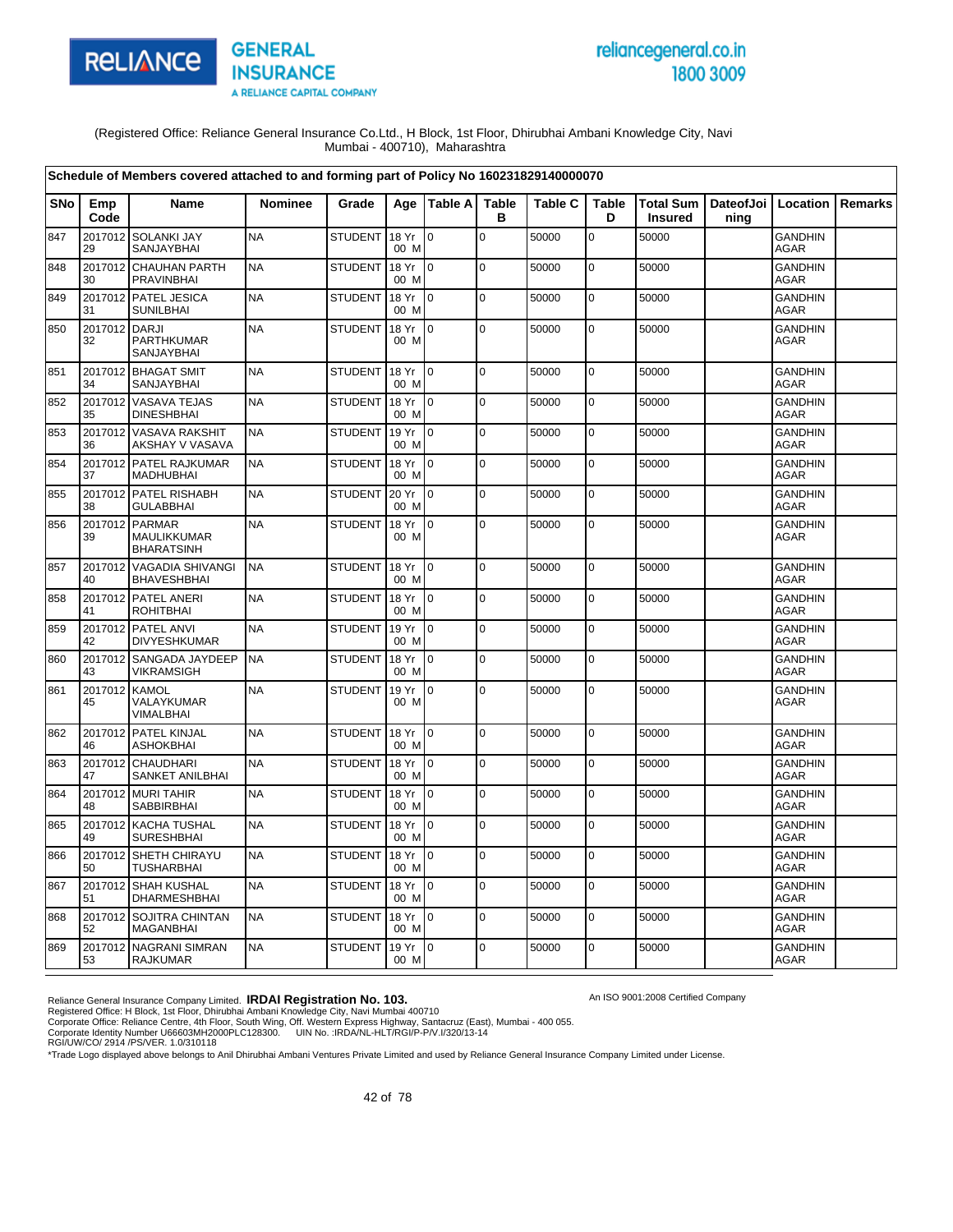

# reliancegeneral.co.in 1800 3009

An ISO 9001:2008 Certified Company

(Registered Office: Reliance General Insurance Co.Ltd., H Block, 1st Floor, Dhirubhai Ambani Knowledge City, Navi Mumbai - 400710), Maharashtra

|            |                     | Schedule of Members covered attached to and forming part of Policy No 160231829140000070 |                |                |               |                 |                   |                |                   |                |                                          |                               |         |
|------------|---------------------|------------------------------------------------------------------------------------------|----------------|----------------|---------------|-----------------|-------------------|----------------|-------------------|----------------|------------------------------------------|-------------------------------|---------|
| <b>SNo</b> | Emp<br>Code         | <b>Name</b>                                                                              | <b>Nominee</b> | Grade          |               | Age   Table A   | <b>Table</b><br>в | <b>Table C</b> | <b>Table</b><br>D | <b>Insured</b> | Total Sum   DateofJoi   Location<br>ning |                               | Remarks |
| 847        | 2017012<br>29       | <b>SOLANKI JAY</b><br>SANJAYBHAI                                                         | <b>NA</b>      | <b>STUDENT</b> | 18 Yr<br>00 M | $\mathbf 0$     | $\mathbf 0$       | 50000          | $\mathbf 0$       | 50000          |                                          | <b>GANDHIN</b><br><b>AGAR</b> |         |
| 848        | 2017012<br>30       | <b>CHAUHAN PARTH</b><br><b>PRAVINBHAI</b>                                                | <b>NA</b>      | <b>STUDENT</b> | 18 Yr<br>00 M | $\mathsf{I}$    | 0                 | 50000          | 0                 | 50000          |                                          | <b>GANDHIN</b><br><b>AGAR</b> |         |
| 849        | 31                  | 2017012 PATEL JESICA<br><b>SUNILBHAI</b>                                                 | <b>NA</b>      | <b>STUDENT</b> | 18 Yr<br>00 M | I0              | $\pmb{0}$         | 50000          | $\mathbf 0$       | 50000          |                                          | <b>GANDHIN</b><br><b>AGAR</b> |         |
| 850        | 2017012<br>32       | <b>DARJI</b><br>PARTHKUMAR<br>SANJAYBHAI                                                 | <b>NA</b>      | <b>STUDENT</b> | 18 Yr<br>00 M | I <sub>0</sub>  | $\Omega$          | 50000          | 0                 | 50000          |                                          | <b>GANDHIN</b><br><b>AGAR</b> |         |
| 851        | 34                  | 2017012 BHAGAT SMIT<br>SANJAYBHAI                                                        | <b>NA</b>      | <b>STUDENT</b> | 18 Yr<br>00 M | I <sub>0</sub>  | $\Omega$          | 50000          | $\mathbf 0$       | 50000          |                                          | <b>GANDHIN</b><br><b>AGAR</b> |         |
| 852        | 35                  | 2017012 VASAVA TEJAS<br><b>DINESHBHAI</b>                                                | <b>NA</b>      | <b>STUDENT</b> | 18 Yr<br>00 M | $\overline{10}$ | $\mathbf 0$       | 50000          | 0                 | 50000          |                                          | <b>GANDHIN</b><br><b>AGAR</b> |         |
| 853        | 36                  | 2017012 VASAVA RAKSHIT<br>AKSHAY V VASAVA                                                | <b>NA</b>      | <b>STUDENT</b> | 19 Yr<br>00 M | I0              | $\mathbf 0$       | 50000          | $\mathbf 0$       | 50000          |                                          | <b>GANDHIN</b><br><b>AGAR</b> |         |
| 854        | 37                  | 2017012 PATEL RAJKUMAR<br><b>MADHUBHAI</b>                                               | <b>NA</b>      | <b>STUDENT</b> | 18 Yr<br>00 M | $\overline{10}$ | $\pmb{0}$         | 50000          | $\pmb{0}$         | 50000          |                                          | <b>GANDHIN</b><br>AGAR        |         |
| 855        | 2017012<br>38       | PATEL RISHABH<br><b>GULABBHAI</b>                                                        | <b>NA</b>      | <b>STUDENT</b> | 20 Yr<br>00 M | $\overline{0}$  | $\Omega$          | 50000          | $\mathbf 0$       | 50000          |                                          | <b>GANDHIN</b><br><b>AGAR</b> |         |
| 856        | 2017012<br>39       | <b>PARMAR</b><br>MAULIKKUMAR<br><b>BHARATSINH</b>                                        | <b>NA</b>      | <b>STUDENT</b> | 18 Yr<br>00 M | $\overline{10}$ | $\mathbf 0$       | 50000          | 0                 | 50000          |                                          | <b>GANDHIN</b><br>AGAR        |         |
| 857        | 40                  | 2017012 VAGADIA SHIVANGI<br><b>BHAVESHBHAI</b>                                           | <b>NA</b>      | <b>STUDENT</b> | 18 Yr<br>00 M | I <sub>0</sub>  | $\mathbf 0$       | 50000          | 0                 | 50000          |                                          | <b>GANDHIN</b><br><b>AGAR</b> |         |
| 858        | 41                  | 2017012 PATEL ANERI<br><b>ROHITBHAI</b>                                                  | <b>NA</b>      | <b>STUDENT</b> | 18 Yr<br>00 M | lo.             | $\mathbf 0$       | 50000          | 0                 | 50000          |                                          | <b>GANDHIN</b><br><b>AGAR</b> |         |
| 859        | 42                  | 2017012 PATEL ANVI<br><b>DIVYESHKUMAR</b>                                                | <b>NA</b>      | <b>STUDENT</b> | 19 Yr<br>00 M | $\overline{10}$ | 0                 | 50000          | 0                 | 50000          |                                          | <b>GANDHIN</b><br><b>AGAR</b> |         |
| 860        | 43                  | 2017012 SANGADA JAYDEEP<br><b>VIKRAMSIGH</b>                                             | <b>NA</b>      | <b>STUDENT</b> | 18 Yr<br>00 M | l 0             | $\Omega$          | 50000          | 0                 | 50000          |                                          | <b>GANDHIN</b><br><b>AGAR</b> |         |
| 861        | 2017012 KAMOL<br>45 | VALAYKUMAR<br>VIMALBHAI                                                                  | <b>NA</b>      | <b>STUDENT</b> | 19 Yr<br>00 M | 0               | 0                 | 50000          | 0                 | 50000          |                                          | <b>GANDHIN</b><br><b>AGAR</b> |         |
| 862        | 46                  | 2017012 PATEL KINJAL<br><b>ASHOKBHAI</b>                                                 | <b>NA</b>      | <b>STUDENT</b> | 18 Yr<br>00 M | I0              | $\mathbf 0$       | 50000          | $\mathbf 0$       | 50000          |                                          | <b>GANDHIN</b><br><b>AGAR</b> |         |
| 863        | 2017012<br>47       | <b>CHAUDHARI</b><br>SANKET ANILBHAI                                                      | <b>NA</b>      | <b>STUDENT</b> | 18 Yr<br>00 M | I0              | $\mathbf 0$       | 50000          | 0                 | 50000          |                                          | <b>GANDHIN</b><br>AGAR        |         |
| 864        | 2017012<br>48       | <b>MURI TAHIR</b><br>SABBIRBHAI                                                          | <b>NA</b>      | <b>STUDENT</b> | 18 Yr<br>00 M | $\Omega$        | $\mathbf 0$       | 50000          | $\mathbf 0$       | 50000          |                                          | <b>GANDHIN</b><br><b>AGAR</b> |         |
| 865        | 49                  | 2017012 KACHA TUSHAL<br><b>SURESHBHAI</b>                                                | <b>NA</b>      | <b>STUDENT</b> | 18 Yr<br>00 M | $\overline{10}$ | $\Omega$          | 50000          | $\mathbf 0$       | 50000          |                                          | <b>GANDHIN</b><br><b>AGAR</b> |         |
| 866        | 2017012<br>50       | SHETH CHIRAYU<br><b>TUSHARBHAI</b>                                                       | <b>NA</b>      | <b>STUDENT</b> | 18 Yr<br>00 M | I0              | $\mathbf 0$       | 50000          | 0                 | 50000          |                                          | <b>GANDHIN</b><br><b>AGAR</b> |         |
| 867        | 51                  | 2017012 SHAH KUSHAL<br><b>DHARMESHBHAI</b>                                               | <b>NA</b>      | <b>STUDENT</b> | 18 Yr<br>00 M | $\overline{10}$ | $\mathbf 0$       | 50000          | 0                 | 50000          |                                          | <b>GANDHIN</b><br><b>AGAR</b> |         |
| 868        | 52                  | 2017012 SOJITRA CHINTAN<br><b>MAGANBHAI</b>                                              | <b>NA</b>      | <b>STUDENT</b> | 18 Yr<br>00 M | $\overline{10}$ | $\Omega$          | 50000          | 0                 | 50000          |                                          | <b>GANDHIN</b><br><b>AGAR</b> |         |
| 869        | 53                  | 2017012 NAGRANI SIMRAN<br><b>RAJKUMAR</b>                                                | <b>NA</b>      | <b>STUDENT</b> | 19 Yr<br>00 M | $\overline{10}$ | $\mathbf 0$       | 50000          | 0                 | 50000          |                                          | <b>GANDHIN</b><br>AGAR        |         |

Reliance General Insurance Company Limited. **IRDAI Registration No. 103.**<br>Registered Office: H Block, 1st Floor, Dhirubhai Ambani Knowledge City, Navi Mumbai 400710<br>Corporate Office: Reliance Centre, 4th Floor, South Wing,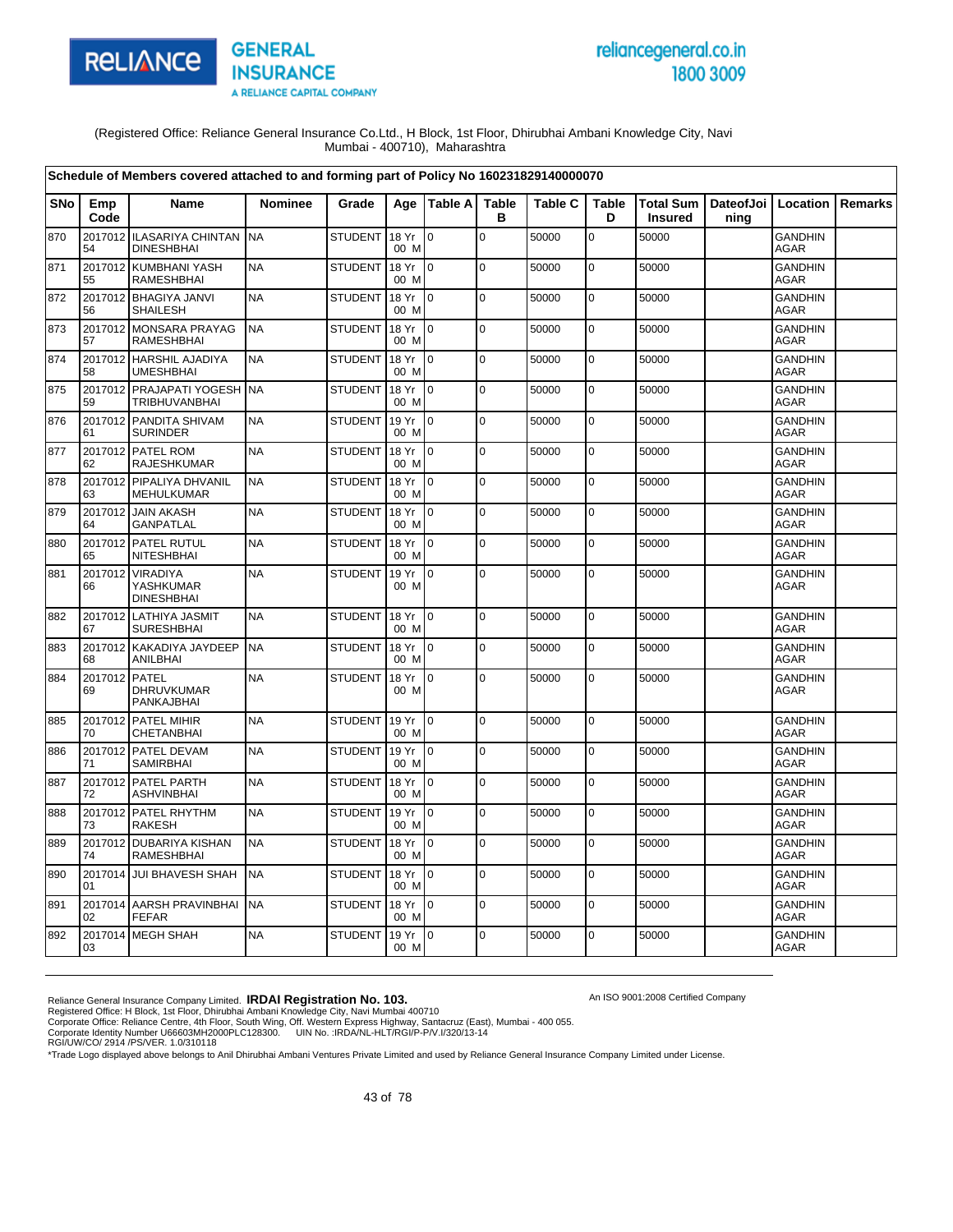

# reliancegeneral.co.in 1800 3009

An ISO 9001:2008 Certified Company

(Registered Office: Reliance General Insurance Co.Ltd., H Block, 1st Floor, Dhirubhai Ambani Knowledge City, Navi Mumbai - 400710), Maharashtra

|     |                     | Schedule of Members covered attached to and forming part of Policy No 160231829140000070 |                |                |               |                 |                   |                |                   |                                                    |      |                               |                |
|-----|---------------------|------------------------------------------------------------------------------------------|----------------|----------------|---------------|-----------------|-------------------|----------------|-------------------|----------------------------------------------------|------|-------------------------------|----------------|
| SNo | Emp<br>Code         | <b>Name</b>                                                                              | <b>Nominee</b> | Grade          | Age           | Table A         | <b>Table</b><br>в | <b>Table C</b> | <b>Table</b><br>D | Total Sum   DateofJoi   Location<br><b>Insured</b> | ning |                               | <b>Remarks</b> |
| 870 | 54                  | 2017012 ILASARIYA CHINTAN<br><b>DINESHBHAI</b>                                           | <b>NA</b>      | <b>STUDENT</b> | 18 Yr<br>00 M | $\mathbf 0$     | $\mathbf 0$       | 50000          | 0                 | 50000                                              |      | <b>GANDHIN</b><br><b>AGAR</b> |                |
| 871 | 55                  | 2017012 KUMBHANI YASH<br>RAMESHBHAI                                                      | <b>NA</b>      | <b>STUDENT</b> | 18 Yr<br>00 M | I0              | $\mathbf 0$       | 50000          | $\mathbf 0$       | 50000                                              |      | <b>GANDHIN</b><br><b>AGAR</b> |                |
| 872 | 2017012<br>56       | <b>BHAGIYA JANVI</b><br><b>SHAILESH</b>                                                  | <b>NA</b>      | <b>STUDENT</b> | 18 Yr<br>00 M | $\overline{0}$  | $\mathbf 0$       | 50000          | $\mathbf 0$       | 50000                                              |      | <b>GANDHIN</b><br><b>AGAR</b> |                |
| 873 | 57                  | 2017012 MONSARA PRAYAG<br><b>RAMESHBHAI</b>                                              | <b>NA</b>      | <b>STUDENT</b> | 18 Yr<br>00 M | $\overline{10}$ | $\pmb{0}$         | 50000          | $\mathbf 0$       | 50000                                              |      | <b>GANDHIN</b><br><b>AGAR</b> |                |
| 874 | 58                  | 2017012 HARSHIL AJADIYA<br><b>UMESHBHAI</b>                                              | <b>NA</b>      | <b>STUDENT</b> | 18 Yr<br>00 M | $\overline{10}$ | $\Omega$          | 50000          | 0                 | 50000                                              |      | <b>GANDHIN</b><br><b>AGAR</b> |                |
| 875 | 59                  | 2017012 PRAJAPATI YOGESH NA<br><b>TRIBHUVANBHAI</b>                                      |                | <b>STUDENT</b> | 18 Yr<br>00 M | Io.             | $\mathbf 0$       | 50000          | $\mathbf 0$       | 50000                                              |      | <b>GANDHIN</b><br><b>AGAR</b> |                |
| 876 | 61                  | 2017012 PANDITA SHIVAM<br><b>SURINDER</b>                                                | <b>NA</b>      | <b>STUDENT</b> | 19 Yr<br>00 M | $\overline{10}$ | $\mathbf 0$       | 50000          | $\mathbf 0$       | 50000                                              |      | <b>GANDHIN</b><br><b>AGAR</b> |                |
| 877 | 2017012<br>62       | <b>PATEL ROM</b><br><b>RAJESHKUMAR</b>                                                   | <b>NA</b>      | <b>STUDENT</b> | 18 Yr<br>00 M | l o             | $\pmb{0}$         | 50000          | $\mathbf 0$       | 50000                                              |      | <b>GANDHIN</b><br><b>AGAR</b> |                |
| 878 | 63                  | 2017012 PIPALIYA DHVANIL<br>MEHULKUMAR                                                   | <b>NA</b>      | <b>STUDENT</b> | 18 Yr<br>00 M | I0              | $\mathbf 0$       | 50000          | 0                 | 50000                                              |      | <b>GANDHIN</b><br>AGAR        |                |
| 879 | 2017012<br>64       | <b>JAIN AKASH</b><br><b>GANPATLAL</b>                                                    | <b>NA</b>      | <b>STUDENT</b> | 18 Yr<br>00 M | $\Omega$        | $\mathbf 0$       | 50000          | 0                 | 50000                                              |      | <b>GANDHIN</b><br><b>AGAR</b> |                |
| 880 | 65                  | 2017012 PATEL RUTUL<br><b>NITESHBHAI</b>                                                 | <b>NA</b>      | <b>STUDENT</b> | 18 Yr<br>00 M | I0.             | $\mathbf 0$       | 50000          | $\mathbf 0$       | 50000                                              |      | <b>GANDHIN</b><br><b>AGAR</b> |                |
| 881 | 2017012<br>66       | <b>VIRADIYA</b><br>YASHKUMAR<br><b>DINESHBHAI</b>                                        | <b>NA</b>      | <b>STUDENT</b> | 19 Yr<br>00 M | I0.             | $\Omega$          | 50000          | $\mathbf 0$       | 50000                                              |      | <b>GANDHIN</b><br><b>AGAR</b> |                |
| 882 | 67                  | 2017012 LATHIYA JASMIT<br><b>SURESHBHAI</b>                                              | <b>NA</b>      | <b>STUDENT</b> | 18 Yr<br>00 M | I0              | $\mathbf 0$       | 50000          | $\mathbf 0$       | 50000                                              |      | <b>GANDHIN</b><br><b>AGAR</b> |                |
| 883 | 2017012<br>68       | KAKADIYA JAYDEEP<br><b>ANILBHAI</b>                                                      | <b>NA</b>      | <b>STUDENT</b> | 18 Yr<br>00 M | $\overline{0}$  | $\mathbf 0$       | 50000          | 0                 | 50000                                              |      | <b>GANDHIN</b><br><b>AGAR</b> |                |
| 884 | 2017012 PATEL<br>69 | <b>DHRUVKUMAR</b><br>PANKAJBHAI                                                          | <b>NA</b>      | <b>STUDENT</b> | 18 Yr<br>00 M | $\overline{10}$ | $\mathbf 0$       | 50000          | 0                 | 50000                                              |      | <b>GANDHIN</b><br><b>AGAR</b> |                |
| 885 | 70                  | 2017012 PATEL MIHIR<br>CHETANBHAI                                                        | <b>NA</b>      | <b>STUDENT</b> | 19 Yr<br>00 M | $\overline{10}$ | $\mathbf 0$       | 50000          | 0                 | 50000                                              |      | <b>GANDHIN</b><br><b>AGAR</b> |                |
| 886 | 71                  | 2017012 PATEL DEVAM<br><b>SAMIRBHAI</b>                                                  | <b>NA</b>      | <b>STUDENT</b> | 19 Yr<br>00 M | I <sub>0</sub>  | $\mathbf 0$       | 50000          | 0                 | 50000                                              |      | <b>GANDHIN</b><br><b>AGAR</b> |                |
| 887 | 72                  | 2017012 PATEL PARTH<br><b>ASHVINBHAI</b>                                                 | <b>NA</b>      | <b>STUDENT</b> | 18 Yr<br>00 M | l 0             | $\mathbf 0$       | 50000          | 0                 | 50000                                              |      | <b>GANDHIN</b><br><b>AGAR</b> |                |
| 888 | 73                  | 2017012 PATEL RHYTHM<br><b>RAKESH</b>                                                    | <b>NA</b>      | <b>STUDENT</b> | 19 Yr<br>00 M | $\overline{10}$ | $\mathbf 0$       | 50000          | $\mathbf 0$       | 50000                                              |      | <b>GANDHIN</b><br><b>AGAR</b> |                |
| 889 | 74                  | 2017012 DUBARIYA KISHAN<br>RAMESHBHAI                                                    | <b>NA</b>      | <b>STUDENT</b> | 18 Yr<br>00 M | I0              | $\mathbf 0$       | 50000          | 0                 | 50000                                              |      | <b>GANDHIN</b><br>AGAR        |                |
| 890 | 2017014<br>01       | <b>JUI BHAVESH SHAH</b>                                                                  | <b>NA</b>      | <b>STUDENT</b> | 18 Yr<br>00 M | l0              | $\mathbf 0$       | 50000          | 0                 | 50000                                              |      | <b>GANDHIN</b><br>AGAR        |                |
| 891 | 2017014<br>02       | AARSH PRAVINBHAI<br><b>FEFAR</b>                                                         | <b>NA</b>      | <b>STUDENT</b> | 18 Yr<br>00 M | l 0             | $\Omega$          | 50000          | 0                 | 50000                                              |      | <b>GANDHIN</b><br><b>AGAR</b> |                |
| 892 | 03                  | 2017014 MEGH SHAH                                                                        | <b>NA</b>      | <b>STUDENT</b> | 19 Yr<br>00 M | I0              | $\mathbf 0$       | 50000          | 0                 | 50000                                              |      | <b>GANDHIN</b><br><b>AGAR</b> |                |

Reliance General Insurance Company Limited. **IRDAI Registration No. 103.**<br>Registered Office: H Block, 1st Floor, Dhirubhai Ambani Knowledge City, Navi Mumbai 400710<br>Corporate Office: Reliance Centre, 4th Floor, South Wing,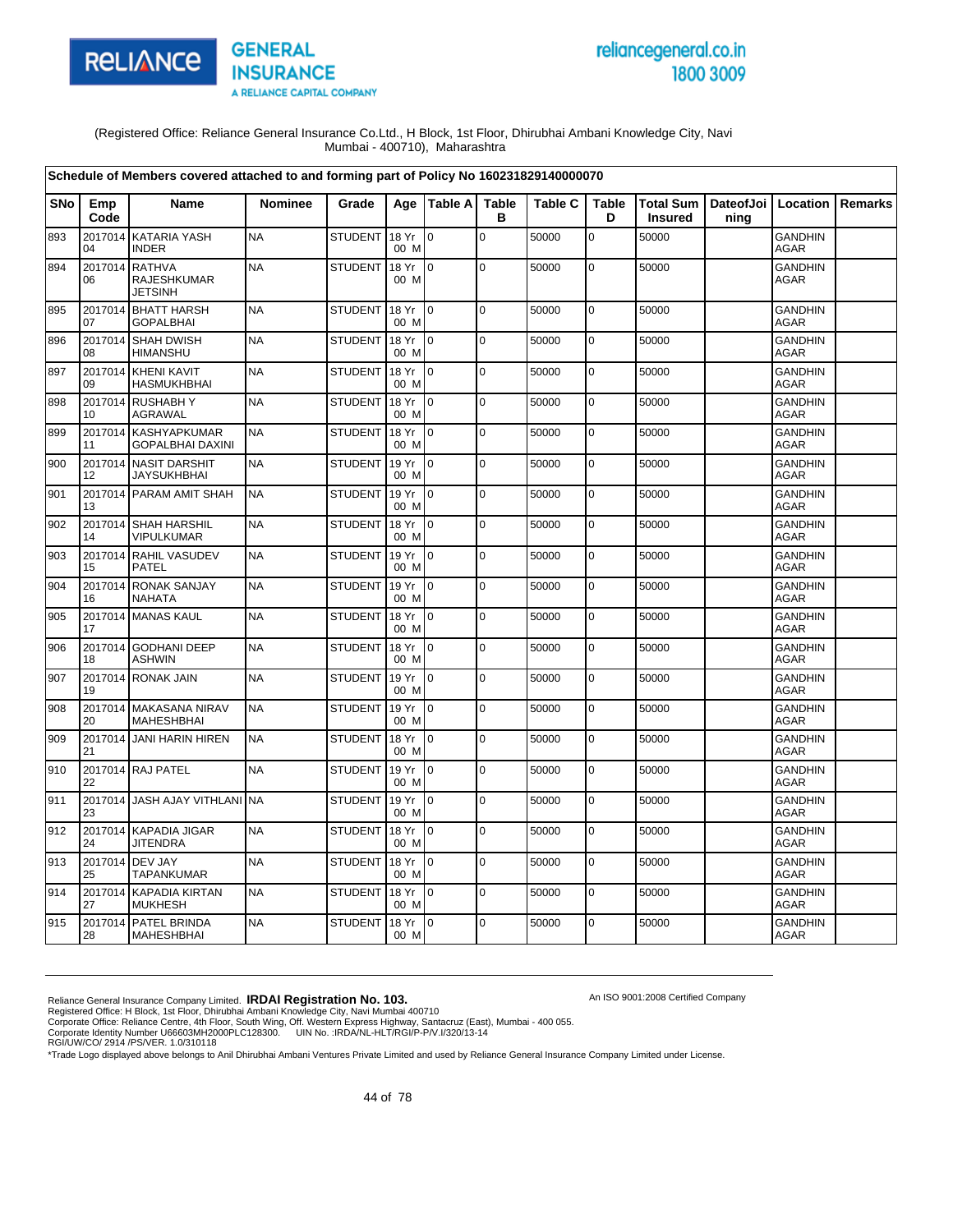

# reliancegeneral.co.in 1800 3009

An ISO 9001:2008 Certified Company

(Registered Office: Reliance General Insurance Co.Ltd., H Block, 1st Floor, Dhirubhai Ambani Knowledge City, Navi Mumbai - 400710), Maharashtra

|            |               | Schedule of Members covered attached to and forming part of Policy No 160231829140000070 |                |                |               |                 |                   |                |                   |                             |                              |                               |                |
|------------|---------------|------------------------------------------------------------------------------------------|----------------|----------------|---------------|-----------------|-------------------|----------------|-------------------|-----------------------------|------------------------------|-------------------------------|----------------|
| <b>SNo</b> | Emp<br>Code   | <b>Name</b>                                                                              | <b>Nominee</b> | Grade          |               | Age   Table A   | <b>Table</b><br>в | <b>Table C</b> | <b>Table</b><br>D | <b>Total Sum</b><br>Insured | DateofJoi   Location<br>ning |                               | <b>Remarks</b> |
| 893        | 2017014<br>04 | <b>KATARIA YASH</b><br><b>INDER</b>                                                      | <b>NA</b>      | <b>STUDENT</b> | 18 Yr<br>00 M | lo.             | $\mathbf 0$       | 50000          | 0                 | 50000                       |                              | <b>GANDHIN</b><br><b>AGAR</b> |                |
| 894        | 2017014<br>06 | <b>RATHVA</b><br>RAJESHKUMAR<br><b>JETSINH</b>                                           | <b>NA</b>      | <b>STUDENT</b> | 18 Yr<br>00 M | $\overline{10}$ | $\mathbf 0$       | 50000          | $\mathbf 0$       | 50000                       |                              | <b>GANDHIN</b><br>AGAR        |                |
| 895        | 2017014<br>07 | <b>BHATT HARSH</b><br>GOPALBHAI                                                          | <b>NA</b>      | <b>STUDENT</b> | 18 Yr<br>00 M | $\overline{10}$ | $\mathbf 0$       | 50000          | 0                 | 50000                       |                              | <b>GANDHIN</b><br>AGAR        |                |
| 896        | 2017014<br>08 | <b>SHAH DWISH</b><br>HIMANSHU                                                            | <b>NA</b>      | <b>STUDENT</b> | 18 Yr<br>00 M | $\overline{10}$ | $\mathbf 0$       | 50000          | $\mathbf 0$       | 50000                       |                              | <b>GANDHIN</b><br><b>AGAR</b> |                |
| 897        | 2017014<br>09 | <b>KHENI KAVIT</b><br>HASMUKHBHAI                                                        | <b>NA</b>      | <b>STUDENT</b> | 18 Yr<br>00 M | $\overline{10}$ | $\Omega$          | 50000          | 0                 | 50000                       |                              | <b>GANDHIN</b><br><b>AGAR</b> |                |
| 898        | 2017014<br>10 | <b>RUSHABHY</b><br>AGRAWAL                                                               | <b>NA</b>      | <b>STUDENT</b> | 18 Yr<br>00 M | $\overline{0}$  | $\mathbf 0$       | 50000          | $\mathbf 0$       | 50000                       |                              | <b>GANDHIN</b><br><b>AGAR</b> |                |
| 899        | 11            | 2017014 KASHYAPKUMAR<br>GOPALBHAI DAXINI                                                 | <b>NA</b>      | <b>STUDENT</b> | 18 Yr<br>00 M | $\overline{10}$ | $\mathbf 0$       | 50000          | $\mathbf 0$       | 50000                       |                              | <b>GANDHIN</b><br>AGAR        |                |
| 900        | 2017014<br>12 | <b>NASIT DARSHIT</b><br>JAYSUKHBHAI                                                      | <b>NA</b>      | <b>STUDENT</b> | 19 Yr<br>00 M | I o             | $\mathbf 0$       | 50000          | 0                 | 50000                       |                              | <b>GANDHIN</b><br><b>AGAR</b> |                |
| 901        | 13            | 2017014 PARAM AMIT SHAH                                                                  | <b>NA</b>      | <b>STUDENT</b> | 19 Yr<br>00 M | I <sub>0</sub>  | $\mathbf 0$       | 50000          | 0                 | 50000                       |                              | <b>GANDHIN</b><br><b>AGAR</b> |                |
| 902        | 14            | 2017014 SHAH HARSHIL<br>VIPULKUMAR                                                       | <b>NA</b>      | <b>STUDENT</b> | 18 Yr<br>00 M | l 0             | $\mathbf 0$       | 50000          | $\mathbf 0$       | 50000                       |                              | <b>GANDHIN</b><br>AGAR        |                |
| 903        | 15            | 2017014 RAHIL VASUDEV<br><b>PATEL</b>                                                    | <b>NA</b>      | <b>STUDENT</b> | 19 Yr<br>00 M | $\overline{10}$ | $\mathbf 0$       | 50000          | 0                 | 50000                       |                              | <b>GANDHIN</b><br><b>AGAR</b> |                |
| 904        | 2017014<br>16 | <b>RONAK SANJAY</b><br><b>NAHATA</b>                                                     | <b>NA</b>      | <b>STUDENT</b> | 19 Yr<br>00 M | $\overline{10}$ | 0                 | 50000          | $\mathbf 0$       | 50000                       |                              | <b>GANDHIN</b><br>AGAR        |                |
| 905        | 17            | 2017014 MANAS KAUL                                                                       | <b>NA</b>      | <b>STUDENT</b> | 18 Yr<br>00 M | $\overline{10}$ | $\Omega$          | 50000          | 0                 | 50000                       |                              | <b>GANDHIN</b><br><b>AGAR</b> |                |
| 906        | 18            | 2017014 GODHANI DEEP<br><b>ASHWIN</b>                                                    | <b>NA</b>      | <b>STUDENT</b> | 18 Yr<br>00 M | I <sub>0</sub>  | $\mathbf 0$       | 50000          | $\mathbf 0$       | 50000                       |                              | <b>GANDHIN</b><br><b>AGAR</b> |                |
| 907        | 19            | 2017014 RONAK JAIN                                                                       | <b>NA</b>      | <b>STUDENT</b> | 19 Yr<br>00 M | $\overline{10}$ | $\mathbf 0$       | 50000          | $\mathbf 0$       | 50000                       |                              | <b>GANDHIN</b><br><b>AGAR</b> |                |
| 908        | 20            | 2017014 MAKASANA NIRAV<br><b>MAHESHBHAI</b>                                              | <b>NA</b>      | <b>STUDENT</b> | 19 Yr<br>00 M | l 0             | $\mathbf 0$       | 50000          | 0                 | 50000                       |                              | <b>GANDHIN</b><br><b>AGAR</b> |                |
| 909        | 21            | 2017014 JANI HARIN HIREN                                                                 | <b>NA</b>      | <b>STUDENT</b> | 18 Yr<br>00 M | Io.             | $\mathbf 0$       | 50000          | $\mathbf 0$       | 50000                       |                              | <b>GANDHIN</b><br><b>AGAR</b> |                |
| 910        | 22            | 2017014 RAJ PATEL                                                                        | <b>NA</b>      | <b>STUDENT</b> | 19 Yr<br>00 M | $\mathbf{I}$    | $\overline{0}$    | 50000          | 0                 | 50000                       |                              | <b>GANDHIN</b><br><b>AGAR</b> |                |
| 911        | 23            | 2017014 JASH AJAY VITHLANI                                                               | <b>NA</b>      | <b>STUDENT</b> | 19 Yr<br>00 M | Io.             | $\mathbf 0$       | 50000          | 0                 | 50000                       |                              | <b>GANDHIN</b><br><b>AGAR</b> |                |
| 912        | 24            | 2017014 KAPADIA JIGAR<br><b>JITENDRA</b>                                                 | <b>NA</b>      | <b>STUDENT</b> | 18 Yr<br>00 M | Io.             | $\mathbf 0$       | 50000          | $\mathbf 0$       | 50000                       |                              | <b>GANDHIN</b><br>AGAR        |                |
| 913        | 25            | 2017014 DEV JAY<br>TAPANKUMAR                                                            | <b>NA</b>      | <b>STUDENT</b> | 18 Yr<br>00 M | $\overline{10}$ | $\mathbf 0$       | 50000          | 0                 | 50000                       |                              | <b>GANDHIN</b><br>AGAR        |                |
| 914        | 27            | 2017014 KAPADIA KIRTAN<br><b>MUKHESH</b>                                                 | <b>NA</b>      | <b>STUDENT</b> | 18 Yr<br>00 M | $\overline{10}$ | $\mathbf 0$       | 50000          | $\mathbf 0$       | 50000                       |                              | <b>GANDHIN</b><br><b>AGAR</b> |                |
| 915        | 2017014<br>28 | <b>PATEL BRINDA</b><br><b>MAHESHBHAI</b>                                                 | <b>NA</b>      | <b>STUDENT</b> | 18 Yr<br>00 M | I <sub>0</sub>  | $\overline{0}$    | 50000          | $\mathbf 0$       | 50000                       |                              | <b>GANDHIN</b><br>AGAR        |                |

Reliance General Insurance Company Limited. **IRDAI Registration No. 103.**<br>Registered Office: H Block, 1st Floor, Dhirubhai Ambani Knowledge City, Navi Mumbai 400710<br>Corporate Office: Reliance Centre, 4th Floor, South Wing,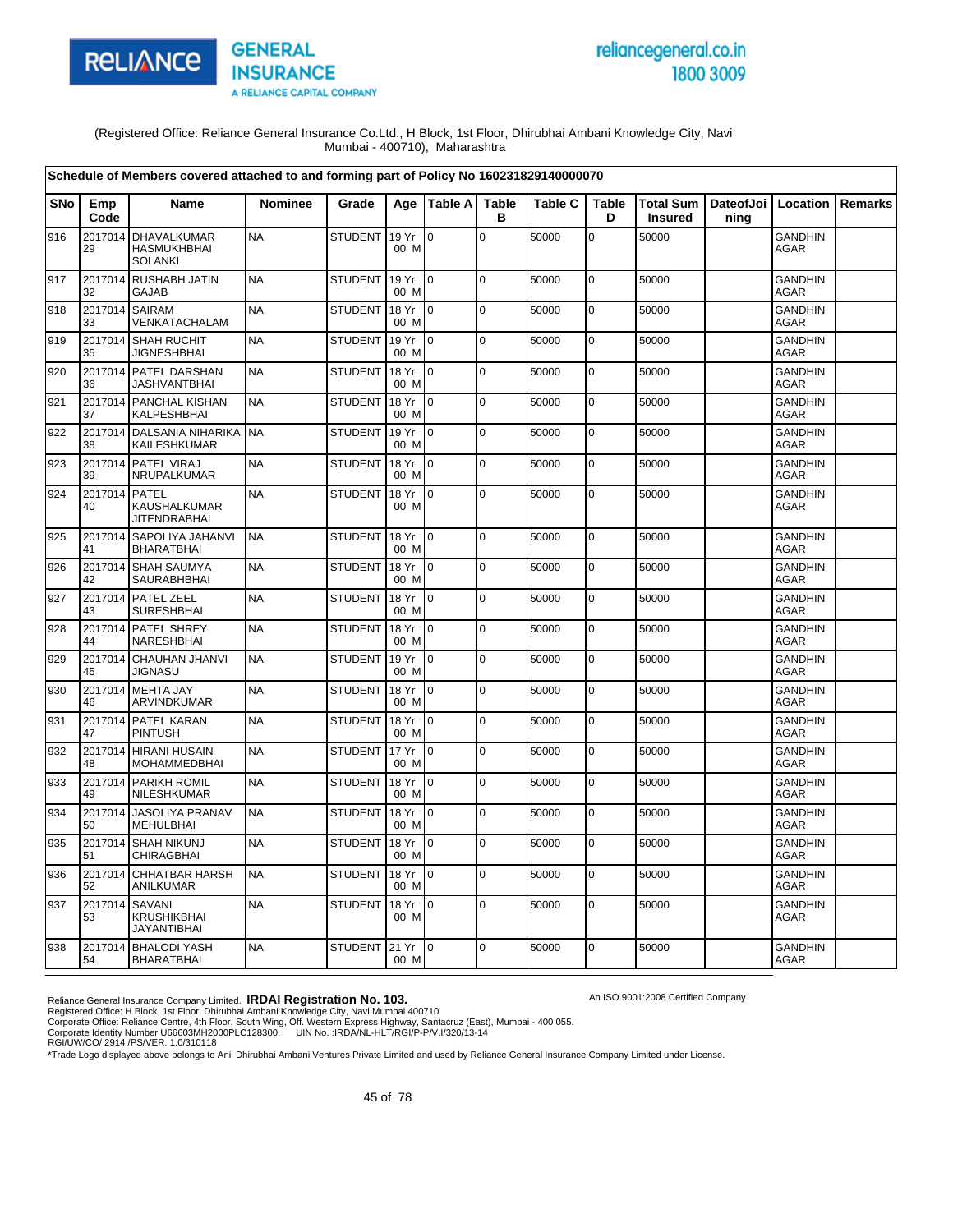

# reliancegeneral.co.in 1800 3009

An ISO 9001:2008 Certified Company

(Registered Office: Reliance General Insurance Co.Ltd., H Block, 1st Floor, Dhirubhai Ambani Knowledge City, Navi Mumbai - 400710), Maharashtra

|            |               | Schedule of Members covered attached to and forming part of Policy No 160231829140000070 |                |                  |               |                |                   |                |             |                                    |      |                               |         |
|------------|---------------|------------------------------------------------------------------------------------------|----------------|------------------|---------------|----------------|-------------------|----------------|-------------|------------------------------------|------|-------------------------------|---------|
| <b>SNo</b> | Emp<br>Code   | Name                                                                                     | <b>Nominee</b> | Grade            | Age           | Table A        | <b>Table</b><br>в | <b>Table C</b> | Table<br>D  | <b>Total Sum</b><br><b>Insured</b> | ning | DateofJoi   Location          | Remarks |
| 916        | 2017014<br>29 | <b>DHAVALKUMAR</b><br><b>HASMUKHBHAI</b><br><b>SOLANKI</b>                               | <b>NA</b>      | <b>STUDENT</b>   | 19 Yr<br>00 M | ۱o             | $\mathbf 0$       | 50000          | 0           | 50000                              |      | <b>GANDHIN</b><br>AGAR        |         |
| 917        | 2017014<br>32 | <b>RUSHABH JATIN</b><br><b>GAJAB</b>                                                     | <b>NA</b>      | <b>STUDENT</b>   | 19 Yr<br>00 M | l o            | l o               | 50000          | $\mathbf 0$ | 50000                              |      | <b>GANDHIN</b><br><b>AGAR</b> |         |
| 918        | 2017014<br>33 | <b>SAIRAM</b><br>VENKATACHALAM                                                           | <b>NA</b>      | <b>STUDENT</b>   | 18 Yr<br>00 M | I٥             | $\pmb{0}$         | 50000          | $\mathbf 0$ | 50000                              |      | <b>GANDHIN</b><br>AGAR        |         |
| 919        | 2017014<br>35 | <b>SHAH RUCHIT</b><br><b>JIGNESHBHAI</b>                                                 | <b>NA</b>      | <b>STUDENT</b>   | 19 Yr<br>00 M | $\overline{0}$ | $\pmb{0}$         | 50000          | $\mathbf 0$ | 50000                              |      | <b>GANDHIN</b><br><b>AGAR</b> |         |
| 920        | 36            | 2017014 PATEL DARSHAN<br><b>JASHVANTBHAI</b>                                             | <b>NA</b>      | <b>STUDENT</b>   | 18 Yr<br>00 M | I0             | $\Omega$          | 50000          | $\mathbf 0$ | 50000                              |      | <b>GANDHIN</b><br><b>AGAR</b> |         |
| 921        | 37            | 2017014 PANCHAL KISHAN<br>KALPESHBHAI                                                    | <b>NA</b>      | <b>STUDENT</b>   | 18 Yr<br>00 M | I0             | $\mathbf 0$       | 50000          | $\pmb{0}$   | 50000                              |      | <b>GANDHIN</b><br>AGAR        |         |
| 922        | 2017014<br>38 | <b>DALSANIA NIHARIKA</b><br>KAILESHKUMAR                                                 | <b>NA</b>      | <b>STUDENT</b>   | 19 Yr<br>00 M | I٥             | $\mathbf 0$       | 50000          | $\pmb{0}$   | 50000                              |      | GANDHIN<br><b>AGAR</b>        |         |
| 923        | 2017014<br>39 | PATEL VIRAJ<br>NRUPALKUMAR                                                               | <b>NA</b>      | <b>STUDENT</b>   | 18 Yr<br>00 M | I0             | $\mathbf 0$       | 50000          | $\mathbf 0$ | 50000                              |      | <b>GANDHIN</b><br>AGAR        |         |
| 924        | 2017014<br>40 | <b>PATEL</b><br><b>KAUSHALKUMAR</b><br><b>JITENDRABHAI</b>                               | <b>NA</b>      | <b>STUDENT</b>   | 18 Yr<br>00 M | $\overline{0}$ | $\mathbf 0$       | 50000          | $\pmb{0}$   | 50000                              |      | <b>GANDHIN</b><br>AGAR        |         |
| 925        | 2017014<br>41 | <b>SAPOLIYA JAHANVI</b><br><b>BHARATBHAI</b>                                             | <b>NA</b>      | <b>STUDENT</b>   | 18 Yr<br>00 M | $\overline{0}$ | $\Omega$          | 50000          | $\mathbf 0$ | 50000                              |      | <b>GANDHIN</b><br>AGAR        |         |
| 926        | 2017014<br>42 | <b>SHAH SAUMYA</b><br>SAURABHBHAI                                                        | <b>NA</b>      | <b>STUDENT</b>   | 18 Yr<br>00 M | I0             | l o               | 50000          | $\pmb{0}$   | 50000                              |      | <b>GANDHIN</b><br>AGAR        |         |
| 927        | 2017014<br>43 | <b>PATEL ZEEL</b><br><b>SURESHBHAI</b>                                                   | <b>NA</b>      | <b>STUDENT</b>   | 18 Yr<br>00 M | $\Omega$       | $\mathbf 0$       | 50000          | $\mathbf 0$ | 50000                              |      | <b>GANDHIN</b><br><b>AGAR</b> |         |
| 928        | 44            | 2017014 PATEL SHREY<br>NARESHBHAI                                                        | <b>NA</b>      | <b>STUDENT</b>   | 18 Yr<br>00 M | I0             | $\mathbf 0$       | 50000          | $\mathbf 0$ | 50000                              |      | <b>GANDHIN</b><br><b>AGAR</b> |         |
| 929        | 45            | 2017014 CHAUHAN JHANVI<br><b>JIGNASU</b>                                                 | <b>NA</b>      | <b>STUDENT</b>   | 19 Yr<br>00 M | $\overline{0}$ | $\mathbf 0$       | 50000          | $\mathbf 0$ | 50000                              |      | <b>GANDHIN</b><br><b>AGAR</b> |         |
| 930        | 46            | 2017014 MEHTA JAY<br>ARVINDKUMAR                                                         | <b>NA</b>      | <b>STUDENT</b>   | 18 Yr<br>00 M | I٥             | $\mathbf 0$       | 50000          | $\mathbf 0$ | 50000                              |      | <b>GANDHIN</b><br><b>AGAR</b> |         |
| 931        | 47            | 2017014 PATEL KARAN<br><b>PINTUSH</b>                                                    | <b>NA</b>      | <b>STUDENT</b>   | 18 Yr<br>00 M | l o            | $\Omega$          | 50000          | $\mathbf 0$ | 50000                              |      | <b>GANDHIN</b><br>AGAR        |         |
| 932        | 2017014<br>48 | <b>HIRANI HUSAIN</b><br><b>MOHAMMEDBHAI</b>                                              | <b>NA</b>      | <b>STUDENT</b>   | 17 Yr<br>00 M | l0             | $\pmb{0}$         | 50000          | $\pmb{0}$   | 50000                              |      | <b>GANDHIN</b><br><b>AGAR</b> |         |
| 933        | 2017014<br>49 | PARIKH ROMIL<br>NILESHKUMAR                                                              | <b>NA</b>      | <b>STUDENT</b>   | 18 Yr<br>00 M | I0             | $\Omega$          | 50000          | $\mathbf 0$ | 50000                              |      | <b>GANDHIN</b><br>AGAR        |         |
| 934        | 2017014<br>50 | <b>JASOLIYA PRANAV</b><br><b>MEHULBHAI</b>                                               | <b>NA</b>      | <b>STUDENT</b>   | 18 Yr<br>00 M | $\overline{0}$ | $\pmb{0}$         | 50000          | $\pmb{0}$   | 50000                              |      | <b>GANDHIN</b><br>AGAR        |         |
| 935        | 2017014<br>51 | <b>SHAH NIKUNJ</b><br><b>CHIRAGBHAI</b>                                                  | <b>NA</b>      | <b>STUDENT</b>   | 18 Yr<br>00 M | I0             | $\mathbf 0$       | 50000          | 0           | 50000                              |      | <b>GANDHIN</b><br><b>AGAR</b> |         |
| 936        | 52            | 2017014 CHHATBAR HARSH<br><b>ANILKUMAR</b>                                               | <b>NA</b>      | <b>STUDENT</b>   | 18 Yr<br>00 M | l o            | $\Omega$          | 50000          | $\mathbf 0$ | 50000                              |      | <b>GANDHIN</b><br><b>AGAR</b> |         |
| 937        | 2017014<br>53 | <b>SAVANI</b><br><b>KRUSHIKBHAI</b><br><b>JAYANTIBHAI</b>                                | <b>NA</b>      | <b>STUDENT</b>   | 18 Yr<br>00 M | l O            | $\mathbf 0$       | 50000          | $\mathbf 0$ | 50000                              |      | <b>GANDHIN</b><br>AGAR        |         |
| 938        | 54            | 2017014 BHALODI YASH<br><b>BHARATBHAI</b>                                                | <b>NA</b>      | STUDENT 21 Yr 10 | 00 M          |                | $\mathbf 0$       | 50000          | 0           | 50000                              |      | <b>GANDHIN</b><br><b>AGAR</b> |         |

Reliance General Insurance Company Limited. **IRDAI Registration No. 103.**<br>Registered Office: H Block, 1st Floor, Dhirubhai Ambani Knowledge City, Navi Mumbai 400710<br>Corporate Office: Reliance Centre, 4th Floor, South Wing,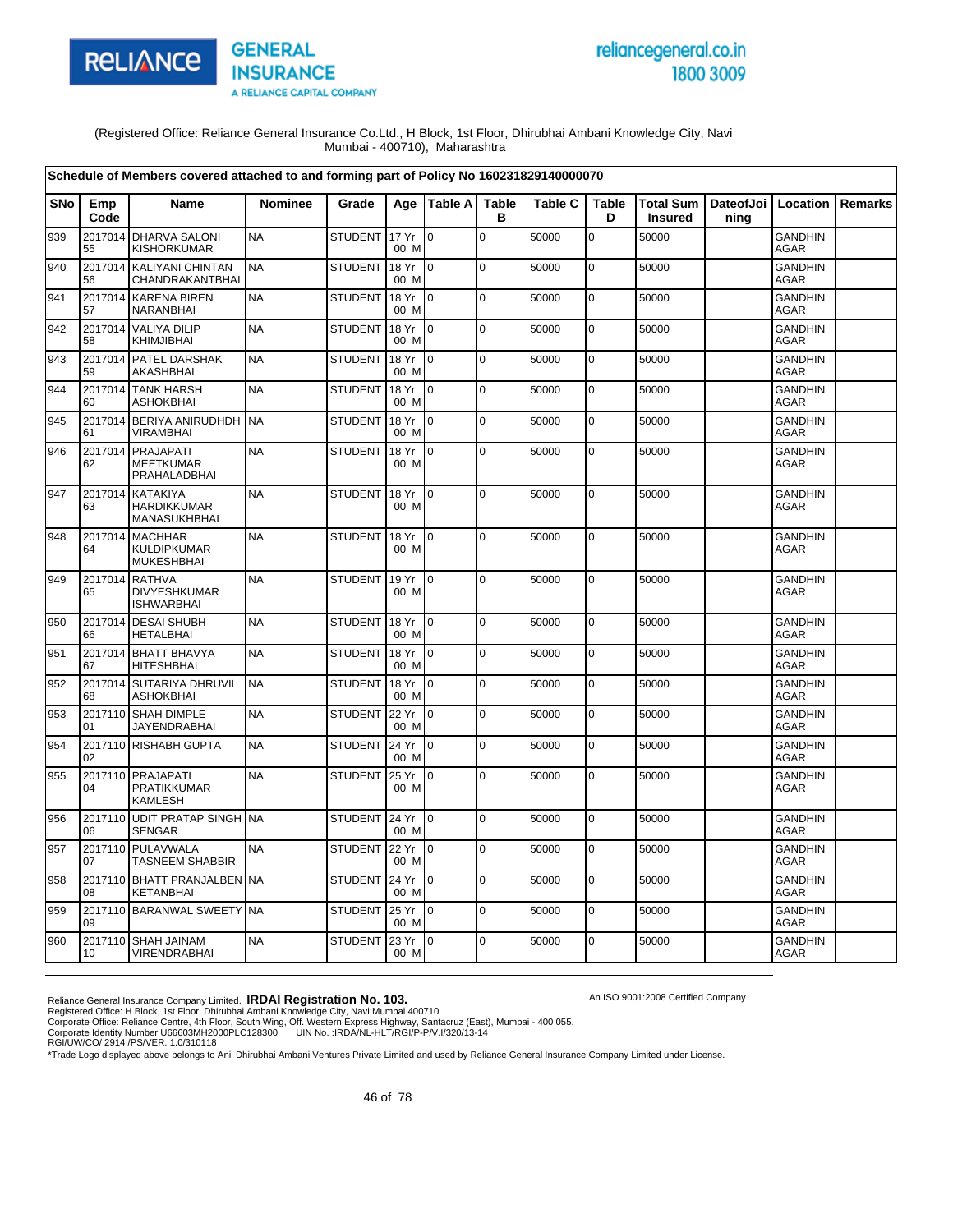

# reliancegeneral.co.in 1800 3009

An ISO 9001:2008 Certified Company

(Registered Office: Reliance General Insurance Co.Ltd., H Block, 1st Floor, Dhirubhai Ambani Knowledge City, Navi Mumbai - 400710), Maharashtra

|            |               | Schedule of Members covered attached to and forming part of Policy No 160231829140000070 |                |                |               |                |                   |                |                   |                             |                   |                               |                |
|------------|---------------|------------------------------------------------------------------------------------------|----------------|----------------|---------------|----------------|-------------------|----------------|-------------------|-----------------------------|-------------------|-------------------------------|----------------|
| <b>SNo</b> | Emp<br>Code   | <b>Name</b>                                                                              | <b>Nominee</b> | Grade          |               | Age   Table A  | <b>Table</b><br>в | <b>Table C</b> | <b>Table</b><br>D | Total Sum<br><b>Insured</b> | DateofJoi<br>ning | Location                      | <b>Remarks</b> |
| 939        | 2017014<br>55 | <b>DHARVA SALONI</b><br><b>KISHORKUMAR</b>                                               | <b>NA</b>      | <b>STUDENT</b> | 17 Yr<br>00 M | $\mathbf 0$    | $\mathsf 0$       | 50000          | 0                 | 50000                       |                   | <b>GANDHIN</b><br><b>AGAR</b> |                |
| 940        | 2017014<br>56 | <b>KALIYANI CHINTAN</b><br>CHANDRAKANTBHAI                                               | <b>NA</b>      | <b>STUDENT</b> | 18 Yr<br>00 M | $\overline{0}$ | 0                 | 50000          | 0                 | 50000                       |                   | <b>GANDHIN</b><br><b>AGAR</b> |                |
| 941        | 2017014<br>57 | <b>KARENA BIREN</b><br>NARANBHAI                                                         | <b>NA</b>      | <b>STUDENT</b> | 18 Yr<br>00 M | $\overline{0}$ | 0                 | 50000          | 0                 | 50000                       |                   | <b>GANDHIN</b><br>AGAR        |                |
| 942        | 58            | 2017014 VALIYA DILIP<br>KHIMJIBHAI                                                       | <b>NA</b>      | <b>STUDENT</b> | 18 Yr<br>00 M | lo.            | $\pmb{0}$         | 50000          | $\mathbf 0$       | 50000                       |                   | <b>GANDHIN</b><br><b>AGAR</b> |                |
| 943        | 59            | 2017014 PATEL DARSHAK<br>AKASHBHAI                                                       | <b>NA</b>      | <b>STUDENT</b> | 18 Yr<br>00 M | l 0            | $\mathbf 0$       | 50000          | $\overline{0}$    | 50000                       |                   | <b>GANDHIN</b><br><b>AGAR</b> |                |
| 944        | 2017014<br>60 | <b>TANK HARSH</b><br><b>ASHOKBHAI</b>                                                    | <b>NA</b>      | <b>STUDENT</b> | 18 Yr<br>00 M | $\overline{0}$ | $\pmb{0}$         | 50000          | $\mathbf 0$       | 50000                       |                   | <b>GANDHIN</b><br>AGAR        |                |
| 945        | 2017014<br>61 | BERIYA ANIRUDHDH NA<br><b>VIRAMBHAI</b>                                                  |                | <b>STUDENT</b> | 18 Yr<br>00 M | $\Omega$       | $\mathbf 0$       | 50000          | $\mathbf 0$       | 50000                       |                   | <b>GANDHIN</b><br><b>AGAR</b> |                |
| 946        | 2017014<br>62 | PRAJAPATI<br><b>MEETKUMAR</b><br>PRAHALADBHAI                                            | <b>NA</b>      | <b>STUDENT</b> | 18 Yr<br>00 M | Io.            | $\mathbf 0$       | 50000          | 0                 | 50000                       |                   | <b>GANDHIN</b><br>AGAR        |                |
| 947        | 2017014<br>63 | <b>KATAKIYA</b><br><b>HARDIKKUMAR</b><br>MANASUKHBHAI                                    | <b>NA</b>      | <b>STUDENT</b> | 18 Yr<br>00 M | Io.            | $\mathbf 0$       | 50000          | 0                 | 50000                       |                   | <b>GANDHIN</b><br>AGAR        |                |
| 948        | 2017014<br>64 | <b>MACHHAR</b><br><b>KULDIPKUMAR</b><br><b>MUKESHBHAI</b>                                | <b>NA</b>      | <b>STUDENT</b> | 18 Yr<br>00 M | $\overline{0}$ | $\pmb{0}$         | 50000          | $\mathbf 0$       | 50000                       |                   | <b>GANDHIN</b><br><b>AGAR</b> |                |
| 949        | 2017014<br>65 | <b>RATHVA</b><br><b>DIVYESHKUMAR</b><br><b>ISHWARBHAI</b>                                | <b>NA</b>      | <b>STUDENT</b> | 19 Yr<br>00 M | $\mathbf 0$    | $\mathbf 0$       | 50000          | 0                 | 50000                       |                   | <b>GANDHIN</b><br>AGAR        |                |
| 950        | 2017014<br>66 | <b>DESAI SHUBH</b><br><b>HETALBHAI</b>                                                   | <b>NA</b>      | <b>STUDENT</b> | 18 Yr<br>00 M | $\mathbf 0$    | $\mathbf 0$       | 50000          | 0                 | 50000                       |                   | <b>GANDHIN</b><br>AGAR        |                |
| 951        | 67            | 2017014 BHATT BHAVYA<br><b>HITESHBHAI</b>                                                | <b>NA</b>      | <b>STUDENT</b> | 18 Yr<br>00 M | $\overline{0}$ | $\mathbf 0$       | 50000          | 0                 | 50000                       |                   | <b>GANDHIN</b><br><b>AGAR</b> |                |
| 952        | 2017014<br>68 | <b>SUTARIYA DHRUVIL</b><br><b>ASHOKBHAI</b>                                              | <b>NA</b>      | <b>STUDENT</b> | 18 Yr<br>00 M | $\overline{0}$ | 0                 | 50000          | 0                 | 50000                       |                   | <b>GANDHIN</b><br><b>AGAR</b> |                |
| 953        | 2017110<br>01 | <b>SHAH DIMPLE</b><br><b>JAYENDRABHAI</b>                                                | <b>NA</b>      | <b>STUDENT</b> | 22 Yr<br>00 M | lo.            | $\mathbf 0$       | 50000          | 0                 | 50000                       |                   | <b>GANDHIN</b><br><b>AGAR</b> |                |
| 954        | 02            | 2017110 RISHABH GUPTA                                                                    | <b>NA</b>      | <b>STUDENT</b> | 24 Yr<br>00 M | $\overline{0}$ | $\Omega$          | 50000          | $\mathbf 0$       | 50000                       |                   | <b>GANDHIN</b><br><b>AGAR</b> |                |
| 955        | 2017110<br>04 | PRAJAPATI<br><b>PRATIKKUMAR</b><br><b>KAMLESH</b>                                        | <b>NA</b>      | <b>STUDENT</b> | 25 Yr<br>00 M | $\mathbf 0$    | $\mathbf 0$       | 50000          | $\overline{0}$    | 50000                       |                   | <b>GANDHIN</b><br><b>AGAR</b> |                |
| 956        | 2017110<br>06 | <b>UDIT PRATAP SINGH NA</b><br><b>SENGAR</b>                                             |                | <b>STUDENT</b> | 24 Yr<br>00 M | $\Omega$       | $\mathbf 0$       | 50000          | $\overline{0}$    | 50000                       |                   | <b>GANDHIN</b><br><b>AGAR</b> |                |
| 957        | 07            | 2017110 PULAVWALA<br><b>TASNEEM SHABBIR</b>                                              | <b>NA</b>      | <b>STUDENT</b> | 22 Yr<br>00 M | 0              | 0                 | 50000          | 0                 | 50000                       |                   | <b>GANDHIN</b><br>AGAR        |                |
| 958        | 2017110<br>08 | <b>BHATT PRANJALBEN</b><br><b>KETANBHAI</b>                                              | <b>NA</b>      | <b>STUDENT</b> | 24 Yr<br>00 M | $\Omega$       | $\overline{0}$    | 50000          | $\mathbf 0$       | 50000                       |                   | <b>GANDHIN</b><br><b>AGAR</b> |                |
| 959        | 09            | 2017110 BARANWAL SWEETY NA                                                               |                | <b>STUDENT</b> | 25 Yr<br>00 M | $\overline{0}$ | $\mathbf 0$       | 50000          | 0                 | 50000                       |                   | <b>GANDHIN</b><br>AGAR        |                |
| 960        | 2017110<br>10 | SHAH JAINAM<br><b>VIRENDRABHAI</b>                                                       | <b>NA</b>      | <b>STUDENT</b> | 23 Yr<br>00 M | I0             | 0                 | 50000          | 0                 | 50000                       |                   | <b>GANDHIN</b><br><b>AGAR</b> |                |

Reliance General Insurance Company Limited. **IRDAI Registration No. 103.**<br>Registered Office: H Block, 1st Floor, Dhirubhai Ambani Knowledge City, Navi Mumbai 400710<br>Corporate Office: Reliance Centre, 4th Floor, South Wing,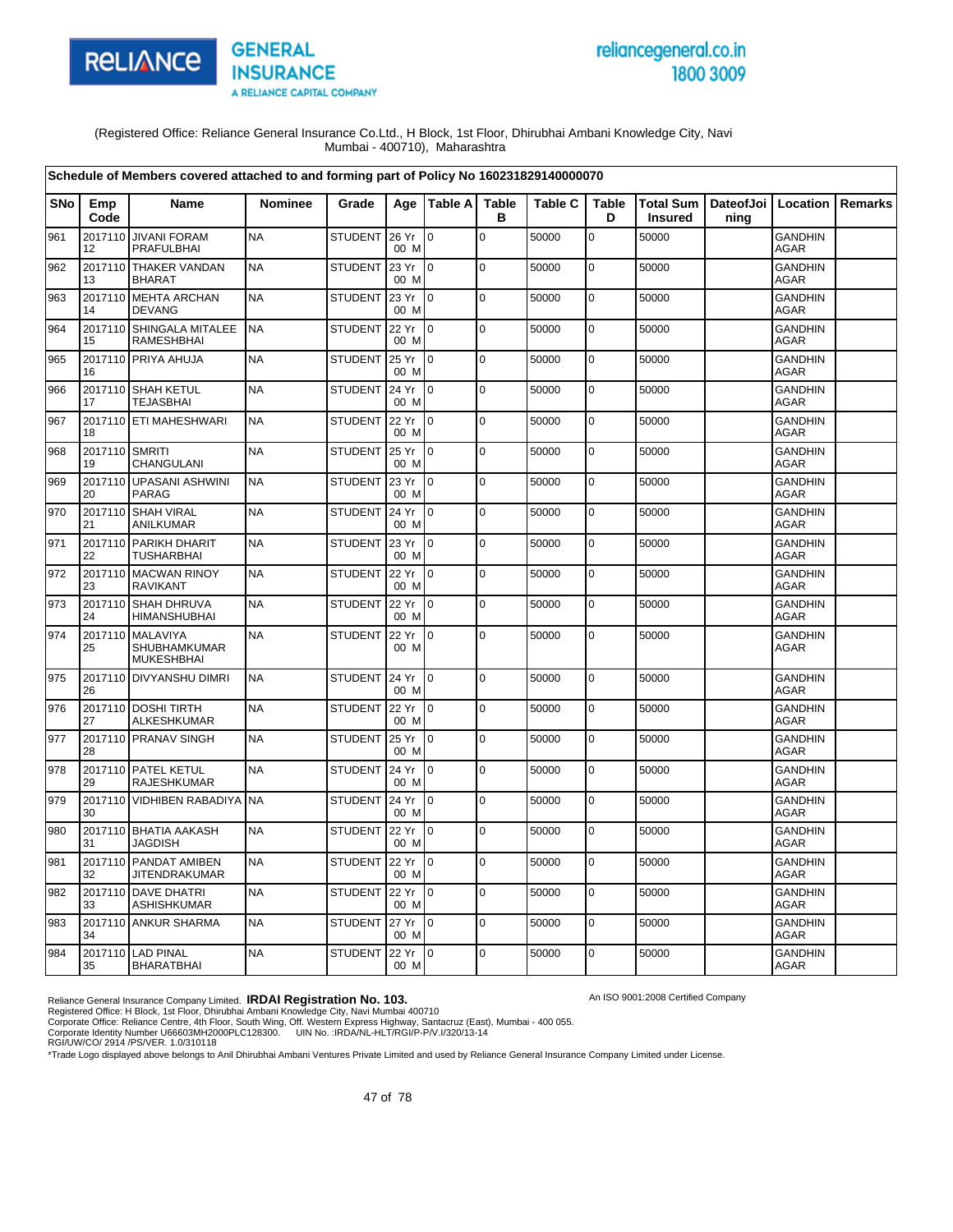

# reliancegeneral.co.in 1800 3009

An ISO 9001:2008 Certified Company

(Registered Office: Reliance General Insurance Co.Ltd., H Block, 1st Floor, Dhirubhai Ambani Knowledge City, Navi Mumbai - 400710), Maharashtra

|            |                      | Schedule of Members covered attached to and forming part of Policy No 160231829140000070 |                |                |               |                 |                   |                |                   |                                                      |      |                               |                |
|------------|----------------------|------------------------------------------------------------------------------------------|----------------|----------------|---------------|-----------------|-------------------|----------------|-------------------|------------------------------------------------------|------|-------------------------------|----------------|
| <b>SNo</b> | Emp<br>Code          | <b>Name</b>                                                                              | <b>Nominee</b> | Grade          |               | Age   Table A   | <b>Table</b><br>B | <b>Table C</b> | <b>Table</b><br>D | Total Sum   DateofJoi   Location  <br><b>Insured</b> | ning |                               | <b>Remarks</b> |
| 961        | 12                   | 2017110 JIVANI FORAM<br><b>PRAFULBHAI</b>                                                | <b>NA</b>      | <b>STUDENT</b> | 26 Yr<br>00 M | lo.             | $\pmb{0}$         | 50000          | $\mathbf 0$       | 50000                                                |      | <b>GANDHIN</b><br><b>AGAR</b> |                |
| 962        | 2017110<br>13        | <b>THAKER VANDAN</b><br><b>BHARAT</b>                                                    | <b>NA</b>      | <b>STUDENT</b> | 23 Yr<br>00 M | lo.             | $\mathbf 0$       | 50000          | $\mathbf 0$       | 50000                                                |      | <b>GANDHIN</b><br><b>AGAR</b> |                |
| 963        | 14                   | 2017110 MEHTA ARCHAN<br><b>DEVANG</b>                                                    | <b>NA</b>      | <b>STUDENT</b> | 23 Yr<br>00 M | $\overline{10}$ | $\mathbf 0$       | 50000          | $\mathbf 0$       | 50000                                                |      | <b>GANDHIN</b><br><b>AGAR</b> |                |
| 964        | 15                   | 2017110 SHINGALA MITALEE<br>RAMESHBHAI                                                   | <b>NA</b>      | <b>STUDENT</b> | 22 Yr<br>00 M | $\overline{10}$ | $\mathsf 0$       | 50000          | $\mathbf 0$       | 50000                                                |      | <b>GANDHIN</b><br><b>AGAR</b> |                |
| 965        | 16                   | 2017110 PRIYA AHUJA                                                                      | <b>NA</b>      | <b>STUDENT</b> | 25 Yr<br>00 M | $\overline{0}$  | $\mathbf 0$       | 50000          | 0                 | 50000                                                |      | <b>GANDHIN</b><br>AGAR        |                |
| 966        | 2017110<br>17        | <b>SHAH KETUL</b><br><b>TEJASBHAI</b>                                                    | <b>NA</b>      | <b>STUDENT</b> | 24 Yr<br>00 M | $\overline{0}$  | $\mathbf 0$       | 50000          | $\mathbf 0$       | 50000                                                |      | <b>GANDHIN</b><br>AGAR        |                |
| 967        | 18                   | 2017110 ETI MAHESHWARI                                                                   | <b>NA</b>      | <b>STUDENT</b> | 22 Yr<br>00 M | $\overline{10}$ | $\mathbf 0$       | 50000          | $\pmb{0}$         | 50000                                                |      | <b>GANDHIN</b><br><b>AGAR</b> |                |
| 968        | 2017110 SMRITI<br>19 | CHANGULANI                                                                               | <b>NA</b>      | <b>STUDENT</b> | 25 Yr<br>00 M | lo.             | $\mathbf 0$       | 50000          | $\mathbf 0$       | 50000                                                |      | <b>GANDHIN</b><br><b>AGAR</b> |                |
| 969        | 20                   | 2017110 UPASANI ASHWINI<br><b>PARAG</b>                                                  | <b>NA</b>      | <b>STUDENT</b> | 23 Yr<br>00 M | $\overline{10}$ | $\mathbf 0$       | 50000          | 0                 | 50000                                                |      | <b>GANDHIN</b><br><b>AGAR</b> |                |
| 970        | 21                   | 2017110 SHAH VIRAL<br>ANILKUMAR                                                          | <b>NA</b>      | <b>STUDENT</b> | 24 Yr<br>00 M | I0              | $\mathbf 0$       | 50000          | 0                 | 50000                                                |      | <b>GANDHIN</b><br><b>AGAR</b> |                |
| 971        | 22                   | 2017110 PARIKH DHARIT<br><b>TUSHARBHAI</b>                                               | <b>NA</b>      | <b>STUDENT</b> | 23 Yr<br>00 M | $\overline{10}$ | $\overline{0}$    | 50000          | 0                 | 50000                                                |      | <b>GANDHIN</b><br><b>AGAR</b> |                |
| 972        | 23                   | 2017110 MACWAN RINOY<br><b>RAVIKANT</b>                                                  | <b>NA</b>      | <b>STUDENT</b> | 22 Yr<br>00 M | $\overline{0}$  | $\mathbf 0$       | 50000          | $\mathbf 0$       | 50000                                                |      | <b>GANDHIN</b><br>AGAR        |                |
| 973        | 24                   | 2017110 SHAH DHRUVA<br><b>HIMANSHUBHAI</b>                                               | <b>NA</b>      | <b>STUDENT</b> | 22 Yr<br>00 M | lo.             | $\mathbf 0$       | 50000          | $\mathbf 0$       | 50000                                                |      | <b>GANDHIN</b><br><b>AGAR</b> |                |
| 974        | 25                   | 2017110 MALAVIYA<br><b>SHUBHAMKUMAR</b><br><b>MUKESHBHAI</b>                             | <b>NA</b>      | <b>STUDENT</b> | 22 Yr<br>00 M | $\mathsf{I}$    | $\mathbf 0$       | 50000          | 0                 | 50000                                                |      | <b>GANDHIN</b><br><b>AGAR</b> |                |
| 975        | 26                   | 2017110 DIVYANSHU DIMRI                                                                  | <b>NA</b>      | <b>STUDENT</b> | 24 Yr<br>00 M | $\mathsf{I}$    | $\mathbf 0$       | 50000          | $\mathbf 0$       | 50000                                                |      | <b>GANDHIN</b><br><b>AGAR</b> |                |
| 976        | 27                   | 2017110 DOSHI TIRTH<br><b>ALKESHKUMAR</b>                                                | <b>NA</b>      | <b>STUDENT</b> | 22 Yr<br>00 M | Io.             | $\mathbf 0$       | 50000          | 0                 | 50000                                                |      | <b>GANDHIN</b><br>AGAR        |                |
| 977        | 28                   | 2017110 PRANAV SINGH                                                                     | <b>NA</b>      | <b>STUDENT</b> | 25 Yr<br>00 M | $\overline{10}$ | $\mathbf 0$       | 50000          | $\mathbf 0$       | 50000                                                |      | <b>GANDHIN</b><br><b>AGAR</b> |                |
| 978        | 29                   | 2017110 PATEL KETUL<br><b>RAJESHKUMAR</b>                                                | <b>NA</b>      | <b>STUDENT</b> | 24 Yr<br>00 M | $\overline{0}$  | $\mathbf 0$       | 50000          | 0                 | 50000                                                |      | <b>GANDHIN</b><br><b>AGAR</b> |                |
| 979        | 30                   | 2017110 VIDHIBEN RABADIYA                                                                | <b>NA</b>      | <b>STUDENT</b> | 24 Yr<br>00 M | I0              | $\mathbf 0$       | 50000          | $\pmb{0}$         | 50000                                                |      | <b>GANDHIN</b><br>AGAR        |                |
| 980        | 31                   | 2017110 BHATIA AAKASH<br><b>JAGDISH</b>                                                  | <b>NA</b>      | <b>STUDENT</b> | 22 Yr<br>00 M | $\overline{10}$ | $\mathbf 0$       | 50000          | $\mathbf 0$       | 50000                                                |      | <b>GANDHIN</b><br>AGAR        |                |
| 981        | 32                   | 2017110 PANDAT AMIBEN<br>JITENDRAKUMAR                                                   | <b>NA</b>      | <b>STUDENT</b> | 22 Yr<br>00 M | $\overline{10}$ | $\pmb{0}$         | 50000          | 0                 | 50000                                                |      | <b>GANDHIN</b><br>AGAR        |                |
| 982        | 33                   | 2017110 DAVE DHATRI<br>ASHISHKUMAR                                                       | <b>NA</b>      | <b>STUDENT</b> | 22 Yr<br>00 M | lo.             | $\mathbf 0$       | 50000          | 0                 | 50000                                                |      | <b>GANDHIN</b><br><b>AGAR</b> |                |
| 983        | 34                   | 2017110 ANKUR SHARMA                                                                     | <b>NA</b>      | <b>STUDENT</b> | 27 Yr<br>00 M | $10^{-1}$       | $\mathbf 0$       | 50000          | 0                 | 50000                                                |      | <b>GANDHIN</b><br><b>AGAR</b> |                |
| 984        | 35                   | 2017110 LAD PINAL<br><b>BHARATBHAI</b>                                                   | <b>NA</b>      | <b>STUDENT</b> | 22 Yr<br>00 M | $\overline{10}$ | $\mathbf 0$       | 50000          | 0                 | 50000                                                |      | <b>GANDHIN</b><br>AGAR        |                |

Reliance General Insurance Company Limited. **IRDAI Registration No. 103.**<br>Registered Office: H Block, 1st Floor, Dhirubhai Ambani Knowledge City, Navi Mumbai 400710<br>Corporate Office: Reliance Centre, 4th Floor, South Wing,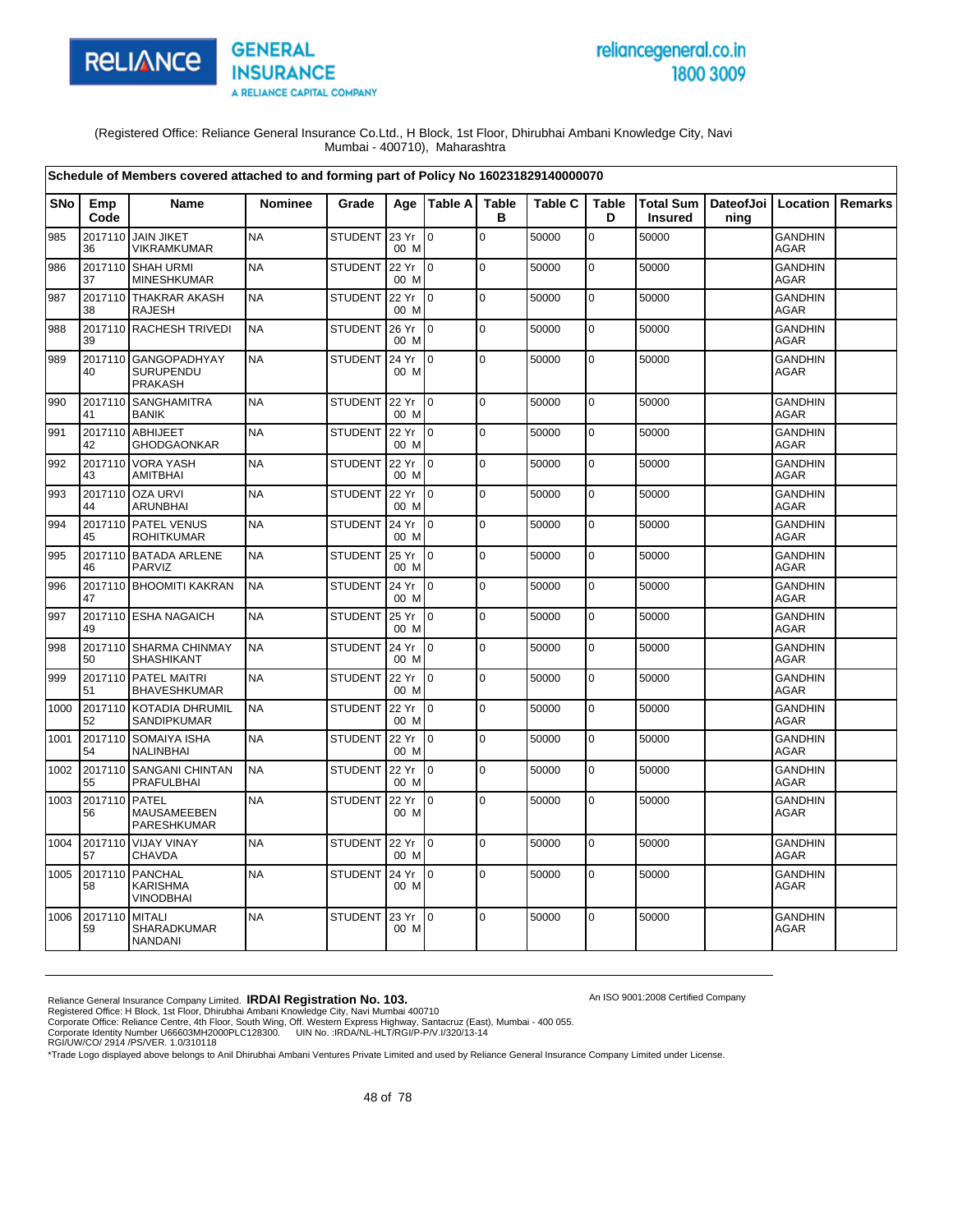

# reliancegeneral.co.in 1800 3009

An ISO 9001:2008 Certified Company

(Registered Office: Reliance General Insurance Co.Ltd., H Block, 1st Floor, Dhirubhai Ambani Knowledge City, Navi Mumbai - 400710), Maharashtra

|            |                     | Schedule of Members covered attached to and forming part of Policy No 160231829140000070 |                |                |               |                 |                   |                |                   |                |                                          |                               |         |
|------------|---------------------|------------------------------------------------------------------------------------------|----------------|----------------|---------------|-----------------|-------------------|----------------|-------------------|----------------|------------------------------------------|-------------------------------|---------|
| <b>SNo</b> | Emp<br>Code         | Name                                                                                     | <b>Nominee</b> | Grade          |               | Age   Table A   | <b>Table</b><br>в | <b>Table C</b> | <b>Table</b><br>D | <b>Insured</b> | Total Sum   DateofJoi   Location<br>ning |                               | Remarks |
| 985        | 2017110<br>36       | <b>JAIN JIKET</b><br><b>VIKRAMKUMAR</b>                                                  | <b>NA</b>      | STUDENT        | 23 Yr<br>00 M | $\Omega$        | $\overline{0}$    | 50000          | $\overline{0}$    | 50000          |                                          | <b>GANDHIN</b><br>AGAR        |         |
| 986        | 37                  | 2017110 SHAH URMI<br><b>MINESHKUMAR</b>                                                  | <b>NA</b>      | <b>STUDENT</b> | 22 Yr<br>00 M | $\overline{10}$ | $\mathbf 0$       | 50000          | $\mathbf 0$       | 50000          |                                          | <b>GANDHIN</b><br><b>AGAR</b> |         |
| 987        | 2017110<br>38       | <b>THAKRAR AKASH</b><br><b>RAJESH</b>                                                    | <b>NA</b>      | <b>STUDENT</b> | 22 Yr<br>00 M | $\Omega$        | $\mathbf 0$       | 50000          | 0                 | 50000          |                                          | <b>GANDHIN</b><br><b>AGAR</b> |         |
| 988        | 39                  | 2017110 RACHESH TRIVEDI                                                                  | <b>NA</b>      | <b>STUDENT</b> | 26 Yr<br>00 M | $\overline{10}$ | $\mathbf 0$       | 50000          | 0                 | 50000          |                                          | <b>GANDHIN</b><br><b>AGAR</b> |         |
| 989        | 40                  | 2017110 GANGOPADHYAY<br><b>SURUPENDU</b><br><b>PRAKASH</b>                               | <b>NA</b>      | <b>STUDENT</b> | 24 Yr<br>00 M | $\overline{10}$ | $\mathbf 0$       | 50000          | 0                 | 50000          |                                          | <b>GANDHIN</b><br><b>AGAR</b> |         |
| 990        | 2017110<br>41       | <b>SANGHAMITRA</b><br><b>BANIK</b>                                                       | <b>NA</b>      | <b>STUDENT</b> | 22 Yr<br>00 M | $\overline{10}$ | $\mathbf 0$       | 50000          | $\mathbf 0$       | 50000          |                                          | <b>GANDHIN</b><br><b>AGAR</b> |         |
| 991        | 42                  | 2017110 ABHIJEET<br><b>GHODGAONKAR</b>                                                   | <b>NA</b>      | <b>STUDENT</b> | 22 Yr<br>00 M | I0              | $\mathbf 0$       | 50000          | 0                 | 50000          |                                          | <b>GANDHIN</b><br><b>AGAR</b> |         |
| 992        | 2017110<br>43       | <b>VORA YASH</b><br>AMITBHAI                                                             | <b>NA</b>      | <b>STUDENT</b> | 22 Yr<br>00 M | lo.             | $\mathbf 0$       | 50000          | $\mathbf 0$       | 50000          |                                          | <b>GANDHIN</b><br><b>AGAR</b> |         |
| 993        | 44                  | 2017110 OZA URVI<br><b>ARUNBHAI</b>                                                      | <b>NA</b>      | <b>STUDENT</b> | 22 Yr<br>00 M | I <sub>0</sub>  | $\mathbf 0$       | 50000          | 0                 | 50000          |                                          | <b>GANDHIN</b><br><b>AGAR</b> |         |
| 994        | 45                  | 2017110 PATEL VENUS<br><b>ROHITKUMAR</b>                                                 | <b>NA</b>      | <b>STUDENT</b> | 24 Yr<br>00 M | I0.             | $\mathbf 0$       | 50000          | 0                 | 50000          |                                          | <b>GANDHIN</b><br><b>AGAR</b> |         |
| 995        | 46                  | 2017110 BATADA ARLENE<br>PARVIZ                                                          | <b>NA</b>      | <b>STUDENT</b> | 25 Yr<br>00 M | $\overline{10}$ | $\Omega$          | 50000          | $\mathbf 0$       | 50000          |                                          | <b>GANDHIN</b><br><b>AGAR</b> |         |
| 996        | 47                  | 2017110 BHOOMITI KAKRAN                                                                  | <b>NA</b>      | <b>STUDENT</b> | 24 Yr<br>00 M | Io.             | $\mathbf 0$       | 50000          | 0                 | 50000          |                                          | <b>GANDHIN</b><br><b>AGAR</b> |         |
| 997        | 49                  | 2017110 ESHA NAGAICH                                                                     | <b>NA</b>      | <b>STUDENT</b> | 25 Yr<br>00 M | Io.             | $\mathbf 0$       | 50000          | 0                 | 50000          |                                          | <b>GANDHIN</b><br><b>AGAR</b> |         |
| 998        | 50                  | 2017110 SHARMA CHINMAY<br>SHASHIKANT                                                     | <b>NA</b>      | <b>STUDENT</b> | 24 Yr<br>00 M | $\overline{10}$ | $\overline{0}$    | 50000          | $\mathbf 0$       | 50000          |                                          | <b>GANDHIN</b><br>AGAR        |         |
| 999        | 51                  | 2017110 PATEL MAITRI<br><b>BHAVESHKUMAR</b>                                              | <b>NA</b>      | <b>STUDENT</b> | 22 Yr<br>00 M | lo.             | $\mathbf 0$       | 50000          | $\mathbf 0$       | 50000          |                                          | <b>GANDHIN</b><br>AGAR        |         |
| 1000       | 52                  | 2017110 KOTADIA DHRUMIL<br>SANDIPKUMAR                                                   | <b>NA</b>      | <b>STUDENT</b> | 22 Yr<br>00 M | $\overline{0}$  | $\mathbf 0$       | 50000          | $\pmb{0}$         | 50000          |                                          | <b>GANDHIN</b><br>AGAR        |         |
| 1001       | 2017110<br>54       | SOMAIYA ISHA<br>NALINBHAI                                                                | <b>NA</b>      | <b>STUDENT</b> | 22 Yr<br>00 M | $10^{-1}$       | $\Omega$          | 50000          | $\mathbf 0$       | 50000          |                                          | <b>GANDHIN</b><br>AGAR        |         |
| 1002       | 55                  | 2017110 SANGANI CHINTAN<br><b>PRAFULBHAI</b>                                             | <b>NA</b>      | STUDENT        | 22 Yr<br>00 M | $\overline{10}$ | $\mathbf 0$       | 50000          | $\mathbf 0$       | 50000          |                                          | <b>GANDHIN</b><br>AGAR        |         |
| 1003       | 2017110 PATEL<br>56 | <b>MAUSAMEEBEN</b><br>PARESHKUMAR                                                        | <b>NA</b>      | <b>STUDENT</b> | 22 Yr<br>00 M | $\overline{10}$ | $\mathbf 0$       | 50000          | 0                 | 50000          |                                          | <b>GANDHIN</b><br>AGAR        |         |
| 1004       | 57                  | 2017110 VIJAY VINAY<br>CHAVDA                                                            | <b>NA</b>      | <b>STUDENT</b> | 22 Yr<br>00 M | I o             | $\mathbf 0$       | 50000          | $\mathbf 0$       | 50000          |                                          | <b>GANDHIN</b><br><b>AGAR</b> |         |
| 1005       | 58                  | 2017110 PANCHAL<br><b>KARISHMA</b><br><b>VINODBHAI</b>                                   | <b>NA</b>      | STUDENT 24 Yr  | 00 M          | $\overline{10}$ | $\Omega$          | 50000          | $\mathbf 0$       | 50000          |                                          | <b>GANDHIN</b><br>AGAR        |         |
| 1006       | 2017110<br>59       | <b>MITALI</b><br><b>SHARADKUMAR</b><br><b>NANDANI</b>                                    | <b>NA</b>      | <b>STUDENT</b> | 23 Yr<br>00 M | $\overline{0}$  | $\Omega$          | 50000          | 0                 | 50000          |                                          | <b>GANDHIN</b><br>AGAR        |         |

Reliance General Insurance Company Limited. **IRDAI Registration No. 103.**<br>Registered Office: H Block, 1st Floor, Dhirubhai Ambani Knowledge City, Navi Mumbai 400710<br>Corporate Office: Reliance Centre, 4th Floor, South Wing,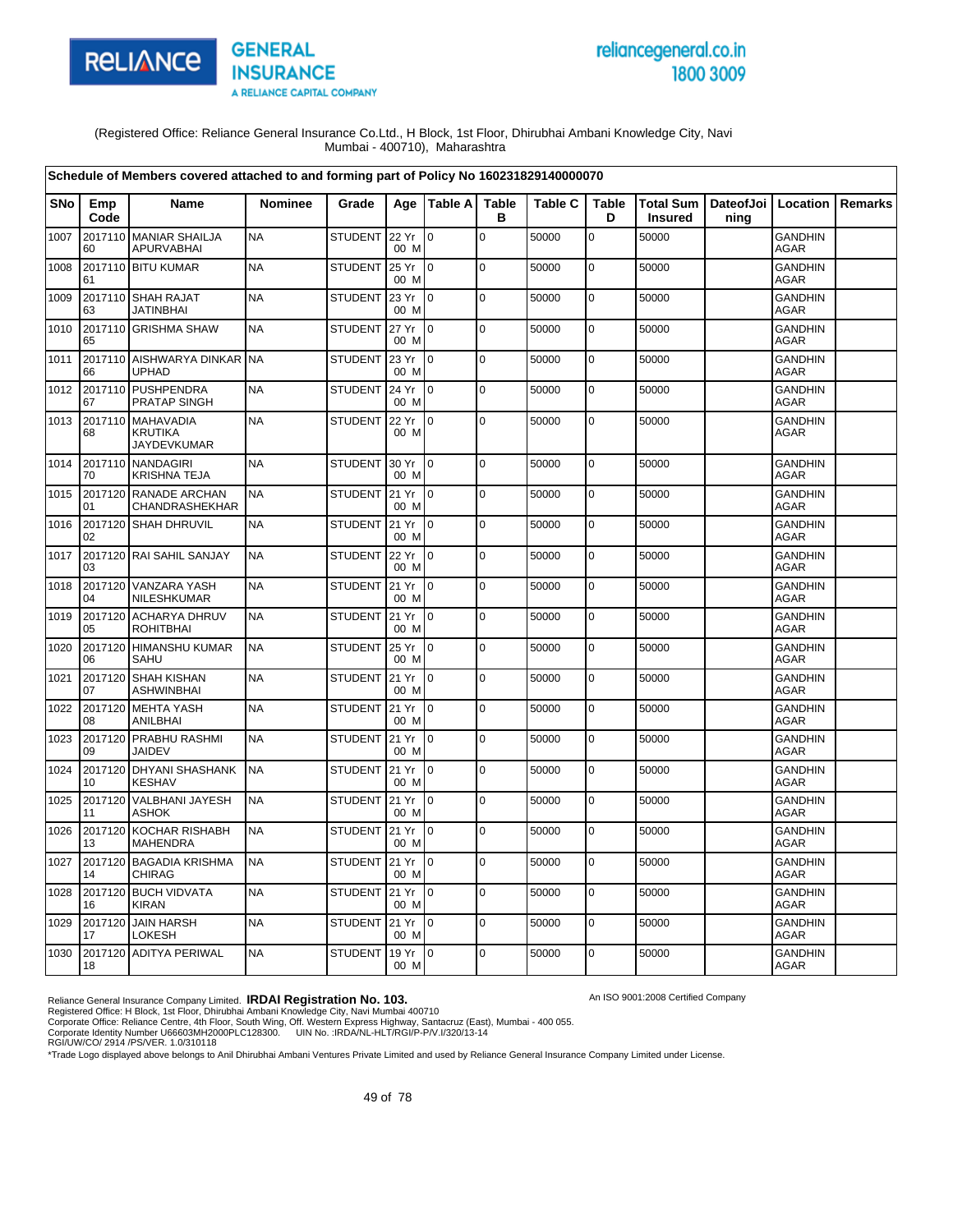

# reliancegeneral.co.in 1800 3009

An ISO 9001:2008 Certified Company

(Registered Office: Reliance General Insurance Co.Ltd., H Block, 1st Floor, Dhirubhai Ambani Knowledge City, Navi Mumbai - 400710), Maharashtra

|            |               | Schedule of Members covered attached to and forming part of Policy No 160231829140000070 |                |                |                 |                 |                   |                |                   |                                    |                              |                               |                |
|------------|---------------|------------------------------------------------------------------------------------------|----------------|----------------|-----------------|-----------------|-------------------|----------------|-------------------|------------------------------------|------------------------------|-------------------------------|----------------|
| <b>SNo</b> | Emp<br>Code   | <b>Name</b>                                                                              | <b>Nominee</b> | Grade          |                 | Age Table A     | <b>Table</b><br>в | <b>Table C</b> | <b>Table</b><br>D | <b>Total Sum</b><br><b>Insured</b> | DateofJoi   Location<br>ning |                               | <b>Remarks</b> |
| 1007       | 60            | 2017110 MANIAR SHAILJA<br><b>APURVABHAI</b>                                              | <b>NA</b>      | <b>STUDENT</b> | 22 Yr<br>00 M   | l 0             | $\pmb{0}$         | 50000          | 0                 | 50000                              |                              | <b>GANDHIN</b><br><b>AGAR</b> |                |
| 1008       | 2017110<br>61 | <b>BITU KUMAR</b>                                                                        | <b>NA</b>      | <b>STUDENT</b> | 25 Yr<br>00 M   | lo.             | 0                 | 50000          | 0                 | 50000                              |                              | <b>GANDHIN</b><br><b>AGAR</b> |                |
| 1009       | 63            | 2017110 SHAH RAJAT<br><b>JATINBHAI</b>                                                   | <b>NA</b>      | <b>STUDENT</b> | 23 Yr<br>00 M   | I0              | $\Omega$          | 50000          | $\mathbf 0$       | 50000                              |                              | <b>GANDHIN</b><br><b>AGAR</b> |                |
| 1010       | 65            | 2017110 GRISHMA SHAW                                                                     | <b>NA</b>      | <b>STUDENT</b> | 27 Yr<br>00 M   | $\overline{10}$ | $\mathbf 0$       | 50000          | 0                 | 50000                              |                              | <b>GANDHIN</b><br><b>AGAR</b> |                |
| 1011       | 2017110<br>66 | AISHWARYA DINKAR<br><b>UPHAD</b>                                                         | <b>NA</b>      | <b>STUDENT</b> | 23 Yr<br>00 M   | I O             | $\Omega$          | 50000          | 0                 | 50000                              |                              | <b>GANDHIN</b><br><b>AGAR</b> |                |
| 1012       | 2017110<br>67 | PUSHPENDRA<br>PRATAP SINGH                                                               | <b>NA</b>      | <b>STUDENT</b> | 24 Yr<br>00 M   | l o             | $\mathbf 0$       | 50000          | $\pmb{0}$         | 50000                              |                              | <b>GANDHIN</b><br>AGAR        |                |
| 1013       | 2017110<br>68 | <b>MAHAVADIA</b><br>KRUTIKA<br><b>JAYDEVKUMAR</b>                                        | <b>NA</b>      | <b>STUDENT</b> | 22 Yr<br>00 M   | $\overline{10}$ | $\mathbf 0$       | 50000          | $\mathbf 0$       | 50000                              |                              | <b>GANDHIN</b><br>AGAR        |                |
| 1014       | 2017110<br>70 | <b>NANDAGIRI</b><br>KRISHNA TEJA                                                         | <b>NA</b>      | <b>STUDENT</b> | 30 Yr<br>00 M   | $\overline{10}$ | l o               | 50000          | $\pmb{0}$         | 50000                              |                              | <b>GANDHIN</b><br><b>AGAR</b> |                |
| 1015       | 2017120<br>01 | RANADE ARCHAN<br>CHANDRASHEKHAR                                                          | <b>NA</b>      | <b>STUDENT</b> | 21 Yr<br>00 M   | Io.             | $\pmb{0}$         | 50000          | $\mathbf 0$       | 50000                              |                              | <b>GANDHIN</b><br><b>AGAR</b> |                |
| 1016       | 2017120<br>02 | <b>SHAH DHRUVIL</b>                                                                      | <b>NA</b>      | <b>STUDENT</b> | 21 Yr<br>00 M   | I <sub>0</sub>  | $\pmb{0}$         | 50000          | $\mathbf 0$       | 50000                              |                              | <b>GANDHIN</b><br><b>AGAR</b> |                |
| 1017       | 03            | 2017120 RAI SAHIL SANJAY                                                                 | <b>NA</b>      | <b>STUDENT</b> | 22 Yr<br>00 M   | $\overline{10}$ | $\Omega$          | 50000          | 0                 | 50000                              |                              | <b>GANDHIN</b><br><b>AGAR</b> |                |
| 1018       | 04            | 2017120 VANZARA YASH<br>NILESHKUMAR                                                      | <b>NA</b>      | <b>STUDENT</b> | 21 Yr<br>00 M   | l 0             | $\mathbf 0$       | 50000          | 0                 | 50000                              |                              | <b>GANDHIN</b><br><b>AGAR</b> |                |
| 1019       | 2017120<br>05 | <b>ACHARYA DHRUV</b><br>ROHITBHAI                                                        | <b>NA</b>      | <b>STUDENT</b> | 21 Yr<br>00 M   | lo.             | $\mathbf 0$       | 50000          | 0                 | 50000                              |                              | <b>GANDHIN</b><br><b>AGAR</b> |                |
| 1020       | 2017120<br>06 | <b>HIMANSHU KUMAR</b><br>SAHU                                                            | <b>NA</b>      | <b>STUDENT</b> | 25 Yr<br>00 M   | I0              | $\mathbf 0$       | 50000          | $\mathbf 0$       | 50000                              |                              | <b>GANDHIN</b><br>AGAR        |                |
| 1021       | 2017120<br>07 | <b>SHAH KISHAN</b><br>ASHWINBHAI                                                         | <b>NA</b>      | STUDENT        | 21 Yr<br>00 M   | $\overline{10}$ | $\mathbf 0$       | 50000          | $\pmb{0}$         | 50000                              |                              | <b>GANDHIN</b><br>AGAR        |                |
| 1022       | 2017120<br>08 | <b>MEHTA YASH</b><br>ANILBHAI                                                            | <b>NA</b>      | <b>STUDENT</b> | 21 Yr<br>00 M   | I0              | $\mathbf 0$       | 50000          | 0                 | 50000                              |                              | <b>GANDHIN</b><br><b>AGAR</b> |                |
| 1023       | 09            | 2017120 PRABHU RASHMI<br><b>JAIDEV</b>                                                   | <b>NA</b>      | <b>STUDENT</b> | 21 Yr<br>00 M   | $\overline{10}$ | $\mathbf 0$       | 50000          | 0                 | 50000                              |                              | <b>GANDHIN</b><br><b>AGAR</b> |                |
| 1024       | 10            | 2017120 DHYANI SHASHANK<br><b>KESHAV</b>                                                 | <b>NA</b>      | STUDENT 21 Yr  | 00 M            | $\overline{0}$  | $\mathbf 0$       | 50000          | $\mathbf 0$       | 50000                              |                              | <b>GANDHIN</b><br>AGAR        |                |
| 1025       | 2017120<br>11 | <b>VALBHANI JAYESH</b><br>ASHOK                                                          | <b>NA</b>      | <b>STUDENT</b> | 21 Yr<br>00 M   | $\overline{0}$  | $\mathbf 0$       | 50000          | $\mathbf 0$       | 50000                              |                              | <b>GANDHIN</b><br><b>AGAR</b> |                |
| 1026       | 2017120<br>13 | <b>KOCHAR RISHABH</b><br><b>MAHENDRA</b>                                                 | <b>NA</b>      | STUDENT 21 Yr  | 00 M            | $\overline{0}$  | $\mathbf 0$       | 50000          | $\pmb{0}$         | 50000                              |                              | <b>GANDHIN</b><br>AGAR        |                |
| 1027       | 2017120<br>14 | <b>BAGADIA KRISHMA</b><br>CHIRAG                                                         | <b>NA</b>      | <b>STUDENT</b> | 21 Yr<br>00 M   | $\overline{0}$  | $\mathbf 0$       | 50000          | $\mathbf 0$       | 50000                              |                              | <b>GANDHIN</b><br>AGAR        |                |
| 1028       | 16            | 2017120 BUCH VIDVATA<br><b>KIRAN</b>                                                     | <b>NA</b>      | <b>STUDENT</b> | 21 Yr<br>00 M   | $\overline{10}$ | $\pmb{0}$         | 50000          | 0                 | 50000                              |                              | <b>GANDHIN</b><br><b>AGAR</b> |                |
| 1029       | 2017120<br>17 | <b>JAIN HARSH</b><br>LOKESH                                                              | <b>NA</b>      | <b>STUDENT</b> | 21 Yr<br>00 M   | lo.             | $\mathbf 0$       | 50000          | 0                 | 50000                              |                              | <b>GANDHIN</b><br><b>AGAR</b> |                |
| 1030       | 18            | 2017120 ADITYA PERIWAL                                                                   | <b>NA</b>      | <b>STUDENT</b> | 19 Yr 0<br>00 M |                 | $\Omega$          | 50000          | $\mathbf 0$       | 50000                              |                              | <b>GANDHIN</b><br><b>AGAR</b> |                |

Reliance General Insurance Company Limited. **IRDAI Registration No. 103.**<br>Registered Office: H Block, 1st Floor, Dhirubhai Ambani Knowledge City, Navi Mumbai 400710<br>Corporate Office: Reliance Centre, 4th Floor, South Wing,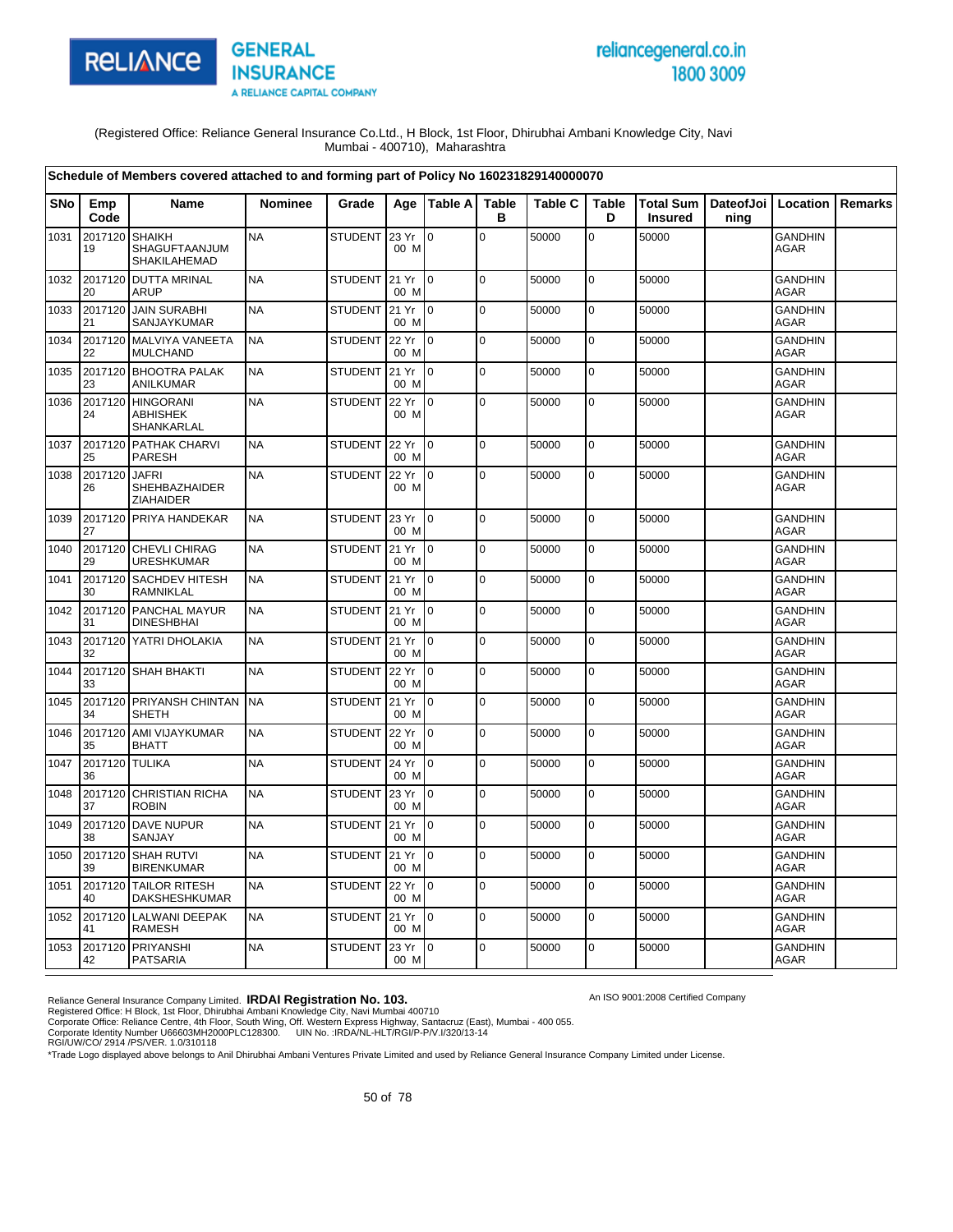

# reliancegeneral.co.in 1800 3009

An ISO 9001:2008 Certified Company

(Registered Office: Reliance General Insurance Co.Ltd., H Block, 1st Floor, Dhirubhai Ambani Knowledge City, Navi Mumbai - 400710), Maharashtra

|            |                      | Schedule of Members covered attached to and forming part of Policy No 160231829140000070 |                |                |                 |                 |                   |                |                   |                                    |      |                               |         |
|------------|----------------------|------------------------------------------------------------------------------------------|----------------|----------------|-----------------|-----------------|-------------------|----------------|-------------------|------------------------------------|------|-------------------------------|---------|
| <b>SNo</b> | Emp<br>Code          | <b>Name</b>                                                                              | <b>Nominee</b> | Grade          |                 | Age   Table A   | <b>Table</b><br>в | <b>Table C</b> | <b>Table</b><br>D | <b>Total Sum</b><br><b>Insured</b> | ning | DateofJoi   Location          | Remarks |
| 1031       | 2017120<br>19        | <b>SHAIKH</b><br>SHAGUFTAANJUM<br>SHAKILAHEMAD                                           | <b>NA</b>      | <b>STUDENT</b> | 23 Yr<br>00 M   | lo.             | $\mathbf 0$       | 50000          | $\overline{0}$    | 50000                              |      | <b>GANDHIN</b><br><b>AGAR</b> |         |
| 1032       | 2017120<br>20        | <b>DUTTA MRINAL</b><br><b>ARUP</b>                                                       | <b>NA</b>      | <b>STUDENT</b> | 21 Yr<br>00 M   | $\overline{0}$  | l o               | 50000          | $\overline{0}$    | 50000                              |      | <b>GANDHIN</b><br><b>AGAR</b> |         |
| 1033       | 2017120<br>21        | <b>JAIN SURABHI</b><br>SANJAYKUMAR                                                       | <b>NA</b>      | <b>STUDENT</b> | 21 Yr<br>00 M   | $\mathsf{I}$    | l o               | 50000          | $\overline{0}$    | 50000                              |      | <b>GANDHIN</b><br><b>AGAR</b> |         |
| 1034       | 2017120<br>22        | MALVIYA VANEETA<br><b>MULCHAND</b>                                                       | <b>NA</b>      | <b>STUDENT</b> | 22 Yr<br>00 M   | $\overline{0}$  | 0                 | 50000          | 0                 | 50000                              |      | <b>GANDHIN</b><br><b>AGAR</b> |         |
| 1035       | 23                   | 2017120 BHOOTRA PALAK<br>ANILKUMAR                                                       | <b>NA</b>      | <b>STUDENT</b> | 21 Yr<br>00 M   | $10^{-1}$       | $\overline{0}$    | 50000          | $\mathbf 0$       | 50000                              |      | <b>GANDHIN</b><br><b>AGAR</b> |         |
| 1036       | 2017120<br>24        | <b>HINGORANI</b><br><b>ABHISHEK</b><br>SHANKARLAL                                        | <b>NA</b>      | <b>STUDENT</b> | 22 Yr<br>00 M   | ۱o              | l o               | 50000          | $\mathbf 0$       | 50000                              |      | <b>GANDHIN</b><br>AGAR        |         |
| 1037       | 25                   | 2017120 PATHAK CHARVI<br><b>PARESH</b>                                                   | <b>NA</b>      | <b>STUDENT</b> | 22 Yr<br>00 M   | $\overline{10}$ | $\overline{0}$    | 50000          | 0                 | 50000                              |      | <b>GANDHIN</b><br><b>AGAR</b> |         |
| 1038       | 2017120<br>26        | <b>JAFRI</b><br>SHEHBAZHAIDER<br>ZIAHAIDER                                               | <b>NA</b>      | <b>STUDENT</b> | 22 Yr<br>00 M   | l 0             | l o               | 50000          | $\overline{0}$    | 50000                              |      | <b>GANDHIN</b><br><b>AGAR</b> |         |
| 1039       | 27                   | 2017120 PRIYA HANDEKAR                                                                   | <b>NA</b>      | <b>STUDENT</b> | 23 Yr<br>00 M   | $\mathsf{I}$    | $\mathbf 0$       | 50000          | 0                 | 50000                              |      | <b>GANDHIN</b><br><b>AGAR</b> |         |
| 1040       | 2017120<br>29        | <b>CHEVLI CHIRAG</b><br><b>URESHKUMAR</b>                                                | <b>NA</b>      | <b>STUDENT</b> | 21 Yr<br>00 M   | $\overline{0}$  | l o               | 50000          | 0                 | 50000                              |      | <b>GANDHIN</b><br><b>AGAR</b> |         |
| 1041       | 2017120<br>30        | <b>SACHDEV HITESH</b><br>RAMNIKLAL                                                       | <b>NA</b>      | <b>STUDENT</b> | 21 Yr<br>00 M   | l o             | $\overline{0}$    | 50000          | $\mathbf 0$       | 50000                              |      | <b>GANDHIN</b><br><b>AGAR</b> |         |
| 1042       | 2017120<br>31        | PANCHAL MAYUR<br><b>DINESHBHAI</b>                                                       | <b>NA</b>      | STUDENT 21 Yr  | 00 M            | $\overline{0}$  | $\overline{0}$    | 50000          | 0                 | 50000                              |      | <b>GANDHIN</b><br><b>AGAR</b> |         |
| 1043       | 32                   | 2017120 YATRI DHOLAKIA                                                                   | <b>NA</b>      | <b>STUDENT</b> | 21 Yr<br>00 M   | $\overline{0}$  | l o               | 50000          | 0                 | 50000                              |      | <b>GANDHIN</b><br><b>AGAR</b> |         |
| 1044       | 33                   | 2017120 SHAH BHAKTI                                                                      | <b>NA</b>      | <b>STUDENT</b> | 22 Yr<br>00 M   | l 0             | l o               | 50000          | 0                 | 50000                              |      | <b>GANDHIN</b><br><b>AGAR</b> |         |
| 1045       | 34                   | 2017120 PRIYANSH CHINTAN<br><b>SHETH</b>                                                 | <b>NA</b>      | <b>STUDENT</b> | 21 Yr<br>00 M   | 0               | l o               | 50000          | $\mathbf 0$       | 50000                              |      | <b>GANDHIN</b><br><b>AGAR</b> |         |
| 1046       | 2017120<br>35        | AMI VIJAYKUMAR<br><b>BHATT</b>                                                           | <b>NA</b>      | <b>STUDENT</b> | 22 Yr<br>00 M   | $\overline{10}$ | l o               | 50000          | $\overline{0}$    | 50000                              |      | GANDHIN<br><b>AGAR</b>        |         |
| 1047       | 2017120 TULIKA<br>36 |                                                                                          | <b>NA</b>      | <b>STUDENT</b> | 24 Yr<br>00 M   | ۱o              | l o               | 50000          | $\overline{0}$    | 50000                              |      | <b>GANDHIN</b><br><b>AGAR</b> |         |
| 1048       | 2017120<br>37        | <b>CHRISTIAN RICHA</b><br><b>ROBIN</b>                                                   | <b>NA</b>      | <b>STUDENT</b> | 23 Yr<br>00 M   | l o             | $\overline{0}$    | 50000          | $\mathbf 0$       | 50000                              |      | <b>GANDHIN</b><br><b>AGAR</b> |         |
| 1049       | 2017120<br>38        | <b>DAVE NUPUR</b><br>SANJAY                                                              | <b>NA</b>      | STUDENT 21 Yr  | 00 M            | $\overline{10}$ | l o               | 50000          | $\overline{0}$    | 50000                              |      | <b>GANDHIN</b><br><b>AGAR</b> |         |
| 1050       | 2017120<br>39        | <b>SHAH RUTVI</b><br><b>BIRENKUMAR</b>                                                   | <b>NA</b>      | <b>STUDENT</b> | 21 Yr<br>00 M   | l 0             | l o               | 50000          | 0                 | 50000                              |      | <b>GANDHIN</b><br><b>AGAR</b> |         |
| 1051       | 2017120<br>40        | <b>TAILOR RITESH</b><br>DAKSHESHKUMAR                                                    | <b>NA</b>      | <b>STUDENT</b> | 22 Yr<br>00 M   | $\mathsf{I}$    | 0                 | 50000          | 0                 | 50000                              |      | <b>GANDHIN</b><br><b>AGAR</b> |         |
| 1052       | 41                   | 2017120 LALWANI DEEPAK<br><b>RAMESH</b>                                                  | <b>NA</b>      | STUDENT        | 21 Yr<br>00 M   | $10^{-1}$       | $\overline{0}$    | 50000          | $\mathbf 0$       | 50000                              |      | <b>GANDHIN</b><br><b>AGAR</b> |         |
| 1053       | 2017120<br>42        | PRIYANSHI<br>PATSARIA                                                                    | <b>NA</b>      | <b>STUDENT</b> | 23 Yr 0<br>00 M |                 | l o               | 50000          | $\overline{0}$    | 50000                              |      | <b>GANDHIN</b><br>AGAR        |         |

Reliance General Insurance Company Limited. **IRDAI Registration No. 103.**<br>Registered Office: H Block, 1st Floor, Dhirubhai Ambani Knowledge City, Navi Mumbai 400710<br>Corporate Office: Reliance Centre, 4th Floor, South Wing,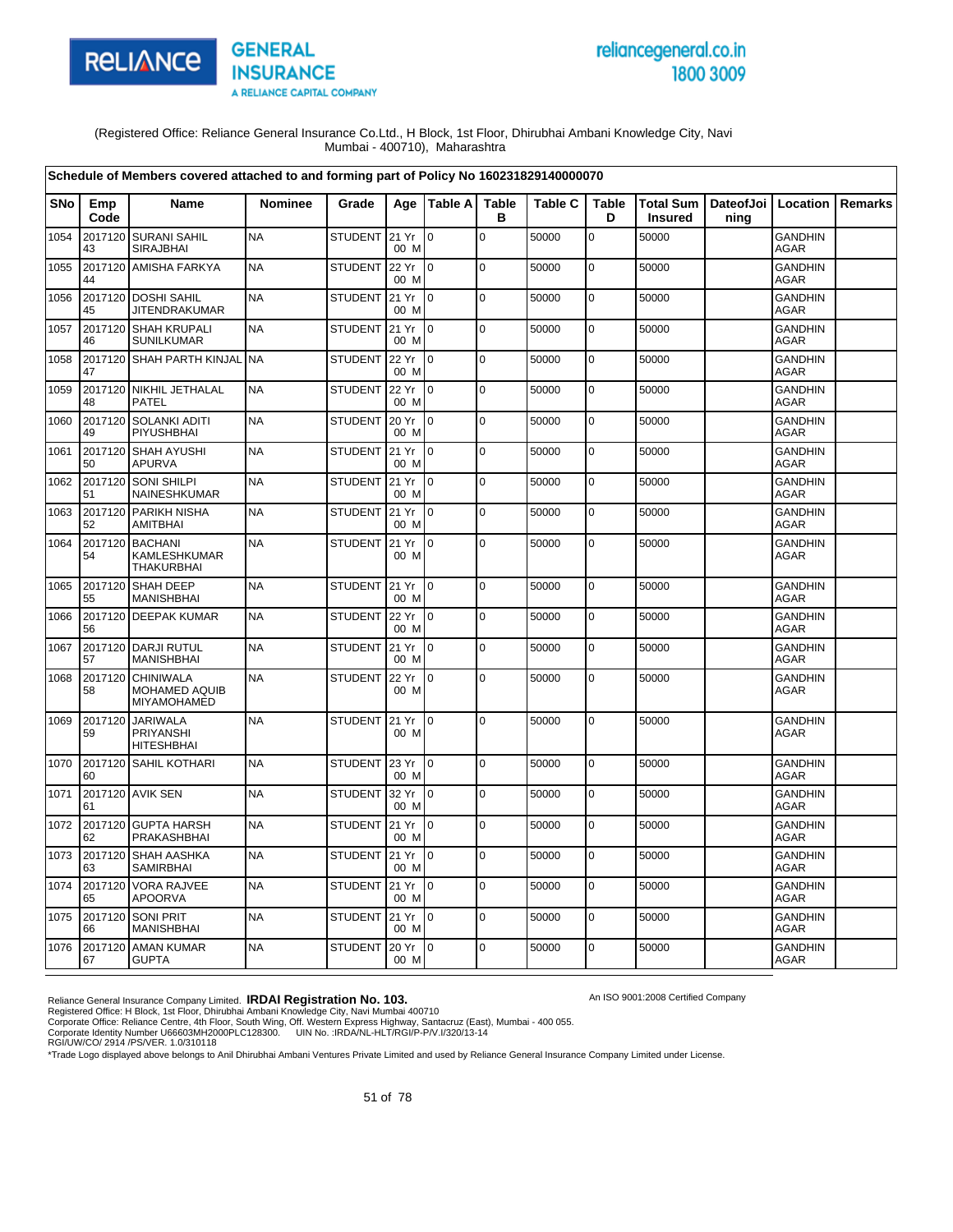

# reliancegeneral.co.in 1800 3009

An ISO 9001:2008 Certified Company

(Registered Office: Reliance General Insurance Co.Ltd., H Block, 1st Floor, Dhirubhai Ambani Knowledge City, Navi Mumbai - 400710), Maharashtra

|            |               | Schedule of Members covered attached to and forming part of Policy No 160231829140000070 |                |                |               |                 |                   |                |                   |                |                                            |                               |         |
|------------|---------------|------------------------------------------------------------------------------------------|----------------|----------------|---------------|-----------------|-------------------|----------------|-------------------|----------------|--------------------------------------------|-------------------------------|---------|
| <b>SNo</b> | Emp<br>Code   | Name                                                                                     | <b>Nominee</b> | Grade          |               | Age   Table A   | <b>Table</b><br>в | <b>Table C</b> | <b>Table</b><br>D | <b>Insured</b> | Total Sum   DateofJoi   Location  <br>ning |                               | Remarks |
| 1054       | 2017120<br>43 | <b>SURANI SAHIL</b><br><b>SIRAJBHAI</b>                                                  | <b>NA</b>      | STUDENT        | 21 Yr<br>00 M | $\mathbf 0$     | $\mathbf 0$       | 50000          | $\mathbf 0$       | 50000          |                                            | <b>GANDHIN</b><br><b>AGAR</b> |         |
| 1055       | 2017120<br>44 | <b>AMISHA FARKYA</b>                                                                     | <b>NA</b>      | <b>STUDENT</b> | 22 Yr<br>00 M | lo.             | $\mathbf 0$       | 50000          | $\mathbf 0$       | 50000          |                                            | <b>GANDHIN</b><br><b>AGAR</b> |         |
| 1056       | 45            | 2017120 DOSHI SAHIL<br><b>JITENDRAKUMAR</b>                                              | <b>NA</b>      | <b>STUDENT</b> | 21 Yr<br>00 M | I0              | $\mathbf 0$       | 50000          | $\mathbf 0$       | 50000          |                                            | <b>GANDHIN</b><br><b>AGAR</b> |         |
| 1057       | 46            | 2017120 SHAH KRUPALI<br><b>SUNILKUMAR</b>                                                | <b>NA</b>      | <b>STUDENT</b> | 21 Yr<br>00 M | $\overline{10}$ | $\mathbf 0$       | 50000          | 0                 | 50000          |                                            | <b>GANDHIN</b><br><b>AGAR</b> |         |
| 1058       | 47            | 2017120 SHAH PARTH KINJAL                                                                | <b>NA</b>      | <b>STUDENT</b> | 22 Yr<br>00 M | $\overline{0}$  | $\pmb{0}$         | 50000          | $\mathbf 0$       | 50000          |                                            | <b>GANDHIN</b><br><b>AGAR</b> |         |
| 1059       | 2017120<br>48 | <b>NIKHIL JETHALAL</b><br>PATEL                                                          | <b>NA</b>      | <b>STUDENT</b> | 22 Yr<br>00 M | $\overline{0}$  | $\mathbf 0$       | 50000          | 0                 | 50000          |                                            | <b>GANDHIN</b><br>AGAR        |         |
| 1060       | 2017120<br>49 | SOLANKI ADITI<br>PIYUSHBHAI                                                              | <b>NA</b>      | <b>STUDENT</b> | 20 Yr<br>00 M | l 0             | $\mathbf 0$       | 50000          | 0                 | 50000          |                                            | <b>GANDHIN</b><br>AGAR        |         |
| 1061       | 2017120<br>50 | <b>SHAH AYUSHI</b><br><b>APURVA</b>                                                      | <b>NA</b>      | <b>STUDENT</b> | 21 Yr<br>00 M | $\mathbf 0$     | $\mathbf 0$       | 50000          | $\mathbf 0$       | 50000          |                                            | <b>GANDHIN</b><br><b>AGAR</b> |         |
| 1062       | 51            | 2017120 SONI SHILPI<br>NAINESHKUMAR                                                      | <b>NA</b>      | STUDENT        | 21 Yr<br>00 M | $\overline{10}$ | $\pmb{0}$         | 50000          | $\mathbf 0$       | 50000          |                                            | <b>GANDHIN</b><br><b>AGAR</b> |         |
| 1063       | 52            | 2017120 PARIKH NISHA<br><b>AMITBHAI</b>                                                  | <b>NA</b>      | <b>STUDENT</b> | 21 Yr<br>00 M | I0              | $\mathbf 0$       | 50000          | 0                 | 50000          |                                            | <b>GANDHIN</b><br>AGAR        |         |
| 1064       | 2017120<br>54 | <b>BACHANI</b><br>KAMLESHKUMAR<br><b>THAKURBHAI</b>                                      | <b>NA</b>      | <b>STUDENT</b> | 21 Yr<br>00 M | I <sub>0</sub>  | $\mathbf 0$       | 50000          | 0                 | 50000          |                                            | <b>GANDHIN</b><br><b>AGAR</b> |         |
| 1065       | 55            | 2017120 SHAH DEEP<br><b>MANISHBHAI</b>                                                   | <b>NA</b>      | <b>STUDENT</b> | 21 Yr<br>00 M | I <sub>0</sub>  | $\mathbf 0$       | 50000          | $\mathbf 0$       | 50000          |                                            | <b>GANDHIN</b><br><b>AGAR</b> |         |
| 1066       | 56            | 2017120 DEEPAK KUMAR                                                                     | <b>NA</b>      | <b>STUDENT</b> | 22 Yr<br>00 M | Io.             | $\mathbf 0$       | 50000          | 0                 | 50000          |                                            | <b>GANDHIN</b><br><b>AGAR</b> |         |
| 1067       | 57            | 2017120 DARJI RUTUL<br><b>MANISHBHAI</b>                                                 | <b>NA</b>      | <b>STUDENT</b> | 21 Yr<br>00 M | l o             | $\overline{0}$    | 50000          | $\mathbf 0$       | 50000          |                                            | <b>GANDHIN</b><br><b>AGAR</b> |         |
| 1068       | 2017120<br>58 | <b>CHINIWALA</b><br>MOHAMED AQUIB<br>MIYAMOHAMED                                         | <b>NA</b>      | <b>STUDENT</b> | 22 Yr<br>00 M | l0              | $\mathbf 0$       | 50000          | $\mathbf 0$       | 50000          |                                            | <b>GANDHIN</b><br>AGAR        |         |
| 1069       | 2017120<br>59 | <b>JARIWALA</b><br><b>PRIYANSHI</b><br><b>HITESHBHAI</b>                                 | <b>NA</b>      | <b>STUDENT</b> | 21 Yr<br>00 M | l0              | $\mathbf 0$       | 50000          | $\mathbf 0$       | 50000          |                                            | <b>GANDHIN</b><br>AGAR        |         |
| 1070       | 60            | 2017120 SAHIL KOTHARI                                                                    | <b>NA</b>      | <b>STUDENT</b> | 23 Yr<br>00 M | Io.             | $\mathbf 0$       | 50000          | $\mathbf 0$       | 50000          |                                            | <b>GANDHIN</b><br>AGAR        |         |
| 1071       | 61            | 2017120 AVIK SEN                                                                         | <b>NA</b>      | <b>STUDENT</b> | 32 Yr<br>00 M | I0.             | $\Omega$          | 50000          | $\mathbf 0$       | 50000          |                                            | <b>GANDHIN</b><br><b>AGAR</b> |         |
| 1072       | 62            | 2017120 GUPTA HARSH<br>PRAKASHBHAI                                                       | <b>NA</b>      | <b>STUDENT</b> | 21 Yr<br>00 M | $\overline{10}$ | $\mathbf 0$       | 50000          | $\mathbf 0$       | 50000          |                                            | <b>GANDHIN</b><br><b>AGAR</b> |         |
| 1073       | 2017120<br>63 | SHAH AASHKA<br><b>SAMIRBHAI</b>                                                          | <b>NA</b>      | <b>STUDENT</b> | 21 Yr<br>00 M | lo.             | $\mathbf 0$       | 50000          | 0                 | 50000          |                                            | <b>GANDHIN</b><br>AGAR        |         |
| 1074       | 65            | 2017120 VORA RAJVEE<br><b>APOORVA</b>                                                    | <b>NA</b>      | <b>STUDENT</b> | 21 Yr<br>00 M | $\overline{10}$ | $\mathbf 0$       | 50000          | $\mathbf 0$       | 50000          |                                            | <b>GANDHIN</b><br><b>AGAR</b> |         |
| 1075       | 66            | 2017120 SONI PRIT<br><b>MANISHBHAI</b>                                                   | <b>NA</b>      | <b>STUDENT</b> | 21 Yr<br>00 M | $\overline{10}$ | $\Omega$          | 50000          | 0                 | 50000          |                                            | <b>GANDHIN</b><br><b>AGAR</b> |         |
| 1076       | 67            | 2017120 AMAN KUMAR<br><b>GUPTA</b>                                                       | <b>NA</b>      | <b>STUDENT</b> | 20 Yr<br>00 M | $\overline{10}$ | $\mathbf 0$       | 50000          | 0                 | 50000          |                                            | <b>GANDHIN</b><br>AGAR        |         |

Reliance General Insurance Company Limited. **IRDAI Registration No. 103.**<br>Registered Office: H Block, 1st Floor, Dhirubhai Ambani Knowledge City, Navi Mumbai 400710<br>Corporate Office: Reliance Centre, 4th Floor, South Wing,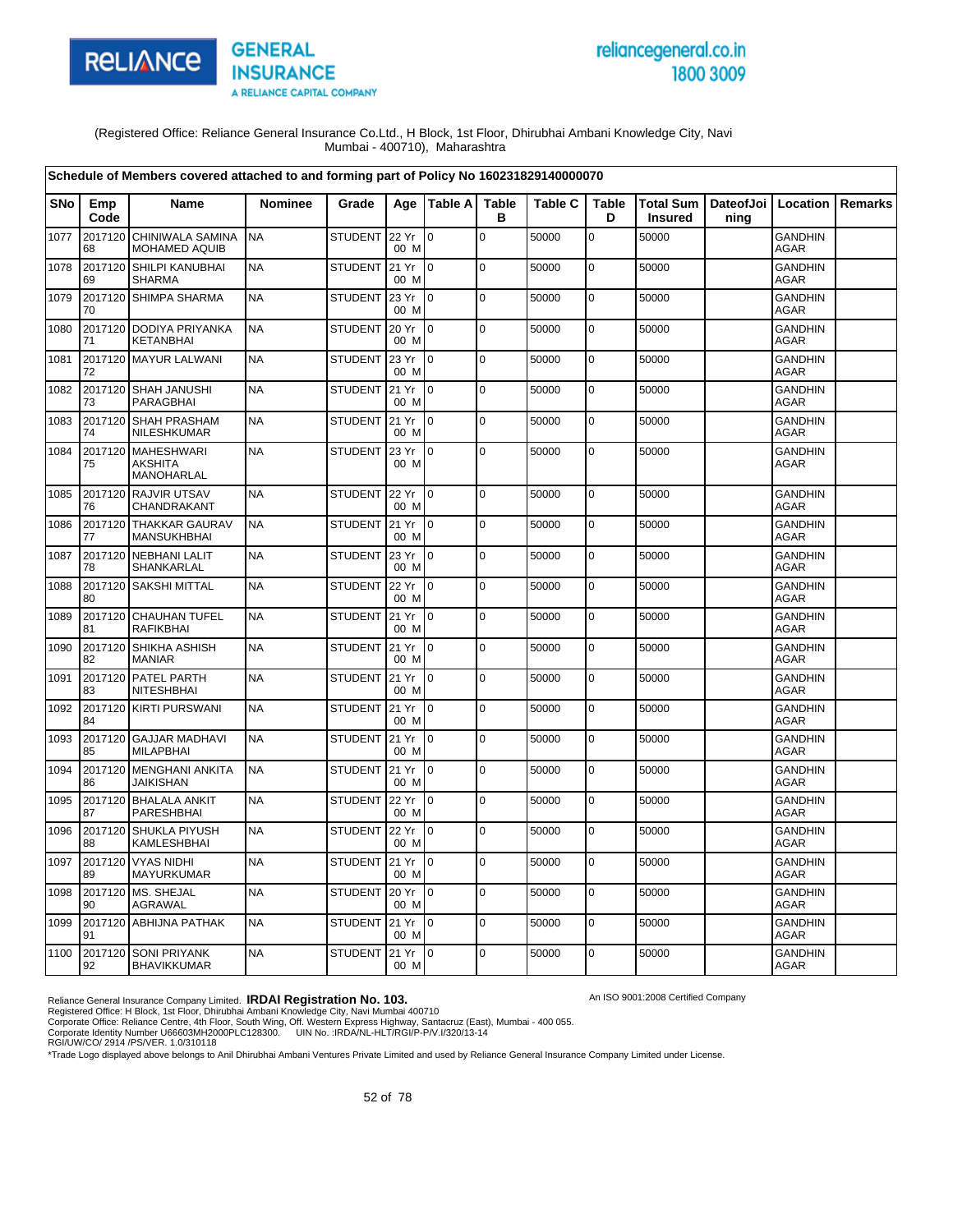

# reliancegeneral.co.in 1800 3009

An ISO 9001:2008 Certified Company

(Registered Office: Reliance General Insurance Co.Ltd., H Block, 1st Floor, Dhirubhai Ambani Knowledge City, Navi Mumbai - 400710), Maharashtra

|            |               | Schedule of Members covered attached to and forming part of Policy No 160231829140000070 |                |                |               |                 |                   |                |                   |                |                                            |                               |                |
|------------|---------------|------------------------------------------------------------------------------------------|----------------|----------------|---------------|-----------------|-------------------|----------------|-------------------|----------------|--------------------------------------------|-------------------------------|----------------|
| <b>SNo</b> | Emp<br>Code   | <b>Name</b>                                                                              | <b>Nominee</b> | Grade          |               | Age   Table A   | <b>Table</b><br>B | <b>Table C</b> | <b>Table</b><br>D | <b>Insured</b> | Total Sum   DateofJoi   Location  <br>ning |                               | <b>Remarks</b> |
| 1077       | 2017120<br>68 | CHINIWALA SAMINA<br><b>MOHAMED AQUIB</b>                                                 | <b>NA</b>      | <b>STUDENT</b> | 22 Yr<br>00 M | lo.             | $\pmb{0}$         | 50000          | 0                 | 50000          |                                            | <b>GANDHIN</b><br><b>AGAR</b> |                |
| 1078       | 2017120<br>69 | SHILPI KANUBHAI<br><b>SHARMA</b>                                                         | <b>NA</b>      | <b>STUDENT</b> | 21 Yr<br>00 M | l o             | 0                 | 50000          | $\mathbf 0$       | 50000          |                                            | <b>GANDHIN</b><br><b>AGAR</b> |                |
| 1079       | 70            | 2017120 SHIMPA SHARMA                                                                    | <b>NA</b>      | <b>STUDENT</b> | 23 Yr<br>00 M | $\overline{10}$ | $\mathbf 0$       | 50000          | $\mathbf 0$       | 50000          |                                            | <b>GANDHIN</b><br><b>AGAR</b> |                |
| 1080       | 71            | 2017120 DODIYA PRIYANKA<br><b>KETANBHAI</b>                                              | <b>NA</b>      | <b>STUDENT</b> | 20 Yr<br>00 M | $\overline{10}$ | $\pmb{0}$         | 50000          | $\mathbf 0$       | 50000          |                                            | <b>GANDHIN</b><br><b>AGAR</b> |                |
| 1081       | 72            | 2017120 MAYUR LALWANI                                                                    | <b>NA</b>      | <b>STUDENT</b> | 23 Yr<br>00 M | 0               | $\mathbf 0$       | 50000          | 0                 | 50000          |                                            | <b>GANDHIN</b><br>AGAR        |                |
| 1082       | 2017120<br>73 | SHAH JANUSHI<br>PARAGBHAI                                                                | <b>NA</b>      | <b>STUDENT</b> | 21 Yr<br>00 M | $\Omega$        | $\mathbf 0$       | 50000          | $\mathbf 0$       | 50000          |                                            | <b>GANDHIN</b><br>AGAR        |                |
| 1083       | 2017120<br>74 | <b>SHAH PRASHAM</b><br>NILESHKUMAR                                                       | <b>NA</b>      | STUDENT 21 Yr  | 00 M          | $\overline{10}$ | $\mathbf 0$       | 50000          | $\pmb{0}$         | 50000          |                                            | <b>GANDHIN</b><br><b>AGAR</b> |                |
| 1084       | 2017120<br>75 | <b>MAHESHWARI</b><br><b>AKSHITA</b><br>MANOHARLAL                                        | <b>NA</b>      | <b>STUDENT</b> | 23 Yr<br>00 M | lo.             | $\mathbf 0$       | 50000          | $\mathbf 0$       | 50000          |                                            | <b>GANDHIN</b><br><b>AGAR</b> |                |
| 1085       | 2017120<br>76 | <b>RAJVIR UTSAV</b><br>CHANDRAKANT                                                       | <b>NA</b>      | <b>STUDENT</b> | 22 Yr<br>00 M | $\overline{10}$ | $\mathbf 0$       | 50000          | $\mathbf 0$       | 50000          |                                            | <b>GANDHIN</b><br><b>AGAR</b> |                |
| 1086       | 77            | 2017120 THAKKAR GAURAV<br><b>MANSUKHBHAI</b>                                             | <b>NA</b>      | <b>STUDENT</b> | 21 Yr<br>00 M | $\mathsf{I}$    | $\mathbf 0$       | 50000          | $\mathbf 0$       | 50000          |                                            | <b>GANDHIN</b><br><b>AGAR</b> |                |
| 1087       | 78            | 2017120 NEBHANI LALIT<br>SHANKARLAL                                                      | <b>NA</b>      | <b>STUDENT</b> | 23 Yr<br>00 M | $\overline{0}$  | $\mathbf 0$       | 50000          | $\mathbf 0$       | 50000          |                                            | <b>GANDHIN</b><br><b>AGAR</b> |                |
| 1088       | 2017120<br>80 | <b>SAKSHI MITTAL</b>                                                                     | <b>NA</b>      | <b>STUDENT</b> | 22 Yr<br>00 M | $\overline{0}$  | $\mathbf 0$       | 50000          | $\mathbf 0$       | 50000          |                                            | <b>GANDHIN</b><br><b>AGAR</b> |                |
| 1089       | 2017120<br>81 | <b>CHAUHAN TUFEL</b><br><b>RAFIKBHAI</b>                                                 | <b>NA</b>      | <b>STUDENT</b> | 21 Yr<br>00 M | $\overline{10}$ | $\mathbf 0$       | 50000          | $\mathbf 0$       | 50000          |                                            | <b>GANDHIN</b><br>AGAR        |                |
| 1090       | 2017120<br>82 | SHIKHA ASHISH<br><b>MANIAR</b>                                                           | <b>NA</b>      | STUDENT        | 21 Yr<br>00 M | lo.             | $\mathbf 0$       | 50000          | $\mathbf 0$       | 50000          |                                            | <b>GANDHIN</b><br><b>AGAR</b> |                |
| 1091       | 2017120<br>83 | <b>PATEL PARTH</b><br><b>NITESHBHAI</b>                                                  | <b>NA</b>      | STUDENT 21 Yr  | 00 M          | $\mathsf{I}$    | $\mathbf 0$       | 50000          | $\mathbf 0$       | 50000          |                                            | <b>GANDHIN</b><br><b>AGAR</b> |                |
| 1092       | 84            | 2017120 KIRTI PURSWANI                                                                   | <b>NA</b>      | <b>STUDENT</b> | 21 Yr<br>00 M | l 0             | $\mathbf 0$       | 50000          | 0                 | 50000          |                                            | <b>GANDHIN</b><br>AGAR        |                |
| 1093       | 85            | 2017120 GAJJAR MADHAVI<br><b>MILAPBHAI</b>                                               | <b>NA</b>      | <b>STUDENT</b> | 21 Yr<br>00 M | $\overline{10}$ | $\mathbf 0$       | 50000          | $\mathbf 0$       | 50000          |                                            | <b>GANDHIN</b><br><b>AGAR</b> |                |
| 1094       | 86            | 2017120 MENGHANI ANKITA<br><b>JAIKISHAN</b>                                              | <b>NA</b>      | <b>STUDENT</b> | 21 Yr<br>00 M | I0              | $\mathbf 0$       | 50000          | 0                 | 50000          |                                            | <b>GANDHIN</b><br><b>AGAR</b> |                |
| 1095       | 2017120<br>87 | <b>BHALALA ANKIT</b><br>PARESHBHAI                                                       | <b>NA</b>      | <b>STUDENT</b> | 22 Yr<br>00 M | I0              | $\mathbf 0$       | 50000          | $\mathbf 0$       | 50000          |                                            | <b>GANDHIN</b><br>AGAR        |                |
| 1096       | 2017120<br>88 | <b>SHUKLA PIYUSH</b><br>KAMLESHBHAI                                                      | <b>NA</b>      | <b>STUDENT</b> | 22 Yr<br>00 M | $\overline{10}$ | $\mathbf 0$       | 50000          | 0                 | 50000          |                                            | <b>GANDHIN</b><br>AGAR        |                |
| 1097       | 2017120<br>89 | <b>VYAS NIDHI</b><br><b>MAYURKUMAR</b>                                                   | <b>NA</b>      | <b>STUDENT</b> | 21 Yr<br>00 M | l 0             | $\pmb{0}$         | 50000          | 0                 | 50000          |                                            | <b>GANDHIN</b><br>AGAR        |                |
| 1098       | 2017120<br>90 | MS. SHEJAL<br><b>AGRAWAL</b>                                                             | <b>NA</b>      | <b>STUDENT</b> | 20 Yr<br>00 M | lo.             | $\mathbf 0$       | 50000          | 0                 | 50000          |                                            | <b>GANDHIN</b><br><b>AGAR</b> |                |
| 1099       | 91            | 2017120 ABHIJNA PATHAK                                                                   | <b>NA</b>      | STUDENT        | 21 Yr<br>00 M | $10^{-1}$       | $\mathbf 0$       | 50000          | 0                 | 50000          |                                            | <b>GANDHIN</b><br><b>AGAR</b> |                |
| 1100       | 92            | 2017120 SONI PRIYANK<br><b>BHAVIKKUMAR</b>                                               | <b>NA</b>      | <b>STUDENT</b> | 21 Yr<br>00 M | $\overline{10}$ | $\mathbf 0$       | 50000          | 0                 | 50000          |                                            | <b>GANDHIN</b><br>AGAR        |                |

Reliance General Insurance Company Limited. **IRDAI Registration No. 103.**<br>Registered Office: H Block, 1st Floor, Dhirubhai Ambani Knowledge City, Navi Mumbai 400710<br>Corporate Office: Reliance Centre, 4th Floor, South Wing,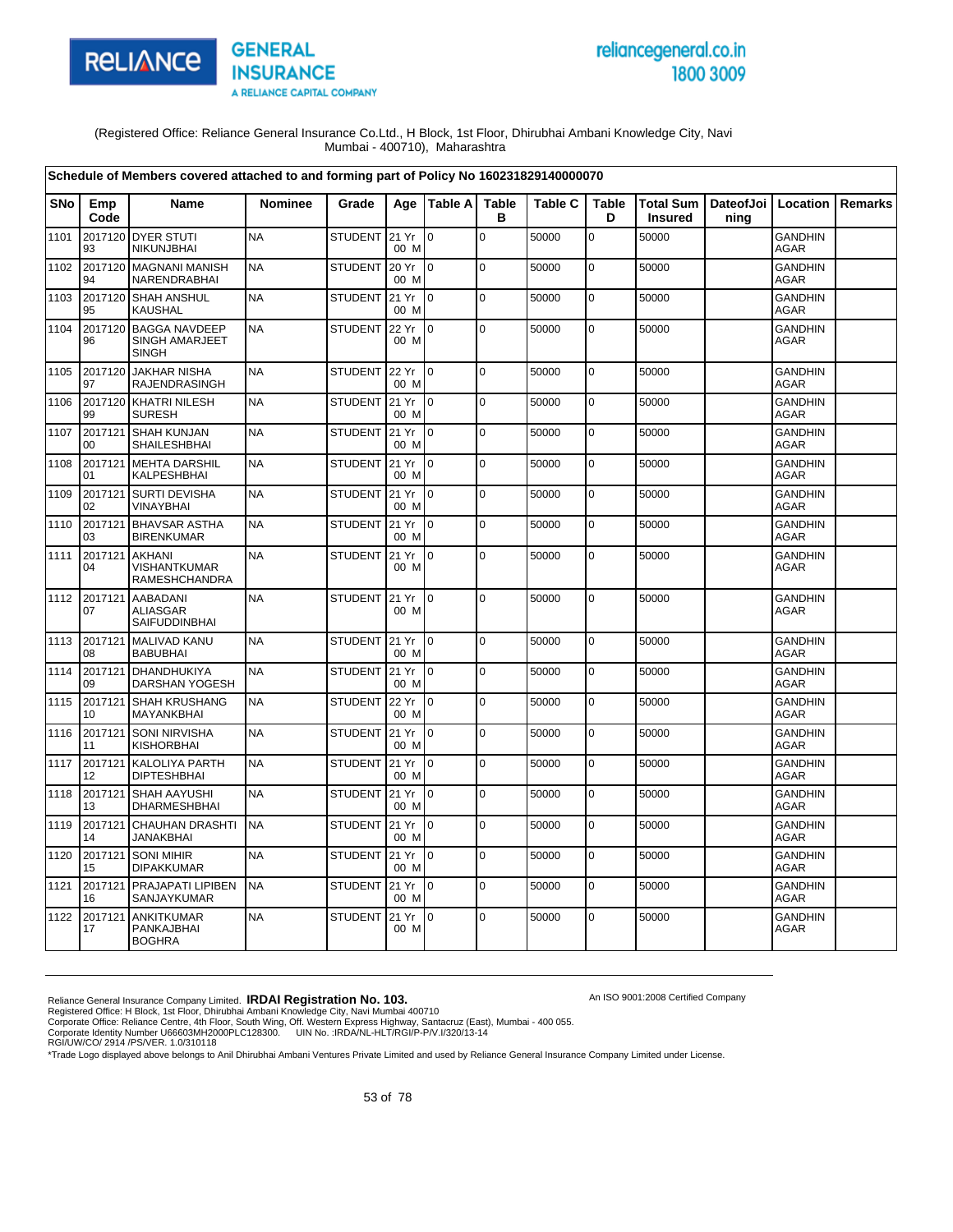

# reliancegeneral.co.in 1800 3009

(Registered Office: Reliance General Insurance Co.Ltd., H Block, 1st Floor, Dhirubhai Ambani Knowledge City, Navi Mumbai - 400710), Maharashtra

|      |                    | Schedule of Members covered attached to and forming part of Policy No 160231829140000070 |                |                |               |                 |                   |                |             |                                    |                   |                               |                |
|------|--------------------|------------------------------------------------------------------------------------------|----------------|----------------|---------------|-----------------|-------------------|----------------|-------------|------------------------------------|-------------------|-------------------------------|----------------|
| SNo  | Emp<br>Code        | Name                                                                                     | <b>Nominee</b> | Grade          | Age           | <b>Table A</b>  | <b>Table</b><br>в | <b>Table C</b> | Table<br>D  | <b>Total Sum</b><br><b>Insured</b> | DateofJoi<br>ning | Location                      | <b>Remarks</b> |
| 1101 | 93                 | 2017120 DYER STUTI<br>NIKUNJBHAI                                                         | <b>NA</b>      | STUDENT 21 Yr  | 00 M          | lo.             | $\Omega$          | 50000          | $\Omega$    | 50000                              |                   | <b>GANDHIN</b><br><b>AGAR</b> |                |
| 1102 | 2017120<br>94      | <b>MAGNANI MANISH</b><br>NARENDRABHAI                                                    | <b>NA</b>      | <b>STUDENT</b> | 20 Yr<br>00 M | l 0             | $\mathbf 0$       | 50000          | $\mathbf 0$ | 50000                              |                   | <b>GANDHIN</b><br><b>AGAR</b> |                |
| 1103 | 2017120<br>95      | SHAH ANSHUL<br><b>KAUSHAL</b>                                                            | <b>NA</b>      | <b>STUDENT</b> | 21 Yr<br>00 M | l n             | $\pmb{0}$         | 50000          | 0           | 50000                              |                   | <b>GANDHIN</b><br><b>AGAR</b> |                |
| 1104 | 2017120<br>96      | <b>BAGGA NAVDEEP</b><br><b>SINGH AMARJEET</b><br><b>SINGH</b>                            | <b>NA</b>      | <b>STUDENT</b> | 22 Yr<br>00 M | Io.             | $\mathbf 0$       | 50000          | $\mathbf 0$ | 50000                              |                   | <b>GANDHIN</b><br><b>AGAR</b> |                |
| 1105 | 2017120<br>97      | <b>JAKHAR NISHA</b><br>RAJENDRASINGH                                                     | <b>NA</b>      | <b>STUDENT</b> | 22 Yr<br>00 M | Io.             | $\mathbf 0$       | 50000          | $\mathbf 0$ | 50000                              |                   | <b>GANDHIN</b><br>AGAR        |                |
| 1106 | 2017120<br>99      | <b>KHATRI NILESH</b><br><b>SURESH</b>                                                    | <b>NA</b>      | <b>STUDENT</b> | 21 Yr<br>00 M | $\Omega$        | $\pmb{0}$         | 50000          | 0           | 50000                              |                   | <b>GANDHIN</b><br><b>AGAR</b> |                |
| 1107 | 2017121<br>$00 \,$ | SHAH KUNJAN<br>SHAILESHBHAI                                                              | <b>NA</b>      | <b>STUDENT</b> | 21 Yr<br>00 M | Io.             | $\mathbf 0$       | 50000          | $\mathbf 0$ | 50000                              |                   | <b>GANDHIN</b><br><b>AGAR</b> |                |
| 1108 | 2017121<br>01      | <b>MEHTA DARSHIL</b><br>KALPESHBHAI                                                      | <b>NA</b>      | <b>STUDENT</b> | 21 Yr<br>00 M | Io.             | $\mathbf 0$       | 50000          | 0           | 50000                              |                   | <b>GANDHIN</b><br><b>AGAR</b> |                |
| 1109 | 2017121<br>02      | <b>SURTI DEVISHA</b><br>VINAYBHAI                                                        | <b>NA</b>      | <b>STUDENT</b> | 21 Yr<br>00 M | I0.             | $\Omega$          | 50000          | $\pmb{0}$   | 50000                              |                   | <b>GANDHIN</b><br><b>AGAR</b> |                |
| 1110 | 2017121<br>03      | <b>BHAVSAR ASTHA</b><br><b>BIRENKUMAR</b>                                                | <b>NA</b>      | <b>STUDENT</b> | 21 Yr<br>00 M | Io.             | $\Omega$          | 50000          | $\mathbf 0$ | 50000                              |                   | <b>GANDHIN</b><br>AGAR        |                |
| 1111 | 2017121<br>04      | AKHANI<br><b>VISHANTKUMAR</b><br><b>RAMESHCHANDRA</b>                                    | <b>NA</b>      | <b>STUDENT</b> | 21 Yr<br>00 M | $\overline{0}$  | $\mathbf 0$       | 50000          | $\mathbf 0$ | 50000                              |                   | <b>GANDHIN</b><br>AGAR        |                |
| 1112 | 2017121<br>07      | <b>AABADANI</b><br><b>ALIASGAR</b><br>SAIFUDDINBHAI                                      | <b>NA</b>      | STUDENT 21 Yr  | 00 M          | $\overline{10}$ | $\mathbf 0$       | 50000          | $\mathbf 0$ | 50000                              |                   | GANDHIN<br><b>AGAR</b>        |                |
| 1113 | 2017121<br>08      | MALIVAD KANU<br><b>BABUBHAI</b>                                                          | <b>NA</b>      | STUDENT 21 Yr  | 00 M          | $\overline{10}$ | $\pmb{0}$         | 50000          | 0           | 50000                              |                   | <b>GANDHIN</b><br><b>AGAR</b> |                |
| 1114 | 2017121<br>09      | DHANDHUKIYA<br><b>DARSHAN YOGESH</b>                                                     | <b>NA</b>      | <b>STUDENT</b> | 21 Yr<br>00 M | l 0             | $\Omega$          | 50000          | $\mathbf 0$ | 50000                              |                   | <b>GANDHIN</b><br><b>AGAR</b> |                |
| 1115 | 10                 | 2017121 SHAH KRUSHANG<br><b>MAYANKBHAI</b>                                               | <b>NA</b>      | <b>STUDENT</b> | 22 Yr<br>00 M | $\overline{10}$ | $\mathbf 0$       | 50000          | $\mathbf 0$ | 50000                              |                   | <b>GANDHIN</b><br><b>AGAR</b> |                |
| 1116 | 2017121<br>11      | <b>SONI NIRVISHA</b><br><b>KISHORBHAI</b>                                                | <b>NA</b>      | <b>STUDENT</b> | 21 Yr<br>00 M | $\overline{0}$  | $\Omega$          | 50000          | $\mathbf 0$ | 50000                              |                   | <b>GANDHIN</b><br><b>AGAR</b> |                |
| 1117 | 2017121<br>12      | KALOLIYA PARTH<br><b>DIPTESHBHAI</b>                                                     | <b>NA</b>      | <b>STUDENT</b> | 21 Yr<br>00 M | l 0             | $\mathbf 0$       | 50000          | $\mathbf 0$ | 50000                              |                   | <b>GANDHIN</b><br>AGAR        |                |
| 1118 | 2017121<br>13      | <b>SHAH AAYUSHI</b><br><b>DHARMESHBHAI</b>                                               | <b>NA</b>      | <b>STUDENT</b> | 21 Yr<br>00 M | $\overline{0}$  | $\mathbf 0$       | 50000          | 0           | 50000                              |                   | GANDHIN<br><b>AGAR</b>        |                |
| 1119 | 2017121<br>14      | CHAUHAN DRASHTI<br><b>JANAKBHAI</b>                                                      | <b>NA</b>      | <b>STUDENT</b> | 21 Yr<br>00 M | $\overline{0}$  | $\mathbf 0$       | 50000          | $\mathbf 0$ | 50000                              |                   | <b>GANDHIN</b><br><b>AGAR</b> |                |
| 1120 | 2017121<br>15      | <b>SONI MIHIR</b><br><b>DIPAKKUMAR</b>                                                   | <b>NA</b>      | <b>STUDENT</b> | 21 Yr<br>00 M | $\overline{0}$  | $\mathbf 0$       | 50000          | $\mathbf 0$ | 50000                              |                   | <b>GANDHIN</b><br><b>AGAR</b> |                |
| 1121 | 2017121<br>16      | PRAJAPATI LIPIBEN<br>SANJAYKUMAR                                                         | <b>NA</b>      | <b>STUDENT</b> | 21 Yr<br>00 M | $\Omega$        | $\pmb{0}$         | 50000          | 0           | 50000                              |                   | <b>GANDHIN</b><br><b>AGAR</b> |                |
| 1122 | 2017121<br>17      | ANKITKUMAR<br><b>PANKAJBHAI</b><br><b>BOGHRA</b>                                         | <b>NA</b>      | <b>STUDENT</b> | 21 Yr<br>00 M | $\Omega$        | $\Omega$          | 50000          | $\mathbf 0$ | 50000                              |                   | <b>GANDHIN</b><br><b>AGAR</b> |                |

An ISO 9001:2008 Certified Company

Reliance General Insurance Company Limited. **IRDAI Registration No. 103.**<br>Registered Office: H Block, 1st Floor, Dhirubhai Ambani Knowledge City, Navi Mumbai 400710<br>Corporate Office: Reliance Centre, 4th Floor, South Wing,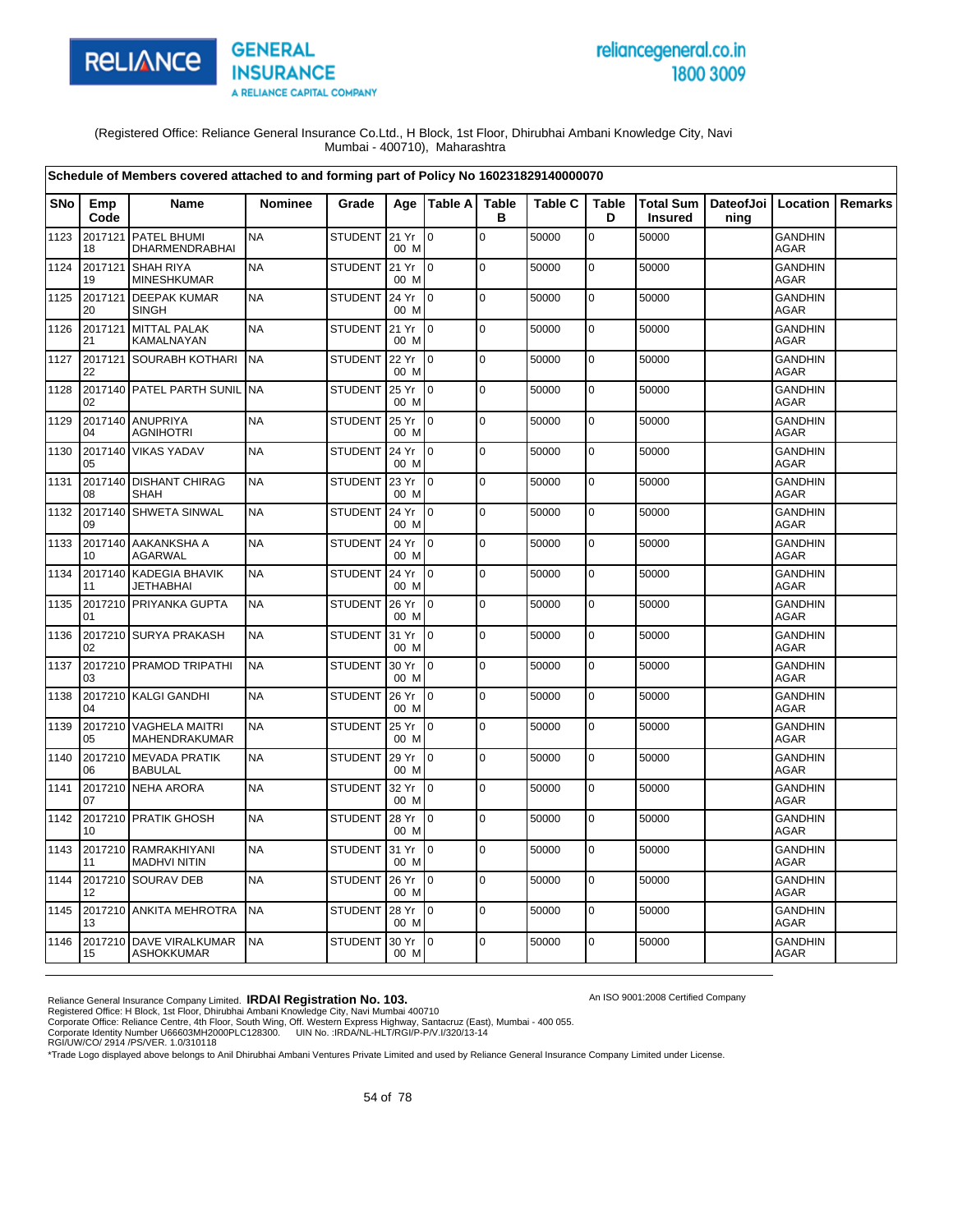

# reliancegeneral.co.in 1800 3009

An ISO 9001:2008 Certified Company

(Registered Office: Reliance General Insurance Co.Ltd., H Block, 1st Floor, Dhirubhai Ambani Knowledge City, Navi Mumbai - 400710), Maharashtra

|      |               | Schedule of Members covered attached to and forming part of Policy No 160231829140000070 |                |                |               |                 |                   |                |                   |                                    |                              |                               |                |
|------|---------------|------------------------------------------------------------------------------------------|----------------|----------------|---------------|-----------------|-------------------|----------------|-------------------|------------------------------------|------------------------------|-------------------------------|----------------|
| SNo  | Emp<br>Code   | <b>Name</b>                                                                              | <b>Nominee</b> | Grade          |               | Age   Table A   | <b>Table</b><br>в | <b>Table C</b> | <b>Table</b><br>D | <b>Total Sum</b><br><b>Insured</b> | DateofJoi   Location<br>ning |                               | <b>Remarks</b> |
| 1123 | 2017121<br>18 | PATEL BHUMI<br><b>DHARMENDRABHAI</b>                                                     | <b>NA</b>      | STUDENT 21 Yr  | 00 M          | l 0             | $\mathbf 0$       | 50000          | $\mathbf 0$       | 50000                              |                              | <b>GANDHIN</b><br><b>AGAR</b> |                |
| 1124 | 2017121<br>19 | <b>SHAH RIYA</b><br><b>MINESHKUMAR</b>                                                   | <b>NA</b>      | STUDENT        | 21 Yr<br>00 M | I <sub>0</sub>  | $\mathbf 0$       | 50000          | 0                 | 50000                              |                              | <b>GANDHIN</b><br><b>AGAR</b> |                |
| 1125 | 2017121<br>20 | <b>DEEPAK KUMAR</b><br><b>SINGH</b>                                                      | <b>NA</b>      | STUDENT 24 Yr  | 00 M          | $\overline{10}$ | $\mathbf 0$       | 50000          | $\mathbf 0$       | 50000                              |                              | <b>GANDHIN</b><br><b>AGAR</b> |                |
| 1126 | 2017121<br>21 | <b>MITTAL PALAK</b><br>KAMALNAYAN                                                        | <b>NA</b>      | STUDENT        | 21 Yr<br>00 M | I <sub>0</sub>  | $\Omega$          | 50000          | $\mathbf 0$       | 50000                              |                              | <b>GANDHIN</b><br><b>AGAR</b> |                |
| 1127 | 22            | 2017121 SOURABH KOTHARI                                                                  | <b>NA</b>      | STUDENT        | 22 Yr<br>00 M | $\overline{10}$ | $\mathbf 0$       | 50000          | $\mathbf 0$       | 50000                              |                              | <b>GANDHIN</b><br><b>AGAR</b> |                |
| 1128 | 02            | 2017140 PATEL PARTH SUNIL                                                                | <b>NA</b>      | <b>STUDENT</b> | 25 Yr<br>00 M | I0              | $\mathbf 0$       | 50000          | 0                 | 50000                              |                              | <b>GANDHIN</b><br><b>AGAR</b> |                |
| 1129 | 2017140<br>04 | <b>ANUPRIYA</b><br><b>AGNIHOTRI</b>                                                      | <b>NA</b>      | <b>STUDENT</b> | 25 Yr<br>00 M | $\overline{10}$ | $\mathbf 0$       | 50000          | $\mathbf 0$       | 50000                              |                              | <b>GANDHIN</b><br><b>AGAR</b> |                |
| 1130 | 2017140<br>05 | <b>VIKAS YADAV</b>                                                                       | <b>NA</b>      | <b>STUDENT</b> | 24 Yr<br>00 M | I0              | $\mathbf 0$       | 50000          | 0                 | 50000                              |                              | <b>GANDHIN</b><br><b>AGAR</b> |                |
| 1131 | 2017140<br>08 | <b>DISHANT CHIRAG</b><br><b>SHAH</b>                                                     | <b>NA</b>      | STUDENT        | 23 Yr<br>00 M | I <sub>0</sub>  | $\mathbf 0$       | 50000          | $\pmb{0}$         | 50000                              |                              | <b>GANDHIN</b><br><b>AGAR</b> |                |
| 1132 | 2017140<br>09 | <b>SHWETA SINWAL</b>                                                                     | <b>NA</b>      | <b>STUDENT</b> | 24 Yr<br>00 M | I0              | $\mathbf 0$       | 50000          | 0                 | 50000                              |                              | <b>GANDHIN</b><br><b>AGAR</b> |                |
| 1133 | 10            | 2017140 AAKANKSHA A<br><b>AGARWAL</b>                                                    | <b>NA</b>      | STUDENT        | 24 Yr<br>00 M | I <sub>0</sub>  | $\mathbf 0$       | 50000          | 0                 | 50000                              |                              | <b>GANDHIN</b><br>AGAR        |                |
| 1134 | 11            | 2017140 KADEGIA BHAVIK<br><b>JETHABHAI</b>                                               | <b>NA</b>      | <b>STUDENT</b> | 24 Yr<br>00 M | I O             | $\Omega$          | 50000          | $\mathbf 0$       | 50000                              |                              | <b>GANDHIN</b><br><b>AGAR</b> |                |
| 1135 | 01            | 2017210 PRIYANKA GUPTA                                                                   | <b>NA</b>      | <b>STUDENT</b> | 26 Yr<br>00 M | $\overline{10}$ | $\mathbf 0$       | 50000          | 0                 | 50000                              |                              | <b>GANDHIN</b><br>AGAR        |                |
| 1136 | 02            | 2017210 SURYA PRAKASH                                                                    | <b>NA</b>      | <b>STUDENT</b> | 31 Yr<br>00 M | $\overline{10}$ | $\mathbf 0$       | 50000          | $\mathbf 0$       | 50000                              |                              | <b>GANDHIN</b><br><b>AGAR</b> |                |
| 1137 | 03            | 2017210 PRAMOD TRIPATHI                                                                  | <b>NA</b>      | <b>STUDENT</b> | 30 Yr<br>00 M | l0              | $\mathbf 0$       | 50000          | 0                 | 50000                              |                              | <b>GANDHIN</b><br>AGAR        |                |
| 1138 | 04            | 2017210 KALGI GANDHI                                                                     | <b>NA</b>      | <b>STUDENT</b> | 26 Yr<br>00 M | $\overline{10}$ | $\Omega$          | 50000          | $\mathbf 0$       | 50000                              |                              | <b>GANDHIN</b><br>AGAR        |                |
| 1139 | 2017210<br>05 | <b>VAGHELA MAITRI</b><br>MAHENDRAKUMAR                                                   | <b>NA</b>      | <b>STUDENT</b> | 25 Yr<br>00 M | Io.             | $\mathbf 0$       | 50000          | $\pmb{0}$         | 50000                              |                              | <b>GANDHIN</b><br>AGAR        |                |
| 1140 | 06            | 2017210 MEVADA PRATIK<br><b>BABULAL</b>                                                  | <b>NA</b>      | <b>STUDENT</b> | 29 Yr<br>00 M | $\overline{10}$ | $\mathbf 0$       | 50000          | $\mathbf 0$       | 50000                              |                              | <b>GANDHIN</b><br><b>AGAR</b> |                |
| 1141 | 2017210<br>07 | <b>NEHA ARORA</b>                                                                        | <b>NA</b>      | <b>STUDENT</b> | 32 Yr<br>00 M | Io.             | $\mathbf 0$       | 50000          | 0                 | 50000                              |                              | <b>GANDHIN</b><br>AGAR        |                |
| 1142 | 10            | 2017210 PRATIK GHOSH                                                                     | <b>NA</b>      | <b>STUDENT</b> | 28 Yr<br>00 M | $\overline{10}$ | $\Omega$          | 50000          | $\mathbf 0$       | 50000                              |                              | <b>GANDHIN</b><br><b>AGAR</b> |                |
| 1143 | 11            | 2017210 RAMRAKHIYANI<br><b>MADHVI NITIN</b>                                              | <b>NA</b>      | STUDENT 31 Yr  | 00 M          | $\overline{0}$  | $\mathbf 0$       | 50000          | 0                 | 50000                              |                              | <b>GANDHIN</b><br>AGAR        |                |
| 1144 | 12            | 2017210 SOURAV DEB                                                                       | <b>NA</b>      | <b>STUDENT</b> | 26 Yr<br>00 M | $\overline{10}$ | $\mathbf 0$       | 50000          | $\mathbf 0$       | 50000                              |                              | GANDHIN<br><b>AGAR</b>        |                |
| 1145 | 13            | 2017210 ANKITA MEHROTRA                                                                  | <b>NA</b>      | <b>STUDENT</b> | 28 Yr<br>00 M | $\overline{10}$ | $\mathbf 0$       | 50000          | 0                 | 50000                              |                              | <b>GANDHIN</b><br>AGAR        |                |
| 1146 | 15            | 2017210 DAVE VIRALKUMAR<br><b>ASHOKKUMAR</b>                                             | <b>NA</b>      | STUDENT        | 30 Yr<br>00 M | I <sub>0</sub>  | $\Omega$          | 50000          | $\mathbf 0$       | 50000                              |                              | <b>GANDHIN</b><br>AGAR        |                |

Reliance General Insurance Company Limited. **IRDAI Registration No. 103.**<br>Registered Office: H Block, 1st Floor, Dhirubhai Ambani Knowledge City, Navi Mumbai 400710<br>Corporate Office: Reliance Centre, 4th Floor, South Wing,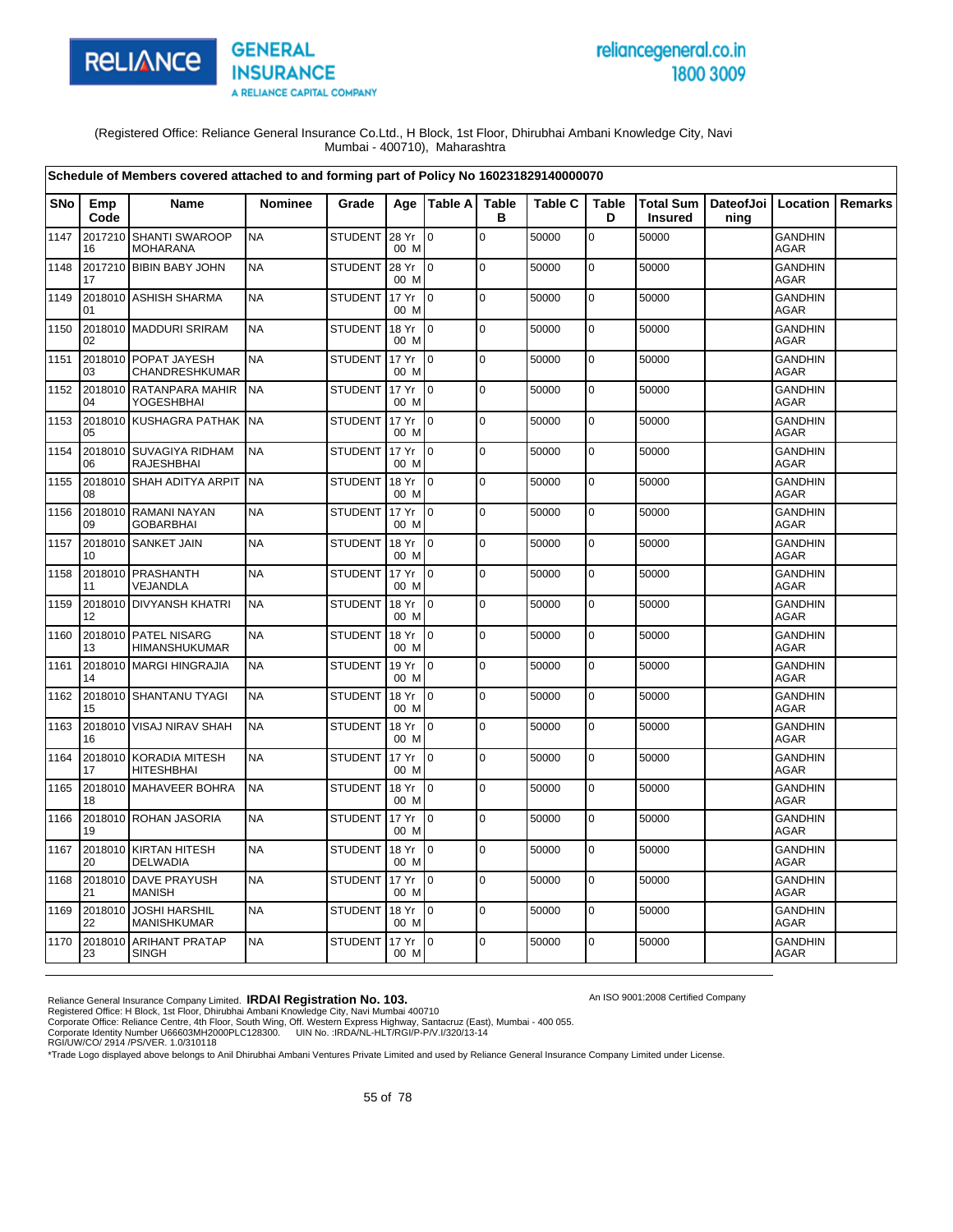

# reliancegeneral.co.in 1800 3009

An ISO 9001:2008 Certified Company

(Registered Office: Reliance General Insurance Co.Ltd., H Block, 1st Floor, Dhirubhai Ambani Knowledge City, Navi Mumbai - 400710), Maharashtra

|            |               | Schedule of Members covered attached to and forming part of Policy No 160231829140000070 |                |                |               |                           |                   |                |                   |                |                                          |                               |         |
|------------|---------------|------------------------------------------------------------------------------------------|----------------|----------------|---------------|---------------------------|-------------------|----------------|-------------------|----------------|------------------------------------------|-------------------------------|---------|
| <b>SNo</b> | Emp<br>Code   | Name                                                                                     | <b>Nominee</b> | Grade          |               | Age   Table A             | <b>Table</b><br>в | <b>Table C</b> | <b>Table</b><br>D | <b>Insured</b> | Total Sum   DateofJoi   Location<br>ning |                               | Remarks |
| 1147       | 16            | 2017210 SHANTI SWAROOP<br><b>MOHARANA</b>                                                | <b>NA</b>      | <b>STUDENT</b> | 28 Yr<br>00 M | $\mathbf 0$               | $\mathbf 0$       | 50000          | 0                 | 50000          |                                          | <b>GANDHIN</b><br>AGAR        |         |
| 1148       | 17            | 2017210 BIBIN BABY JOHN                                                                  | <b>NA</b>      | <b>STUDENT</b> | 28 Yr<br>00 M | $\overline{10}$           | $\pmb{0}$         | 50000          | $\mathbf 0$       | 50000          |                                          | <b>GANDHIN</b><br><b>AGAR</b> |         |
| 1149       | 01            | 2018010 ASHISH SHARMA                                                                    | <b>NA</b>      | <b>STUDENT</b> | 17 Yr<br>00 M | l 0                       | $\mathbf 0$       | 50000          | $\mathbf 0$       | 50000          |                                          | <b>GANDHIN</b><br><b>AGAR</b> |         |
| 1150       | 02            | 2018010 MADDURI SRIRAM                                                                   | <b>NA</b>      | <b>STUDENT</b> | 18 Yr<br>00 M | $\overline{10}$           | $\mathbf 0$       | 50000          | 0                 | 50000          |                                          | <b>GANDHIN</b><br><b>AGAR</b> |         |
| 1151       | 03            | 2018010 POPAT JAYESH<br>CHANDRESHKUMAR                                                   | <b>NA</b>      | <b>STUDENT</b> | 17 Yr<br>00 M | $\overline{10}$           | $\Omega$          | 50000          | 0                 | 50000          |                                          | <b>GANDHIN</b><br><b>AGAR</b> |         |
| 1152       | 04            | 2018010 RATANPARA MAHIR<br><b>YOGESHBHAI</b>                                             | <b>NA</b>      | <b>STUDENT</b> | 17 Yr<br>00 M | I0                        | $\mathbf 0$       | 50000          | $\mathbf 0$       | 50000          |                                          | <b>GANDHIN</b><br><b>AGAR</b> |         |
| 1153       | 05            | 2018010 KUSHAGRA PATHAK NA                                                               |                | <b>STUDENT</b> | 17 Yr<br>00 M | $\overline{10}$           | $\mathbf 0$       | 50000          | $\mathbf 0$       | 50000          |                                          | <b>GANDHIN</b><br>AGAR        |         |
| 1154       | 2018010<br>06 | <b>SUVAGIYA RIDHAM</b><br><b>RAJESHBHAI</b>                                              | <b>NA</b>      | <b>STUDENT</b> | 17 Yr<br>00 M | I0                        | $\mathbf 0$       | 50000          | $\mathbf 0$       | 50000          |                                          | <b>GANDHIN</b><br>AGAR        |         |
| 1155       | 08            | 2018010 SHAH ADITYA ARPIT                                                                | <b>NA</b>      | <b>STUDENT</b> | 18 Yr<br>00 M | $\overline{10}$           | $\mathbf 0$       | 50000          | 0                 | 50000          |                                          | <b>GANDHIN</b><br><b>AGAR</b> |         |
| 1156       | 09            | 2018010 RAMANI NAYAN<br><b>GOBARBHAI</b>                                                 | <b>NA</b>      | <b>STUDENT</b> | 17 Yr<br>00 M | $\overline{10}$           | $\mathbf 0$       | 50000          | $\mathbf 0$       | 50000          |                                          | <b>GANDHIN</b><br><b>AGAR</b> |         |
| 1157       | 10            | 2018010 SANKET JAIN                                                                      | <b>NA</b>      | <b>STUDENT</b> | 18 Yr<br>00 M | $\mathsf{I}^{\mathsf{0}}$ | $\mathbf 0$       | 50000          | $\mathbf 0$       | 50000          |                                          | <b>GANDHIN</b><br><b>AGAR</b> |         |
| 1158       | 11            | 2018010 PRASHANTH<br>VEJANDLA                                                            | <b>NA</b>      | <b>STUDENT</b> | 17 Yr<br>00 M | $\overline{10}$           | $\mathbf 0$       | 50000          | $\mathbf 0$       | 50000          |                                          | <b>GANDHIN</b><br><b>AGAR</b> |         |
| 1159       | 12            | 2018010 DIVYANSH KHATRI                                                                  | <b>NA</b>      | <b>STUDENT</b> | 18 Yr<br>00 M | $\overline{10}$           | $\mathbf 0$       | 50000          | $\mathbf 0$       | 50000          |                                          | <b>GANDHIN</b><br><b>AGAR</b> |         |
| 1160       | 13            | 2018010 PATEL NISARG<br><b>HIMANSHUKUMAR</b>                                             | <b>NA</b>      | <b>STUDENT</b> | 18 Yr<br>00 M | l 0                       | $\mathbf 0$       | 50000          | $\mathbf 0$       | 50000          |                                          | <b>GANDHIN</b><br>AGAR        |         |
| 1161       | 14            | 2018010 MARGI HINGRAJIA                                                                  | <b>NA</b>      | <b>STUDENT</b> | 19 Yr<br>00 M | $\overline{10}$           | $\pmb{0}$         | 50000          | $\mathbf 0$       | 50000          |                                          | <b>GANDHIN</b><br>AGAR        |         |
| 1162       | 15            | 2018010 SHANTANU TYAGI                                                                   | <b>NA</b>      | <b>STUDENT</b> | 18 Yr<br>00 M | $\overline{10}$           | $\Omega$          | 50000          | $\mathbf 0$       | 50000          |                                          | <b>GANDHIN</b><br>AGAR        |         |
| 1163       | 16            | 2018010 VISAJ NIRAV SHAH                                                                 | <b>NA</b>      | <b>STUDENT</b> | 18 Yr<br>00 M | l 0                       | $\pmb{0}$         | 50000          | 0                 | 50000          |                                          | <b>GANDHIN</b><br><b>AGAR</b> |         |
| 1164       | 17            | 2018010 KORADIA MITESH<br><b>HITESHBHAI</b>                                              | <b>NA</b>      | <b>STUDENT</b> | 17 Yr<br>00 M | $\overline{10}$           | 0                 | 50000          | $\mathbf 0$       | 50000          |                                          | <b>GANDHIN</b><br><b>AGAR</b> |         |
| 1165       | 18            | 2018010 MAHAVEER BOHRA                                                                   | <b>NA</b>      | <b>STUDENT</b> | 18 Yr<br>00 M | l 0                       | $\mathbf 0$       | 50000          | 0                 | 50000          |                                          | <b>GANDHIN</b><br><b>AGAR</b> |         |
| 1166       | 19            | 2018010 ROHAN JASORIA                                                                    | <b>NA</b>      | <b>STUDENT</b> | 17 Yr<br>00 M | $\overline{10}$           | $\mathbf 0$       | 50000          | $\mathbf 0$       | 50000          |                                          | <b>GANDHIN</b><br><b>AGAR</b> |         |
| 1167       | 20            | 2018010 KIRTAN HITESH<br><b>DELWADIA</b>                                                 | <b>NA</b>      | <b>STUDENT</b> | 18 Yr<br>00 M | $\overline{10}$           | $\mathbf 0$       | 50000          | $\mathbf 0$       | 50000          |                                          | <b>GANDHIN</b><br>AGAR        |         |
| 1168       | 21            | 2018010 DAVE PRAYUSH<br><b>MANISH</b>                                                    | <b>NA</b>      | <b>STUDENT</b> | 17 Yr<br>00 M | $\overline{0}$            | $\mathbf 0$       | 50000          | 0                 | 50000          |                                          | <b>GANDHIN</b><br>AGAR        |         |
| 1169       | 2018010<br>22 | <b>JOSHI HARSHIL</b><br><b>MANISHKUMAR</b>                                               | <b>NA</b>      | <b>STUDENT</b> | 18 Yr<br>00 M | l 0                       | $\Omega$          | 50000          | $\mathbf 0$       | 50000          |                                          | <b>GANDHIN</b><br>AGAR        |         |
| 1170       | 23            | 2018010 ARIHANT PRATAP<br><b>SINGH</b>                                                   | <b>NA</b>      | <b>STUDENT</b> | 17 Yr<br>00 M | $\overline{10}$           | $\mathbf 0$       | 50000          | 0                 | 50000          |                                          | GANDHIN<br>AGAR               |         |

Reliance General Insurance Company Limited. **IRDAI Registration No. 103.**<br>Registered Office: H Block, 1st Floor, Dhirubhai Ambani Knowledge City, Navi Mumbai 400710<br>Corporate Office: Reliance Centre, 4th Floor, South Wing,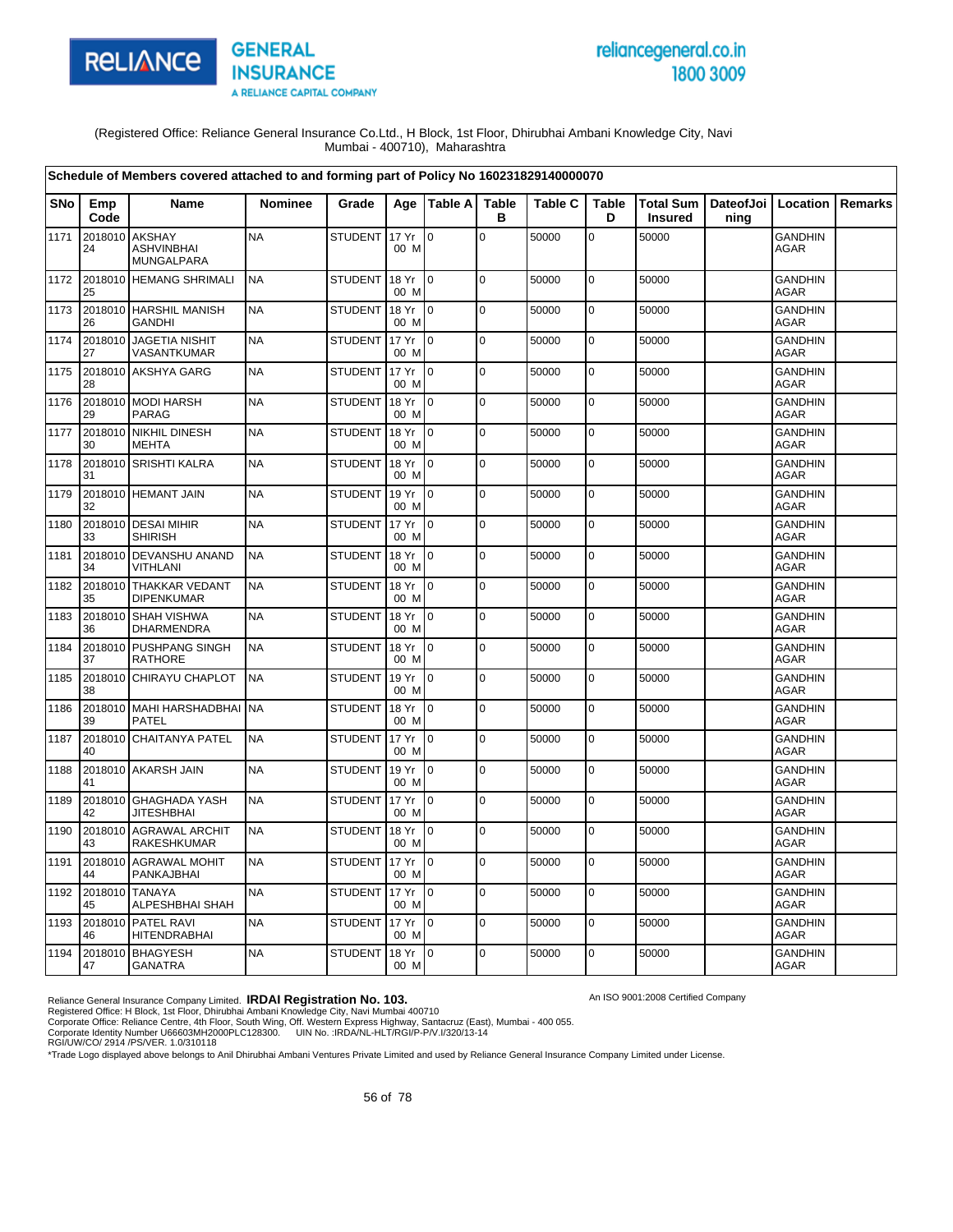

# reliancegeneral.co.in 1800 3009

An ISO 9001:2008 Certified Company

(Registered Office: Reliance General Insurance Co.Ltd., H Block, 1st Floor, Dhirubhai Ambani Knowledge City, Navi Mumbai - 400710), Maharashtra

|            |               | Schedule of Members covered attached to and forming part of Policy No 160231829140000070 |                |                |                 |                |                   |                |                   |                |                                          |                               |         |
|------------|---------------|------------------------------------------------------------------------------------------|----------------|----------------|-----------------|----------------|-------------------|----------------|-------------------|----------------|------------------------------------------|-------------------------------|---------|
| <b>SNo</b> | Emp<br>Code   | <b>Name</b>                                                                              | <b>Nominee</b> | Grade          |                 | Age   Table A  | <b>Table</b><br>в | <b>Table C</b> | <b>Table</b><br>D | <b>Insured</b> | Total Sum   DateofJoi   Location<br>ning |                               | Remarks |
| 1171       | 2018010<br>24 | <b>AKSHAY</b><br><b>ASHVINBHAI</b><br>MUNGALPARA                                         | <b>NA</b>      | <b>STUDENT</b> | 17 Yr<br>00 M   | $\overline{0}$ | $\pmb{0}$         | 50000          | 0                 | 50000          |                                          | <b>GANDHIN</b><br><b>AGAR</b> |         |
| 1172       | 25            | 2018010 HEMANG SHRIMALI                                                                  | <b>NA</b>      | <b>STUDENT</b> | 18 Yr<br>00 M   | l 0            | $\mathbf 0$       | 50000          | $\pmb{0}$         | 50000          |                                          | <b>GANDHIN</b><br><b>AGAR</b> |         |
| 1173       | 26            | 2018010 HARSHIL MANISH<br><b>GANDHI</b>                                                  | <b>NA</b>      | <b>STUDENT</b> | 18 Yr<br>00 M   | $\overline{0}$ | $\mathbf 0$       | 50000          | $\pmb{0}$         | 50000          |                                          | <b>GANDHIN</b><br><b>AGAR</b> |         |
| 1174       | 27            | 2018010 JAGETIA NISHIT<br>VASANTKUMAR                                                    | <b>NA</b>      | <b>STUDENT</b> | 17 Yr<br>00 M   | I0             | $\Omega$          | 50000          | $\mathbf 0$       | 50000          |                                          | <b>GANDHIN</b><br><b>AGAR</b> |         |
| 1175       | 28            | 2018010 AKSHYA GARG                                                                      | <b>NA</b>      | <b>STUDENT</b> | 17 Yr<br>00 M   | $\overline{0}$ | $\mathbf 0$       | 50000          | 0                 | 50000          |                                          | <b>GANDHIN</b><br><b>AGAR</b> |         |
| 1176       | 29            | 2018010 MODI HARSH<br><b>PARAG</b>                                                       | <b>NA</b>      | <b>STUDENT</b> | 18 Yr<br>00 M   | $\overline{0}$ | $\mathbf 0$       | 50000          | $\mathbf 0$       | 50000          |                                          | <b>GANDHIN</b><br>AGAR        |         |
| 1177       | 2018010<br>30 | <b>NIKHIL DINESH</b><br><b>MEHTA</b>                                                     | <b>NA</b>      | <b>STUDENT</b> | 18 Yr<br>00 M   | $\overline{0}$ | $\mathbf 0$       | 50000          | $\pmb{0}$         | 50000          |                                          | <b>GANDHIN</b><br>AGAR        |         |
| 1178       | 31            | 2018010 SRISHTI KALRA                                                                    | <b>NA</b>      | <b>STUDENT</b> | 18 Yr<br>00 M   | $\overline{0}$ | l o               | 50000          | $\pmb{0}$         | 50000          |                                          | <b>GANDHIN</b><br><b>AGAR</b> |         |
| 1179       | 2018010<br>32 | <b>HEMANT JAIN</b>                                                                       | <b>NA</b>      | <b>STUDENT</b> | 19 Yr<br>00 M   | $\Omega$       | $\pmb{0}$         | 50000          | 0                 | 50000          |                                          | <b>GANDHIN</b><br><b>AGAR</b> |         |
| 1180       | 33            | 2018010 DESAI MIHIR<br><b>SHIRISH</b>                                                    | <b>NA</b>      | <b>STUDENT</b> | 17 Yr<br>00 M   | Io.            | $\pmb{0}$         | 50000          | $\pmb{0}$         | 50000          |                                          | <b>GANDHIN</b><br><b>AGAR</b> |         |
| 1181       | 34            | 2018010 DEVANSHU ANAND<br><b>VITHLANI</b>                                                | <b>NA</b>      | <b>STUDENT</b> | 18 Yr<br>00 M   | $\overline{0}$ | $\Omega$          | 50000          | $\pmb{0}$         | 50000          |                                          | <b>GANDHIN</b><br><b>AGAR</b> |         |
| 1182       | 35            | 2018010 THAKKAR VEDANT<br><b>DIPENKUMAR</b>                                              | <b>NA</b>      | <b>STUDENT</b> | 18 Yr<br>00 M   | $\overline{0}$ | $\mathbf 0$       | 50000          | 0                 | 50000          |                                          | GANDHIN<br><b>AGAR</b>        |         |
| 1183       | 2018010<br>36 | <b>SHAH VISHWA</b><br>DHARMENDRA                                                         | <b>NA</b>      | <b>STUDENT</b> | 18 Yr<br>00 M   | $\overline{0}$ | $\mathbf 0$       | 50000          | $\mathbf 0$       | 50000          |                                          | <b>GANDHIN</b><br>AGAR        |         |
| 1184       | 2018010<br>37 | <b>PUSHPANG SINGH</b><br>RATHORE                                                         | <b>NA</b>      | <b>STUDENT</b> | 18 Yr<br>00 M   | $\Omega$       | $\mathbf 0$       | 50000          | $\mathbf 0$       | 50000          |                                          | <b>GANDHIN</b><br>AGAR        |         |
| 1185       | 38            | 2018010 CHIRAYU CHAPLOT                                                                  | <b>NA</b>      | <b>STUDENT</b> | 19 Yr<br>00 M   | $\overline{0}$ | l o               | 50000          | $\pmb{0}$         | 50000          |                                          | <b>GANDHIN</b><br><b>AGAR</b> |         |
| 1186       | 2018010<br>39 | <b>MAHI HARSHADBHAI</b><br><b>PATEL</b>                                                  | <b>NA</b>      | <b>STUDENT</b> | 18 Yr<br>00 M   | $\overline{0}$ | $\mathbf 0$       | 50000          | 0                 | 50000          |                                          | <b>GANDHIN</b><br><b>AGAR</b> |         |
| 1187       | 2018010<br>40 | <b>CHAITANYA PATEL</b>                                                                   | <b>NA</b>      | <b>STUDENT</b> | 17 Yr<br>00 M   | $\overline{0}$ | $\mathbf 0$       | 50000          | $\pmb{0}$         | 50000          |                                          | <b>GANDHIN</b><br><b>AGAR</b> |         |
| 1188       | 41            | 2018010 AKARSH JAIN                                                                      | <b>NA</b>      | <b>STUDENT</b> | 19 Yr<br>00 M   | $\overline{0}$ | $\mathbf 0$       | 50000          | $\mathbf 0$       | 50000          |                                          | <b>GANDHIN</b><br><b>AGAR</b> |         |
| 1189       | 42            | 2018010 GHAGHADA YASH<br><b>JITESHBHAI</b>                                               | <b>NA</b>      | <b>STUDENT</b> | 17 Yr<br>00 M   | $\overline{0}$ | $\mathbf 0$       | 50000          | $\pmb{0}$         | 50000          |                                          | <b>GANDHIN</b><br><b>AGAR</b> |         |
| 1190       | 2018010<br>43 | <b>AGRAWAL ARCHIT</b><br>RAKESHKUMAR                                                     | <b>NA</b>      | <b>STUDENT</b> | 18 Yr<br>00 M   | $\overline{0}$ | $\pmb{0}$         | 50000          | $\pmb{0}$         | 50000          |                                          | <b>GANDHIN</b><br>AGAR        |         |
| 1191       | 2018010<br>44 | <b>AGRAWAL MOHIT</b><br>PANKAJBHAI                                                       | <b>NA</b>      | <b>STUDENT</b> | 17 Yr<br>00 M   | l 0            | $\mathbf 0$       | 50000          | $\mathbf 0$       | 50000          |                                          | <b>GANDHIN</b><br>AGAR        |         |
| 1192       | 2018010<br>45 | <b>TANAYA</b><br>ALPESHBHAI SHAH                                                         | <b>NA</b>      | <b>STUDENT</b> | 17 Yr<br>00 M   | l 0            | $\pmb{0}$         | 50000          | 0                 | 50000          |                                          | <b>GANDHIN</b><br><b>AGAR</b> |         |
| 1193       | 2018010<br>46 | <b>PATEL RAVI</b><br><b>HITENDRABHAI</b>                                                 | <b>NA</b>      | <b>STUDENT</b> | 17 Yr<br>00 M   | $\overline{0}$ | $\mathbf 0$       | 50000          | $\mathbf 0$       | 50000          |                                          | <b>GANDHIN</b><br><b>AGAR</b> |         |
| 1194       | 47            | 2018010 BHAGYESH<br><b>GANATRA</b>                                                       | <b>NA</b>      | <b>STUDENT</b> | 18 Yr 0<br>00 M |                | $\Omega$          | 50000          | 0                 | 50000          |                                          | <b>GANDHIN</b><br><b>AGAR</b> |         |

Reliance General Insurance Company Limited. **IRDAI Registration No. 103.**<br>Registered Office: H Block, 1st Floor, Dhirubhai Ambani Knowledge City, Navi Mumbai 400710<br>Corporate Office: Reliance Centre, 4th Floor, South Wing,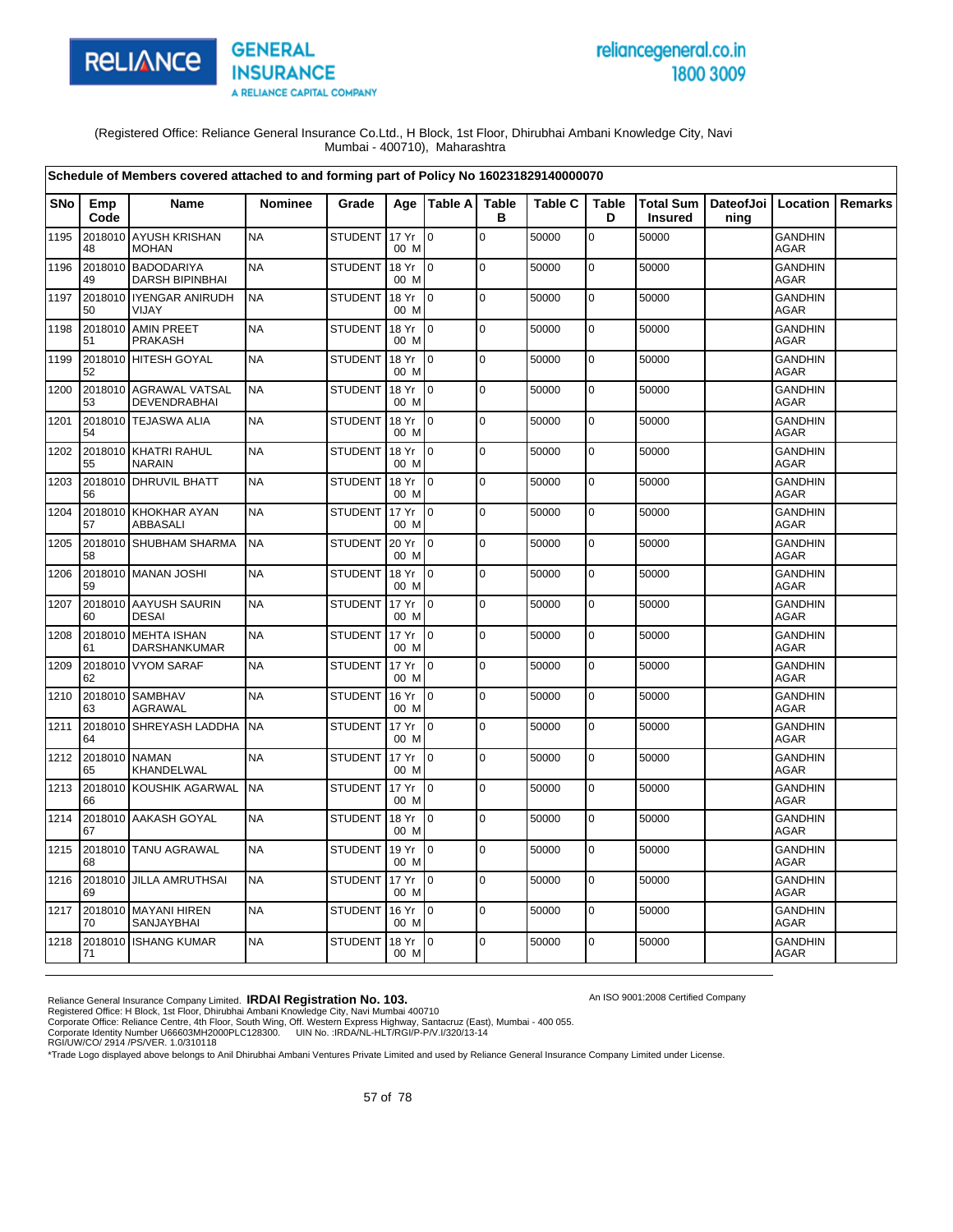

# reliancegeneral.co.in 1800 3009

An ISO 9001:2008 Certified Company

(Registered Office: Reliance General Insurance Co.Ltd., H Block, 1st Floor, Dhirubhai Ambani Knowledge City, Navi Mumbai - 400710), Maharashtra

|      |                     | Schedule of Members covered attached to and forming part of Policy No 160231829140000070 |                |                |               |                           |                   |                |                   |                             |                              |                               |                |
|------|---------------------|------------------------------------------------------------------------------------------|----------------|----------------|---------------|---------------------------|-------------------|----------------|-------------------|-----------------------------|------------------------------|-------------------------------|----------------|
| SNo  | Emp<br>Code         | Name                                                                                     | <b>Nominee</b> | Grade          |               | Age   Table A             | <b>Table</b><br>в | <b>Table C</b> | <b>Table</b><br>D | Total Sum<br><b>Insured</b> | DateofJoi   Location<br>ning |                               | <b>Remarks</b> |
| 1195 | 48                  | 2018010 AYUSH KRISHAN<br><b>MOHAN</b>                                                    | <b>NA</b>      | STUDENT        | 17 Yr<br>00 M | lo.                       | $\mathsf 0$       | 50000          | $\mathbf 0$       | 50000                       |                              | <b>GANDHIN</b><br><b>AGAR</b> |                |
| 1196 | 49                  | 2018010 BADODARIYA<br><b>DARSH BIPINBHAI</b>                                             | <b>NA</b>      | <b>STUDENT</b> | 18 Yr<br>00 M | I <sub>0</sub>            | $\mathbf 0$       | 50000          | 0                 | 50000                       |                              | <b>GANDHIN</b><br><b>AGAR</b> |                |
| 1197 | 50                  | 2018010 IYENGAR ANIRUDH<br><b>VIJAY</b>                                                  | <b>NA</b>      | <b>STUDENT</b> | 18 Yr<br>00 M | $\mathsf{I}^{\mathsf{0}}$ | $\mathbf 0$       | 50000          | $\mathbf 0$       | 50000                       |                              | <b>GANDHIN</b><br><b>AGAR</b> |                |
| 1198 | 2018010<br>51       | <b>AMIN PREET</b><br><b>PRAKASH</b>                                                      | <b>NA</b>      | <b>STUDENT</b> | 18 Yr<br>00 M | I <sub>0</sub>            | $\mathbf 0$       | 50000          | $\mathbf 0$       | 50000                       |                              | <b>GANDHIN</b><br><b>AGAR</b> |                |
| 1199 | 52                  | 2018010 HITESH GOYAL                                                                     | <b>NA</b>      | <b>STUDENT</b> | 18 Yr<br>00 M | $\overline{10}$           | $\mathbf 0$       | 50000          | $\mathbf 0$       | 50000                       |                              | <b>GANDHIN</b><br><b>AGAR</b> |                |
| 1200 | 53                  | 2018010 AGRAWAL VATSAL<br>DEVENDRABHAI                                                   | <b>NA</b>      | <b>STUDENT</b> | 18 Yr<br>00 M | $\overline{10}$           | $\mathbf 0$       | 50000          | $\overline{0}$    | 50000                       |                              | <b>GANDHIN</b><br>AGAR        |                |
| 1201 | 54                  | 2018010 TEJASWA ALIA                                                                     | <b>NA</b>      | <b>STUDENT</b> | 18 Yr<br>00 M | $\overline{10}$           | $\mathbf 0$       | 50000          | $\mathbf 0$       | 50000                       |                              | <b>GANDHIN</b><br><b>AGAR</b> |                |
| 1202 | 2018010<br>55       | <b>KHATRI RAHUL</b><br><b>NARAIN</b>                                                     | <b>NA</b>      | <b>STUDENT</b> | 18 Yr<br>00 M | $\overline{10}$           | $\mathbf 0$       | 50000          | $\mathbf 0$       | 50000                       |                              | <b>GANDHIN</b><br><b>AGAR</b> |                |
| 1203 | 56                  | 2018010 DHRUVIL BHATT                                                                    | <b>NA</b>      | <b>STUDENT</b> | 18 Yr<br>00 M | I <sub>0</sub>            | $\overline{0}$    | 50000          | $\pmb{0}$         | 50000                       |                              | <b>GANDHIN</b><br><b>AGAR</b> |                |
| 1204 | 57                  | 2018010 KHOKHAR AYAN<br>ABBASALI                                                         | <b>NA</b>      | <b>STUDENT</b> | 17 Yr<br>00 M | $\overline{10}$           | $\mathbf 0$       | 50000          | 0                 | 50000                       |                              | <b>GANDHIN</b><br><b>AGAR</b> |                |
| 1205 | 58                  | 2018010 SHUBHAM SHARMA                                                                   | <b>NA</b>      | <b>STUDENT</b> | 20 Yr<br>00 M | $\overline{10}$           | $\pmb{0}$         | 50000          | 0                 | 50000                       |                              | <b>GANDHIN</b><br>AGAR        |                |
| 1206 | 59                  | 2018010 MANAN JOSHI                                                                      | <b>NA</b>      | <b>STUDENT</b> | 18 Yr<br>00 M | $\overline{10}$           | $\Omega$          | 50000          | $\mathbf 0$       | 50000                       |                              | <b>GANDHIN</b><br><b>AGAR</b> |                |
| 1207 | 60                  | 2018010 AAYUSH SAURIN<br><b>DESAI</b>                                                    | <b>NA</b>      | <b>STUDENT</b> | 17 Yr<br>00 M | I <sub>0</sub>            | $\mathbf 0$       | 50000          | 0                 | 50000                       |                              | <b>GANDHIN</b><br>AGAR        |                |
| 1208 | 61                  | 2018010 MEHTA ISHAN<br><b>DARSHANKUMAR</b>                                               | <b>NA</b>      | <b>STUDENT</b> | 17 Yr<br>00 M | $\overline{10}$           | $\mathbf 0$       | 50000          | $\mathbf 0$       | 50000                       |                              | <b>GANDHIN</b><br><b>AGAR</b> |                |
| 1209 | 62                  | 2018010 VYOM SARAF                                                                       | <b>NA</b>      | <b>STUDENT</b> | 17 Yr<br>00 M | l0                        | $\mathbf 0$       | 50000          | $\mathbf 0$       | 50000                       |                              | <b>GANDHIN</b><br>AGAR        |                |
| 1210 | 2018010<br>63       | <b>SAMBHAV</b><br>AGRAWAL                                                                | <b>NA</b>      | <b>STUDENT</b> | 16 Yr<br>00 M | $\overline{10}$           | $\Omega$          | 50000          | $\mathbf 0$       | 50000                       |                              | <b>GANDHIN</b><br><b>AGAR</b> |                |
| 1211 | 64                  | 2018010 SHREYASH LADDHA                                                                  | <b>NA</b>      | <b>STUDENT</b> | 17 Yr<br>00 M | I0                        | $\mathbf 0$       | 50000          | $\pmb{0}$         | 50000                       |                              | <b>GANDHIN</b><br>AGAR        |                |
| 1212 | 2018010 NAMAN<br>65 | KHANDELWAL                                                                               | <b>NA</b>      | <b>STUDENT</b> | 17 Yr<br>00 M | I <sub>0</sub>            | $\mathbf 0$       | 50000          | 0                 | 50000                       |                              | <b>GANDHIN</b><br><b>AGAR</b> |                |
| 1213 | 66                  | 2018010 KOUSHIK AGARWAL                                                                  | <b>NA</b>      | <b>STUDENT</b> | 17 Yr<br>00 M | $\overline{10}$           | $\mathbf 0$       | 50000          | $\mathbf 0$       | 50000                       |                              | <b>GANDHIN</b><br>AGAR        |                |
| 1214 | 67                  | 2018010 AAKASH GOYAL                                                                     | <b>NA</b>      | <b>STUDENT</b> | 18 Yr<br>00 M | $\overline{10}$           | $\Omega$          | 50000          | $\mathbf 0$       | 50000                       |                              | <b>GANDHIN</b><br><b>AGAR</b> |                |
| 1215 | 68                  | 2018010 TANU AGRAWAL                                                                     | <b>NA</b>      | <b>STUDENT</b> | 19 Yr<br>00 M | $\overline{0}$            | $\mathbf 0$       | 50000          | 0                 | 50000                       |                              | <b>GANDHIN</b><br>AGAR        |                |
| 1216 | 69                  | 2018010 JILLA AMRUTHSAI                                                                  | <b>NA</b>      | STUDENT        | 17 Yr<br>00 M | $\overline{10}$           | $\mathbf 0$       | 50000          | $\mathbf 0$       | 50000                       |                              | GANDHIN<br><b>AGAR</b>        |                |
| 1217 | 70                  | 2018010 MAYANI HIREN<br>SANJAYBHAI                                                       | <b>NA</b>      | <b>STUDENT</b> | 16 Yr<br>00 M | $\overline{10}$           | $\mathbf 0$       | 50000          | $\pmb{0}$         | 50000                       |                              | <b>GANDHIN</b><br>AGAR        |                |
| 1218 | 71                  | 2018010 ISHANG KUMAR                                                                     | <b>NA</b>      | <b>STUDENT</b> | 18 Yr<br>00 M | I <sub>0</sub>            | $\Omega$          | 50000          | $\mathbf 0$       | 50000                       |                              | <b>GANDHIN</b><br><b>AGAR</b> |                |

Reliance General Insurance Company Limited. **IRDAI Registration No. 103.**<br>Registered Office: H Block, 1st Floor, Dhirubhai Ambani Knowledge City, Navi Mumbai 400710<br>Corporate Office: Reliance Centre, 4th Floor, South Wing,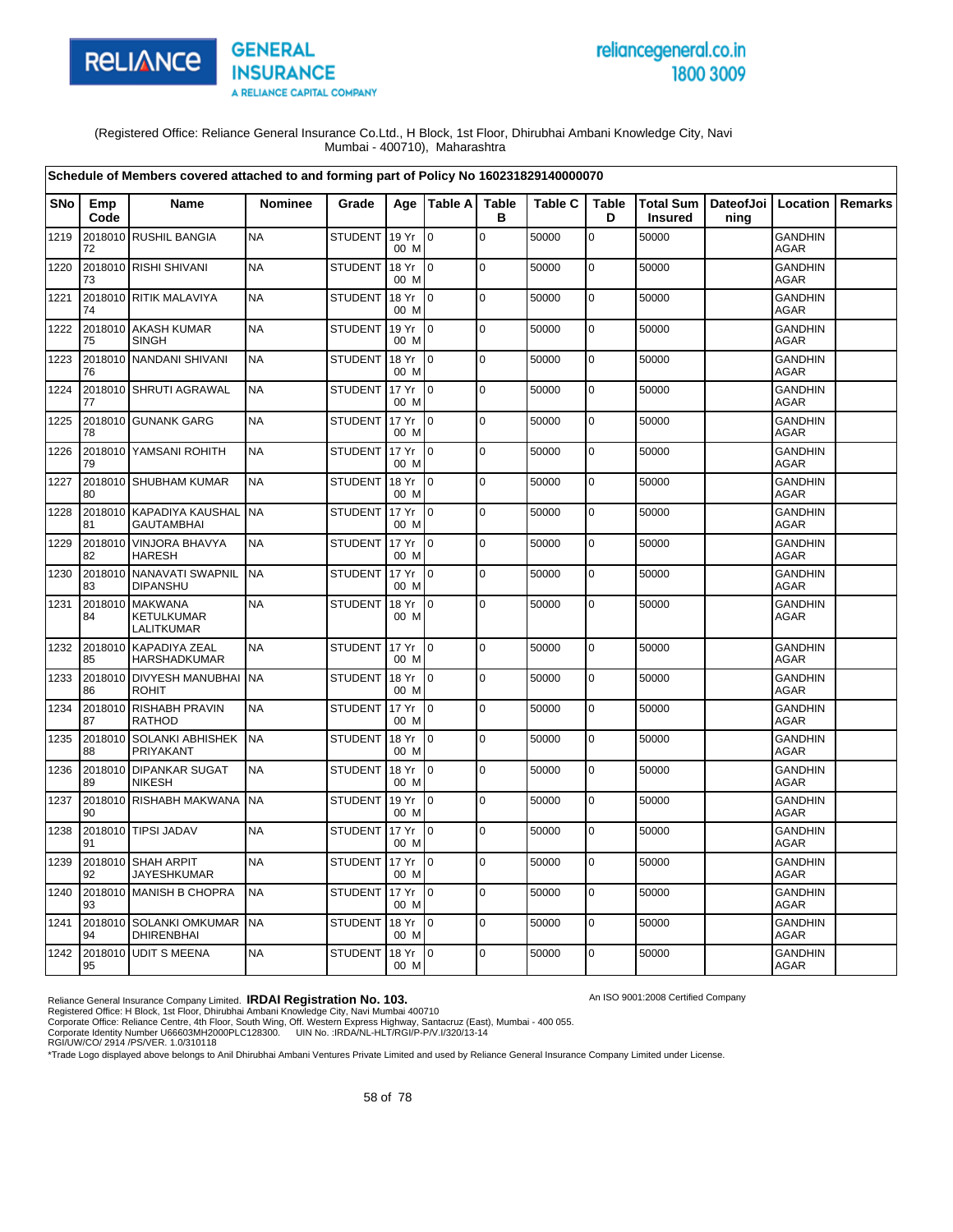

# reliancegeneral.co.in 1800 3009

An ISO 9001:2008 Certified Company

(Registered Office: Reliance General Insurance Co.Ltd., H Block, 1st Floor, Dhirubhai Ambani Knowledge City, Navi Mumbai - 400710), Maharashtra

|            |               | Schedule of Members covered attached to and forming part of Policy No 160231829140000070 |                |                |               |                 |                   |                |                   |                                    |                              |                               |         |
|------------|---------------|------------------------------------------------------------------------------------------|----------------|----------------|---------------|-----------------|-------------------|----------------|-------------------|------------------------------------|------------------------------|-------------------------------|---------|
| <b>SNo</b> | Emp<br>Code   | <b>Name</b>                                                                              | <b>Nominee</b> | Grade          | Age           | Table A         | <b>Table</b><br>в | <b>Table C</b> | <b>Table</b><br>D | <b>Total Sum</b><br><b>Insured</b> | DateofJoi   Location<br>ning |                               | Remarks |
| 1219       | 72            | 2018010 RUSHIL BANGIA                                                                    | <b>NA</b>      | STUDENT        | 19 Yr<br>00 M | l 0             | $\mathbf 0$       | 50000          | $\overline{0}$    | 50000                              |                              | <b>GANDHIN</b><br><b>AGAR</b> |         |
| 1220       | 73            | 2018010 RISHI SHIVANI                                                                    | <b>NA</b>      | <b>STUDENT</b> | 18 Yr<br>00 M | l 0             | $\mathbf 0$       | 50000          | $\mathbf 0$       | 50000                              |                              | <b>GANDHIN</b><br><b>AGAR</b> |         |
| 1221       | 74            | 2018010 RITIK MALAVIYA                                                                   | <b>NA</b>      | <b>STUDENT</b> | 18 Yr<br>00 M | l 0             | $\mathbf 0$       | 50000          | $\mathbf 0$       | 50000                              |                              | <b>GANDHIN</b><br><b>AGAR</b> |         |
| 1222       | 75            | 2018010 AKASH KUMAR<br><b>SINGH</b>                                                      | <b>NA</b>      | <b>STUDENT</b> | 19 Yr<br>00 M | Io.             | l o               | 50000          | $\mathbf 0$       | 50000                              |                              | <b>GANDHIN</b><br>AGAR        |         |
| 1223       | 76            | 2018010 NANDANI SHIVANI                                                                  | <b>NA</b>      | <b>STUDENT</b> | 18 Yr<br>00 M | $\Omega$        | $\Omega$          | 50000          | $\pmb{0}$         | 50000                              |                              | <b>GANDHIN</b><br>AGAR        |         |
| 1224       | 77            | 2018010 SHRUTI AGRAWAL                                                                   | <b>NA</b>      | <b>STUDENT</b> | 17 Yr<br>00 M | $\Omega$        | $\pmb{0}$         | 50000          | $\pmb{0}$         | 50000                              |                              | <b>GANDHIN</b><br>AGAR        |         |
| 1225       | 78            | 2018010 GUNANK GARG                                                                      | <b>NA</b>      | <b>STUDENT</b> | 17 Yr<br>00 M | Io.             | l o               | 50000          | $\pmb{0}$         | 50000                              |                              | <b>GANDHIN</b><br>AGAR        |         |
| 1226       | 79            | 2018010 YAMSANI ROHITH                                                                   | <b>NA</b>      | <b>STUDENT</b> | 17 Yr<br>00 M | lo.             | $\pmb{0}$         | 50000          | $\pmb{0}$         | 50000                              |                              | GANDHIN<br><b>AGAR</b>        |         |
| 1227       | 80            | 2018010 SHUBHAM KUMAR                                                                    | <b>NA</b>      | <b>STUDENT</b> | 18 Yr<br>00 M | I0.             | $\pmb{0}$         | 50000          | $\pmb{0}$         | 50000                              |                              | <b>GANDHIN</b><br>AGAR        |         |
| 1228       | 81            | 2018010 KAPADIYA KAUSHAL NA<br><b>GAUTAMBHAI</b>                                         |                | <b>STUDENT</b> | 17 Yr<br>00 M | $\overline{0}$  | $\mathbf 0$       | 50000          | $\mathbf 0$       | 50000                              |                              | <b>GANDHIN</b><br><b>AGAR</b> |         |
| 1229       | 2018010<br>82 | <b>VINJORA BHAVYA</b><br><b>HARESH</b>                                                   | <b>NA</b>      | <b>STUDENT</b> | 17 Yr<br>00 M | $\overline{0}$  | $\mathbf 0$       | 50000          | $\pmb{0}$         | 50000                              |                              | <b>GANDHIN</b><br><b>AGAR</b> |         |
| 1230       | 2018010<br>83 | <b>NANAVATI SWAPNIL</b><br><b>DIPANSHU</b>                                               | <b>NA</b>      | <b>STUDENT</b> | 17 Yr<br>00 M | $\overline{0}$  | $\mathbf 0$       | 50000          | $\pmb{0}$         | 50000                              |                              | <b>GANDHIN</b><br>AGAR        |         |
| 1231       | 2018010<br>84 | <b>MAKWANA</b><br>KETULKUMAR<br>LALITKUMAR                                               | <b>NA</b>      | <b>STUDENT</b> | 18 Yr<br>00 M | $\overline{0}$  | $\Omega$          | 50000          | $\mathbf 0$       | 50000                              |                              | <b>GANDHIN</b><br><b>AGAR</b> |         |
| 1232       | 2018010<br>85 | <b>KAPADIYA ZEAL</b><br>HARSHADKUMAR                                                     | <b>NA</b>      | <b>STUDENT</b> | 17 Yr<br>00 M | $\overline{0}$  | $\Omega$          | 50000          | $\mathbf 0$       | 50000                              |                              | <b>GANDHIN</b><br>AGAR        |         |
| 1233       | 2018010<br>86 | <b>DIVYESH MANUBHAI</b><br><b>ROHIT</b>                                                  | <b>NA</b>      | <b>STUDENT</b> | 18 Yr<br>00 M | Io.             | $\mathbf 0$       | 50000          | $\pmb{0}$         | 50000                              |                              | <b>GANDHIN</b><br><b>AGAR</b> |         |
| 1234       | 2018010<br>87 | <b>RISHABH PRAVIN</b><br><b>RATHOD</b>                                                   | <b>NA</b>      | <b>STUDENT</b> | 17 Yr<br>00 M | $\overline{0}$  | $\mathbf 0$       | 50000          | 0                 | 50000                              |                              | <b>GANDHIN</b><br><b>AGAR</b> |         |
| 1235       | 2018010<br>88 | <b>SOLANKI ABHISHEK</b><br>PRIYAKANT                                                     | <b>NA</b>      | <b>STUDENT</b> | 18 Yr<br>00 M | l 0             | $\Omega$          | 50000          | $\mathbf 0$       | 50000                              |                              | <b>GANDHIN</b><br><b>AGAR</b> |         |
| 1236       | 89            | 2018010 DIPANKAR SUGAT<br><b>NIKESH</b>                                                  | <b>NA</b>      | <b>STUDENT</b> | 18 Yr<br>00 M | $\overline{0}$  | $\pmb{0}$         | 50000          | 0                 | 50000                              |                              | <b>GANDHIN</b><br><b>AGAR</b> |         |
| 1237       | 2018010<br>90 | <b>RISHABH MAKWANA</b>                                                                   | <b>NA</b>      | <b>STUDENT</b> | 19 Yr<br>00 M | $\Omega$        | $\pmb{0}$         | 50000          | $\pmb{0}$         | 50000                              |                              | <b>GANDHIN</b><br>AGAR        |         |
| 1238       | 91            | 2018010 TIPSI JADAV                                                                      | <b>NA</b>      | <b>STUDENT</b> | 17 Yr<br>00 M | $\overline{0}$  | $\mathbf 0$       | 50000          | $\mathbf 0$       | 50000                              |                              | <b>GANDHIN</b><br><b>AGAR</b> |         |
| 1239       | 2018010<br>92 | <b>SHAH ARPIT</b><br>JAYESHKUMAR                                                         | <b>NA</b>      | <b>STUDENT</b> | 17 Yr<br>00 M | lo.             | $\pmb{0}$         | 50000          | $\pmb{0}$         | 50000                              |                              | GANDHIN<br><b>AGAR</b>        |         |
| 1240       | 93            | 2018010 MANISH B CHOPRA                                                                  | <b>NA</b>      | <b>STUDENT</b> | 17 Yr<br>00 M | 0               | $\mathbf 0$       | 50000          | $\mathsf 0$       | 50000                              |                              | <b>GANDHIN</b><br><b>AGAR</b> |         |
| 1241       | 94            | 2018010 SOLANKI OMKUMAR<br><b>DHIRENBHAI</b>                                             | <b>NA</b>      | <b>STUDENT</b> | 18 Yr<br>00 M | I0              | $\mathbf 0$       | 50000          | $\mathbf 0$       | 50000                              |                              | <b>GANDHIN</b><br><b>AGAR</b> |         |
| 1242       | 95            | 2018010 UDIT S MEENA                                                                     | <b>NA</b>      | <b>STUDENT</b> | 18 Yr<br>00 M | $\overline{10}$ | $\mathbf 0$       | 50000          | 0                 | 50000                              |                              | <b>GANDHIN</b><br><b>AGAR</b> |         |

Reliance General Insurance Company Limited. **IRDAI Registration No. 103.**<br>Registered Office: H Block, 1st Floor, Dhirubhai Ambani Knowledge City, Navi Mumbai 400710<br>Corporate Office: Reliance Centre, 4th Floor, South Wing,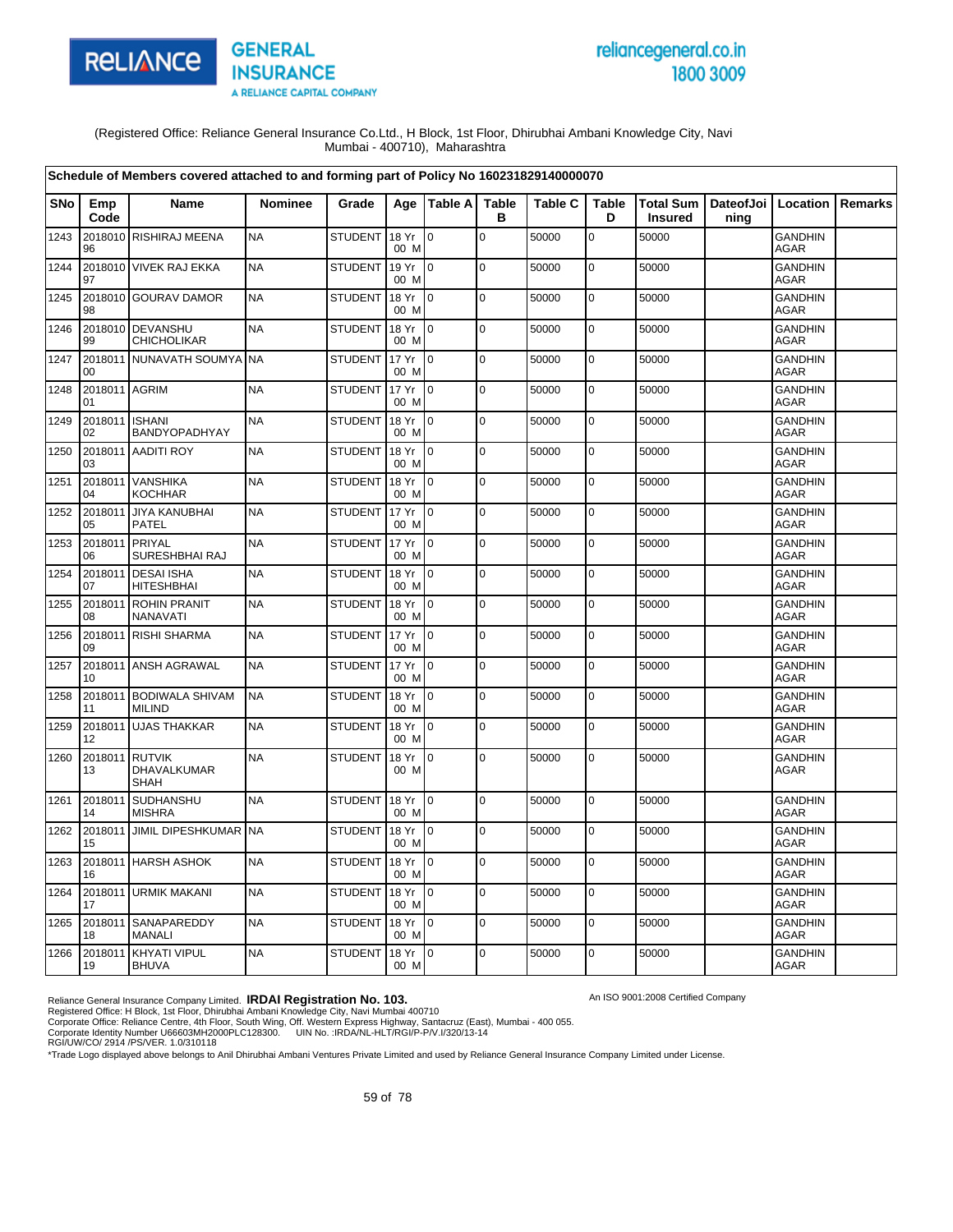

# reliancegeneral.co.in 1800 3009

An ISO 9001:2008 Certified Company

(Registered Office: Reliance General Insurance Co.Ltd., H Block, 1st Floor, Dhirubhai Ambani Knowledge City, Navi Mumbai - 400710), Maharashtra

|      |                      | Schedule of Members covered attached to and forming part of Policy No 160231829140000070 |                |                |                 |                           |                   |                |                   |                |                                            |                               |         |
|------|----------------------|------------------------------------------------------------------------------------------|----------------|----------------|-----------------|---------------------------|-------------------|----------------|-------------------|----------------|--------------------------------------------|-------------------------------|---------|
| SNo  | Emp<br>Code          | <b>Name</b>                                                                              | <b>Nominee</b> | Grade          |                 | Age   Table A             | <b>Table</b><br>в | <b>Table C</b> | <b>Table</b><br>D | <b>Insured</b> | Total Sum   DateofJoi   Location  <br>ning |                               | Remarks |
| 1243 | 96                   | 2018010 RISHIRAJ MEENA                                                                   | <b>NA</b>      | <b>STUDENT</b> | 18 Yr<br>00 M   | $\mathbf 0$               | $\mathbf 0$       | 50000          | $\mathbf 0$       | 50000          |                                            | <b>GANDHIN</b><br><b>AGAR</b> |         |
| 1244 | 97                   | 2018010 VIVEK RAJ EKKA                                                                   | <b>NA</b>      | <b>STUDENT</b> | 19 Yr<br>00 M   | $\overline{10}$           | $\mathbf 0$       | 50000          | $\pmb{0}$         | 50000          |                                            | <b>GANDHIN</b><br><b>AGAR</b> |         |
| 1245 | 98                   | 2018010 GOURAV DAMOR                                                                     | <b>NA</b>      | <b>STUDENT</b> | 18 Yr<br>00 M   | $\overline{10}$           | $\mathbf 0$       | 50000          | $\mathbf 0$       | 50000          |                                            | <b>GANDHIN</b><br><b>AGAR</b> |         |
| 1246 | 99                   | 2018010 DEVANSHU<br><b>CHICHOLIKAR</b>                                                   | <b>NA</b>      | <b>STUDENT</b> | 18 Yr<br>00 M   | I <sub>0</sub>            | $\mathbf 0$       | 50000          | 0                 | 50000          |                                            | <b>GANDHIN</b><br><b>AGAR</b> |         |
| 1247 | 00                   | 2018011 NUNAVATH SOUMYA                                                                  | <b>NA</b>      | <b>STUDENT</b> | 17 Yr<br>00 M   | $\overline{10}$           | $\mathbf 0$       | 50000          | $\mathbf 0$       | 50000          |                                            | <b>GANDHIN</b><br>AGAR        |         |
| 1248 | 2018011 AGRIM<br>01  |                                                                                          | <b>NA</b>      | <b>STUDENT</b> | 17 Yr<br>00 M   | l 0                       | $\mathbf 0$       | 50000          | $\mathbf 0$       | 50000          |                                            | <b>GANDHIN</b><br>AGAR        |         |
| 1249 | 2018011 ISHANI<br>02 | BANDYOPADHYAY                                                                            | <b>NA</b>      | <b>STUDENT</b> | 18 Yr<br>00 M   | I <sub>0</sub>            | $\mathbf 0$       | 50000          | 0                 | 50000          |                                            | <b>GANDHIN</b><br>AGAR        |         |
| 1250 | 2018011<br>03        | <b>AADITI ROY</b>                                                                        | <b>NA</b>      | <b>STUDENT</b> | 18 Yr<br>00 M   | I0                        | $\mathbf 0$       | 50000          | $\mathbf 0$       | 50000          |                                            | <b>GANDHIN</b><br><b>AGAR</b> |         |
| 1251 | 04                   | 2018011 VANSHIKA<br><b>KOCHHAR</b>                                                       | <b>NA</b>      | <b>STUDENT</b> | 18 Yr<br>00 M   | $\mathsf{I}^{\mathsf{0}}$ | $\mathbf 0$       | 50000          | $\mathbf 0$       | 50000          |                                            | <b>GANDHIN</b><br><b>AGAR</b> |         |
| 1252 | 05                   | 2018011 JIYA KANUBHAI<br><b>PATEL</b>                                                    | <b>NA</b>      | <b>STUDENT</b> | 17 Yr<br>00 M   | $\overline{10}$           | $\mathbf 0$       | 50000          | 0                 | 50000          |                                            | <b>GANDHIN</b><br><b>AGAR</b> |         |
| 1253 | 2018011 PRIYAL<br>06 | SURESHBHAI RAJ                                                                           | <b>NA</b>      | <b>STUDENT</b> | 17 Yr<br>00 M   | l 0                       | $\mathbf 0$       | 50000          | 0                 | 50000          |                                            | GANDHIN<br><b>AGAR</b>        |         |
| 1254 | 07                   | 2018011 DESAI ISHA<br><b>HITESHBHAI</b>                                                  | <b>NA</b>      | <b>STUDENT</b> | 18 Yr<br>00 M   | $\overline{0}$            | $\pmb{0}$         | 50000          | $\mathbf 0$       | 50000          |                                            | <b>GANDHIN</b><br>AGAR        |         |
| 1255 | 2018011<br>08        | <b>ROHIN PRANIT</b><br>NANAVATI                                                          | <b>NA</b>      | <b>STUDENT</b> | 18 Yr<br>00 M   | $\overline{0}$            | $\Omega$          | 50000          | $\mathbf 0$       | 50000          |                                            | <b>GANDHIN</b><br>AGAR        |         |
| 1256 | 09                   | 2018011 RISHI SHARMA                                                                     | <b>NA</b>      | <b>STUDENT</b> | 17 Yr<br>00 M   | $\mathsf{I}^{\mathsf{0}}$ | $\pmb{0}$         | 50000          | $\mathbf 0$       | 50000          |                                            | <b>GANDHIN</b><br><b>AGAR</b> |         |
| 1257 | 10                   | 2018011 ANSH AGRAWAL                                                                     | <b>NA</b>      | <b>STUDENT</b> | 17 Yr<br>00 M   | I0                        | $\pmb{0}$         | 50000          | 0                 | 50000          |                                            | <b>GANDHIN</b><br><b>AGAR</b> |         |
| 1258 | 11                   | 2018011 BODIWALA SHIVAM<br><b>MILIND</b>                                                 | <b>NA</b>      | <b>STUDENT</b> | 18 Yr<br>00 M   | $\overline{10}$           | $\mathbf 0$       | 50000          | $\mathbf 0$       | 50000          |                                            | <b>GANDHIN</b><br><b>AGAR</b> |         |
| 1259 | 12                   | 2018011 UJAS THAKKAR                                                                     | <b>NA</b>      | <b>STUDENT</b> | 18 Yr<br>00 M   | $\overline{10}$           | $\mathbf 0$       | 50000          | $\mathbf 0$       | 50000          |                                            | <b>GANDHIN</b><br><b>AGAR</b> |         |
| 1260 | 2018011 RUTVIK<br>13 | DHAVALKUMAR<br><b>SHAH</b>                                                               | <b>NA</b>      | <b>STUDENT</b> | 18 Yr<br>00 M   | $\overline{0}$            | 0                 | 50000          | 0                 | 50000          |                                            | <b>GANDHIN</b><br>AGAR        |         |
| 1261 | 2018011<br>14        | SUDHANSHU<br><b>MISHRA</b>                                                               | <b>NA</b>      | <b>STUDENT</b> | 18 Yr<br>00 M   | I٥                        | $\mathbf 0$       | 50000          | $\mathbf 0$       | 50000          |                                            | <b>GANDHIN</b><br>AGAR        |         |
| 1262 | 15                   | 2018011 JIMIL DIPESHKUMAR NA                                                             |                | <b>STUDENT</b> | 18 Yr<br>00 M   | $\overline{10}$           | $\mathbf 0$       | 50000          | $\mathbf 0$       | 50000          |                                            | <b>GANDHIN</b><br>AGAR        |         |
| 1263 | 16                   | 2018011 HARSH ASHOK                                                                      | <b>NA</b>      | <b>STUDENT</b> | 18 Yr<br>00 M   | $\overline{10}$           | $\pmb{0}$         | 50000          | $\mathbf 0$       | 50000          |                                            | GANDHIN<br><b>AGAR</b>        |         |
| 1264 | 2018011<br>17        | <b>URMIK MAKANI</b>                                                                      | <b>NA</b>      | <b>STUDENT</b> | 18 Yr<br>00 M   | Io.                       | $\mathbf 0$       | 50000          | 0                 | 50000          |                                            | <b>GANDHIN</b><br><b>AGAR</b> |         |
| 1265 | 18                   | 2018011 SANAPAREDDY<br><b>MANALI</b>                                                     | <b>NA</b>      | <b>STUDENT</b> | 18 Yr<br>00 M   | $\overline{10}$           | $\mathbf 0$       | 50000          | $\mathbf 0$       | 50000          |                                            | <b>GANDHIN</b><br><b>AGAR</b> |         |
| 1266 | 19                   | 2018011 KHYATI VIPUL<br><b>BHUVA</b>                                                     | <b>NA</b>      | <b>STUDENT</b> | 18 Yr 0<br>00 M |                           | $\mathbf 0$       | 50000          | 0                 | 50000          |                                            | <b>GANDHIN</b><br>AGAR        |         |

Reliance General Insurance Company Limited. **IRDAI Registration No. 103.**<br>Registered Office: H Block, 1st Floor, Dhirubhai Ambani Knowledge City, Navi Mumbai 400710<br>Corporate Office: Reliance Centre, 4th Floor, South Wing,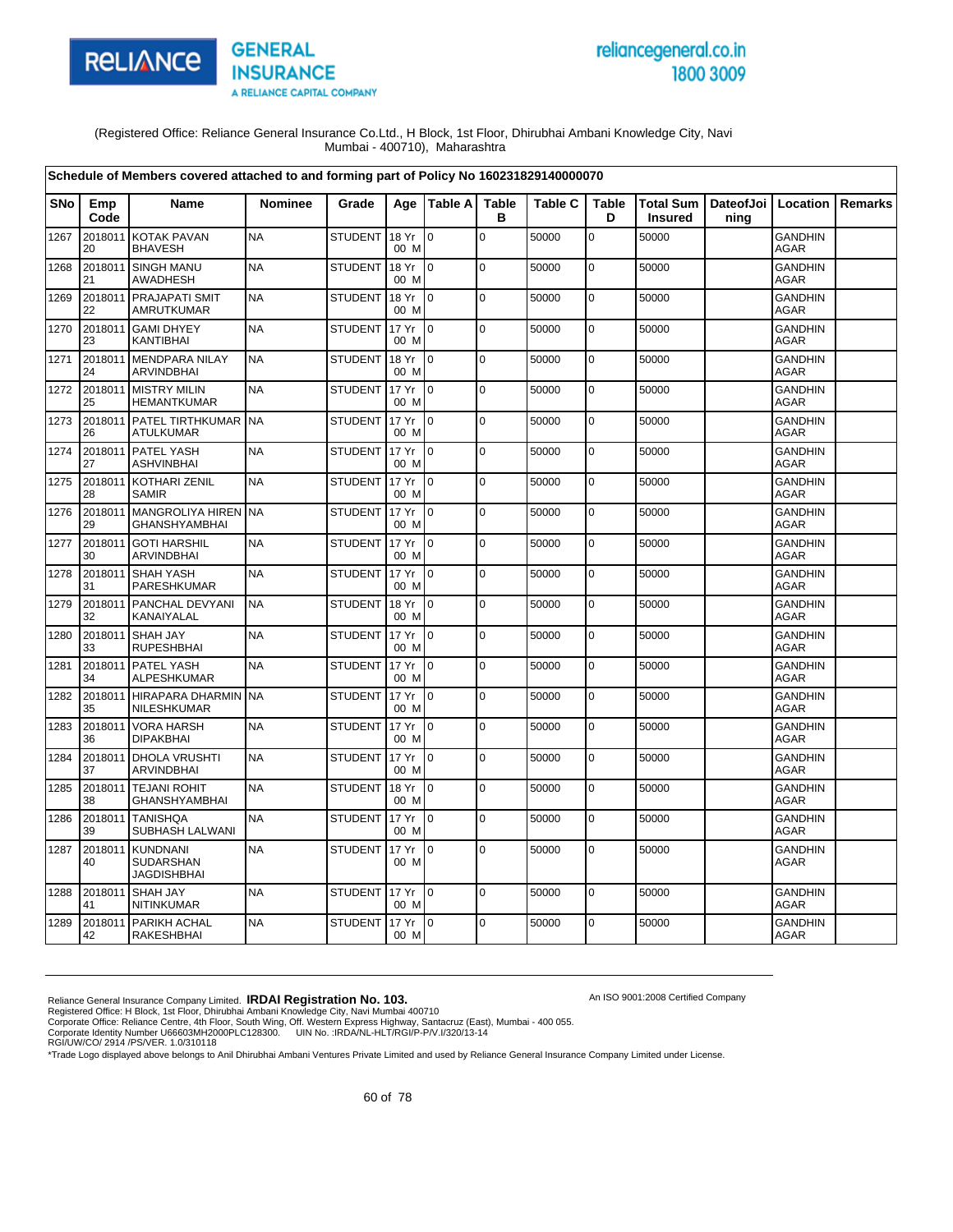

# reliancegeneral.co.in 1800 3009

An ISO 9001:2008 Certified Company

(Registered Office: Reliance General Insurance Co.Ltd., H Block, 1st Floor, Dhirubhai Ambani Knowledge City, Navi Mumbai - 400710), Maharashtra

|            |               | Schedule of Members covered attached to and forming part of Policy No 160231829140000070 |                |                |               |                |                   |                |                   |                             |                              |                               |         |
|------------|---------------|------------------------------------------------------------------------------------------|----------------|----------------|---------------|----------------|-------------------|----------------|-------------------|-----------------------------|------------------------------|-------------------------------|---------|
| <b>SNo</b> | Emp<br>Code   | <b>Name</b>                                                                              | <b>Nominee</b> | Grade          | Age           | Table A        | <b>Table</b><br>в | <b>Table C</b> | <b>Table</b><br>D | Total Sum<br><b>Insured</b> | DateofJoi   Location<br>ning |                               | Remarks |
| 1267       | 2018011<br>20 | <b>KOTAK PAVAN</b><br><b>BHAVESH</b>                                                     | <b>NA</b>      | <b>STUDENT</b> | 18 Yr<br>00 M | $\Omega$       | $\Omega$          | 50000          | $\overline{0}$    | 50000                       |                              | <b>GANDHIN</b><br><b>AGAR</b> |         |
| 1268       | 2018011<br>21 | <b>SINGH MANU</b><br>AWADHESH                                                            | <b>NA</b>      | <b>STUDENT</b> | 18 Yr<br>00 M | $\overline{0}$ | $\mathbf 0$       | 50000          | $\mathbf 0$       | 50000                       |                              | <b>GANDHIN</b><br><b>AGAR</b> |         |
| 1269       | 2018011<br>22 | PRAJAPATI SMIT<br>AMRUTKUMAR                                                             | <b>NA</b>      | <b>STUDENT</b> | 18 Yr<br>00 M | lo.            | l o               | 50000          | $\pmb{0}$         | 50000                       |                              | <b>GANDHIN</b><br>AGAR        |         |
| 1270       | 2018011<br>23 | <b>GAMI DHYEY</b><br>KANTIBHAI                                                           | <b>NA</b>      | <b>STUDENT</b> | 17 Yr<br>00 M | lo.            | $\mathbf 0$       | 50000          | $\mathbf 0$       | 50000                       |                              | <b>GANDHIN</b><br><b>AGAR</b> |         |
| 1271       | 2018011<br>24 | <b>MENDPARA NILAY</b><br>ARVINDBHAI                                                      | <b>NA</b>      | <b>STUDENT</b> | 18 Yr<br>00 M | l n            | $\pmb{0}$         | 50000          | 0                 | 50000                       |                              | <b>GANDHIN</b><br><b>AGAR</b> |         |
| 1272       | 2018011<br>25 | <b>MISTRY MILIN</b><br><b>HEMANTKUMAR</b>                                                | <b>NA</b>      | <b>STUDENT</b> | 17 Yr<br>00 M | $\overline{0}$ | $\mathbf 0$       | 50000          | $\mathbf 0$       | 50000                       |                              | <b>GANDHIN</b><br><b>AGAR</b> |         |
| 1273       | 2018011<br>26 | PATEL TIRTHKUMAR<br><b>ATULKUMAR</b>                                                     | <b>NA</b>      | <b>STUDENT</b> | 17 Yr<br>00 M | $\overline{0}$ | $\mathbf 0$       | 50000          | 0                 | 50000                       |                              | <b>GANDHIN</b><br><b>AGAR</b> |         |
| 1274       | 2018011<br>27 | <b>PATEL YASH</b><br><b>ASHVINBHAI</b>                                                   | <b>NA</b>      | <b>STUDENT</b> | 17 Yr<br>00 M | $\Omega$       | $\mathbf 0$       | 50000          | $\mathbf 0$       | 50000                       |                              | <b>GANDHIN</b><br><b>AGAR</b> |         |
| 1275       | 2018011<br>28 | <b>KOTHARI ZENIL</b><br><b>SAMIR</b>                                                     | <b>NA</b>      | <b>STUDENT</b> | 17 Yr<br>00 M | l 0            | $\mathbf 0$       | 50000          | 0                 | 50000                       |                              | <b>GANDHIN</b><br><b>AGAR</b> |         |
| 1276       | 2018011<br>29 | MANGROLIYA HIREN<br><b>GHANSHYAMBHAI</b>                                                 | <b>NA</b>      | <b>STUDENT</b> | 17 Yr<br>00 M | $\Omega$       | $\mathbf 0$       | 50000          | $\pmb{0}$         | 50000                       |                              | <b>GANDHIN</b><br><b>AGAR</b> |         |
| 1277       | 2018011<br>30 | <b>GOTI HARSHIL</b><br><b>ARVINDBHAI</b>                                                 | <b>NA</b>      | <b>STUDENT</b> | 17 Yr<br>00 M | Io.            | $\Omega$          | 50000          | $\overline{0}$    | 50000                       |                              | <b>GANDHIN</b><br><b>AGAR</b> |         |
| 1278       | 2018011<br>31 | <b>SHAH YASH</b><br>PARESHKUMAR                                                          | <b>NA</b>      | <b>STUDENT</b> | 17 Yr<br>00 M | $\Omega$       | $\Omega$          | 50000          | $\mathbf 0$       | 50000                       |                              | <b>GANDHIN</b><br><b>AGAR</b> |         |
| 1279       | 2018011<br>32 | PANCHAL DEVYANI<br>KANAIYALAL                                                            | <b>NA</b>      | <b>STUDENT</b> | 18 Yr<br>00 M | $\overline{0}$ | $\mathbf 0$       | 50000          | $\mathbf 0$       | 50000                       |                              | <b>GANDHIN</b><br><b>AGAR</b> |         |
| 1280       | 2018011<br>33 | <b>SHAH JAY</b><br><b>RUPESHBHAI</b>                                                     | <b>NA</b>      | <b>STUDENT</b> | 17 Yr<br>00 M | $\overline{0}$ | $\mathbf 0$       | 50000          | $\overline{0}$    | 50000                       |                              | <b>GANDHIN</b><br><b>AGAR</b> |         |
| 1281       | 2018011<br>34 | <b>PATEL YASH</b><br>ALPESHKUMAR                                                         | <b>NA</b>      | <b>STUDENT</b> | 17 Yr<br>00 M | $\overline{0}$ | $\mathbf 0$       | 50000          | $\overline{0}$    | 50000                       |                              | <b>GANDHIN</b><br><b>AGAR</b> |         |
| 1282       | 2018011<br>35 | <b>HIRAPARA DHARMIN</b><br>NILESHKUMAR                                                   | <b>NA</b>      | <b>STUDENT</b> | 17 Yr<br>00 M | 0              | $\pmb{0}$         | 50000          | 0                 | 50000                       |                              | <b>GANDHIN</b><br><b>AGAR</b> |         |
| 1283       | 2018011<br>36 | <b>VORA HARSH</b><br><b>DIPAKBHAI</b>                                                    | <b>NA</b>      | <b>STUDENT</b> | 17 Yr<br>00 M | $\overline{0}$ | $\mathbf 0$       | 50000          | $\overline{0}$    | 50000                       |                              | <b>GANDHIN</b><br><b>AGAR</b> |         |
| 1284       | 2018011<br>37 | <b>DHOLA VRUSHTI</b><br>ARVINDBHAI                                                       | <b>NA</b>      | <b>STUDENT</b> | 17 Yr<br>00 M | $\overline{0}$ | $\mathbf 0$       | 50000          | $\overline{0}$    | 50000                       |                              | <b>GANDHIN</b><br><b>AGAR</b> |         |
| 1285       | 2018011<br>38 | <b>TEJANI ROHIT</b><br><b>GHANSHYAMBHAI</b>                                              | <b>NA</b>      | <b>STUDENT</b> | 18 Yr<br>00 M | $\overline{0}$ | $\mathbf 0$       | 50000          | $\mathbf 0$       | 50000                       |                              | <b>GANDHIN</b><br>AGAR        |         |
| 1286       | 2018011<br>39 | <b>TANISHQA</b><br>SUBHASH LALWANI                                                       | <b>NA</b>      | <b>STUDENT</b> | 17 Yr<br>00 M | ۱o             | $\mathbf 0$       | 50000          | 0                 | 50000                       |                              | <b>GANDHIN</b><br>AGAR        |         |
| 1287       | 2018011<br>40 | KUNDNANI<br>SUDARSHAN<br><b>JAGDISHBHAI</b>                                              | <b>NA</b>      | <b>STUDENT</b> | 17 Yr<br>00 M | 0              | $\mathbf 0$       | 50000          | $\mathbf 0$       | 50000                       |                              | <b>GANDHIN</b><br><b>AGAR</b> |         |
| 1288       | 2018011<br>41 | <b>SHAH JAY</b><br>NITINKUMAR                                                            | <b>NA</b>      | <b>STUDENT</b> | 17 Yr<br>00 M | $\Omega$       | $\Omega$          | 50000          | $\mathbf 0$       | 50000                       |                              | <b>GANDHIN</b><br><b>AGAR</b> |         |
| 1289       | 2018011<br>42 | PARIKH ACHAL<br>RAKESHBHAI                                                               | <b>NA</b>      | <b>STUDENT</b> | 17 Yr<br>00 M | $\Omega$       | $\Omega$          | 50000          | 0                 | 50000                       |                              | <b>GANDHIN</b><br>AGAR        |         |

Reliance General Insurance Company Limited. **IRDAI Registration No. 103.**<br>Registered Office: H Block, 1st Floor, Dhirubhai Ambani Knowledge City, Navi Mumbai 400710<br>Corporate Office: Reliance Centre, 4th Floor, South Wing,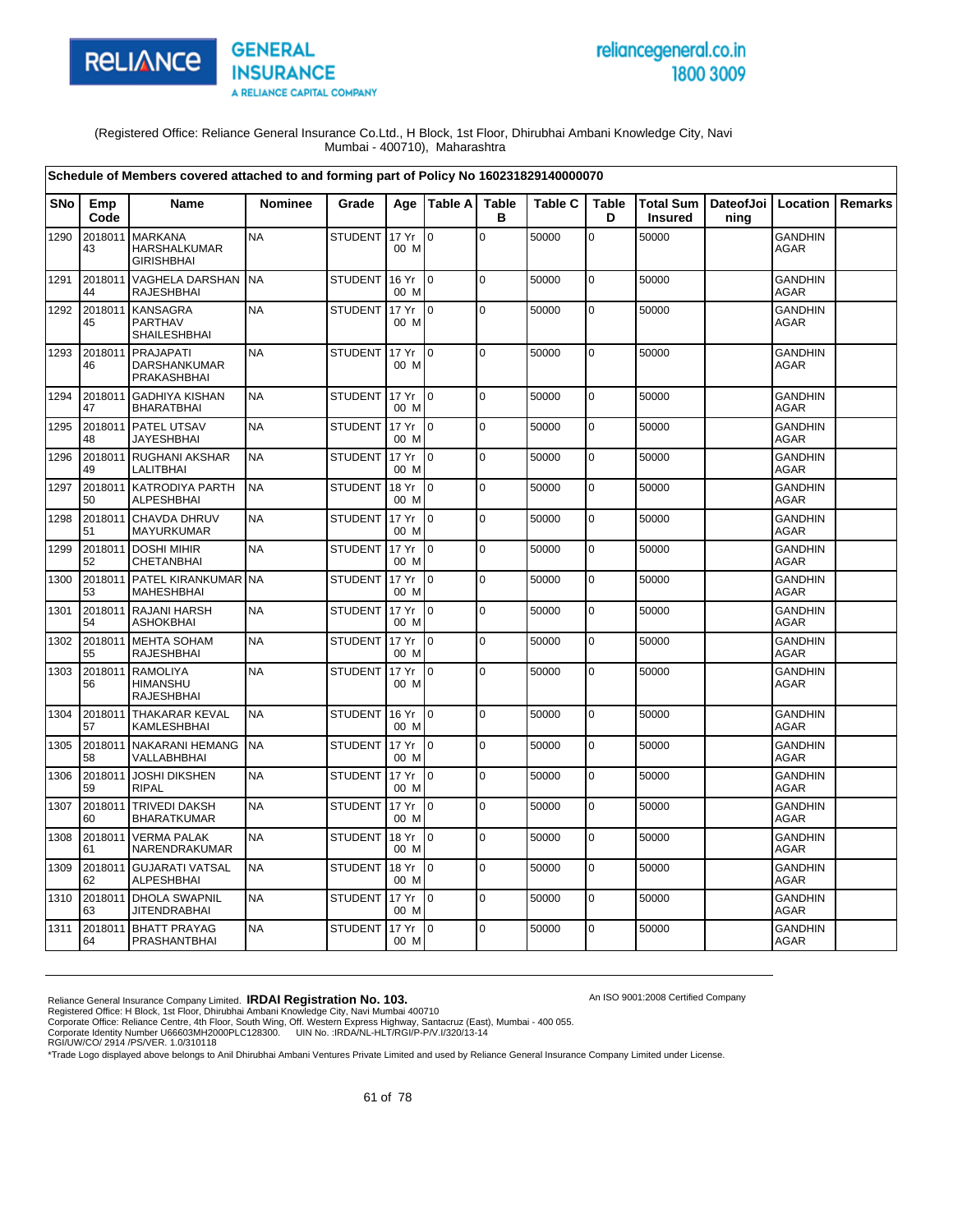



An ISO 9001:2008 Certified Company

(Registered Office: Reliance General Insurance Co.Ltd., H Block, 1st Floor, Dhirubhai Ambani Knowledge City, Navi Mumbai - 400710), Maharashtra

|            |               | Schedule of Members covered attached to and forming part of Policy No 160231829140000070 |                |                |               |                           |                   |                |                   |                             |                   |                               |         |
|------------|---------------|------------------------------------------------------------------------------------------|----------------|----------------|---------------|---------------------------|-------------------|----------------|-------------------|-----------------------------|-------------------|-------------------------------|---------|
| <b>SNo</b> | Emp<br>Code   | <b>Name</b>                                                                              | <b>Nominee</b> | Grade          |               | Age   Table A             | <b>Table</b><br>в | <b>Table C</b> | <b>Table</b><br>D | Total Sum<br><b>Insured</b> | DateofJoi<br>nina | Location                      | Remarks |
| 1290       | 2018011<br>43 | <b>MARKANA</b><br>HARSHALKUMAR<br><b>GIRISHBHAI</b>                                      | <b>NA</b>      | <b>STUDENT</b> | 17 Yr<br>00 M | lo.                       | $\mathbf 0$       | 50000          | $\overline{0}$    | 50000                       |                   | <b>GANDHIN</b><br><b>AGAR</b> |         |
| 1291       | 2018011<br>44 | <b>VAGHELA DARSHAN</b><br><b>RAJESHBHAI</b>                                              | <b>NA</b>      | <b>STUDENT</b> | 16 Yr<br>00 M | $\Omega$                  | $\overline{0}$    | 50000          | $\overline{0}$    | 50000                       |                   | <b>GANDHIN</b><br><b>AGAR</b> |         |
| 1292       | 2018011<br>45 | <b>KANSAGRA</b><br>PARTHAV<br><b>SHAILESHBHAI</b>                                        | <b>NA</b>      | <b>STUDENT</b> | 17 Yr<br>00 M | $\overline{10}$           | l o               | 50000          | 0                 | 50000                       |                   | <b>GANDHIN</b><br><b>AGAR</b> |         |
| 1293       | 2018011<br>46 | <b>PRAJAPATI</b><br><b>DARSHANKUMAR</b><br>PRAKASHBHAI                                   | <b>NA</b>      | <b>STUDENT</b> | 17 Yr<br>00 M | l O                       | $\overline{0}$    | 50000          | $\overline{0}$    | 50000                       |                   | <b>GANDHIN</b><br>AGAR        |         |
| 1294       | 2018011<br>47 | <b>GADHIYA KISHAN</b><br><b>BHARATBHAI</b>                                               | <b>NA</b>      | <b>STUDENT</b> | 17 Yr<br>00 M | ۱o                        | $\overline{0}$    | 50000          | $\overline{0}$    | 50000                       |                   | <b>GANDHIN</b><br><b>AGAR</b> |         |
| 1295       | 2018011<br>48 | PATEL UTSAV<br><b>JAYESHBHAI</b>                                                         | <b>NA</b>      | <b>STUDENT</b> | 17 Yr<br>00 M | lo.                       | l o               | 50000          | $\mathbf 0$       | 50000                       |                   | <b>GANDHIN</b><br><b>AGAR</b> |         |
| 1296       | 2018011<br>49 | <b>RUGHANI AKSHAR</b><br>LALITBHAI                                                       | <b>NA</b>      | <b>STUDENT</b> | 17 Yr<br>00 M | l 0                       | l o               | 50000          | 0                 | 50000                       |                   | <b>GANDHIN</b><br><b>AGAR</b> |         |
| 1297       | 2018011<br>50 | KATRODIYA PARTH<br><b>ALPESHBHAI</b>                                                     | <b>NA</b>      | <b>STUDENT</b> | 18 Yr<br>00 M | l 0                       | 0                 | 50000          | 0                 | 50000                       |                   | <b>GANDHIN</b><br><b>AGAR</b> |         |
| 1298       | 2018011<br>51 | <b>CHAVDA DHRUV</b><br>MAYURKUMAR                                                        | <b>NA</b>      | <b>STUDENT</b> | 17 Yr<br>00 M | I٥                        | l o               | 50000          | 0                 | 50000                       |                   | <b>GANDHIN</b><br><b>AGAR</b> |         |
| 1299       | 2018011<br>52 | <b>DOSHI MIHIR</b><br>CHETANBHAI                                                         | <b>NA</b>      | <b>STUDENT</b> | 17 Yr<br>00 M | $\Omega$                  | 0                 | 50000          | 0                 | 50000                       |                   | <b>GANDHIN</b><br>AGAR        |         |
| 1300       | 2018011<br>53 | PATEL KIRANKUMAR NA<br><b>MAHESHBHAI</b>                                                 |                | <b>STUDENT</b> | 17 Yr<br>00 M | $\overline{10}$           | $\overline{0}$    | 50000          | $\mathbf 0$       | 50000                       |                   | <b>GANDHIN</b><br><b>AGAR</b> |         |
| 1301       | 2018011<br>54 | <b>RAJANI HARSH</b><br><b>ASHOKBHAI</b>                                                  | <b>NA</b>      | <b>STUDENT</b> | 17 Yr<br>00 M | I0.                       | $\overline{0}$    | 50000          | $\overline{0}$    | 50000                       |                   | <b>GANDHIN</b><br><b>AGAR</b> |         |
| 1302       | 2018011<br>55 | <b>MEHTA SOHAM</b><br><b>RAJESHBHAI</b>                                                  | <b>NA</b>      | <b>STUDENT</b> | 17 Yr<br>00 M | lo.                       | $\mathbf 0$       | 50000          | 0                 | 50000                       |                   | <b>GANDHIN</b><br><b>AGAR</b> |         |
| 1303       | 2018011<br>56 | <b>RAMOLIYA</b><br><b>HIMANSHU</b><br><b>RAJESHBHAI</b>                                  | <b>NA</b>      | <b>STUDENT</b> | 17 Yr<br>00 M | l o                       | $\Omega$          | 50000          | $\overline{0}$    | 50000                       |                   | <b>GANDHIN</b><br><b>AGAR</b> |         |
| 1304       | 2018011<br>57 | <b>THAKARAR KEVAL</b><br>KAMLESHBHAI                                                     | <b>NA</b>      | <b>STUDENT</b> | 16 Yr<br>00 M | I <sub>0</sub>            | l o               | 50000          | 0                 | 50000                       |                   | <b>GANDHIN</b><br><b>AGAR</b> |         |
| 1305       | 2018011<br>58 | <b>NAKARANI HEMANG</b><br>VALLABHBHAI                                                    | <b>NA</b>      | <b>STUDENT</b> | 17 Yr<br>00 M | l O                       | $\overline{0}$    | 50000          | 0                 | 50000                       |                   | <b>GANDHIN</b><br><b>AGAR</b> |         |
| 1306       | 2018011<br>59 | <b>JOSHI DIKSHEN</b><br><b>RIPAL</b>                                                     | <b>NA</b>      | <b>STUDENT</b> | 17 Yr<br>00 M | l o                       | $\overline{0}$    | 50000          | 0                 | 50000                       |                   | <b>GANDHIN</b><br><b>AGAR</b> |         |
| 1307       | 2018011<br>60 | <b>TRIVEDI DAKSH</b><br><b>BHARATKUMAR</b>                                               | <b>NA</b>      | <b>STUDENT</b> | 17 Yr<br>00 M | l o                       | $\overline{0}$    | 50000          | $\overline{0}$    | 50000                       |                   | <b>GANDHIN</b><br><b>AGAR</b> |         |
| 1308       | 2018011<br>61 | <b>VERMA PALAK</b><br>NARENDRAKUMAR                                                      | <b>NA</b>      | <b>STUDENT</b> | 18 Yr<br>00 M | lo.                       | $\overline{0}$    | 50000          | $\overline{0}$    | 50000                       |                   | <b>GANDHIN</b><br><b>AGAR</b> |         |
| 1309       | 2018011<br>62 | <b>GUJARATI VATSAL</b><br><b>ALPESHBHAI</b>                                              | <b>NA</b>      | <b>STUDENT</b> | 18 Yr<br>00 M | lo.                       | l o               | 50000          | 0                 | 50000                       |                   | <b>GANDHIN</b><br>AGAR        |         |
| 1310       | 2018011<br>63 | <b>DHOLA SWAPNIL</b><br><b>JITENDRABHAI</b>                                              | <b>NA</b>      | <b>STUDENT</b> | 17 Yr<br>00 M | $\mathsf{I}^{\mathsf{0}}$ | l o               | 50000          | $\overline{0}$    | 50000                       |                   | <b>GANDHIN</b><br><b>AGAR</b> |         |
| 1311       | 2018011<br>64 | <b>BHATT PRAYAG</b><br>PRASHANTBHAI                                                      | <b>NA</b>      | <b>STUDENT</b> | 17 Yr<br>00 M | ۱o                        | $\mathbf 0$       | 50000          | 0                 | 50000                       |                   | <b>GANDHIN</b><br><b>AGAR</b> |         |

Reliance General Insurance Company Limited. **IRDAI Registration No. 103.**<br>Registered Office: H Block, 1st Floor, Dhirubhai Ambani Knowledge City, Navi Mumbai 400710<br>Corporate Office: Reliance Centre, 4th Floor, South Wing,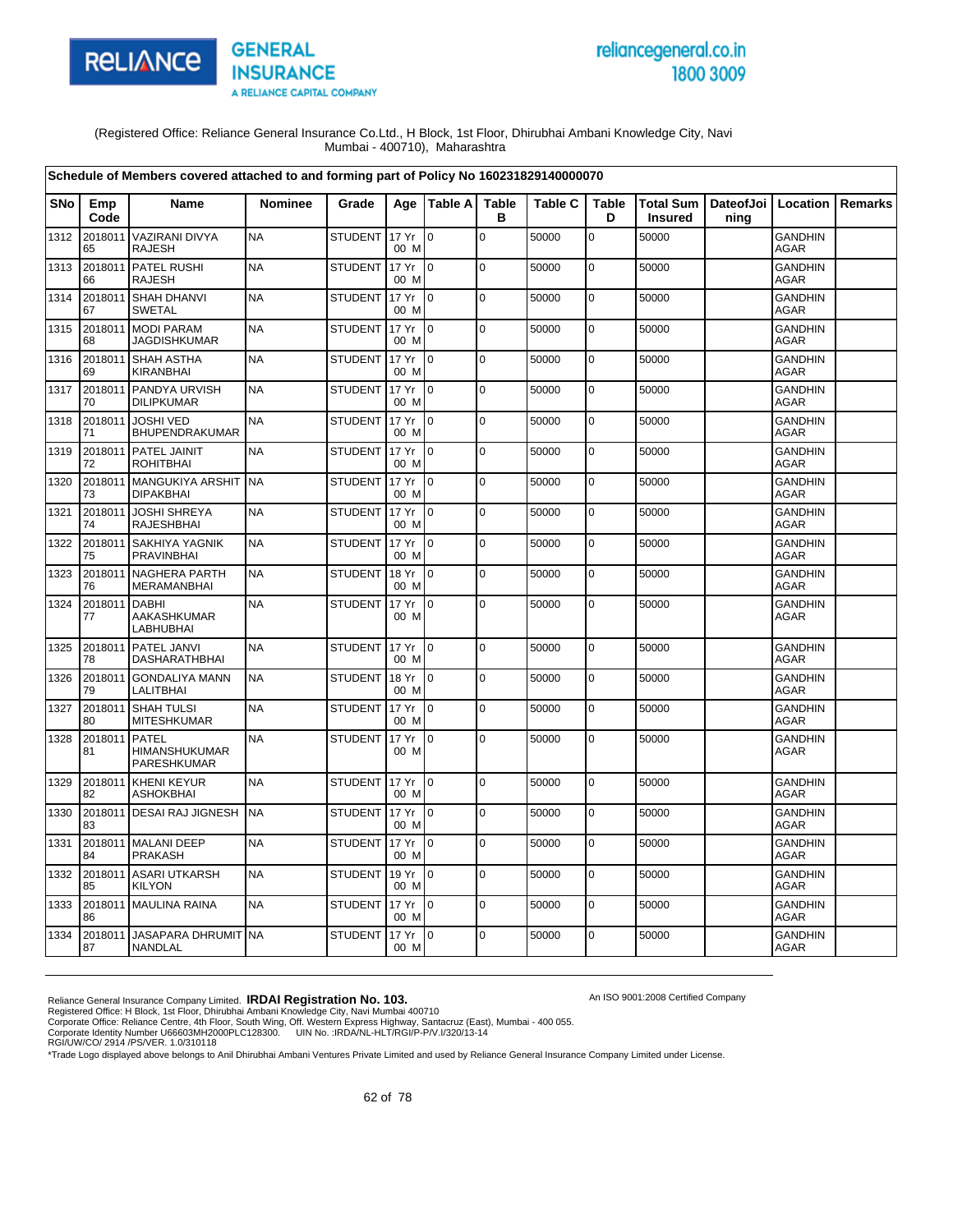

# reliancegeneral.co.in 1800 3009

An ISO 9001:2008 Certified Company

(Registered Office: Reliance General Insurance Co.Ltd., H Block, 1st Floor, Dhirubhai Ambani Knowledge City, Navi Mumbai - 400710), Maharashtra

|      |                     | Schedule of Members covered attached to and forming part of Policy No 160231829140000070 |                |                |               |                 |                   |                |                   |                                    |                              |                               |         |
|------|---------------------|------------------------------------------------------------------------------------------|----------------|----------------|---------------|-----------------|-------------------|----------------|-------------------|------------------------------------|------------------------------|-------------------------------|---------|
| SNo  | Emp<br>Code         | Name                                                                                     | <b>Nominee</b> | Grade          | Age           | Table A         | <b>Table</b><br>в | <b>Table C</b> | <b>Table</b><br>D | <b>Total Sum</b><br><b>Insured</b> | DateofJoi   Location<br>ning |                               | Remarks |
| 1312 | 2018011<br>65       | <b>VAZIRANI DIVYA</b><br><b>RAJESH</b>                                                   | <b>NA</b>      | <b>STUDENT</b> | 17 Yr<br>00 M | $\Omega$        | $\Omega$          | 50000          | $\mathbf 0$       | 50000                              |                              | <b>GANDHIN</b><br><b>AGAR</b> |         |
| 1313 | 2018011<br>66       | PATEL RUSHI<br><b>RAJESH</b>                                                             | <b>NA</b>      | <b>STUDENT</b> | 17 Yr<br>00 M | $\overline{10}$ | $\pmb{0}$         | 50000          | $\pmb{0}$         | 50000                              |                              | <b>GANDHIN</b><br><b>AGAR</b> |         |
| 1314 | 2018011<br>67       | SHAH DHANVI<br>SWETAL                                                                    | <b>NA</b>      | <b>STUDENT</b> | 17 Yr<br>00 M | I0              | $\mathbf 0$       | 50000          | 0                 | 50000                              |                              | <b>GANDHIN</b><br><b>AGAR</b> |         |
| 1315 | 68                  | 2018011 MODI PARAM<br><b>JAGDISHKUMAR</b>                                                | <b>NA</b>      | <b>STUDENT</b> | 17 Yr<br>00 M | $\mathsf{I}$    | $\mathbf 0$       | 50000          | $\mathbf 0$       | 50000                              |                              | <b>GANDHIN</b><br><b>AGAR</b> |         |
| 1316 | 69                  | 2018011 SHAH ASTHA<br>KIRANBHAI                                                          | <b>NA</b>      | <b>STUDENT</b> | 17 Yr<br>00 M | I <sub>0</sub>  | $\Omega$          | 50000          | $\mathbf 0$       | 50000                              |                              | <b>GANDHIN</b><br><b>AGAR</b> |         |
| 1317 | 70                  | 2018011 PANDYA URVISH<br><b>DILIPKUMAR</b>                                               | <b>NA</b>      | <b>STUDENT</b> | 17 Yr<br>00 M | Io.             | $\mathbf 0$       | 50000          | 0                 | 50000                              |                              | <b>GANDHIN</b><br><b>AGAR</b> |         |
| 1318 | 2018011<br>71       | <b>JOSHI VED</b><br>BHUPENDRAKUMAR                                                       | <b>NA</b>      | <b>STUDENT</b> | 17 Yr<br>00 M | I O             | $\mathbf 0$       | 50000          | 0                 | 50000                              |                              | <b>GANDHIN</b><br><b>AGAR</b> |         |
| 1319 | 2018011<br>72       | <b>PATEL JAINIT</b><br><b>ROHITBHAI</b>                                                  | <b>NA</b>      | <b>STUDENT</b> | 17 Yr<br>00 M | $\Omega$        | $\mathbf 0$       | 50000          | 0                 | 50000                              |                              | <b>GANDHIN</b><br>AGAR        |         |
| 1320 | 73                  | 2018011 MANGUKIYA ARSHIT<br><b>DIPAKBHAI</b>                                             | <b>NA</b>      | <b>STUDENT</b> | 17 Yr<br>00 M | $\overline{0}$  | $\mathbf 0$       | 50000          | 0                 | 50000                              |                              | <b>GANDHIN</b><br>AGAR        |         |
| 1321 | 2018011<br>74       | <b>JOSHI SHREYA</b><br><b>RAJESHBHAI</b>                                                 | <b>NA</b>      | <b>STUDENT</b> | 17 Yr<br>00 M | $\mathbf 0$     | $\mathbf 0$       | 50000          | 0                 | 50000                              |                              | <b>GANDHIN</b><br><b>AGAR</b> |         |
| 1322 | 2018011<br>75       | <b>SAKHIYA YAGNIK</b><br><b>PRAVINBHAI</b>                                               | <b>NA</b>      | <b>STUDENT</b> | 17 Yr<br>00 M | $\overline{10}$ | $\mathbf 0$       | 50000          | $\mathbf 0$       | 50000                              |                              | <b>GANDHIN</b><br><b>AGAR</b> |         |
| 1323 | 2018011<br>76       | <b>NAGHERA PARTH</b><br>MERAMANBHAI                                                      | <b>NA</b>      | <b>STUDENT</b> | 18 Yr<br>00 M | lo.             | $\mathbf 0$       | 50000          | $\mathbf 0$       | 50000                              |                              | <b>GANDHIN</b><br><b>AGAR</b> |         |
| 1324 | 2018011<br>77       | <b>DABHI</b><br>AAKASHKUMAR<br><b>LABHUBHAI</b>                                          | <b>NA</b>      | <b>STUDENT</b> | 17 Yr<br>00 M | I <sub>0</sub>  | $\mathbf 0$       | 50000          | 0                 | 50000                              |                              | <b>GANDHIN</b><br><b>AGAR</b> |         |
| 1325 | 2018011<br>78       | PATEL JANVI<br><b>DASHARATHBHAI</b>                                                      | <b>NA</b>      | <b>STUDENT</b> | 17 Yr<br>00 M | $\overline{10}$ | $\mathbf 0$       | 50000          | 0                 | 50000                              |                              | <b>GANDHIN</b><br><b>AGAR</b> |         |
| 1326 | 2018011<br>79       | <b>GONDALIYA MANN</b><br><b>LALITBHAI</b>                                                | <b>NA</b>      | <b>STUDENT</b> | 18 Yr<br>00 M | $\overline{10}$ | $\Omega$          | 50000          | $\mathbf 0$       | 50000                              |                              | <b>GANDHIN</b><br><b>AGAR</b> |         |
| 1327 | 80                  | 2018011 SHAH TULSI<br><b>MITESHKUMAR</b>                                                 | <b>NA</b>      | <b>STUDENT</b> | 17 Yr<br>00 M | $\overline{10}$ | $\Omega$          | 50000          | $\mathbf 0$       | 50000                              |                              | <b>GANDHIN</b><br><b>AGAR</b> |         |
| 1328 | 2018011 PATEL<br>81 | HIMANSHUKUMAR<br>PARESHKUMAR                                                             | <b>NA</b>      | <b>STUDENT</b> | 17 Yr<br>00 M | $\mathbf 0$     | 0                 | 50000          | 0                 | 50000                              |                              | <b>GANDHIN</b><br><b>AGAR</b> |         |
| 1329 | 82                  | 2018011 KHENI KEYUR<br><b>ASHOKBHAI</b>                                                  | <b>NA</b>      | <b>STUDENT</b> | 17 Yr<br>00 M | $\overline{0}$  | $\mathbf 0$       | 50000          | $\pmb{0}$         | 50000                              |                              | <b>GANDHIN</b><br><b>AGAR</b> |         |
| 1330 | 83                  | 2018011 DESAI RAJ JIGNESH                                                                | <b>NA</b>      | <b>STUDENT</b> | 17 Yr<br>00 M | I0              | $\mathbf 0$       | 50000          | 0                 | 50000                              |                              | <b>GANDHIN</b><br><b>AGAR</b> |         |
| 1331 | 2018011<br>84       | <b>MALANI DEEP</b><br>PRAKASH                                                            | <b>NA</b>      | <b>STUDENT</b> | 17 Yr<br>00 M | $\overline{10}$ | $\mathbf 0$       | 50000          | $\mathbf 0$       | 50000                              |                              | <b>GANDHIN</b><br>AGAR        |         |
| 1332 | 2018011<br>85       | <b>ASARI UTKARSH</b><br><b>KILYON</b>                                                    | <b>NA</b>      | <b>STUDENT</b> | 19 Yr<br>00 M | I0              | $\Omega$          | 50000          | $\mathbf 0$       | 50000                              |                              | <b>GANDHIN</b><br>AGAR        |         |
| 1333 | 86                  | 2018011 MAULINA RAINA                                                                    | <b>NA</b>      | <b>STUDENT</b> | 17 Yr<br>00 M | Io.             | $\overline{0}$    | 50000          | $\mathbf 0$       | 50000                              |                              | <b>GANDHIN</b><br><b>AGAR</b> |         |
| 1334 | 2018011<br>87       | JASAPARA DHRUMIT NA<br><b>NANDLAL</b>                                                    |                | <b>STUDENT</b> | 17 Yr<br>00 M | I0              | $\mathbf 0$       | 50000          | $\mathbf 0$       | 50000                              |                              | <b>GANDHIN</b><br><b>AGAR</b> |         |

Reliance General Insurance Company Limited. **IRDAI Registration No. 103.**<br>Registered Office: H Block, 1st Floor, Dhirubhai Ambani Knowledge City, Navi Mumbai 400710<br>Corporate Office: Reliance Centre, 4th Floor, South Wing,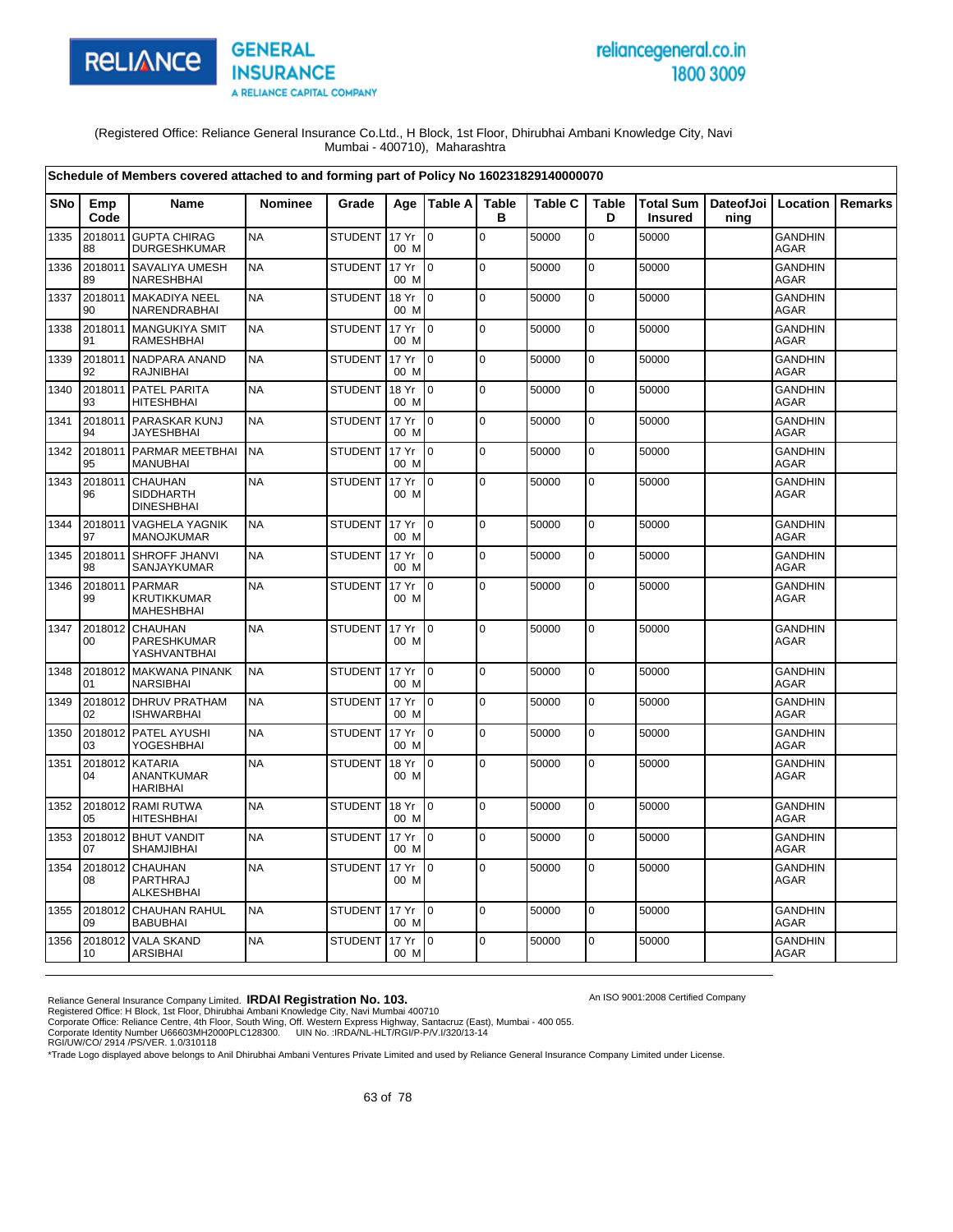

# reliancegeneral.co.in 1800 3009

An ISO 9001:2008 Certified Company

(Registered Office: Reliance General Insurance Co.Ltd., H Block, 1st Floor, Dhirubhai Ambani Knowledge City, Navi Mumbai - 400710), Maharashtra

|      |               | Schedule of Members covered attached to and forming part of Policy No 160231829140000070 |                |                |               |                 |                   |                |                   |                             |                   |                               |                |
|------|---------------|------------------------------------------------------------------------------------------|----------------|----------------|---------------|-----------------|-------------------|----------------|-------------------|-----------------------------|-------------------|-------------------------------|----------------|
| SNo  | Emp<br>Code   | Name                                                                                     | <b>Nominee</b> | Grade          | Age           | Table A         | <b>Table</b><br>в | <b>Table C</b> | <b>Table</b><br>D | Total Sum<br><b>Insured</b> | DateofJoi<br>ning | Location                      | <b>Remarks</b> |
| 1335 | 2018011<br>88 | <b>GUPTA CHIRAG</b><br><b>DURGESHKUMAR</b>                                               | <b>NA</b>      | <b>STUDENT</b> | 17 Yr<br>00 M | lo.             | $\mathsf 0$       | 50000          | 0                 | 50000                       |                   | <b>GANDHIN</b><br><b>AGAR</b> |                |
| 1336 | 2018011<br>89 | SAVALIYA UMESH<br>NARESHBHAI                                                             | <b>NA</b>      | <b>STUDENT</b> | 17 Yr<br>00 M | l 0             | $\mathbf 0$       | 50000          | $\mathbf 0$       | 50000                       |                   | <b>GANDHIN</b><br><b>AGAR</b> |                |
| 1337 | 2018011<br>90 | <b>MAKADIYA NEEL</b><br>NARENDRABHAI                                                     | <b>NA</b>      | <b>STUDENT</b> | 18 Yr<br>00 M | $\overline{0}$  | $\pmb{0}$         | 50000          | $\mathbf 0$       | 50000                       |                   | <b>GANDHIN</b><br><b>AGAR</b> |                |
| 1338 | 2018011<br>91 | <b>MANGUKIYA SMIT</b><br><b>RAMESHBHAI</b>                                               | <b>NA</b>      | <b>STUDENT</b> | 17 Yr<br>00 M | Io.             | $\mathbf 0$       | 50000          | $\mathbf 0$       | 50000                       |                   | <b>GANDHIN</b><br><b>AGAR</b> |                |
| 1339 | 2018011<br>92 | NADPARA ANAND<br><b>RAJNIBHAI</b>                                                        | <b>NA</b>      | <b>STUDENT</b> | 17 Yr<br>00 M | $\overline{0}$  | $\mathbf 0$       | 50000          | $\mathbf 0$       | 50000                       |                   | <b>GANDHIN</b><br><b>AGAR</b> |                |
| 1340 | 2018011<br>93 | PATEL PARITA<br><b>HITESHBHAI</b>                                                        | <b>NA</b>      | <b>STUDENT</b> | 18 Yr<br>00 M | $\overline{0}$  | $\mathbf 0$       | 50000          | $\mathbf 0$       | 50000                       |                   | <b>GANDHIN</b><br><b>AGAR</b> |                |
| 1341 | 94            | 2018011 PARASKAR KUNJ<br><b>JAYESHBHAI</b>                                               | <b>NA</b>      | <b>STUDENT</b> | 17 Yr<br>00 M | $\overline{0}$  | $\pmb{0}$         | 50000          | $\mathbf 0$       | 50000                       |                   | <b>GANDHIN</b><br><b>AGAR</b> |                |
| 1342 | 2018011<br>95 | PARMAR MEETBHAI<br><b>MANUBHAI</b>                                                       | <b>NA</b>      | <b>STUDENT</b> | 17 Yr<br>00 M | l o             | $\mathbf 0$       | 50000          | $\mathbf 0$       | 50000                       |                   | <b>GANDHIN</b><br><b>AGAR</b> |                |
| 1343 | 2018011<br>96 | <b>CHAUHAN</b><br><b>SIDDHARTH</b><br><b>DINESHBHAI</b>                                  | <b>NA</b>      | <b>STUDENT</b> | 17 Yr<br>00 M | $\overline{0}$  | $\mathbf 0$       | 50000          | 0                 | 50000                       |                   | <b>GANDHIN</b><br><b>AGAR</b> |                |
| 1344 | 2018011<br>97 | <b>VAGHELA YAGNIK</b><br>MANOJKUMAR                                                      | <b>NA</b>      | <b>STUDENT</b> | 17 Yr<br>00 M | Io.             | l o               | 50000          | $\pmb{0}$         | 50000                       |                   | <b>GANDHIN</b><br>AGAR        |                |
| 1345 | 2018011<br>98 | SHROFF JHANVI<br>SANJAYKUMAR                                                             | <b>NA</b>      | <b>STUDENT</b> | 17 Yr<br>00 M | $\overline{0}$  | $\mathbf 0$       | 50000          | $\mathbf 0$       | 50000                       |                   | <b>GANDHIN</b><br><b>AGAR</b> |                |
| 1346 | 2018011<br>99 | <b>PARMAR</b><br><b>KRUTIKKUMAR</b><br><b>MAHESHBHAI</b>                                 | <b>NA</b>      | <b>STUDENT</b> | 17 Yr<br>00 M | Io.             | $\mathbf 0$       | 50000          | 0                 | 50000                       |                   | <b>GANDHIN</b><br>AGAR        |                |
| 1347 | 2018012<br>00 | <b>CHAUHAN</b><br>PARESHKUMAR<br><b>YASHVANTBHAI</b>                                     | <b>NA</b>      | <b>STUDENT</b> | 17 Yr<br>00 M | $\overline{10}$ | $\mathbf 0$       | 50000          | $\mathbf 0$       | 50000                       |                   | <b>GANDHIN</b><br>AGAR        |                |
| 1348 | 2018012<br>01 | <b>MAKWANA PINANK</b><br><b>NARSIBHAI</b>                                                | <b>NA</b>      | <b>STUDENT</b> | 17 Yr<br>00 M | $\overline{10}$ | $\mathbf 0$       | 50000          | $\mathbf 0$       | 50000                       |                   | <b>GANDHIN</b><br><b>AGAR</b> |                |
| 1349 | 02            | 2018012 DHRUV PRATHAM<br><b>ISHWARBHAI</b>                                               | <b>NA</b>      | <b>STUDENT</b> | 17 Yr<br>00 M | I O             | $\pmb{0}$         | 50000          | 0                 | 50000                       |                   | <b>GANDHIN</b><br><b>AGAR</b> |                |
| 1350 | 03            | 2018012 PATEL AYUSHI<br><b>YOGESHBHAI</b>                                                | <b>NA</b>      | <b>STUDENT</b> | 17 Yr<br>00 M | $\overline{0}$  | $\mathbf 0$       | 50000          | $\mathbf 0$       | 50000                       |                   | <b>GANDHIN</b><br><b>AGAR</b> |                |
| 1351 | 04            | 2018012 KATARIA<br>ANANTKUMAR<br><b>HARIBHAI</b>                                         | <b>NA</b>      | STUDENT        | 18 Yr<br>00 M | lo.             | $\pmb{0}$         | 50000          | $\mathbf 0$       | 50000                       |                   | <b>GANDHIN</b><br><b>AGAR</b> |                |
| 1352 | 05            | 2018012 RAMI RUTWA<br><b>HITESHBHAI</b>                                                  | <b>NA</b>      | <b>STUDENT</b> | 18 Yr<br>00 M | l 0             | $\pmb{0}$         | 50000          | $\mathbf 0$       | 50000                       |                   | <b>GANDHIN</b><br><b>AGAR</b> |                |
| 1353 | 2018012<br>07 | <b>BHUT VANDIT</b><br>SHAMJIBHAI                                                         | <b>NA</b>      | <b>STUDENT</b> | 17 Yr<br>00 M | l o             | $\mathbf 0$       | 50000          | $\mathbf 0$       | 50000                       |                   | GANDHIN<br><b>AGAR</b>        |                |
| 1354 | 2018012<br>08 | <b>CHAUHAN</b><br><b>PARTHRAJ</b><br><b>ALKESHBHAI</b>                                   | <b>NA</b>      | <b>STUDENT</b> | 17 Yr<br>00 M | lo.             | $\mathbf 0$       | 50000          | $\pmb{0}$         | 50000                       |                   | <b>GANDHIN</b><br>AGAR        |                |
| 1355 | 2018012<br>09 | <b>CHAUHAN RAHUL</b><br><b>BABUBHAI</b>                                                  | <b>NA</b>      | <b>STUDENT</b> | 17 Yr<br>00 M | $\overline{0}$  | $\mathbf 0$       | 50000          | 0                 | 50000                       |                   | <b>GANDHIN</b><br>AGAR        |                |
| 1356 | 2018012<br>10 | <b>VALA SKAND</b><br><b>ARSIBHAI</b>                                                     | <b>NA</b>      | <b>STUDENT</b> | 17 Yr<br>00 M | Io.             | $\Omega$          | 50000          | $\mathbf 0$       | 50000                       |                   | <b>GANDHIN</b><br><b>AGAR</b> |                |

Reliance General Insurance Company Limited. **IRDAI Registration No. 103.**<br>Registered Office: H Block, 1st Floor, Dhirubhai Ambani Knowledge City, Navi Mumbai 400710<br>Corporate Office: Reliance Centre, 4th Floor, South Wing,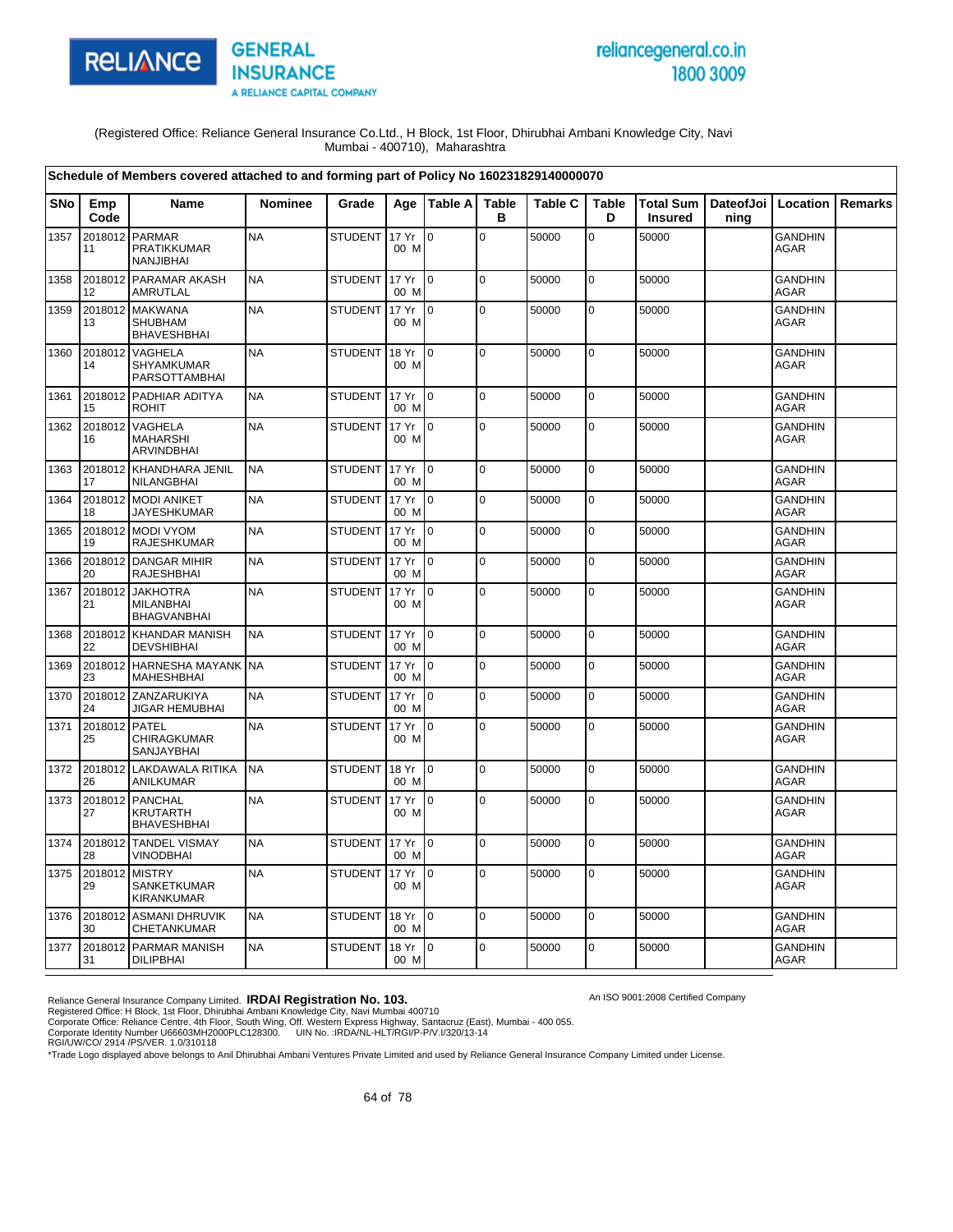

# reliancegeneral.co.in 1800 3009

An ISO 9001:2008 Certified Company

(Registered Office: Reliance General Insurance Co.Ltd., H Block, 1st Floor, Dhirubhai Ambani Knowledge City, Navi Mumbai - 400710), Maharashtra

|            |               | Schedule of Members covered attached to and forming part of Policy No 160231829140000070 |                |                |                          |                  |                   |                |                   |                             |                   |                               |         |
|------------|---------------|------------------------------------------------------------------------------------------|----------------|----------------|--------------------------|------------------|-------------------|----------------|-------------------|-----------------------------|-------------------|-------------------------------|---------|
| <b>SNo</b> | Emp<br>Code   | Name                                                                                     | <b>Nominee</b> | Grade          | Age                      | <b>ITable Al</b> | <b>Table</b><br>в | <b>Table C</b> | <b>Table</b><br>D | Total Sum<br><b>Insured</b> | DateofJoi<br>ning | Location                      | Remarks |
| 1357       | 2018012<br>11 | <b>PARMAR</b><br>PRATIKKUMAR<br><b>NANJIBHAI</b>                                         | <b>NA</b>      | <b>STUDENT</b> | 17 Yr<br>00 M            | l o              | $\mathbf 0$       | 50000          | 0                 | 50000                       |                   | <b>GANDHIN</b><br>AGAR        |         |
| 1358       | 2018012<br>12 | PARAMAR AKASH<br>AMRUTLAL                                                                | <b>NA</b>      | <b>STUDENT</b> | 17 Yr<br>00 M            | l o              | $\mathbf 0$       | 50000          | $\mathbf 0$       | 50000                       |                   | <b>GANDHIN</b><br>AGAR        |         |
| 1359       | 2018012<br>13 | <b>MAKWANA</b><br><b>SHUBHAM</b><br><b>BHAVESHBHAI</b>                                   | <b>NA</b>      | <b>STUDENT</b> | 17 Yr<br>00 M            | lo.              | $\mathbf 0$       | 50000          | $\mathbf 0$       | 50000                       |                   | <b>GANDHIN</b><br><b>AGAR</b> |         |
| 1360       | 2018012<br>14 | <b>VAGHELA</b><br>SHYAMKUMAR<br>PARSOTTAMBHAI                                            | <b>NA</b>      | <b>STUDENT</b> | 18 Yr<br>00 M            | I0               | $\mathbf 0$       | 50000          | $\mathbf 0$       | 50000                       |                   | GANDHIN<br><b>AGAR</b>        |         |
| 1361       | 2018012<br>15 | PADHIAR ADITYA<br><b>ROHIT</b>                                                           | <b>NA</b>      | <b>STUDENT</b> | 17 Yr<br>00 M            | I0               | $\pmb{0}$         | 50000          | $\mathsf 0$       | 50000                       |                   | GANDHIN<br><b>AGAR</b>        |         |
| 1362       | 2018012<br>16 | VAGHELA<br><b>MAHARSHI</b><br><b>ARVINDBHAI</b>                                          | <b>NA</b>      | <b>STUDENT</b> | 17 Yr<br>00 M            | lo.              | $\mathbf 0$       | 50000          | $\pmb{0}$         | 50000                       |                   | <b>GANDHIN</b><br><b>AGAR</b> |         |
| 1363       | 17            | 2018012 KHANDHARA JENIL<br>NILANGBHAI                                                    | <b>NA</b>      | STUDENT        | 17 Yr<br>00 M            | I0               | $\mathbf 0$       | 50000          | 0                 | 50000                       |                   | <b>GANDHIN</b><br>AGAR        |         |
| 1364       | 18            | 2018012 MODI ANIKET<br><b>JAYESHKUMAR</b>                                                | <b>NA</b>      | <b>STUDENT</b> | 17 Yr<br>00 M            | lo.              | $\Omega$          | 50000          | $\mathbf 0$       | 50000                       |                   | <b>GANDHIN</b><br><b>AGAR</b> |         |
| 1365       | 19            | 2018012 MODI VYOM<br>RAJESHKUMAR                                                         | <b>NA</b>      | <b>STUDENT</b> | 17 Yr<br>00 M            | I٥               | $\mathbf 0$       | 50000          | $\mathbf 0$       | 50000                       |                   | <b>GANDHIN</b><br><b>AGAR</b> |         |
| 1366       | 2018012<br>20 | <b>DANGAR MIHIR</b><br>RAJESHBHAI                                                        | <b>NA</b>      | <b>STUDENT</b> | 17 Yr<br>00 M            | $\overline{0}$   | $\mathbf 0$       | 50000          | $\mathbf 0$       | 50000                       |                   | <b>GANDHIN</b><br><b>AGAR</b> |         |
| 1367       | 2018012<br>21 | <b>JAKHOTRA</b><br><b>MILANBHAI</b><br><b>BHAGVANBHAI</b>                                | <b>NA</b>      | STUDENT        | 17 Yr<br>00 M            | l0               | $\Omega$          | 50000          | $\mathbf 0$       | 50000                       |                   | <b>GANDHIN</b><br><b>AGAR</b> |         |
| 1368       | 2018012<br>22 | <b>KHANDAR MANISH</b><br><b>DEVSHIBHAI</b>                                               | <b>NA</b>      | <b>STUDENT</b> | 17 Yr<br>00 M            | I٥               | $\mathbf 0$       | 50000          | $\mathbf 0$       | 50000                       |                   | <b>GANDHIN</b><br><b>AGAR</b> |         |
| 1369       | 2018012<br>23 | <b>HARNESHA MAYANK</b><br><b>MAHESHBHAI</b>                                              | <b>NA</b>      | <b>STUDENT</b> | 17 Yr<br>00 M            | $\Omega$         | $\Omega$          | 50000          | $\mathbf 0$       | 50000                       |                   | <b>GANDHIN</b><br><b>AGAR</b> |         |
| 1370       | 24            | 2018012 ZANZARUKIYA<br>JIGAR HEMUBHAI                                                    | <b>NA</b>      | <b>STUDENT</b> | 17 Yr<br>00 M            | lo.              | $\mathbf 0$       | 50000          | $\mathbf 0$       | 50000                       |                   | <b>GANDHIN</b><br><b>AGAR</b> |         |
| 1371       | 2018012<br>25 | <b>PATEL</b><br>CHIRAGKUMAR<br><b>SANJAYBHAI</b>                                         | <b>NA</b>      | <b>STUDENT</b> | 17 Yr<br>00 M            | I٥               | 0                 | 50000          | 0                 | 50000                       |                   | <b>GANDHIN</b><br>AGAR        |         |
| 1372       | 2018012<br>26 | <b>LAKDAWALA RITIKA</b><br>ANILKUMAR                                                     | <b>NA</b>      | <b>STUDENT</b> | 18 Yr<br>00 M            | I0               | $\mathbf 0$       | 50000          | $\mathbf 0$       | 50000                       |                   | <b>GANDHIN</b><br><b>AGAR</b> |         |
| 1373       | 2018012<br>27 | <b>PANCHAL</b><br><b>KRUTARTH</b><br><b>BHAVESHBHAI</b>                                  | <b>NA</b>      | <b>STUDENT</b> | 17 Yr<br>00 M            | I0               | $\mathbf 0$       | 50000          | $\mathbf 0$       | 50000                       |                   | <b>GANDHIN</b><br><b>AGAR</b> |         |
| 1374       | 28            | 2018012 TANDEL VISMAY<br><b>VINODBHAI</b>                                                | <b>NA</b>      | <b>STUDENT</b> | 17 Yr<br>00 M            | I0               | $\mathbf 0$       | 50000          | $\mathbf 0$       | 50000                       |                   | <b>GANDHIN</b><br><b>AGAR</b> |         |
| 1375       | 2018012<br>29 | <b>MISTRY</b><br>SANKETKUMAR<br>KIRANKUMAR                                               | <b>NA</b>      | <b>STUDENT</b> | 17 Yr<br>00 M            | l O              | $\mathbf 0$       | 50000          | $\mathbf 0$       | 50000                       |                   | <b>GANDHIN</b><br>AGAR        |         |
| 1376       | 30            | 2018012 ASMANI DHRUVIK<br>CHETANKUMAR                                                    | <b>NA</b>      | <b>STUDENT</b> | 18 Yr<br>00 M            | I0               | $\mathbf 0$       | 50000          | $\mathbf 0$       | 50000                       |                   | <b>GANDHIN</b><br>AGAR        |         |
| 1377       | 2018012<br>31 | <b>PARMAR MANISH</b><br><b>DILIPBHAI</b>                                                 | <b>NA</b>      | <b>STUDENT</b> | $18 \text{Yr}$ 0<br>00 M |                  | $\mathbf 0$       | 50000          | $\mathbf 0$       | 50000                       |                   | GANDHIN<br><b>AGAR</b>        |         |

Reliance General Insurance Company Limited. **IRDAI Registration No. 103.**<br>Registered Office: H Block, 1st Floor, Dhirubhai Ambani Knowledge City, Navi Mumbai 400710<br>Corporate Office: Reliance Centre, 4th Floor, South Wing,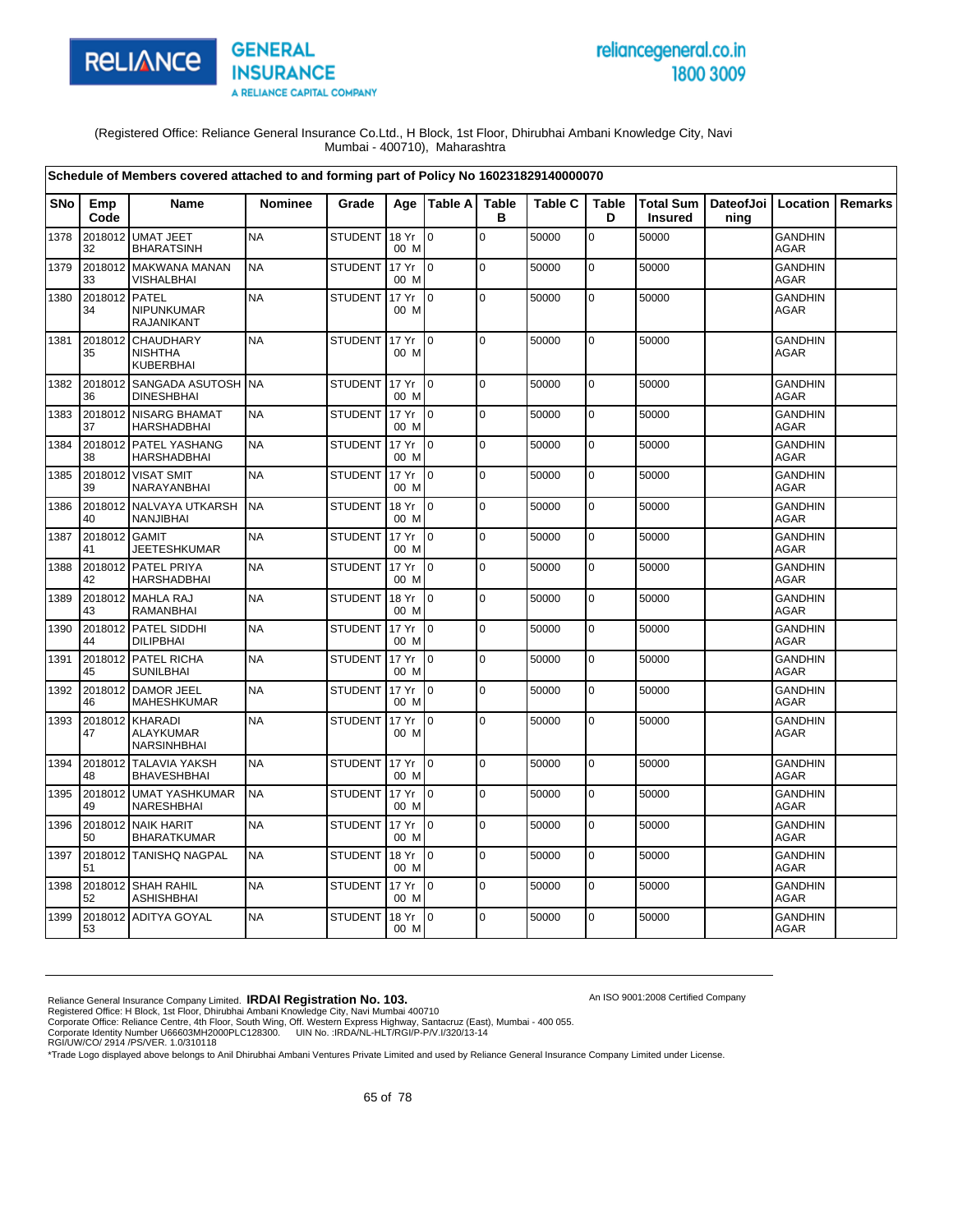

# reliancegeneral.co.in 1800 3009

An ISO 9001:2008 Certified Company

(Registered Office: Reliance General Insurance Co.Ltd., H Block, 1st Floor, Dhirubhai Ambani Knowledge City, Navi Mumbai - 400710), Maharashtra

|            |               | Schedule of Members covered attached to and forming part of Policy No 160231829140000070 |                |                |               |                |                   |                |                   |                                    |                              |                               |                |
|------------|---------------|------------------------------------------------------------------------------------------|----------------|----------------|---------------|----------------|-------------------|----------------|-------------------|------------------------------------|------------------------------|-------------------------------|----------------|
| <b>SNo</b> | Emp<br>Code   | Name                                                                                     | <b>Nominee</b> | Grade          | Aae           | <b>Table A</b> | <b>Table</b><br>в | <b>Table C</b> | <b>Table</b><br>D | <b>Total Sum</b><br><b>Insured</b> | DateofJoi   Location<br>ning |                               | <b>Remarks</b> |
| 1378       | 2018012<br>32 | <b>UMAT JEET</b><br><b>BHARATSINH</b>                                                    | <b>NA</b>      | <b>STUDENT</b> | 18 Yr<br>00 M | $\overline{0}$ | $\pmb{0}$         | 50000          | 0                 | 50000                              |                              | <b>GANDHIN</b><br>AGAR        |                |
| 1379       | 2018012<br>33 | <b>MAKWANA MANAN</b><br>VISHALBHAI                                                       | <b>NA</b>      | <b>STUDENT</b> | 17 Yr<br>00 M | $\overline{0}$ | $\mathbf 0$       | 50000          | $\mathbf 0$       | 50000                              |                              | <b>GANDHIN</b><br>AGAR        |                |
| 1380       | 2018012<br>34 | <b>PATEL</b><br>NIPUNKUMAR<br><b>RAJANIKANT</b>                                          | <b>NA</b>      | <b>STUDENT</b> | 17 Yr<br>00 M | $\Omega$       | $\mathbf 0$       | 50000          | $\mathbf 0$       | 50000                              |                              | <b>GANDHIN</b><br>AGAR        |                |
| 1381       | 2018012<br>35 | <b>CHAUDHARY</b><br><b>NISHTHA</b><br>KUBERBHAI                                          | <b>NA</b>      | <b>STUDENT</b> | 17 Yr<br>00 M | $\mathbf 0$    | $\mathbf 0$       | 50000          | $\mathbf 0$       | 50000                              |                              | <b>GANDHIN</b><br>AGAR        |                |
| 1382       | 2018012<br>36 | SANGADA ASUTOSH NA<br><b>DINESHBHAI</b>                                                  |                | <b>STUDENT</b> | 17 Yr<br>00 M | I0             | $\pmb{0}$         | 50000          | 0                 | 50000                              |                              | <b>GANDHIN</b><br><b>AGAR</b> |                |
| 1383       | 37            | 2018012 NISARG BHAMAT<br><b>HARSHADBHAI</b>                                              | <b>NA</b>      | <b>STUDENT</b> | 17 Yr<br>00 M | I٥             | $\mathbf 0$       | 50000          | $\mathbf 0$       | 50000                              |                              | <b>GANDHIN</b><br>AGAR        |                |
| 1384       | 38            | 2018012 PATEL YASHANG<br><b>HARSHADBHAI</b>                                              | <b>NA</b>      | <b>STUDENT</b> | 17 Yr<br>00 M | l 0            | $\pmb{0}$         | 50000          | 0                 | 50000                              |                              | <b>GANDHIN</b><br><b>AGAR</b> |                |
| 1385       | 39            | 2018012 VISAT SMIT<br>NARAYANBHAI                                                        | <b>NA</b>      | <b>STUDENT</b> | 17 Yr<br>00 M | I0             | $\mathbf 0$       | 50000          | 0                 | 50000                              |                              | <b>GANDHIN</b><br><b>AGAR</b> |                |
| 1386       | 2018012<br>40 | <b>NALVAYA UTKARSH</b><br>NANJIBHAI                                                      | <b>NA</b>      | <b>STUDENT</b> | 18 Yr<br>00 M | I٥             | $\mathbf 0$       | 50000          | $\mathbf 0$       | 50000                              |                              | <b>GANDHIN</b><br><b>AGAR</b> |                |
| 1387       | 2018012<br>41 | <b>GAMIT</b><br><b>JEETESHKUMAR</b>                                                      | <b>NA</b>      | <b>STUDENT</b> | 17 Yr<br>00 M | I0             | $\mathbf 0$       | 50000          | $\mathbf 0$       | 50000                              |                              | <b>GANDHIN</b><br><b>AGAR</b> |                |
| 1388       | 2018012<br>42 | PATEL PRIYA<br><b>HARSHADBHAI</b>                                                        | <b>NA</b>      | <b>STUDENT</b> | 17 Yr<br>00 M | ۱o             | $\pmb{0}$         | 50000          | $\mathbf 0$       | 50000                              |                              | <b>GANDHIN</b><br>AGAR        |                |
| 1389       | 2018012<br>43 | <b>MAHLA RAJ</b><br>RAMANBHAI                                                            | <b>NA</b>      | <b>STUDENT</b> | 18 Yr<br>00 M | l 0            | $\pmb{0}$         | 50000          | $\mathbf 0$       | 50000                              |                              | <b>GANDHIN</b><br>AGAR        |                |
| 1390       | 2018012<br>44 | PATEL SIDDHI<br><b>DILIPBHAI</b>                                                         | <b>NA</b>      | <b>STUDENT</b> | 17 Yr<br>00 M | I٥             | $\pmb{0}$         | 50000          | $\mathbf 0$       | 50000                              |                              | <b>GANDHIN</b><br>AGAR        |                |
| 1391       | 2018012<br>45 | PATEL RICHA<br><b>SUNILBHAI</b>                                                          | <b>NA</b>      | <b>STUDENT</b> | 17 Yr<br>00 M | I٥             | $\Omega$          | 50000          | $\overline{0}$    | 50000                              |                              | <b>GANDHIN</b><br>AGAR        |                |
| 1392       | 2018012<br>46 | <b>DAMOR JEEL</b><br>MAHESHKUMAR                                                         | <b>NA</b>      | <b>STUDENT</b> | 17 Yr<br>00 M | l n            | $\Omega$          | 50000          | $\mathbf 0$       | 50000                              |                              | <b>GANDHIN</b><br>AGAR        |                |
| 1393       | 2018012<br>47 | KHARADI<br>ALAYKUMAR<br><b>NARSINHBHAI</b>                                               | <b>NA</b>      | <b>STUDENT</b> | 17 Yr<br>00 M | I٥             | $\mathbf 0$       | 50000          | $\mathbf 0$       | 50000                              |                              | GANDHIN<br>AGAR               |                |
| 1394       | 2018012<br>48 | <b>TALAVIA YAKSH</b><br><b>BHAVESHBHAI</b>                                               | <b>NA</b>      | STUDENT        | 17 Yr<br>00 M | $\overline{0}$ | $\Omega$          | 50000          | $\mathbf 0$       | 50000                              |                              | <b>GANDHIN</b><br>AGAR        |                |
| 1395       | 2018012<br>49 | <b>UMAT YASHKUMAR</b><br>NARESHBHAI                                                      | <b>NA</b>      | <b>STUDENT</b> | 17 Yr<br>00 M | $\overline{0}$ | $\pmb{0}$         | 50000          | $\mathbf 0$       | 50000                              |                              | <b>GANDHIN</b><br>AGAR        |                |
| 1396       | 2018012<br>50 | <b>NAIK HARIT</b><br><b>BHARATKUMAR</b>                                                  | <b>NA</b>      | <b>STUDENT</b> | 17 Yr<br>00 M | l 0            | $\pmb{0}$         | 50000          | $\mathbf 0$       | 50000                              |                              | <b>GANDHIN</b><br>AGAR        |                |
| 1397       | 2018012<br>51 | <b>TANISHQ NAGPAL</b>                                                                    | <b>NA</b>      | <b>STUDENT</b> | 18 Yr<br>00 M | l 0            | $\mathbf 0$       | 50000          | 0                 | 50000                              |                              | <b>GANDHIN</b><br><b>AGAR</b> |                |
| 1398       | 2018012<br>52 | <b>SHAH RAHIL</b><br>ASHISHBHAI                                                          | <b>NA</b>      | <b>STUDENT</b> | 17 Yr<br>00 M | lo.            | $\Omega$          | 50000          | $\mathbf 0$       | 50000                              |                              | <b>GANDHIN</b><br>AGAR        |                |
| 1399       | 2018012<br>53 | <b>ADITYA GOYAL</b>                                                                      | <b>NA</b>      | <b>STUDENT</b> | 18 Yr<br>00 M | I٥             | $\Omega$          | 50000          | $\Omega$          | 50000                              |                              | <b>GANDHIN</b><br>AGAR        |                |

Reliance General Insurance Company Limited. **IRDAI Registration No. 103.**<br>Registered Office: H Block, 1st Floor, Dhirubhai Ambani Knowledge City, Navi Mumbai 400710<br>Corporate Office: Reliance Centre, 4th Floor, South Wing,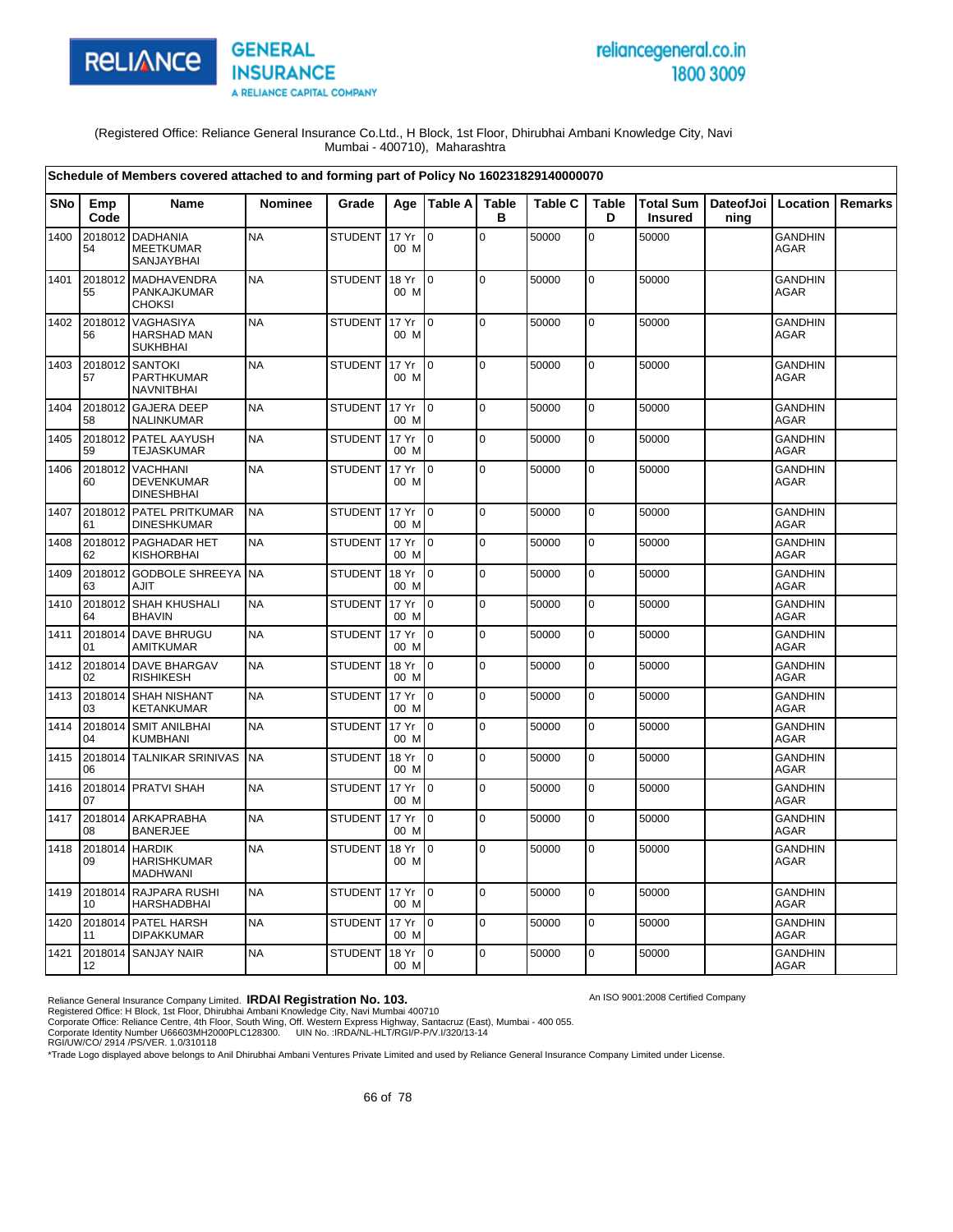



An ISO 9001:2008 Certified Company

(Registered Office: Reliance General Insurance Co.Ltd., H Block, 1st Floor, Dhirubhai Ambani Knowledge City, Navi Mumbai - 400710), Maharashtra

|            |               | Schedule of Members covered attached to and forming part of Policy No 160231829140000070 |                |                |               |                 |                   |         |                   |                                    |                   |                               |                |
|------------|---------------|------------------------------------------------------------------------------------------|----------------|----------------|---------------|-----------------|-------------------|---------|-------------------|------------------------------------|-------------------|-------------------------------|----------------|
| <b>SNo</b> | Emp<br>Code   | <b>Name</b>                                                                              | <b>Nominee</b> | Grade          |               | Age   Table A   | <b>Table</b><br>B | Table C | <b>Table</b><br>D | <b>Total Sum</b><br><b>Insured</b> | DateofJoi<br>ning | Location                      | <b>Remarks</b> |
| 1400       | 2018012<br>54 | <b>DADHANIA</b><br><b>MEETKUMAR</b><br>SANJAYBHAI                                        | <b>NA</b>      | <b>STUDENT</b> | 17 Yr<br>00 M | $\overline{0}$  | $\mathbf 0$       | 50000   | 0                 | 50000                              |                   | <b>GANDHIN</b><br><b>AGAR</b> |                |
| 1401       | 2018012<br>55 | MADHAVENDRA<br>PANKAJKUMAR<br><b>CHOKSI</b>                                              | <b>NA</b>      | <b>STUDENT</b> | 18 Yr<br>00 M | $\overline{10}$ | l O               | 50000   | 0                 | 50000                              |                   | <b>GANDHIN</b><br><b>AGAR</b> |                |
| 1402       | 2018012<br>56 | VAGHASIYA<br>HARSHAD MAN<br><b>SUKHBHAI</b>                                              | <b>NA</b>      | <b>STUDENT</b> | 17 Yr<br>00 M | $\overline{10}$ | l O               | 50000   | 0                 | 50000                              |                   | <b>GANDHIN</b><br><b>AGAR</b> |                |
| 1403       | 2018012<br>57 | <b>SANTOKI</b><br>PARTHKUMAR<br><b>NAVNITBHAI</b>                                        | <b>NA</b>      | <b>STUDENT</b> | 17 Yr<br>00 M | $\overline{10}$ | $\overline{0}$    | 50000   | 0                 | 50000                              |                   | <b>GANDHIN</b><br><b>AGAR</b> |                |
| 1404       | 2018012<br>58 | <b>GAJERA DEEP</b><br>NALINKUMAR                                                         | <b>NA</b>      | <b>STUDENT</b> | 17 Yr<br>00 M | $\overline{10}$ | $\overline{0}$    | 50000   | 0                 | 50000                              |                   | <b>GANDHIN</b><br><b>AGAR</b> |                |
| 1405       | 2018012<br>59 | PATEL AAYUSH<br><b>TEJASKUMAR</b>                                                        | <b>NA</b>      | <b>STUDENT</b> | 17 Yr<br>00 M | $\mathsf{I}$    | $\overline{0}$    | 50000   | $\mathbf 0$       | 50000                              |                   | <b>GANDHIN</b><br><b>AGAR</b> |                |
| 1406       | 2018012<br>60 | <b>VACHHANI</b><br>DEVENKUMAR<br><b>DINESHBHAI</b>                                       | <b>NA</b>      | <b>STUDENT</b> | 17 Yr<br>00 M | 0               | l O               | 50000   | 0                 | 50000                              |                   | <b>GANDHIN</b><br><b>AGAR</b> |                |
| 1407       | 61            | 2018012 PATEL PRITKUMAR<br><b>DINESHKUMAR</b>                                            | <b>NA</b>      | STUDENT 17 Yr  | 00 M          | $\overline{10}$ | $\overline{0}$    | 50000   | 0                 | 50000                              |                   | <b>GANDHIN</b><br><b>AGAR</b> |                |
| 1408       | 2018012<br>62 | PAGHADAR HET<br><b>KISHORBHAI</b>                                                        | <b>NA</b>      | <b>STUDENT</b> | 17 Yr<br>00 M | l o             | $\overline{0}$    | 50000   | 0                 | 50000                              |                   | <b>GANDHIN</b><br><b>AGAR</b> |                |
| 1409       | 2018012<br>63 | <b>GODBOLE SHREEYA</b><br>AJIT                                                           | <b>NA</b>      | <b>STUDENT</b> | 18 Yr<br>00 M | l 0             | l O               | 50000   | $\overline{0}$    | 50000                              |                   | <b>GANDHIN</b><br><b>AGAR</b> |                |
| 1410       | 2018012<br>64 | SHAH KHUSHALI<br><b>BHAVIN</b>                                                           | <b>NA</b>      | <b>STUDENT</b> | 17 Yr<br>00 M | $\overline{0}$  | $\overline{0}$    | 50000   | 0                 | 50000                              |                   | <b>GANDHIN</b><br><b>AGAR</b> |                |
| 1411       | 2018014<br>01 | DAVE BHRUGU<br><b>AMITKUMAR</b>                                                          | <b>NA</b>      | <b>STUDENT</b> | 17 Yr<br>00 M | ۱o              | l o               | 50000   | 0                 | 50000                              |                   | <b>GANDHIN</b><br><b>AGAR</b> |                |
| 1412       | 02            | 2018014 DAVE BHARGAV<br><b>RISHIKESH</b>                                                 | <b>NA</b>      | <b>STUDENT</b> | 18 Yr<br>00 M | $\overline{0}$  | l o               | 50000   | 0                 | 50000                              |                   | <b>GANDHIN</b><br><b>AGAR</b> |                |
| 1413       | 2018014<br>03 | <b>SHAH NISHANT</b><br><b>KETANKUMAR</b>                                                 | <b>NA</b>      | <b>STUDENT</b> | 17 Yr<br>00 M | $\overline{10}$ | l O               | 50000   | $\mathbf 0$       | 50000                              |                   | <b>GANDHIN</b><br><b>AGAR</b> |                |
| 1414       | 2018014<br>04 | <b>SMIT ANILBHAI</b><br><b>KUMBHANI</b>                                                  | <b>NA</b>      | <b>STUDENT</b> | 17 Yr<br>00 M | ۱o              | $\overline{0}$    | 50000   | $\overline{0}$    | 50000                              |                   | <b>GANDHIN</b><br><b>AGAR</b> |                |
| 1415       | 06            | 2018014 TALNIKAR SRINIVAS                                                                | <b>NA</b>      | <b>STUDENT</b> | 18 Yr<br>00 M | l o             | $\overline{0}$    | 50000   | $\mathbf 0$       | 50000                              |                   | <b>GANDHIN</b><br><b>AGAR</b> |                |
| 1416       | 07            | 2018014 PRATVI SHAH                                                                      | <b>NA</b>      | STUDENT        | 17 Yr<br>00 M | $\overline{10}$ | l O               | 50000   | $\overline{0}$    | 50000                              |                   | <b>GANDHIN</b><br>AGAR        |                |
| 1417       | 2018014<br>08 | ARKAPRABHA<br><b>BANERJEE</b>                                                            | <b>NA</b>      | <b>STUDENT</b> | 17 Yr<br>00 M | l o             | l O               | 50000   | 0                 | 50000                              |                   | <b>GANDHIN</b><br><b>AGAR</b> |                |
| 1418       | 2018014<br>09 | <b>HARDIK</b><br><b>HARISHKUMAR</b><br><b>MADHWANI</b>                                   | <b>NA</b>      | <b>STUDENT</b> | 18 Yr<br>00 M | $\overline{0}$  | $\overline{0}$    | 50000   | 0                 | 50000                              |                   | <b>GANDHIN</b><br><b>AGAR</b> |                |
| 1419       | 10            | 2018014 RAJPARA RUSHI<br><b>HARSHADBHAI</b>                                              | <b>NA</b>      | STUDENT 17 Yr  | 00 M          | $\overline{10}$ | l O               | 50000   | $\pmb{0}$         | 50000                              |                   | <b>GANDHIN</b><br><b>AGAR</b> |                |
| 1420       | 11            | 2018014 PATEL HARSH<br><b>DIPAKKUMAR</b>                                                 | <b>NA</b>      | <b>STUDENT</b> | 17 Yr<br>00 M | $\overline{0}$  | $\overline{0}$    | 50000   | $\mathbf 0$       | 50000                              |                   | <b>GANDHIN</b><br>AGAR        |                |
| 1421       | 12            | 2018014 SANJAY NAIR                                                                      | <b>NA</b>      | <b>STUDENT</b> | 18 Yr<br>00 M | $\overline{10}$ | $\overline{0}$    | 50000   | 0                 | 50000                              |                   | <b>GANDHIN</b><br><b>AGAR</b> |                |

Reliance General Insurance Company Limited. **IRDAI Registration No. 103.**<br>Registered Office: H Block, 1st Floor, Dhirubhai Ambani Knowledge City, Navi Mumbai 400710<br>Corporate Office: Reliance Centre, 4th Floor, South Wing,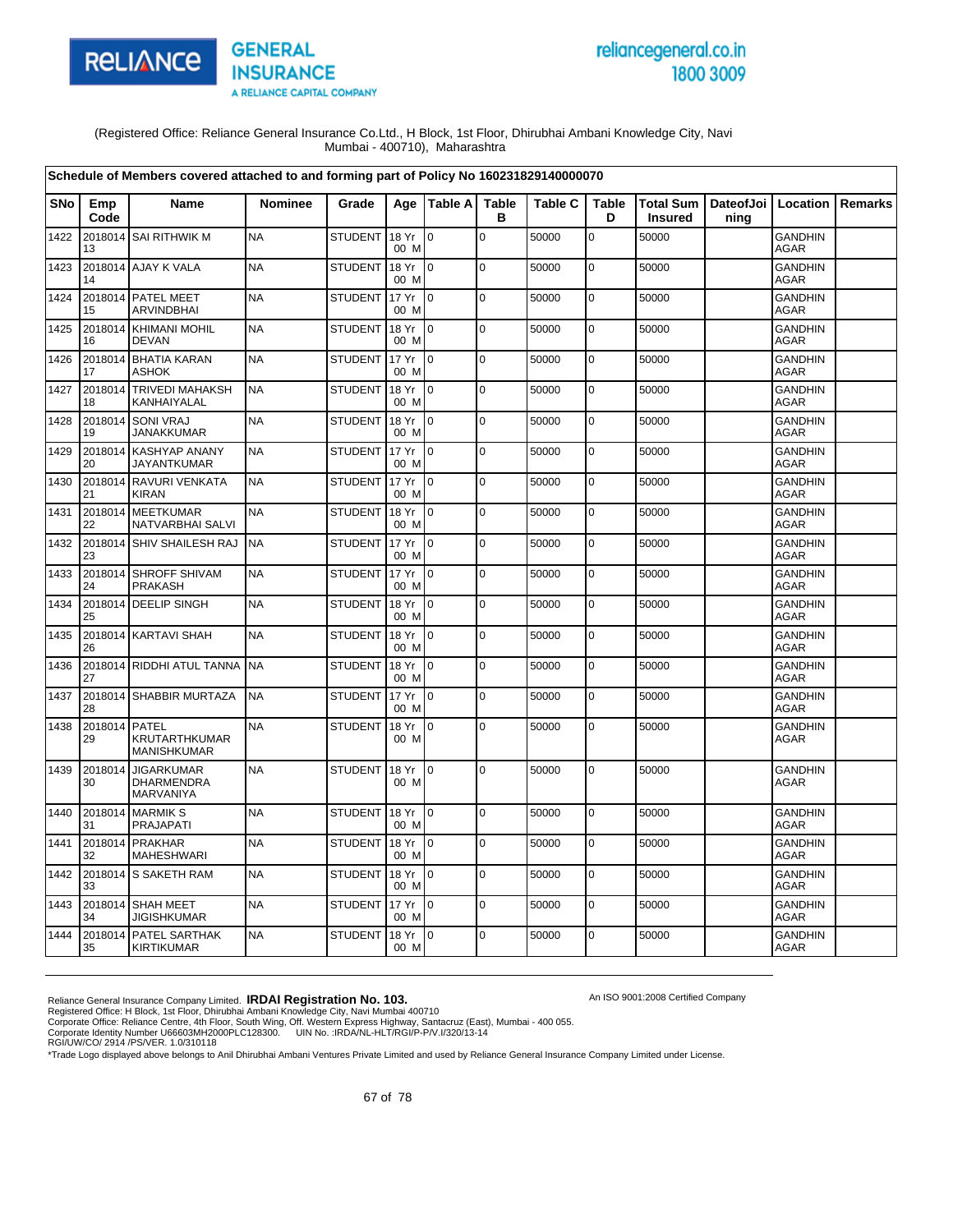

# reliancegeneral.co.in 1800 3009

An ISO 9001:2008 Certified Company

(Registered Office: Reliance General Insurance Co.Ltd., H Block, 1st Floor, Dhirubhai Ambani Knowledge City, Navi Mumbai - 400710), Maharashtra

|            |                     | Schedule of Members covered attached to and forming part of Policy No 160231829140000070 |                |                |               |                 |                   |                |                   |                                    |                              |                               |                |
|------------|---------------------|------------------------------------------------------------------------------------------|----------------|----------------|---------------|-----------------|-------------------|----------------|-------------------|------------------------------------|------------------------------|-------------------------------|----------------|
| <b>SNo</b> | Emp<br>Code         | Name                                                                                     | <b>Nominee</b> | Grade          | Age           | Table A         | <b>Table</b><br>в | <b>Table C</b> | <b>Table</b><br>D | <b>Total Sum</b><br><b>Insured</b> | DateofJoi   Location<br>ning |                               | <b>Remarks</b> |
| 1422       | 13                  | 2018014 SAI RITHWIK M                                                                    | <b>NA</b>      | <b>STUDENT</b> | 18 Yr<br>00 M | l 0             | $\mathbf 0$       | 50000          | $\mathbf 0$       | 50000                              |                              | <b>GANDHIN</b><br><b>AGAR</b> |                |
| 1423       | 14                  | 2018014 AJAY K VALA                                                                      | <b>NA</b>      | <b>STUDENT</b> | 18 Yr<br>00 M | $\overline{10}$ | $\pmb{0}$         | 50000          | $\pmb{0}$         | 50000                              |                              | <b>GANDHIN</b><br><b>AGAR</b> |                |
| 1424       | 15                  | 2018014 PATEL MEET<br><b>ARVINDBHAI</b>                                                  | <b>NA</b>      | <b>STUDENT</b> | 17 Yr<br>00 M | I0              | $\mathbf 0$       | 50000          | 0                 | 50000                              |                              | <b>GANDHIN</b><br><b>AGAR</b> |                |
| 1425       | 16                  | 2018014 KHIMANI MOHIL<br><b>DEVAN</b>                                                    | <b>NA</b>      | <b>STUDENT</b> | 18 Yr<br>00 M | I <sub>0</sub>  | $\mathbf 0$       | 50000          | 0                 | 50000                              |                              | <b>GANDHIN</b><br><b>AGAR</b> |                |
| 1426       | 17                  | 2018014 BHATIA KARAN<br><b>ASHOK</b>                                                     | <b>NA</b>      | <b>STUDENT</b> | 17 Yr<br>00 M | I <sub>0</sub>  | $\Omega$          | 50000          | 0                 | 50000                              |                              | <b>GANDHIN</b><br><b>AGAR</b> |                |
| 1427       | 18                  | 2018014 TRIVEDI MAHAKSH<br>KANHAIYALAL                                                   | <b>NA</b>      | <b>STUDENT</b> | 18 Yr<br>00 M | $\overline{10}$ | $\mathbf 0$       | 50000          | 0                 | 50000                              |                              | <b>GANDHIN</b><br><b>AGAR</b> |                |
| 1428       | 19                  | 2018014 SONI VRAJ<br><b>JANAKKUMAR</b>                                                   | <b>NA</b>      | <b>STUDENT</b> | 18 Yr<br>00 M | $\overline{10}$ | $\mathbf 0$       | 50000          | 0                 | 50000                              |                              | <b>GANDHIN</b><br>AGAR        |                |
| 1429       | 2018014<br>20       | <b>KASHYAP ANANY</b><br>JAYANTKUMAR                                                      | <b>NA</b>      | <b>STUDENT</b> | 17 Yr<br>00 M | lo.             | $\mathbf 0$       | 50000          | 0                 | 50000                              |                              | <b>GANDHIN</b><br>AGAR        |                |
| 1430       | 21                  | 2018014 RAVURI VENKATA<br><b>KIRAN</b>                                                   | <b>NA</b>      | <b>STUDENT</b> | 17 Yr<br>00 M | $\overline{0}$  | $\mathbf 0$       | 50000          | $\pmb{0}$         | 50000                              |                              | <b>GANDHIN</b><br>AGAR        |                |
| 1431       | 2018014<br>22       | <b>MEETKUMAR</b><br>NATVARBHAI SALVI                                                     | <b>NA</b>      | <b>STUDENT</b> | 18 Yr<br>00 M | $\overline{0}$  | $\mathbf 0$       | 50000          | $\pmb{0}$         | 50000                              |                              | <b>GANDHIN</b><br>AGAR        |                |
| 1432       | 23                  | 2018014 SHIV SHAILESH RAJ                                                                | <b>NA</b>      | <b>STUDENT</b> | 17 Yr<br>00 M | $\overline{10}$ | $\mathbf 0$       | 50000          | $\mathbf 0$       | 50000                              |                              | <b>GANDHIN</b><br><b>AGAR</b> |                |
| 1433       | 2018014<br>24       | SHROFF SHIVAM<br><b>PRAKASH</b>                                                          | <b>NA</b>      | <b>STUDENT</b> | 17 Yr<br>00 M | $\overline{0}$  | $\mathbf 0$       | 50000          | $\mathbf 0$       | 50000                              |                              | <b>GANDHIN</b><br><b>AGAR</b> |                |
| 1434       | 25                  | 2018014 DEELIP SINGH                                                                     | <b>NA</b>      | <b>STUDENT</b> | 18 Yr<br>00 M | I <sub>0</sub>  | $\mathbf 0$       | 50000          | 0                 | 50000                              |                              | <b>GANDHIN</b><br>AGAR        |                |
| 1435       | 26                  | 2018014 KARTAVI SHAH                                                                     | <b>NA</b>      | <b>STUDENT</b> | 18 Yr<br>00 M | I <sub>0</sub>  | $\Omega$          | 50000          | $\mathbf 0$       | 50000                              |                              | <b>GANDHIN</b><br><b>AGAR</b> |                |
| 1436       | 27                  | 2018014 RIDDHI ATUL TANNA                                                                | <b>NA</b>      | <b>STUDENT</b> | 18 Yr<br>00 M | $\overline{10}$ | $\mathbf 0$       | 50000          | $\pmb{0}$         | 50000                              |                              | <b>GANDHIN</b><br><b>AGAR</b> |                |
| 1437       | 28                  | 2018014 SHABBIR MURTAZA                                                                  | <b>NA</b>      | <b>STUDENT</b> | 17 Yr<br>00 M | $\overline{0}$  | $\mathbf 0$       | 50000          | 0                 | 50000                              |                              | <b>GANDHIN</b><br>AGAR        |                |
| 1438       | 2018014 PATEL<br>29 | KRUTARTHKUMAR<br><b>MANISHKUMAR</b>                                                      | <b>NA</b>      | <b>STUDENT</b> | 18 Yr<br>00 M | $\overline{0}$  | $\mathbf 0$       | 50000          | 0                 | 50000                              |                              | <b>GANDHIN</b><br>AGAR        |                |
| 1439       | 2018014<br>30       | <b>JIGARKUMAR</b><br><b>DHARMENDRA</b><br>MARVANIYA                                      | <b>NA</b>      | <b>STUDENT</b> | 18 Yr<br>00 M | l0              | 0                 | 50000          | 0                 | 50000                              |                              | <b>GANDHIN</b><br><b>AGAR</b> |                |
| 1440       | 31                  | 2018014 MARMIK S<br>PRAJAPATI                                                            | <b>NA</b>      | <b>STUDENT</b> | 18 Yr<br>00 M | I0              | $\mathbf 0$       | 50000          | 0                 | 50000                              |                              | <b>GANDHIN</b><br><b>AGAR</b> |                |
| 1441       | 32                  | 2018014 PRAKHAR<br>MAHESHWARI                                                            | <b>NA</b>      | <b>STUDENT</b> | 18 Yr<br>00 M | I O             | $\mathbf 0$       | 50000          | $\mathbf 0$       | 50000                              |                              | <b>GANDHIN</b><br>AGAR        |                |
| 1442       | 33                  | 2018014 S SAKETH RAM                                                                     | <b>NA</b>      | <b>STUDENT</b> | 18 Yr<br>00 M | I0              | $\Omega$          | 50000          | $\pmb{0}$         | 50000                              |                              | <b>GANDHIN</b><br><b>AGAR</b> |                |
| 1443       | 34                  | 2018014 SHAH MEET<br>JIGISHKUMAR                                                         | <b>NA</b>      | <b>STUDENT</b> | 17 Yr<br>00 M | $\overline{10}$ | l o               | 50000          | $\pmb{0}$         | 50000                              |                              | <b>GANDHIN</b><br>AGAR        |                |
| 1444       | 2018014<br>35       | PATEL SARTHAK<br><b>KIRTIKUMAR</b>                                                       | <b>NA</b>      | <b>STUDENT</b> | 18 Yr<br>00 M | I0              | $\mathbf 0$       | 50000          | 0                 | 50000                              |                              | <b>GANDHIN</b><br><b>AGAR</b> |                |

Reliance General Insurance Company Limited. **IRDAI Registration No. 103.**<br>Registered Office: H Block, 1st Floor, Dhirubhai Ambani Knowledge City, Navi Mumbai 400710<br>Corporate Office: Reliance Centre, 4th Floor, South Wing,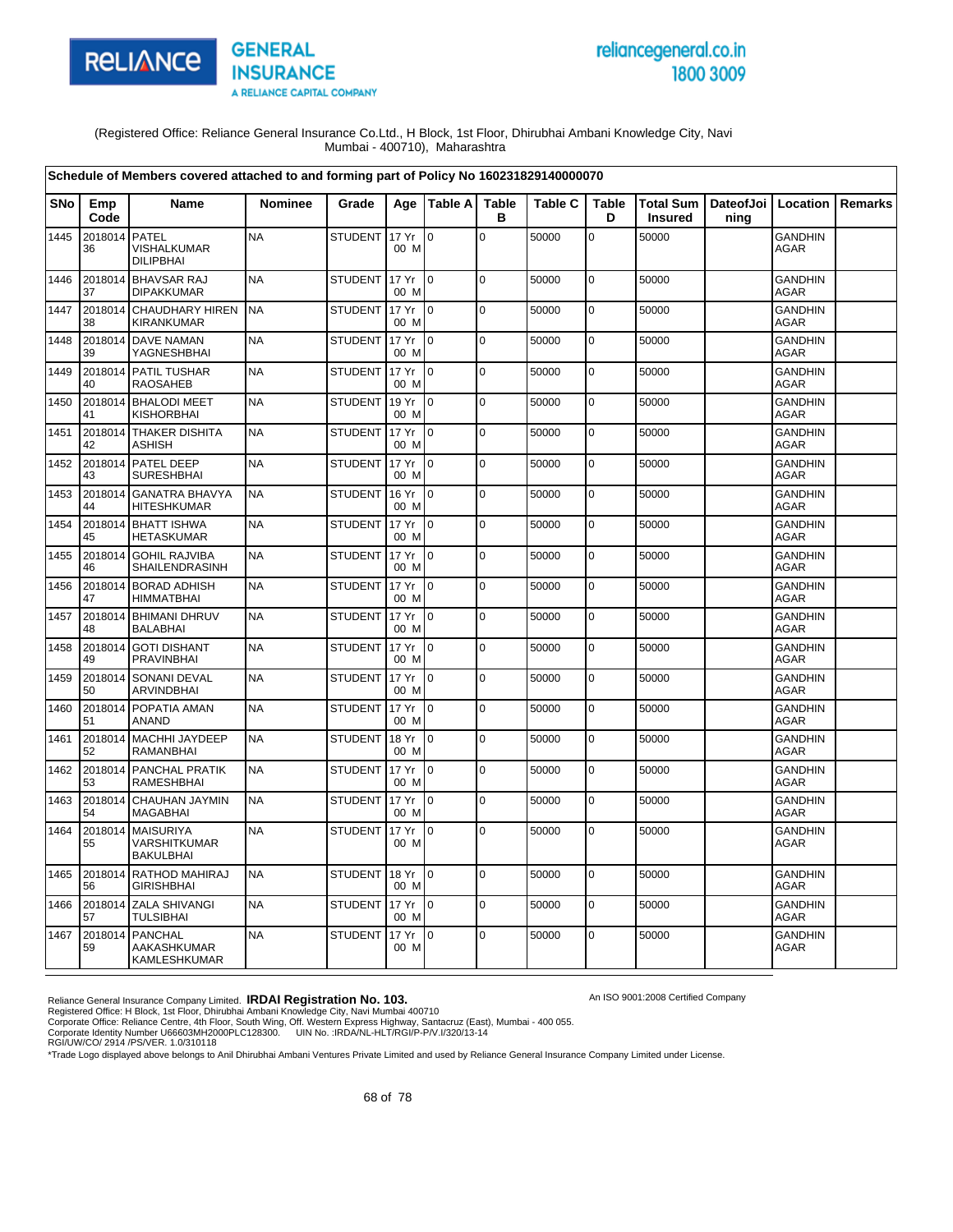

# reliancegeneral.co.in 1800 3009

An ISO 9001:2008 Certified Company

(Registered Office: Reliance General Insurance Co.Ltd., H Block, 1st Floor, Dhirubhai Ambani Knowledge City, Navi Mumbai - 400710), Maharashtra

|            |               | Schedule of Members covered attached to and forming part of Policy No 160231829140000070 |                |                |               |                |                   |                |                   |                             |                   |                               |         |
|------------|---------------|------------------------------------------------------------------------------------------|----------------|----------------|---------------|----------------|-------------------|----------------|-------------------|-----------------------------|-------------------|-------------------------------|---------|
| <b>SNo</b> | Emp<br>Code   | Name                                                                                     | <b>Nominee</b> | Grade          |               | Age Table A    | <b>Table</b><br>в | <b>Table C</b> | <b>Table</b><br>D | Total Sum<br><b>Insured</b> | DateofJoi<br>ning | Location                      | Remarks |
| 1445       | 2018014<br>36 | <b>PATEL</b><br>VISHALKUMAR<br><b>DILIPBHAI</b>                                          | <b>NA</b>      | <b>STUDENT</b> | 17 Yr<br>00 M | l o            | $\mathbf 0$       | 50000          | $\overline{0}$    | 50000                       |                   | <b>GANDHIN</b><br>AGAR        |         |
| 1446       | 2018014<br>37 | <b>BHAVSAR RAJ</b><br><b>DIPAKKUMAR</b>                                                  | <b>NA</b>      | <b>STUDENT</b> | 17 Yr<br>00 M | l o            | $\mathbf 0$       | 50000          | $\mathbf 0$       | 50000                       |                   | <b>GANDHIN</b><br><b>AGAR</b> |         |
| 1447       | 2018014<br>38 | <b>CHAUDHARY HIREN</b><br><b>KIRANKUMAR</b>                                              | <b>NA</b>      | <b>STUDENT</b> | 17 Yr<br>00 M | lo.            | $\mathbf 0$       | 50000          | $\mathbf 0$       | 50000                       |                   | <b>GANDHIN</b><br><b>AGAR</b> |         |
| 1448       | 39            | 2018014 DAVE NAMAN<br>YAGNESHBHAI                                                        | <b>NA</b>      | <b>STUDENT</b> | 17 Yr<br>00 M | $\overline{0}$ | $\mathbf 0$       | 50000          | 0                 | 50000                       |                   | GANDHIN<br>AGAR               |         |
| 1449       | 40            | 2018014 PATIL TUSHAR<br><b>RAOSAHEB</b>                                                  | <b>NA</b>      | <b>STUDENT</b> | 17 Yr<br>00 M | $\overline{0}$ | $\mathbf 0$       | 50000          | $\mathbf 0$       | 50000                       |                   | GANDHIN<br><b>AGAR</b>        |         |
| 1450       | 41            | 2018014 BHALODI MEET<br><b>KISHORBHAI</b>                                                | <b>NA</b>      | <b>STUDENT</b> | 19 Yr<br>00 M | lo.            | $\mathbf 0$       | 50000          | $\mathbf 0$       | 50000                       |                   | <b>GANDHIN</b><br><b>AGAR</b> |         |
| 1451       | 2018014<br>42 | <b>THAKER DISHITA</b><br><b>ASHISH</b>                                                   | <b>NA</b>      | <b>STUDENT</b> | 17 Yr<br>00 M | l 0            | $\mathbf 0$       | 50000          | $\mathbf 0$       | 50000                       |                   | <b>GANDHIN</b><br>AGAR        |         |
| 1452       | 2018014<br>43 | PATEL DEEP<br><b>SURESHBHAI</b>                                                          | <b>NA</b>      | <b>STUDENT</b> | 17 Yr<br>00 M | $\overline{0}$ | $\mathbf 0$       | 50000          | $\mathbf 0$       | 50000                       |                   | <b>GANDHIN</b><br><b>AGAR</b> |         |
| 1453       | 2018014<br>44 | <b>GANATRA BHAVYA</b><br><b>HITESHKUMAR</b>                                              | <b>NA</b>      | <b>STUDENT</b> | 16 Yr<br>00 M | $\Omega$       | $\overline{0}$    | 50000          | $\mathbf 0$       | 50000                       |                   | <b>GANDHIN</b><br><b>AGAR</b> |         |
| 1454       | 2018014<br>45 | <b>BHATT ISHWA</b><br><b>HETASKUMAR</b>                                                  | <b>NA</b>      | <b>STUDENT</b> | 17 Yr<br>00 M | I٥             | $\mathbf 0$       | 50000          | $\mathbf 0$       | 50000                       |                   | <b>GANDHIN</b><br><b>AGAR</b> |         |
| 1455       | 2018014<br>46 | <b>GOHIL RAJVIBA</b><br>SHAILENDRASINH                                                   | <b>NA</b>      | <b>STUDENT</b> | 17 Yr<br>00 M | I٥             | $\mathbf 0$       | 50000          | 0                 | 50000                       |                   | <b>GANDHIN</b><br>AGAR        |         |
| 1456       | 47            | 2018014 BORAD ADHISH<br><b>HIMMATBHAI</b>                                                | <b>NA</b>      | <b>STUDENT</b> | 17 Yr<br>00 M | I0             | $\Omega$          | 50000          | $\mathbf 0$       | 50000                       |                   | <b>GANDHIN</b><br><b>AGAR</b> |         |
| 1457       | 48            | 2018014 BHIMANI DHRUV<br><b>BALABHAI</b>                                                 | <b>NA</b>      | <b>STUDENT</b> | 17 Yr<br>00 M | lo.            | $\mathbf 0$       | 50000          | $\mathbf 0$       | 50000                       |                   | <b>GANDHIN</b><br><b>AGAR</b> |         |
| 1458       | 2018014<br>49 | <b>GOTI DISHANT</b><br><b>PRAVINBHAI</b>                                                 | <b>NA</b>      | <b>STUDENT</b> | 17 Yr<br>00 M | $\Omega$       | $\mathbf 0$       | 50000          | $\mathbf 0$       | 50000                       |                   | GANDHIN<br>AGAR               |         |
| 1459       | 2018014<br>50 | <b>SONANI DEVAL</b><br>ARVINDBHAI                                                        | <b>NA</b>      | <b>STUDENT</b> | 17 Yr<br>00 M | I0             | $\mathbf 0$       | 50000          | $\overline{0}$    | 50000                       |                   | <b>GANDHIN</b><br><b>AGAR</b> |         |
| 1460       | 2018014<br>51 | POPATIA AMAN<br><b>ANAND</b>                                                             | <b>NA</b>      | <b>STUDENT</b> | 17 Yr<br>00 M | l o            | $\Omega$          | 50000          | $\mathbf 0$       | 50000                       |                   | <b>GANDHIN</b><br><b>AGAR</b> |         |
| 1461       | 2018014<br>52 | <b>MACHHI JAYDEEP</b><br><b>RAMANBHAI</b>                                                | <b>NA</b>      | <b>STUDENT</b> | 18 Yr<br>00 M | lo.            | $\mathbf 0$       | 50000          | $\mathbf 0$       | 50000                       |                   | <b>GANDHIN</b><br><b>AGAR</b> |         |
| 1462       | 2018014<br>53 | PANCHAL PRATIK<br><b>RAMESHBHAI</b>                                                      | <b>NA</b>      | <b>STUDENT</b> | 17 Yr<br>00 M | $\overline{0}$ | $\mathbf 0$       | 50000          | 0                 | 50000                       |                   | <b>GANDHIN</b><br>AGAR        |         |
| 1463       | 54            | 2018014 CHAUHAN JAYMIN<br><b>MAGABHAI</b>                                                | <b>NA</b>      | <b>STUDENT</b> | 17 Yr<br>00 M | I0             | $\mathbf 0$       | 50000          | $\mathbf 0$       | 50000                       |                   | GANDHIN<br><b>AGAR</b>        |         |
| 1464       | 2018014<br>55 | <b>MAISURIYA</b><br><b>VARSHITKUMAR</b><br><b>BAKULBHAI</b>                              | <b>NA</b>      | <b>STUDENT</b> | 17 Yr<br>00 M | l O            | $\mathbf 0$       | 50000          | $\mathbf 0$       | 50000                       |                   | <b>GANDHIN</b><br>AGAR        |         |
| 1465       | 56            | 2018014 RATHOD MAHIRAJ<br><b>GIRISHBHAI</b>                                              | <b>NA</b>      | <b>STUDENT</b> | 18 Yr<br>00 M | I0             | $\mathbf 0$       | 50000          | $\pmb{0}$         | 50000                       |                   | <b>GANDHIN</b><br>AGAR        |         |
| 1466       | 57            | 2018014 ZALA SHIVANGI<br><b>TULSIBHAI</b>                                                | <b>NA</b>      | <b>STUDENT</b> | 17 Yr<br>00 M | I0             | $\mathbf 0$       | 50000          | $\mathbf 0$       | 50000                       |                   | GANDHIN<br><b>AGAR</b>        |         |
| 1467       | 2018014<br>59 | <b>PANCHAL</b><br>AAKASHKUMAR<br>KAMLESHKUMAR                                            | <b>NA</b>      | <b>STUDENT</b> | 17 Yr<br>00 M | $\Omega$       | $\mathbf 0$       | 50000          | $\overline{0}$    | 50000                       |                   | <b>GANDHIN</b><br>AGAR        |         |

Reliance General Insurance Company Limited. **IRDAI Registration No. 103.**<br>Registered Office: H Block, 1st Floor, Dhirubhai Ambani Knowledge City, Navi Mumbai 400710<br>Corporate Office: Reliance Centre, 4th Floor, South Wing,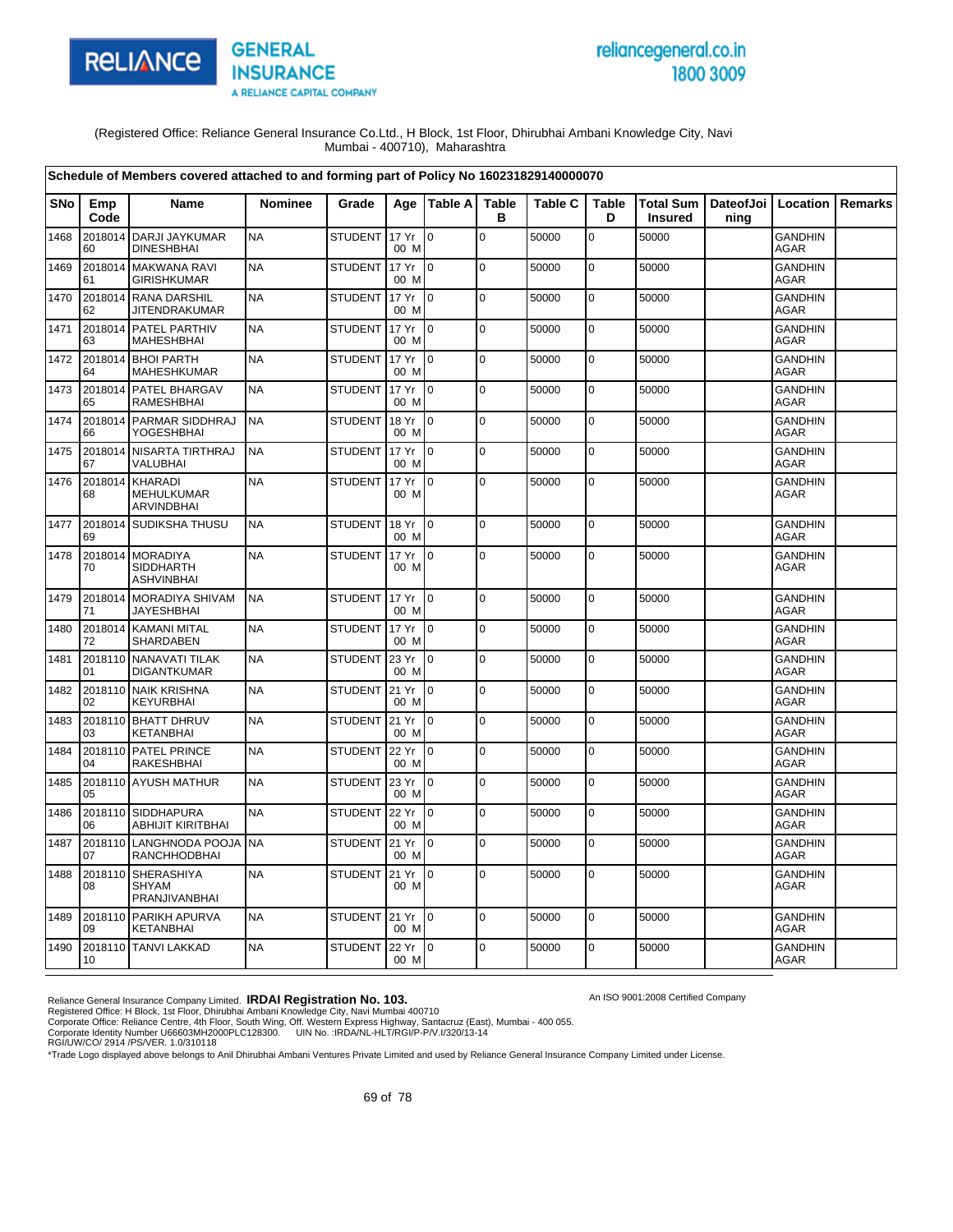

# reliancegeneral.co.in 1800 3009

An ISO 9001:2008 Certified Company

(Registered Office: Reliance General Insurance Co.Ltd., H Block, 1st Floor, Dhirubhai Ambani Knowledge City, Navi Mumbai - 400710), Maharashtra

|            |               | Schedule of Members covered attached to and forming part of Policy No 160231829140000070 |                |                |               |                 |                   |                |                   |                             |      |                               |                |
|------------|---------------|------------------------------------------------------------------------------------------|----------------|----------------|---------------|-----------------|-------------------|----------------|-------------------|-----------------------------|------|-------------------------------|----------------|
| <b>SNo</b> | Emp<br>Code   | Name                                                                                     | <b>Nominee</b> | Grade          | Age           | <b>Table A</b>  | <b>Table</b><br>в | <b>Table C</b> | <b>Table</b><br>D | Total Sum<br><b>Insured</b> | ning | DateofJoi   Location          | <b>Remarks</b> |
| 1468       | 2018014<br>60 | <b>DARJI JAYKUMAR</b><br><b>DINESHBHAI</b>                                               | <b>NA</b>      | <b>STUDENT</b> | 17 Yr<br>00 M | $\mathbf 0$     | $\mathbf 0$       | 50000          | $\overline{0}$    | 50000                       |      | <b>GANDHIN</b><br><b>AGAR</b> |                |
| 1469       | 2018014<br>61 | <b>MAKWANA RAVI</b><br><b>GIRISHKUMAR</b>                                                | <b>NA</b>      | <b>STUDENT</b> | 17 Yr<br>00 M | $\overline{0}$  | $\mathbf 0$       | 50000          | $\mathbf 0$       | 50000                       |      | <b>GANDHIN</b><br><b>AGAR</b> |                |
| 1470       | 62            | 2018014 RANA DARSHIL<br><b>JITENDRAKUMAR</b>                                             | <b>NA</b>      | <b>STUDENT</b> | 17 Yr<br>00 M | $\overline{0}$  | $\pmb{0}$         | 50000          | 0                 | 50000                       |      | <b>GANDHIN</b><br>AGAR        |                |
| 1471       | 2018014<br>63 | PATEL PARTHIV<br><b>MAHESHBHAI</b>                                                       | <b>NA</b>      | <b>STUDENT</b> | 17 Yr<br>00 M | Io.             | $\Omega$          | 50000          | $\mathbf 0$       | 50000                       |      | <b>GANDHIN</b><br><b>AGAR</b> |                |
| 1472       | 64            | 2018014 BHOI PARTH<br><b>MAHESHKUMAR</b>                                                 | <b>NA</b>      | <b>STUDENT</b> | 17 Yr<br>00 M | l 0             | $\mathbf 0$       | 50000          | $\mathbf 0$       | 50000                       |      | GANDHIN<br><b>AGAR</b>        |                |
| 1473       | 2018014<br>65 | PATEL BHARGAV<br>RAMESHBHAI                                                              | <b>NA</b>      | <b>STUDENT</b> | 17 Yr<br>00 M | lo.             | $\mathbf 0$       | 50000          | 0                 | 50000                       |      | <b>GANDHIN</b><br>AGAR        |                |
| 1474       | 2018014<br>66 | <b>PARMAR SIDDHRAJ</b><br><b>YOGESHBHAI</b>                                              | <b>NA</b>      | <b>STUDENT</b> | 18 Yr<br>00 M | $\overline{0}$  | $\mathbf 0$       | 50000          | $\pmb{0}$         | 50000                       |      | <b>GANDHIN</b><br><b>AGAR</b> |                |
| 1475       | 2018014<br>67 | <b>NISARTA TIRTHRAJ</b><br>VALUBHAI                                                      | <b>NA</b>      | <b>STUDENT</b> | 17 Yr<br>00 M | $\Omega$        | $\pmb{0}$         | 50000          | $\pmb{0}$         | 50000                       |      | <b>GANDHIN</b><br><b>AGAR</b> |                |
| 1476       | 2018014<br>68 | KHARADI<br>MEHULKUMAR<br>ARVINDBHAI                                                      | <b>NA</b>      | <b>STUDENT</b> | 17 Yr<br>00 M | l o             | $\mathbf 0$       | 50000          | $\mathbf 0$       | 50000                       |      | <b>GANDHIN</b><br>AGAR        |                |
| 1477       | 69            | 2018014 SUDIKSHA THUSU                                                                   | <b>NA</b>      | <b>STUDENT</b> | 18 Yr<br>00 M | $\overline{0}$  | $\pmb{0}$         | 50000          | $\mathbf 0$       | 50000                       |      | GANDHIN<br><b>AGAR</b>        |                |
| 1478       | 70            | 2018014 MORADIYA<br><b>SIDDHARTH</b><br><b>ASHVINBHAI</b>                                | <b>NA</b>      | <b>STUDENT</b> | 17 Yr<br>00 M | Io.             | $\pmb{0}$         | 50000          | 0                 | 50000                       |      | <b>GANDHIN</b><br><b>AGAR</b> |                |
| 1479       | 71            | 2018014 MORADIYA SHIVAM<br><b>JAYESHBHAI</b>                                             | <b>NA</b>      | <b>STUDENT</b> | 17 Yr<br>00 M | $\overline{10}$ | $\mathbf 0$       | 50000          | $\pmb{0}$         | 50000                       |      | <b>GANDHIN</b><br>AGAR        |                |
| 1480       | 72            | 2018014 KAMANI MITAL<br><b>SHARDABEN</b>                                                 | <b>NA</b>      | <b>STUDENT</b> | 17 Yr<br>00 M | $\mathsf{I}$    | $\mathbf 0$       | 50000          | $\mathbf 0$       | 50000                       |      | <b>GANDHIN</b><br><b>AGAR</b> |                |
| 1481       | 01            | 2018110 NANAVATI TILAK<br><b>DIGANTKUMAR</b>                                             | <b>NA</b>      | <b>STUDENT</b> | 23 Yr<br>00 M | $\overline{0}$  | $\mathbf 0$       | 50000          | $\mathbf 0$       | 50000                       |      | <b>GANDHIN</b><br><b>AGAR</b> |                |
| 1482       | 2018110<br>02 | <b>NAIK KRISHNA</b><br><b>KEYURBHAI</b>                                                  | <b>NA</b>      | <b>STUDENT</b> | 21 Yr<br>00 M | $\overline{0}$  | $\Omega$          | 50000          | $\mathbf 0$       | 50000                       |      | <b>GANDHIN</b><br><b>AGAR</b> |                |
| 1483       | 03            | 2018110 BHATT DHRUV<br><b>KETANBHAI</b>                                                  | <b>NA</b>      | <b>STUDENT</b> | 21 Yr<br>00 M | $\overline{0}$  | $\mathbf 0$       | 50000          | $\mathbf 0$       | 50000                       |      | <b>GANDHIN</b><br>AGAR        |                |
| 1484       | 2018110<br>04 | PATEL PRINCE<br><b>RAKESHBHAI</b>                                                        | <b>NA</b>      | <b>STUDENT</b> | 22 Yr<br>00 M | $\overline{0}$  | $\mathbf 0$       | 50000          | $\mathbf 0$       | 50000                       |      | <b>GANDHIN</b><br>AGAR        |                |
| 1485       | 05            | 2018110 AYUSH MATHUR                                                                     | <b>NA</b>      | <b>STUDENT</b> | 23 Yr<br>00 M | Io.             | $\pmb{0}$         | 50000          | 0                 | 50000                       |      | <b>GANDHIN</b><br><b>AGAR</b> |                |
| 1486       | 2018110<br>06 | <b>SIDDHAPURA</b><br><b>ABHIJIT KIRITBHAI</b>                                            | <b>NA</b>      | <b>STUDENT</b> | 22 Yr<br>00 M | $\overline{0}$  | $\mathbf 0$       | 50000          | $\mathbf 0$       | 50000                       |      | <b>GANDHIN</b><br><b>AGAR</b> |                |
| 1487       | 07            | 2018110 LANGHNODA POOJA<br><b>RANCHHODBHAI</b>                                           | <b>NA</b>      | <b>STUDENT</b> | 21 Yr<br>00 M | I O             | $\mathbf 0$       | 50000          | 0                 | 50000                       |      | <b>GANDHIN</b><br><b>AGAR</b> |                |
| 1488       | 08            | 2018110 SHERASHIYA<br><b>SHYAM</b><br>PRANJIVANBHAI                                      | <b>NA</b>      | <b>STUDENT</b> | 21 Yr<br>00 M | lo.             | $\mathbf 0$       | 50000          | 0                 | 50000                       |      | <b>GANDHIN</b><br>AGAR        |                |
| 1489       | 09            | 2018110 PARIKH APURVA<br><b>KETANBHAI</b>                                                | <b>NA</b>      | STUDENT 21 Yr  | 00 M          | $\overline{0}$  | $\mathbf 0$       | 50000          | $\mathbf 0$       | 50000                       |      | <b>GANDHIN</b><br>AGAR        |                |
| 1490       | 10            | 2018110 TANVI LAKKAD                                                                     | <b>NA</b>      | <b>STUDENT</b> | 22 Yr<br>00 M | $\overline{10}$ | $\mathbf 0$       | 50000          | $\mathbf 0$       | 50000                       |      | GANDHIN<br><b>AGAR</b>        |                |

Reliance General Insurance Company Limited. **IRDAI Registration No. 103.**<br>Registered Office: H Block, 1st Floor, Dhirubhai Ambani Knowledge City, Navi Mumbai 400710<br>Corporate Office: Reliance Centre, 4th Floor, South Wing,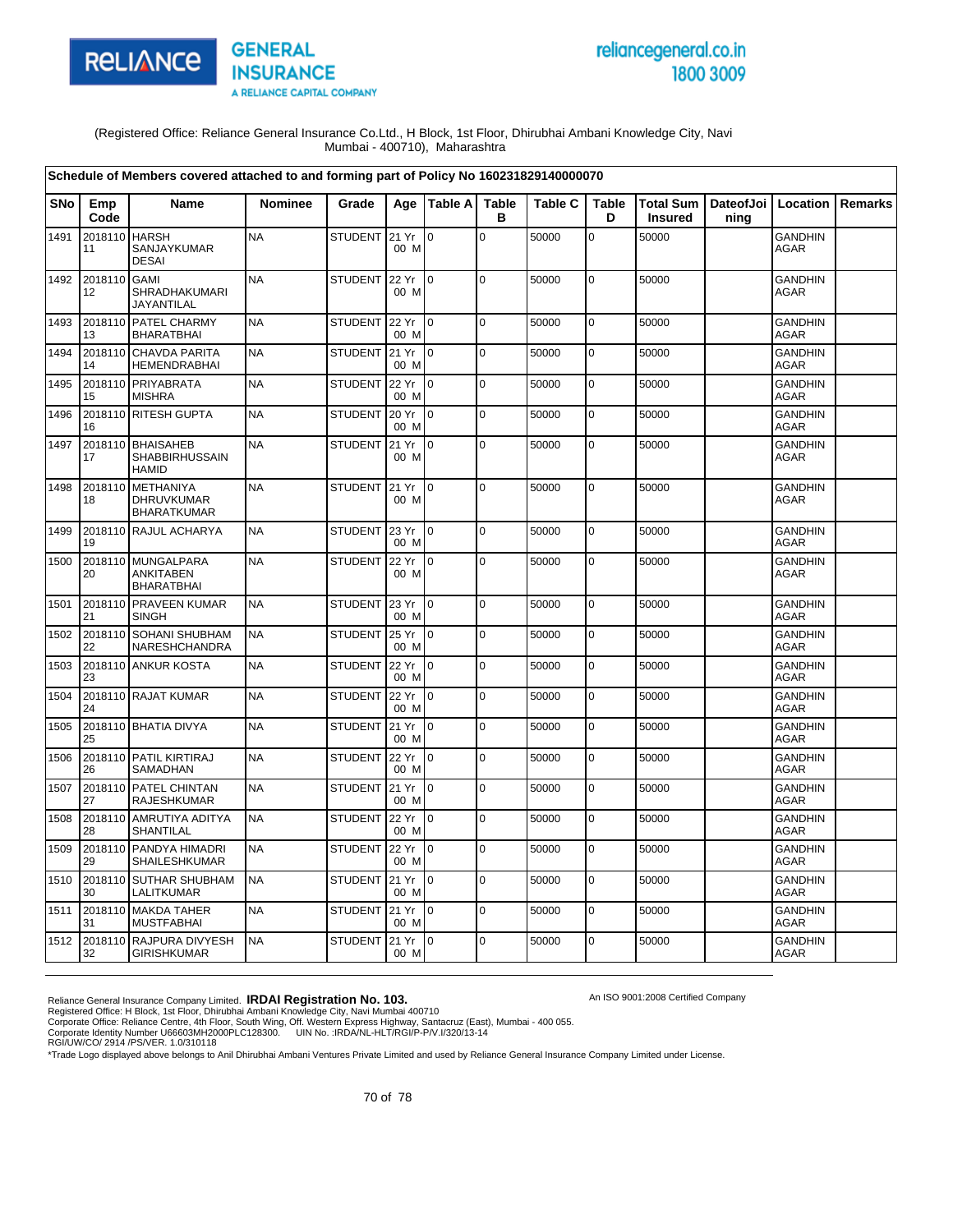

# reliancegeneral.co.in 1800 3009

An ISO 9001:2008 Certified Company

(Registered Office: Reliance General Insurance Co.Ltd., H Block, 1st Floor, Dhirubhai Ambani Knowledge City, Navi Mumbai - 400710), Maharashtra

|            |               | Schedule of Members covered attached to and forming part of Policy No 160231829140000070 |           |                |               |                           |                   |                |                   |                                    |                   |                               |                |
|------------|---------------|------------------------------------------------------------------------------------------|-----------|----------------|---------------|---------------------------|-------------------|----------------|-------------------|------------------------------------|-------------------|-------------------------------|----------------|
| <b>SNo</b> | Emp<br>Code   | Name                                                                                     | Nominee   | Grade          |               | Age   Table A             | <b>Table</b><br>в | <b>Table C</b> | <b>Table</b><br>D | <b>Total Sum</b><br><b>Insured</b> | DateofJoi<br>ning | Location                      | <b>Remarks</b> |
| 1491       | 2018110<br>11 | <b>HARSH</b><br>SANJAYKUMAR<br><b>DESAI</b>                                              | <b>NA</b> | <b>STUDENT</b> | 21 Yr<br>00 M | $\overline{0}$            | $\mathbf 0$       | 50000          | 0                 | 50000                              |                   | <b>GANDHIN</b><br><b>AGAR</b> |                |
| 1492       | 2018110<br>12 | <b>GAMI</b><br>SHRADHAKUMARI<br>JAYANTILAL                                               | <b>NA</b> | <b>STUDENT</b> | 22 Yr<br>00 M | $\mathsf{I}^{\mathsf{0}}$ | $\overline{0}$    | 50000          | $\mathbf 0$       | 50000                              |                   | <b>GANDHIN</b><br><b>AGAR</b> |                |
| 1493       | 2018110<br>13 | PATEL CHARMY<br><b>BHARATBHAI</b>                                                        | <b>NA</b> | <b>STUDENT</b> | 22 Yr<br>00 M | lo.                       | l o               | 50000          | 0                 | 50000                              |                   | <b>GANDHIN</b><br><b>AGAR</b> |                |
| 1494       | 2018110<br>14 | <b>CHAVDA PARITA</b><br><b>HEMENDRABHAI</b>                                              | <b>NA</b> | <b>STUDENT</b> | 21 Yr<br>00 M | $\mathsf{I}$              | l o               | 50000          | $\overline{0}$    | 50000                              |                   | <b>GANDHIN</b><br><b>AGAR</b> |                |
| 1495       | 2018110<br>15 | PRIYABRATA<br><b>MISHRA</b>                                                              | <b>NA</b> | <b>STUDENT</b> | 22 Yr<br>00 M | ۱o                        | l o               | 50000          | 0                 | 50000                              |                   | <b>GANDHIN</b><br>AGAR        |                |
| 1496       | 2018110<br>16 | <b>RITESH GUPTA</b>                                                                      | <b>NA</b> | <b>STUDENT</b> | 20 Yr<br>00 M | I <sub>0</sub>            | $\overline{0}$    | 50000          | $\mathbf 0$       | 50000                              |                   | <b>GANDHIN</b><br><b>AGAR</b> |                |
| 1497       | 2018110<br>17 | <b>BHAISAHEB</b><br>SHABBIRHUSSAIN<br><b>HAMID</b>                                       | <b>NA</b> | <b>STUDENT</b> | 21 Yr<br>00 M | lo.                       | l o               | 50000          | 0                 | 50000                              |                   | <b>GANDHIN</b><br>AGAR        |                |
| 1498       | 2018110<br>18 | <b>METHANIYA</b><br>DHRUVKUMAR<br><b>BHARATKUMAR</b>                                     | <b>NA</b> | <b>STUDENT</b> | 21 Yr<br>00 M | lo.                       | l o               | 50000          | 0                 | 50000                              |                   | <b>GANDHIN</b><br>AGAR        |                |
| 1499       | 19            | 2018110 RAJUL ACHARYA                                                                    | <b>NA</b> | STUDENT        | 23 Yr<br>00 M | $\overline{10}$           | $\overline{0}$    | 50000          | $\mathbf 0$       | 50000                              |                   | <b>GANDHIN</b><br><b>AGAR</b> |                |
| 1500       | 20            | 2018110 MUNGALPARA<br><b>ANKITABEN</b><br><b>BHARATBHAI</b>                              | <b>NA</b> | <b>STUDENT</b> | 22 Yr<br>00 M | $\overline{0}$            | $\overline{0}$    | 50000          | 0                 | 50000                              |                   | <b>GANDHIN</b><br><b>AGAR</b> |                |
| 1501       | 2018110<br>21 | <b>PRAVEEN KUMAR</b><br><b>SINGH</b>                                                     | <b>NA</b> | STUDENT 23 Yr  | 00 M          | I <sub>0</sub>            | l o               | 50000          | 0                 | 50000                              |                   | <b>GANDHIN</b><br><b>AGAR</b> |                |
| 1502       | 2018110<br>22 | <b>SOHANI SHUBHAM</b><br>NARESHCHANDRA                                                   | <b>NA</b> | <b>STUDENT</b> | 25 Yr<br>00 M | $\mathsf{I}$              | $\overline{0}$    | 50000          | $\overline{0}$    | 50000                              |                   | <b>GANDHIN</b><br><b>AGAR</b> |                |
| 1503       | 2018110<br>23 | <b>ANKUR KOSTA</b>                                                                       | <b>NA</b> | <b>STUDENT</b> | 22 Yr<br>00 M | l 0                       | $\overline{0}$    | 50000          | 0                 | 50000                              |                   | <b>GANDHIN</b><br><b>AGAR</b> |                |
| 1504       | 24            | 2018110 RAJAT KUMAR                                                                      | <b>NA</b> | <b>STUDENT</b> | 22 Yr<br>00 M | $\overline{0}$            | $\overline{0}$    | 50000          | $\overline{0}$    | 50000                              |                   | <b>GANDHIN</b><br><b>AGAR</b> |                |
| 1505       | 25            | 2018110 BHATIA DIVYA                                                                     | <b>NA</b> | <b>STUDENT</b> | 21 Yr<br>00 M | $\overline{10}$           | $\overline{0}$    | 50000          | $\mathbf 0$       | 50000                              |                   | <b>GANDHIN</b><br><b>AGAR</b> |                |
| 1506       | 2018110<br>26 | PATIL KIRTIRAJ<br>SAMADHAN                                                               | <b>NA</b> | <b>STUDENT</b> | 22 Yr<br>00 M | $\mathsf{I}$              | l o               | 50000          | $\overline{0}$    | 50000                              |                   | <b>GANDHIN</b><br><b>AGAR</b> |                |
| 1507       | 2018110<br>27 | PATEL CHINTAN<br>RAJESHKUMAR                                                             | <b>NA</b> | <b>STUDENT</b> | 21 Yr<br>00 M | $\overline{0}$            | 0                 | 50000          | 0                 | 50000                              |                   | <b>GANDHIN</b><br>AGAR        |                |
| 1508       | 28            | 2018110 AMRUTIYA ADITYA<br>SHANTILAL                                                     | <b>NA</b> | <b>STUDENT</b> | 22 Yr<br>00 M | $\overline{10}$           | $\overline{0}$    | 50000          | $\mathbf 0$       | 50000                              |                   | <b>GANDHIN</b><br><b>AGAR</b> |                |
| 1509       | 2018110<br>29 | PANDYA HIMADRI<br>SHAILESHKUMAR                                                          | <b>NA</b> | <b>STUDENT</b> | 22 Yr<br>00 M | $\overline{10}$           | l o               | 50000          | $\mathbf 0$       | 50000                              |                   | <b>GANDHIN</b><br><b>AGAR</b> |                |
| 1510       | 2018110<br>30 | <b>SUTHAR SHUBHAM</b><br>LALITKUMAR                                                      | <b>NA</b> | <b>STUDENT</b> | 21 Yr<br>00 M | $\overline{0}$            | l o               | 50000          | $\overline{0}$    | 50000                              |                   | <b>GANDHIN</b><br><b>AGAR</b> |                |
| 1511       | 2018110<br>31 | <b>MAKDA TAHER</b><br><b>MUSTFABHAI</b>                                                  | <b>NA</b> | <b>STUDENT</b> | 21 Yr<br>00 M | l 0                       | l o               | 50000          | 0                 | 50000                              |                   | <b>GANDHIN</b><br>AGAR        |                |
| 1512       | 2018110<br>32 | <b>RAJPURA DIVYESH</b><br><b>GIRISHKUMAR</b>                                             | <b>NA</b> | <b>STUDENT</b> | 21 Yr<br>00 M | I <sub>0</sub>            | $\overline{0}$    | 50000          | $\overline{0}$    | 50000                              |                   | <b>GANDHIN</b><br><b>AGAR</b> |                |

Reliance General Insurance Company Limited. **IRDAI Registration No. 103.**<br>Registered Office: H Block, 1st Floor, Dhirubhai Ambani Knowledge City, Navi Mumbai 400710<br>Corporate Office: Reliance Centre, 4th Floor, South Wing,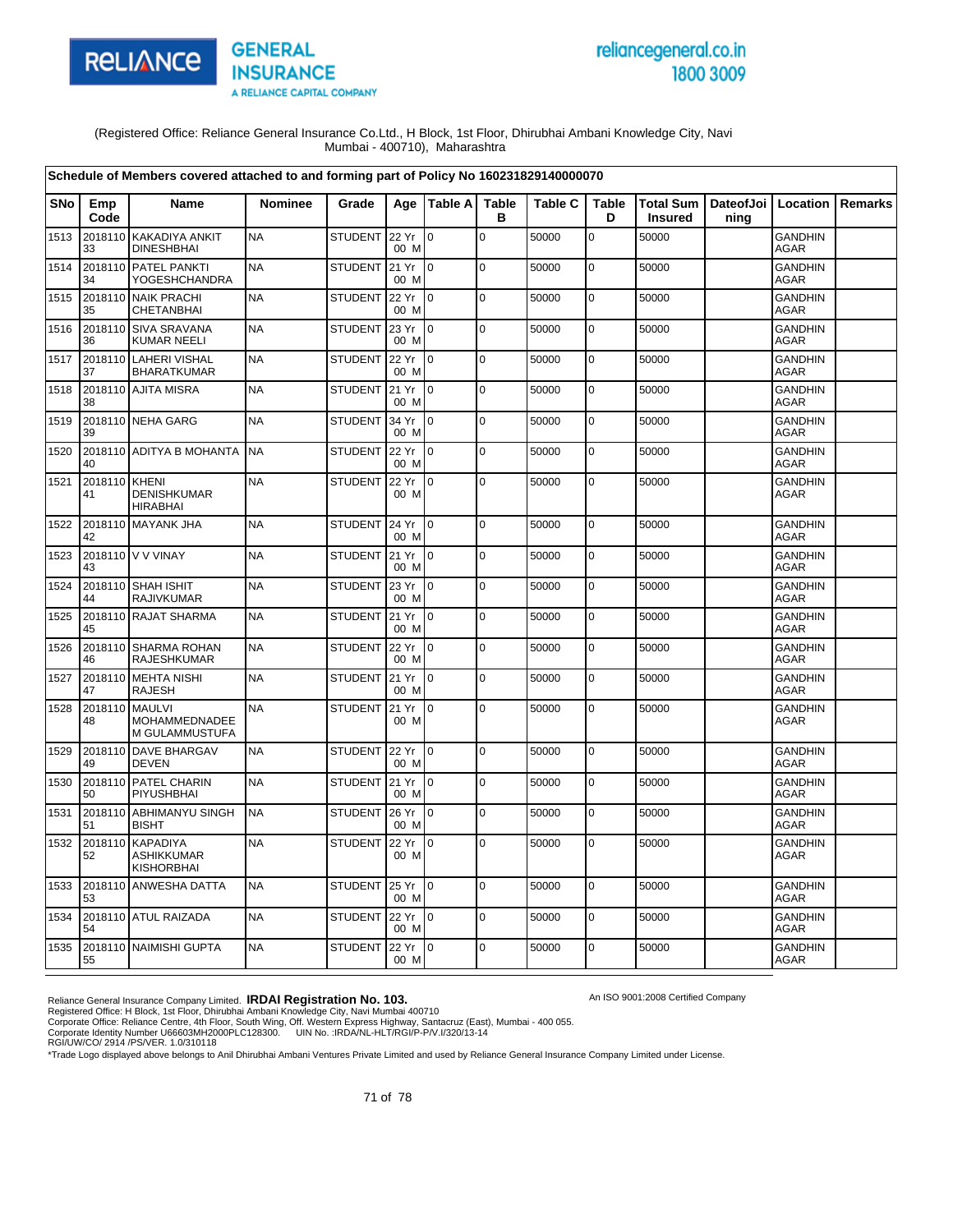

# reliancegeneral.co.in 1800 3009

An ISO 9001:2008 Certified Company

(Registered Office: Reliance General Insurance Co.Ltd., H Block, 1st Floor, Dhirubhai Ambani Knowledge City, Navi Mumbai - 400710), Maharashtra

|            |               | Schedule of Members covered attached to and forming part of Policy No 160231829140000070 |                |                |               |                  |                   |                |                   |                                    |                   |                               |         |
|------------|---------------|------------------------------------------------------------------------------------------|----------------|----------------|---------------|------------------|-------------------|----------------|-------------------|------------------------------------|-------------------|-------------------------------|---------|
| <b>SNo</b> | Emp<br>Code   | Name                                                                                     | <b>Nominee</b> | Grade          | Age           | <b>Table All</b> | <b>Table</b><br>в | <b>Table C</b> | <b>Table</b><br>D | <b>Total Sum</b><br><b>Insured</b> | DateofJoi<br>ning | Location                      | Remarks |
| 1513       | 2018110<br>33 | <b>KAKADIYA ANKIT</b><br><b>DINESHBHAI</b>                                               | <b>NA</b>      | <b>STUDENT</b> | 22 Yr<br>00 M | lo.              | $\mathbf 0$       | 50000          | 0                 | 50000                              |                   | <b>GANDHIN</b><br>AGAR        |         |
| 1514       | 2018110<br>34 | PATEL PANKTI<br><b>YOGESHCHANDRA</b>                                                     | <b>NA</b>      | <b>STUDENT</b> | 21 Yr<br>00 M | lo.              | $\mathbf 0$       | 50000          | $\mathbf 0$       | 50000                              |                   | <b>GANDHIN</b><br><b>AGAR</b> |         |
| 1515       | 2018110<br>35 | <b>NAIK PRACHI</b><br><b>CHETANBHAI</b>                                                  | <b>NA</b>      | <b>STUDENT</b> | 22 Yr<br>00 M | I O              | $\mathbf 0$       | 50000          | $\mathbf 0$       | 50000                              |                   | <b>GANDHIN</b><br>AGAR        |         |
| 1516       | 36            | 2018110 SIVA SRAVANA<br><b>KUMAR NEELI</b>                                               | <b>NA</b>      | <b>STUDENT</b> | 23 Yr<br>00 M | $\overline{0}$   | $\mathbf 0$       | 50000          | $\mathbf 0$       | 50000                              |                   | <b>GANDHIN</b><br><b>AGAR</b> |         |
| 1517       | 37            | 2018110 LAHERI VISHAL<br><b>BHARATKUMAR</b>                                              | <b>NA</b>      | <b>STUDENT</b> | 22 Yr<br>00 M | 0                | $\pmb{0}$         | 50000          | $\mathbf 0$       | 50000                              |                   | <b>GANDHIN</b><br><b>AGAR</b> |         |
| 1518       | 38            | 2018110 AJITA MISRA                                                                      | <b>NA</b>      | <b>STUDENT</b> | 21 Yr<br>00 M | $\overline{0}$   | $\mathbf 0$       | 50000          | $\mathbf 0$       | 50000                              |                   | <b>GANDHIN</b><br><b>AGAR</b> |         |
| 1519       | 39            | 2018110 NEHA GARG                                                                        | <b>NA</b>      | <b>STUDENT</b> | 34 Yr<br>00 M | $\overline{0}$   | $\mathbf 0$       | 50000          | $\mathbf 0$       | 50000                              |                   | <b>GANDHIN</b><br>AGAR        |         |
| 1520       | 2018110<br>40 | <b>ADITYA B MOHANTA</b>                                                                  | <b>NA</b>      | <b>STUDENT</b> | 22 Yr<br>00 M | lo.              | $\mathbf 0$       | 50000          | $\mathbf 0$       | 50000                              |                   | <b>GANDHIN</b><br>AGAR        |         |
| 1521       | 2018110<br>41 | <b>KHENI</b><br><b>DENISHKUMAR</b><br><b>HIRABHAI</b>                                    | <b>NA</b>      | <b>STUDENT</b> | 22 Yr<br>00 M | $\overline{0}$   | $\pmb{0}$         | 50000          | $\mathbf 0$       | 50000                              |                   | <b>GANDHIN</b><br>AGAR        |         |
| 1522       | 42            | 2018110 MAYANK JHA                                                                       | <b>NA</b>      | <b>STUDENT</b> | 24 Yr<br>00 M | $\mathsf{I}$     | $\pmb{0}$         | 50000          | 0                 | 50000                              |                   | GANDHIN<br><b>AGAR</b>        |         |
| 1523       | 43            | 2018110 V V VINAY                                                                        | <b>NA</b>      | <b>STUDENT</b> | 21 Yr<br>00 M | l 0              | $\pmb{0}$         | 50000          | 0                 | 50000                              |                   | <b>GANDHIN</b><br><b>AGAR</b> |         |
| 1524       | 44            | 2018110 SHAH ISHIT<br><b>RAJIVKUMAR</b>                                                  | <b>NA</b>      | <b>STUDENT</b> | 23 Yr<br>00 M | I O              | $\Omega$          | 50000          | $\mathbf 0$       | 50000                              |                   | <b>GANDHIN</b><br><b>AGAR</b> |         |
| 1525       | 45            | 2018110 RAJAT SHARMA                                                                     | <b>NA</b>      | <b>STUDENT</b> | 21 Yr<br>00 M | $\overline{0}$   | $\mathbf 0$       | 50000          | 0                 | 50000                              |                   | <b>GANDHIN</b><br>AGAR        |         |
| 1526       | 46            | 2018110 SHARMA ROHAN<br><b>RAJESHKUMAR</b>                                               | <b>NA</b>      | <b>STUDENT</b> | 22 Yr<br>00 M | Io.              | $\mathbf 0$       | 50000          | $\mathbf 0$       | 50000                              |                   | <b>GANDHIN</b><br><b>AGAR</b> |         |
| 1527       | 47            | 2018110 MEHTA NISHI<br><b>RAJESH</b>                                                     | <b>NA</b>      | <b>STUDENT</b> | 21 Yr<br>00 M | $\overline{0}$   | $\mathbf 0$       | 50000          | $\mathbf 0$       | 50000                              |                   | <b>GANDHIN</b><br>AGAR        |         |
| 1528       | 2018110<br>48 | <b>MAULVI</b><br>MOHAMMEDNADEE<br>M GULAMMUSTUFA                                         | <b>NA</b>      | <b>STUDENT</b> | 21 Yr<br>00 M | l 0              | $\mathbf 0$       | 50000          | $\mathbf 0$       | 50000                              |                   | <b>GANDHIN</b><br>AGAR        |         |
| 1529       | 49            | 2018110 DAVE BHARGAV<br><b>DEVEN</b>                                                     | <b>NA</b>      | <b>STUDENT</b> | 22 Yr<br>00 M | <u>lo</u>        | $\Omega$          | 50000          | $\mathbf 0$       | 50000                              |                   | <b>GANDHIN</b><br><b>AGAR</b> |         |
| 1530       | 50            | 2018110 PATEL CHARIN<br>PIYUSHBHAI                                                       | <b>NA</b>      | STUDENT        | 21 Yr<br>00 M | Io.              | l o               | 50000          | $\mathbf 0$       | 50000                              |                   | <b>GANDHIN</b><br>AGAR        |         |
| 1531       | 2018110<br>51 | <b>ABHIMANYU SINGH</b><br><b>BISHT</b>                                                   | <b>NA</b>      | STUDENT        | 26 Yr<br>00 M | 0                | $\mathbf 0$       | 50000          | $\mathbf 0$       | 50000                              |                   | <b>GANDHIN</b><br><b>AGAR</b> |         |
| 1532       | 2018110<br>52 | <b>KAPADIYA</b><br><b>ASHIKKUMAR</b><br><b>KISHORBHAI</b>                                | <b>NA</b>      | <b>STUDENT</b> | 22 Yr<br>00 M | $\overline{10}$  | $\mathbf 0$       | 50000          | 0                 | 50000                              |                   | <b>GANDHIN</b><br>AGAR        |         |
| 1533       | 53            | 2018110 ANWESHA DATTA                                                                    | <b>NA</b>      | <b>STUDENT</b> | 25 Yr<br>00 M | $\overline{10}$  | $\mathsf 0$       | 50000          | 0                 | 50000                              |                   | <b>GANDHIN</b><br><b>AGAR</b> |         |
| 1534       | 54            | 2018110 ATUL RAIZADA                                                                     | <b>NA</b>      | <b>STUDENT</b> | 22 Yr<br>00 M | Io.              | $\Omega$          | 50000          | $\mathbf 0$       | 50000                              |                   | <b>GANDHIN</b><br>AGAR        |         |
| 1535       | 55            | 2018110 NAIMISHI GUPTA                                                                   | <b>NA</b>      | <b>STUDENT</b> | 22 Yr<br>00 M | $\overline{10}$  | $\mathbf 0$       | 50000          | $\mathbf 0$       | 50000                              |                   | GANDHIN<br><b>AGAR</b>        |         |

Reliance General Insurance Company Limited. **IRDAI Registration No. 103.**<br>Registered Office: H Block, 1st Floor, Dhirubhai Ambani Knowledge City, Navi Mumbai 400710<br>Corporate Office: Reliance Centre, 4th Floor, South Wing,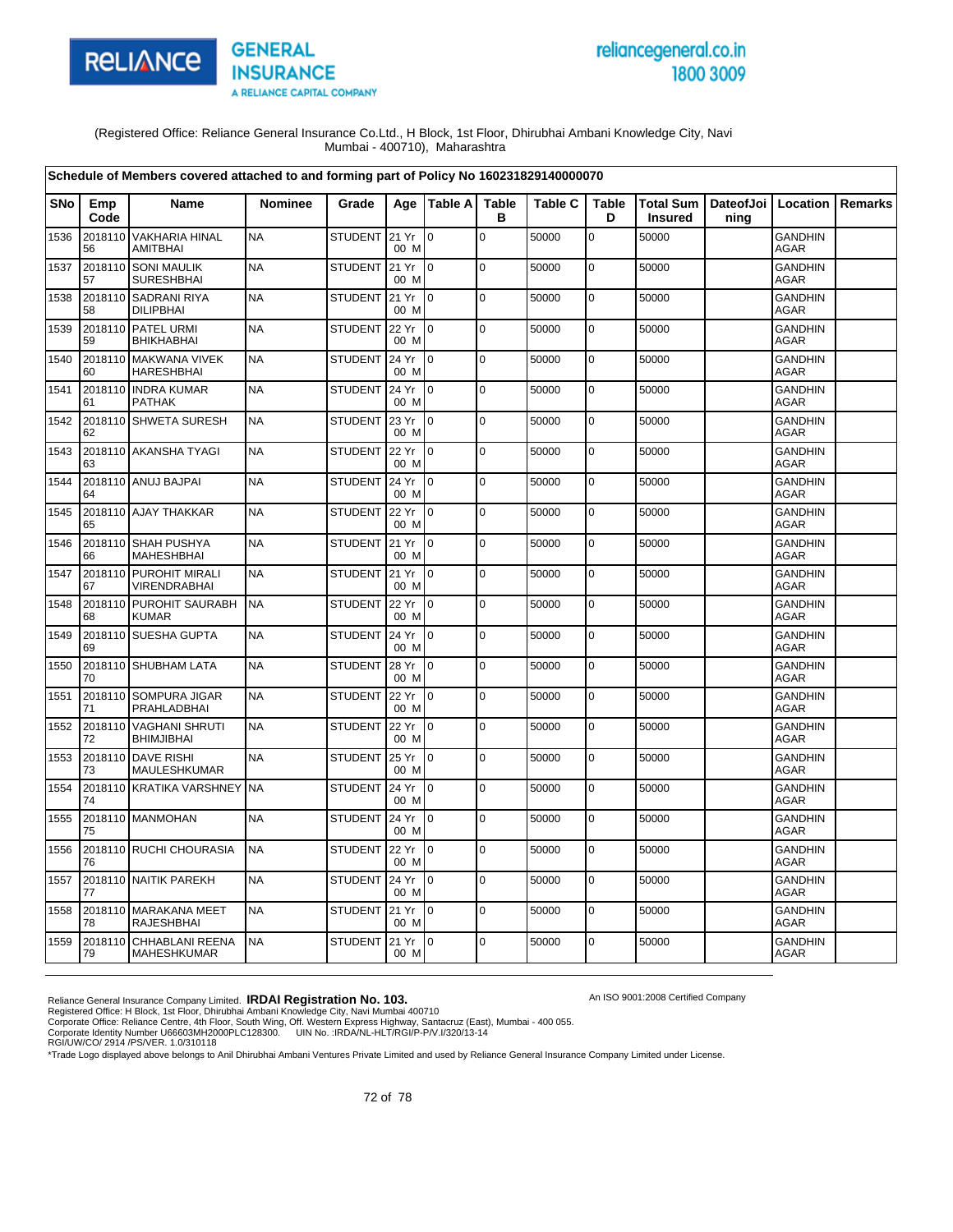

# reliancegeneral.co.in 1800 3009

An ISO 9001:2008 Certified Company

(Registered Office: Reliance General Insurance Co.Ltd., H Block, 1st Floor, Dhirubhai Ambani Knowledge City, Navi Mumbai - 400710), Maharashtra

|      |               | Schedule of Members covered attached to and forming part of Policy No 160231829140000070 |                |                |               |                 |                   |                |                   |                                                    |      |                               |                |
|------|---------------|------------------------------------------------------------------------------------------|----------------|----------------|---------------|-----------------|-------------------|----------------|-------------------|----------------------------------------------------|------|-------------------------------|----------------|
| SNo  | Emp<br>Code   | Name                                                                                     | <b>Nominee</b> | Grade          |               | Age   Table A   | <b>Table</b><br>в | <b>Table C</b> | <b>Table</b><br>D | Total Sum   DateofJoi   Location<br><b>Insured</b> | ning |                               | <b>Remarks</b> |
| 1536 | 2018110<br>56 | <b>VAKHARIA HINAL</b><br>AMITBHAI                                                        | <b>NA</b>      | STUDENT 21 Yr  | 00 M          | l 0             | $\mathbf 0$       | 50000          | $\mathbf 0$       | 50000                                              |      | <b>GANDHIN</b><br><b>AGAR</b> |                |
| 1537 | 2018110<br>57 | <b>SONI MAULIK</b><br><b>SURESHBHAI</b>                                                  | <b>NA</b>      | STUDENT 21 Yr  | 00 M          | I <sub>0</sub>  | $\mathbf 0$       | 50000          | 0                 | 50000                                              |      | <b>GANDHIN</b><br><b>AGAR</b> |                |
| 1538 | 58            | 2018110 SADRANI RIYA<br><b>DILIPBHAI</b>                                                 | <b>NA</b>      | STUDENT 21 Yr  | 00 M          | $\overline{10}$ | $\mathbf 0$       | 50000          | $\mathbf 0$       | 50000                                              |      | <b>GANDHIN</b><br><b>AGAR</b> |                |
| 1539 | 59            | 2018110 PATEL URMI<br><b>BHIKHABHAI</b>                                                  | <b>NA</b>      | <b>STUDENT</b> | 22 Yr<br>00 M | I <sub>0</sub>  | $\mathbf 0$       | 50000          | $\mathbf 0$       | 50000                                              |      | <b>GANDHIN</b><br><b>AGAR</b> |                |
| 1540 | 60            | 2018110 MAKWANA VIVEK<br><b>HARESHBHAI</b>                                               | <b>NA</b>      | STUDENT 24 Yr  | 00 M          | $\overline{10}$ | $\mathbf 0$       | 50000          | $\mathbf 0$       | 50000                                              |      | <b>GANDHIN</b><br><b>AGAR</b> |                |
| 1541 | 61            | 2018110 INDRA KUMAR<br><b>PATHAK</b>                                                     | <b>NA</b>      | <b>STUDENT</b> | 24 Yr<br>00 M | I0              | $\mathbf 0$       | 50000          | 0                 | 50000                                              |      | <b>GANDHIN</b><br>AGAR        |                |
| 1542 | 62            | 2018110 SHWETA SURESH                                                                    | <b>NA</b>      | STUDENT        | 23 Yr<br>00 M | $\overline{10}$ | $\mathbf 0$       | 50000          | $\mathbf 0$       | 50000                                              |      | <b>GANDHIN</b><br><b>AGAR</b> |                |
| 1543 | 63            | 2018110 AKANSHA TYAGI                                                                    | <b>NA</b>      | <b>STUDENT</b> | 22 Yr<br>00 M | I0              | $\mathbf 0$       | 50000          | 0                 | 50000                                              |      | <b>GANDHIN</b><br><b>AGAR</b> |                |
| 1544 | 64            | 2018110 ANUJ BAJPAI                                                                      | <b>NA</b>      | STUDENT 24 Yr  | 00 M          | I <sub>0</sub>  | $\mathbf 0$       | 50000          | $\pmb{0}$         | 50000                                              |      | <b>GANDHIN</b><br><b>AGAR</b> |                |
| 1545 | 65            | 2018110 AJAY THAKKAR                                                                     | <b>NA</b>      | <b>STUDENT</b> | 22 Yr<br>00 M | I0              | $\mathbf 0$       | 50000          | 0                 | 50000                                              |      | <b>GANDHIN</b><br><b>AGAR</b> |                |
| 1546 | 66            | 2018110 SHAH PUSHYA<br><b>MAHESHBHAI</b>                                                 | <b>NA</b>      | STUDENT 21 Yr  | 00 M          | I <sub>0</sub>  | $\pmb{0}$         | 50000          | 0                 | 50000                                              |      | <b>GANDHIN</b><br>AGAR        |                |
| 1547 | 67            | 2018110 PUROHIT MIRALI<br><b>VIRENDRABHAI</b>                                            | <b>NA</b>      | STUDENT 121 Yr | 00 M          | $\overline{10}$ | $\Omega$          | 50000          | $\mathbf 0$       | 50000                                              |      | <b>GANDHIN</b><br><b>AGAR</b> |                |
| 1548 | 68            | 2018110 PUROHIT SAURABH<br><b>KUMAR</b>                                                  | <b>NA</b>      | <b>STUDENT</b> | 22 Yr<br>00 M | $\overline{10}$ | $\mathbf 0$       | 50000          | 0                 | 50000                                              |      | <b>GANDHIN</b><br>AGAR        |                |
| 1549 | 69            | 2018110 SUESHA GUPTA                                                                     | <b>NA</b>      | <b>STUDENT</b> | 24 Yr<br>00 M | $\overline{10}$ | $\mathbf 0$       | 50000          | $\mathbf 0$       | 50000                                              |      | <b>GANDHIN</b><br><b>AGAR</b> |                |
| 1550 | 70            | 2018110 SHUBHAM LATA                                                                     | <b>NA</b>      | <b>STUDENT</b> | 28 Yr<br>00 M | l0              | $\mathbf 0$       | 50000          | 0                 | 50000                                              |      | <b>GANDHIN</b><br>AGAR        |                |
| 1551 | 2018110<br>71 | SOMPURA JIGAR<br>PRAHLADBHAI                                                             | <b>NA</b>      | <b>STUDENT</b> | 22 Yr<br>00 M | $\overline{10}$ | $\Omega$          | 50000          | $\mathbf 0$       | 50000                                              |      | <b>GANDHIN</b><br><b>AGAR</b> |                |
| 1552 | 2018110<br>72 | <b>VAGHANI SHRUTI</b><br><b>BHIMJIBHAI</b>                                               | <b>NA</b>      | STUDENT        | 22 Yr<br>00 M | Io.             | $\mathbf 0$       | 50000          | $\pmb{0}$         | 50000                                              |      | <b>GANDHIN</b><br>AGAR        |                |
| 1553 | 73            | 2018110 DAVE RISHI<br>MAULESHKUMAR                                                       | <b>NA</b>      | <b>STUDENT</b> | 25 Yr<br>00 M | I <sub>0</sub>  | $\mathbf 0$       | 50000          | $\mathbf 0$       | 50000                                              |      | <b>GANDHIN</b><br><b>AGAR</b> |                |
| 1554 | 74            | 2018110 KRATIKA VARSHNEY                                                                 | <b>NA</b>      | <b>STUDENT</b> | 24 Yr<br>00 M | Io.             | $\mathbf 0$       | 50000          | 0                 | 50000                                              |      | <b>GANDHIN</b><br>AGAR        |                |
| 1555 | 75            | 2018110 MANMOHAN                                                                         | <b>NA</b>      | <b>STUDENT</b> | 24 Yr<br>00 M | I <sub>0</sub>  | $\Omega$          | 50000          | $\mathbf 0$       | 50000                                              |      | <b>GANDHIN</b><br><b>AGAR</b> |                |
| 1556 | 76            | 2018110 RUCHI CHOURASIA                                                                  | <b>NA</b>      | STUDENT        | 22 Yr<br>00 M | Io.             | $\mathbf 0$       | 50000          | 0                 | 50000                                              |      | <b>GANDHIN</b><br>AGAR        |                |
| 1557 | 77            | 2018110 NAITIK PAREKH                                                                    | <b>NA</b>      | STUDENT        | 24 Yr<br>00 M | $\overline{10}$ | $\mathbf 0$       | 50000          | $\mathbf 0$       | 50000                                              |      | GANDHIN<br><b>AGAR</b>        |                |
| 1558 | 78            | 2018110 MARAKANA MEET<br>RAJESHBHAI                                                      | <b>NA</b>      | STUDENT        | 21 Yr<br>00 M | $\overline{10}$ | $\mathbf 0$       | 50000          | 0                 | 50000                                              |      | <b>GANDHIN</b><br>AGAR        |                |
| 1559 | 79            | 2018110 CHHABLANI REENA<br><b>MAHESHKUMAR</b>                                            | <b>NA</b>      | <b>STUDENT</b> | 21 Yr<br>00 M | I <sub>0</sub>  | $\Omega$          | 50000          | $\mathbf 0$       | 50000                                              |      | <b>GANDHIN</b><br><b>AGAR</b> |                |

Reliance General Insurance Company Limited. **IRDAI Registration No. 103.**<br>Registered Office: H Block, 1st Floor, Dhirubhai Ambani Knowledge City, Navi Mumbai 400710<br>Corporate Office: Reliance Centre, 4th Floor, South Wing,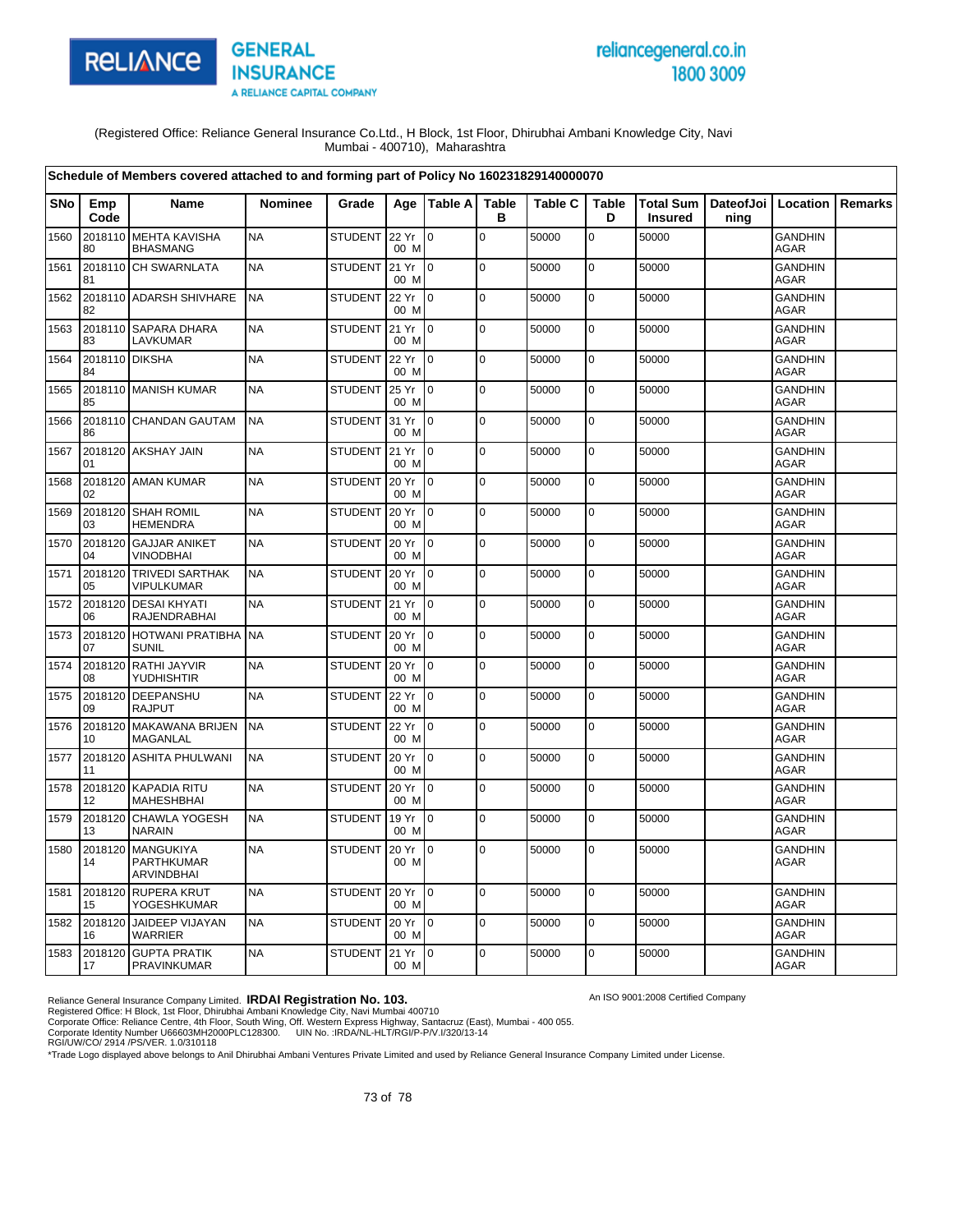

# reliancegeneral.co.in 1800 3009

An ISO 9001:2008 Certified Company

(Registered Office: Reliance General Insurance Co.Ltd., H Block, 1st Floor, Dhirubhai Ambani Knowledge City, Navi Mumbai - 400710), Maharashtra

|            |                      | Schedule of Members covered attached to and forming part of Policy No 160231829140000070 |                |                |                   |                  |                   |                |                   |                |                                          |                               |                |
|------------|----------------------|------------------------------------------------------------------------------------------|----------------|----------------|-------------------|------------------|-------------------|----------------|-------------------|----------------|------------------------------------------|-------------------------------|----------------|
| <b>SNo</b> | Emp<br>Code          | <b>Name</b>                                                                              | <b>Nominee</b> | Grade          | Age               | <b>Table All</b> | <b>Table</b><br>в | <b>Table C</b> | <b>Table</b><br>D | <b>Insured</b> | Total Sum   DateofJoi   Location<br>ning |                               | <b>Remarks</b> |
| 1560       | 2018110<br>80        | <b>MEHTA KAVISHA</b><br><b>BHASMANG</b>                                                  | <b>NA</b>      | STUDENT 22 Yr  | 00 M              | l 0              | $\mathbf 0$       | 50000          | 0                 | 50000          |                                          | <b>GANDHIN</b><br><b>AGAR</b> |                |
| 1561       | 2018110<br>81        | <b>CH SWARNLATA</b>                                                                      | <b>NA</b>      | <b>STUDENT</b> | 21 Yr<br>00 M     | lo.              | $\mathbf 0$       | 50000          | $\pmb{0}$         | 50000          |                                          | <b>GANDHIN</b><br><b>AGAR</b> |                |
| 1562       | 82                   | 2018110 ADARSH SHIVHARE                                                                  | <b>NA</b>      | <b>STUDENT</b> | 22 Yr<br>00 M     | $\overline{0}$   | $\pmb{0}$         | 50000          | 0                 | 50000          |                                          | <b>GANDHIN</b><br><b>AGAR</b> |                |
| 1563       | 83                   | 2018110 SAPARA DHARA<br>LAVKUMAR                                                         | <b>NA</b>      | <b>STUDENT</b> | 21 Yr<br>00 M     | $\overline{0}$   | $\pmb{0}$         | 50000          | $\pmb{0}$         | 50000          |                                          | <b>GANDHIN</b><br><b>AGAR</b> |                |
| 1564       | 2018110 DIKSHA<br>84 |                                                                                          | <b>NA</b>      | <b>STUDENT</b> | 22 Yr<br>00 M     | $\Omega$         | $\Omega$          | 50000          | 0                 | 50000          |                                          | <b>GANDHIN</b><br><b>AGAR</b> |                |
| 1565       | 85                   | 2018110 MANISH KUMAR                                                                     | <b>NA</b>      | <b>STUDENT</b> | 25 Yr<br>00 M     | $\Omega$         | $\pmb{0}$         | 50000          | $\pmb{0}$         | 50000          |                                          | <b>GANDHIN</b><br>AGAR        |                |
| 1566       | 86                   | 2018110 CHANDAN GAUTAM                                                                   | <b>NA</b>      | <b>STUDENT</b> | 31 Yr<br>00 M     | $\overline{0}$   | $\Omega$          | 50000          | $\pmb{0}$         | 50000          |                                          | <b>GANDHIN</b><br><b>AGAR</b> |                |
| 1567       | 01                   | 2018120 AKSHAY JAIN                                                                      | <b>NA</b>      | <b>STUDENT</b> | 21 Yr<br>00 M     | $\overline{0}$   | $\mathbf 0$       | 50000          | 0                 | 50000          |                                          | <b>GANDHIN</b><br><b>AGAR</b> |                |
| 1568       | 2018120<br>02        | <b>AMAN KUMAR</b>                                                                        | <b>NA</b>      | <b>STUDENT</b> | 20 Yr<br>00 M     | Io.              | $\mathbf 0$       | 50000          | $\mathbf 0$       | 50000          |                                          | <b>GANDHIN</b><br><b>AGAR</b> |                |
| 1569       | 03                   | 2018120 SHAH ROMIL<br><b>HEMENDRA</b>                                                    | <b>NA</b>      | <b>STUDENT</b> | 20 Yr<br>00 M     | $\Omega$         | $\Omega$          | 50000          | $\mathbf 0$       | 50000          |                                          | <b>GANDHIN</b><br><b>AGAR</b> |                |
| 1570       | 2018120<br>04        | <b>GAJJAR ANIKET</b><br>VINODBHAI                                                        | <b>NA</b>      | <b>STUDENT</b> | 20 Yr<br>00 M     | l 0              | $\mathbf 0$       | 50000          | $\mathbf 0$       | 50000          |                                          | <b>GANDHIN</b><br><b>AGAR</b> |                |
| 1571       | 2018120<br>05        | <b>TRIVEDI SARTHAK</b><br>VIPULKUMAR                                                     | <b>NA</b>      | <b>STUDENT</b> | 20 Yr<br>00 M     | $\overline{0}$   | $\mathbf 0$       | 50000          | $\mathbf 0$       | 50000          |                                          | <b>GANDHIN</b><br>AGAR        |                |
| 1572       | 2018120<br>06        | <b>DESAI KHYATI</b><br>RAJENDRABHAI                                                      | <b>NA</b>      | <b>STUDENT</b> | 21 Yr<br>00 M     | $\Omega$         | $\mathbf 0$       | 50000          | $\mathbf 0$       | 50000          |                                          | <b>GANDHIN</b><br>AGAR        |                |
| 1573       | 2018120<br>07        | <b>HOTWANI PRATIBHA</b><br><b>SUNIL</b>                                                  | <b>NA</b>      | STUDENT        | 20 Yr<br>00 M     | $\overline{0}$   | l o               | 50000          | $\mathbf 0$       | 50000          |                                          | <b>GANDHIN</b><br>AGAR        |                |
| 1574       | 2018120<br>08        | RATHI JAYVIR<br>YUDHISHTIR                                                               | <b>NA</b>      | <b>STUDENT</b> | 20 Yr<br>00 M     | $\overline{0}$   | $\mathbf 0$       | 50000          | 0                 | 50000          |                                          | <b>GANDHIN</b><br><b>AGAR</b> |                |
| 1575       | 2018120<br>09        | DEEPANSHU<br><b>RAJPUT</b>                                                               | <b>NA</b>      | <b>STUDENT</b> | 22 Yr<br>00 M     | $\overline{0}$   | $\mathbf 0$       | 50000          | $\pmb{0}$         | 50000          |                                          | <b>GANDHIN</b><br><b>AGAR</b> |                |
| 1576       | 10                   | 2018120 MAKAWANA BRIJEN<br><b>MAGANLAL</b>                                               | <b>NA</b>      | <b>STUDENT</b> | 22 Yr<br>00 M     | $\overline{0}$   | $\mathbf 0$       | 50000          | $\mathbf 0$       | 50000          |                                          | <b>GANDHIN</b><br><b>AGAR</b> |                |
| 1577       | 11                   | 2018120 ASHITA PHULWANI                                                                  | <b>NA</b>      | <b>STUDENT</b> | 20 Yr<br>00 M     | $\overline{0}$   | $\pmb{0}$         | 50000          | 0                 | 50000          |                                          | <b>GANDHIN</b><br><b>AGAR</b> |                |
| 1578       | 2018120<br>12        | <b>KAPADIA RITU</b><br><b>MAHESHBHAI</b>                                                 | <b>NA</b>      | <b>STUDENT</b> | 20 Yr<br>00 M     | $\overline{0}$   | $\mathbf 0$       | 50000          | $\pmb{0}$         | 50000          |                                          | <b>GANDHIN</b><br>AGAR        |                |
| 1579       | 2018120<br>13        | <b>CHAWLA YOGESH</b><br><b>NARAIN</b>                                                    | <b>NA</b>      | <b>STUDENT</b> | 19 Yr<br>00 M     | $\Omega$         | $\mathbf 0$       | 50000          | $\mathbf 0$       | 50000          |                                          | <b>GANDHIN</b><br>AGAR        |                |
| 1580       | 2018120<br>14        | <b>MANGUKIYA</b><br><b>PARTHKUMAR</b><br><b>ARVINDBHAI</b>                               | <b>NA</b>      | <b>STUDENT</b> | 20 Yr<br>00 M     | $\overline{0}$   | $\mathbf 0$       | 50000          | $\pmb{0}$         | 50000          |                                          | <b>GANDHIN</b><br><b>AGAR</b> |                |
| 1581       | 2018120<br>15        | <b>RUPERA KRUT</b><br>YOGESHKUMAR                                                        | <b>NA</b>      | <b>STUDENT</b> | 20 Yr<br>00 M     | $\overline{0}$   | $\pmb{0}$         | 50000          | $\pmb{0}$         | 50000          |                                          | <b>GANDHIN</b><br><b>AGAR</b> |                |
| 1582       | 2018120<br>16        | <b>JAIDEEP VIJAYAN</b><br><b>WARRIER</b>                                                 | <b>NA</b>      | <b>STUDENT</b> | 20 Yr<br>00 M     | $\overline{0}$   | $\mathbf 0$       | 50000          | $\mathbf 0$       | 50000          |                                          | <b>GANDHIN</b><br><b>AGAR</b> |                |
| 1583       | 17                   | 2018120 GUPTA PRATIK<br><b>PRAVINKUMAR</b>                                               | <b>NA</b>      | <b>STUDENT</b> | $21 Yr$ 0<br>00 M |                  | $\Omega$          | 50000          | 0                 | 50000          |                                          | <b>GANDHIN</b><br>AGAR        |                |

Reliance General Insurance Company Limited. **IRDAI Registration No. 103.**<br>Registered Office: H Block, 1st Floor, Dhirubhai Ambani Knowledge City, Navi Mumbai 400710<br>Corporate Office: Reliance Centre, 4th Floor, South Wing,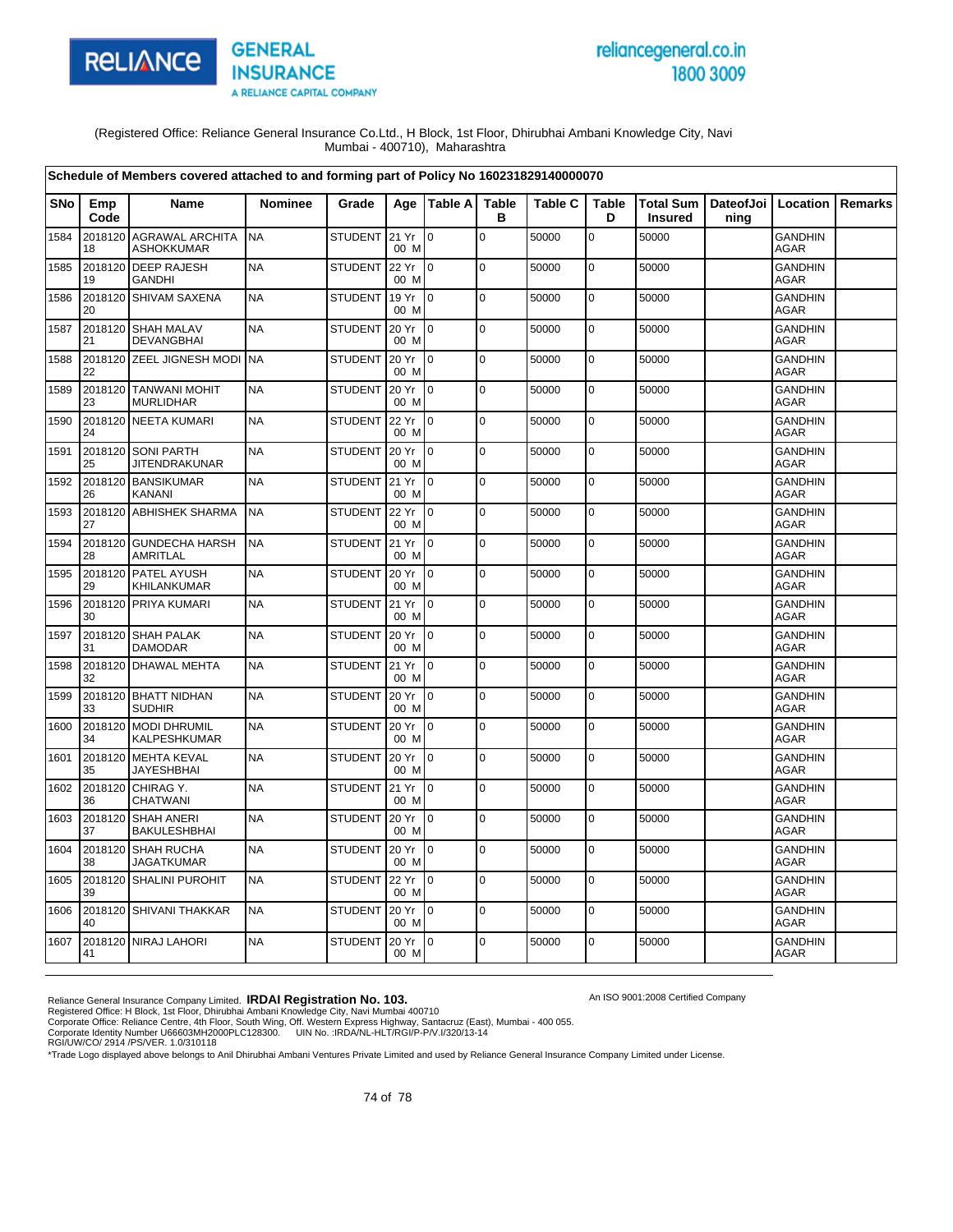

# reliancegeneral.co.in 1800 3009

An ISO 9001:2008 Certified Company

(Registered Office: Reliance General Insurance Co.Ltd., H Block, 1st Floor, Dhirubhai Ambani Knowledge City, Navi Mumbai - 400710), Maharashtra

| Schedule of Members covered attached to and forming part of Policy No 160231829140000070 |               |                                              |                |                |               |                 |                   |                |                   |                |                                            |                               |         |
|------------------------------------------------------------------------------------------|---------------|----------------------------------------------|----------------|----------------|---------------|-----------------|-------------------|----------------|-------------------|----------------|--------------------------------------------|-------------------------------|---------|
| SNo                                                                                      | Emp<br>Code   | Name                                         | <b>Nominee</b> | Grade          |               | Age   Table A   | <b>Table</b><br>в | <b>Table C</b> | <b>Table</b><br>D | <b>Insured</b> | Total Sum   DateofJoi   Location  <br>ning |                               | Remarks |
| 1584                                                                                     | 18            | 2018120 AGRAWAL ARCHITA<br><b>ASHOKKUMAR</b> | <b>NA</b>      | STUDENT 21 Yr  | 00 M          | $\mathbf 0$     | $\mathbf 0$       | 50000          | $\mathbf 0$       | 50000          |                                            | <b>GANDHIN</b><br><b>AGAR</b> |         |
| 1585                                                                                     | 2018120<br>19 | <b>DEEP RAJESH</b><br><b>GANDHI</b>          | <b>NA</b>      | <b>STUDENT</b> | 22 Yr<br>00 M | I <sub>0</sub>  | 0                 | 50000          | 0                 | 50000          |                                            | <b>GANDHIN</b><br><b>AGAR</b> |         |
| 1586                                                                                     | 20            | 2018120 SHIVAM SAXENA                        | <b>NA</b>      | <b>STUDENT</b> | 19 Yr<br>00 M | $\overline{10}$ | $\mathbf 0$       | 50000          | $\mathbf 0$       | 50000          |                                            | <b>GANDHIN</b><br><b>AGAR</b> |         |
| 1587                                                                                     | 21            | 2018120 SHAH MALAV<br><b>DEVANGBHAI</b>      | <b>NA</b>      | <b>STUDENT</b> | 20 Yr<br>00 M | I <sub>0</sub>  | $\Omega$          | 50000          | 0                 | 50000          |                                            | <b>GANDHIN</b><br><b>AGAR</b> |         |
| 1588                                                                                     | 22            | 2018120 ZEEL JIGNESH MODI NA                 |                | <b>STUDENT</b> | 20 Yr<br>00 M | $\overline{0}$  | $\mathbf 0$       | 50000          | $\mathbf 0$       | 50000          |                                            | <b>GANDHIN</b><br><b>AGAR</b> |         |
| 1589                                                                                     | 2018120<br>23 | <b>TANWANI MOHIT</b><br><b>MURLIDHAR</b>     | <b>NA</b>      | <b>STUDENT</b> | 20 Yr<br>00 M | I0              | $\mathbf 0$       | 50000          | $\mathbf 0$       | 50000          |                                            | <b>GANDHIN</b><br><b>AGAR</b> |         |
| 1590                                                                                     | 24            | 2018120 NEETA KUMARI                         | <b>NA</b>      | STUDENT        | 22 Yr<br>00 M | $\overline{0}$  | $\mathbf 0$       | 50000          | $\mathbf 0$       | 50000          |                                            | <b>GANDHIN</b><br>AGAR        |         |
| 1591                                                                                     | 2018120<br>25 | <b>SONI PARTH</b><br><b>JITENDRAKUNAR</b>    | <b>NA</b>      | <b>STUDENT</b> | 20 Yr<br>00 M | I0              | $\mathbf 0$       | 50000          | $\mathbf 0$       | 50000          |                                            | <b>GANDHIN</b><br>AGAR        |         |
| 1592                                                                                     | 26            | 2018120 BANSIKUMAR<br>KANANI                 | <b>NA</b>      | STUDENT 21 Yr  | 00 M          | $\overline{10}$ | $\mathbf 0$       | 50000          | 0                 | 50000          |                                            | <b>GANDHIN</b><br><b>AGAR</b> |         |
| 1593                                                                                     | 2018120<br>27 | <b>ABHISHEK SHARMA</b>                       | <b>NA</b>      | <b>STUDENT</b> | 22 Yr<br>00 M | I0              | $\mathbf 0$       | 50000          | $\mathbf 0$       | 50000          |                                            | <b>GANDHIN</b><br><b>AGAR</b> |         |
| 1594                                                                                     | 28            | 2018120 GUNDECHA HARSH<br><b>AMRITLAL</b>    | <b>NA</b>      | STUDENT 21 Yr  | 00 M          | I <sub>0</sub>  | $\mathbf 0$       | 50000          | 0                 | 50000          |                                            | <b>GANDHIN</b><br><b>AGAR</b> |         |
| 1595                                                                                     | 29            | 2018120 PATEL AYUSH<br>KHILANKUMAR           | <b>NA</b>      | <b>STUDENT</b> | 20 Yr<br>00 M | $\overline{10}$ | $\Omega$          | 50000          | 0                 | 50000          |                                            | <b>GANDHIN</b><br><b>AGAR</b> |         |
| 1596                                                                                     | 30            | 2018120 PRIYA KUMARI                         | <b>NA</b>      | <b>STUDENT</b> | 21 Yr<br>00 M | Io.             | $\mathbf 0$       | 50000          | 0                 | 50000          |                                            | <b>GANDHIN</b><br><b>AGAR</b> |         |
| 1597                                                                                     | 31            | 2018120 SHAH PALAK<br><b>DAMODAR</b>         | <b>NA</b>      | <b>STUDENT</b> | 20 Yr<br>00 M | $\overline{10}$ | $\mathbf 0$       | 50000          | $\mathbf 0$       | 50000          |                                            | <b>GANDHIN</b><br>AGAR        |         |
| 1598                                                                                     | 32            | 2018120 DHAWAL MEHTA                         | <b>NA</b>      | <b>STUDENT</b> | 21 Yr<br>00 M | l0              | $\mathbf 0$       | 50000          | $\mathbf 0$       | 50000          |                                            | <b>GANDHIN</b><br>AGAR        |         |
| 1599                                                                                     | 33            | 2018120 BHATT NIDHAN<br><b>SUDHIR</b>        | <b>NA</b>      | <b>STUDENT</b> | 20 Yr<br>00 M | $\overline{10}$ | $\Omega$          | 50000          | $\mathbf 0$       | 50000          |                                            | <b>GANDHIN</b><br>AGAR        |         |
| 1600                                                                                     | 2018120<br>34 | <b>MODI DHRUMIL</b><br>KALPESHKUMAR          | <b>NA</b>      | <b>STUDENT</b> | 20 Yr<br>00 M | Io.             | $\mathbf 0$       | 50000          | 0                 | 50000          |                                            | <b>GANDHIN</b><br><b>AGAR</b> |         |
| 1601                                                                                     | 35            | 2018120 MEHTA KEVAL<br><b>JAYESHBHAI</b>     | <b>NA</b>      | STUDENT        | 20 Yr<br>00 M | I <sub>0</sub>  | $\mathbf 0$       | 50000          | $\mathbf 0$       | 50000          |                                            | <b>GANDHIN</b><br><b>AGAR</b> |         |
| 1602                                                                                     | 36            | 2018120 CHIRAG Y.<br><b>CHATWANI</b>         | <b>NA</b>      | <b>STUDENT</b> | 21 Yr<br>00 M | $\overline{10}$ | $\mathbf 0$       | 50000          | $\mathbf 0$       | 50000          |                                            | <b>GANDHIN</b><br>AGAR        |         |
| 1603                                                                                     | 37            | 2018120 SHAH ANERI<br><b>BAKULESHBHAI</b>    | <b>NA</b>      | <b>STUDENT</b> | 20 Yr<br>00 M | $\overline{10}$ | $\Omega$          | 50000          | $\mathbf 0$       | 50000          |                                            | <b>GANDHIN</b><br><b>AGAR</b> |         |
| 1604                                                                                     | 38            | 2018120 SHAH RUCHA<br><b>JAGATKUMAR</b>      | <b>NA</b>      | <b>STUDENT</b> | 20 Yr<br>00 M | Io.             | $\mathbf 0$       | 50000          | 0                 | 50000          |                                            | <b>GANDHIN</b><br><b>AGAR</b> |         |
| 1605                                                                                     | 39            | 2018120 SHALINI PUROHIT                      | <b>NA</b>      | <b>STUDENT</b> | 22 Yr<br>00 M | $\overline{10}$ | $\mathbf 0$       | 50000          | $\mathbf 0$       | 50000          |                                            | GANDHIN<br><b>AGAR</b>        |         |
| 1606                                                                                     | 40            | 2018120 SHIVANI THAKKAR                      | <b>NA</b>      | <b>STUDENT</b> | 20 Yr<br>00 M | $\overline{10}$ | $\mathbf 0$       | 50000          | $\pmb{0}$         | 50000          |                                            | <b>GANDHIN</b><br>AGAR        |         |
| 1607                                                                                     | 41            | 2018120 NIRAJ LAHORI                         | <b>NA</b>      | <b>STUDENT</b> | 20 Yr<br>00 M | I <sub>0</sub>  | $\Omega$          | 50000          | $\overline{0}$    | 50000          |                                            | <b>GANDHIN</b><br>AGAR        |         |

Reliance General Insurance Company Limited. **IRDAI Registration No. 103.**<br>Registered Office: H Block, 1st Floor, Dhirubhai Ambani Knowledge City, Navi Mumbai 400710<br>Corporate Office: Reliance Centre, 4th Floor, South Wing,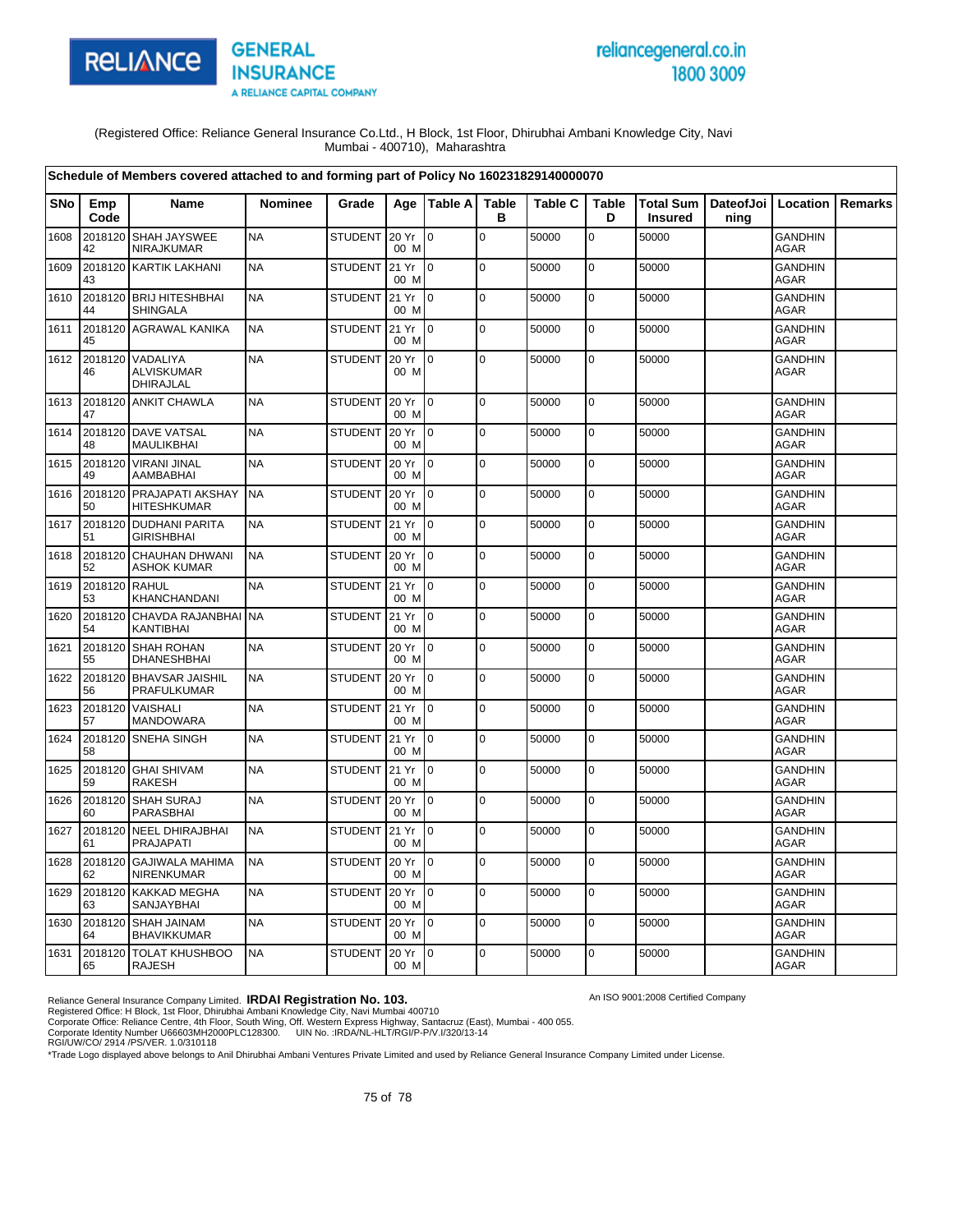

# reliancegeneral.co.in 1800 3009

An ISO 9001:2008 Certified Company

(Registered Office: Reliance General Insurance Co.Ltd., H Block, 1st Floor, Dhirubhai Ambani Knowledge City, Navi Mumbai - 400710), Maharashtra

|      |               | Schedule of Members covered attached to and forming part of Policy No 160231829140000070 |                |                |                  |                |                   |                |                   |                                    |                   |                               |         |
|------|---------------|------------------------------------------------------------------------------------------|----------------|----------------|------------------|----------------|-------------------|----------------|-------------------|------------------------------------|-------------------|-------------------------------|---------|
| SNo  | Emp<br>Code   | Name                                                                                     | <b>Nominee</b> | Grade          | Age              | Table A        | <b>Table</b><br>в | <b>Table C</b> | <b>Table</b><br>D | <b>Total Sum</b><br><b>Insured</b> | DateofJoi<br>ning | Location                      | Remarks |
| 1608 | 2018120<br>42 | SHAH JAYSWEE<br>NIRAJKUMAR                                                               | <b>NA</b>      | STUDENT        | 20 Yr<br>00 M    | $\overline{0}$ | $\mathbf 0$       | 50000          | $\overline{0}$    | 50000                              |                   | <b>GANDHIN</b><br>AGAR        |         |
| 1609 | 2018120<br>43 | <b>KARTIK LAKHANI</b>                                                                    | <b>NA</b>      | <b>STUDENT</b> | 21 Yr<br>00 M    | I٥             | $\mathbf 0$       | 50000          | $\mathbf 0$       | 50000                              |                   | <b>GANDHIN</b><br><b>AGAR</b> |         |
| 1610 | 44            | 2018120 BRIJ HITESHBHAI<br><b>SHINGALA</b>                                               | <b>NA</b>      | <b>STUDENT</b> | 21 Yr<br>00 M    | l 0            | $\mathbf 0$       | 50000          | $\mathbf 0$       | 50000                              |                   | <b>GANDHIN</b><br>AGAR        |         |
| 1611 | 45            | 2018120 AGRAWAL KANIKA                                                                   | <b>NA</b>      | <b>STUDENT</b> | 21 Yr<br>00 M    | I0             | $\mathbf 0$       | 50000          | $\pmb{0}$         | 50000                              |                   | <b>GANDHIN</b><br><b>AGAR</b> |         |
| 1612 | 2018120<br>46 | VADALIYA<br><b>ALVISKUMAR</b><br>DHIRAJLAL                                               | <b>NA</b>      | <b>STUDENT</b> | 20 Yr<br>00 M    | $\overline{0}$ | $\Omega$          | 50000          | $\mathbf 0$       | 50000                              |                   | <b>GANDHIN</b><br><b>AGAR</b> |         |
| 1613 | 47            | 2018120 ANKIT CHAWLA                                                                     | <b>NA</b>      | <b>STUDENT</b> | 20 Yr<br>00 M    | l0             | $\mathbf 0$       | 50000          | $\mathbf 0$       | 50000                              |                   | <b>GANDHIN</b><br>AGAR        |         |
| 1614 | 2018120<br>48 | <b>DAVE VATSAL</b><br>MAULIKBHAI                                                         | <b>NA</b>      | <b>STUDENT</b> | 20 Yr<br>00 M    | l 0            | $\mathbf 0$       | 50000          | $\mathbf 0$       | 50000                              |                   | <b>GANDHIN</b><br>AGAR        |         |
| 1615 | 2018120<br>49 | <b>VIRANI JINAL</b><br>AAMBABHAI                                                         | <b>NA</b>      | <b>STUDENT</b> | 20 Yr<br>00 M    | I0             | l o               | 50000          | $\pmb{0}$         | 50000                              |                   | <b>GANDHIN</b><br>AGAR        |         |
| 1616 | 2018120<br>50 | <b>PRAJAPATI AKSHAY</b><br><b>HITESHKUMAR</b>                                            | <b>NA</b>      | <b>STUDENT</b> | 20 Yr<br>00 M    | $\Omega$       | $\mathbf 0$       | 50000          | $\mathbf 0$       | 50000                              |                   | <b>GANDHIN</b><br><b>AGAR</b> |         |
| 1617 | 51            | 2018120 DUDHANI PARITA<br><b>GIRISHBHAI</b>                                              | <b>NA</b>      | <b>STUDENT</b> | 21 Yr<br>00 M    | l 0            | $\mathbf 0$       | 50000          | 0                 | 50000                              |                   | <b>GANDHIN</b><br><b>AGAR</b> |         |
| 1618 | 52            | 2018120 CHAUHAN DHWANI<br><b>ASHOK KUMAR</b>                                             | <b>NA</b>      | <b>STUDENT</b> | 20 Yr<br>00 M    | $\overline{0}$ | $\mathbf 0$       | 50000          | $\mathbf 0$       | 50000                              |                   | <b>GANDHIN</b><br><b>AGAR</b> |         |
| 1619 | 2018120<br>53 | RAHUL<br>KHANCHANDANI                                                                    | <b>NA</b>      | <b>STUDENT</b> | 21 Yr<br>00 M    | lo.            | $\mathbf 0$       | 50000          | $\mathbf 0$       | 50000                              |                   | <b>GANDHIN</b><br><b>AGAR</b> |         |
| 1620 | 2018120<br>54 | CHAVDA RAJANBHAI<br>KANTIBHAI                                                            | <b>NA</b>      | <b>STUDENT</b> | 21 Yr<br>00 M    | I٥             | $\mathbf 0$       | 50000          | $\mathbf 0$       | 50000                              |                   | <b>GANDHIN</b><br>AGAR        |         |
| 1621 | 2018120<br>55 | <b>SHAH ROHAN</b><br><b>DHANESHBHAI</b>                                                  | <b>NA</b>      | <b>STUDENT</b> | 20 Yr<br>00 M    | lo.            | $\Omega$          | 50000          | $\mathbf 0$       | 50000                              |                   | <b>GANDHIN</b><br><b>AGAR</b> |         |
| 1622 | 56            | 2018120 BHAVSAR JAISHIL<br><b>PRAFULKUMAR</b>                                            | <b>NA</b>      | STUDENT        | 20 Yr<br>00 M    | lo.            | $\mathbf 0$       | 50000          | $\pmb{0}$         | 50000                              |                   | <b>GANDHIN</b><br><b>AGAR</b> |         |
| 1623 | 2018120<br>57 | VAISHALI<br><b>MANDOWARA</b>                                                             | <b>NA</b>      | <b>STUDENT</b> | 21 Yr<br>00 M    | I٥             | $\mathbf 0$       | 50000          | $\mathbf 0$       | 50000                              |                   | <b>GANDHIN</b><br><b>AGAR</b> |         |
| 1624 | 2018120<br>58 | SNEHA SINGH                                                                              | <b>NA</b>      | <b>STUDENT</b> | 21 Yr<br>00 M    | lo.            | $\Omega$          | 50000          | $\pmb{0}$         | 50000                              |                   | <b>GANDHIN</b><br>AGAR        |         |
| 1625 | 59            | 2018120 GHAI SHIVAM<br>RAKESH                                                            | <b>NA</b>      | <b>STUDENT</b> | 21 Yr<br>00 M    | I0             | $\mathbf 0$       | 50000          | $\mathbf 0$       | 50000                              |                   | GANDHIN<br><b>AGAR</b>        |         |
| 1626 | 2018120<br>60 | SHAH SURAJ<br>PARASBHAI                                                                  | <b>NA</b>      | <b>STUDENT</b> | 20 Yr<br>00 M    | I0             | $\mathbf 0$       | 50000          | $\mathbf 0$       | 50000                              |                   | <b>GANDHIN</b><br>AGAR        |         |
| 1627 | 2018120<br>61 | <b>NEEL DHIRAJBHAI</b><br><b>PRAJAPATI</b>                                               | <b>NA</b>      | <b>STUDENT</b> | 21 Yr<br>00 M    | l0             | $\mathbf 0$       | 50000          | $\mathsf 0$       | 50000                              |                   | <b>GANDHIN</b><br>AGAR        |         |
| 1628 | 2018120<br>62 | <b>GAJIWALA MAHIMA</b><br>NIRENKUMAR                                                     | <b>NA</b>      | <b>STUDENT</b> | 20 Yr<br>00 M    | $\overline{0}$ | $\pmb{0}$         | 50000          | $\mathbf 0$       | 50000                              |                   | <b>GANDHIN</b><br><b>AGAR</b> |         |
| 1629 | 2018120<br>63 | <b>KAKKAD MEGHA</b><br>SANJAYBHAI                                                        | <b>NA</b>      | <b>STUDENT</b> | 20 Yr<br>00 M    | $\overline{0}$ | $\pmb{0}$         | 50000          | 0                 | 50000                              |                   | <b>GANDHIN</b><br>AGAR        |         |
| 1630 | 64            | 2018120 SHAH JAINAM<br><b>BHAVIKKUMAR</b>                                                | <b>NA</b>      | <b>STUDENT</b> | 20 Yr<br>00 M    | I0             | $\mathbf 0$       | 50000          | $\mathbf 0$       | 50000                              |                   | GANDHIN<br>AGAR               |         |
| 1631 | 2018120<br>65 | <b>TOLAT KHUSHBOO</b><br><b>RAJESH</b>                                                   | <b>NA</b>      | <b>STUDENT</b> | 20 Yr 10<br>00 M |                | $\mathbf 0$       | 50000          | 0                 | 50000                              |                   | <b>GANDHIN</b><br><b>AGAR</b> |         |

Reliance General Insurance Company Limited. **IRDAI Registration No. 103.**<br>Registered Office: H Block, 1st Floor, Dhirubhai Ambani Knowledge City, Navi Mumbai 400710<br>Corporate Office: Reliance Centre, 4th Floor, South Wing,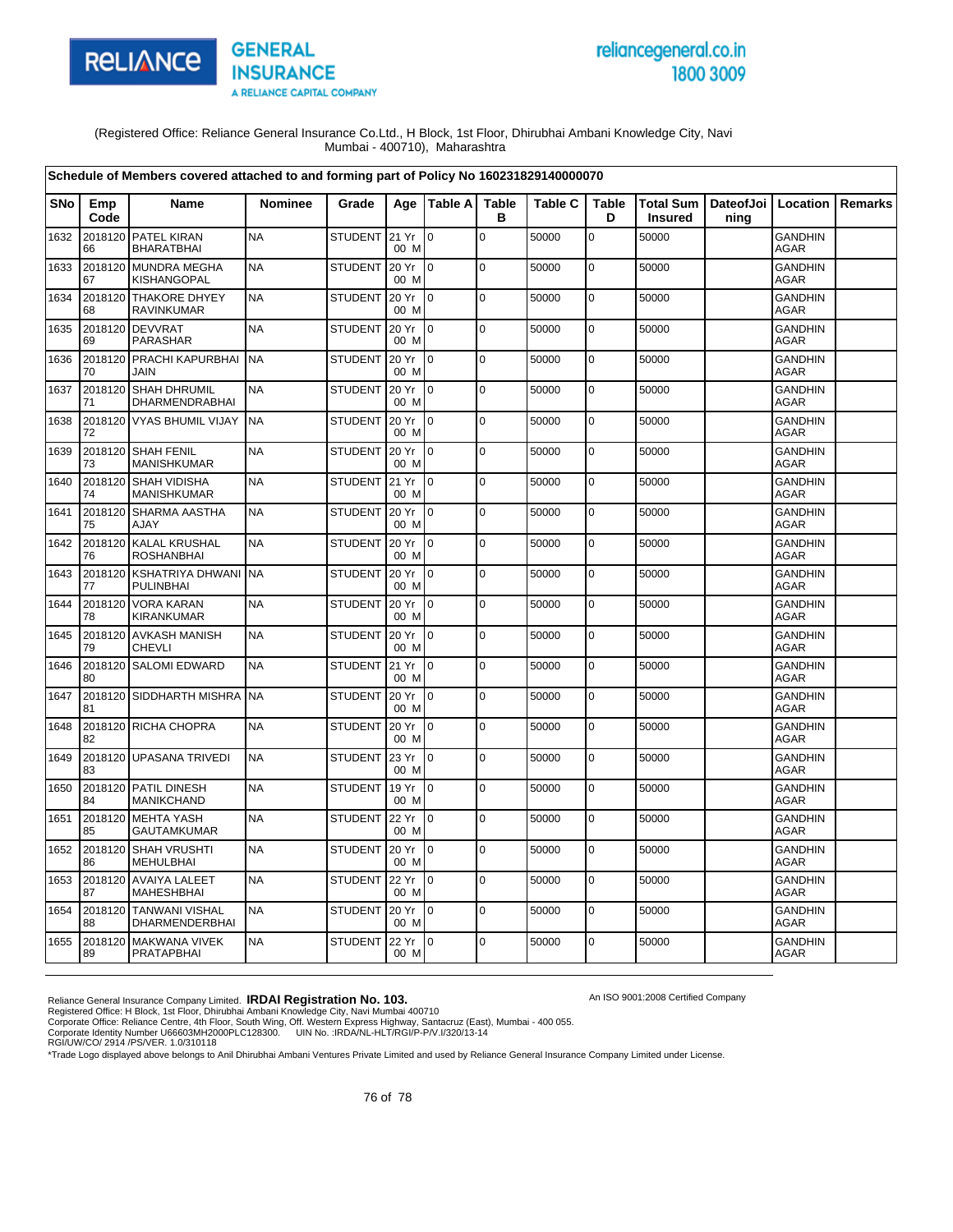

# reliancegeneral.co.in 1800 3009

An ISO 9001:2008 Certified Company

(Registered Office: Reliance General Insurance Co.Ltd., H Block, 1st Floor, Dhirubhai Ambani Knowledge City, Navi Mumbai - 400710), Maharashtra

| Schedule of Members covered attached to and forming part of Policy No 160231829140000070 |               |                                             |                |                |               |                |                   |                |             |                                    |                              |                               |                |
|------------------------------------------------------------------------------------------|---------------|---------------------------------------------|----------------|----------------|---------------|----------------|-------------------|----------------|-------------|------------------------------------|------------------------------|-------------------------------|----------------|
| <b>SNo</b>                                                                               | Emp<br>Code   | <b>Name</b>                                 | <b>Nominee</b> | Grade          | Age           | Table A        | <b>Table</b><br>В | <b>Table C</b> | Table<br>D  | <b>Total Sum</b><br><b>Insured</b> | DateofJoi   Location<br>ning |                               | <b>Remarks</b> |
| 1632                                                                                     | 2018120<br>66 | <b>PATEL KIRAN</b><br><b>BHARATBHAI</b>     | <b>NA</b>      | STUDENT 21 Yr  | 00 M          | $\mathbf 0$    | $\mathbf 0$       | 50000          | 0           | 50000                              |                              | <b>GANDHIN</b><br>AGAR        |                |
| 1633                                                                                     | 2018120<br>67 | <b>MUNDRA MEGHA</b><br><b>KISHANGOPAL</b>   | <b>NA</b>      | <b>STUDENT</b> | 20 Yr<br>00 M | I0             | $\mathbf 0$       | 50000          | 0           | 50000                              |                              | <b>GANDHIN</b><br><b>AGAR</b> |                |
| 1634                                                                                     | 2018120<br>68 | <b>THAKORE DHYEY</b><br><b>RAVINKUMAR</b>   | <b>NA</b>      | <b>STUDENT</b> | 20 Yr<br>00 M | $\overline{0}$ | $\mathbf 0$       | 50000          | 0           | 50000                              |                              | <b>GANDHIN</b><br>AGAR        |                |
| 1635                                                                                     | 2018120<br>69 | <b>DEVVRAT</b><br>PARASHAR                  | <b>NA</b>      | <b>STUDENT</b> | 20 Yr<br>00 M | I0             | $\Omega$          | 50000          | $\mathbf 0$ | 50000                              |                              | <b>GANDHIN</b><br><b>AGAR</b> |                |
| 1636                                                                                     | 70            | 2018120 PRACHI KAPURBHAI<br>JAIN            | <b>NA</b>      | <b>STUDENT</b> | 20 Yr<br>00 M | I O            | $\mathbf 0$       | 50000          | 0           | 50000                              |                              | <b>GANDHIN</b><br>AGAR        |                |
| 1637                                                                                     | 2018120<br>71 | <b>SHAH DHRUMIL</b><br>DHARMENDRABHAI       | <b>NA</b>      | <b>STUDENT</b> | 20 Yr<br>00 M | $\overline{0}$ | $\mathbf 0$       | 50000          | $\mathbf 0$ | 50000                              |                              | GANDHIN<br><b>AGAR</b>        |                |
| 1638                                                                                     | 2018120<br>72 | <b>VYAS BHUMIL VIJAY</b>                    | <b>NA</b>      | <b>STUDENT</b> | 20 Yr<br>00 M | $\overline{0}$ | $\mathbf 0$       | 50000          | 0           | 50000                              |                              | <b>GANDHIN</b><br>AGAR        |                |
| 1639                                                                                     | 2018120<br>73 | <b>SHAH FENIL</b><br><b>MANISHKUMAR</b>     | <b>NA</b>      | <b>STUDENT</b> | 20 Yr<br>00 M | $\Omega$       | $\Omega$          | 50000          | $\mathbf 0$ | 50000                              |                              | <b>GANDHIN</b><br>AGAR        |                |
| 1640                                                                                     | 2018120<br>74 | <b>SHAH VIDISHA</b><br><b>MANISHKUMAR</b>   | <b>NA</b>      | STUDENT 21 Yr  | 00 M          | Io.            | $\mathbf 0$       | 50000          | $\mathbf 0$ | 50000                              |                              | <b>GANDHIN</b><br>AGAR        |                |
| 1641                                                                                     | 2018120<br>75 | <b>SHARMA AASTHA</b><br><b>AJAY</b>         | <b>NA</b>      | <b>STUDENT</b> | 20 Yr<br>00 M | $\Omega$       | $\pmb{0}$         | 50000          | $\mathbf 0$ | 50000                              |                              | <b>GANDHIN</b><br><b>AGAR</b> |                |
| 1642                                                                                     | 2018120<br>76 | <b>KALAL KRUSHAL</b><br><b>ROSHANBHAI</b>   | <b>NA</b>      | <b>STUDENT</b> | 20 Yr<br>00 M | lo.            | $\mathbf 0$       | 50000          | 0           | 50000                              |                              | <b>GANDHIN</b><br><b>AGAR</b> |                |
| 1643                                                                                     | 2018120<br>77 | <b>KSHATRIYA DHWANI</b><br><b>PULINBHAI</b> | <b>NA</b>      | <b>STUDENT</b> | 20 Yr<br>00 M | I0             | $\mathbf 0$       | 50000          | 0           | 50000                              |                              | <b>GANDHIN</b><br><b>AGAR</b> |                |
| 1644                                                                                     | 2018120<br>78 | <b>VORA KARAN</b><br>KIRANKUMAR             | <b>NA</b>      | <b>STUDENT</b> | 20 Yr<br>00 M | l 0            | $\Omega$          | 50000          | 0           | 50000                              |                              | <b>GANDHIN</b><br><b>AGAR</b> |                |
| 1645                                                                                     | 79            | 2018120 AVKASH MANISH<br><b>CHEVLI</b>      | <b>NA</b>      | <b>STUDENT</b> | 20 Yr<br>00 M | I O            | $\mathbf 0$       | 50000          | 0           | 50000                              |                              | <b>GANDHIN</b><br>AGAR        |                |
| 1646                                                                                     | 2018120<br>80 | <b>SALOMI EDWARD</b>                        | <b>NA</b>      | STUDENT        | 21 Yr<br>00 M | $\Omega$       | $\pmb{0}$         | 50000          | $\mathbf 0$ | 50000                              |                              | <b>GANDHIN</b><br><b>AGAR</b> |                |
| 1647                                                                                     | 2018120<br>81 | <b>SIDDHARTH MISHRA</b>                     | <b>NA</b>      | <b>STUDENT</b> | 20 Yr<br>00 M | I0             | $\mathbf 0$       | 50000          | $\mathbf 0$ | 50000                              |                              | <b>GANDHIN</b><br>AGAR        |                |
| 1648                                                                                     | 82            | 2018120 RICHA CHOPRA                        | <b>NA</b>      | <b>STUDENT</b> | 20 Yr<br>00 M | lo.            | $\Omega$          | 50000          | $\pmb{0}$   | 50000                              |                              | <b>GANDHIN</b><br><b>AGAR</b> |                |
| 1649                                                                                     | 2018120<br>83 | <b>UPASANA TRIVEDI</b>                      | <b>NA</b>      | <b>STUDENT</b> | 23 Yr<br>00 M | I0             | $\mathbf 0$       | 50000          | 0           | 50000                              |                              | <b>GANDHIN</b><br><b>AGAR</b> |                |
| 1650                                                                                     | 2018120<br>84 | PATIL DINESH<br>MANIKCHAND                  | <b>NA</b>      | <b>STUDENT</b> | 19 Yr<br>00 M | I0             | $\mathbf 0$       | 50000          | $\mathbf 0$ | 50000                              |                              | <b>GANDHIN</b><br><b>AGAR</b> |                |
| 1651                                                                                     | 85            | 2018120 MEHTA YASH<br><b>GAUTAMKUMAR</b>    | <b>NA</b>      | <b>STUDENT</b> | 22 Yr<br>00 M | $10^{-1}$      | $\Omega$          | 50000          | $\mathbf 0$ | 50000                              |                              | GANDHIN<br><b>AGAR</b>        |                |
| 1652                                                                                     | 86            | 2018120 SHAH VRUSHTI<br><b>MEHULBHAI</b>    | <b>NA</b>      | <b>STUDENT</b> | 20 Yr<br>00 M | $\overline{0}$ | $\mathbf 0$       | 50000          | 0           | 50000                              |                              | <b>GANDHIN</b><br><b>AGAR</b> |                |
| 1653                                                                                     | 2018120<br>87 | <b>AVAIYA LALEET</b><br><b>MAHESHBHAI</b>   | <b>NA</b>      | <b>STUDENT</b> | 22 Yr<br>00 M | I0             | $\mathbf 0$       | 50000          | $\mathbf 0$ | 50000                              |                              | <b>GANDHIN</b><br><b>AGAR</b> |                |
| 1654                                                                                     | 2018120<br>88 | <b>TANWANI VISHAL</b><br>DHARMENDERBHAI     | <b>NA</b>      | <b>STUDENT</b> | 20 Yr<br>00 M | $\overline{0}$ | $\mathbf 0$       | 50000          | 0           | 50000                              |                              | <b>GANDHIN</b><br>AGAR        |                |
| 1655                                                                                     | 89            | 2018120 MAKWANA VIVEK<br><b>PRATAPBHAI</b>  | <b>NA</b>      | <b>STUDENT</b> | 22 Yr<br>00 M | $10^{-1}$      | $\Omega$          | 50000          | 0           | 50000                              |                              | <b>GANDHIN</b><br>AGAR        |                |

Reliance General Insurance Company Limited. **IRDAI Registration No. 103.**<br>Registered Office: H Block, 1st Floor, Dhirubhai Ambani Knowledge City, Navi Mumbai 400710<br>Corporate Office: Reliance Centre, 4th Floor, South Wing,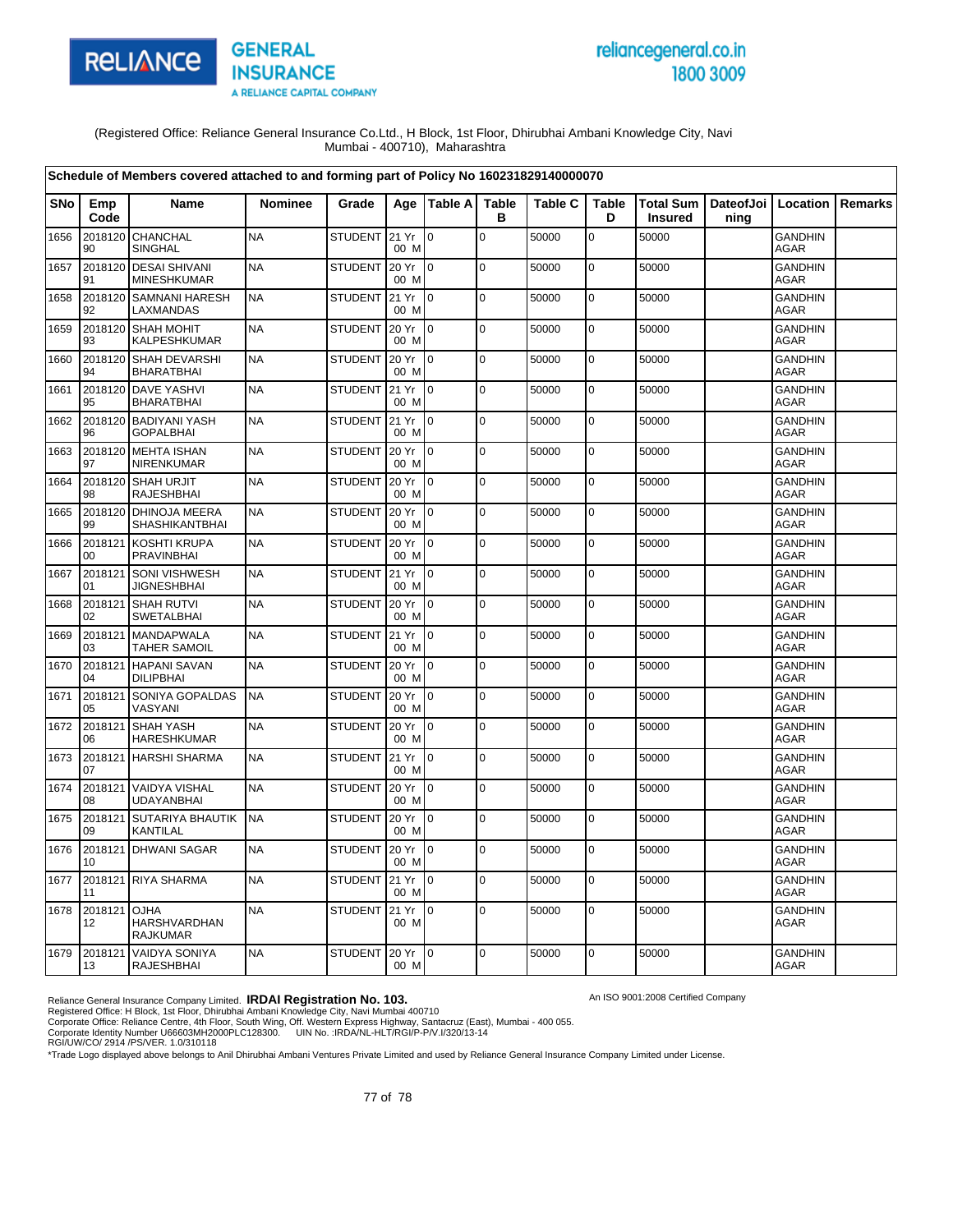

# reliancegeneral.co.in 1800 3009

An ISO 9001:2008 Certified Company

(Registered Office: Reliance General Insurance Co.Ltd., H Block, 1st Floor, Dhirubhai Ambani Knowledge City, Navi Mumbai - 400710), Maharashtra

|            | Schedule of Members covered attached to and forming part of Policy No 160231829140000070 |                                                |                |                 |               |                 |                   |                |                   |                |                                          |                               |                |
|------------|------------------------------------------------------------------------------------------|------------------------------------------------|----------------|-----------------|---------------|-----------------|-------------------|----------------|-------------------|----------------|------------------------------------------|-------------------------------|----------------|
| <b>SNo</b> | Emp<br>Code                                                                              | <b>Name</b>                                    | <b>Nominee</b> | Grade           |               | Age   Table A   | <b>Table</b><br>в | <b>Table C</b> | <b>Table</b><br>D | <b>Insured</b> | Total Sum   DateofJoi   Location<br>ning |                               | <b>Remarks</b> |
| 1656       | 2018120<br>90                                                                            | CHANCHAL<br>SINGHAL                            | <b>NA</b>      | STUDENT 21 Yr   | 00 M          | $\mathbf 0$     | $\mathbf 0$       | 50000          | $\mathbf 0$       | 50000          |                                          | <b>GANDHIN</b><br><b>AGAR</b> |                |
| 1657       | 2018120<br>91                                                                            | <b>DESAI SHIVANI</b><br><b>MINESHKUMAR</b>     | <b>NA</b>      | <b>STUDENT</b>  | 20 Yr<br>00 M | lo.             | $\mathbf 0$       | 50000          | $\mathbf 0$       | 50000          |                                          | <b>GANDHIN</b><br><b>AGAR</b> |                |
| 1658       | 92                                                                                       | 2018120 SAMNANI HARESH<br>LAXMANDAS            | <b>NA</b>      | <b>STUDENT</b>  | 21 Yr<br>00 M | I o             | $\mathbf 0$       | 50000          | $\mathbf 0$       | 50000          |                                          | <b>GANDHIN</b><br><b>AGAR</b> |                |
| 1659       | 93                                                                                       | 2018120 SHAH MOHIT<br>KALPESHKUMAR             | <b>NA</b>      | <b>STUDENT</b>  | 20 Yr<br>00 M | $\overline{10}$ | $\Omega$          | 50000          | $\mathbf 0$       | 50000          |                                          | <b>GANDHIN</b><br><b>AGAR</b> |                |
| 1660       | 94                                                                                       | 2018120 SHAH DEVARSHI<br><b>BHARATBHAI</b>     | <b>NA</b>      | <b>STUDENT</b>  | 20 Yr<br>00 M | I0              | $\overline{0}$    | 50000          | $\mathbf 0$       | 50000          |                                          | <b>GANDHIN</b><br><b>AGAR</b> |                |
| 1661       | 95                                                                                       | 2018120 DAVE YASHVI<br><b>BHARATBHAI</b>       | <b>NA</b>      | <b>STUDENT</b>  | 21 Yr<br>00 M | I٥              | $\pmb{0}$         | 50000          | $\mathbf 0$       | 50000          |                                          | <b>GANDHIN</b><br>AGAR        |                |
| 1662       | 96                                                                                       | 2018120 BADIYANI YASH<br><b>GOPALBHAI</b>      | <b>NA</b>      | STUDENT 21 Yr   | 00 M          | I0              | $\Omega$          | 50000          | $\mathbf 0$       | 50000          |                                          | <b>GANDHIN</b><br>AGAR        |                |
| 1663       | 2018120<br>97                                                                            | <b>MEHTA ISHAN</b><br><b>NIRENKUMAR</b>        | <b>NA</b>      | <b>STUDENT</b>  | 20 Yr<br>00 M | I0              | $\mathbf 0$       | 50000          | 0                 | 50000          |                                          | GANDHIN<br><b>AGAR</b>        |                |
| 1664       | 2018120<br>98                                                                            | <b>SHAH URJIT</b><br><b>RAJESHBHAI</b>         | <b>NA</b>      | <b>STUDENT</b>  | 20 Yr<br>00 M | $\overline{10}$ | $\mathbf 0$       | 50000          | 0                 | 50000          |                                          | <b>GANDHIN</b><br><b>AGAR</b> |                |
| 1665       | 99                                                                                       | 2018120 DHINOJA MEERA<br><b>SHASHIKANTBHAI</b> | <b>NA</b>      | <b>STUDENT</b>  | 20 Yr<br>00 M | $10^{-1}$       | $\Omega$          | 50000          | $\mathbf 0$       | 50000          |                                          | <b>GANDHIN</b><br><b>AGAR</b> |                |
| 1666       | 2018121<br>00                                                                            | KOSHTI KRUPA<br><b>PRAVINBHAI</b>              | <b>NA</b>      | <b>STUDENT</b>  | 20 Yr<br>00 M | l 0             | $\mathbf 0$       | 50000          | 0                 | 50000          |                                          | <b>GANDHIN</b><br><b>AGAR</b> |                |
| 1667       | 2018121<br>01                                                                            | <b>SONI VISHWESH</b><br><b>JIGNESHBHAI</b>     | <b>NA</b>      | <b>STUDENT</b>  | 21 Yr<br>00 M | lo.             | $\Omega$          | 50000          | $\mathbf 0$       | 50000          |                                          | <b>GANDHIN</b><br>AGAR        |                |
| 1668       | 2018121<br>02                                                                            | <b>SHAH RUTVI</b><br><b>SWETALBHAI</b>         | <b>NA</b>      | <b>STUDENT</b>  | 20 Yr<br>00 M | I0              | $\mathbf 0$       | 50000          | $\mathbf 0$       | 50000          |                                          | <b>GANDHIN</b><br>AGAR        |                |
| 1669       | 2018121<br>03                                                                            | <b>MANDAPWALA</b><br><b>TAHER SAMOIL</b>       | <b>NA</b>      | STUDENT 21 Yr   | 00 M          | $\overline{10}$ | $\mathbf 0$       | 50000          | 0                 | 50000          |                                          | <b>GANDHIN</b><br><b>AGAR</b> |                |
| 1670       | 2018121<br>04                                                                            | <b>HAPANI SAVAN</b><br><b>DILIPBHAI</b>        | <b>NA</b>      | <b>STUDENT</b>  | 20 Yr<br>00 M | I0              | $\mathbf 0$       | 50000          | 0                 | 50000          |                                          | <b>GANDHIN</b><br><b>AGAR</b> |                |
| 1671       | 2018121<br>05                                                                            | SONIYA GOPALDAS<br>VASYANI                     | <b>NA</b>      | <b>STUDENT</b>  | 20 Yr<br>00 M | $\overline{10}$ | $\mathbf 0$       | 50000          | 0                 | 50000          |                                          | <b>GANDHIN</b><br><b>AGAR</b> |                |
| 1672       | 2018121<br>06                                                                            | <b>SHAH YASH</b><br><b>HARESHKUMAR</b>         | <b>NA</b>      | <b>STUDENT</b>  | 20 Yr<br>00 M | Io.             | $\mathbf 0$       | 50000          | 0                 | 50000          |                                          | <b>GANDHIN</b><br><b>AGAR</b> |                |
| 1673       | 07                                                                                       | 2018121 HARSHI SHARMA                          | <b>NA</b>      | <b>STUDENT</b>  | 21 Yr<br>00 M | $\Omega$        | $\overline{0}$    | 50000          | 0                 | 50000          |                                          | <b>GANDHIN</b><br><b>AGAR</b> |                |
| 1674       | 2018121<br>08                                                                            | <b>VAIDYA VISHAL</b><br><b>UDAYANBHAI</b>      | <b>NA</b>      | <b>STUDENT</b>  | 20 Yr<br>00 M | $\overline{0}$  | $\mathbf 0$       | 50000          | $\pmb{0}$         | 50000          |                                          | <b>GANDHIN</b><br>AGAR        |                |
| 1675       | 2018121<br>09                                                                            | <b>SUTARIYA BHAUTIK</b><br>KANTILAL            | <b>NA</b>      | <b>STUDENT</b>  | 20 Yr<br>00 M | I0              | $\mathbf 0$       | 50000          | 0                 | 50000          |                                          | <b>GANDHIN</b><br>AGAR        |                |
| 1676       | 10                                                                                       | 2018121 DHWANI SAGAR                           | <b>NA</b>      | <b>STUDENT</b>  | 20 Yr<br>00 M | $\overline{10}$ | $\pmb{0}$         | 50000          | $\mathbf 0$       | 50000          |                                          | <b>GANDHIN</b><br><b>AGAR</b> |                |
| 1677       | 2018121<br>11                                                                            | <b>RIYA SHARMA</b>                             | <b>NA</b>      | <b>STUDENT</b>  | 21 Yr<br>00 M | $\overline{0}$  | $\mathbf 0$       | 50000          | $\mathbf 0$       | 50000          |                                          | <b>GANDHIN</b><br><b>AGAR</b> |                |
| 1678       | 2018121 OJHA<br>12                                                                       | <b>HARSHVARDHAN</b><br><b>RAJKUMAR</b>         | <b>NA</b>      | STUDENT         | 21 Yr<br>00 M | $\overline{10}$ | $\mathbf 0$       | 50000          | $\mathbf 0$       | 50000          |                                          | <b>GANDHIN</b><br><b>AGAR</b> |                |
| 1679       | 13                                                                                       | 2018121 VAIDYA SONIYA<br><b>RAJESHBHAI</b>     | <b>NA</b>      | STUDENT 20 Yr 0 | 00 M          |                 | $\Omega$          | 50000          | $\mathbf 0$       | 50000          |                                          | <b>GANDHIN</b><br>AGAR        |                |

Reliance General Insurance Company Limited. **IRDAI Registration No. 103.**<br>Registered Office: H Block, 1st Floor, Dhirubhai Ambani Knowledge City, Navi Mumbai 400710<br>Corporate Office: Reliance Centre, 4th Floor, South Wing,